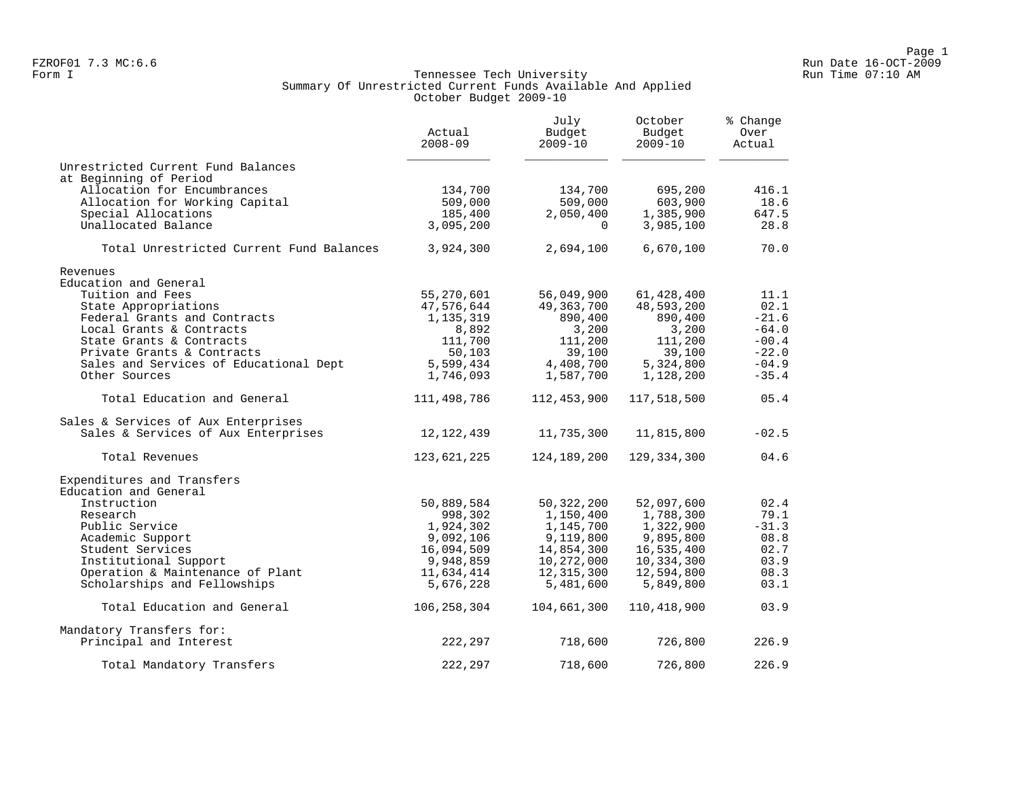#### Form I Georgian Communication of the Communication of Tennessee Tech University Communication Run Time 07:10 AM Summary Of Unrestricted Current Funds Available And Applied October Budget 2009-10

|                                          | Actual<br>$2008 - 09$ | July<br>Budget<br>$2009 - 10$ | October<br>Budget<br>$2009 - 10$ | % Change<br>Over<br>Actual |
|------------------------------------------|-----------------------|-------------------------------|----------------------------------|----------------------------|
| Unrestricted Current Fund Balances       |                       |                               |                                  |                            |
| at Beginning of Period                   |                       |                               |                                  |                            |
| Allocation for Encumbrances              | 134,700               | 134,700                       | 695,200                          | 416.1                      |
| Allocation for Working Capital           | 509,000               | 509,000                       | 603,900                          | 18.6                       |
| Special Allocations                      | 185,400               | 2,050,400                     | 1,385,900                        | 647.5                      |
| Unallocated Balance                      | 3,095,200             | $\Omega$                      | 3,985,100                        | 28.8                       |
| Total Unrestricted Current Fund Balances | 3,924,300             | 2,694,100                     | 6,670,100                        | 70.0                       |
| Revenues                                 |                       |                               |                                  |                            |
| Education and General                    |                       |                               |                                  |                            |
| Tuition and Fees                         | 55,270,601            | 56,049,900                    | 61,428,400                       | 11.1                       |
| State Appropriations                     | 47,576,644            | 49,363,700                    | 48,593,200                       | 02.1                       |
| Federal Grants and Contracts             | 1,135,319             | 890,400                       | 890,400                          | $-21.6$                    |
| Local Grants & Contracts                 | 8,892                 | 3,200                         | 3,200                            | $-64.0$                    |
| State Grants & Contracts                 | 111,700               | 111,200                       | 111,200                          | $-00.4$                    |
| Private Grants & Contracts               | 50,103                | 39,100                        | 39,100                           | $-22.0$                    |
| Sales and Services of Educational Dept   | 5,599,434             | 4,408,700                     | 5,324,800                        | $-04.9$                    |
| Other Sources                            | 1,746,093             | 1,587,700                     | 1,128,200                        | $-35.4$                    |
| Total Education and General              | 111,498,786           | 112,453,900                   | 117,518,500                      | 05.4                       |
| Sales & Services of Aux Enterprises      |                       |                               |                                  |                            |
| Sales & Services of Aux Enterprises      | 12, 122, 439          | 11,735,300                    | 11,815,800                       | $-02.5$                    |
| Total Revenues                           | 123,621,225           | 124,189,200                   | 129,334,300                      | 04.6                       |
| Expenditures and Transfers               |                       |                               |                                  |                            |
| Education and General                    |                       |                               |                                  |                            |
| Instruction                              | 50,889,584            | 50,322,200                    | 52,097,600                       | 02.4                       |
| Research                                 | 998,302               | 1,150,400                     | 1,788,300                        | 79.1                       |
| Public Service                           | 1,924,302             | 1,145,700                     | 1,322,900                        | $-31.3$                    |
| Academic Support                         | 9,092,106             | 9,119,800                     | 9,895,800                        | 08.8                       |
| Student Services                         | 16,094,509            | 14,854,300                    | 16,535,400                       | 02.7                       |
| Institutional Support                    | 9,948,859             | 10,272,000                    | 10,334,300                       | 03.9                       |
| Operation & Maintenance of Plant         | 11,634,414            | 12,315,300                    | 12,594,800                       | 08.3                       |
| Scholarships and Fellowships             | 5,676,228             | 5,481,600                     | 5,849,800                        | 03.1                       |
| Total Education and General              | 106,258,304           | 104,661,300                   | 110,418,900                      | 03.9                       |
| Mandatory Transfers for:                 |                       |                               |                                  |                            |
| Principal and Interest                   | 222,297               | 718,600                       | 726,800                          | 226.9                      |
| Total Mandatory Transfers                | 222,297               | 718,600                       | 726,800                          | 226.9                      |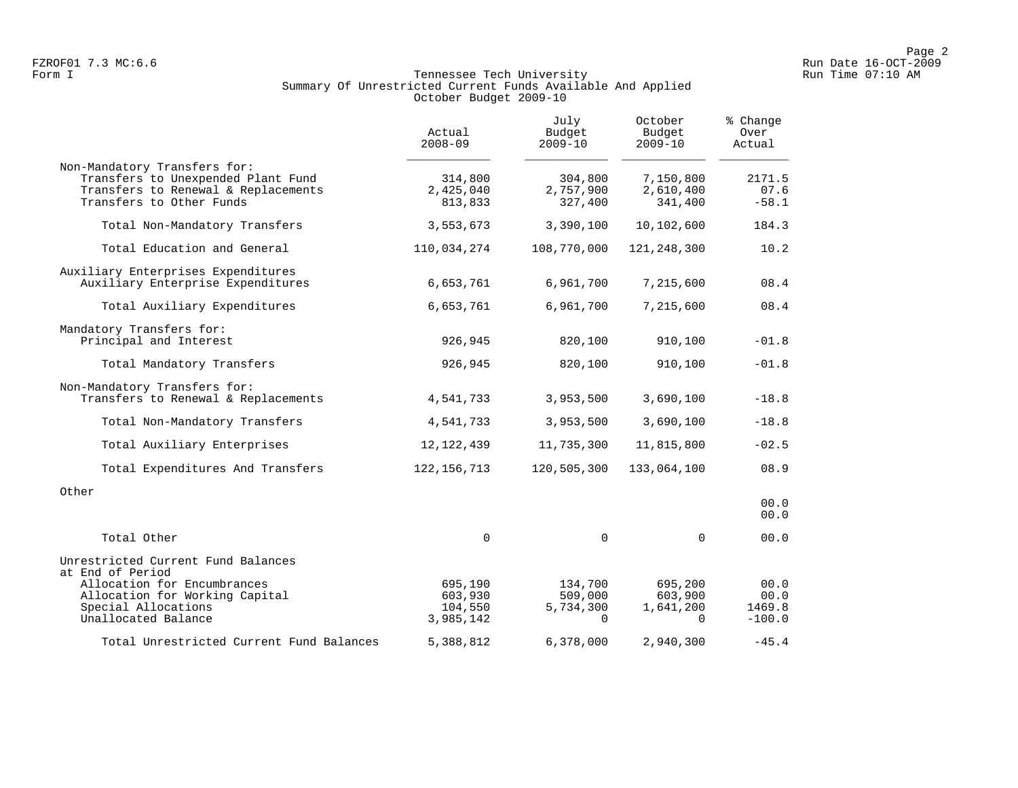#### Form I Georgian Communication of the Communication of Tennessee Tech University Communication Run Time 07:10 AM Summary Of Unrestricted Current Funds Available And Applied October Budget 2009-10

|                                                                                                                                                | Actual<br>$2008 - 09$           | July<br>Budget<br>$2009 - 10$   | October<br>Budget<br>$2009 - 10$  | % Change<br>Over<br>Actual |
|------------------------------------------------------------------------------------------------------------------------------------------------|---------------------------------|---------------------------------|-----------------------------------|----------------------------|
| Non-Mandatory Transfers for:<br>Transfers to Unexpended Plant Fund<br>Transfers to Renewal & Replacements<br>Transfers to Other Funds          | 314,800<br>2,425,040<br>813,833 | 304,800<br>2,757,900<br>327,400 | 7,150,800<br>2,610,400<br>341,400 | 2171.5<br>07.6<br>$-58.1$  |
| Total Non-Mandatory Transfers                                                                                                                  | 3,553,673                       | 3,390,100                       | 10,102,600                        | 184.3                      |
| Total Education and General                                                                                                                    | 110,034,274                     | 108,770,000                     | 121, 248, 300                     | 10.2                       |
| Auxiliary Enterprises Expenditures<br>Auxiliary Enterprise Expenditures                                                                        | 6,653,761                       | 6,961,700                       | 7,215,600                         | 08.4                       |
| Total Auxiliary Expenditures                                                                                                                   | 6,653,761                       | 6,961,700                       | 7,215,600                         | 08.4                       |
| Mandatory Transfers for:<br>Principal and Interest                                                                                             | 926,945                         | 820,100                         | 910,100                           | $-01.8$                    |
| Total Mandatory Transfers                                                                                                                      | 926,945                         | 820,100                         | 910,100                           | $-01.8$                    |
| Non-Mandatory Transfers for:<br>Transfers to Renewal & Replacements                                                                            | 4,541,733                       | 3,953,500                       | 3,690,100                         | $-18.8$                    |
| Total Non-Mandatory Transfers                                                                                                                  | 4,541,733                       | 3,953,500                       | 3,690,100                         | $-18.8$                    |
| Total Auxiliary Enterprises                                                                                                                    | 12, 122, 439                    | 11,735,300                      | 11,815,800                        | $-02.5$                    |
| Total Expenditures And Transfers                                                                                                               | 122, 156, 713                   | 120,505,300                     | 133,064,100                       | 08.9                       |
| Other                                                                                                                                          |                                 |                                 |                                   | 00.0<br>00.0               |
| Total Other                                                                                                                                    | $\mathbf 0$                     | $\mathbf 0$                     | $\Omega$                          | 00.0                       |
| Unrestricted Current Fund Balances<br>at End of Period<br>Allocation for Encumbrances<br>Allocation for Working Capital<br>Special Allocations | 695,190<br>603,930<br>104,550   | 134,700<br>509,000<br>5,734,300 | 695,200<br>603,900<br>1,641,200   | 00.0<br>00.0<br>1469.8     |
| Unallocated Balance                                                                                                                            | 3,985,142                       | $\Omega$                        | $\Omega$                          | $-100.0$                   |
| Total Unrestricted Current Fund Balances                                                                                                       | 5,388,812                       | 6,378,000                       | 2,940,300                         | $-45.4$                    |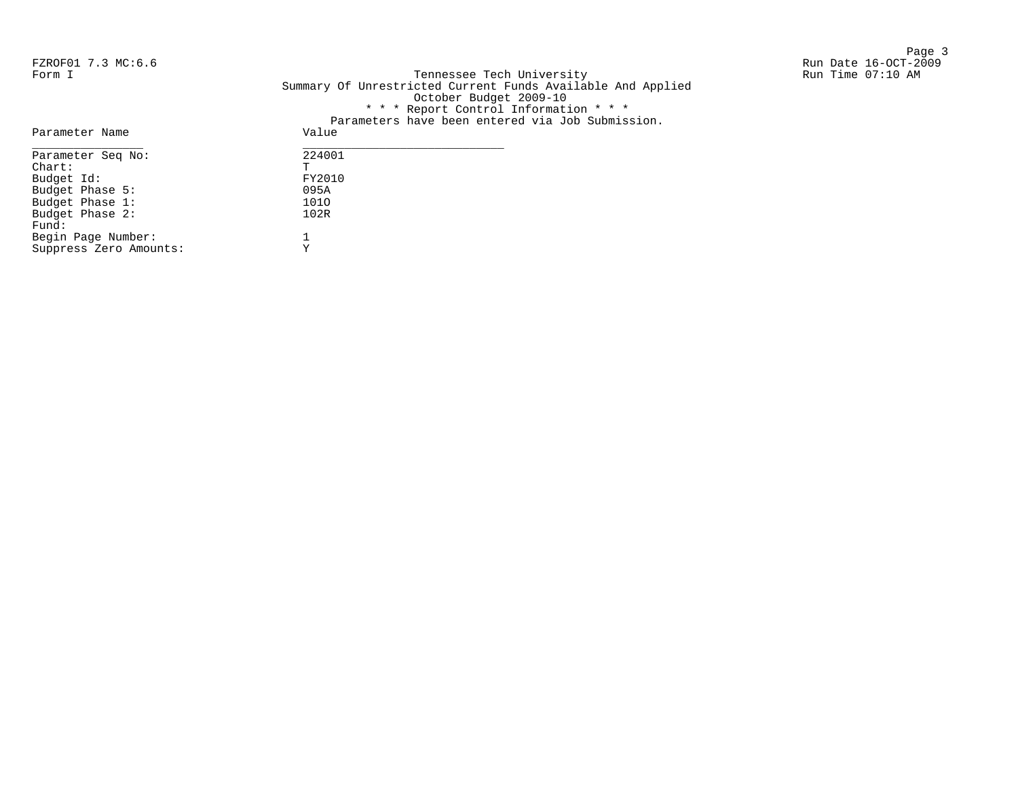Page 3 and 20 and 20 and 20 and 20 and 20 and 20 and 20 and 20 and 20 and 20 and 20 and 20 and 20 and 20 and 20

FZROF01 7.3 MC:6.6 Run Date 16-OCT-2009 Form I Georgian Controller Controller Controller Controller Tech University Corner Controller Run Time 07:10 AM Summary Of Unrestricted Current Funds Available And Applied October Budget 2009-10 \* \* \* Report Control Information \* \* \* Parameters have been entered via Job Submission.

| Parameter Name         | Value  |
|------------------------|--------|
| Parameter Seq No:      | 224001 |
| $chart$ :              | т      |
| Budget Id:             | FY2010 |
| Budget Phase 5:        | 095A   |
| Budget Phase 1:        | 1010   |
| Budget Phase 2:        | 102R   |
| Fund:                  |        |
| Begin Page Number:     |        |
| Suppress Zero Amounts: | Y      |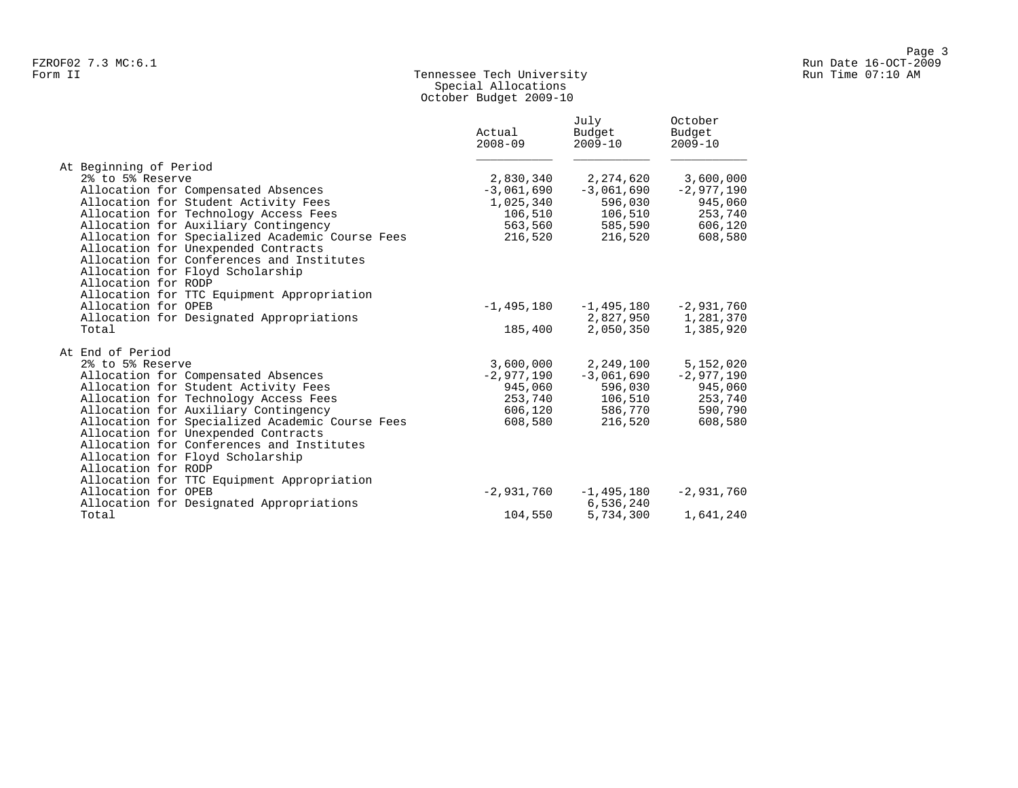# Form II Tennessee Tech University Run Time 07:10 AM Special Allocations October Budget 2009-10

|                                                 | Actual<br>$2008 - 09$ | July<br>Budget<br>$2009 - 10$ | October<br>Budget<br>$2009 - 10$ |
|-------------------------------------------------|-----------------------|-------------------------------|----------------------------------|
| At Beginning of Period                          |                       |                               |                                  |
| 2% to 5% Reserve                                | 2,830,340             | 2,274,620                     | 3,600,000                        |
| Allocation for Compensated Absences             | $-3,061,690$          | $-3,061,690$                  | $-2,977,190$                     |
| Allocation for Student Activity Fees            | 1,025,340             | 596,030                       | 945,060                          |
| Allocation for Technology Access Fees           | 106,510               | 106,510                       | 253,740                          |
| Allocation for Auxiliary Contingency            | 563,560               | 585,590                       | 606,120                          |
| Allocation for Specialized Academic Course Fees | 216,520               | 216,520                       | 608,580                          |
| Allocation for Unexpended Contracts             |                       |                               |                                  |
| Allocation for Conferences and Institutes       |                       |                               |                                  |
| Allocation for Floyd Scholarship                |                       |                               |                                  |
| Allocation for RODP                             |                       |                               |                                  |
| Allocation for TTC Equipment Appropriation      |                       |                               |                                  |
| Allocation for OPEB                             | $-1,495,180$          | -1,495,180                    | $-2,931,760$                     |
| Allocation for Designated Appropriations        |                       |                               | 2,827,950 1,281,370              |
| Total                                           | 185,400               | 2,050,350                     | 1,385,920                        |
|                                                 |                       |                               |                                  |
| At End of Period                                |                       |                               |                                  |
| 2% to 5% Reserve                                | 3,600,000             | 2,249,100                     | 5,152,020                        |
| Allocation for Compensated Absences             | -2,977,190            | $-3,061,690$                  | $-2,977,190$                     |
| Allocation for Student Activity Fees            | 945,060               | 596,030                       | 945,060                          |
| Allocation for Technology Access Fees           | 253,740               | 106,510                       | 253,740                          |
| Allocation for Auxiliary Contingency            | 606,120               | 586,770                       | 590,790                          |
| Allocation for Specialized Academic Course Fees | 608,580               | 216,520                       | 608,580                          |
| Allocation for Unexpended Contracts             |                       |                               |                                  |
| Allocation for Conferences and Institutes       |                       |                               |                                  |
| Allocation for Floyd Scholarship                |                       |                               |                                  |
| Allocation for RODP                             |                       |                               |                                  |
| Allocation for TTC Equipment Appropriation      |                       |                               |                                  |
| Allocation for OPEB                             | $-2,931,760$          | $-1,495,180$                  | $-2,931,760$                     |
| Allocation for Designated Appropriations        |                       | 6,536,240                     |                                  |
| Total                                           | 104,550               | 5,734,300                     | 1,641,240                        |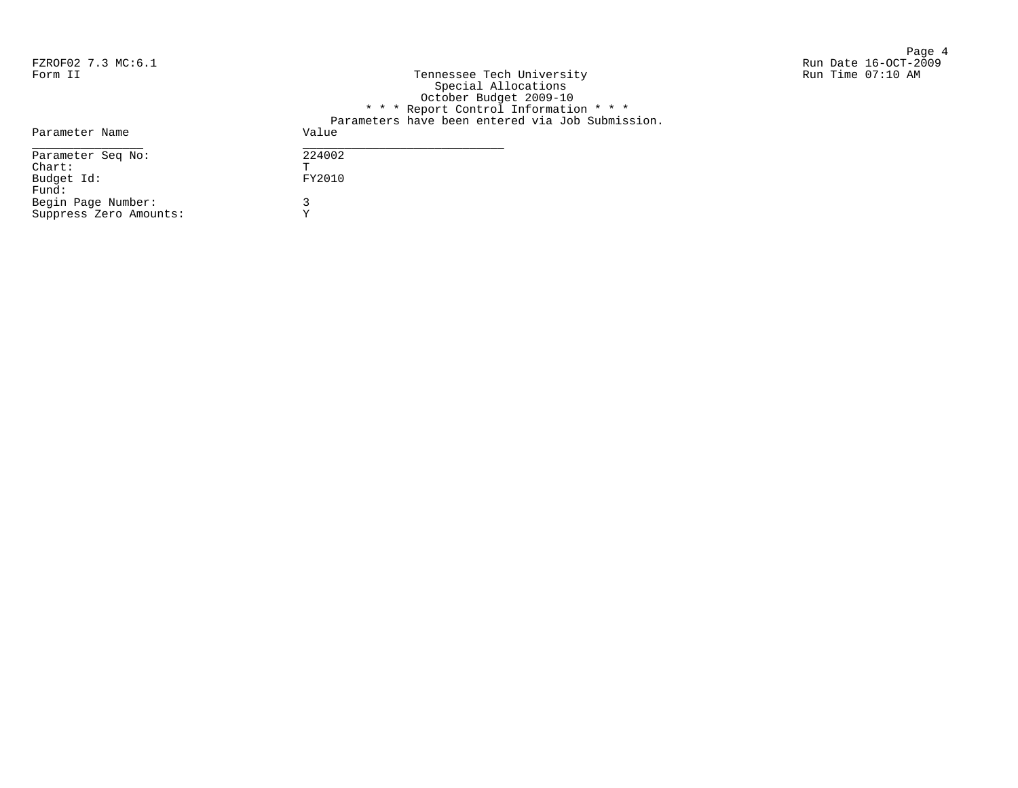Page 4 FZROF02 7.3 MC:6.1 Run Date 16-OCT-2009

| Form II                | Tennessee Tech University<br>Special Allocations<br>October Budget 2009-10<br>* * * Report Control Information * * *<br>Parameters have been entered via Job Submission. | Run Time 07:10 AM |
|------------------------|--------------------------------------------------------------------------------------------------------------------------------------------------------------------------|-------------------|
| Parameter Name         | Value                                                                                                                                                                    |                   |
| Parameter Seq No:      | 224002                                                                                                                                                                   |                   |
| Chart:                 | m.                                                                                                                                                                       |                   |
| Budget Id:             | FY2010                                                                                                                                                                   |                   |
| Fund:                  |                                                                                                                                                                          |                   |
| Begin Page Number:     |                                                                                                                                                                          |                   |
| Suppress Zero Amounts: |                                                                                                                                                                          |                   |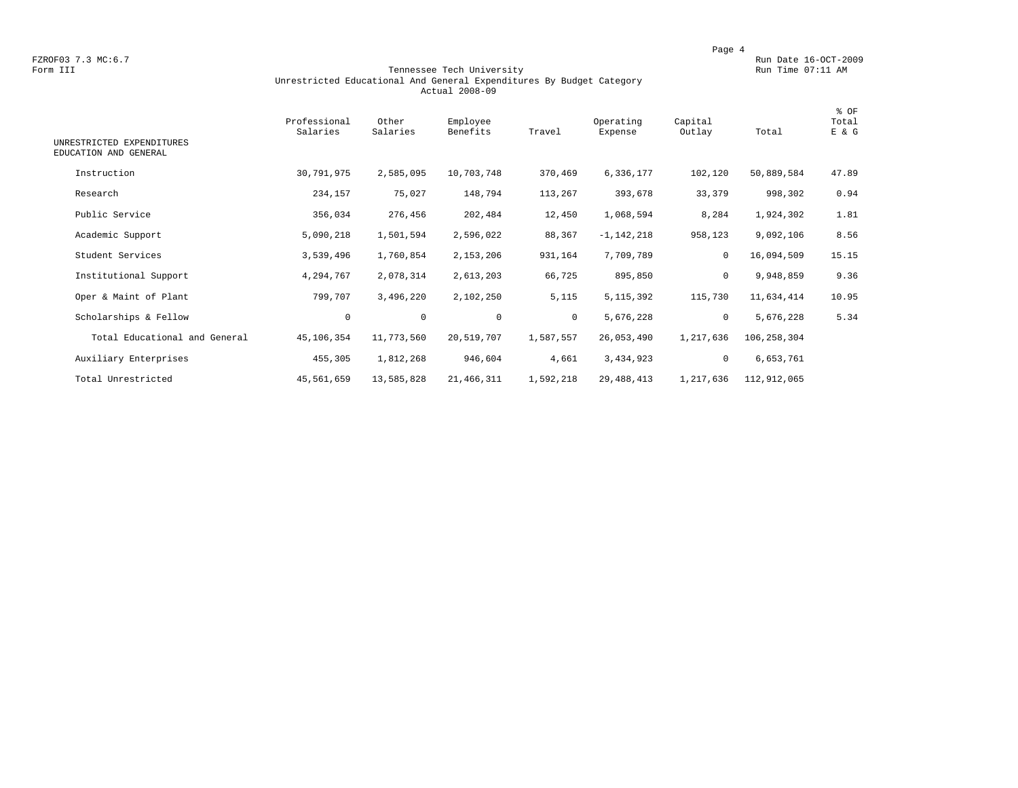FZROF03 7.3 MC:6.7 Run Date 16-OCT-2009<br>Form III Run Date 16-OCT-2009 Run Date 16-OCT-2009 Run Date 16-OCT-2009

#### Form III Tennessee Tech University Run Time 07:11 AM Unrestricted Educational And General Expenditures By Budget Category Actual 2008-09

| UNRESTRICTED EXPENDITURES<br>EDUCATION AND GENERAL | Professional<br>Salaries | Other<br>Salaries | Employee<br>Benefits | Travel    | Operating<br>Expense | Capital<br>Outlay | Total       | % OF<br>Total<br>E & G |
|----------------------------------------------------|--------------------------|-------------------|----------------------|-----------|----------------------|-------------------|-------------|------------------------|
| Instruction                                        | 30,791,975               | 2,585,095         | 10,703,748           | 370,469   | 6,336,177            | 102,120           | 50,889,584  | 47.89                  |
| Research                                           | 234,157                  | 75,027            | 148,794              | 113,267   | 393,678              | 33,379            | 998,302     | 0.94                   |
| Public Service                                     | 356,034                  | 276,456           | 202,484              | 12,450    | 1,068,594            | 8,284             | 1,924,302   | 1.81                   |
| Academic Support                                   | 5,090,218                | 1,501,594         | 2,596,022            | 88,367    | $-1,142,218$         | 958,123           | 9,092,106   | 8.56                   |
| Student Services                                   | 3,539,496                | 1,760,854         | 2,153,206            | 931,164   | 7,709,789            | 0                 | 16,094,509  | 15.15                  |
| Institutional Support                              | 4,294,767                | 2,078,314         | 2,613,203            | 66,725    | 895,850              | 0                 | 9,948,859   | 9.36                   |
| Oper & Maint of Plant                              | 799,707                  | 3,496,220         | 2,102,250            | 5,115     | 5, 115, 392          | 115,730           | 11,634,414  | 10.95                  |
| Scholarships & Fellow                              | $\mathbf 0$              | $\mathbf 0$       | $\mathbf 0$          | $\circ$   | 5,676,228            | $\mathbf 0$       | 5,676,228   | 5.34                   |
| Total Educational and General                      | 45,106,354               | 11,773,560        | 20,519,707           | 1,587,557 | 26,053,490           | 1,217,636         | 106,258,304 |                        |
| Auxiliary Enterprises                              | 455,305                  | 1,812,268         | 946,604              | 4,661     | 3,434,923            | 0                 | 6,653,761   |                        |
| Total Unrestricted                                 | 45,561,659               | 13,585,828        | 21,466,311           | 1,592,218 | 29, 488, 413         | 1,217,636         | 112,912,065 |                        |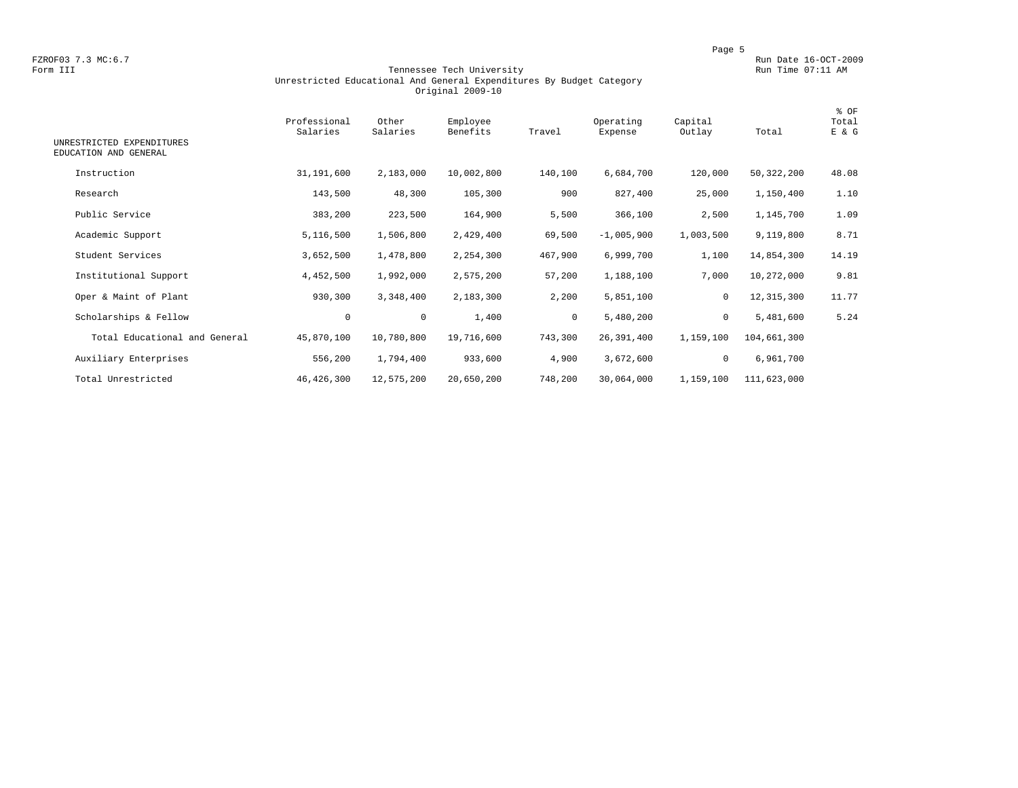FZROF03 7.3 MC:6.7 Run Date 16-OCT-2009<br>Form III Run Date 16-OCT-2009 Run Date 16-OCT-2009 Run Date 16-OCT-2009

#### Form III Tennessee Tech University Run Time 07:11 AM Unrestricted Educational And General Expenditures By Budget Category Original 2009-10

| UNRESTRICTED EXPENDITURES<br>EDUCATION AND GENERAL | Professional<br>Salaries | Other<br>Salaries | Employee<br>Benefits | Travel       | Operating<br>Expense | Capital<br>Outlay | Total        | % OF<br>Total<br>E & G |
|----------------------------------------------------|--------------------------|-------------------|----------------------|--------------|----------------------|-------------------|--------------|------------------------|
| Instruction                                        | 31,191,600               | 2,183,000         | 10,002,800           | 140,100      | 6,684,700            | 120,000           | 50,322,200   | 48.08                  |
| Research                                           | 143,500                  | 48,300            | 105,300              | 900          | 827,400              | 25,000            | 1,150,400    | 1.10                   |
| Public Service                                     | 383,200                  | 223,500           | 164,900              | 5,500        | 366,100              | 2,500             | 1,145,700    | 1.09                   |
| Academic Support                                   | 5,116,500                | 1,506,800         | 2,429,400            | 69,500       | $-1,005,900$         | 1,003,500         | 9,119,800    | 8.71                   |
| Student Services                                   | 3,652,500                | 1,478,800         | 2,254,300            | 467,900      | 6,999,700            | 1,100             | 14,854,300   | 14.19                  |
| Institutional Support                              | 4,452,500                | 1,992,000         | 2,575,200            | 57,200       | 1,188,100            | 7,000             | 10,272,000   | 9.81                   |
| Oper & Maint of Plant                              | 930,300                  | 3,348,400         | 2,183,300            | 2,200        | 5,851,100            | $\mathbf 0$       | 12, 315, 300 | 11.77                  |
| Scholarships & Fellow                              | $\mathbf 0$              | $\mathbf 0$       | 1,400                | $\mathbf{0}$ | 5,480,200            | $\mathbf 0$       | 5,481,600    | 5.24                   |
| Total Educational and General                      | 45,870,100               | 10,780,800        | 19,716,600           | 743,300      | 26,391,400           | 1,159,100         | 104,661,300  |                        |
| Auxiliary Enterprises                              | 556,200                  | 1,794,400         | 933,600              | 4,900        | 3,672,600            | 0                 | 6,961,700    |                        |
| Total Unrestricted                                 | 46, 426, 300             | 12,575,200        | 20,650,200           | 748,200      | 30,064,000           | 1,159,100         | 111,623,000  |                        |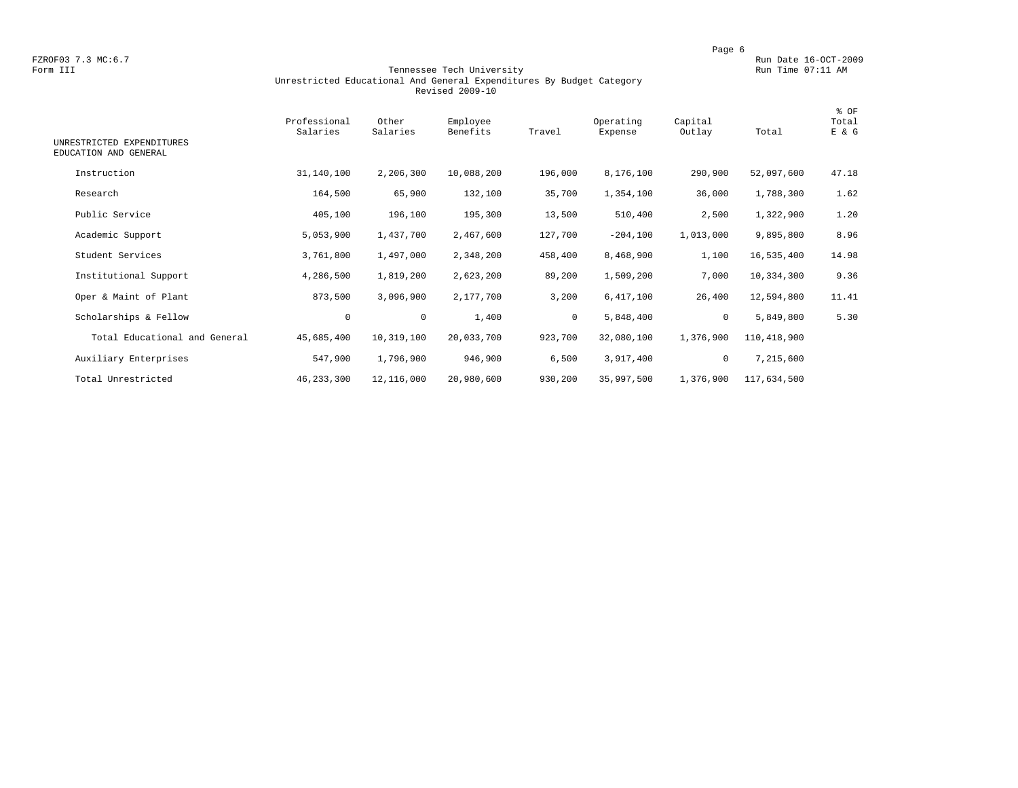FZROF03 7.3 MC:6.7 Run Date 16-OCT-2009<br>Form III Run Date 16-OCT-2009 Run Date 16-OCT-2009 Run Date 16-OCT-2009

#### Form III Tennessee Tech University Run Time 07:11 AM Unrestricted Educational And General Expenditures By Budget Category Revised 2009-10

| UNRESTRICTED EXPENDITURES<br>EDUCATION AND GENERAL | Professional<br>Salaries | Other<br>Salaries | Employee<br>Benefits | Travel       | Operating<br>Expense | Capital<br>Outlay | Total       | % OF<br>Total<br>E & G |
|----------------------------------------------------|--------------------------|-------------------|----------------------|--------------|----------------------|-------------------|-------------|------------------------|
| Instruction                                        | 31,140,100               | 2,206,300         | 10,088,200           | 196,000      | 8,176,100            | 290,900           | 52,097,600  | 47.18                  |
| Research                                           | 164,500                  | 65,900            | 132,100              | 35,700       | 1,354,100            | 36,000            | 1,788,300   | 1.62                   |
| Public Service                                     | 405,100                  | 196,100           | 195,300              | 13,500       | 510,400              | 2,500             | 1,322,900   | 1.20                   |
| Academic Support                                   | 5,053,900                | 1,437,700         | 2,467,600            | 127,700      | $-204,100$           | 1,013,000         | 9,895,800   | 8.96                   |
| Student Services                                   | 3,761,800                | 1,497,000         | 2,348,200            | 458,400      | 8,468,900            | 1,100             | 16,535,400  | 14.98                  |
| Institutional Support                              | 4,286,500                | 1,819,200         | 2,623,200            | 89,200       | 1,509,200            | 7,000             | 10,334,300  | 9.36                   |
| Oper & Maint of Plant                              | 873,500                  | 3,096,900         | 2,177,700            | 3,200        | 6,417,100            | 26,400            | 12,594,800  | 11.41                  |
| Scholarships & Fellow                              | $\mathbf 0$              | $\mathbf 0$       | 1,400                | $\mathbf{0}$ | 5,848,400            | $\mathbf 0$       | 5,849,800   | 5.30                   |
| Total Educational and General                      | 45,685,400               | 10,319,100        | 20,033,700           | 923,700      | 32,080,100           | 1,376,900         | 110,418,900 |                        |
| Auxiliary Enterprises                              | 547,900                  | 1,796,900         | 946,900              | 6,500        | 3,917,400            | $\circ$           | 7,215,600   |                        |
| Total Unrestricted                                 | 46, 233, 300             | 12,116,000        | 20,980,600           | 930,200      | 35,997,500           | 1,376,900         | 117,634,500 |                        |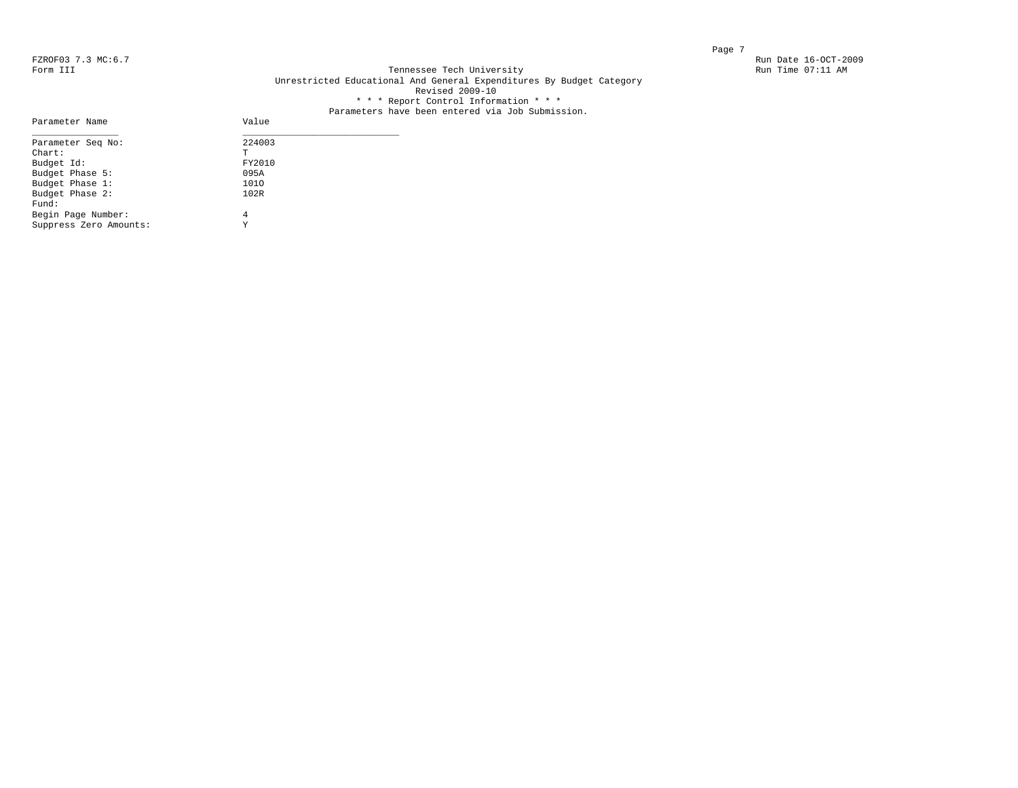Parameter Name

#### FZROF03 7.3 MC:6.7 Run Date 16-OCT-2009<br>Form III Run Date 16-OCT-2009 Run Date 16-OCT-2009 Run Date 16-OCT-2009 Tennessee Tech University Unrestricted Educational And General Expenditures By Budget Category Revised 2009-10 \* \* \* Report Control Information \* \* \*

# Parameters have been entered via Job Submission.<br>Value

| Parameter Seq No:      | 224003 |  |
|------------------------|--------|--|
| $Chart$ :              | Τ      |  |
| Budget Id:             | FY2010 |  |
| Budget Phase 5:        | 095A   |  |
| Budget Phase 1:        | 1010   |  |
| Budget Phase 2:        | 102R   |  |
| Fund:                  |        |  |
| Begin Page Number:     | 4      |  |
| Suppress Zero Amounts: | Y      |  |
|                        |        |  |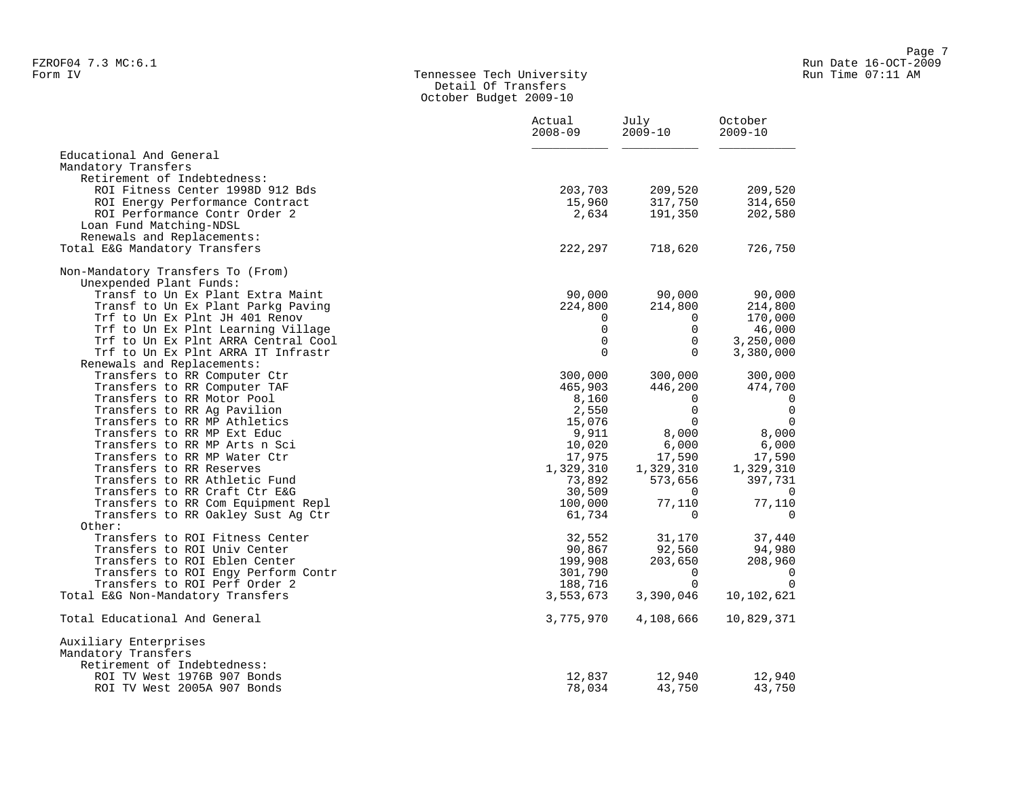#### Form IV Tennessee Tech University Run Time 07:11 AM Detail Of Transfers October Budget 2009-10

|                                     | Actual<br>$2008 - 09$ | July<br>$2009 - 10$ | October<br>$2009 - 10$ |
|-------------------------------------|-----------------------|---------------------|------------------------|
| Educational And General             |                       |                     |                        |
| Mandatory Transfers                 |                       |                     |                        |
| Retirement of Indebtedness:         |                       |                     |                        |
| ROI Fitness Center 1998D 912 Bds    | 203,703               | 209,520             | 209,520                |
| ROI Energy Performance Contract     | 15,960                | 317,750             | 314,650                |
| ROI Performance Contr Order 2       | 2,634                 | 191,350             | 202,580                |
| Loan Fund Matching-NDSL             |                       |                     |                        |
| Renewals and Replacements:          |                       |                     |                        |
| Total E&G Mandatory Transfers       | 222,297               | 718,620             | 726,750                |
| Non-Mandatory Transfers To (From)   |                       |                     |                        |
| Unexpended Plant Funds:             |                       |                     |                        |
| Transf to Un Ex Plant Extra Maint   | 90,000                | 90,000              | 90,000                 |
| Transf to Un Ex Plant Parkg Paving  | 224,800               | 214,800             | 214,800                |
| Trf to Un Ex Plnt JH 401 Renov      | $\Omega$              | $\Omega$            | 170,000                |
| Trf to Un Ex Plnt Learning Village  | $\Omega$              | $\Omega$            | 46,000                 |
| Trf to Un Ex Plnt ARRA Central Cool | $\Omega$              | $\mathbf 0$         | 3,250,000              |
| Trf to Un Ex Plnt ARRA IT Infrastr  | $\Omega$              | $\Omega$            | 3,380,000              |
| Renewals and Replacements:          |                       |                     |                        |
| Transfers to RR Computer Ctr        | 300,000               | 300,000             | 300,000                |
| Transfers to RR Computer TAF        | 465,903               | 446,200             | 474,700                |
| Transfers to RR Motor Pool          | 8,160                 | $\Omega$            | 0                      |
| Transfers to RR Ag Pavilion         | 2,550                 | $\mathbf 0$         | $\mathbf 0$            |
| Transfers to RR MP Athletics        | 15,076                | $\Omega$            | $\mathbf 0$            |
| Transfers to RR MP Ext Educ         | 9,911                 | 8,000               | 8,000                  |
| Transfers to RR MP Arts n Sci       | 10,020                | 6,000               | 6,000                  |
| Transfers to RR MP Water Ctr        | 17,975                | 17,590              | 17,590                 |
| Transfers to RR Reserves            | 1,329,310             | 1,329,310           | 1,329,310              |
| Transfers to RR Athletic Fund       | 73,892                | 573,656             | 397,731                |
| Transfers to RR Craft Ctr E&G       | 30,509                | $\Omega$            | 0                      |
| Transfers to RR Com Equipment Repl  | 100,000               | 77,110              | 77,110                 |
| Transfers to RR Oakley Sust Aq Ctr  | 61,734                | $\Omega$            | $\mathbf 0$            |
| Other:                              |                       |                     |                        |
| Transfers to ROI Fitness Center     | 32,552                | 31,170              | 37,440                 |
| Transfers to ROI Univ Center        | 90,867                | 92,560              | 94,980                 |
| Transfers to ROI Eblen Center       | 199,908               | 203,650             | 208,960                |
| Transfers to ROI Engy Perform Contr | 301,790               | $\Omega$            | 0                      |
| Transfers to ROI Perf Order 2       | 188,716               | $\Omega$            | $\Omega$               |
| Total E&G Non-Mandatory Transfers   | 3,553,673             | 3,390,046           | 10,102,621             |
| Total Educational And General       | 3,775,970             | 4,108,666           | 10,829,371             |
| Auxiliary Enterprises               |                       |                     |                        |
| Mandatory Transfers                 |                       |                     |                        |
| Retirement of Indebtedness:         |                       |                     |                        |
| ROI TV West 1976B 907 Bonds         | 12,837                | 12,940              | 12,940                 |
| ROI TV West 2005A 907 Bonds         | 78,034                | 43,750              | 43,750                 |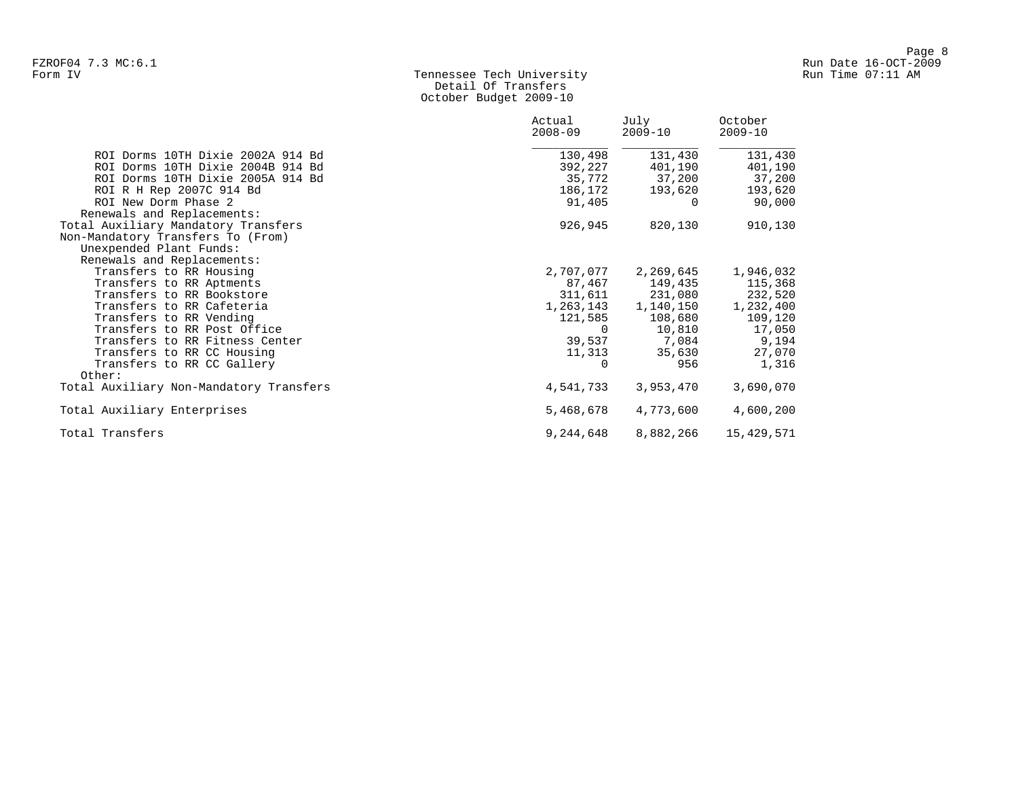# Form IV Tennessee Tech University Run Time 07:11 AM Detail Of Transfers October Budget 2009-10

|                                         | Actual<br>$2008 - 09$ | July<br>$2009 - 10$ | October<br>$2009 - 10$ |
|-----------------------------------------|-----------------------|---------------------|------------------------|
| ROI Dorms 10TH Dixie 2002A 914 Bd       | 130,498               | 131,430             | 131,430                |
| ROI Dorms 10TH Dixie 2004B 914 Bd       | 392,227               | 401,190             | 401,190                |
| ROI Dorms 10TH Dixie 2005A 914 Bd       | 35,772                | 37,200              | 37,200                 |
| ROI R H Rep 2007C 914 Bd                | 186,172               | 193,620             | 193,620                |
| ROI New Dorm Phase 2                    | 91,405                | $\Omega$            | 90,000                 |
| Renewals and Replacements:              |                       |                     |                        |
| Total Auxiliary Mandatory Transfers     | 926,945               | 820,130             | 910,130                |
| Non-Mandatory Transfers To (From)       |                       |                     |                        |
| Unexpended Plant Funds:                 |                       |                     |                        |
| Renewals and Replacements:              |                       |                     |                        |
| Transfers to RR Housing                 | 2,707,077             | 2,269,645           | 1,946,032              |
| Transfers to RR Aptments                |                       | 87,467 149,435      | 115,368                |
| Transfers to RR Bookstore               | 311,611               | 231,080             | 232,520                |
| Transfers to RR Cafeteria               | 1,263,143             | 1,140,150           | 1,232,400              |
| Transfers to RR Vending                 | 121,585               | 108,680             | 109,120                |
| Transfers to RR Post Office             | $\Omega$              | 10,810              | 17,050                 |
| Transfers to RR Fitness Center          |                       | 39,537 7,084        | 9,194                  |
| Transfers to RR CC Housing              | 11,313                | 35,630              | 27,070                 |
| Transfers to RR CC Gallery              |                       | 956                 | 1,316                  |
| Other:                                  |                       |                     |                        |
| Total Auxiliary Non-Mandatory Transfers | 4,541,733             | 3,953,470           | 3,690,070              |
| Total Auxiliary Enterprises             | 5,468,678             | 4,773,600           | 4,600,200              |
| Total Transfers                         | 9,244,648             | 8,882,266           | 15,429,571             |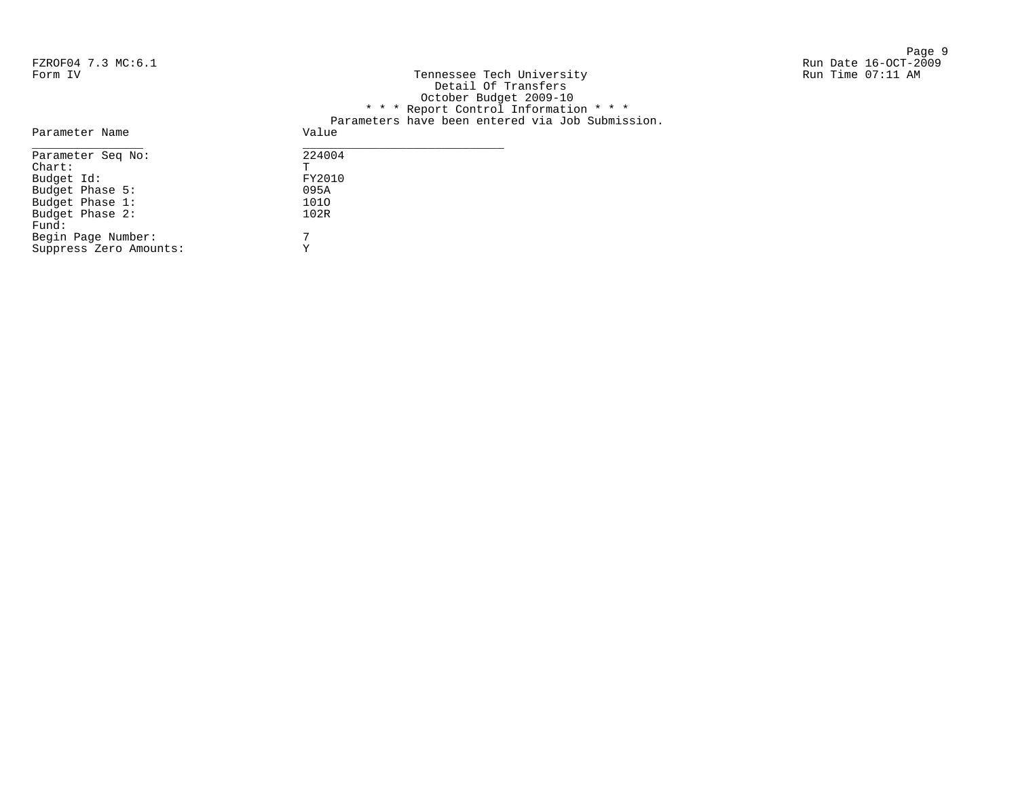Page 9 and 2012 12:00 the state of the state of the state of the state of the state of the state of the state o

# FZROF04 7.3 MC:6.1 Run Date 16-OCT-2009 Tennessee Tech University Detail Of Transfers October Budget 2009-10 \* \* \* Report Control Information \* \* \* Parameters have been entered via Job Submission. Parameter Name value  $\frac{1}{\sqrt{2\pi}}$

| Parameter Seq No:      | 224004 |
|------------------------|--------|
| $chart$ :              | Ͳ      |
| Budget Id:             | FY2010 |
| Budget Phase 5:        | 095A   |
| Budget Phase 1:        | 1010   |
| Budget Phase 2:        | 102R   |
| Fund:                  |        |
| Begin Page Number:     | 7      |
| Suppress Zero Amounts: | v      |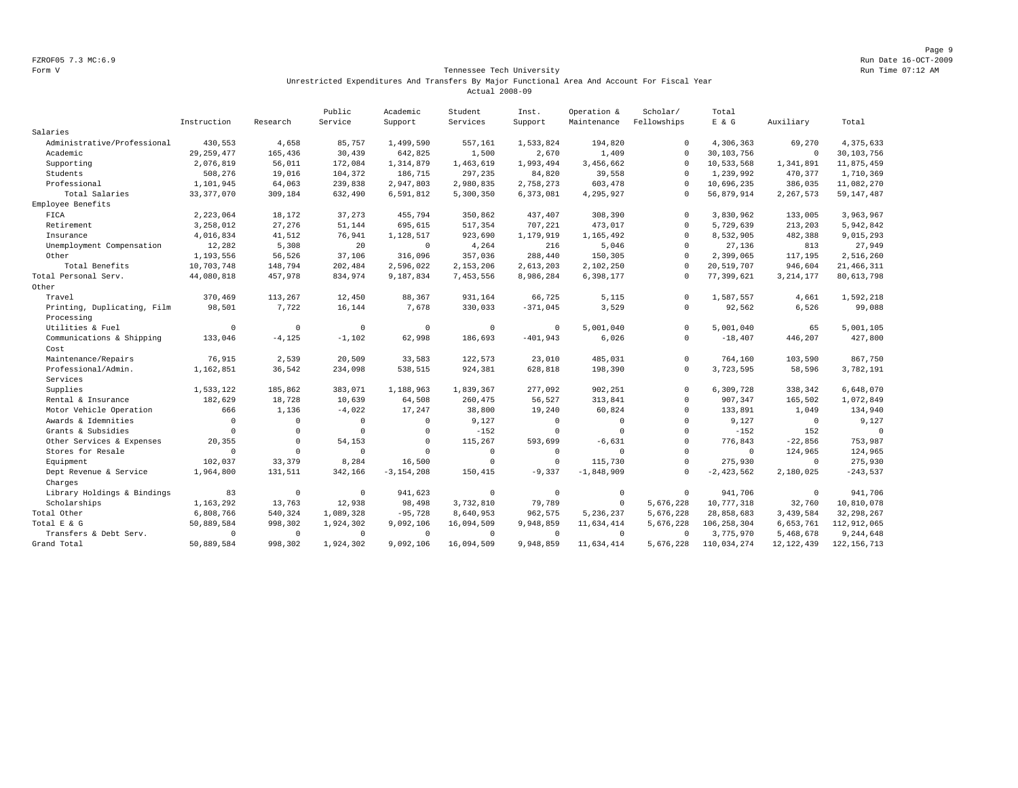Page 9 FZROF05 7.3 MC:6.9 Run Date 16-OCT-2009

#### Form V Tennessee Tech University **Tennessee Tech University** Run Time 07:12 AM Unrestricted Expenditures And Transfers By Major Functional Area And Account For Fiscal Year Actual 2008-09

|                             |              |              | Public    | Academic       | Student        | Inst.        | Operation &    | Scholar/    | Total          |              |               |
|-----------------------------|--------------|--------------|-----------|----------------|----------------|--------------|----------------|-------------|----------------|--------------|---------------|
|                             | Instruction  | Research     | Service   | Support        | Services       | Support      | Maintenance    | Fellowships | $E$ & $G$      | Auxiliary    | Total         |
| Salaries                    |              |              |           |                |                |              |                |             |                |              |               |
| Administrative/Professional | 430,553      | 4,658        | 85,757    | 1,499,590      | 557,161        | 1,533,824    | 194,820        | $\Omega$    | 4,306,363      | 69,270       | 4,375,633     |
| Academic                    | 29, 259, 477 | 165,436      | 30,439    | 642,825        | 1,500          | 2,670        | 1,409          | $\Omega$    | 30,103,756     | $\Omega$     | 30,103,756    |
| Supporting                  | 2,076,819    | 56,011       | 172,084   | 1,314,879      | 1,463,619      | 1,993,494    | 3,456,662      | $\Omega$    | 10,533,568     | 1,341,891    | 11,875,459    |
| Students                    | 508,276      | 19,016       | 104,372   | 186,715        | 297,235        | 84,820       | 39,558         | $\Omega$    | 1,239,992      | 470,377      | 1,710,369     |
| Professional                | 1,101,945    | 64,063       | 239,838   | 2,947,803      | 2,980,835      | 2,758,273    | 603,478        | $\Omega$    | 10,696,235     | 386,035      | 11,082,270    |
| Total Salaries              | 33, 377, 070 | 309,184      | 632,490   | 6,591,812      | 5,300,350      | 6,373,081    | 4,295,927      | $\Omega$    | 56,879,914     | 2,267,573    | 59, 147, 487  |
| Employee Benefits           |              |              |           |                |                |              |                |             |                |              |               |
| FICA                        | 2,223,064    | 18,172       | 37,273    | 455,794        | 350,862        | 437,407      | 308,390        | $\Omega$    | 3,830,962      | 133,005      | 3,963,967     |
| Retirement                  | 3,258,012    | 27,276       | 51,144    | 695,615        | 517,354        | 707,221      | 473,017        | $\Omega$    | 5,729,639      | 213,203      | 5,942,842     |
| Insurance                   | 4,016,834    | 41,512       | 76,941    | 1,128,517      | 923,690        | 1,179,919    | 1,165,492      | $\Omega$    | 8,532,905      | 482,388      | 9,015,293     |
| Unemployment Compensation   | 12,282       | 5,308        | 20        | $\Omega$       | 4,264          | 216          | 5,046          | $\Omega$    | 27,136         | 813          | 27,949        |
| Other                       | 1,193,556    | 56,526       | 37,106    | 316,096        | 357,036        | 288,440      | 150,305        | $\Omega$    | 2,399,065      | 117,195      | 2,516,260     |
| Total Benefits              | 10,703,748   | 148,794      | 202,484   | 2,596,022      | 2,153,206      | 2,613,203    | 2,102,250      | $\Omega$    | 20,519,707     | 946,604      | 21, 466, 311  |
| Total Personal Serv.        | 44,080,818   | 457,978      | 834,974   | 9,187,834      | 7,453,556      | 8,986,284    | 6,398,177      | $\Omega$    | 77,399,621     | 3, 214, 177  | 80, 613, 798  |
| Other                       |              |              |           |                |                |              |                |             |                |              |               |
| Travel                      | 370,469      | 113,267      | 12,450    | 88,367         | 931,164        | 66,725       | 5,115          | $\Omega$    | 1,587,557      | 4,661        | 1,592,218     |
| Printing, Duplicating, Film | 98,501       | 7,722        | 16,144    | 7,678          | 330,033        | $-371,045$   | 3,529          | $\Omega$    | 92,562         | 6,526        | 99,088        |
| Processing                  |              |              |           |                |                |              |                |             |                |              |               |
| Utilities & Fuel            | $\Omega$     | $\mathbf 0$  | $\Omega$  | $\mathbf{0}$   | $\mathbf 0$    | $\Omega$     | 5,001,040      | $\Omega$    | 5,001,040      | 65           | 5,001,105     |
| Communications & Shipping   | 133,046      | $-4, 125$    | $-1,102$  | 62,998         | 186,693        | $-401,943$   | 6,026          | $\mathbf 0$ | $-18,407$      | 446,207      | 427,800       |
| Cost                        |              |              |           |                |                |              |                |             |                |              |               |
| Maintenance/Repairs         | 76,915       | 2,539        | 20,509    | 33,583         | 122,573        | 23,010       | 485,031        | $\Omega$    | 764.160        | 103,590      | 867,750       |
| Professional/Admin.         | 1,162,851    | 36,542       | 234,098   | 538,515        | 924,381        | 628,818      | 198,390        | $\Omega$    | 3,723,595      | 58,596       | 3,782,191     |
| Services                    |              |              |           |                |                |              |                |             |                |              |               |
| Supplies                    | 1,533,122    | 185,862      | 383,071   | 1,188,963      | 1,839,367      | 277,092      | 902,251        | $\mathbf 0$ | 6,309,728      | 338,342      | 6,648,070     |
| Rental & Insurance          | 182,629      | 18,728       | 10,639    | 64,508         | 260,475        | 56,527       | 313,841        | $\Omega$    | 907,347        | 165,502      | 1,072,849     |
| Motor Vehicle Operation     | 666          | 1,136        | $-4,022$  | 17,247         | 38,800         | 19,240       | 60,824         | $\Omega$    | 133,891        | 1,049        | 134,940       |
| Awards & Idemnities         | $\mathbf 0$  | $\mathbf{0}$ | $\Omega$  | $\Omega$       | 9,127          | $\Omega$     | $\overline{0}$ | $\Omega$    | 9,127          | $\mathbf 0$  | 9,127         |
| Grants & Subsidies          | $\mathbf 0$  | $\circ$      | $\Omega$  | $\mathbf 0$    | $-152$         | $\mathbf 0$  | $\mathbf 0$    | $\Omega$    | $-152$         | 152          | $\mathbf{0}$  |
| Other Services & Expenses   | 20,355       | $\Omega$     | 54,153    | $\mathbf 0$    | 115,267        | 593,699      | $-6,631$       | $\Omega$    | 776,843        | $-22,856$    | 753,987       |
| Stores for Resale           | $\mathbf 0$  | $\mathbf 0$  | $\Omega$  | $\Omega$       | $\overline{0}$ | $\mathbf{0}$ | $\Omega$       | $\Omega$    | $\overline{0}$ | 124,965      | 124,965       |
| Equipment                   | 102,037      | 33,379       | 8,284     | 16,500         | $\Omega$       | $\mathbf 0$  | 115,730        | $\Omega$    | 275,930        | $\mathbf 0$  | 275,930       |
| Dept Revenue & Service      | 1,964,800    | 131,511      | 342,166   | $-3, 154, 208$ | 150,415        | $-9,337$     | $-1,848,909$   | $\Omega$    | $-2,423,562$   | 2,180,025    | $-243,537$    |
| Charges                     |              |              |           |                |                |              |                |             |                |              |               |
| Library Holdings & Bindings | 83           | $\mathbf{0}$ | $\Omega$  | 941,623        | $^{\circ}$     | $^{\circ}$   | $\mathbf 0$    | $\Omega$    | 941,706        | $^{\circ}$   | 941,706       |
| Scholarships                | 1,163,292    | 13,763       | 12,938    | 98,498         | 3,732,810      | 79,789       | $\mathbf 0$    | 5,676,228   | 10,777,318     | 32,760       | 10,810,078    |
| Total Other                 | 6,808,766    | 540,324      | 1,089,328 | $-95,728$      | 8,640,953      | 962,575      | 5,236,237      | 5,676,228   | 28,858,683     | 3,439,584    | 32, 298, 267  |
| Total E & G                 | 50,889,584   | 998,302      | 1,924,302 | 9,092,106      | 16,094,509     | 9,948,859    | 11,634,414     | 5,676,228   | 106, 258, 304  | 6,653,761    | 112,912,065   |
| Transfers & Debt Serv.      | $\Omega$     | $\mathbf 0$  | $\Omega$  | $^{\circ}$     | $^{\circ}$     | $^{\circ}$   | $\mathbf 0$    | $\Omega$    | 3,775,970      | 5,468,678    | 9,244,648     |
| Grand Total                 | 50,889,584   | 998,302      | 1,924,302 | 9,092,106      | 16,094,509     | 9,948,859    | 11,634,414     | 5,676,228   | 110,034,274    | 12, 122, 439 | 122, 156, 713 |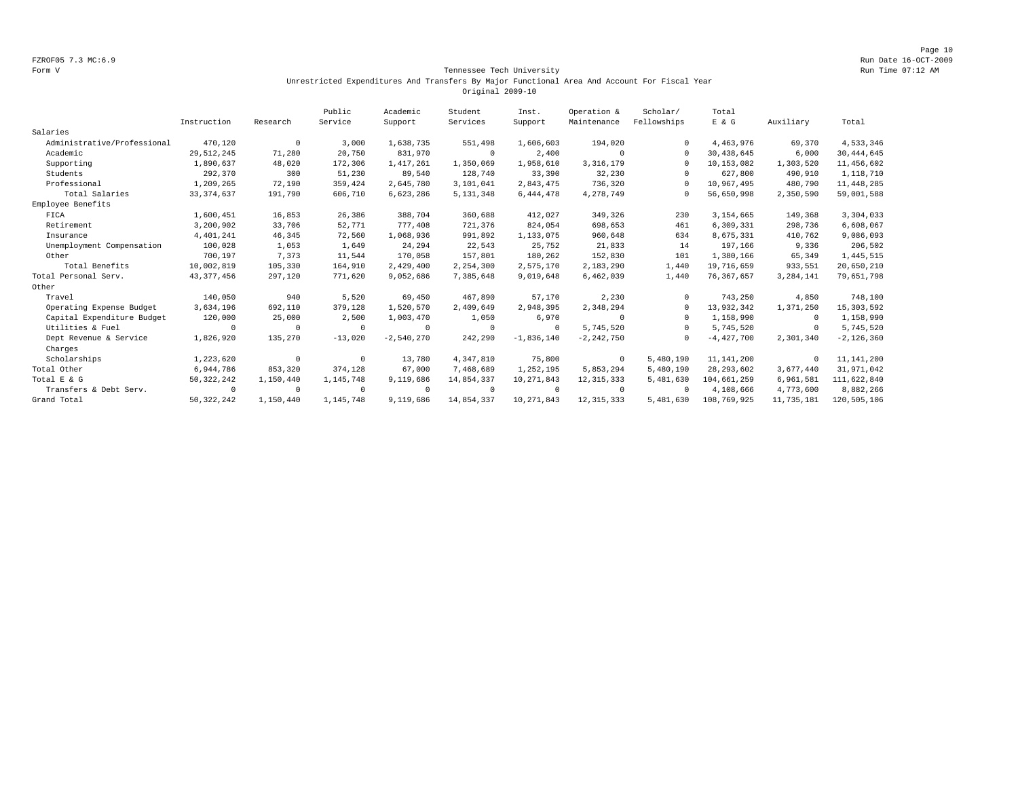Page 10 FZROF05 7.3 MC:6.9 Run Date 16-OCT-2009

#### Form V Tennessee Tech University Run Time 07:12 AM Unrestricted Expenditures And Transfers By Major Functional Area And Account For Fiscal Year Original 2009-10

|                             |              |            | Public     | Academic     | Student     | Inst.        | Operation &    | Scholar/    | Total        |            |                |
|-----------------------------|--------------|------------|------------|--------------|-------------|--------------|----------------|-------------|--------------|------------|----------------|
|                             | Instruction  | Research   | Service    | Support      | Services    | Support      | Maintenance    | Fellowships | E & G        | Auxiliary  | Total          |
| Salaries                    |              |            |            |              |             |              |                |             |              |            |                |
| Administrative/Professional | 470,120      | $^{\circ}$ | 3,000      | 1,638,735    | 551,498     | 1,606,603    | 194,020        |             | 4,463,976    | 69,370     | 4,533,346      |
| Academic                    | 29, 512, 245 | 71,280     | 20,750     | 831,970      | $^{\circ}$  | 2,400        | $\Omega$       | $\cap$      | 30,438,645   | 6,000      | 30, 444, 645   |
| Supporting                  | 1,890,637    | 48,020     | 172,306    | 1,417,261    | 1,350,069   | 1,958,610    | 3, 316, 179    | $\cap$      | 10,153,082   | 1,303,520  | 11,456,602     |
| Students                    | 292,370      | 300        | 51,230     | 89,540       | 128,740     | 33,390       | 32,230         | $\cap$      | 627,800      | 490,910    | 1,118,710      |
| Professional                | 1,209,265    | 72,190     | 359,424    | 2,645,780    | 3,101,041   | 2,843,475    | 736,320        | $\cap$      | 10,967,495   | 480,790    | 11, 448, 285   |
| Total Salaries              | 33, 374, 637 | 191,790    | 606,710    | 6,623,286    | 5, 131, 348 | 6,444,478    | 4,278,749      | $\Omega$    | 56,650,998   | 2,350,590  | 59,001,588     |
| Employee Benefits           |              |            |            |              |             |              |                |             |              |            |                |
| FICA                        | 1,600,451    | 16,853     | 26,386     | 388,704      | 360,688     | 412,027      | 349,326        | 230         | 3,154,665    | 149,368    | 3,304,033      |
| Retirement                  | 3,200,902    | 33,706     | 52,771     | 777,408      | 721,376     | 824,054      | 698,653        | 461         | 6,309,331    | 298,736    | 6,608,067      |
| Insurance                   | 4,401,241    | 46,345     | 72,560     | 1,068,936    | 991,892     | 1,133,075    | 960,648        | 634         | 8,675,331    | 410,762    | 9,086,093      |
| Unemployment Compensation   | 100,028      | 1,053      | 1,649      | 24,294       | 22,543      | 25,752       | 21,833         | 14          | 197,166      | 9,336      | 206,502        |
| Other                       | 700,197      | 7,373      | 11,544     | 170,058      | 157,801     | 180,262      | 152,830        | 101         | 1,380,166    | 65,349     | 1,445,515      |
| Total Benefits              | 10,002,819   | 105,330    | 164,910    | 2,429,400    | 2,254,300   | 2,575,170    | 2,183,290      | 1,440       | 19,716,659   | 933,551    | 20,650,210     |
| Total Personal Serv.        | 43, 377, 456 | 297,120    | 771,620    | 9,052,686    | 7,385,648   | 9,019,648    | 6,462,039      | 1,440       | 76, 367, 657 | 3,284,141  | 79,651,798     |
| Other                       |              |            |            |              |             |              |                |             |              |            |                |
| Travel                      | 140,050      | 940        | 5,520      | 69,450       | 467,890     | 57,170       | 2,230          | $\cap$      | 743,250      | 4,850      | 748,100        |
| Operating Expense Budget    | 3,634,196    | 692,110    | 379,128    | 1,520,570    | 2,409,649   | 2,948,395    | 2,348,294      | $\Omega$    | 13,932,342   | 1,371,250  | 15, 303, 592   |
| Capital Expenditure Budget  | 120,000      | 25,000     | 2,500      | 1,003,470    | 1,050       | 6,970        | $\Omega$       | $\Omega$    | 1,158,990    | $^{\circ}$ | 1,158,990      |
| Utilities & Fuel            | $^{\circ}$   | $\Omega$   | $\Omega$   | $^{\circ}$   | $^{\circ}$  | $^{\circ}$   | 5,745,520      | $\Omega$    | 5,745,520    | $^{\circ}$ | 5,745,520      |
| Dept Revenue & Service      | 1,826,920    | 135,270    | $-13,020$  | $-2,540,270$ | 242,290     | $-1,836,140$ | $-2, 242, 750$ | $\Omega$    | $-4,427,700$ | 2,301,340  | $-2, 126, 360$ |
| Charges                     |              |            |            |              |             |              |                |             |              |            |                |
| Scholarships                | 1,223,620    | $^{\circ}$ | $\Omega$   | 13,780       | 4,347,810   | 75,800       | $^{\circ}$     | 5,480,190   | 11, 141, 200 | $^{\circ}$ | 11, 141, 200   |
| Total Other                 | 6,944,786    | 853,320    | 374,128    | 67,000       | 7,468,689   | 1,252,195    | 5,853,294      | 5,480,190   | 28, 293, 602 | 3,677,440  | 31,971,042     |
| Total E & G                 | 50, 322, 242 | 1,150,440  | 1,145,748  | 9,119,686    | 14,854,337  | 10,271,843   | 12, 315, 333   | 5,481,630   | 104,661,259  | 6,961,581  | 111,622,840    |
| Transfers & Debt Serv.      | $^{\circ}$   | $^{\circ}$ | $^{\circ}$ | $^{\circ}$   | $\Omega$    | $^{\circ}$   | $^{\circ}$     | $\cap$      | 4,108,666    | 4,773,600  | 8,882,266      |
| Grand Total                 | 50, 322, 242 | 1,150,440  | 1,145,748  | 9,119,686    | 14,854,337  | 10,271,843   | 12, 315, 333   | 5,481,630   | 108,769,925  | 11,735,181 | 120,505,106    |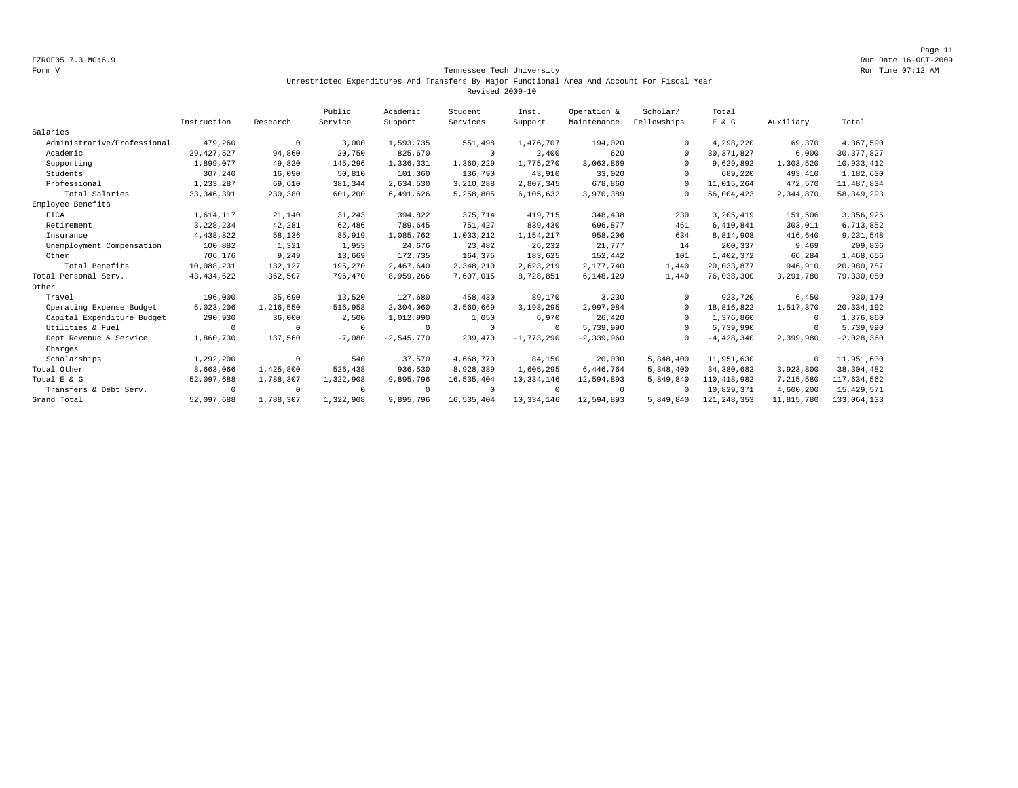Page 11 FZROF05 7.3 MC:6.9 Run Date 16-OCT-2009

#### Form V Tennessee Tech University Run Time 07:12 AM Unrestricted Expenditures And Transfers By Major Functional Area And Account For Fiscal Year Revised 2009-10

|                             |              |            | Public    | Academic     | Student     | Inst.        | Operation &  | Scholar/    | Total         |            |              |
|-----------------------------|--------------|------------|-----------|--------------|-------------|--------------|--------------|-------------|---------------|------------|--------------|
|                             | Instruction  | Research   | Service   | Support      | Services    | Support      | Maintenance  | Fellowships | E & G         | Auxiliary  | Total        |
| Salaries                    |              |            |           |              |             |              |              |             |               |            |              |
| Administrative/Professional | 479,260      | $^{\circ}$ | 3,000     | 1,593,735    | 551,498     | 1,476,707    | 194,020      |             | 4,298,220     | 69,370     | 4,367,590    |
| Academic                    | 29, 427, 527 | 94,860     | 20,750    | 825,670      | $^{\circ}$  | 2,400        | 620          | $\Omega$    | 30, 371, 827  | 6,000      | 30, 377, 827 |
| Supporting                  | 1,899,077    | 49,820     | 145,296   | 1,336,331    | 1,360,229   | 1,775,270    | 3,063,869    | $\Omega$    | 9,629,892     | 1,303,520  | 10,933,412   |
| Students                    | 307,240      | 16,090     | 50,810    | 101,360      | 136,790     | 43,910       | 33,020       |             | 689,220       | 493,410    | 1,182,630    |
| Professional                | 1,233,287    | 69,610     | 381,344   | 2,634,530    | 3,210,288   | 2,807,345    | 678,860      |             | 11,015,264    | 472,570    | 11, 487, 834 |
| Total Salaries              | 33, 346, 391 | 230,380    | 601,200   | 6,491,626    | 5,258,805   | 6,105,632    | 3,970,389    |             | 56,004,423    | 2,344,870  | 58, 349, 293 |
| Employee Benefits           |              |            |           |              |             |              |              |             |               |            |              |
| FICA                        | 1,614,117    | 21,140     | 31,243    | 394,822      | 375,714     | 419,715      | 348,438      | 230         | 3,205,419     | 151,506    | 3,356,925    |
| Retirement                  | 3,228,234    | 42,281     | 62,486    | 789,645      | 751,427     | 839,430      | 696,877      | 461         | 6,410,841     | 303,011    | 6,713,852    |
| Insurance                   | 4,438,822    | 58,136     | 85,919    | 1,085,762    | 1,033,212   | 1,154,217    | 958,206      | 634         | 8,814,908     | 416,640    | 9,231,548    |
| Unemployment Compensation   | 100,882      | 1,321      | 1,953     | 24,676       | 23,482      | 26,232       | 21,777       | 14          | 200,337       | 9,469      | 209,806      |
| Other                       | 706,176      | 9,249      | 13,669    | 172,735      | 164,375     | 183,625      | 152,442      | 101         | 1,402,372     | 66,284     | 1,468,656    |
| Total Benefits              | 10,088,231   | 132,127    | 195,270   | 2,467,640    | 2,348,210   | 2,623,219    | 2,177,740    | 1,440       | 20,033,877    | 946,910    | 20,980,787   |
| Total Personal Serv.        | 43, 434, 622 | 362,507    | 796,470   | 8,959,266    | 7,607,015   | 8,728,851    | 6,148,129    | 1,440       | 76,038,300    | 3,291,780  | 79,330,080   |
| Other                       |              |            |           |              |             |              |              |             |               |            |              |
| Travel                      | 196,000      | 35,690     | 13,520    | 127,680      | 458,430     | 89,170       | 3,230        |             | 923,720       | 6,450      | 930,170      |
| Operating Expense Budget    | 5,023,206    | 1,216,550  | 516,958   | 2,304,060    | 3,560,669   | 3,198,295    | 2,997,084    | $\Omega$    | 18,816,822    | 1,517,370  | 20, 334, 192 |
| Capital Expenditure Budget  | 290,930      | 36,000     | 2,500     | 1,012,990    | 1,050       | 6,970        | 26,420       |             | 1,376,860     | $\Omega$   | 1,376,860    |
| Utilities & Fuel            | $\Omega$     | $\Omega$   | $\Omega$  | 0            | $\mathbf 0$ | $\Omega$     | 5,739,990    | $\Omega$    | 5,739,990     | $^{\circ}$ | 5,739,990    |
| Dept Revenue & Service      | 1,860,730    | 137,560    | $-7,080$  | $-2,545,770$ | 239,470     | $-1,773,290$ | $-2,339,960$ |             | $-4,428,340$  | 2,399,980  | $-2,028,360$ |
| Charges                     |              |            |           |              |             |              |              |             |               |            |              |
| Scholarships                | 1,292,200    | $^{\circ}$ | 540       | 37,570       | 4,668,770   | 84,150       | 20,000       | 5,848,400   | 11,951,630    | 0          | 11,951,630   |
| Total Other                 | 8,663,066    | 1,425,800  | 526,438   | 936,530      | 8,928,389   | 1,605,295    | 6,446,764    | 5,848,400   | 34,380,682    | 3,923,800  | 38, 304, 482 |
| Total E & G                 | 52,097,688   | 1,788,307  | 1,322,908 | 9,895,796    | 16,535,404  | 10,334,146   | 12,594,893   | 5,849,840   | 110,418,982   | 7,215,580  | 117,634,562  |
| Transfers & Debt Serv.      | $\mathbf 0$  | $\Omega$   | $\Omega$  | $\Omega$     | $^{\circ}$  | $\Omega$     | $\Omega$     | $\Omega$    | 10,829,371    | 4,600,200  | 15, 429, 571 |
| Grand Total                 | 52,097,688   | 1,788,307  | 1,322,908 | 9,895,796    | 16,535,404  | 10,334,146   | 12,594,893   | 5,849,840   | 121, 248, 353 | 11,815,780 | 133,064,133  |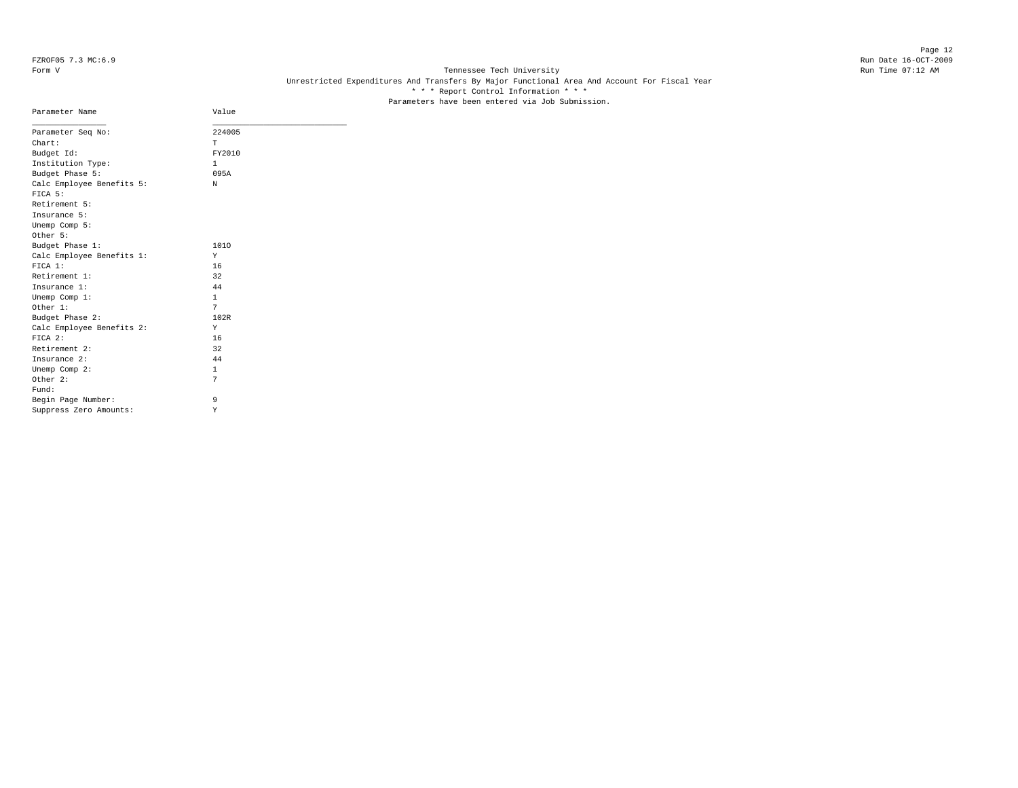Page 12 FZROF05 7.3 MC:6.9 Run Date 16-OCT-2009

# Form V Tennessee Tech University **Tennessee Tech University** Run Time 07:12 AM Unrestricted Expenditures And Transfers By Major Functional Area And Account For Fiscal Year \* \* \* Report Control Information \* \* \* Parameters have been entered via Job Submission.

| Parameter Name                       | Value        |
|--------------------------------------|--------------|
| Parameter Seq No:                    | 224005       |
| Chart:                               | T.           |
| Budget Id:                           | FY2010       |
| Institution Type:                    | $\mathbf{1}$ |
| Budget Phase 5:                      | 095A         |
| Calc Employee Benefits 5:<br>FICA 5: | N            |
| Retirement 5:                        |              |
| Insurance 5:                         |              |
| Unemp Comp 5:                        |              |
| Other 5:                             |              |
| Budget Phase 1:                      | 1010         |
| Calc Employee Benefits 1:            | Y            |
| FICA 1:                              | 16           |
| Retirement 1:                        | 32           |
| Insurance 1:                         | 44           |
| Unemp Comp 1:                        | $\mathbf{1}$ |
| Other 1:                             | 7            |
| Budget Phase 2:                      | 102R         |
| Calc Employee Benefits 2:            | Y            |
| $FTCA$ 2:                            | 16           |
| Retirement 2:                        | 32           |
| Insurance 2:                         | 44           |
| Unemp Comp 2:                        | $\mathbf{1}$ |
| Other 2:                             | 7            |
| Fund:                                |              |
| Begin Page Number:                   | 9            |
| Suppress Zero Amounts:               | Υ            |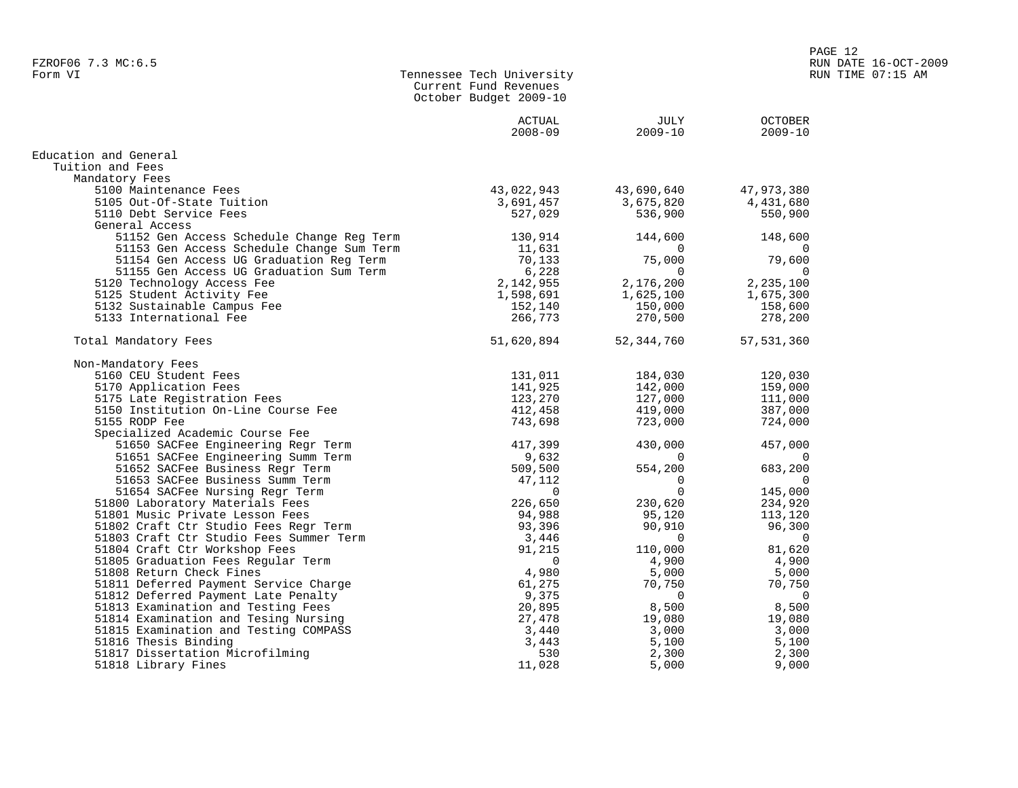| Form VI |  | Tennessee Tech University |
|---------|--|---------------------------|
|         |  | Current Fund Revenues     |
|         |  | October Budget 2009-10    |

|                                           | <b>ACTUAL</b> | JULY        | <b>OCTOBER</b> |
|-------------------------------------------|---------------|-------------|----------------|
|                                           | $2008 - 09$   | $2009 - 10$ | $2009 - 10$    |
| Education and General                     |               |             |                |
| Tuition and Fees                          |               |             |                |
| Mandatory Fees                            |               |             |                |
| 5100 Maintenance Fees                     | 43,022,943    | 43,690,640  | 47,973,380     |
| 5105 Out-Of-State Tuition                 | 3,691,457     | 3,675,820   | 4,431,680      |
| 5110 Debt Service Fees                    | 527,029       | 536,900     | 550,900        |
| General Access                            |               |             |                |
| 51152 Gen Access Schedule Change Reg Term | 130,914       | 144,600     | 148,600        |
| 51153 Gen Access Schedule Change Sum Term | 11,631        | $\Omega$    | $\Omega$       |
| 51154 Gen Access UG Graduation Reg Term   | 70,133        | 75,000      | 79,600         |
| 51155 Gen Access UG Graduation Sum Term   | 6,228         | $\Omega$    |                |
| 5120 Technology Access Fee                | 2,142,955     | 2,176,200   | 2,235,100      |
| 5125 Student Activity Fee                 | 1,598,691     | 1,625,100   | 1,675,300      |
| 5132 Sustainable Campus Fee               | 152,140       | 150,000     | 158,600        |
| 5133 International Fee                    | 266,773       | 270,500     | 278,200        |
| Total Mandatory Fees                      | 51,620,894    | 52,344,760  | 57, 531, 360   |
| Non-Mandatory Fees                        |               |             |                |
| 5160 CEU Student Fees                     | 131,011       | 184,030     | 120,030        |
| 5170 Application Fees                     | 141,925       | 142,000     | 159,000        |
| 5175 Late Registration Fees               | 123,270       | 127,000     | 111,000        |
| 5150 Institution On-Line Course Fee       | 412,458       | 419,000     | 387,000        |
| 5155 RODP Fee                             | 743,698       | 723,000     | 724,000        |
| Specialized Academic Course Fee           |               |             |                |
| 51650 SACFee Engineering Regr Term        | 417,399       | 430,000     | 457,000        |
| 51651 SACFee Engineering Summ Term        | 9,632         | $\Omega$    | $\Omega$       |
| 51652 SACFee Business Regr Term           | 509,500       | 554,200     | 683,200        |
| 51653 SACFee Business Summ Term           | 47,112        | 0           | $\Omega$       |
| 51654 SACFee Nursing Regr Term            | $\mathbf 0$   | 0           | 145,000        |
| 51800 Laboratory Materials Fees           | 226,650       | 230,620     | 234,920        |
| 51801 Music Private Lesson Fees           | 94,988        | 95,120      | 113,120        |
| 51802 Craft Ctr Studio Fees Regr Term     | 93,396        | 90,910      | 96,300         |
| 51803 Craft Ctr Studio Fees Summer Term   | 3,446         | $\mathbf 0$ | $\mathbf 0$    |
| 51804 Craft Ctr Workshop Fees             | 91,215        | 110,000     | 81,620         |
| 51805 Graduation Fees Regular Term        | $\Omega$      | 4,900       | 4,900          |
| 51808 Return Check Fines                  | 4,980         | 5,000       | 5,000          |
| 51811 Deferred Payment Service Charge     | 61,275        | 70,750      | 70,750         |
| 51812 Deferred Payment Late Penalty       | 9,375         | $\Omega$    | $\Omega$       |
| 51813 Examination and Testing Fees        | 20,895        | 8,500       | 8,500          |
| 51814 Examination and Tesing Nursing      | 27,478        | 19,080      | 19,080         |
| 51815 Examination and Testing COMPASS     | 3,440         | 3,000       | 3,000          |
| 51816 Thesis Binding                      | 3,443         | 5,100       | 5,100          |
| 51817 Dissertation Microfilming           | 530           | 2,300       | 2,300          |
| 51818 Library Fines                       | 11,028        | 5,000       | 9,000          |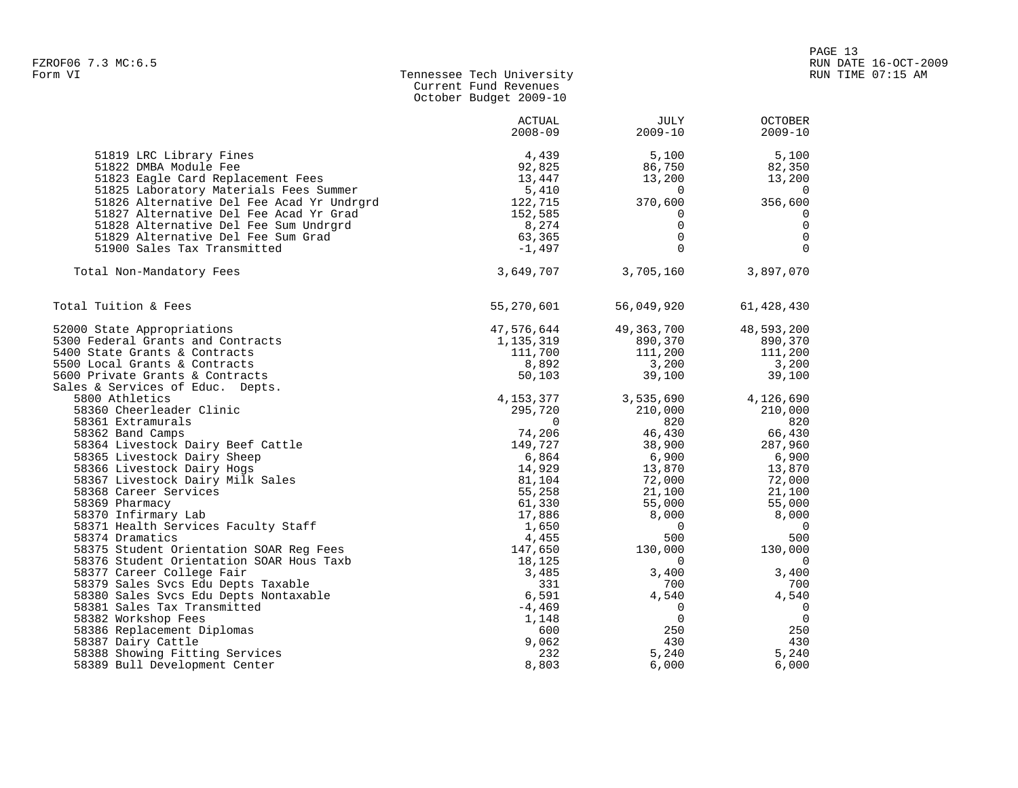# Form VI Tennessee Tech University RUN TIME 07:15 AM Current Fund Revenues October Budget 2009-10

|                                                            | ACTUAL<br>$2008 - 09$ | JULY<br>$2009 - 10$     | <b>OCTOBER</b><br>$2009 - 10$ |
|------------------------------------------------------------|-----------------------|-------------------------|-------------------------------|
| 51819 LRC Library Fines                                    | 4,439                 | 5,100                   | 5,100                         |
| 51822 DMBA Module Fee                                      | 92,825                | 86,750                  | 82,350                        |
| 51823 Eagle Card Replacement Fees                          | 13,447                | 13,200                  | 13,200                        |
| 51825 Laboratory Materials Fees Summer                     | 5,410                 | 0                       | $\overline{0}$                |
| 51826 Alternative Del Fee Acad Yr Undrgrd                  | 122,715               | 370,600                 | 356,600                       |
| 51827 Alternative Del Fee Acad Yr Grad                     | 152,585               | $\mathbf 0$             | $\mathbf 0$                   |
| 51828 Alternative Del Fee Sum Undrgrd                      | 8,274                 | $\mathbf 0$             | $\overline{0}$                |
| 51829 Alternative Del Fee Sum Grad                         | 63,365                | $\mathbf 0$             | $\overline{0}$                |
| 51900 Sales Tax Transmitted                                | $-1,497$              | $\Omega$                | $\Omega$                      |
| Total Non-Mandatory Fees                                   | 3,649,707             | 3,705,160               | 3,897,070                     |
| Total Tuition & Fees                                       | 55,270,601            | 56,049,920              | 61,428,430                    |
| 52000 State Appropriations                                 | 47,576,644            | 49, 363, 700            | 48,593,200                    |
| 5300 Federal Grants and Contracts                          | 1,135,319             | 890,370                 | 890,370                       |
| 5400 State Grants & Contracts                              | 111,700               | 111,200                 | 111,200                       |
| 5500 Local Grants & Contracts                              | 8,892                 | 3,200                   | 3,200                         |
| 5600 Private Grants & Contracts                            | 50,103                | 39,100                  | 39,100                        |
| Sales & Services of Educ. Depts.                           |                       |                         |                               |
| 5800 Athletics                                             | 4, 153, 377           | 3,535,690               | 4,126,690                     |
| 58360 Cheerleader Clinic                                   | 295,720               | 210,000                 | 210,000                       |
| 58361 Extramurals                                          | $\Omega$              | 820                     | 820                           |
| 58362 Band Camps                                           | 74,206                | 46,430                  | 66,430                        |
| 58364 Livestock Dairy Beef Cattle                          | 149,727               | 38,900                  | 287,960                       |
| 58365 Livestock Dairy Sheep                                | 6,864                 | 6,900                   | 6,900                         |
| 58366 Livestock Dairy Hogs                                 | 14,929                | 13,870                  | 13,870                        |
| 58367 Livestock Dairy Milk Sales                           | 81,104                | 72,000                  | 72,000                        |
| 58368 Career Services                                      | 55,258                | 21,100                  | 21,100                        |
| 58369 Pharmacy                                             | 61,330                | 55,000                  | 55,000                        |
| 58370 Infirmary Lab<br>58371 Health Services Faculty Staff | 17,886<br>1,650       | 8,000<br>$\overline{0}$ | 8,000<br>$\overline{0}$       |
| 58374 Dramatics                                            | 4,455                 | 500                     | 500                           |
| 58375 Student Orientation SOAR Req Fees                    | 147,650               | 130,000                 | 130,000                       |
| 58376 Student Orientation SOAR Hous Taxb                   | 18,125                | $\mathbf 0$             | $\overline{0}$                |
| 58377 Career College Fair                                  | 3,485                 | 3,400                   | 3,400                         |
| 58379 Sales Svcs Edu Depts Taxable                         | 331                   | 700                     | 700                           |
| 58380 Sales Svcs Edu Depts Nontaxable                      | 6,591                 | 4,540                   | 4,540                         |
| 58381 Sales Tax Transmitted                                | $-4,469$              | $\mathbf 0$             | $\overline{0}$                |
| 58382 Workshop Fees                                        | 1,148                 | $\mathbf 0$             | $\overline{0}$                |
| 58386 Replacement Diplomas                                 | 600                   | 250                     | 250                           |
| 58387 Dairy Cattle                                         | 9,062                 | 430                     | 430                           |
| 58388 Showing Fitting Services                             | 232                   | 5,240                   | 5,240                         |
| 58389 Bull Development Center                              | 8,803                 | 6,000                   | 6,000                         |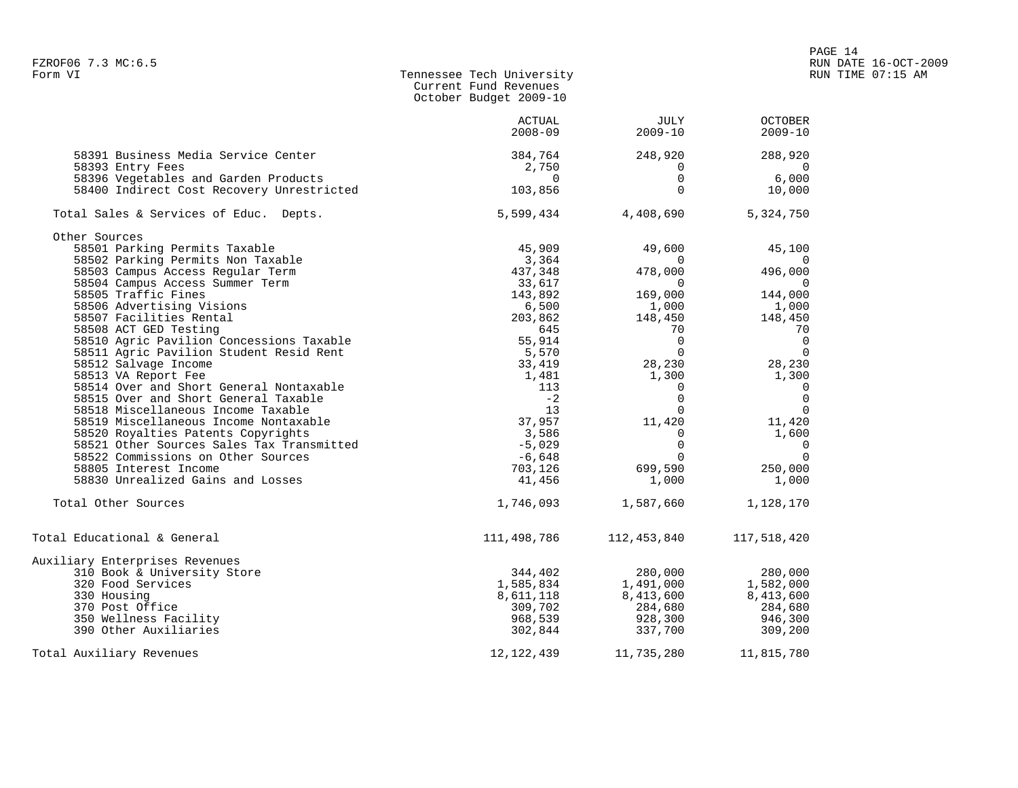| FZROF06 7.3 MC:6.5<br>Form VI                                                                                                                                                                                                                                                                                                                                                                                                                                                                                                           | Tennessee Tech University<br>Current Fund Revenues<br>October Budget 2009-10 |                                                                                                                                                                                                                            | RUN DATE 16-OCT-2009<br>RUN TIME 07:15 AM                                                                                                                                                                                                                                                                                                                                                                                                                                                               |  |  |
|-----------------------------------------------------------------------------------------------------------------------------------------------------------------------------------------------------------------------------------------------------------------------------------------------------------------------------------------------------------------------------------------------------------------------------------------------------------------------------------------------------------------------------------------|------------------------------------------------------------------------------|----------------------------------------------------------------------------------------------------------------------------------------------------------------------------------------------------------------------------|---------------------------------------------------------------------------------------------------------------------------------------------------------------------------------------------------------------------------------------------------------------------------------------------------------------------------------------------------------------------------------------------------------------------------------------------------------------------------------------------------------|--|--|
|                                                                                                                                                                                                                                                                                                                                                                                                                                                                                                                                         | ACTUAL<br>$2008 - 09$                                                        | JULY<br>2009-10                                                                                                                                                                                                            | <b>OCTOBER</b><br>$2009 - 10$                                                                                                                                                                                                                                                                                                                                                                                                                                                                           |  |  |
| 9391 Business Media Service Center<br>58393 Entry Fees<br>58396 Vegetables and Garden Products<br>58400 Indirect Cost Recovery Unrestricted<br>103,856                                                                                                                                                                                                                                                                                                                                                                                  | $2\,$ , 750 $0$                                                              | $248,920$<br>0<br>0<br>$\Omega$                                                                                                                                                                                            | $\mathcal{L}(\mathcal{L})$<br>288,920<br>$\overline{0}$<br>6,000<br>10,000                                                                                                                                                                                                                                                                                                                                                                                                                              |  |  |
| Total Sales & Services of Educ. Depts.                                                                                                                                                                                                                                                                                                                                                                                                                                                                                                  |                                                                              | 5,599,434 4,408,690 5,324,750                                                                                                                                                                                              |                                                                                                                                                                                                                                                                                                                                                                                                                                                                                                         |  |  |
| Other Sources<br>41 - 1<br>er Sources<br>58501 Parking Permits Taxable<br>58502 Parking Permits Non Taxable<br>58503 Campus Access Regular Term<br>437,348<br>58505 Tradities Regular Term<br>33,617<br>58506 Tradities Regular Term<br>33,617<br>58508 Acrettising<br>645<br>545,914<br>55,914<br>55,570<br>55,570<br>55,570<br>55,570<br>55,570<br>73,419<br>1,481<br>1,481<br>1,481<br>1,481<br>1,481<br>1,481<br>58519 Misscellaneous Income Taxable<br>58510 Noyalties Patents Copyrights<br>58522 Comissions on Other Sources Sal |                                                                              | 49,600<br>$1,000$<br>148,450<br>148,450<br>70<br>0<br>$\begin{bmatrix} 0 \\ 0 \\ 0 \end{bmatrix}$<br>$\overline{0}$<br>$11,420$<br>$0$<br>$0$<br>$699,590$<br>$1,000$<br>$1,000$<br>$1,000$<br>$1,000$<br>$1,000$<br>1,000 | 45,100<br>$\begin{bmatrix} 0 & 19 & 19 & 19 & 0 \\ 0 & 0 & 0 & 0 \\ 169 & 0.00 & 0 & 144 & 0.00 \\ 0 & 0 & 0 & 144 & 0.00 \\ 0 & 0 & 0 & 0 & 0 \\ 0 & 0 & 0 & 0 & 0 \\ 0 & 0 & 0 & 0 & 0 \\ 0 & 0 & 0 & 0 & 0 \\ 0 & 0 & 0 & 0 & 0 \\ 0 & 0 & 0 & 0 & 0 \\ 0 & 0 & 0 & 0 & 0 \\ 0 & 0 & 0 & 0 & 0 \\ 0 & 0 & 0 & 0 & 0 \\ 0 & $<br>$1,000$<br>$148,450$<br>$70$<br>0<br>0<br>$\Omega$<br>28, 230<br>1, 300<br>1, 300<br>1, 300<br>$\overline{0}$<br>$\overline{\phantom{0}}$<br>$\overline{0}$<br>1,000 |  |  |
| Total Other Sources                                                                                                                                                                                                                                                                                                                                                                                                                                                                                                                     |                                                                              | 1,746,093 1,587,660 1,128,170                                                                                                                                                                                              |                                                                                                                                                                                                                                                                                                                                                                                                                                                                                                         |  |  |
| Total Educational & General                                                                                                                                                                                                                                                                                                                                                                                                                                                                                                             |                                                                              | 111, 498, 786 112, 453, 840 117, 518, 420                                                                                                                                                                                  |                                                                                                                                                                                                                                                                                                                                                                                                                                                                                                         |  |  |
| Auxiliary Enterprises Revenues<br>310 Book & University Store<br>320 Food Services<br>330 Housing<br>370 Post Office<br>350 Wellness Facility<br>390 Other Auxiliaries<br>Total Auxiliary Revenues                                                                                                                                                                                                                                                                                                                                      | 344,402<br>12, 122, 439                                                      | 280,000<br>1,491,000<br>1,585,834<br>8,61,118<br>309,702<br>368,539<br>302,844<br>337,700<br>309,200<br>309,200<br>309,200<br>11,735,280                                                                                   | 280,000<br>1,582,000<br>11,815,780                                                                                                                                                                                                                                                                                                                                                                                                                                                                      |  |  |

PAGE 14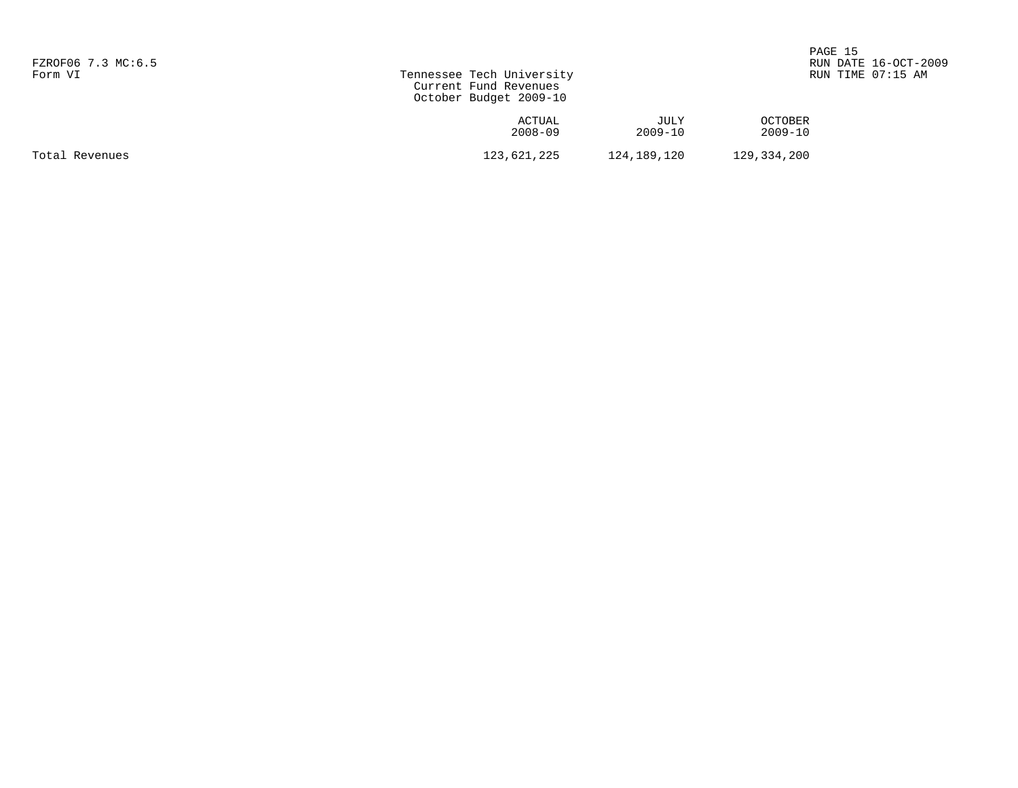| FZROF06 7.3 MC:6.5<br>Form VI | Tennessee Tech University<br>Current Fund Revenues<br>October Budget 2009-10 |                     |                           | PAGE 15<br>RUN DATE 16-OCT-2009<br>RUN TIME 07:15 AM |
|-------------------------------|------------------------------------------------------------------------------|---------------------|---------------------------|------------------------------------------------------|
|                               | ACTUAL<br>$2008 - 09$                                                        | JULY<br>$2009 - 10$ | <b>OCTOBER</b><br>2009-10 |                                                      |
| Total Revenues                | 123,621,225                                                                  | 124,189,120         | 129,334,200               |                                                      |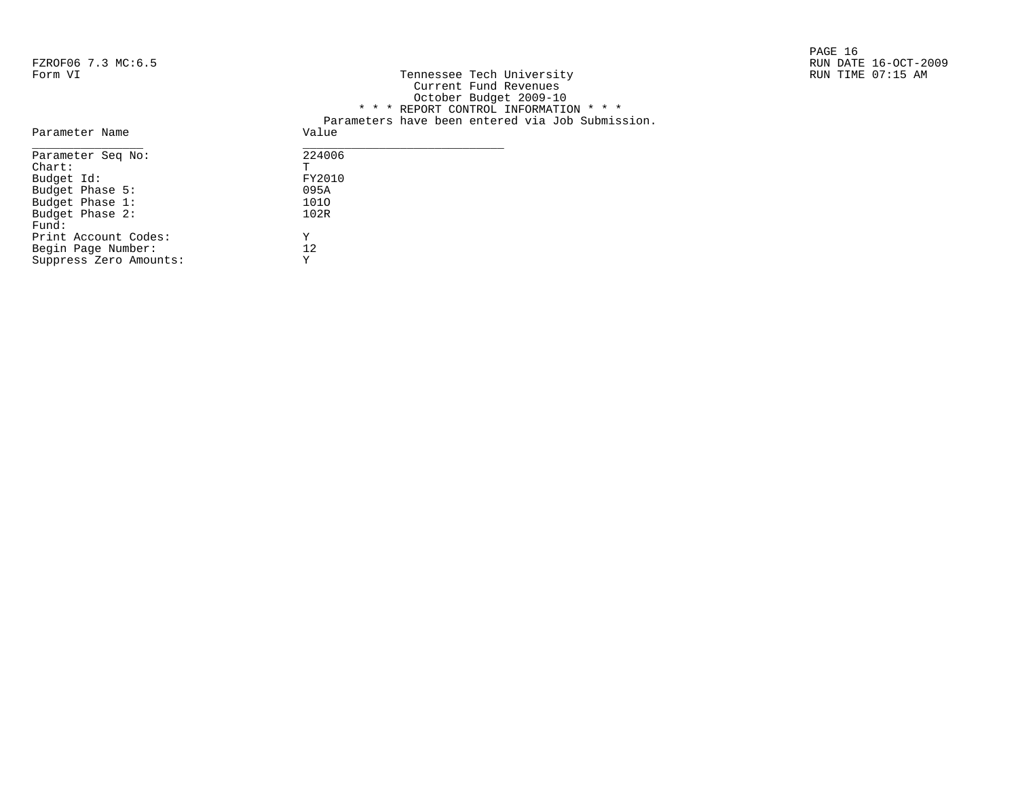|                    |                           | PAGE 16              |
|--------------------|---------------------------|----------------------|
| FZROF06 7.3 MC:6.5 |                           | RUN DATE 16-OCT-2009 |
| Form VI            | Tennessee Tech University | RUN TIME 07:15 AM    |

| FZKUFU0 7.3 MC 6.5                    |                                                  | RUN DAIE IG-OCT-Z |
|---------------------------------------|--------------------------------------------------|-------------------|
| Form VI                               | Tennessee Tech University                        | RUN TIME 07:15 AM |
|                                       | Current Fund Revenues                            |                   |
|                                       | October Budget 2009-10                           |                   |
|                                       | * * * REPORT CONTROL INFORMATION * * *           |                   |
|                                       | Parameters have been entered via Job Submission. |                   |
| Parameter Name                        | Value                                            |                   |
| Parameter Seq No:                     | 224006                                           |                   |
| Chart:                                |                                                  |                   |
| Budget Id:                            | FY2010                                           |                   |
| Budget Phase 5:                       | 095A                                             |                   |
| $D \cdot A \sim A + D \cdot A \sim 1$ | 1010                                             |                   |

| Parameter Seg No:      | 224006 |
|------------------------|--------|
| $char$ :               | Ͳ      |
| Budget Id:             | FY2010 |
| Budget Phase 5:        | 095A   |
| Budget Phase 1:        | 1010   |
| Budget Phase 2:        | 102R   |
| Fund:                  |        |
| Print Account Codes:   | Y      |
| Begin Page Number:     | 12     |
| Suppress Zero Amounts: | Y      |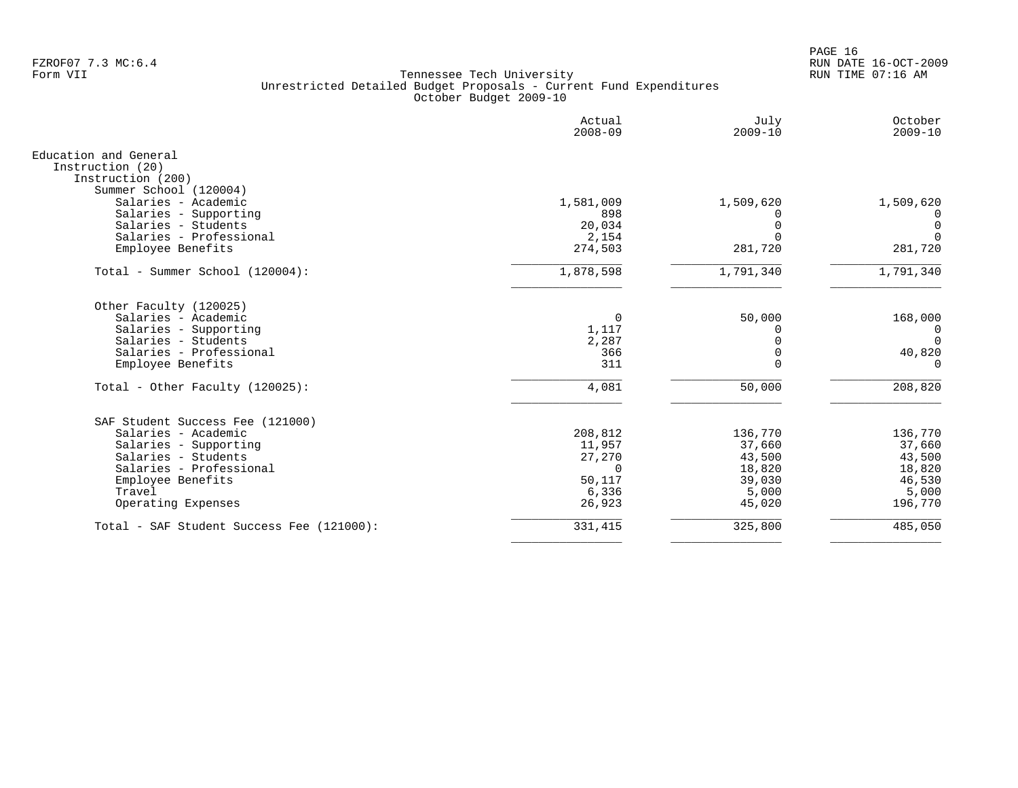PAGE 16 FZROF07 7.3 MC:6.4 RUN DATE 16-OCT-2009

|                                                                | Actual<br>$2008 - 09$ | July<br>$2009 - 10$ | October<br>$2009 - 10$ |
|----------------------------------------------------------------|-----------------------|---------------------|------------------------|
| Education and General<br>Instruction (20)<br>Instruction (200) |                       |                     |                        |
| Summer School (120004)<br>Salaries - Academic                  | 1,581,009             | 1,509,620           | 1,509,620              |
| Salaries - Supporting                                          | 898                   |                     | $\Omega$               |
| Salaries - Students                                            | 20,034                |                     | 0                      |
| Salaries - Professional                                        | 2,154                 |                     | $\mathbf 0$            |
| Employee Benefits                                              | 274,503               | 281,720             | 281,720                |
| Total - Summer School (120004):                                | 1,878,598             | 1,791,340           | 1,791,340              |
| Other Faculty (120025)                                         |                       |                     |                        |
| Salaries - Academic                                            | 0                     | 50,000              | 168,000                |
| Salaries - Supporting                                          | 1,117                 |                     | 0                      |
| Salaries - Students                                            | 2,287                 |                     | $\Omega$               |
| Salaries - Professional                                        | 366                   |                     | 40,820                 |
| Employee Benefits                                              | 311                   |                     | $\Omega$               |
| Total - Other Faculty (120025):                                | 4,081                 | 50,000              | 208,820                |
| SAF Student Success Fee (121000)                               |                       |                     |                        |
| Salaries - Academic                                            | 208,812               | 136,770             | 136,770                |
| Salaries - Supporting                                          | 11,957                | 37,660              | 37,660                 |
| Salaries - Students                                            | 27,270                | 43,500              | 43,500                 |
| Salaries - Professional                                        | $\Omega$              | 18,820              | 18,820                 |
| Employee Benefits                                              | 50,117                | 39,030              | 46,530                 |
| Travel                                                         | 6,336                 | 5,000               | 5,000                  |
| Operating Expenses                                             | 26,923                | 45,020              | 196,770                |
| Total - SAF Student Success Fee (121000):                      | 331,415               | 325,800             | 485,050                |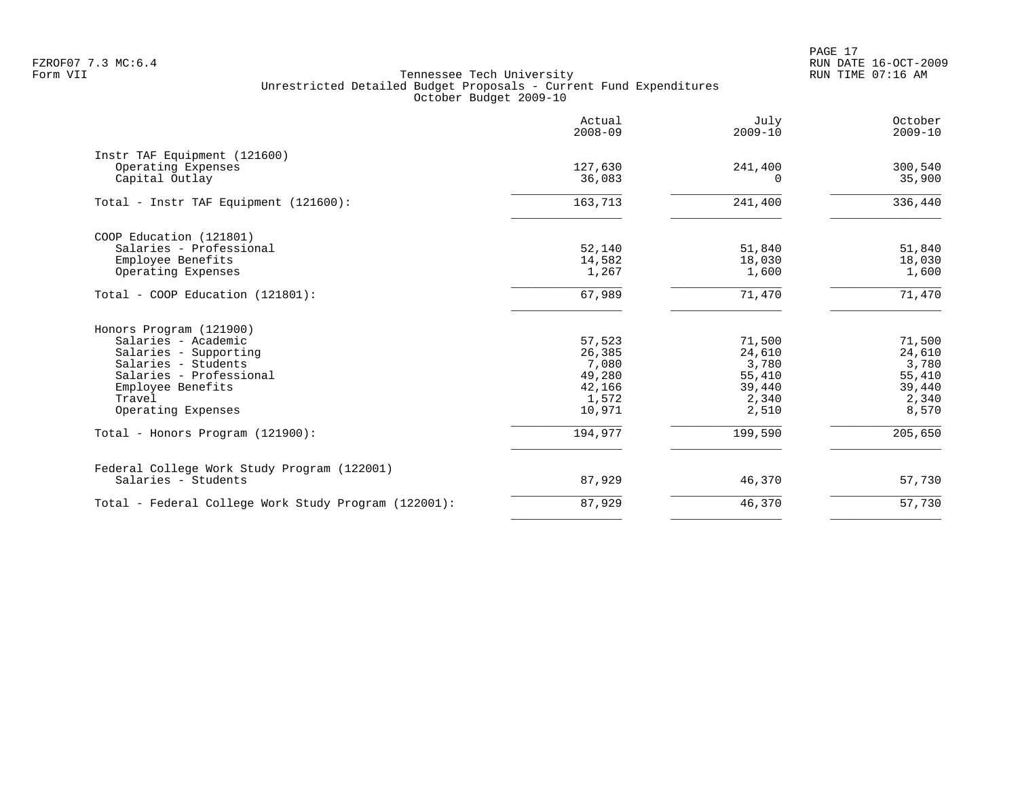PAGE 17 FZROF07 7.3 MC:6.4 RUN DATE 16-OCT-2009

|                                                                      | Actual<br>$2008 - 09$ | July<br>$2009 - 10$ | October<br>$2009 - 10$ |
|----------------------------------------------------------------------|-----------------------|---------------------|------------------------|
| Instr TAF Equipment (121600)<br>Operating Expenses<br>Capital Outlay | 127,630<br>36,083     | 241,400<br>$\Omega$ | 300,540<br>35,900      |
| Total - Instr TAF Equipment (121600):                                | 163,713               | 241,400             | 336,440                |
| COOP Education (121801)<br>Salaries - Professional                   | 52,140                | 51,840              | 51,840                 |
| Employee Benefits<br>Operating Expenses                              | 14,582<br>1,267       | 18,030<br>1,600     | 18,030<br>1,600        |
| Total - COOP Education (121801):                                     | 67,989                | 71,470              | 71,470                 |
| Honors Program (121900)                                              |                       |                     |                        |
| Salaries - Academic                                                  | 57,523                | 71,500              | 71,500                 |
| Salaries - Supporting<br>Salaries - Students                         | 26,385<br>7,080       | 24,610<br>3,780     | 24,610<br>3,780        |
| Salaries - Professional                                              | 49,280                | 55,410              | 55,410                 |
| Employee Benefits                                                    | 42,166                | 39,440              | 39,440                 |
| Travel                                                               | 1,572                 | 2,340               | 2,340                  |
| Operating Expenses                                                   | 10,971                | 2,510               | 8,570                  |
| Total - Honors Program (121900):                                     | 194,977               | 199,590             | 205,650                |
| Federal College Work Study Program (122001)                          |                       |                     |                        |
| Salaries - Students                                                  | 87,929                | 46,370              | 57,730                 |
| Total - Federal College Work Study Program (122001):                 | 87,929                | 46,370              | 57,730                 |
|                                                                      |                       |                     |                        |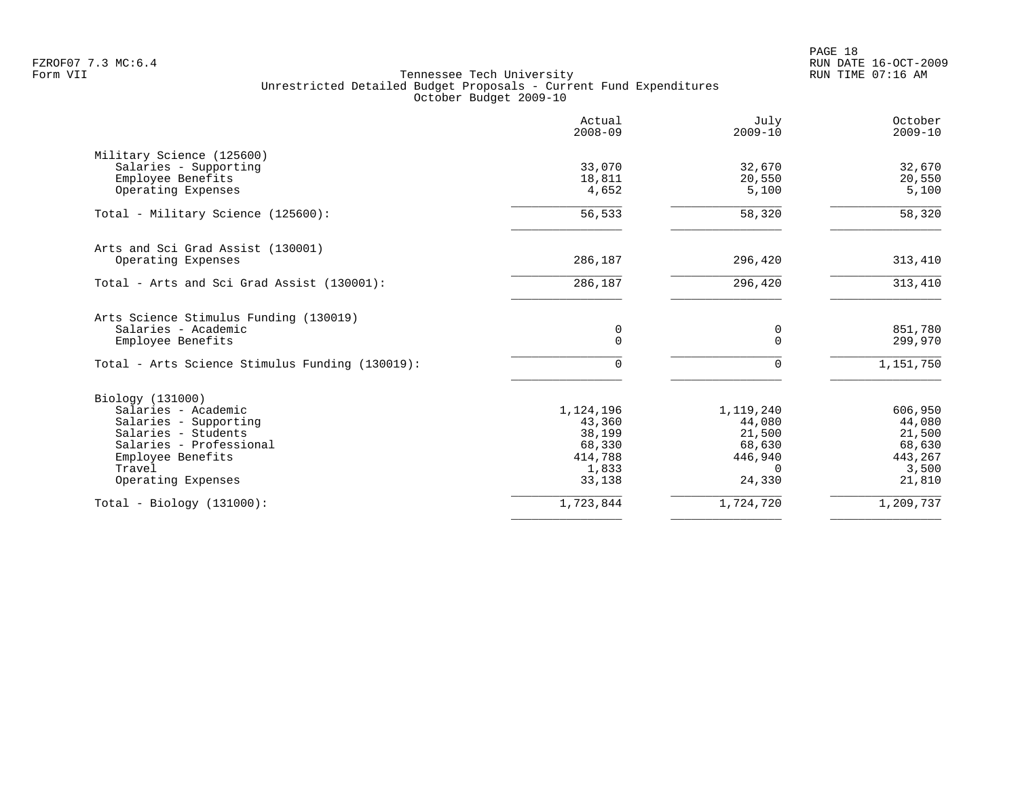PAGE 18 FZROF07 7.3 MC:6.4 RUN DATE 16-OCT-2009

|                                                 | Actual<br>$2008 - 09$ | July<br>$2009 - 10$ | October<br>$2009 - 10$ |
|-------------------------------------------------|-----------------------|---------------------|------------------------|
| Military Science (125600)                       |                       |                     |                        |
| Salaries - Supporting                           | 33,070                | 32,670              | 32,670                 |
| Employee Benefits                               | 18,811                | 20,550              | 20,550                 |
| Operating Expenses                              | 4,652                 | 5,100               | 5,100                  |
| Total - Military Science (125600):              | 56,533                | 58,320              | 58,320                 |
| Arts and Sci Grad Assist (130001)               |                       |                     |                        |
| Operating Expenses                              | 286,187               | 296,420             | 313,410                |
| Total - Arts and Sci Grad Assist (130001):      | 286,187               | 296,420             | 313,410                |
| Arts Science Stimulus Funding (130019)          |                       |                     |                        |
| Salaries - Academic                             | 0                     | 0                   | 851,780                |
| Employee Benefits                               | $\Omega$              | $\Omega$            | 299,970                |
| Total - Arts Science Stimulus Funding (130019): | $\Omega$              | $\Omega$            | 1,151,750              |
| Biology (131000)                                |                       |                     |                        |
| Salaries - Academic                             | 1,124,196             | 1,119,240           | 606,950                |
| Salaries - Supporting                           | 43,360                | 44,080              | 44,080                 |
| Salaries - Students                             | 38,199                | 21,500              | 21,500                 |
| Salaries - Professional                         | 68,330                | 68,630              | 68,630                 |
| Employee Benefits                               | 414,788               | 446,940             | 443,267                |
| Travel                                          | 1,833                 | $\Omega$            | 3,500                  |
| Operating Expenses                              | 33,138                | 24,330              | 21,810                 |
| $Total - Biology (131000):$                     | 1,723,844             | 1,724,720           | 1,209,737              |
|                                                 |                       |                     |                        |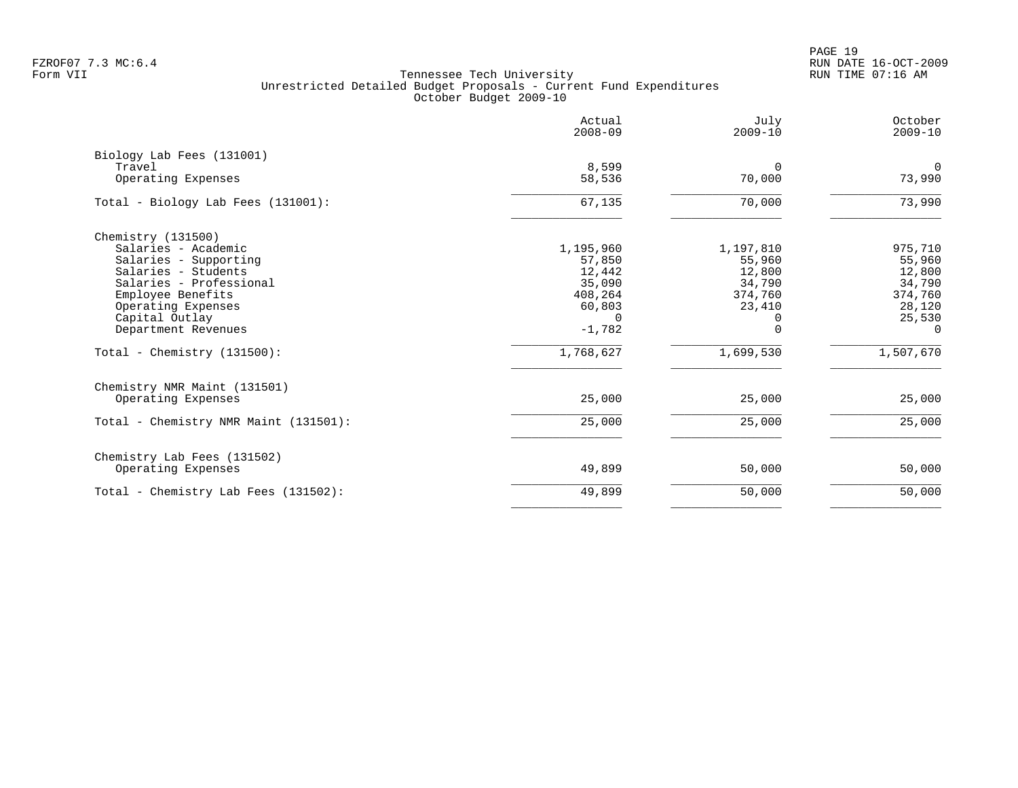PAGE 19 FZROF07 7.3 MC:6.4 RUN DATE 16-OCT-2009

|                                                                                                                                                                                                                                            | Actual<br>$2008 - 09$                                                                             | July<br>$2009 - 10$                                                                        | October<br>$2009 - 10$                                                                        |
|--------------------------------------------------------------------------------------------------------------------------------------------------------------------------------------------------------------------------------------------|---------------------------------------------------------------------------------------------------|--------------------------------------------------------------------------------------------|-----------------------------------------------------------------------------------------------|
| Biology Lab Fees (131001)<br>Travel<br>Operating Expenses                                                                                                                                                                                  | 8,599<br>58,536                                                                                   | 0<br>70,000                                                                                | $\mathbf 0$<br>73,990                                                                         |
| Total - Biology Lab Fees (131001):                                                                                                                                                                                                         | 67,135                                                                                            | 70,000                                                                                     | 73,990                                                                                        |
| Chemistry (131500)<br>Salaries - Academic<br>Salaries - Supporting<br>Salaries - Students<br>Salaries - Professional<br>Employee Benefits<br>Operating Expenses<br>Capital Outlay<br>Department Revenues<br>Total - Chemistry $(131500)$ : | 1,195,960<br>57,850<br>12,442<br>35,090<br>408,264<br>60,803<br>$\Omega$<br>$-1,782$<br>1,768,627 | 1,197,810<br>55,960<br>12,800<br>34,790<br>374,760<br>23,410<br>O<br>$\Omega$<br>1,699,530 | 975,710<br>55,960<br>12,800<br>34,790<br>374,760<br>28,120<br>25,530<br>$\Omega$<br>1,507,670 |
| Chemistry NMR Maint (131501)<br>Operating Expenses                                                                                                                                                                                         | 25,000                                                                                            | 25,000                                                                                     | 25,000                                                                                        |
| Total - Chemistry NMR Maint (131501):                                                                                                                                                                                                      | 25,000                                                                                            | 25,000                                                                                     | 25,000                                                                                        |
| Chemistry Lab Fees (131502)<br>Operating Expenses                                                                                                                                                                                          | 49,899                                                                                            | 50,000                                                                                     | 50,000                                                                                        |
| Total - Chemistry Lab Fees (131502):                                                                                                                                                                                                       | 49,899                                                                                            | 50,000                                                                                     | 50,000                                                                                        |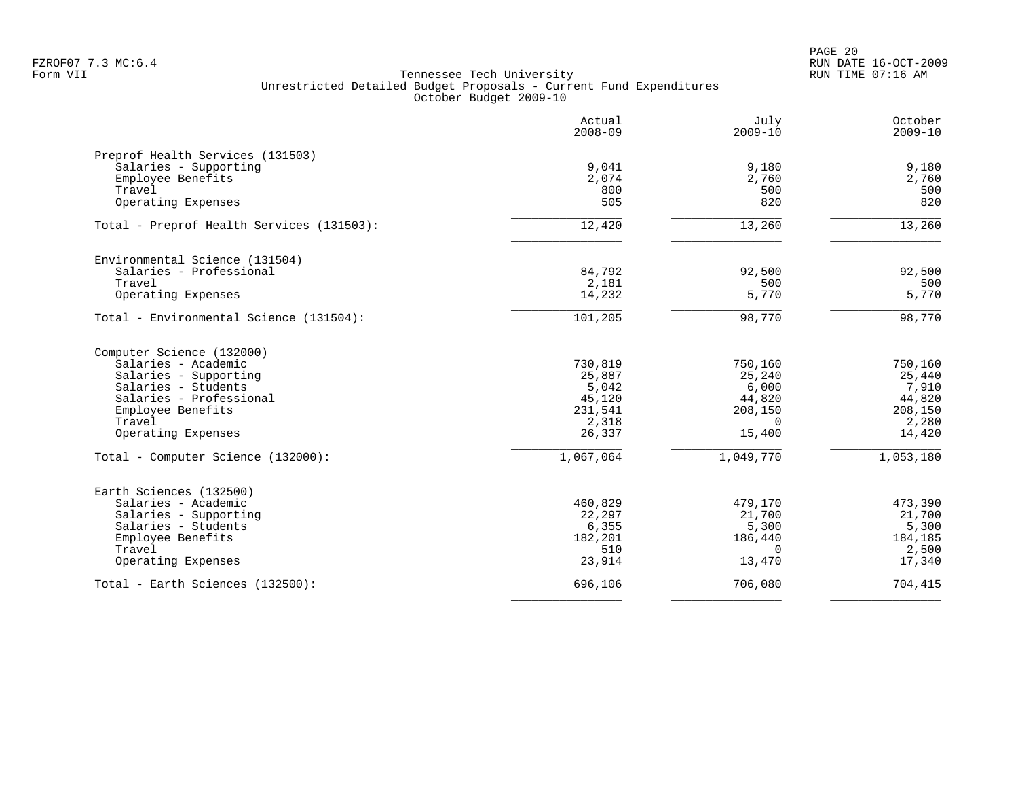|                                           | Actual<br>$2008 - 09$ | July<br>$2009 - 10$ | October<br>$2009 - 10$ |
|-------------------------------------------|-----------------------|---------------------|------------------------|
| Preprof Health Services (131503)          |                       |                     |                        |
| Salaries - Supporting                     | 9,041                 | 9,180               | 9,180                  |
| Employee Benefits                         | 2,074                 | 2,760               | 2,760                  |
| Travel                                    | 800                   | 500                 | 500                    |
| Operating Expenses                        | 505                   | 820                 | 820                    |
| Total - Preprof Health Services (131503): | 12,420                | 13,260              | 13,260                 |
| Environmental Science (131504)            |                       |                     |                        |
| Salaries - Professional                   | 84,792                | 92,500              | 92,500                 |
| Travel                                    | 2,181                 | 500                 | 500                    |
| Operating Expenses                        | 14,232                | 5,770               | 5,770                  |
| Total - Environmental Science (131504):   | 101,205               | 98,770              | 98,770                 |
| Computer Science (132000)                 |                       |                     |                        |
| Salaries - Academic                       | 730,819               | 750,160             | 750,160                |
| Salaries - Supporting                     | 25,887                | 25,240              | 25,440                 |
| Salaries - Students                       | 5,042                 | 6,000               | 7,910                  |
| Salaries - Professional                   | 45,120                | 44,820              | 44,820                 |
| Employee Benefits                         | 231,541               | 208,150             | 208,150                |
| Travel                                    | 2,318                 | $\Omega$            | 2,280                  |
| Operating Expenses                        | 26,337                | 15,400              | 14,420                 |
| Total - Computer Science (132000):        | 1,067,064             | 1,049,770           | 1,053,180              |
| Earth Sciences (132500)                   |                       |                     |                        |
| Salaries - Academic                       | 460,829               | 479,170             | 473,390                |
| Salaries - Supporting                     | 22,297                | 21,700              | 21,700                 |
| Salaries - Students                       | 6,355                 | 5,300               | 5,300                  |
| Employee Benefits                         | 182,201               | 186,440             | 184,185                |
| Travel                                    | 510                   | $\Omega$            | 2,500                  |
| Operating Expenses                        | 23,914                | 13,470              | 17,340                 |
| Total - Earth Sciences (132500):          | 696,106               | 706,080             | 704,415                |
|                                           |                       |                     |                        |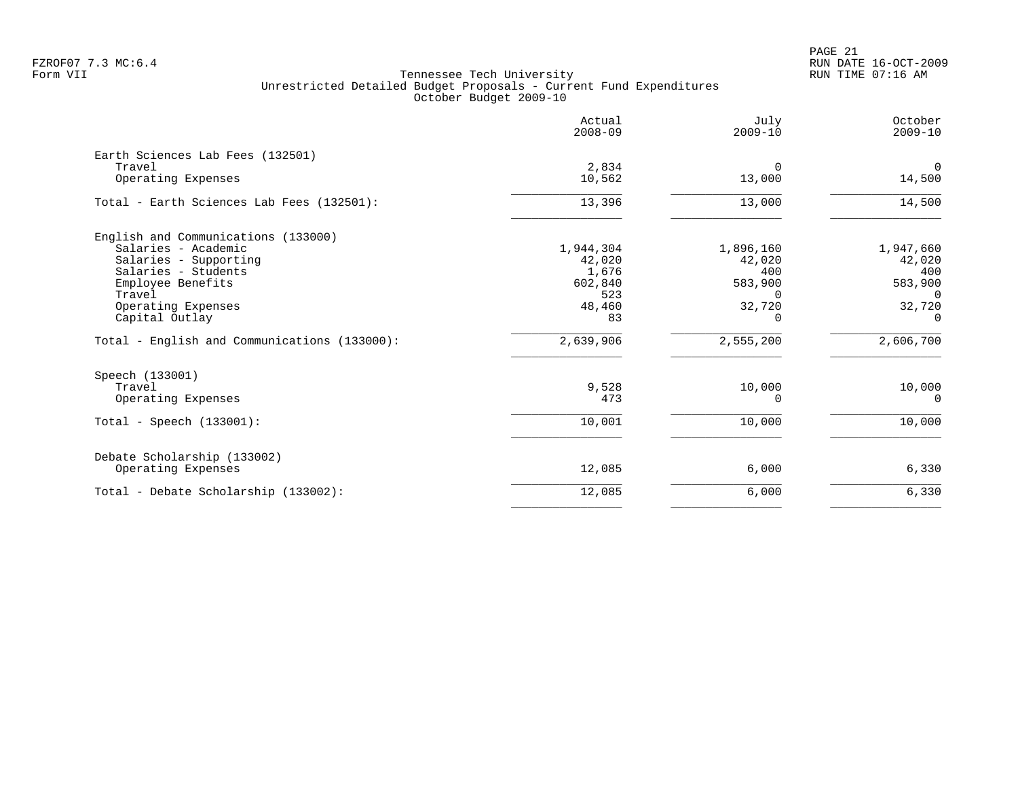PAGE 21 FZROF07 7.3 MC:6.4 RUN DATE 16-OCT-2009

|                                              | Actual<br>$2008 - 09$ | July<br>$2009 - 10$ | October<br>$2009 - 10$ |
|----------------------------------------------|-----------------------|---------------------|------------------------|
| Earth Sciences Lab Fees (132501)<br>Travel   | 2,834                 | $\Omega$            | $\overline{0}$         |
| Operating Expenses                           | 10,562                | 13,000              | 14,500                 |
| Total - Earth Sciences Lab Fees (132501):    | 13,396                | 13,000              | 14,500                 |
| English and Communications (133000)          |                       |                     |                        |
| Salaries - Academic                          | 1,944,304             | 1,896,160           | 1,947,660              |
| Salaries - Supporting<br>Salaries - Students | 42,020                | 42,020<br>400       | 42,020<br>400          |
| Employee Benefits                            | 1,676<br>602,840      | 583,900             | 583,900                |
| Travel                                       | 523                   | $\Omega$            | $\Omega$               |
| Operating Expenses                           | 48,460                | 32,720              | 32,720                 |
| Capital Outlay                               | 83                    | $\Omega$            | $\Omega$               |
| Total - English and Communications (133000): | 2,639,906             | 2,555,200           | 2,606,700              |
| Speech (133001)                              |                       |                     |                        |
| Travel                                       | 9,528                 | 10,000              | 10,000                 |
| Operating Expenses                           | 473                   | $\Omega$            | $\Omega$               |
| Total - Speech $(133001)$ :                  | 10,001                | 10,000              | 10,000                 |
| Debate Scholarship (133002)                  |                       |                     |                        |
| Operating Expenses                           | 12,085                | 6,000               | 6,330                  |
| Total - Debate Scholarship (133002):         | 12,085                | 6,000               | 6,330                  |
|                                              |                       |                     |                        |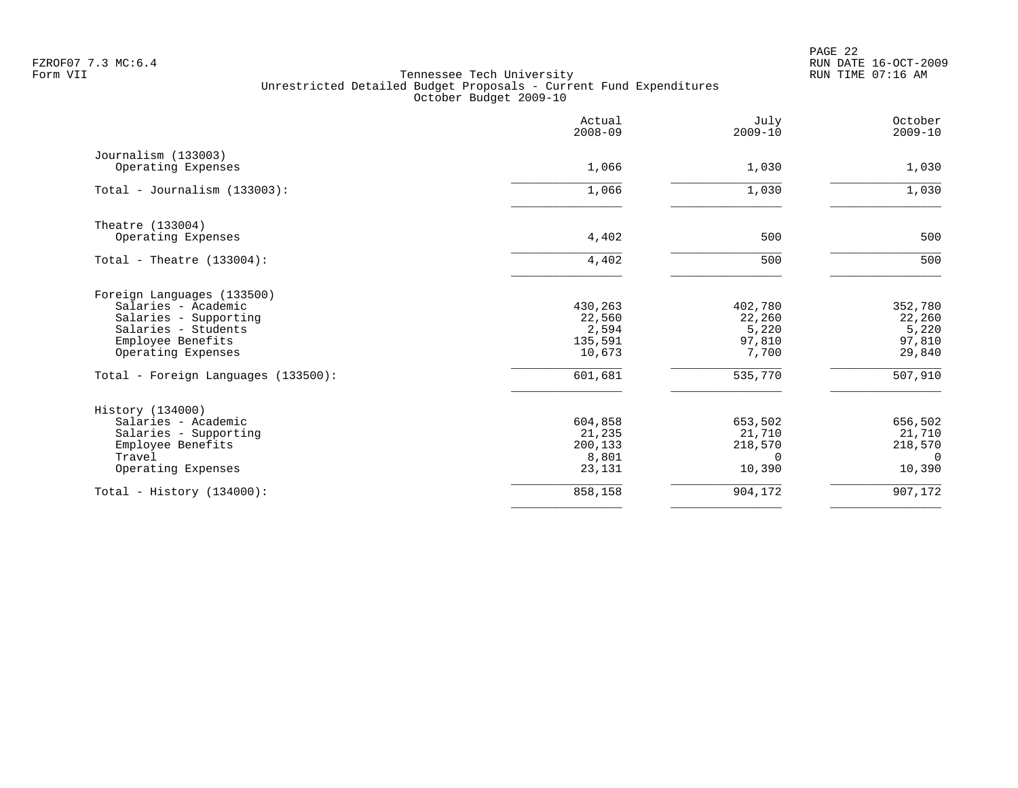|                                           | Actual<br>$2008 - 09$ | July<br>$2009 - 10$ | October<br>$2009 - 10$ |
|-------------------------------------------|-----------------------|---------------------|------------------------|
| Journalism (133003)<br>Operating Expenses | 1,066                 | 1,030               | 1,030                  |
|                                           |                       |                     |                        |
| Total - Journalism $(133003)$ :           | 1,066                 | 1,030               | 1,030                  |
| Theatre (133004)                          |                       |                     |                        |
| Operating Expenses                        | 4,402                 | 500                 | 500                    |
| Total - Theatre $(133004)$ :              | 4,402                 | 500                 | 500                    |
| Foreign Languages (133500)                |                       |                     |                        |
| Salaries - Academic                       | 430,263               | 402,780             | 352,780                |
| Salaries - Supporting                     | 22,560                | 22,260              | 22,260                 |
| Salaries - Students                       | 2,594                 | 5,220               | 5,220                  |
| Employee Benefits                         | 135,591               | 97,810              | 97,810                 |
| Operating Expenses                        | 10,673                | 7,700               | 29,840                 |
| Total - Foreign Languages (133500):       | 601,681               | 535,770             | 507,910                |
| History (134000)                          |                       |                     |                        |
| Salaries - Academic                       | 604,858               | 653,502             | 656,502                |
| Salaries - Supporting                     | 21,235                | 21,710              | 21,710                 |
| Employee Benefits                         | 200,133               | 218,570             | 218,570                |
| Travel                                    | 8,801                 | <sup>n</sup>        | $\Omega$               |
| Operating Expenses                        | 23,131                | 10,390              | 10,390                 |
| Total - History $(134000)$ :              | 858,158               | 904,172             | 907,172                |
|                                           |                       |                     |                        |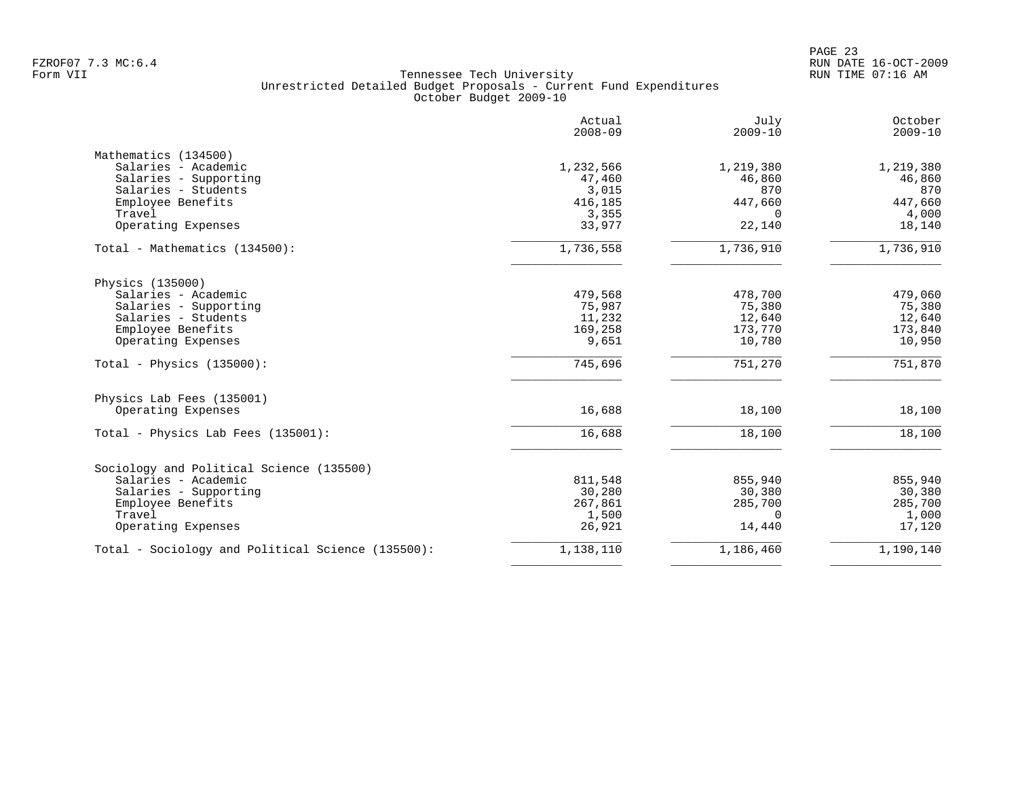PAGE 23 FZROF07 7.3 MC:6.4 RUN DATE 16-OCT-2009

| Actual<br>$2008 - 09$ | July<br>$2009 - 10$                                                                                                    | October<br>$2009 - 10$                                                                             |
|-----------------------|------------------------------------------------------------------------------------------------------------------------|----------------------------------------------------------------------------------------------------|
|                       |                                                                                                                        |                                                                                                    |
| 1,232,566             | 1,219,380                                                                                                              | 1,219,380                                                                                          |
| 47,460                | 46,860                                                                                                                 | 46,860                                                                                             |
|                       |                                                                                                                        | 870                                                                                                |
|                       |                                                                                                                        | 447,660                                                                                            |
|                       | $\Omega$                                                                                                               | 4,000                                                                                              |
|                       |                                                                                                                        | 18,140                                                                                             |
| 1,736,558             | 1,736,910                                                                                                              | 1,736,910                                                                                          |
|                       |                                                                                                                        |                                                                                                    |
|                       |                                                                                                                        | 479,060                                                                                            |
|                       |                                                                                                                        | 75,380                                                                                             |
|                       |                                                                                                                        | 12,640                                                                                             |
|                       |                                                                                                                        | 173,840                                                                                            |
| 9,651                 | 10,780                                                                                                                 | 10,950                                                                                             |
| 745,696               | 751,270                                                                                                                | 751,870                                                                                            |
|                       |                                                                                                                        |                                                                                                    |
| 16,688                | 18,100                                                                                                                 | 18,100                                                                                             |
| 16,688                | 18,100                                                                                                                 | 18,100                                                                                             |
|                       |                                                                                                                        |                                                                                                    |
|                       |                                                                                                                        | 855,940                                                                                            |
|                       |                                                                                                                        | 30,380                                                                                             |
|                       |                                                                                                                        | 285,700                                                                                            |
|                       | $\Omega$                                                                                                               | 1,000                                                                                              |
| 26,921                | 14,440                                                                                                                 | 17,120                                                                                             |
| 1,138,110             | 1,186,460                                                                                                              | 1,190,140                                                                                          |
|                       | 3,015<br>416,185<br>3,355<br>33,977<br>479,568<br>75,987<br>11,232<br>169,258<br>811,548<br>30,280<br>267,861<br>1,500 | 870<br>447,660<br>22,140<br>478,700<br>75,380<br>12,640<br>173,770<br>855,940<br>30,380<br>285,700 |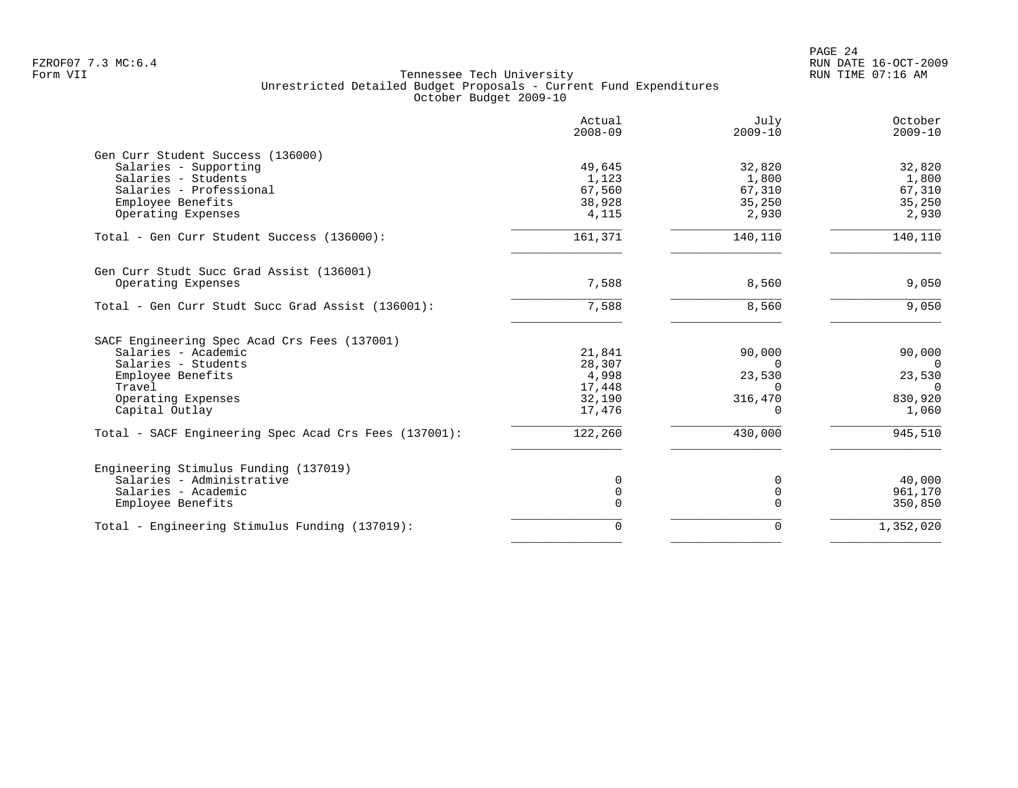| Actual<br>$2008 - 09$ | July<br>$2009 - 10$                                                         | October<br>$2009 - 10$               |
|-----------------------|-----------------------------------------------------------------------------|--------------------------------------|
|                       |                                                                             |                                      |
| 49,645                | 32,820                                                                      | 32,820                               |
| 1,123                 | 1,800                                                                       | 1,800                                |
|                       | 67,310                                                                      | 67,310                               |
|                       |                                                                             | 35,250                               |
| 4,115                 | 2,930                                                                       | 2,930                                |
| 161,371               | 140,110                                                                     | 140,110                              |
|                       |                                                                             |                                      |
| 7,588                 | 8,560                                                                       | 9,050                                |
| 7,588                 | 8,560                                                                       | 9,050                                |
|                       |                                                                             |                                      |
|                       |                                                                             | 90,000                               |
|                       | $\Omega$                                                                    | $\overline{0}$                       |
|                       |                                                                             | 23,530                               |
|                       | $\Omega$                                                                    | $\overline{0}$                       |
| 32,190                | 316,470                                                                     | 830,920                              |
| 17,476                | 0                                                                           | 1,060                                |
| 122, 260              | 430,000                                                                     | 945,510                              |
|                       |                                                                             |                                      |
|                       |                                                                             | 40,000                               |
|                       |                                                                             | 961,170                              |
| 0                     | $\Omega$                                                                    | 350,850                              |
|                       | 0                                                                           | 1,352,020                            |
|                       | 67,560<br>38,928<br>21,841<br>28,307<br>4,998<br>17,448<br>$\mathbf 0$<br>0 | 35,250<br>90,000<br>23,530<br>0<br>0 |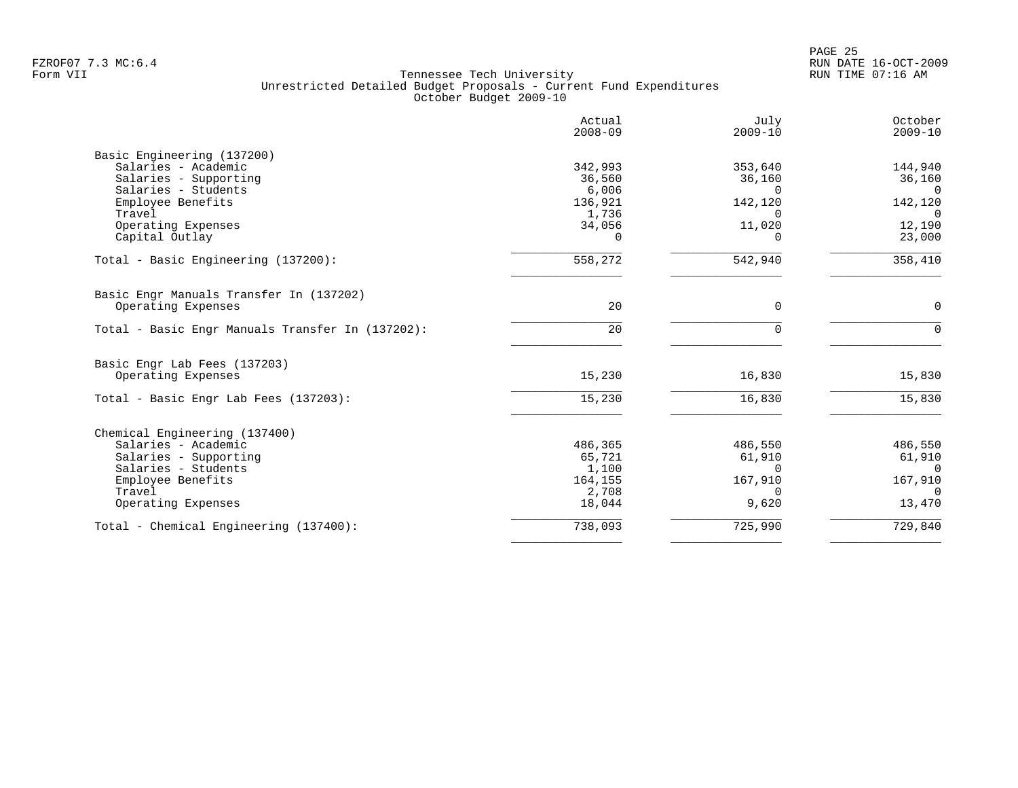|                                                  | Actual<br>$2008 - 09$ | July<br>$2009 - 10$ | October<br>$2009 - 10$ |
|--------------------------------------------------|-----------------------|---------------------|------------------------|
| Basic Engineering (137200)                       |                       |                     |                        |
| Salaries - Academic                              | 342,993               | 353,640             | 144,940                |
| Salaries - Supporting                            | 36,560                | 36,160              | 36,160                 |
| Salaries - Students                              | 6,006                 | $\Omega$            | $\Omega$               |
| Employee Benefits                                | 136,921               | 142,120             | 142,120                |
| Travel                                           | 1,736                 |                     | $\Omega$               |
| Operating Expenses                               | 34,056                | 11,020              | 12,190                 |
| Capital Outlay                                   | 0                     |                     | 23,000                 |
| Total - Basic Engineering (137200):              | 558,272               | 542,940             | 358,410                |
| Basic Engr Manuals Transfer In (137202)          |                       |                     |                        |
| Operating Expenses                               | 20                    | $\mathbf 0$         | $\mathbf 0$            |
| Total - Basic Engr Manuals Transfer In (137202): | 20                    | $\Omega$            | $\Omega$               |
| Basic Engr Lab Fees (137203)                     |                       |                     |                        |
| Operating Expenses                               | 15,230                | 16,830              | 15,830                 |
|                                                  |                       |                     |                        |
| Total - Basic Engr Lab Fees (137203):            | 15,230                | 16,830              | 15,830                 |
| Chemical Engineering (137400)                    |                       |                     |                        |
| Salaries - Academic                              | 486,365               | 486,550             | 486,550                |
| Salaries - Supporting                            | 65,721                | 61,910              | 61,910                 |
| Salaries - Students                              | 1,100                 | $\Omega$            | $\overline{0}$         |
| Employee Benefits                                | 164,155               | 167,910             | 167,910                |
| Travel                                           | 2,708                 | $\Omega$            | $\Omega$               |
| Operating Expenses                               | 18,044                | 9,620               | 13,470                 |
|                                                  |                       |                     | 729,840                |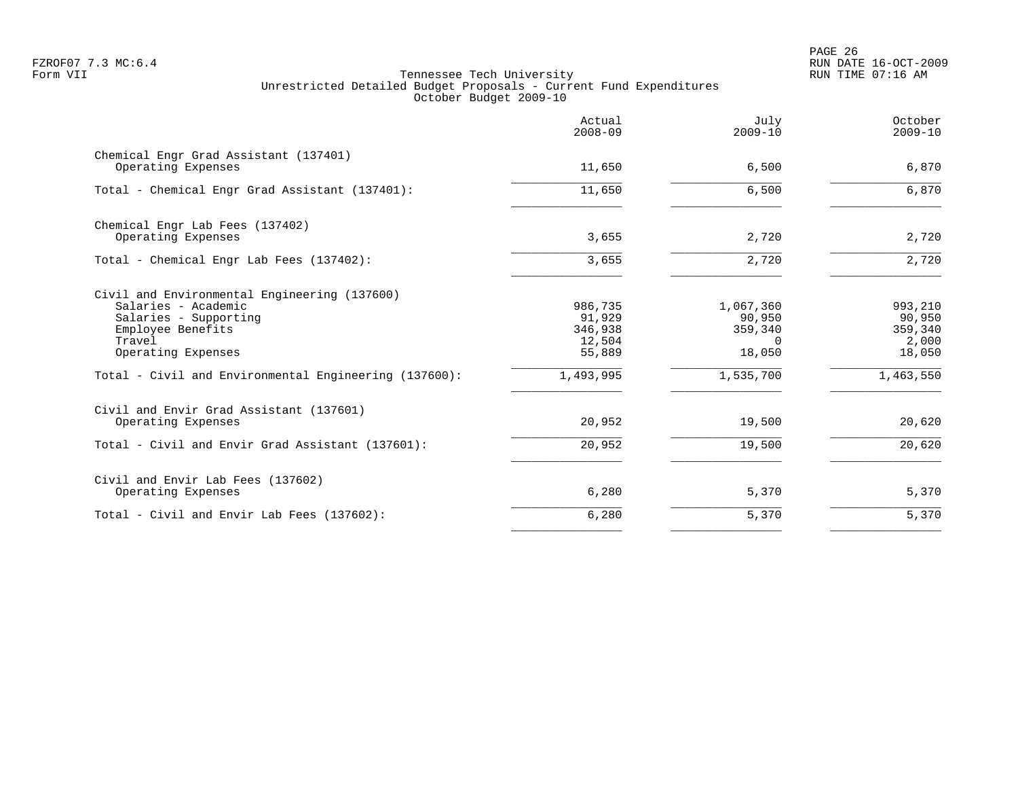PAGE 26 FZROF07 7.3 MC:6.4 RUN DATE 16-OCT-2009

|                                                             | Actual<br>$2008 - 09$ | July<br>$2009 - 10$ | October<br>$2009 - 10$ |
|-------------------------------------------------------------|-----------------------|---------------------|------------------------|
| Chemical Engr Grad Assistant (137401)<br>Operating Expenses | 11,650                | 6,500               | 6,870                  |
| Total - Chemical Engr Grad Assistant (137401):              | 11,650                | 6,500               | 6,870                  |
| Chemical Engr Lab Fees (137402)<br>Operating Expenses       | 3,655                 | 2,720               | 2,720                  |
|                                                             |                       |                     |                        |
| Total - Chemical Engr Lab Fees (137402):                    | 3,655                 | 2,720               | 2,720                  |
| Civil and Environmental Engineering (137600)                |                       |                     |                        |
| Salaries - Academic                                         | 986,735               | 1,067,360           | 993,210                |
| Salaries - Supporting                                       | 91,929                | 90,950              | 90,950                 |
| Employee Benefits<br>Travel                                 | 346,938               | 359,340<br>$\Omega$ | 359,340                |
| Operating Expenses                                          | 12,504<br>55,889      | 18,050              | 2,000<br>18,050        |
| Total - Civil and Environmental Engineering (137600):       | 1,493,995             | 1,535,700           | 1,463,550              |
| Civil and Envir Grad Assistant (137601)                     |                       |                     |                        |
| Operating Expenses                                          | 20,952                | 19,500              | 20,620                 |
| Total - Civil and Envir Grad Assistant (137601):            | 20,952                | 19,500              | 20,620                 |
| Civil and Envir Lab Fees (137602)                           |                       |                     |                        |
| Operating Expenses                                          | 6,280                 | 5,370               | 5,370                  |
| Total - Civil and Envir Lab Fees (137602):                  | 6,280                 | 5,370               | 5,370                  |
|                                                             |                       |                     |                        |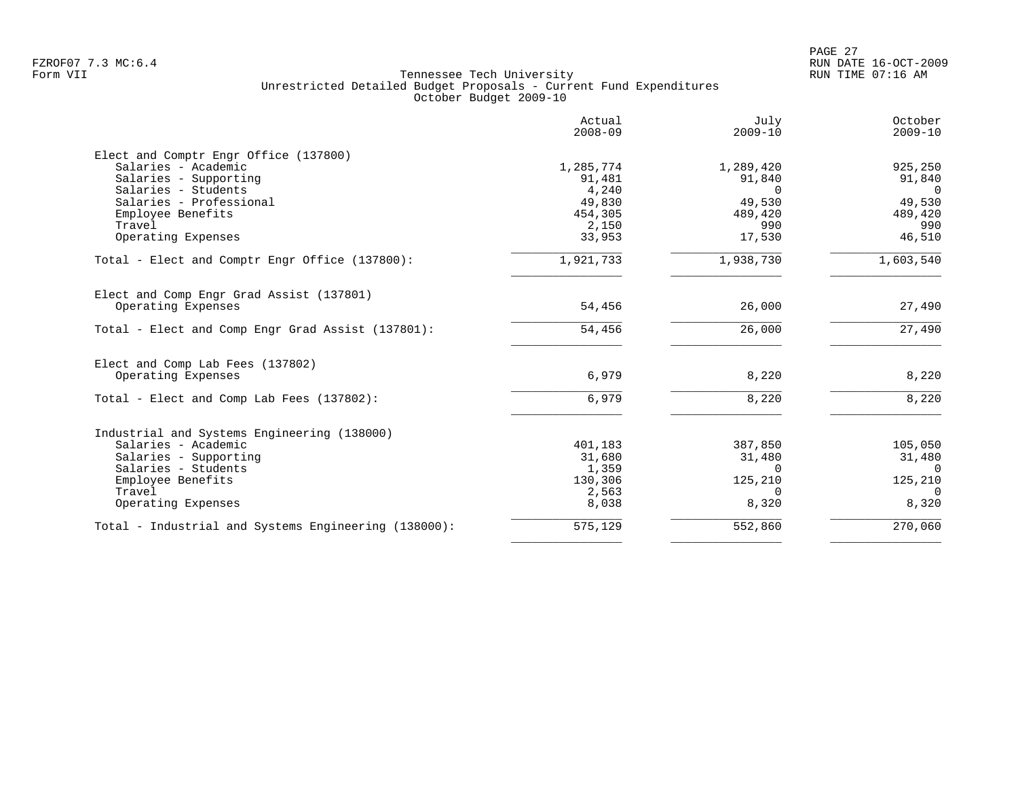|                                                      | Actual<br>$2008 - 09$ | July<br>$2009 - 10$ | October<br>$2009 - 10$ |
|------------------------------------------------------|-----------------------|---------------------|------------------------|
| Elect and Comptr Engr Office (137800)                |                       |                     |                        |
| Salaries - Academic                                  | 1,285,774             | 1,289,420           | 925,250                |
| Salaries - Supporting                                | 91,481                | 91,840              | 91,840                 |
| Salaries - Students                                  | 4,240                 | $\Omega$            | $\Omega$               |
| Salaries - Professional                              | 49,830                | 49,530              | 49,530                 |
| Employee Benefits<br>Travel                          | 454,305<br>2,150      | 489,420<br>990      | 489,420<br>990         |
| Operating Expenses                                   | 33,953                | 17,530              | 46,510                 |
| Total - Elect and Comptr Engr Office (137800):       | 1,921,733             | 1,938,730           | 1,603,540              |
| Elect and Comp Engr Grad Assist (137801)             |                       |                     |                        |
| Operating Expenses                                   | 54,456                | 26,000              | 27,490                 |
| Total - Elect and Comp Engr Grad Assist (137801):    | 54,456                | 26,000              | 27,490                 |
| Elect and Comp Lab Fees (137802)                     |                       |                     |                        |
| Operating Expenses                                   | 6,979                 | 8,220               | 8,220                  |
| Total - Elect and Comp Lab Fees (137802):            | 6,979                 | 8,220               | 8,220                  |
| Industrial and Systems Engineering (138000)          |                       |                     |                        |
| Salaries - Academic                                  | 401,183               | 387,850             | 105,050                |
| Salaries - Supporting                                | 31,680                | 31,480              | 31,480                 |
| Salaries - Students                                  | 1,359                 | $\Omega$            | $\Omega$               |
| Employee Benefits                                    | 130,306               | 125,210             | 125,210                |
| Travel                                               | 2,563                 | $\Omega$            | $\Omega$               |
| Operating Expenses                                   | 8,038                 | 8,320               | 8,320                  |
| Total - Industrial and Systems Engineering (138000): | 575,129               | 552,860             | 270,060                |
|                                                      |                       |                     |                        |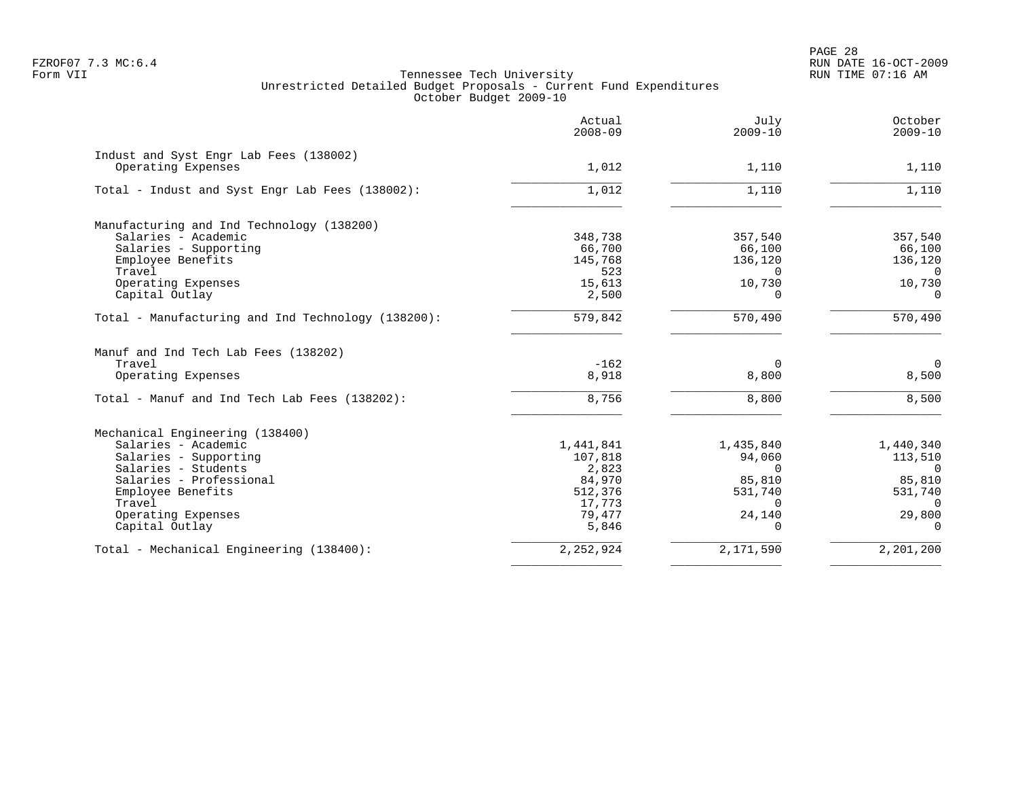PAGE 28 FZROF07 7.3 MC:6.4 RUN DATE 16-OCT-2009

|                                                              | Actual<br>$2008 - 09$ | July<br>$2009 - 10$ | October<br>$2009 - 10$ |
|--------------------------------------------------------------|-----------------------|---------------------|------------------------|
| Indust and Syst Engr Lab Fees (138002)<br>Operating Expenses | 1,012                 | 1,110               | 1,110                  |
| Total - Indust and Syst Engr Lab Fees (138002):              | 1,012                 | 1,110               | 1,110                  |
| Manufacturing and Ind Technology (138200)                    |                       |                     |                        |
| Salaries - Academic                                          | 348,738               | 357,540             | 357,540                |
| Salaries - Supporting                                        | 66,700                | 66,100              | 66,100                 |
| Employee Benefits                                            | 145,768               | 136,120             | 136,120                |
| Travel                                                       | 523                   | $\Omega$            | $\Omega$               |
| Operating Expenses                                           | 15,613                | 10,730              | 10,730                 |
| Capital Outlay                                               | 2,500                 | 0                   | 0                      |
| Total - Manufacturing and Ind Technology (138200):           | 579,842               | 570,490             | 570,490                |
| Manuf and Ind Tech Lab Fees (138202)                         |                       |                     |                        |
| Travel                                                       | $-162$                | 0                   | $\overline{0}$         |
| Operating Expenses                                           | 8,918                 | 8,800               | 8,500                  |
| Total - Manuf and Ind Tech Lab Fees (138202):                | 8,756                 | 8,800               | 8,500                  |
| Mechanical Engineering (138400)                              |                       |                     |                        |
| Salaries - Academic                                          | 1,441,841             | 1,435,840           | 1,440,340              |
| Salaries - Supporting                                        | 107,818               | 94,060              | 113,510                |
| Salaries - Students                                          | 2,823                 | $\Omega$            | $\Omega$               |
| Salaries - Professional                                      | 84,970                | 85,810              | 85,810                 |
| Employee Benefits                                            | 512,376               | 531,740             | 531,740                |
| Travel                                                       | 17,773                | $\Omega$            | $\Omega$               |
| Operating Expenses                                           | 79,477                | 24,140              | 29,800                 |
| Capital Outlay                                               | 5,846                 | $\Omega$            | $\Omega$               |
| Total - Mechanical Engineering (138400):                     | 2, 252, 924           | 2,171,590           | 2,201,200              |
|                                                              |                       |                     |                        |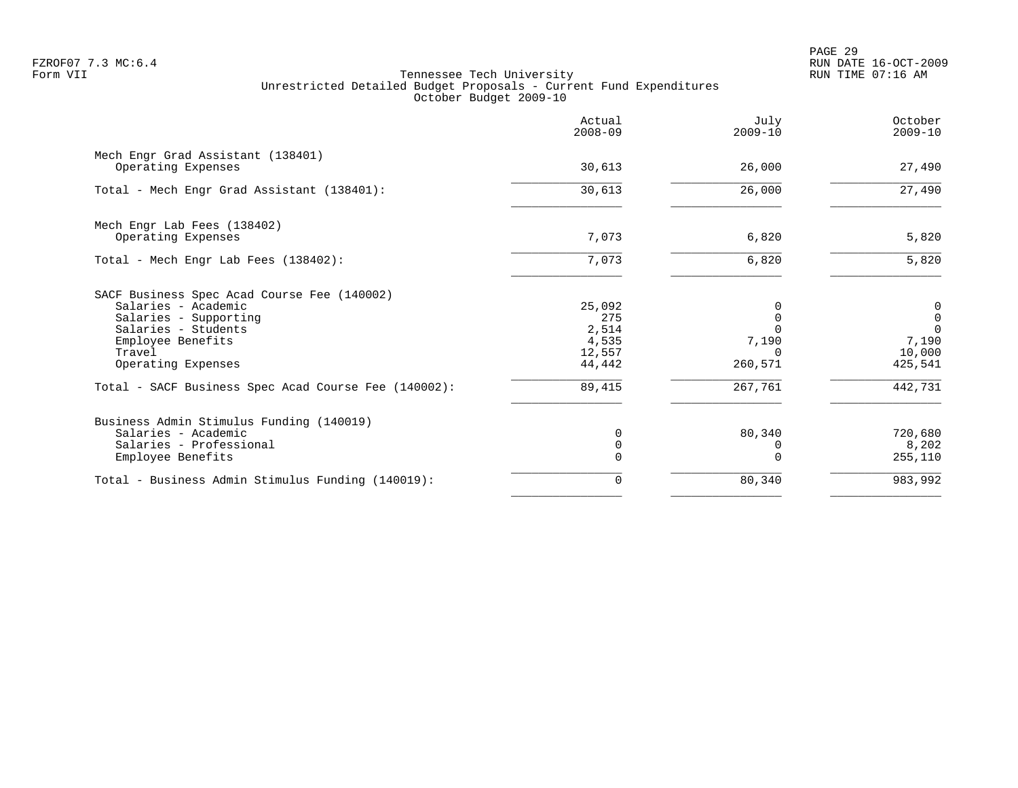PAGE 29 FZROF07 7.3 MC:6.4 RUN DATE 16-OCT-2009

|                                                         | Actual<br>$2008 - 09$ | July<br>$2009 - 10$     | October<br>$2009 - 10$ |
|---------------------------------------------------------|-----------------------|-------------------------|------------------------|
| Mech Engr Grad Assistant (138401)<br>Operating Expenses | 30,613                | 26,000                  | 27,490                 |
|                                                         |                       |                         |                        |
| Total - Mech Engr Grad Assistant (138401):              | 30,613                | 26,000                  | 27,490                 |
| Mech Engr Lab Fees (138402)                             |                       |                         |                        |
| Operating Expenses                                      | 7,073                 | 6,820                   | 5,820                  |
| Total - Mech Engr Lab Fees (138402):                    | 7,073                 | 6,820                   | 5,820                  |
| SACF Business Spec Acad Course Fee (140002)             |                       |                         |                        |
| Salaries - Academic                                     | 25,092                |                         | 0                      |
| Salaries - Supporting                                   | 275                   | $\Omega$                | $\mathbf 0$            |
| Salaries - Students                                     | 2,514                 |                         | $\Omega$               |
| Employee Benefits                                       | 4,535                 | 7,190                   | 7,190                  |
| Travel<br>Operating Expenses                            | 12,557<br>44,442      | <sup>n</sup><br>260,571 | 10,000<br>425,541      |
| Total - SACF Business Spec Acad Course Fee (140002):    | 89,415                | 267,761                 | 442,731                |
| Business Admin Stimulus Funding (140019)                |                       |                         |                        |
| Salaries - Academic                                     | 0                     | 80,340                  | 720,680                |
| Salaries - Professional                                 | 0                     |                         | 8,202                  |
| Employee Benefits                                       | $\Omega$              |                         | 255,110                |
| Total - Business Admin Stimulus Funding (140019):       | 0                     | 80,340                  | 983,992                |
|                                                         |                       |                         |                        |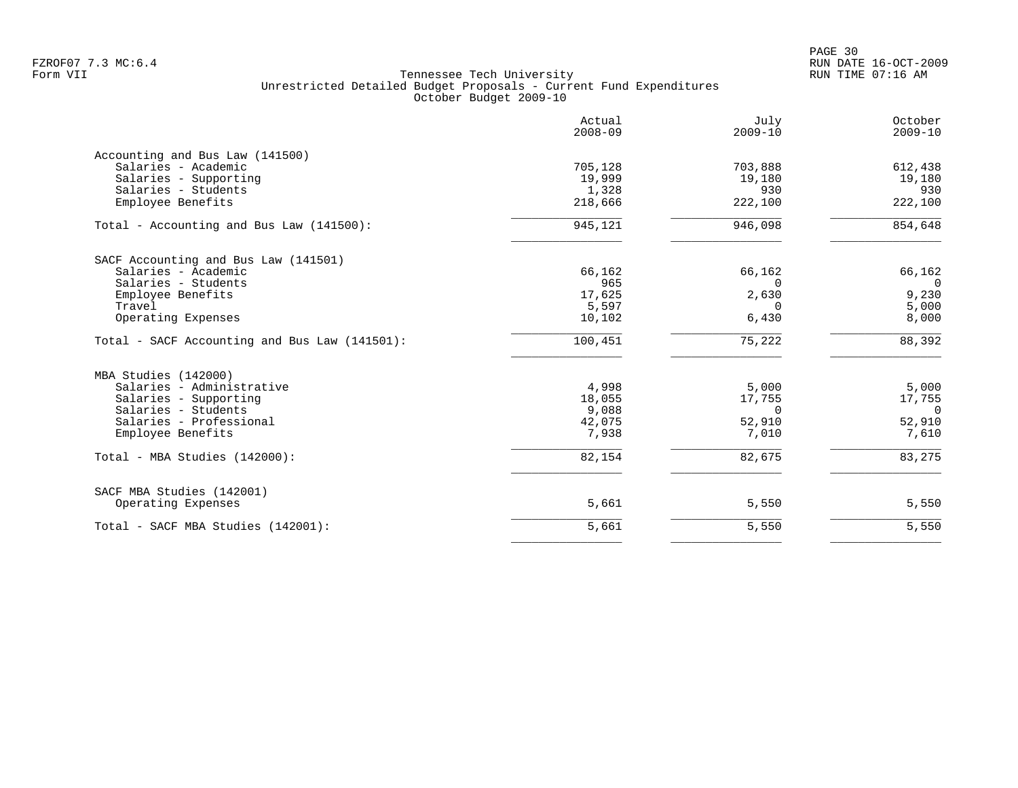|                                               | Actual<br>$2008 - 09$ | July<br>$2009 - 10$ | October<br>$2009 - 10$ |
|-----------------------------------------------|-----------------------|---------------------|------------------------|
| Accounting and Bus Law (141500)               |                       |                     |                        |
| Salaries - Academic                           | 705,128               | 703,888             | 612,438                |
| Salaries - Supporting<br>Salaries - Students  | 19,999                | 19,180<br>930       | 19,180<br>930          |
| Employee Benefits                             | 1,328<br>218,666      | 222,100             | 222,100                |
| Total - Accounting and Bus Law (141500):      | 945,121               | 946,098             | 854,648                |
| SACF Accounting and Bus Law (141501)          |                       |                     |                        |
| Salaries - Academic                           | 66,162                | 66,162              | 66,162                 |
| Salaries - Students                           | 965                   | $\Omega$            | $\overline{0}$         |
| Employee Benefits                             | 17,625                | 2,630               | 9,230                  |
| Travel                                        | 5,597                 | $\Omega$            | 5,000                  |
| Operating Expenses                            | 10,102                | 6,430               | 8,000                  |
| Total - SACF Accounting and Bus Law (141501): | 100,451               | 75,222              | 88,392                 |
| MBA Studies (142000)                          |                       |                     |                        |
| Salaries - Administrative                     | 4,998                 | 5,000               | 5,000                  |
| Salaries - Supporting                         | 18,055                | 17,755              | 17,755                 |
| Salaries - Students                           | 9,088                 | 0                   | $\overline{0}$         |
| Salaries - Professional                       | 42,075                | 52,910              | 52,910                 |
| Employee Benefits                             | 7,938                 | 7,010               | 7,610                  |
| Total - MBA Studies (142000):                 | 82,154                | 82,675              | 83,275                 |
| SACF MBA Studies (142001)                     |                       |                     |                        |
| Operating Expenses                            | 5,661                 | 5,550               | 5,550                  |
| Total - SACF MBA Studies (142001):            | 5,661                 | 5,550               | 5,550                  |
|                                               |                       |                     |                        |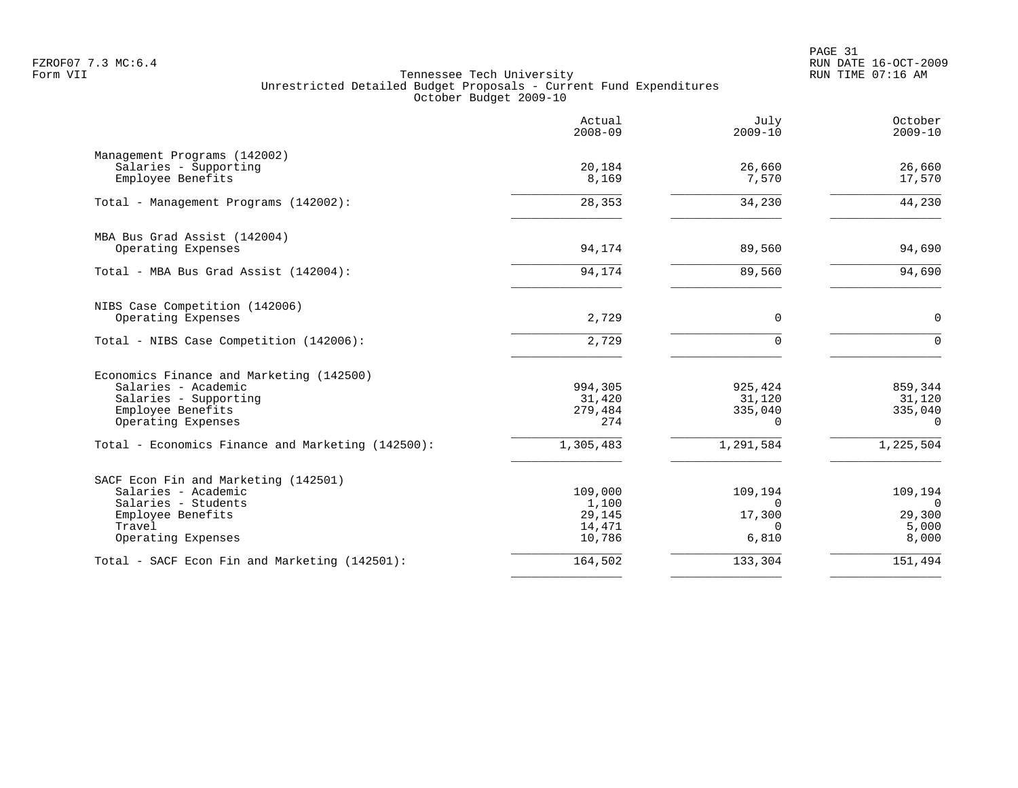PAGE 31 FZROF07 7.3 MC:6.4 RUN DATE 16-OCT-2009

|                                                                                                                                         | Actual<br>$2008 - 09$                          | July<br>$2009 - 10$                                | October<br>$2009 - 10$                          |
|-----------------------------------------------------------------------------------------------------------------------------------------|------------------------------------------------|----------------------------------------------------|-------------------------------------------------|
| Management Programs (142002)<br>Salaries - Supporting<br>Employee Benefits                                                              | 20,184<br>8,169                                | 26,660<br>7,570                                    | 26,660<br>17,570                                |
| Total - Management Programs (142002):                                                                                                   | 28,353                                         | 34,230                                             | 44,230                                          |
| MBA Bus Grad Assist (142004)<br>Operating Expenses                                                                                      | 94,174                                         | 89,560                                             | 94,690                                          |
| Total - MBA Bus Grad Assist (142004):                                                                                                   | 94,174                                         | 89,560                                             | 94,690                                          |
| NIBS Case Competition (142006)<br>Operating Expenses                                                                                    | 2,729                                          | $\mathbf 0$                                        | $\mathbf 0$                                     |
| Total - NIBS Case Competition (142006):                                                                                                 | 2,729                                          | $\Omega$                                           | $\Omega$                                        |
| Economics Finance and Marketing (142500)<br>Salaries - Academic<br>Salaries - Supporting<br>Employee Benefits<br>Operating Expenses     | 994,305<br>31,420<br>279,484<br>274            | 925,424<br>31,120<br>335,040<br>$\Omega$           | 859,344<br>31,120<br>335,040<br>$\Omega$        |
| Total - Economics Finance and Marketing (142500):                                                                                       | 1,305,483                                      | 1,291,584                                          | 1,225,504                                       |
| SACF Econ Fin and Marketing (142501)<br>Salaries - Academic<br>Salaries - Students<br>Employee Benefits<br>Travel<br>Operating Expenses | 109,000<br>1,100<br>29,145<br>14,471<br>10,786 | 109,194<br>$\Omega$<br>17,300<br>$\Omega$<br>6,810 | 109,194<br>$\Omega$<br>29,300<br>5,000<br>8,000 |
| Total - SACF Econ Fin and Marketing (142501):                                                                                           | 164,502                                        | 133,304                                            | 151,494                                         |
|                                                                                                                                         |                                                |                                                    |                                                 |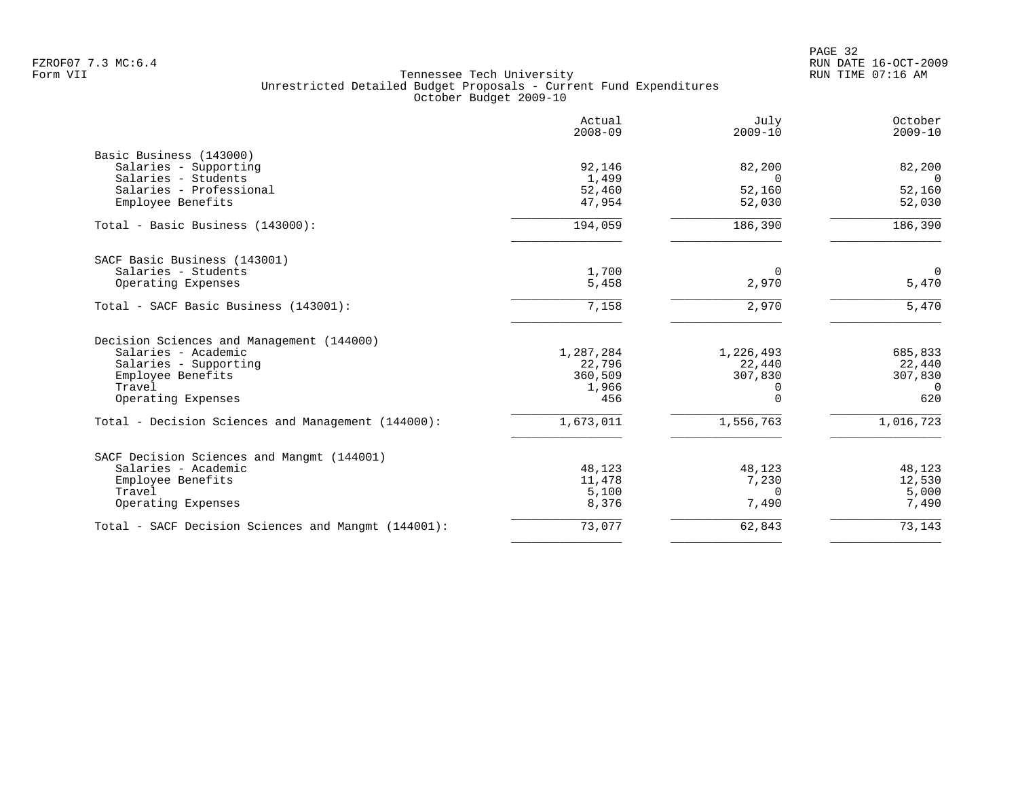| Actual<br>$2008 - 09$ | July<br>$2009 - 10$                                                           | October<br>$2009 - 10$                                 |
|-----------------------|-------------------------------------------------------------------------------|--------------------------------------------------------|
|                       |                                                                               |                                                        |
| 92,146                | 82,200                                                                        | 82,200                                                 |
| 1,499                 | $\Omega$                                                                      | $\Omega$                                               |
| 52,460                | 52,160                                                                        | 52,160                                                 |
| 47,954                | 52,030                                                                        | 52,030                                                 |
| 194,059               | 186,390                                                                       | 186,390                                                |
|                       |                                                                               |                                                        |
|                       | $\Omega$                                                                      | $\overline{0}$                                         |
| 5,458                 | 2,970                                                                         | 5,470                                                  |
| 7,158                 | 2,970                                                                         | 5,470                                                  |
|                       |                                                                               |                                                        |
|                       |                                                                               | 685,833                                                |
|                       |                                                                               | 22,440                                                 |
|                       |                                                                               | 307,830                                                |
|                       |                                                                               | $\overline{0}$                                         |
| 456                   | $\Omega$                                                                      | 620                                                    |
| 1,673,011             | 1,556,763                                                                     | 1,016,723                                              |
|                       |                                                                               |                                                        |
|                       |                                                                               | 48,123                                                 |
|                       |                                                                               | 12,530                                                 |
|                       | $\Omega$                                                                      | 5,000                                                  |
| 8,376                 | 7,490                                                                         | 7,490                                                  |
| 73,077                | 62,843                                                                        | 73,143                                                 |
|                       | 1,700<br>1,287,284<br>22,796<br>360,509<br>1,966<br>48,123<br>11,478<br>5,100 | 1,226,493<br>22,440<br>307,830<br>0<br>48,123<br>7,230 |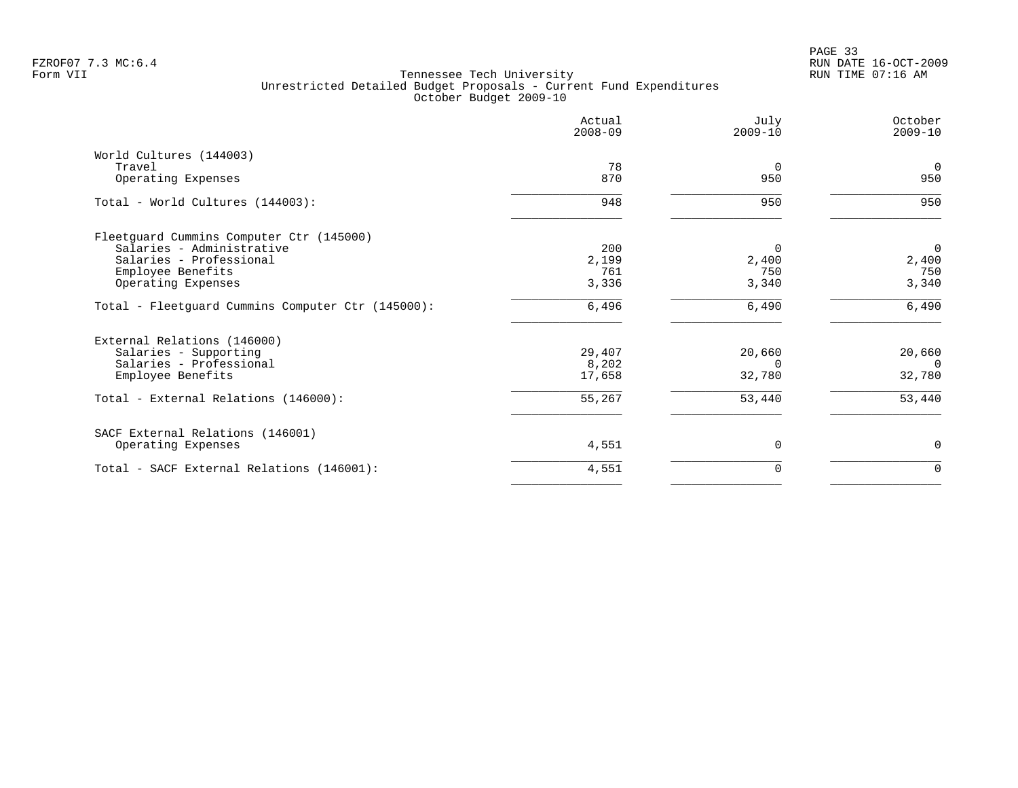|                                                   | Actual<br>$2008 - 09$ | July<br>$2009 - 10$ | October<br>$2009 - 10$ |
|---------------------------------------------------|-----------------------|---------------------|------------------------|
| World Cultures (144003)                           |                       |                     |                        |
| Travel                                            | 78<br>870             | $\Omega$<br>950     | $\overline{0}$<br>950  |
| Operating Expenses                                |                       |                     |                        |
| Total - World Cultures (144003):                  | 948                   | 950                 | 950                    |
| Fleetguard Cummins Computer Ctr (145000)          |                       |                     |                        |
| Salaries - Administrative                         | 200                   | $\Omega$            | $\overline{0}$         |
| Salaries - Professional                           | 2,199                 | 2,400               | 2,400                  |
| Employee Benefits                                 | 761                   | 750                 | 750                    |
| Operating Expenses                                | 3,336                 | 3,340               | 3,340                  |
| Total - Fleetguard Cummins Computer Ctr (145000): | 6,496                 | 6,490               | 6,490                  |
| External Relations (146000)                       |                       |                     |                        |
| Salaries - Supporting                             | 29,407                | 20,660              | 20,660                 |
| Salaries - Professional                           | 8,202                 | $\Omega$            | $\Omega$               |
| Employee Benefits                                 | 17,658                | 32,780              | 32,780                 |
| Total - External Relations (146000):              | 55,267                | 53,440              | 53,440                 |
| SACF External Relations (146001)                  |                       |                     |                        |
| Operating Expenses                                | 4,551                 | $\Omega$            | $\mathbf 0$            |
| Total - SACF External Relations (146001):         | 4,551                 | 0                   | $\mathbf 0$            |
|                                                   |                       |                     |                        |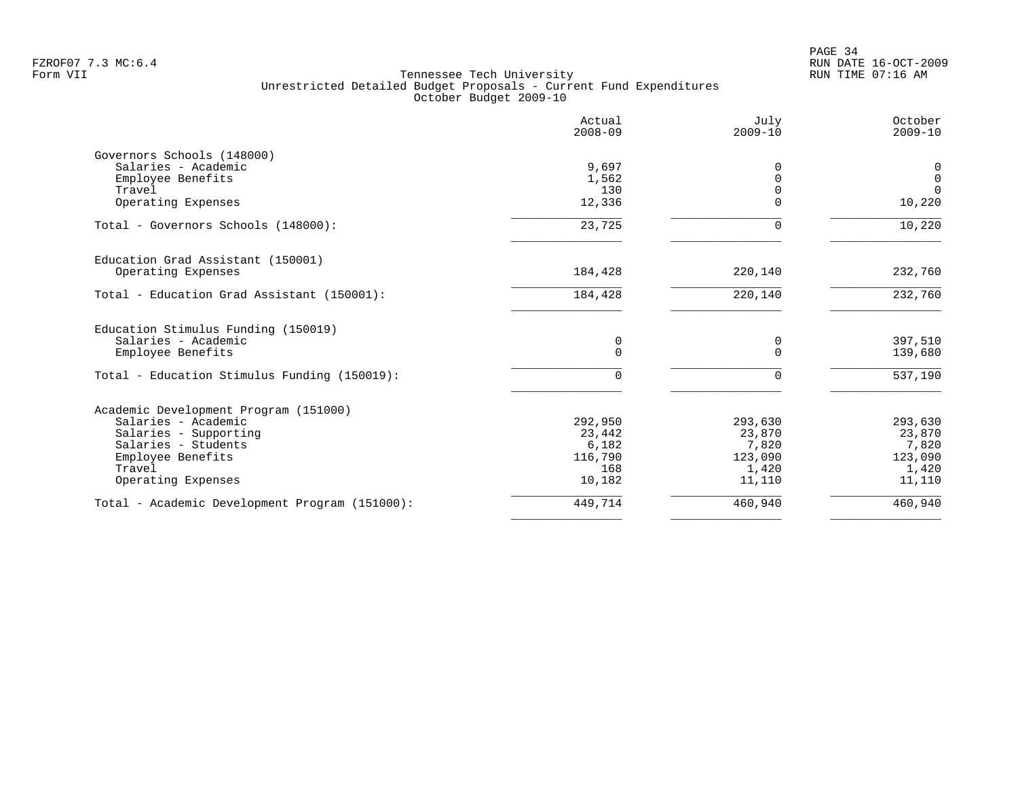PAGE 34 FZROF07 7.3 MC:6.4 RUN DATE 16-OCT-2009

|                                                | Actual<br>$2008 - 09$ | July<br>$2009 - 10$ | October<br>$2009 - 10$ |
|------------------------------------------------|-----------------------|---------------------|------------------------|
| Governors Schools (148000)                     |                       |                     |                        |
| Salaries - Academic                            | 9,697                 | O                   | 0                      |
| Employee Benefits                              | 1,562                 |                     | $\overline{0}$         |
| Travel                                         | 130                   |                     | $\Omega$               |
| Operating Expenses                             | 12,336                | U                   | 10,220                 |
| Total - Governors Schools (148000):            | 23,725                | U                   | 10,220                 |
| Education Grad Assistant (150001)              |                       |                     |                        |
| Operating Expenses                             | 184,428               | 220,140             | 232,760                |
| Total - Education Grad Assistant (150001):     | 184,428               | 220,140             | 232,760                |
| Education Stimulus Funding (150019)            |                       |                     |                        |
| Salaries - Academic                            | 0                     | 0                   | 397,510                |
| Employee Benefits                              | $\Omega$              | $\Omega$            | 139,680                |
| Total - Education Stimulus Funding (150019):   | $\Omega$              | $\Omega$            | 537,190                |
| Academic Development Program (151000)          |                       |                     |                        |
| Salaries - Academic                            | 292,950               | 293,630             | 293,630                |
| Salaries - Supporting                          | 23,442                | 23,870              | 23,870                 |
| Salaries - Students                            | 6,182                 | 7,820               | 7,820                  |
| Employee Benefits                              | 116,790               | 123,090             | 123,090                |
| Travel<br>Operating Expenses                   | 168<br>10,182         | 1,420<br>11,110     | 1,420<br>11,110        |
|                                                |                       |                     |                        |
| Total - Academic Development Program (151000): | 449,714               | 460,940             | 460,940                |
|                                                |                       |                     |                        |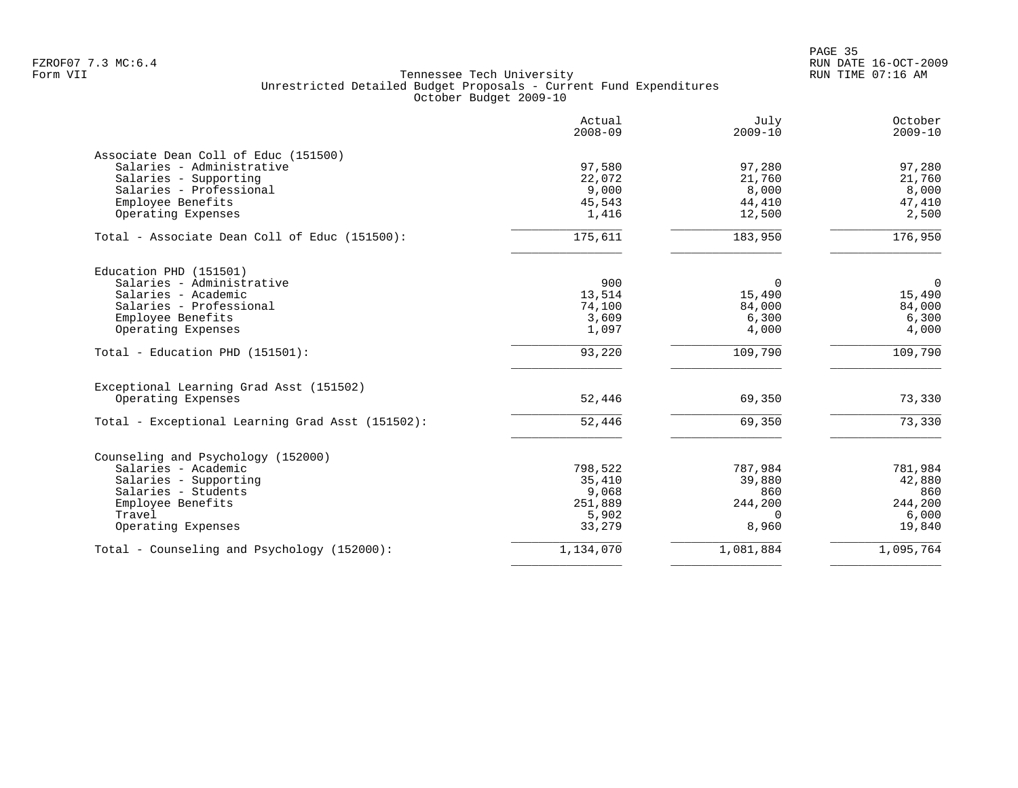en and the state of the state of the state of the state of the state of the state of the state of the state of the state of the state of the state of the state of the state of the state of the state of the state of the sta FZROF07 7.3 MC:6.4 RUN DATE 16-OCT-2009

|                                                  | Actual<br>$2008 - 09$ | July<br>$2009 - 10$ | October<br>$2009 - 10$ |
|--------------------------------------------------|-----------------------|---------------------|------------------------|
| Associate Dean Coll of Educ (151500)             |                       |                     |                        |
| Salaries - Administrative                        | 97,580                | 97,280              | 97,280                 |
| Salaries - Supporting                            | 22,072                | 21,760              | 21,760                 |
| Salaries - Professional                          | 9,000                 | 8,000               | 8,000                  |
| Employee Benefits                                | 45,543                | 44,410              | 47,410                 |
| Operating Expenses                               | 1,416                 | 12,500              | 2,500                  |
| Total - Associate Dean Coll of Educ (151500):    | 175,611               | 183,950             | 176,950                |
| Education PHD (151501)                           |                       |                     |                        |
| Salaries - Administrative                        | 900                   | $\Omega$            | 0                      |
| Salaries - Academic                              | 13,514                | 15,490              | 15,490                 |
| Salaries - Professional                          | 74,100                | 84,000              | 84,000                 |
| Employee Benefits                                | 3,609                 | 6,300               | 6,300                  |
| Operating Expenses                               | 1,097                 | 4,000               | 4,000                  |
| Total - Education PHD (151501):                  | 93,220                | 109,790             | 109,790                |
| Exceptional Learning Grad Asst (151502)          |                       |                     |                        |
| Operating Expenses                               | 52,446                | 69,350              | 73,330                 |
| Total - Exceptional Learning Grad Asst (151502): | 52,446                | 69,350              | 73,330                 |
|                                                  |                       |                     |                        |
| Counseling and Psychology (152000)               |                       |                     |                        |
| Salaries - Academic                              | 798,522               | 787,984             | 781,984                |
| Salaries - Supporting                            | 35,410                | 39,880              | 42,880                 |
| Salaries - Students                              | 9,068                 | 860                 | 860                    |
| Employee Benefits                                | 251,889               | 244,200             | 244,200                |
| Travel                                           | 5,902                 | $\Omega$            | 6,000                  |
| Operating Expenses                               | 33,279                | 8,960               | 19,840                 |
| Total - Counseling and Psychology (152000):      | 1,134,070             | 1,081,884           | 1,095,764              |
|                                                  |                       |                     |                        |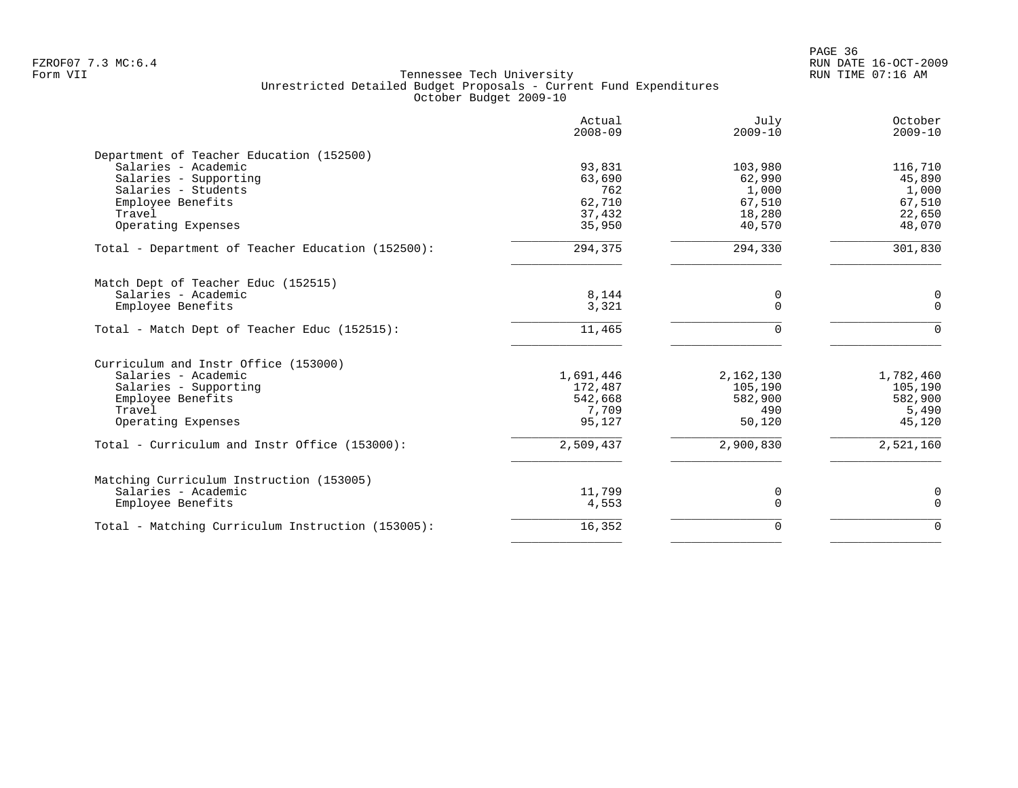en and the state of the state of the state of the state of the state of the state of the state of the state of the state of the state of the state of the state of the state of the state of the state of the state of the sta FZROF07 7.3 MC:6.4 RUN DATE 16-OCT-2009

|                                                   | Actual<br>$2008 - 09$ | July<br>$2009 - 10$ | October<br>$2009 - 10$ |
|---------------------------------------------------|-----------------------|---------------------|------------------------|
| Department of Teacher Education (152500)          |                       |                     |                        |
| Salaries - Academic                               | 93,831                | 103,980             | 116,710                |
| Salaries - Supporting                             | 63,690                | 62,990              | 45,890                 |
| Salaries - Students                               | 762                   | 1,000               | 1,000                  |
| Employee Benefits                                 | 62,710                | 67,510              | 67,510                 |
| Travel                                            | 37,432                | 18,280              | 22,650                 |
| Operating Expenses                                | 35,950                | 40,570              | 48,070                 |
| Total - Department of Teacher Education (152500): | 294,375               | 294,330             | 301,830                |
| Match Dept of Teacher Educ (152515)               |                       |                     |                        |
| Salaries - Academic                               | 8,144                 | 0                   | 0                      |
| Employee Benefits                                 | 3,321                 | $\Omega$            | $\mathbf 0$            |
| Total - Match Dept of Teacher Educ (152515):      | 11,465                | $\Omega$            | $\mathbf 0$            |
| Curriculum and Instr Office (153000)              |                       |                     |                        |
| Salaries - Academic                               | 1,691,446             | 2,162,130           | 1,782,460              |
| Salaries - Supporting                             | 172,487               | 105,190             | 105,190                |
| Employee Benefits                                 | 542,668               | 582,900             | 582,900                |
| Travel                                            | 7,709                 | 490                 | 5,490                  |
| Operating Expenses                                | 95,127                | 50,120              | 45,120                 |
| Total - Curriculum and Instr Office (153000):     | 2,509,437             | 2,900,830           | 2,521,160              |
| Matching Curriculum Instruction (153005)          |                       |                     |                        |
| Salaries - Academic                               | 11,799                | 0                   | 0                      |
| Employee Benefits                                 | 4,553                 | $\mathbf 0$         | $\mathbf 0$            |
| Total - Matching Curriculum Instruction (153005): | 16,352                | $\mathbf 0$         | $\Omega$               |
|                                                   |                       |                     |                        |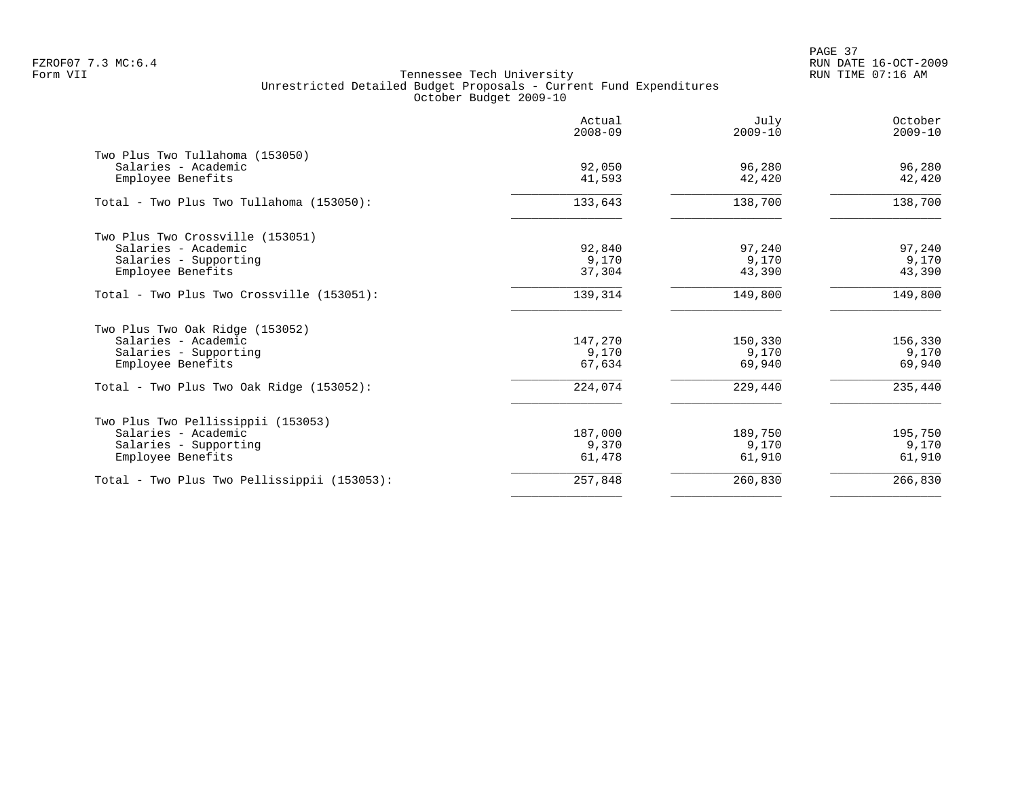PAGE 37 FZROF07 7.3 MC:6.4 RUN DATE 16-OCT-2009

|                                                        | Actual<br>$2008 - 09$ | July<br>$2009 - 10$ | October<br>$2009 - 10$ |
|--------------------------------------------------------|-----------------------|---------------------|------------------------|
| Two Plus Two Tullahoma (153050)<br>Salaries - Academic | 92,050                | 96,280              | 96,280                 |
| Employee Benefits                                      | 41,593                | 42,420              | 42,420                 |
| Total - Two Plus Two Tullahoma (153050):               | 133,643               | 138,700             | 138,700                |
| Two Plus Two Crossville (153051)                       |                       |                     |                        |
| Salaries - Academic                                    | 92,840                | 97,240              | 97,240                 |
| Salaries - Supporting                                  | 9,170                 | 9,170               | 9,170                  |
| Employee Benefits                                      | 37,304                | 43,390              | 43,390                 |
| Total - Two Plus Two Crossville (153051):              | 139,314               | 149,800             | 149,800                |
| Two Plus Two Oak Ridge (153052)                        |                       |                     |                        |
| Salaries - Academic                                    | 147,270               | 150,330             | 156,330                |
| Salaries - Supporting                                  | 9,170                 | 9,170               | 9,170                  |
| Employee Benefits                                      | 67,634                | 69,940              | 69,940                 |
| Total - Two Plus Two Oak Ridge (153052):               | 224,074               | 229,440             | 235,440                |
| Two Plus Two Pellissippii (153053)                     |                       |                     |                        |
| Salaries - Academic                                    | 187,000               | 189,750             | 195,750                |
| Salaries - Supporting                                  | 9,370                 | 9,170               | 9,170                  |
| Employee Benefits                                      | 61,478                | 61,910              | 61,910                 |
| Total - Two Plus Two Pellissippii (153053):            | 257,848               | 260,830             | 266,830                |
|                                                        |                       |                     |                        |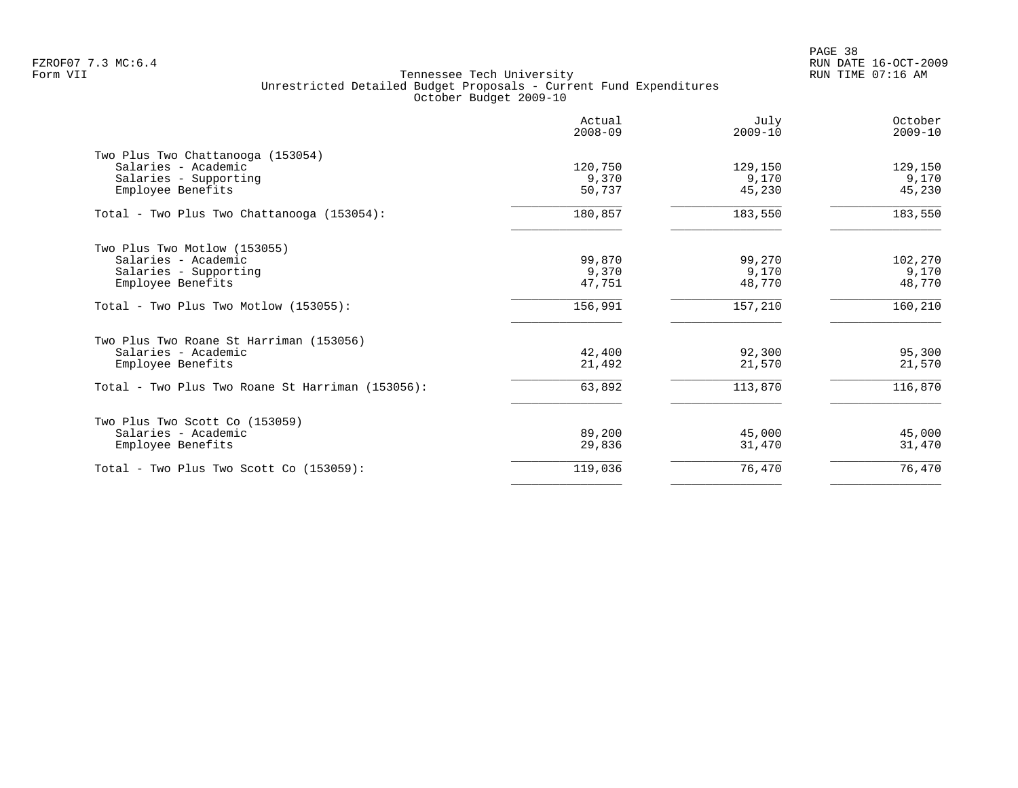|                                                                                                                                         | Actual<br>$2008 - 09$      | July<br>$2009 - 10$         | October<br>$2009 - 10$      |
|-----------------------------------------------------------------------------------------------------------------------------------------|----------------------------|-----------------------------|-----------------------------|
| Two Plus Two Chattanooga (153054)<br>Salaries - Academic<br>Salaries - Supporting<br>Employee Benefits                                  | 120,750<br>9,370<br>50,737 | 129,150<br>9,170<br>45,230  | 129,150<br>9,170<br>45,230  |
| Total - Two Plus Two Chattanooga (153054):                                                                                              | 180,857                    | 183,550                     | 183,550                     |
| Two Plus Two Motlow (153055)<br>Salaries - Academic<br>Salaries - Supporting<br>Employee Benefits                                       | 99,870<br>9,370<br>47,751  | 99,270<br>9,170<br>48,770   | 102,270<br>9,170<br>48,770  |
| Total - Two Plus Two Motlow $(153055)$ :                                                                                                | 156,991                    | 157,210                     | 160,210                     |
| Two Plus Two Roane St Harriman (153056)<br>Salaries - Academic<br>Employee Benefits<br>Total - Two Plus Two Roane St Harriman (153056): | 42,400<br>21,492<br>63,892 | 92,300<br>21,570<br>113,870 | 95,300<br>21,570<br>116,870 |
| Two Plus Two Scott Co (153059)<br>Salaries - Academic<br>Employee Benefits                                                              | 89,200<br>29,836           | 45,000<br>31,470            | 45,000<br>31,470            |
| Total - Two Plus Two Scott Co (153059):                                                                                                 | 119,036                    | 76,470                      | 76,470                      |
|                                                                                                                                         |                            |                             |                             |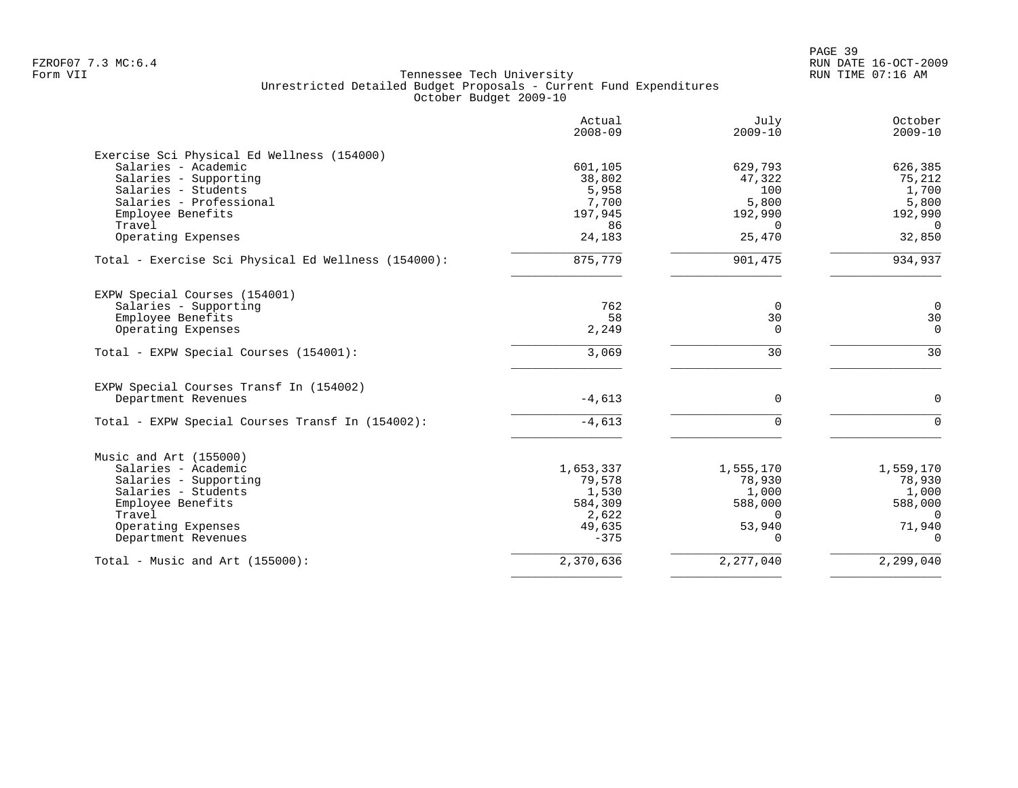|                                                     | Actual<br>$2008 - 09$ | July<br>$2009 - 10$ | October<br>$2009 - 10$ |
|-----------------------------------------------------|-----------------------|---------------------|------------------------|
| Exercise Sci Physical Ed Wellness (154000)          |                       |                     |                        |
| Salaries - Academic                                 | 601,105               | 629,793             | 626,385                |
| Salaries - Supporting                               | 38,802                | 47,322              | 75,212                 |
| Salaries - Students                                 | 5,958                 | 100                 | 1,700                  |
| Salaries - Professional                             | 7,700                 | 5,800               | 5,800                  |
| Employee Benefits                                   | 197,945               | 192,990             | 192,990                |
| Travel                                              | 86                    | $\Omega$            | $\overline{0}$         |
| Operating Expenses                                  | 24,183                | 25,470              | 32,850                 |
| Total - Exercise Sci Physical Ed Wellness (154000): | 875,779               | 901,475             | 934,937                |
| EXPW Special Courses (154001)                       |                       |                     |                        |
| Salaries - Supporting                               | 762                   | $\mathbf 0$         | $\mathbf 0$            |
| Employee Benefits                                   | 58                    | 30                  | 30                     |
| Operating Expenses                                  | 2,249                 | $\mathbf 0$         | $\Omega$               |
| Total - EXPW Special Courses (154001):              | 3,069                 | 30                  | 30                     |
| EXPW Special Courses Transf In (154002)             |                       |                     |                        |
| Department Revenues                                 | $-4,613$              | 0                   | $\mathbf 0$            |
| Total - EXPW Special Courses Transf In (154002):    | $-4,613$              | $\mathbf 0$         | $\Omega$               |
| Music and Art (155000)                              |                       |                     |                        |
| Salaries - Academic                                 | 1,653,337             | 1,555,170           | 1,559,170              |
| Salaries - Supporting                               | 79,578                | 78,930              | 78,930                 |
| Salaries - Students                                 | 1,530                 | 1,000               | 1,000                  |
| Employee Benefits                                   | 584,309               | 588,000             | 588,000                |
| Travel                                              | 2,622                 | $\Omega$            | $\Omega$               |
| Operating Expenses                                  | 49,635                | 53,940              | 71,940                 |
| Department Revenues                                 | $-375$                | $\Omega$            | $\Omega$               |
| Total - Music and Art $(155000)$ :                  | 2,370,636             | 2, 277, 040         | 2,299,040              |
|                                                     |                       |                     |                        |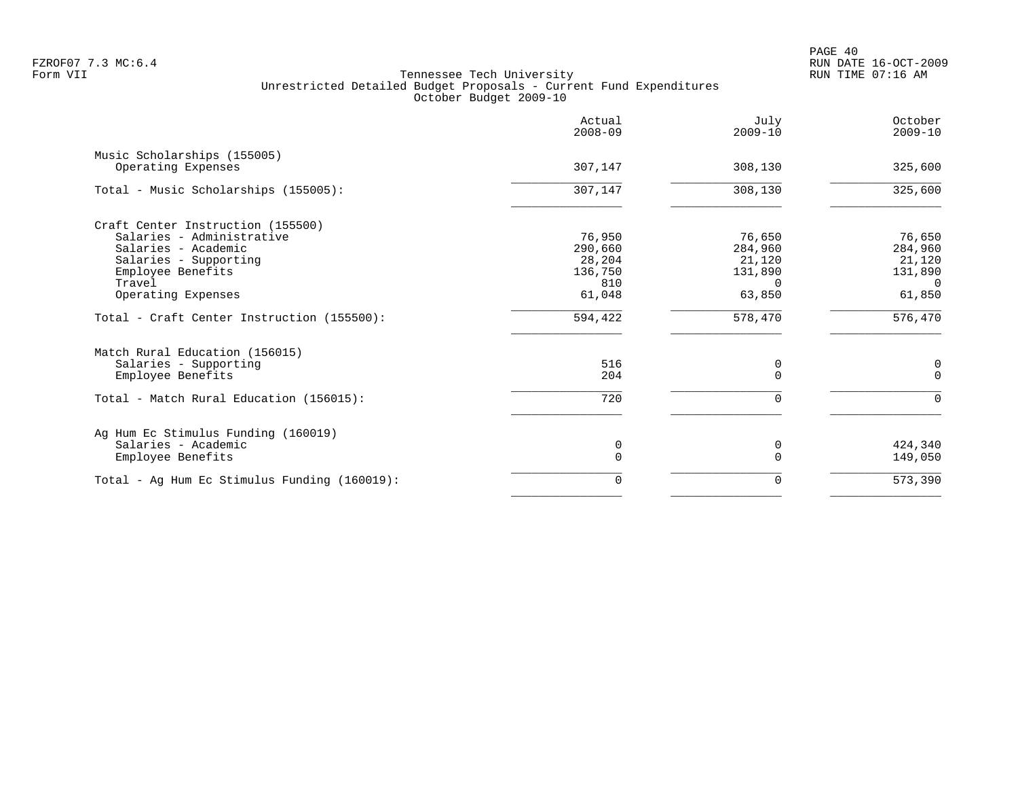|                                                   | Actual<br>$2008 - 09$ | July<br>$2009 - 10$ | October<br>$2009 - 10$ |
|---------------------------------------------------|-----------------------|---------------------|------------------------|
| Music Scholarships (155005)<br>Operating Expenses | 307,147               | 308,130             | 325,600                |
| Total - Music Scholarships (155005):              | 307,147               | 308,130             | 325,600                |
| Craft Center Instruction (155500)                 |                       |                     |                        |
| Salaries - Administrative                         | 76,950                | 76,650              | 76,650                 |
| Salaries - Academic                               | 290,660               | 284,960             | 284,960                |
| Salaries - Supporting                             | 28,204                | 21,120              | 21,120                 |
| Employee Benefits                                 | 136,750               | 131,890             | 131,890                |
| Travel                                            | 810                   | <sup>n</sup>        | $\Omega$               |
| Operating Expenses                                | 61,048                | 63,850              | 61,850                 |
| Total - Craft Center Instruction (155500):        | 594,422               | 578,470             | 576,470                |
| Match Rural Education (156015)                    |                       |                     |                        |
| Salaries - Supporting                             | 516                   | 0                   | 0                      |
| Employee Benefits                                 | 204                   | $\Omega$            | $\Omega$               |
| Total - Match Rural Education (156015):           | 720                   | 0                   | $\Omega$               |
| Ag Hum Ec Stimulus Funding (160019)               |                       |                     |                        |
| Salaries - Academic                               | 0                     | 0                   | 424,340                |
| Employee Benefits                                 | $\Omega$              | $\Omega$            | 149,050                |
| Total - Ag Hum Ec Stimulus Funding (160019):      | 0                     | 0                   | 573,390                |
|                                                   |                       |                     |                        |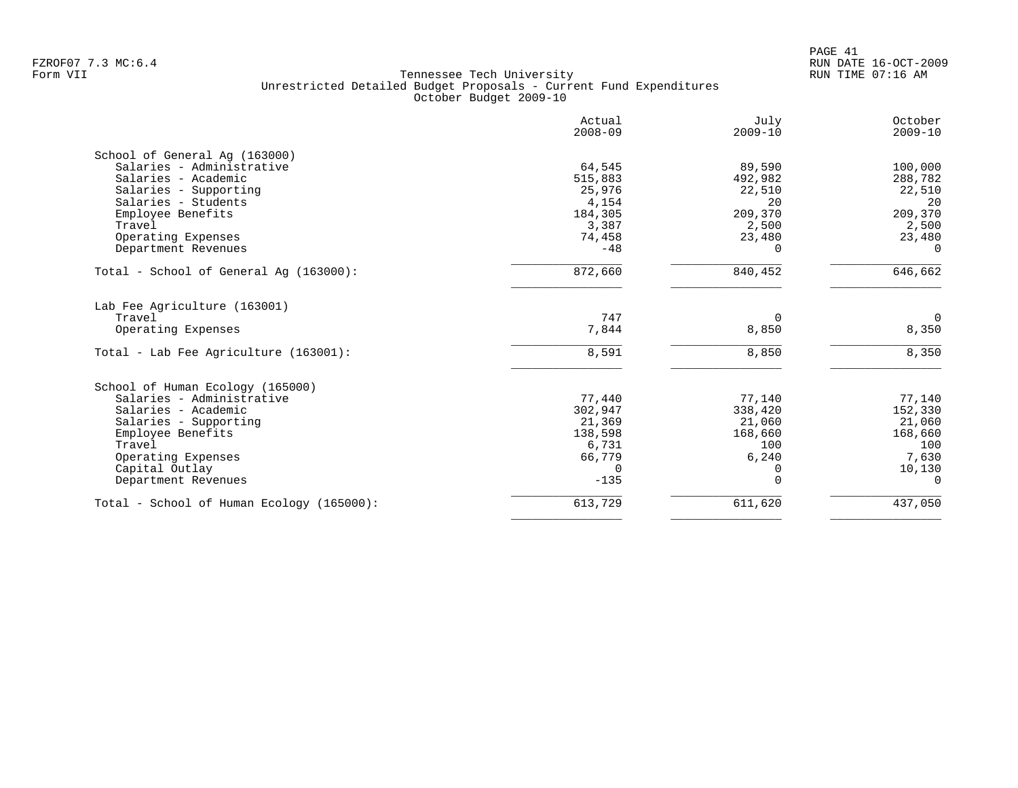| Actual<br>$2008 - 09$ | July<br>$2009 - 10$                                                                                                                                                  | October<br>$2009 - 10$                                                                                                                                     |
|-----------------------|----------------------------------------------------------------------------------------------------------------------------------------------------------------------|------------------------------------------------------------------------------------------------------------------------------------------------------------|
|                       |                                                                                                                                                                      |                                                                                                                                                            |
|                       |                                                                                                                                                                      | 100,000                                                                                                                                                    |
|                       |                                                                                                                                                                      |                                                                                                                                                            |
|                       |                                                                                                                                                                      | 288,782                                                                                                                                                    |
|                       |                                                                                                                                                                      | 22,510<br>20                                                                                                                                               |
|                       |                                                                                                                                                                      |                                                                                                                                                            |
|                       |                                                                                                                                                                      | 209,370                                                                                                                                                    |
|                       |                                                                                                                                                                      | 2,500                                                                                                                                                      |
|                       |                                                                                                                                                                      | 23,480                                                                                                                                                     |
|                       |                                                                                                                                                                      | $\Omega$                                                                                                                                                   |
| 872,660               | 840,452                                                                                                                                                              | 646,662                                                                                                                                                    |
|                       |                                                                                                                                                                      |                                                                                                                                                            |
|                       | $\Omega$                                                                                                                                                             | $\Omega$                                                                                                                                                   |
|                       |                                                                                                                                                                      | 8,350                                                                                                                                                      |
| 8,591                 | 8,850                                                                                                                                                                | 8,350                                                                                                                                                      |
|                       |                                                                                                                                                                      |                                                                                                                                                            |
|                       |                                                                                                                                                                      | 77,140                                                                                                                                                     |
|                       |                                                                                                                                                                      | 152,330                                                                                                                                                    |
|                       |                                                                                                                                                                      | 21,060                                                                                                                                                     |
|                       |                                                                                                                                                                      | 168,660                                                                                                                                                    |
|                       |                                                                                                                                                                      | 100                                                                                                                                                        |
|                       |                                                                                                                                                                      | 7,630                                                                                                                                                      |
|                       |                                                                                                                                                                      | 10,130                                                                                                                                                     |
| $-135$                | $\Omega$                                                                                                                                                             | $\Omega$                                                                                                                                                   |
|                       |                                                                                                                                                                      |                                                                                                                                                            |
|                       | 64,545<br>515,883<br>25,976<br>4,154<br>184,305<br>3,387<br>74,458<br>$-48$<br>747<br>7,844<br>77,440<br>302,947<br>21,369<br>138,598<br>6,731<br>66,779<br>$\Omega$ | 89,590<br>492,982<br>22,510<br>20<br>209,370<br>2,500<br>23,480<br>$\Omega$<br>8,850<br>77,140<br>338,420<br>21,060<br>168,660<br>100<br>6,240<br>$\Omega$ |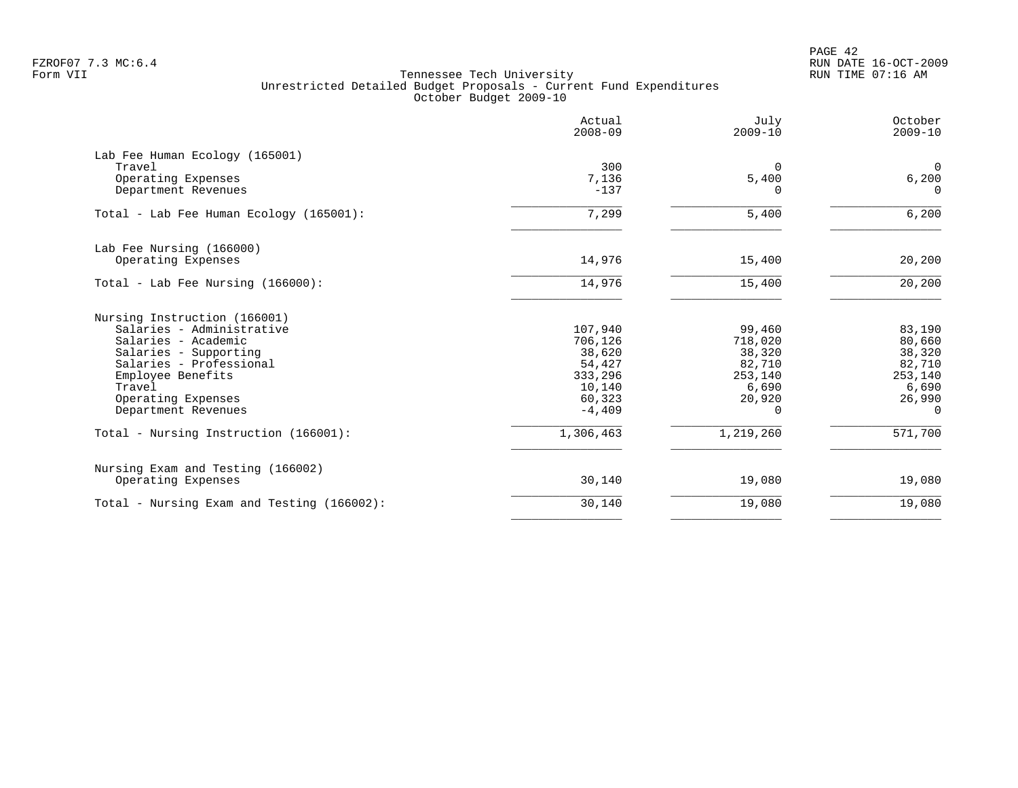PAGE 42 FZROF07 7.3 MC:6.4 RUN DATE 16-OCT-2009

|                                            | Actual<br>$2008 - 09$ | July<br>$2009 - 10$ | October<br>$2009 - 10$ |
|--------------------------------------------|-----------------------|---------------------|------------------------|
| Lab Fee Human Ecology (165001)             |                       |                     |                        |
| Travel                                     | 300                   | 0                   | $\Omega$               |
| Operating Expenses                         | 7,136                 | 5,400               | 6,200                  |
| Department Revenues                        | $-137$                | U                   | $\Omega$               |
| Total - Lab Fee Human Ecology (165001):    | 7,299                 | 5,400               | 6,200                  |
| Lab Fee Nursing (166000)                   |                       |                     |                        |
| Operating Expenses                         | 14,976                | 15,400              | 20,200                 |
| Total - Lab Fee Nursing (166000):          | 14,976                | 15,400              | 20,200                 |
| Nursing Instruction (166001)               |                       |                     |                        |
| Salaries - Administrative                  | 107,940               | 99,460              | 83,190                 |
| Salaries - Academic                        | 706,126               | 718,020             | 80,660                 |
| Salaries - Supporting                      | 38,620                | 38,320              | 38,320                 |
| Salaries - Professional                    | 54,427                | 82,710              | 82,710                 |
| Employee Benefits                          | 333,296               | 253,140             | 253,140                |
| Travel                                     | 10,140                | 6,690               | 6,690                  |
| Operating Expenses                         | 60,323                | 20,920              | 26,990                 |
| Department Revenues                        | $-4,409$              | <sup>n</sup>        | $\Omega$               |
| Total - Nursing Instruction (166001):      | 1,306,463             | 1,219,260           | 571,700                |
| Nursing Exam and Testing (166002)          |                       |                     |                        |
| Operating Expenses                         | 30,140                | 19,080              | 19,080                 |
| Total - Nursing Exam and Testing (166002): | 30,140                | 19,080              | 19,080                 |
|                                            |                       |                     |                        |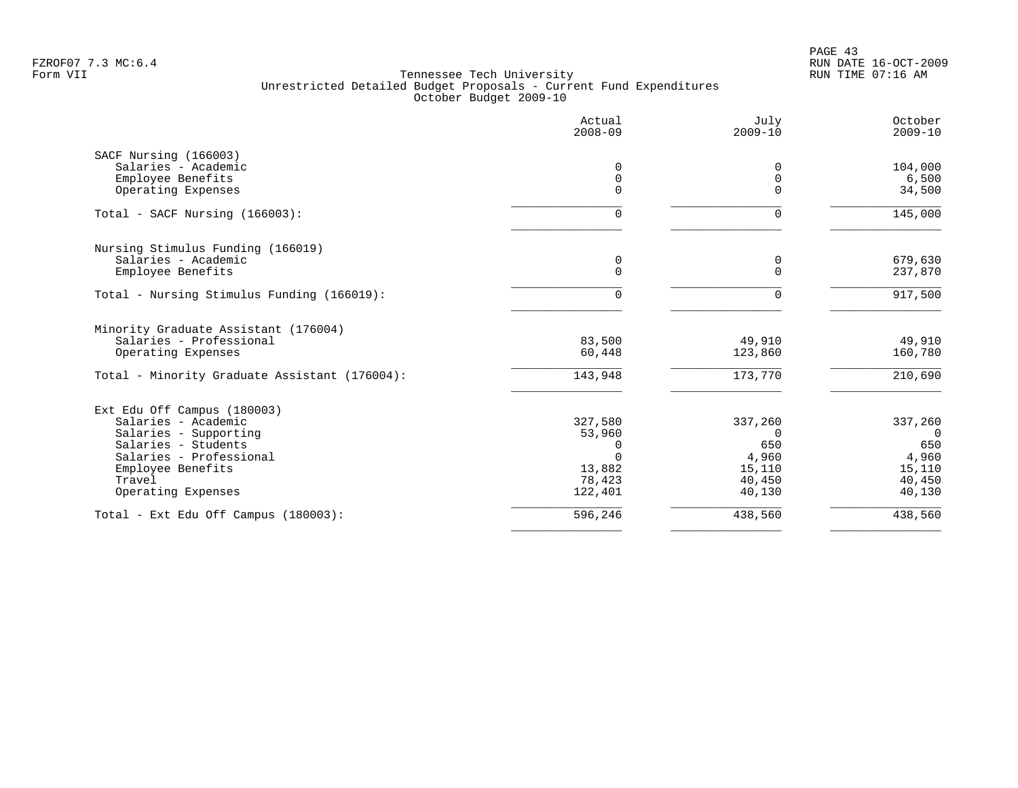PAGE 43 FZROF07 7.3 MC:6.4 RUN DATE 16-OCT-2009

|                                               | Actual<br>$2008 - 09$   | July<br>$2009 - 10$ | October<br>$2009 - 10$ |
|-----------------------------------------------|-------------------------|---------------------|------------------------|
| SACF Nursing (166003)                         |                         |                     |                        |
| Salaries - Academic                           | 0                       |                     | 104,000                |
| Employee Benefits<br>Operating Expenses       | $\mathbf 0$<br>$\Omega$ | $\Omega$<br>U       | 6,500<br>34,500        |
|                                               |                         |                     |                        |
| Total - SACF Nursing (166003):                | $\Omega$                | $\Omega$            | 145,000                |
| Nursing Stimulus Funding (166019)             |                         |                     |                        |
| Salaries - Academic                           | 0                       | 0                   | 679,630                |
| Employee Benefits                             | $\Omega$                | $\Omega$            | 237,870                |
| Total - Nursing Stimulus Funding (166019):    | $\cap$                  | U                   | 917,500                |
| Minority Graduate Assistant (176004)          |                         |                     |                        |
| Salaries - Professional                       | 83,500                  | 49,910              | 49,910                 |
| Operating Expenses                            | 60,448                  | 123,860             | 160,780                |
| Total - Minority Graduate Assistant (176004): | 143,948                 | 173,770             | 210,690                |
| Ext Edu Off Campus (180003)                   |                         |                     |                        |
| Salaries - Academic                           | 327,580                 | 337,260             | 337,260                |
| Salaries - Supporting                         | 53,960                  | $\Omega$            | $\Omega$               |
| Salaries - Students                           |                         | 650                 | 650                    |
| Salaries - Professional                       |                         | 4,960               | 4,960                  |
| Employee Benefits                             | 13,882                  | 15,110              | 15,110                 |
| Travel                                        | 78,423                  | 40,450              | 40,450                 |
| Operating Expenses                            | 122,401                 | 40,130              | 40,130                 |
| Total - Ext Edu Off Campus (180003):          | 596,246                 | 438,560             | 438,560                |
|                                               |                         |                     |                        |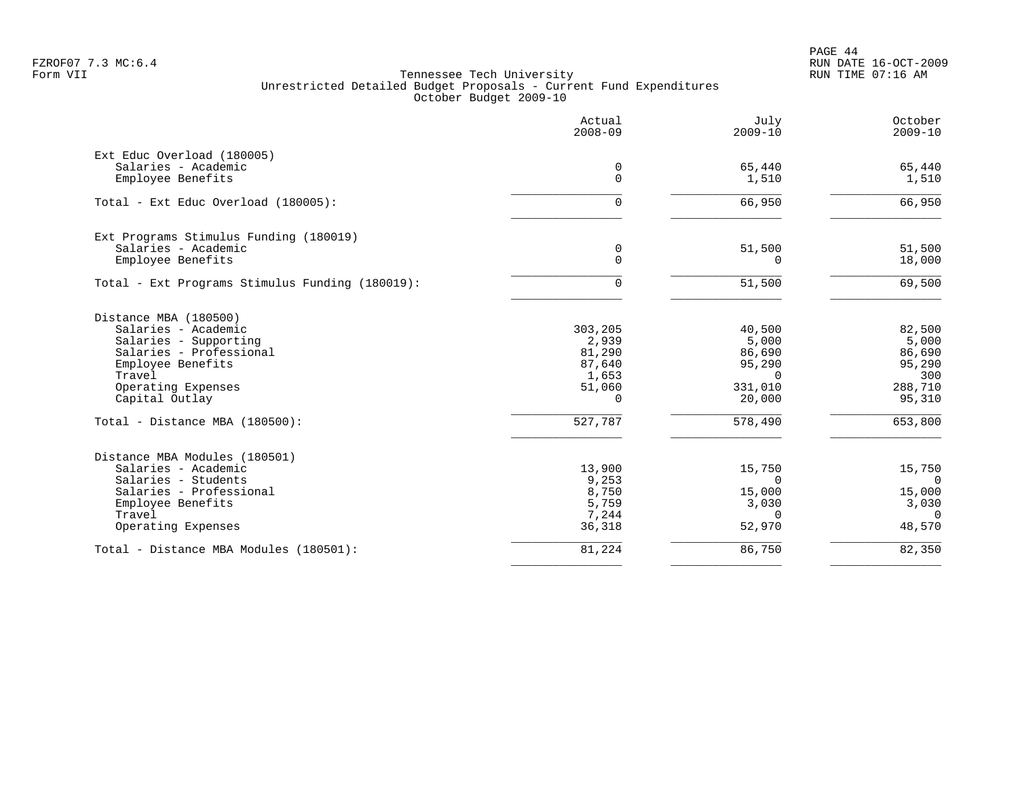PAGE 44 FZROF07 7.3 MC:6.4 RUN DATE 16-OCT-2009

|                                                 | Actual<br>$2008 - 09$ | July<br>$2009 - 10$ | October<br>$2009 - 10$ |
|-------------------------------------------------|-----------------------|---------------------|------------------------|
| Ext Educ Overload (180005)                      |                       |                     |                        |
| Salaries - Academic                             | 0                     | 65,440              | 65,440                 |
| Employee Benefits                               | 0                     | 1,510               | 1,510                  |
| Total - Ext Educ Overload (180005):             | $\Omega$              | 66,950              | 66,950                 |
| Ext Programs Stimulus Funding (180019)          |                       |                     |                        |
| Salaries - Academic                             | 0                     | 51,500              | 51,500                 |
| Employee Benefits                               | $\Omega$              | $\Omega$            | 18,000                 |
| Total - Ext Programs Stimulus Funding (180019): | $\Omega$              | 51,500              | 69,500                 |
| Distance MBA (180500)                           |                       |                     |                        |
| Salaries - Academic                             | 303,205               | 40,500              | 82,500                 |
| Salaries - Supporting                           | 2,939                 | 5,000               | 5,000                  |
| Salaries - Professional                         | 81,290                | 86,690              | 86,690                 |
| Employee Benefits                               | 87,640                | 95,290              | 95,290                 |
| Travel                                          | 1,653                 | $\Omega$            | 300                    |
| Operating Expenses                              | 51,060                | 331,010             | 288,710                |
| Capital Outlay                                  | $\Omega$              | 20,000              | 95,310                 |
| Total - Distance MBA (180500):                  | 527,787               | 578,490             | 653,800                |
| Distance MBA Modules (180501)                   |                       |                     |                        |
| Salaries - Academic                             | 13,900                | 15,750              | 15,750                 |
| Salaries - Students                             | 9,253                 | $\Omega$            | $\Omega$               |
| Salaries - Professional                         | 8,750                 | 15,000              | 15,000                 |
| Employee Benefits                               | 5,759                 | 3,030               | 3,030                  |
| Travel                                          | 7,244                 | $\Omega$            | $\Omega$               |
| Operating Expenses                              | 36,318                | 52,970              | 48,570                 |
| Total - Distance MBA Modules (180501):          | 81,224                | 86,750              | 82,350                 |
|                                                 |                       |                     |                        |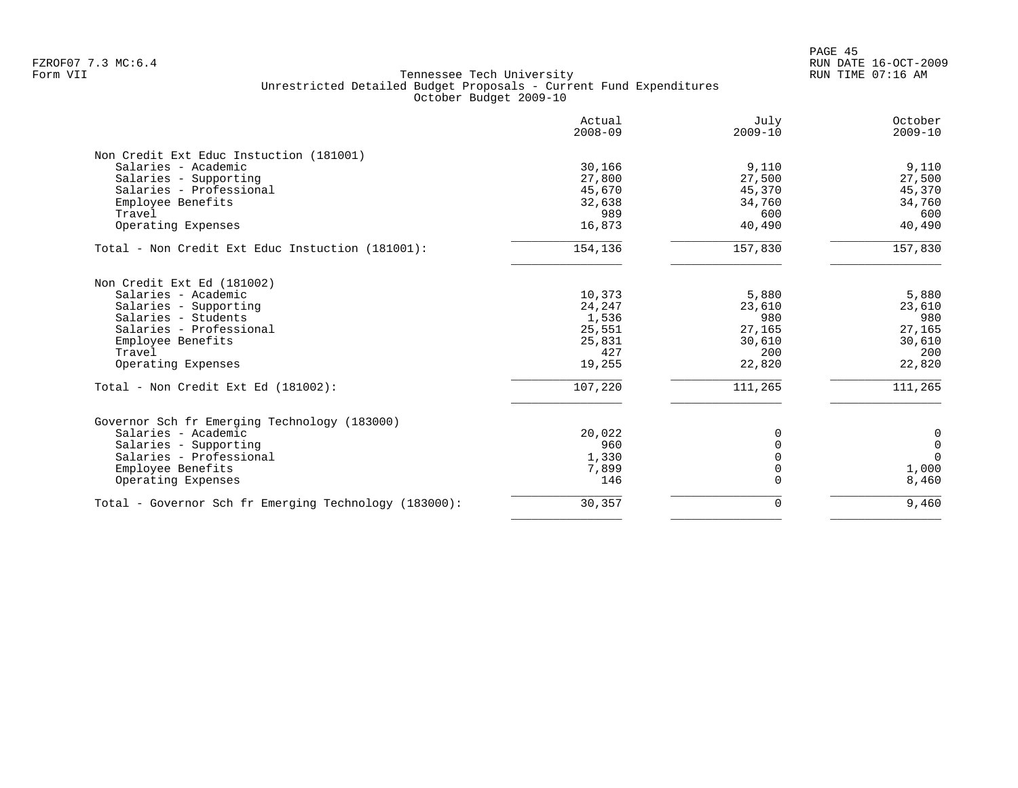|                                                       | Actual<br>$2008 - 09$ | July<br>$2009 - 10$ | October<br>$2009 - 10$ |
|-------------------------------------------------------|-----------------------|---------------------|------------------------|
| Non Credit Ext Educ Instuction (181001)               |                       |                     |                        |
| Salaries - Academic                                   | 30,166                | 9,110               | 9,110                  |
| Salaries - Supporting                                 | 27,800                | 27,500              | 27,500                 |
| Salaries - Professional                               | 45,670                | 45,370              | 45,370                 |
| Employee Benefits                                     | 32,638                | 34,760              | 34,760                 |
| Travel                                                | 989                   | 600                 | 600                    |
| Operating Expenses                                    | 16,873                | 40,490              | 40,490                 |
| Total - Non Credit Ext Educ Instuction (181001):      | 154,136               | 157,830             | 157,830                |
| Non Credit Ext Ed (181002)                            |                       |                     |                        |
| Salaries - Academic                                   | 10,373                | 5,880               | 5,880                  |
| Salaries - Supporting                                 | 24,247                | 23,610              | 23,610                 |
| Salaries - Students                                   | 1,536                 | 980                 | 980                    |
| Salaries - Professional                               | 25,551                | 27,165              | 27,165                 |
| Employee Benefits                                     | 25,831                | 30,610              | 30,610                 |
| Travel                                                | 427                   | 200                 | 200                    |
| Operating Expenses                                    | 19,255                | 22,820              | 22,820                 |
| Total - Non Credit Ext Ed (181002):                   | 107,220               | 111,265             | 111,265                |
| Governor Sch fr Emerging Technology (183000)          |                       |                     |                        |
| Salaries - Academic                                   | 20,022                | 0                   | 0                      |
| Salaries - Supporting                                 | 960                   | $\Omega$            | $\mathbf 0$            |
| Salaries - Professional                               | 1,330                 | $\Omega$            | $\Omega$               |
| Employee Benefits                                     | 7,899                 | $\Omega$            | 1,000                  |
| Operating Expenses                                    | 146                   | $\Omega$            | 8,460                  |
| Total - Governor Sch fr Emerging Technology (183000): | 30,357                | 0                   | 9,460                  |
|                                                       |                       |                     |                        |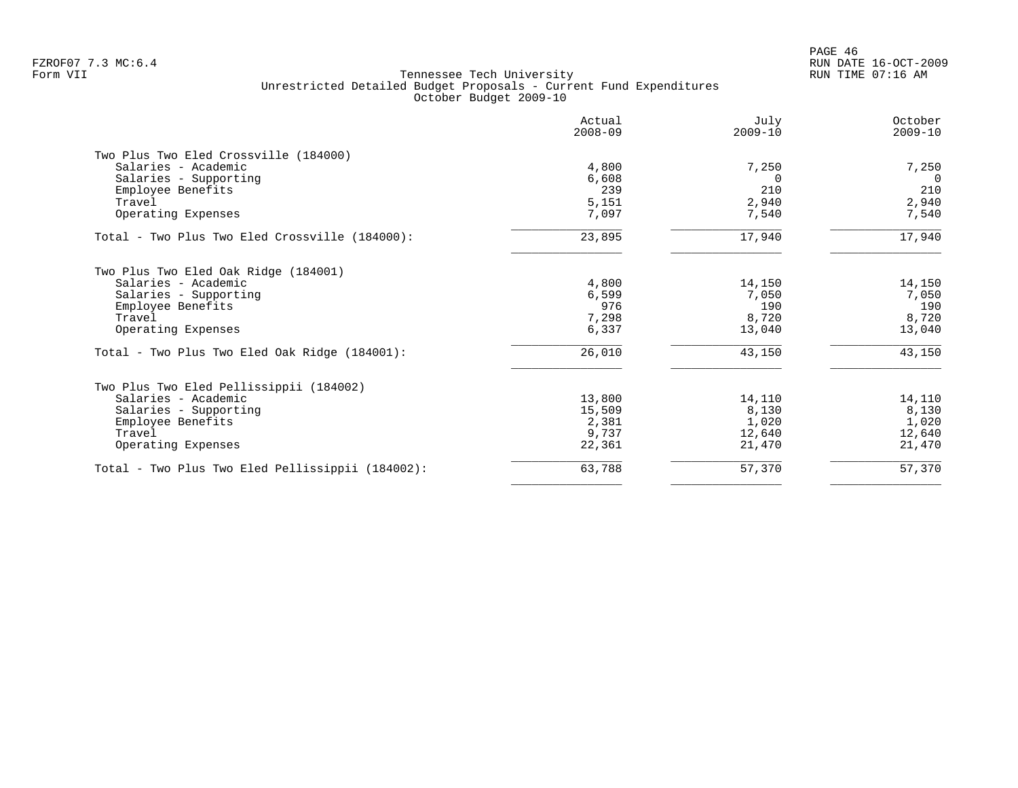PAGE 46 FZROF07 7.3 MC:6.4 RUN DATE 16-OCT-2009

|                                                  | Actual<br>$2008 - 09$ | July<br>$2009 - 10$ | October<br>$2009 - 10$ |
|--------------------------------------------------|-----------------------|---------------------|------------------------|
| Two Plus Two Eled Crossville (184000)            |                       |                     |                        |
| Salaries - Academic                              | 4,800                 | 7,250               | 7,250                  |
| Salaries - Supporting                            | 6,608                 |                     | $\Omega$               |
| Employee Benefits                                | 239                   | 210                 | 210                    |
| Travel                                           | 5,151                 | 2,940               | 2,940                  |
| Operating Expenses                               | 7,097                 | 7,540               | 7,540                  |
| Total - Two Plus Two Eled Crossville (184000):   | 23,895                | 17,940              | 17,940                 |
| Two Plus Two Eled Oak Ridge (184001)             |                       |                     |                        |
| Salaries - Academic                              | 4,800                 | 14,150              | 14,150                 |
| Salaries - Supporting                            | 6,599                 | 7,050               | 7,050                  |
| Employee Benefits                                | 976                   | 190                 | 190                    |
| Travel                                           | 7,298                 | 8,720               | 8,720                  |
| Operating Expenses                               | 6,337                 | 13,040              | 13,040                 |
| Total - Two Plus Two Eled Oak Ridge (184001):    | 26,010                | 43,150              | 43,150                 |
| Two Plus Two Eled Pellissippii (184002)          |                       |                     |                        |
| Salaries - Academic                              | 13,800                | 14,110              | 14,110                 |
| Salaries - Supporting                            | 15,509                | 8,130               | 8,130                  |
| Employee Benefits                                | 2,381                 | 1,020               | 1,020                  |
| Travel                                           | 9,737                 | 12,640              | 12,640                 |
| Operating Expenses                               | 22,361                | 21,470              | 21,470                 |
| Total - Two Plus Two Eled Pellissippii (184002): | 63,788                | 57,370              | 57,370                 |
|                                                  |                       |                     |                        |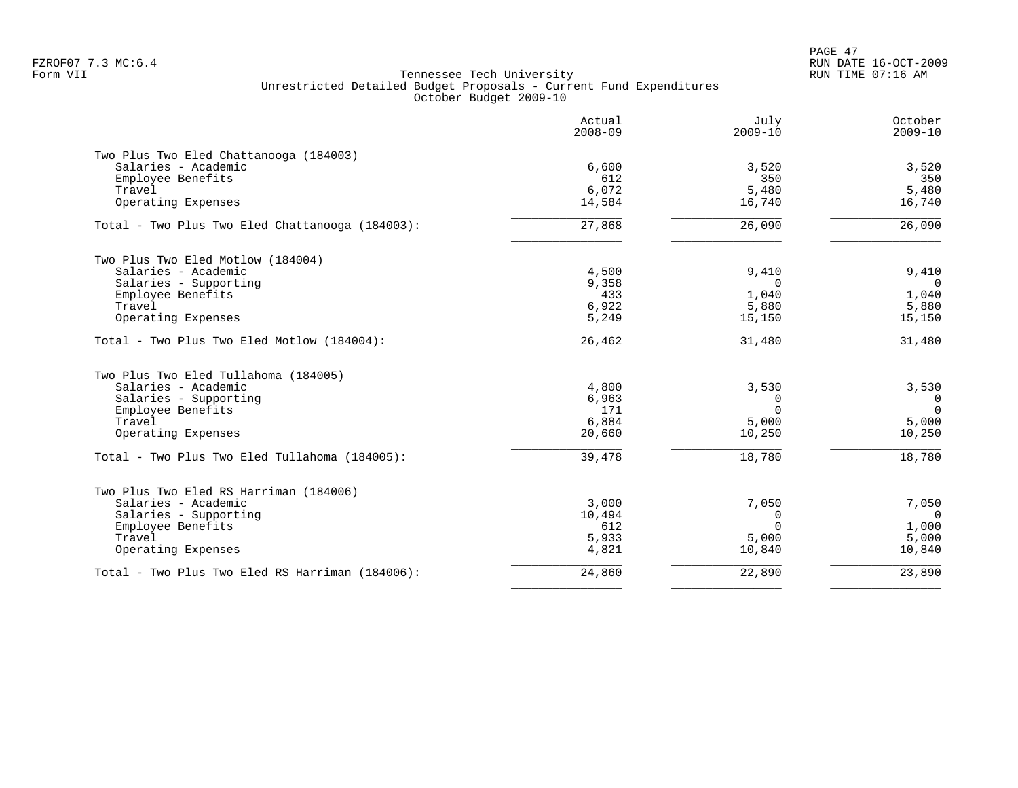PAGE 47 FZROF07 7.3 MC:6.4 RUN DATE 16-OCT-2009

|                                                 | Actual<br>$2008 - 09$ | July<br>$2009 - 10$ | October<br>$2009 - 10$ |
|-------------------------------------------------|-----------------------|---------------------|------------------------|
| Two Plus Two Eled Chattanooga (184003)          |                       |                     |                        |
| Salaries - Academic                             | 6,600                 | 3,520               | 3,520                  |
| Employee Benefits                               | 612                   | 350                 | 350                    |
| Travel                                          | 6,072                 | 5,480               | 5,480                  |
| Operating Expenses                              | 14,584                | 16,740              | 16,740                 |
| Total - Two Plus Two Eled Chattanooga (184003): | 27,868                | 26,090              | 26,090                 |
| Two Plus Two Eled Motlow (184004)               |                       |                     |                        |
| Salaries - Academic                             | 4,500                 | 9,410               | 9,410                  |
| Salaries - Supporting                           | 9,358                 | $\Omega$            | $\Omega$               |
| Employee Benefits                               | 433                   | 1,040               | 1,040                  |
| Travel                                          | 6,922                 | 5,880               | 5,880                  |
| Operating Expenses                              | 5,249                 | 15,150              | 15,150                 |
| Total - Two Plus Two Eled Motlow (184004):      | 26,462                | 31,480              | 31,480                 |
| Two Plus Two Eled Tullahoma (184005)            |                       |                     |                        |
| Salaries - Academic                             | 4,800                 | 3,530               | 3,530                  |
| Salaries - Supporting                           | 6,963                 | 0                   | $\overline{0}$         |
| Employee Benefits                               | 171                   | $\Omega$            | $\Omega$               |
| Travel                                          | 6,884                 | 5,000               | 5,000                  |
| Operating Expenses                              | 20,660                | 10,250              | 10,250                 |
| Total - Two Plus Two Eled Tullahoma (184005):   | 39,478                | 18,780              | 18,780                 |
| Two Plus Two Eled RS Harriman (184006)          |                       |                     |                        |
| Salaries - Academic                             | 3,000                 | 7,050               | 7,050                  |
| Salaries - Supporting                           | 10,494                | 0                   | $\Omega$               |
| Employee Benefits                               | 612                   | $\Omega$            | 1,000                  |
| Travel                                          | 5,933                 | 5,000               | 5,000                  |
| Operating Expenses                              | 4,821                 | 10,840              | 10,840                 |
| Total - Two Plus Two Eled RS Harriman (184006): | 24,860                | 22,890              | 23,890                 |
|                                                 |                       |                     |                        |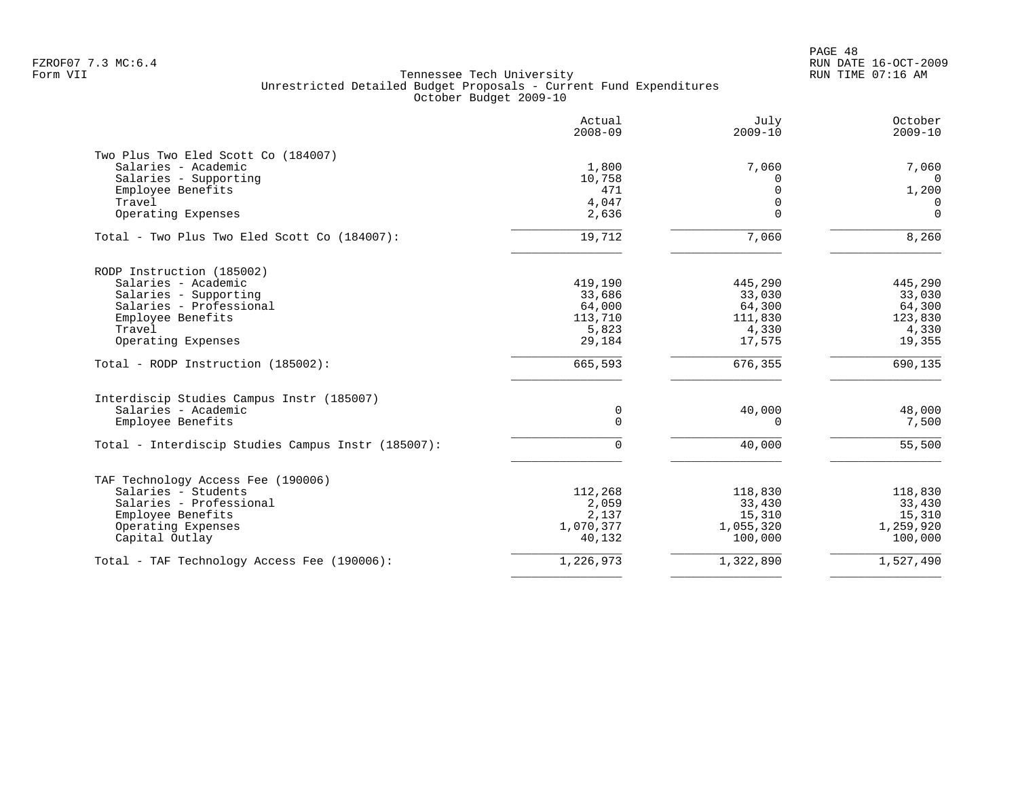|                                                           | Actual<br>$2008 - 09$ | July<br>$2009 - 10$ | October<br>$2009 - 10$ |
|-----------------------------------------------------------|-----------------------|---------------------|------------------------|
| Two Plus Two Eled Scott Co (184007)                       |                       |                     |                        |
| Salaries - Academic                                       | 1,800                 | 7,060               | 7,060                  |
| Salaries - Supporting                                     | 10,758                | $\Omega$            | $\Omega$               |
| Employee Benefits                                         | 471                   | $\Omega$            | 1,200                  |
| Travel                                                    | 4,047                 | $\mathbf 0$         | $\mathbf 0$            |
| Operating Expenses                                        | 2,636                 | $\Omega$            | $\Omega$               |
| Total - Two Plus Two Eled Scott Co (184007):              | 19,712                | 7,060               | 8,260                  |
| RODP Instruction (185002)                                 |                       |                     |                        |
| Salaries - Academic                                       | 419,190               | 445,290             | 445,290                |
| Salaries - Supporting                                     | 33,686                | 33,030              | 33,030                 |
| Salaries - Professional                                   | 64,000                | 64,300              | 64,300                 |
| Employee Benefits                                         | 113,710               | 111,830             | 123,830                |
| Travel                                                    | 5,823                 | 4,330               | 4,330                  |
| Operating Expenses                                        | 29,184                | 17,575              | 19,355                 |
| Total - RODP Instruction (185002):                        | 665,593               | 676,355             | 690, 135               |
| Interdiscip Studies Campus Instr (185007)                 |                       |                     |                        |
| Salaries - Academic                                       | 0                     | 40,000              | 48,000                 |
| Employee Benefits                                         | 0                     | $\mathbf 0$         | 7,500                  |
| Total - Interdiscip Studies Campus Instr (185007):        | $\mathbf 0$           | 40,000              | 55,500                 |
|                                                           |                       |                     |                        |
| TAF Technology Access Fee (190006)<br>Salaries - Students | 112,268               | 118,830             | 118,830                |
| Salaries - Professional                                   | 2,059                 | 33,430              | 33,430                 |
| Employee Benefits                                         | 2,137                 | 15,310              | 15,310                 |
| Operating Expenses                                        | 1,070,377             | 1,055,320           | 1,259,920              |
| Capital Outlay                                            | 40,132                | 100,000             | 100,000                |
| Total - TAF Technology Access Fee (190006):               | 1,226,973             | 1,322,890           | 1,527,490              |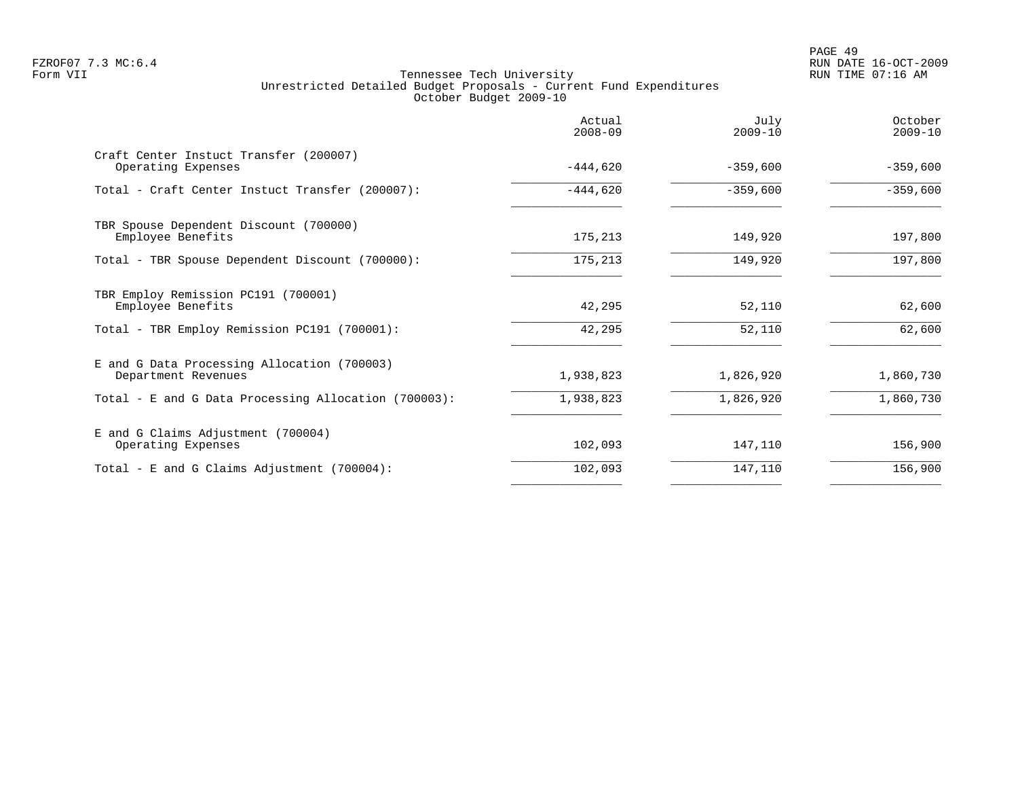|                                                                    | Actual<br>$2008 - 09$ | July<br>$2009 - 10$ | October<br>$2009 - 10$ |
|--------------------------------------------------------------------|-----------------------|---------------------|------------------------|
| Craft Center Instuct Transfer (200007)<br>Operating Expenses       | $-444,620$            | $-359,600$          | $-359,600$             |
| Total - Craft Center Instuct Transfer (200007):                    | $-444,620$            | $-359,600$          | $-359,600$             |
| TBR Spouse Dependent Discount (700000)<br>Employee Benefits        | 175,213               | 149,920             | 197,800                |
| Total - TBR Spouse Dependent Discount (700000):                    | 175,213               | 149,920             | 197,800                |
| TBR Employ Remission PC191 (700001)<br>Employee Benefits           | 42,295                | 52,110              | 62,600                 |
| Total - TBR Employ Remission PC191 (700001):                       | 42,295                | 52,110              | 62,600                 |
| E and G Data Processing Allocation (700003)<br>Department Revenues | 1,938,823             | 1,826,920           | 1,860,730              |
| Total - E and G Data Processing Allocation (700003):               | 1,938,823             | 1,826,920           | 1,860,730              |
| E and G Claims Adjustment (700004)<br>Operating Expenses           | 102,093               | 147,110             | 156,900                |
| Total - E and G Claims Adjustment (700004):                        | 102,093               | 147,110             | 156,900                |
|                                                                    |                       |                     |                        |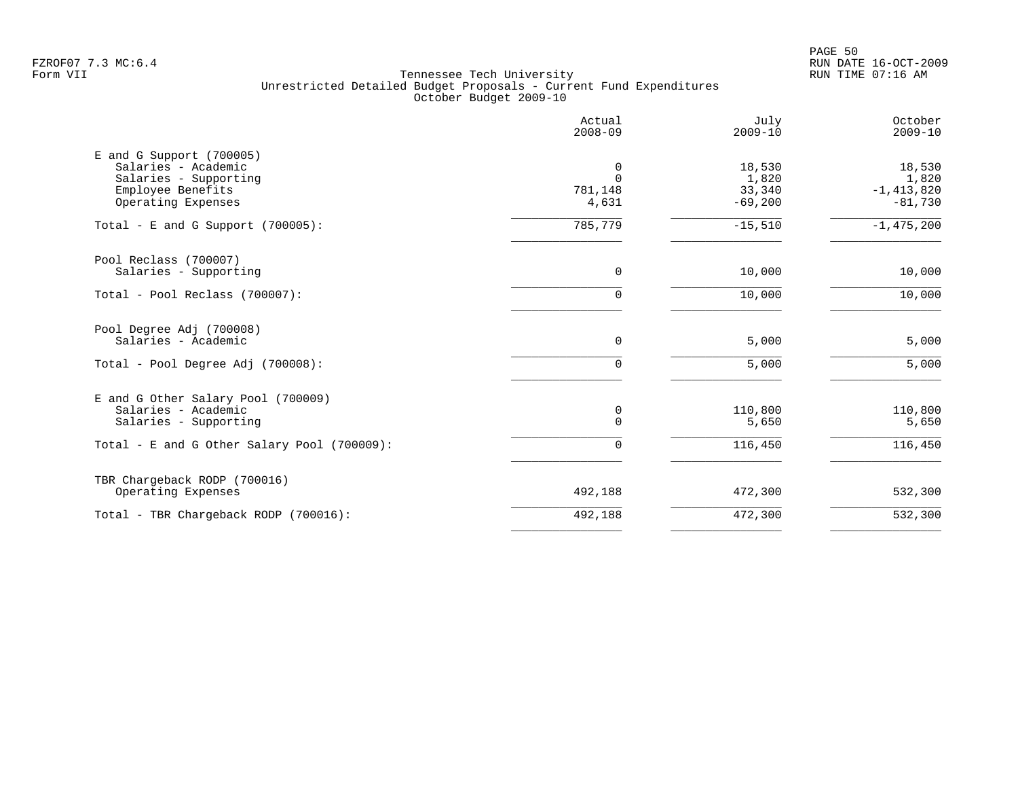PAGE 50 FZROF07 7.3 MC:6.4 RUN DATE 16-OCT-2009

|                                                                                                                     | Actual<br>$2008 - 09$             | July<br>$2009 - 10$                    | October<br>$2009 - 10$                         |
|---------------------------------------------------------------------------------------------------------------------|-----------------------------------|----------------------------------------|------------------------------------------------|
| E and G Support (700005)<br>Salaries - Academic<br>Salaries - Supporting<br>Employee Benefits<br>Operating Expenses | 0<br>$\Omega$<br>781,148<br>4,631 | 18,530<br>1,820<br>33,340<br>$-69,200$ | 18,530<br>1,820<br>$-1, 413, 820$<br>$-81,730$ |
| Total - E and G Support $(700005)$ :                                                                                | 785,779                           | $-15,510$                              | $-1,475,200$                                   |
| Pool Reclass (700007)<br>Salaries - Supporting                                                                      | 0                                 | 10,000                                 | 10,000                                         |
| Total - Pool Reclass (700007):                                                                                      | $\Omega$                          | 10,000                                 | 10,000                                         |
| Pool Degree Adj (700008)<br>Salaries - Academic                                                                     | 0                                 | 5,000                                  | 5,000                                          |
| Total - Pool Degree Adj (700008):                                                                                   | $\Omega$                          | 5,000                                  | 5,000                                          |
| E and G Other Salary Pool (700009)<br>Salaries - Academic<br>Salaries - Supporting                                  | 0<br>$\Omega$                     | 110,800<br>5,650                       | 110,800<br>5,650                               |
| Total - E and G Other Salary Pool (700009):                                                                         | 0                                 | 116,450                                | 116,450                                        |
| TBR Chargeback RODP (700016)<br>Operating Expenses                                                                  | 492,188                           | 472,300                                | 532,300                                        |
| Total - TBR Chargeback RODP (700016):                                                                               | 492,188                           | 472,300                                | 532,300                                        |
|                                                                                                                     |                                   |                                        |                                                |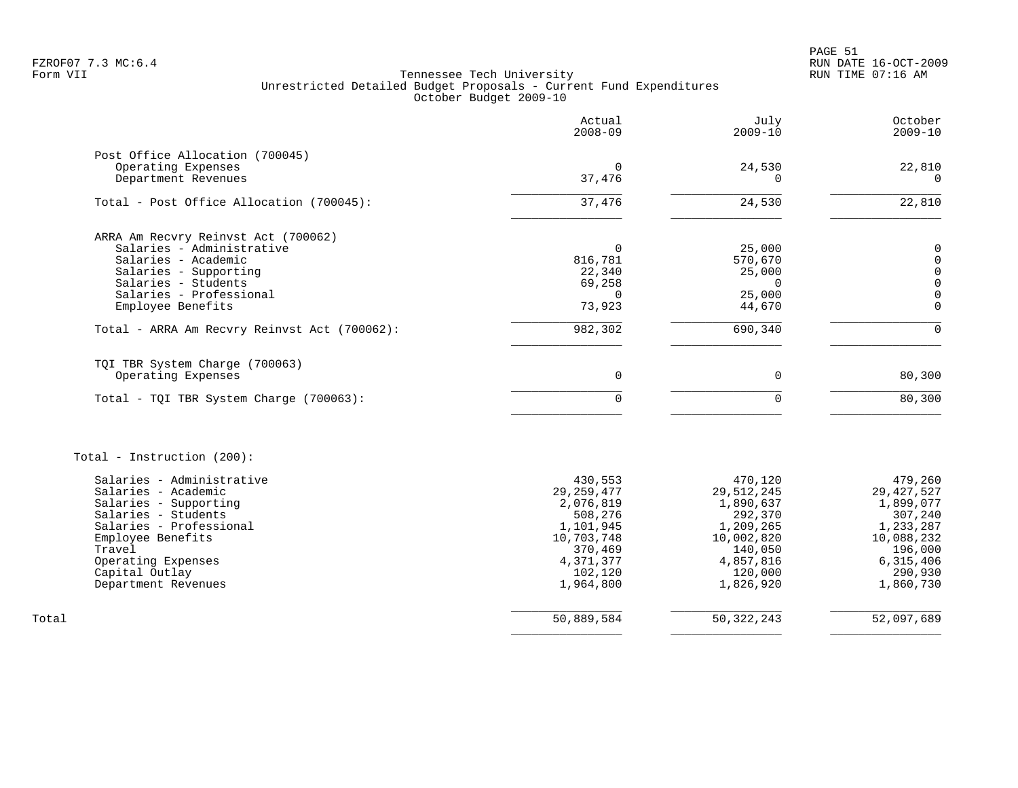PAGE 51 FZROF07 7.3 MC:6.4 RUN DATE 16-OCT-2009

|                                              | Actual<br>$2008 - 09$ | July<br>$2009 - 10$  | October<br>$2009 - 10$  |
|----------------------------------------------|-----------------------|----------------------|-------------------------|
| Post Office Allocation (700045)              |                       |                      |                         |
| Operating Expenses                           | $\mathbf 0$           | 24,530               | 22,810                  |
| Department Revenues                          | 37,476                | $\Omega$             | $\overline{0}$          |
| Total - Post Office Allocation (700045):     | 37,476                | 24,530               | 22,810                  |
| ARRA Am Recvry Reinvst Act (700062)          |                       |                      |                         |
| Salaries - Administrative                    | $\Omega$              | 25,000               | 0                       |
| Salaries - Academic                          | 816,781               | 570,670              | $\mathbf 0$             |
| Salaries - Supporting                        | 22,340                | 25,000               | $\mathbf 0$             |
| Salaries - Students                          | 69,258                | $\mathbf 0$          | $\mathbf 0$             |
| Salaries - Professional<br>Employee Benefits | 0<br>73,923           | 25,000<br>44,670     | $\mathbf 0$<br>$\Omega$ |
|                                              |                       |                      |                         |
| Total - ARRA Am Recvry Reinvst Act (700062): | 982,302               | 690,340              | $\Omega$                |
| TQI TBR System Charge (700063)               |                       |                      |                         |
| Operating Expenses                           | $\mathbf 0$           | $\mathbf 0$          | 80,300                  |
| Total - TQI TBR System Charge (700063):      | 0                     | $\Omega$             | 80,300                  |
| Total - Instruction (200):                   |                       |                      |                         |
| Salaries - Administrative                    | 430,553               | 470,120              | 479,260                 |
| Salaries - Academic                          | 29, 259, 477          | 29, 512, 245         | 29, 427, 527            |
| Salaries - Supporting                        | 2,076,819             | 1,890,637            | 1,899,077               |
| Salaries - Students                          | 508,276               | 292,370              | 307,240                 |
| Salaries - Professional                      | 1,101,945             | 1,209,265            | 1,233,287               |
| Employee Benefits                            | 10,703,748            | 10,002,820           | 10,088,232              |
| Travel                                       | 370,469               | 140,050              | 196,000                 |
| Operating Expenses<br>Capital Outlay         | 4,371,377<br>102,120  | 4,857,816<br>120,000 | 6,315,406<br>290,930    |
| Department Revenues                          | 1,964,800             | 1,826,920            | 1,860,730               |
| Total                                        | 50,889,584            | 50, 322, 243         | 52,097,689              |
|                                              |                       |                      |                         |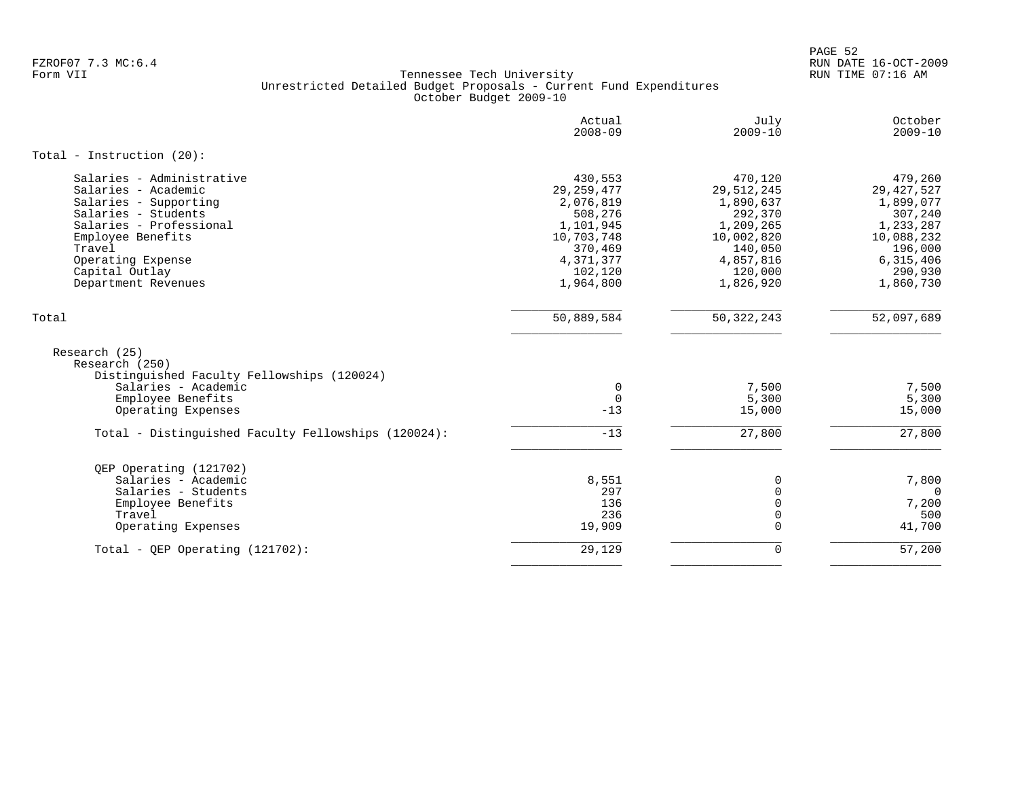PAGE 52 FZROF07 7.3 MC:6.4 RUN DATE 16-OCT-2009

|                                                                               | Actual<br>$2008 - 09$ | July<br>$2009 - 10$  | October<br>$2009 - 10$ |
|-------------------------------------------------------------------------------|-----------------------|----------------------|------------------------|
| Total - Instruction $(20)$ :                                                  |                       |                      |                        |
| Salaries - Administrative                                                     | 430,553               | 470,120              | 479,260                |
| Salaries - Academic                                                           | 29, 259, 477          | 29, 512, 245         | 29, 427, 527           |
| Salaries - Supporting                                                         | 2,076,819             | 1,890,637            | 1,899,077              |
| Salaries - Students<br>Salaries - Professional                                | 508,276<br>1,101,945  | 292,370<br>1,209,265 | 307,240<br>1,233,287   |
| Employee Benefits                                                             | 10,703,748            | 10,002,820           | 10,088,232             |
| Travel                                                                        | 370,469               | 140,050              | 196,000                |
| Operating Expense                                                             | 4,371,377             | 4,857,816            | 6,315,406              |
| Capital Outlay                                                                | 102,120               | 120,000              | 290,930                |
| Department Revenues                                                           | 1,964,800             | 1,826,920            | 1,860,730              |
| Total                                                                         | 50,889,584            | 50, 322, 243         | 52,097,689             |
| Research (25)<br>Research (250)<br>Distinguished Faculty Fellowships (120024) |                       |                      |                        |
| Salaries - Academic                                                           | $\mathbf 0$           | 7,500                | 7,500                  |
| Employee Benefits                                                             | $\Omega$              | 5,300                | 5,300                  |
| Operating Expenses                                                            | $-13$                 | 15,000               | 15,000                 |
| Total - Distinguished Faculty Fellowships (120024):                           | $-13$                 | 27,800               | 27,800                 |
| QEP Operating (121702)                                                        |                       |                      |                        |
| Salaries - Academic                                                           | 8,551                 | 0                    | 7,800                  |
| Salaries - Students                                                           | 297                   | $\Omega$             | $\Omega$               |
| Employee Benefits                                                             | 136                   | $\Omega$             | 7,200                  |
| Travel                                                                        | 236                   | 0                    | 500                    |
| Operating Expenses                                                            | 19,909                | $\Omega$             | 41,700                 |
| Total - QEP Operating $(121702)$ :                                            | 29,129                | $\mathbf 0$          | 57,200                 |
|                                                                               |                       |                      |                        |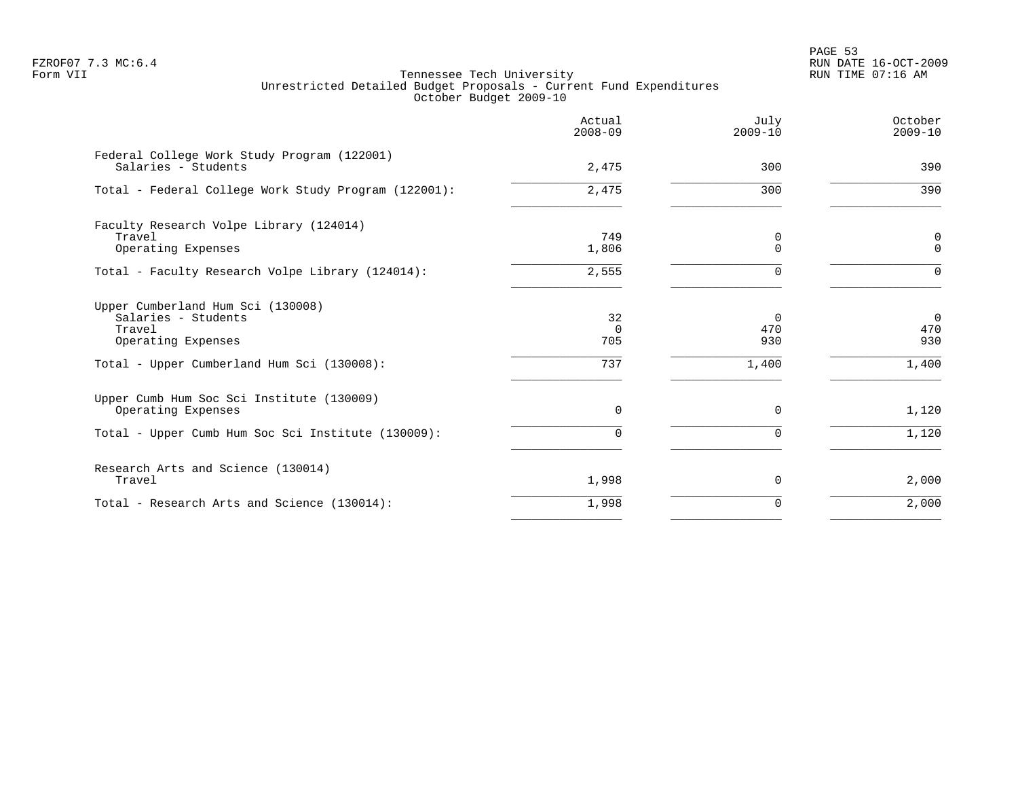PAGE 53 FZROF07 7.3 MC:6.4 RUN DATE 16-OCT-2009

|                                                                                                                                        | Actual<br>$2008 - 09$        | July<br>$2009 - 10$             | October<br>$2009 - 10$          |
|----------------------------------------------------------------------------------------------------------------------------------------|------------------------------|---------------------------------|---------------------------------|
| Federal College Work Study Program (122001)<br>Salaries - Students                                                                     | 2,475                        | 300                             | 390                             |
| Total - Federal College Work Study Program (122001):                                                                                   | 2,475                        | 300                             | 390                             |
| Faculty Research Volpe Library (124014)<br>Travel<br>Operating Expenses                                                                | 749<br>1,806                 | 0<br>$\Omega$                   | $\mathsf 0$<br>$\Omega$         |
| Total - Faculty Research Volpe Library (124014):                                                                                       | 2,555                        |                                 | $\Omega$                        |
| Upper Cumberland Hum Sci (130008)<br>Salaries - Students<br>Travel<br>Operating Expenses<br>Total - Upper Cumberland Hum Sci (130008): | 32<br>$\Omega$<br>705<br>737 | $\Omega$<br>470<br>930<br>1,400 | $\Omega$<br>470<br>930<br>1,400 |
| Upper Cumb Hum Soc Sci Institute (130009)<br>Operating Expenses<br>Total - Upper Cumb Hum Soc Sci Institute (130009):                  | $\mathbf 0$<br>$\Omega$      | $\Omega$<br>U                   | 1,120<br>1,120                  |
| Research Arts and Science (130014)<br>Travel                                                                                           | 1,998                        | $\Omega$                        | 2,000                           |
| Total - Research Arts and Science (130014):                                                                                            | 1,998                        | $\Omega$                        | 2,000                           |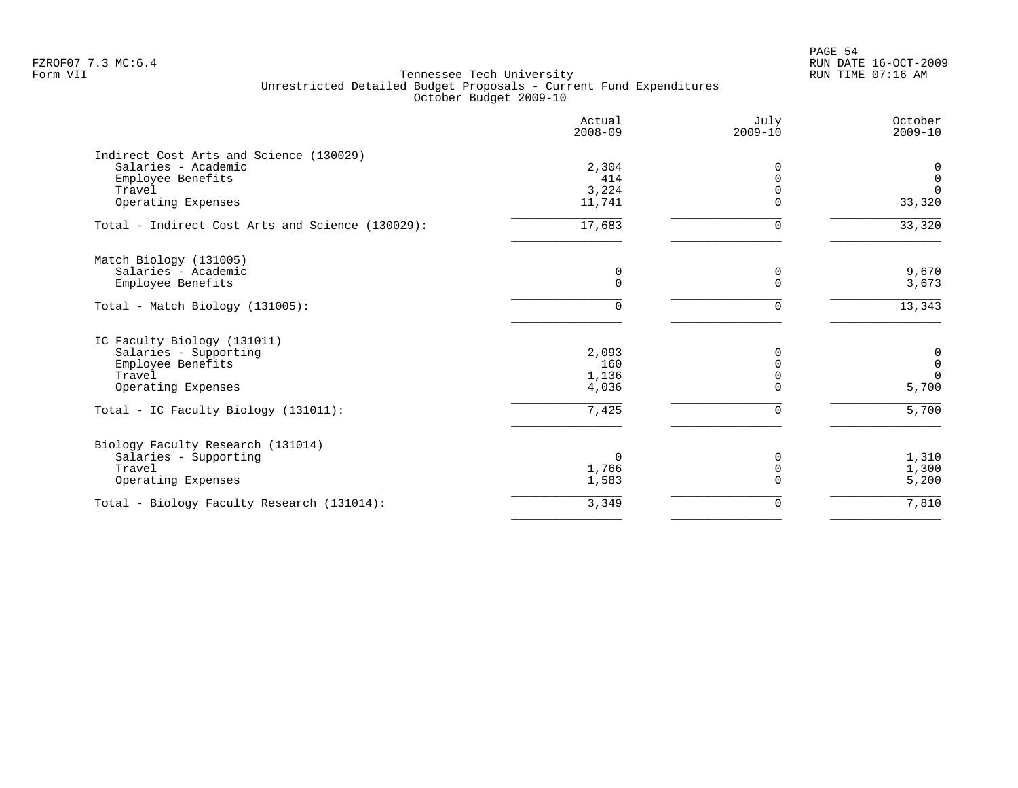PAGE 54 FZROF07 7.3 MC:6.4 RUN DATE 16-OCT-2009

|                                                  | Actual<br>$2008 - 09$ | July<br>$2009 - 10$ | October<br>$2009 - 10$ |
|--------------------------------------------------|-----------------------|---------------------|------------------------|
| Indirect Cost Arts and Science (130029)          |                       |                     |                        |
| Salaries - Academic                              | 2,304                 | 0                   | 0                      |
| Employee Benefits                                | 414                   |                     | $\mathsf 0$            |
| Travel                                           | 3,224                 |                     | $\Omega$               |
| Operating Expenses                               | 11,741                | $\Omega$            | 33,320                 |
| Total - Indirect Cost Arts and Science (130029): | 17,683                | $\Omega$            | 33,320                 |
| Match Biology (131005)                           |                       |                     |                        |
| Salaries - Academic                              | 0                     | 0                   | 9,670                  |
| Employee Benefits                                | $\mathbf 0$           |                     | 3,673                  |
| Total - Match Biology (131005):                  | 0                     | 0                   | 13,343                 |
| IC Faculty Biology (131011)                      |                       |                     |                        |
| Salaries - Supporting                            | 2,093                 | 0                   | $\mathbf 0$            |
| Employee Benefits                                | 160                   | U                   | $\mathsf 0$            |
| Travel                                           | 1,136                 |                     | $\Omega$               |
| Operating Expenses                               | 4,036                 |                     | 5,700                  |
| Total - IC Faculty Biology (131011):             | 7,425                 | $\Omega$            | 5,700                  |
| Biology Faculty Research (131014)                |                       |                     |                        |
| Salaries - Supporting                            | $\Omega$              | 0                   | 1,310                  |
| Travel                                           | 1,766                 | 0                   | 1,300                  |
| Operating Expenses                               | 1,583                 |                     | 5,200                  |
| Total - Biology Faculty Research (131014):       | 3,349                 | $\Omega$            | 7,810                  |
|                                                  |                       |                     |                        |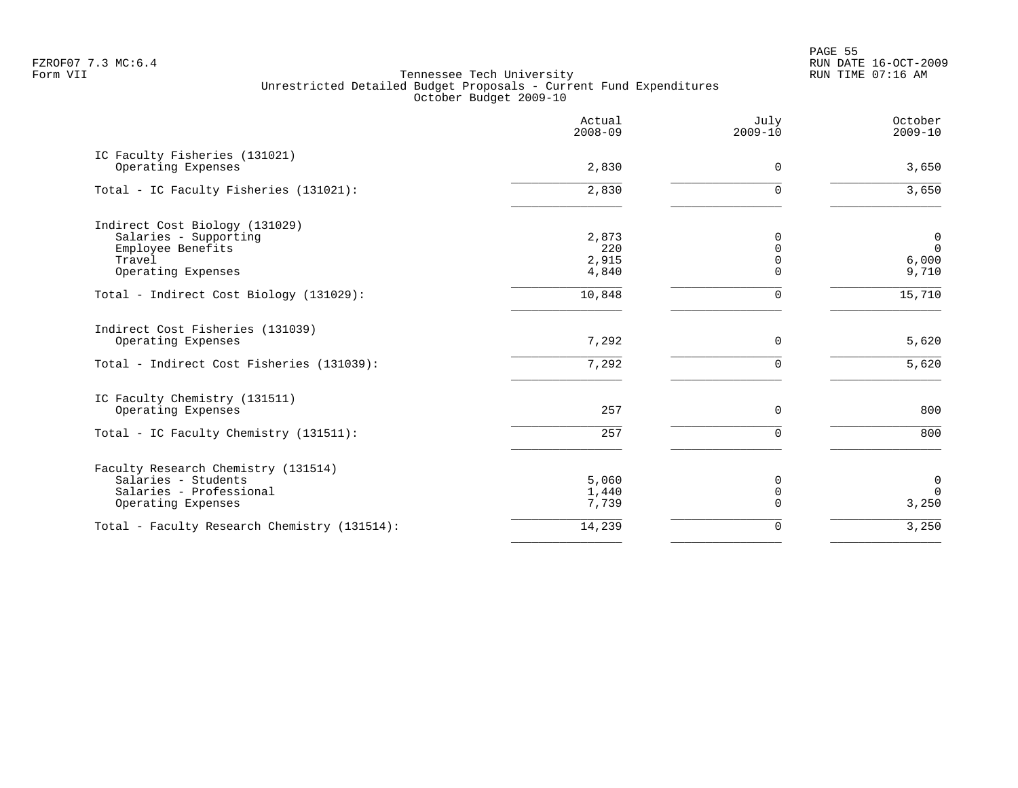en and the state of the state of the state of the state of the state of the state of the state of the state of the state of the state of the state of the state of the state of the state of the state of the state of the sta FZROF07 7.3 MC:6.4 RUN DATE 16-OCT-2009

|                                                     | Actual<br>$2008 - 09$ | July<br>$2009 - 10$ | October<br>$2009 - 10$ |
|-----------------------------------------------------|-----------------------|---------------------|------------------------|
| IC Faculty Fisheries (131021)<br>Operating Expenses | 2,830                 | 0                   | 3,650                  |
| Total - IC Faculty Fisheries (131021):              | 2,830                 | $\Omega$            | 3,650                  |
| Indirect Cost Biology (131029)                      |                       |                     |                        |
| Salaries - Supporting                               | 2,873                 | O                   | $\mathbf 0$            |
| Employee Benefits                                   | 220                   |                     | $\Omega$               |
| Travel                                              | 2,915                 |                     | 6,000                  |
| Operating Expenses                                  | 4,840                 |                     | 9,710                  |
| Total - Indirect Cost Biology (131029):             | 10,848                | 0                   | 15,710                 |
| Indirect Cost Fisheries (131039)                    | 7,292                 |                     |                        |
| Operating Expenses                                  |                       | 0                   | 5,620                  |
| Total - Indirect Cost Fisheries (131039):           | 7,292                 | $\Omega$            | 5,620                  |
| IC Faculty Chemistry (131511)                       |                       |                     |                        |
| Operating Expenses                                  | 257                   | 0                   | 800                    |
| Total - IC Faculty Chemistry (131511):              | 257                   | $\Omega$            | 800                    |
| Faculty Research Chemistry (131514)                 |                       |                     |                        |
| Salaries - Students                                 | 5,060                 | 0                   | $\mathbf 0$            |
| Salaries - Professional                             | 1,440                 | 0                   | $\Omega$               |
| Operating Expenses                                  | 7,739                 | $\Omega$            | 3,250                  |
| Total - Faculty Research Chemistry (131514):        | 14,239                | 0                   | 3,250                  |
|                                                     |                       |                     |                        |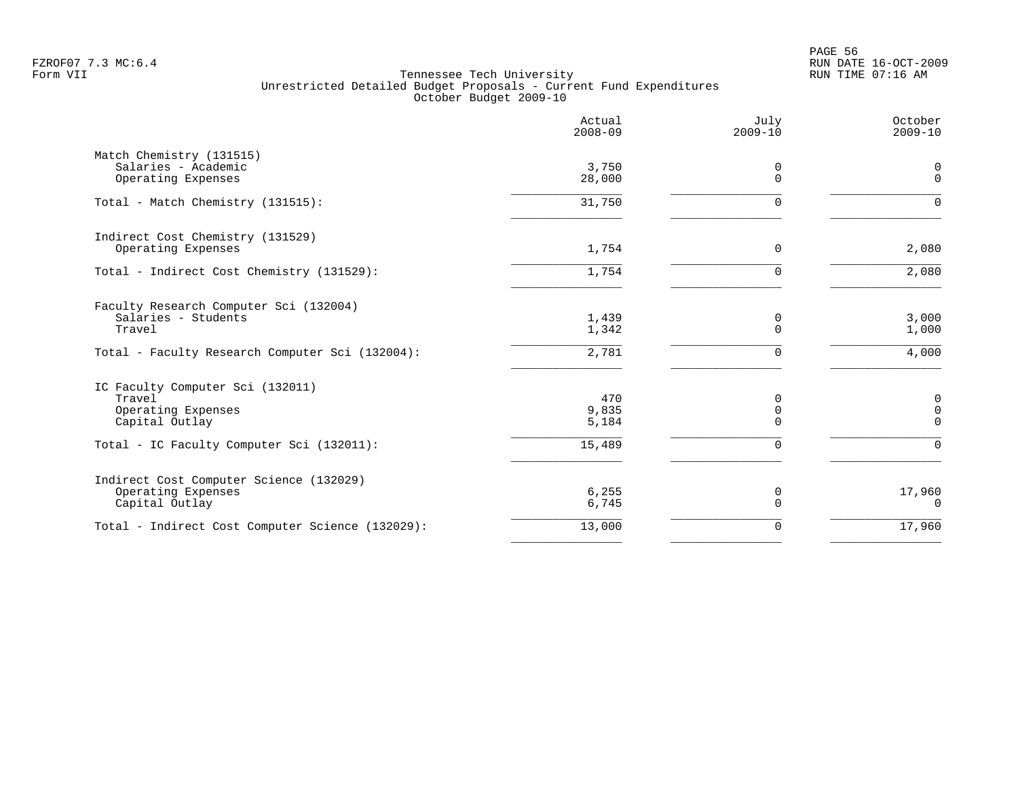PAGE 56 FZROF07 7.3 MC:6.4 RUN DATE 16-OCT-2009

|                                                  | Actual<br>$2008 - 09$ | July<br>$2009 - 10$     | October<br>$2009 - 10$     |
|--------------------------------------------------|-----------------------|-------------------------|----------------------------|
| Match Chemistry (131515)                         |                       |                         |                            |
| Salaries - Academic<br>Operating Expenses        | 3,750<br>28,000       | $\mathbf 0$<br>$\Omega$ | 0<br>$\mathbf 0$           |
| Total - Match Chemistry (131515):                | 31,750                | $\mathbf 0$             | $\Omega$                   |
| Indirect Cost Chemistry (131529)                 |                       |                         |                            |
| Operating Expenses                               | 1,754                 | 0                       | 2,080                      |
| Total - Indirect Cost Chemistry (131529):        | 1,754                 | $\mathbf 0$             | 2,080                      |
| Faculty Research Computer Sci (132004)           |                       |                         |                            |
| Salaries - Students<br>Travel                    | 1,439<br>1,342        | 0<br>$\overline{0}$     | 3,000<br>1,000             |
| Total - Faculty Research Computer Sci (132004):  | 2,781                 | $\mathbf 0$             | 4,000                      |
| IC Faculty Computer Sci (132011)                 |                       |                         |                            |
| Travel                                           | 470                   | 0                       | 0                          |
| Operating Expenses<br>Capital Outlay             | 9,835<br>5,184        | 0<br>$\mathbf 0$        | $\mathbf 0$<br>$\mathbf 0$ |
| Total - IC Faculty Computer Sci (132011):        | 15,489                | $\Omega$                | $\Omega$                   |
| Indirect Cost Computer Science (132029)          |                       |                         |                            |
| Operating Expenses<br>Capital Outlay             | 6, 255<br>6,745       | 0<br>$\Omega$           | 17,960<br>$\Omega$         |
| Total - Indirect Cost Computer Science (132029): | 13,000                | $\mathbf 0$             | 17,960                     |
|                                                  |                       |                         |                            |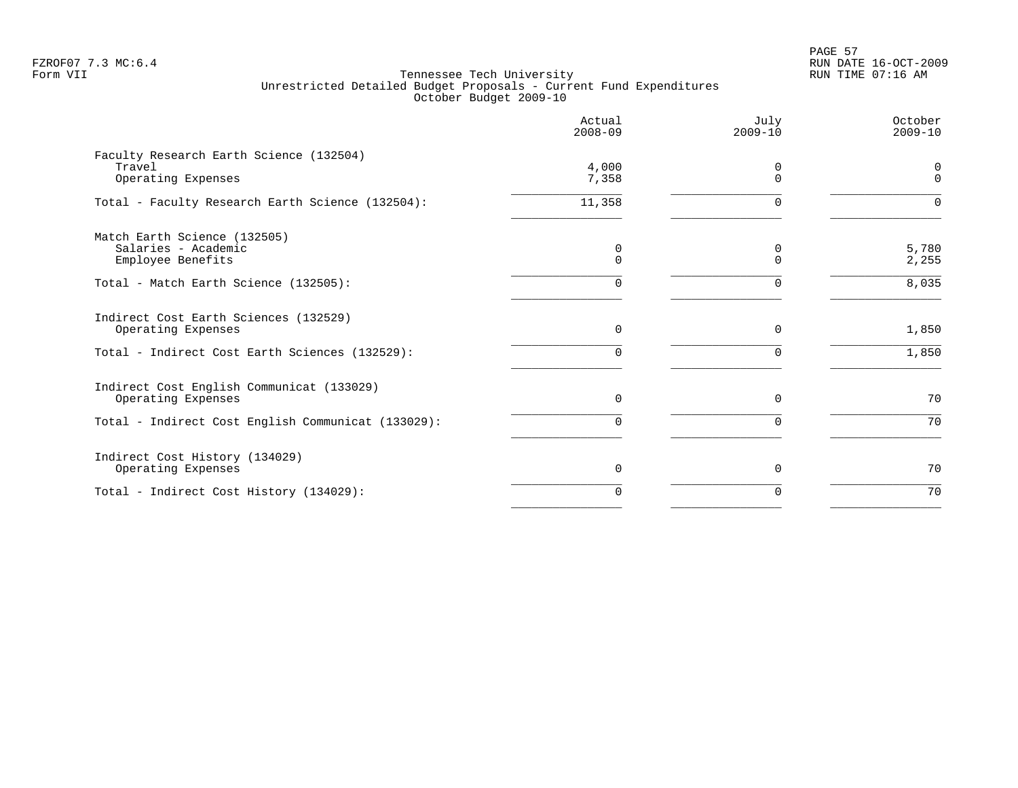PAGE 57 FZROF07 7.3 MC:6.4 RUN DATE 16-OCT-2009

|                                                                          | Actual<br>$2008 - 09$ | July<br>$2009 - 10$  | October<br>$2009 - 10$ |
|--------------------------------------------------------------------------|-----------------------|----------------------|------------------------|
| Faculty Research Earth Science (132504)<br>Travel<br>Operating Expenses  | 4,000<br>7,358        | $\Omega$<br>$\Omega$ | $\Omega$               |
| Total - Faculty Research Earth Science (132504):                         | 11,358                | <sup>n</sup>         |                        |
| Match Earth Science (132505)<br>Salaries - Academic<br>Employee Benefits | 0<br>$\Omega$         | 0<br>$\Omega$        | 5,780<br>2,255         |
| Total - Match Earth Science (132505):                                    | 0                     | $\Omega$             | 8,035                  |
| Indirect Cost Earth Sciences (132529)<br>Operating Expenses              | $\Omega$              | $\Omega$             | 1,850                  |
| Total - Indirect Cost Earth Sciences (132529):                           | 0                     | $\Omega$             | 1,850                  |
| Indirect Cost English Communicat (133029)<br>Operating Expenses          | $\Omega$              | $\Omega$             | 70                     |
| Total - Indirect Cost English Communicat (133029):                       | 0                     | $\Omega$             | 70                     |
| Indirect Cost History (134029)<br>Operating Expenses                     | $\Omega$              | $\Omega$             | 70                     |
| Total - Indirect Cost History (134029):                                  | 0                     | $\Omega$             | 70                     |
|                                                                          |                       |                      |                        |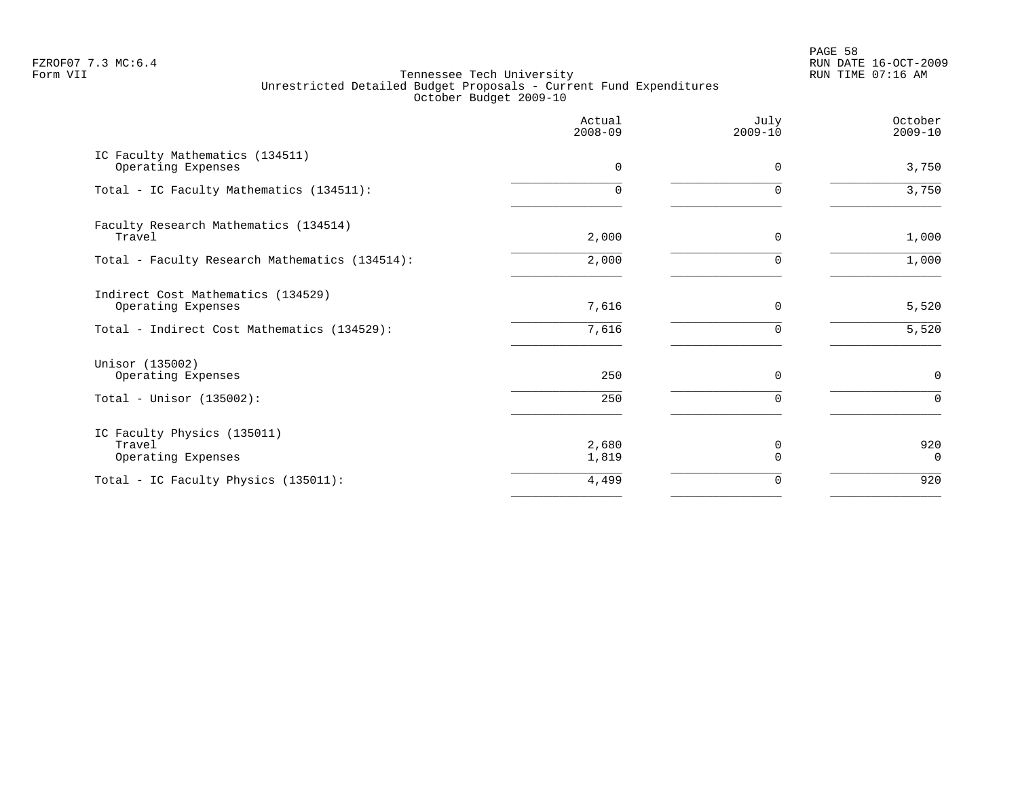PAGE 58 FZROF07 7.3 MC:6.4 RUN DATE 16-OCT-2009

|                                                             | Actual<br>$2008 - 09$ | July<br>$2009 - 10$ | October<br>$2009 - 10$ |
|-------------------------------------------------------------|-----------------------|---------------------|------------------------|
| IC Faculty Mathematics (134511)<br>Operating Expenses       | $\mathbf 0$           | 0                   | 3,750                  |
| Total - IC Faculty Mathematics (134511):                    | U                     | ∩                   | 3,750                  |
| Faculty Research Mathematics (134514)<br>Travel             | 2,000                 | 0                   | 1,000                  |
| Total - Faculty Research Mathematics (134514):              | 2,000                 | $\Omega$            | 1,000                  |
| Indirect Cost Mathematics (134529)<br>Operating Expenses    | 7,616                 | 0                   | 5,520                  |
| Total - Indirect Cost Mathematics (134529):                 | 7,616                 | $\Omega$            | 5,520                  |
| Unisor (135002)<br>Operating Expenses                       | 250                   | $\Omega$            | $\mathbf 0$            |
| Total - Unisor $(135002)$ :                                 | 250                   | 0                   | $\mathbf 0$            |
| IC Faculty Physics (135011)<br>Travel<br>Operating Expenses | 2,680<br>1,819        | 0<br>$\Omega$       | 920<br>$\overline{0}$  |
| Total - IC Faculty Physics (135011):                        | 4,499                 | 0                   | 920                    |
|                                                             |                       |                     |                        |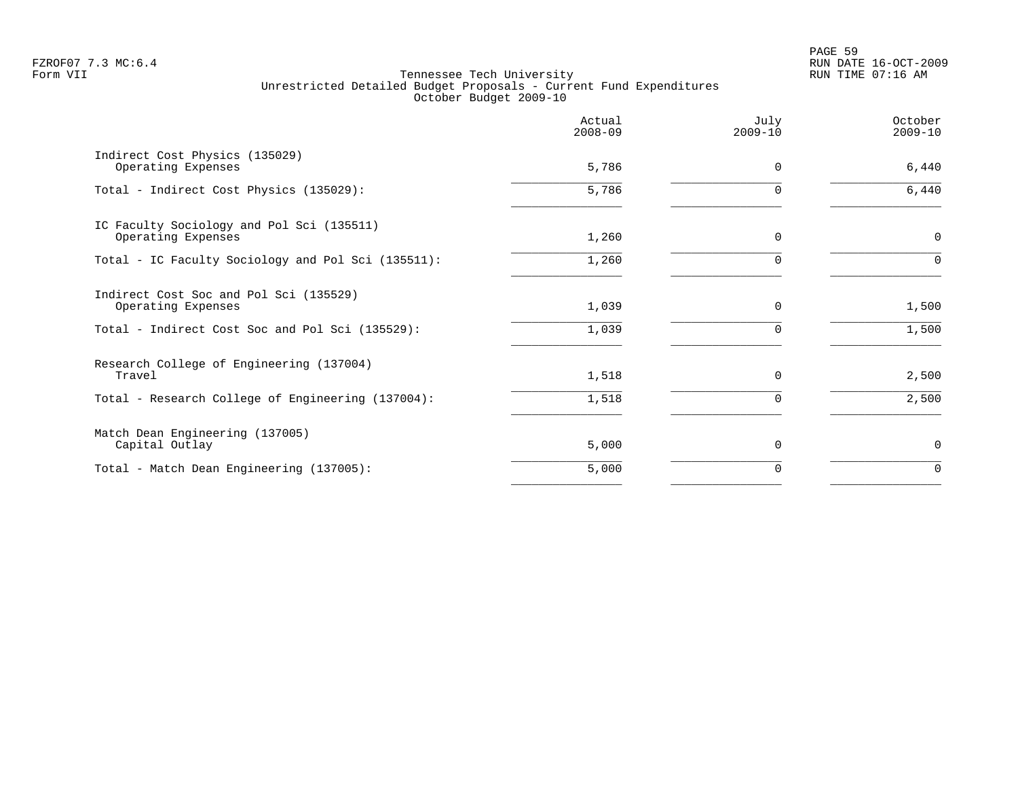|                                                                 | Actual<br>$2008 - 09$ | July<br>$2009 - 10$ | October<br>$2009 - 10$ |
|-----------------------------------------------------------------|-----------------------|---------------------|------------------------|
| Indirect Cost Physics (135029)<br>Operating Expenses            | 5,786                 | $\Omega$            | 6,440                  |
| Total - Indirect Cost Physics (135029):                         | 5,786                 | $\Omega$            | $6,440$                |
| IC Faculty Sociology and Pol Sci (135511)<br>Operating Expenses | 1,260                 | $\Omega$            | $\mathbf 0$            |
| Total - IC Faculty Sociology and Pol Sci (135511):              | 1,260                 | 0                   | $\Omega$               |
| Indirect Cost Soc and Pol Sci (135529)<br>Operating Expenses    | 1,039                 | $\Omega$            | 1,500                  |
| Total - Indirect Cost Soc and Pol Sci (135529):                 | 1,039                 | 0                   | 1,500                  |
| Research College of Engineering (137004)<br>Travel              | 1,518                 | $\Omega$            | 2,500                  |
| Total - Research College of Engineering (137004):               | 1,518                 | 0                   | 2,500                  |
| Match Dean Engineering (137005)<br>Capital Outlay               | 5,000                 | $\Omega$            | 0                      |
| Total - Match Dean Engineering (137005):                        | 5,000                 | 0                   | $\Omega$               |
|                                                                 |                       |                     |                        |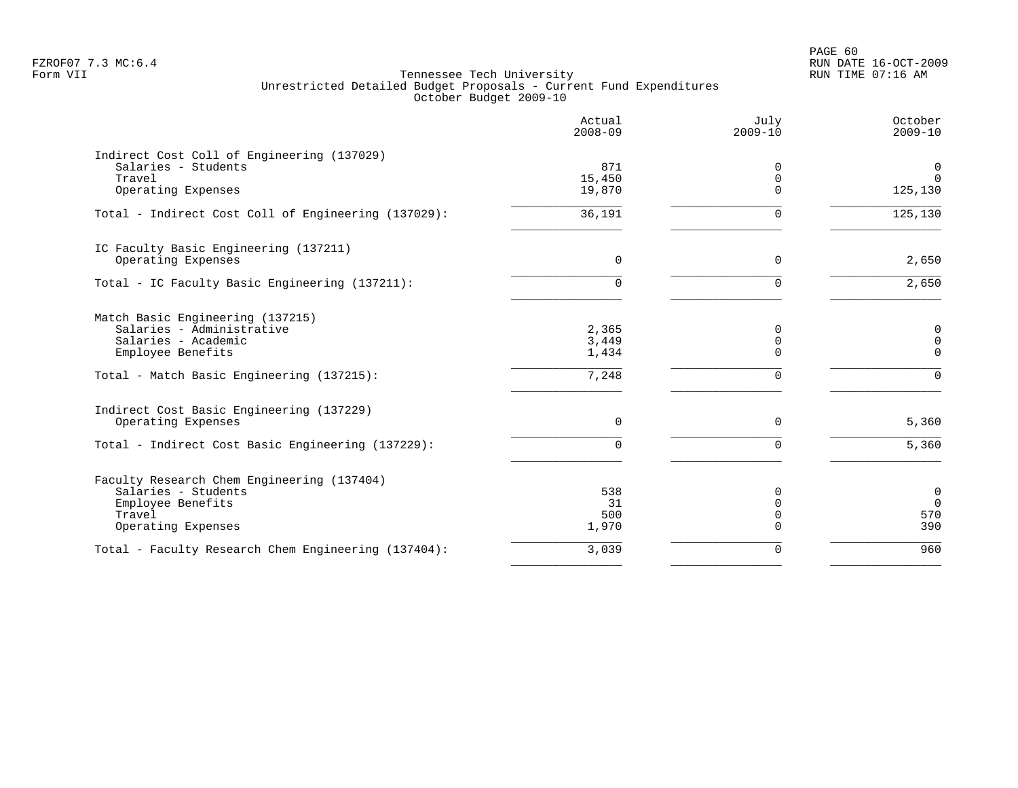PAGE 60 FZROF07 7.3 MC:6.4 RUN DATE 16-OCT-2009

|                                                                                                                                                        | Actual<br>$2008 - 09$            | July<br>$2009 - 10$                      | October<br>$2009 - 10$                             |
|--------------------------------------------------------------------------------------------------------------------------------------------------------|----------------------------------|------------------------------------------|----------------------------------------------------|
| Indirect Cost Coll of Engineering (137029)<br>Salaries - Students<br>Travel<br>Operating Expenses                                                      | 871<br>15,450<br>19,870          | $\Omega$<br>0<br>$\Omega$                | 0<br>$\Omega$<br>125,130                           |
| Total - Indirect Cost Coll of Engineering (137029):                                                                                                    | 36,191                           | $\Omega$                                 | 125, 130                                           |
| IC Faculty Basic Engineering (137211)<br>Operating Expenses                                                                                            | $\Omega$                         | $\Omega$                                 | 2,650                                              |
| Total - IC Faculty Basic Engineering (137211):                                                                                                         | $\Omega$                         | $\Omega$                                 | 2,650                                              |
| Match Basic Engineering (137215)<br>Salaries - Administrative<br>Salaries - Academic<br>Employee Benefits<br>Total - Match Basic Engineering (137215): | 2,365<br>3,449<br>1,434<br>7,248 | 0<br>$\mathbf 0$<br>$\Omega$<br>$\Omega$ | $\mathbf 0$<br>$\mathbf 0$<br>$\Omega$<br>$\Omega$ |
| Indirect Cost Basic Engineering (137229)<br>Operating Expenses                                                                                         | 0                                | $\Omega$                                 | 5,360                                              |
| Total - Indirect Cost Basic Engineering (137229):                                                                                                      | 0                                | $\Omega$                                 | 5,360                                              |
| Faculty Research Chem Engineering (137404)<br>Salaries - Students<br>Employee Benefits<br>Travel<br>Operating Expenses                                 | 538<br>31<br>500<br>1,970        | 0<br>$\Omega$<br>$\mathbf 0$<br>$\Omega$ | $\mathbf 0$<br>$\overline{0}$<br>570<br>390        |
| Total - Faculty Research Chem Engineering (137404):                                                                                                    | 3,039                            | $\Omega$                                 | 960                                                |
|                                                                                                                                                        |                                  |                                          |                                                    |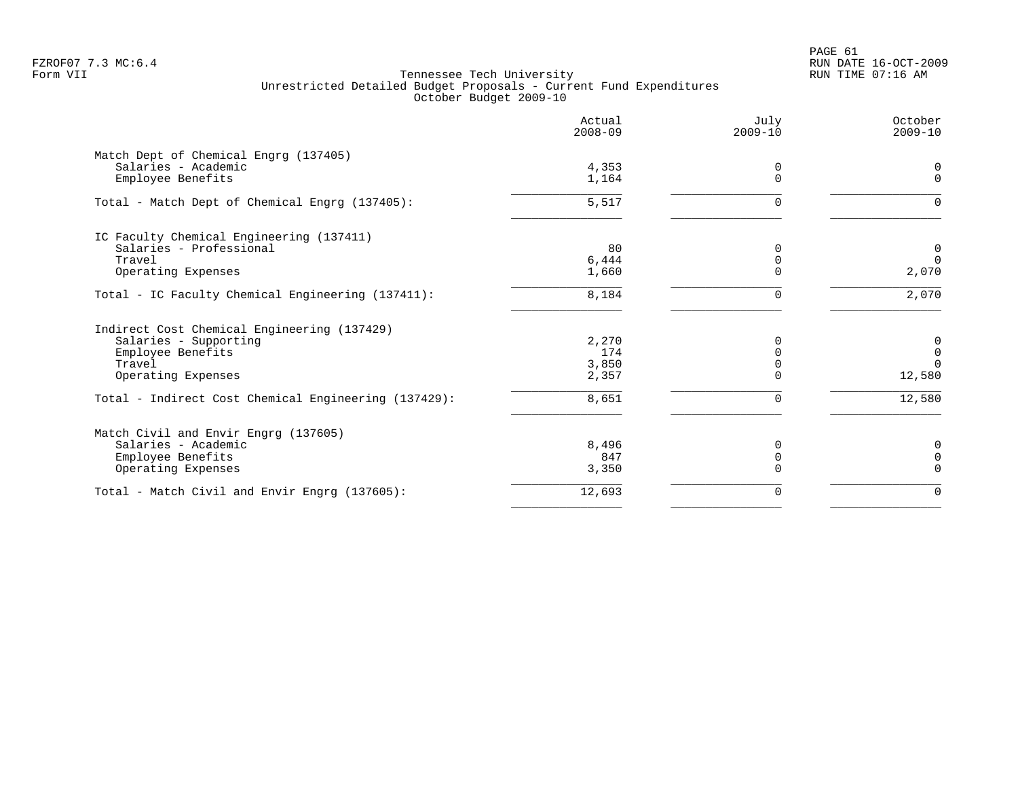PAGE 61 FZROF07 7.3 MC:6.4 RUN DATE 16-OCT-2009

|                                                      | Actual<br>$2008 - 09$ | July<br>$2009 - 10$ | October<br>$2009 - 10$ |
|------------------------------------------------------|-----------------------|---------------------|------------------------|
| Match Dept of Chemical Engrg (137405)                |                       |                     |                        |
| Salaries - Academic                                  | 4,353                 | 0<br>$\Omega$       | $\Omega$<br>$\Omega$   |
| Employee Benefits                                    | 1,164                 |                     |                        |
| Total - Match Dept of Chemical Engrg (137405):       | 5,517                 | <sup>n</sup>        | <sup>n</sup>           |
| IC Faculty Chemical Engineering (137411)             |                       |                     |                        |
| Salaries - Professional                              | 80                    | $\Omega$            | 0                      |
| Travel                                               | 6,444                 | $\Omega$            | $\Omega$               |
| Operating Expenses                                   | 1,660                 | $\Omega$            | 2,070                  |
| Total - IC Faculty Chemical Engineering (137411):    | 8,184                 | $\Omega$            | 2,070                  |
| Indirect Cost Chemical Engineering (137429)          |                       |                     |                        |
| Salaries - Supporting                                | 2,270                 |                     | 0                      |
| Employee Benefits                                    | 174                   |                     | 0                      |
| Travel                                               | 3,850                 |                     | $\Omega$               |
| Operating Expenses                                   | 2,357                 | $\Omega$            | 12,580                 |
| Total - Indirect Cost Chemical Engineering (137429): | 8,651                 | $\Omega$            | 12,580                 |
| Match Civil and Envir Engrg (137605)                 |                       |                     |                        |
| Salaries - Academic                                  | 8,496                 |                     | 0                      |
| Employee Benefits                                    | 847                   | 0                   | $\Omega$               |
| Operating Expenses                                   | 3,350                 | $\Omega$            | $\Omega$               |
| Total - Match Civil and Envir Engrg (137605):        | 12,693                | $\Omega$            | $\Omega$               |
|                                                      |                       |                     |                        |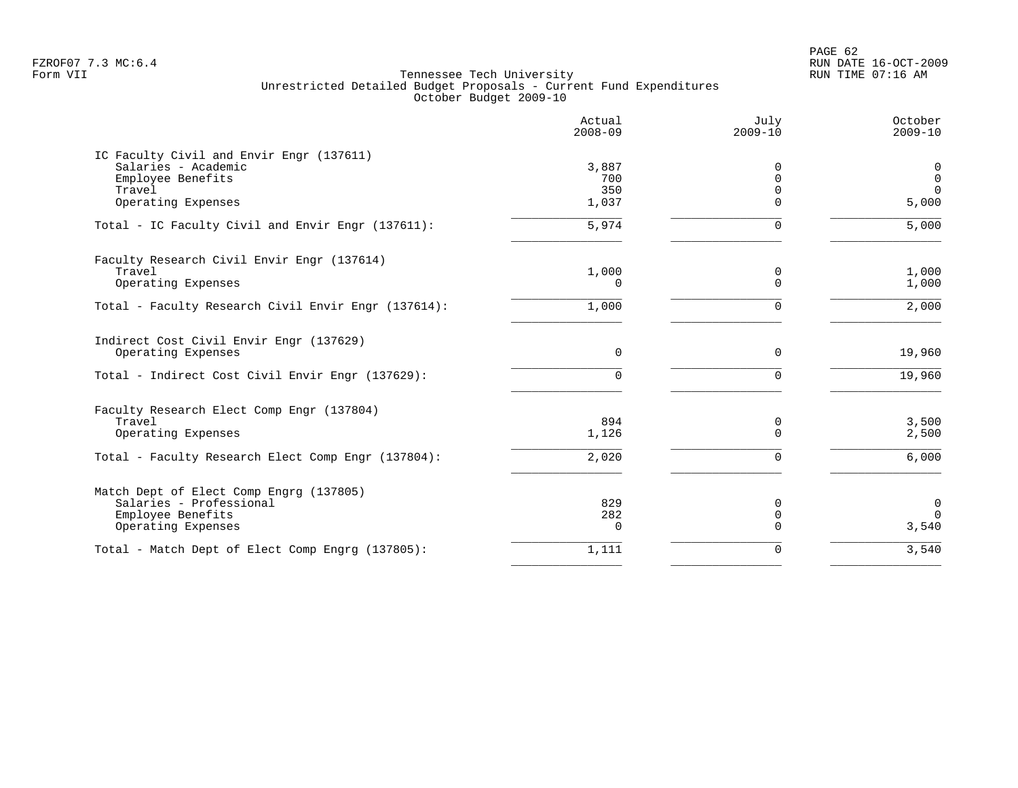PAGE 62 FZROF07 7.3 MC:6.4 RUN DATE 16-OCT-2009

|                                                     | Actual<br>$2008 - 09$ | July<br>$2009 - 10$  | October<br>$2009 - 10$ |
|-----------------------------------------------------|-----------------------|----------------------|------------------------|
| IC Faculty Civil and Envir Engr (137611)            |                       |                      |                        |
| Salaries - Academic                                 | 3,887                 | <sup>0</sup>         | $\mathbf 0$            |
| Employee Benefits                                   | 700                   | $\mathbf 0$          | $\mathbf 0$            |
| Travel<br>Operating Expenses                        | 350<br>1,037          | $\Omega$<br>$\Omega$ | $\Omega$<br>5,000      |
| Total - IC Faculty Civil and Envir Engr (137611):   | 5,974                 | $\Omega$             | 5,000                  |
| Faculty Research Civil Envir Engr (137614)          |                       |                      |                        |
| Travel                                              | 1,000                 | 0                    | 1,000                  |
| Operating Expenses                                  | $\Omega$              | $\Omega$             | 1,000                  |
| Total - Faculty Research Civil Envir Engr (137614): | 1,000                 | $\mathbf 0$          | 2,000                  |
| Indirect Cost Civil Envir Engr (137629)             |                       |                      |                        |
| Operating Expenses                                  | 0                     | $\Omega$             | 19,960                 |
| Total - Indirect Cost Civil Envir Engr (137629):    | 0                     | $\Omega$             | 19,960                 |
| Faculty Research Elect Comp Engr (137804)           |                       |                      |                        |
| Travel                                              | 894                   | 0                    | 3,500                  |
| Operating Expenses                                  | 1,126                 | $\Omega$             | 2,500                  |
| Total - Faculty Research Elect Comp Engr (137804):  | 2,020                 | $\Omega$             | 6,000                  |
| Match Dept of Elect Comp Engrg (137805)             |                       |                      |                        |
| Salaries - Professional                             | 829                   | $\Omega$             | 0                      |
| Employee Benefits                                   | 282                   | $\mathbf 0$          | $\Omega$               |
| Operating Expenses                                  | $\Omega$              | $\Omega$             | 3,540                  |
| Total - Match Dept of Elect Comp Engrg (137805):    | 1,111                 | $\Omega$             | 3,540                  |
|                                                     |                       |                      |                        |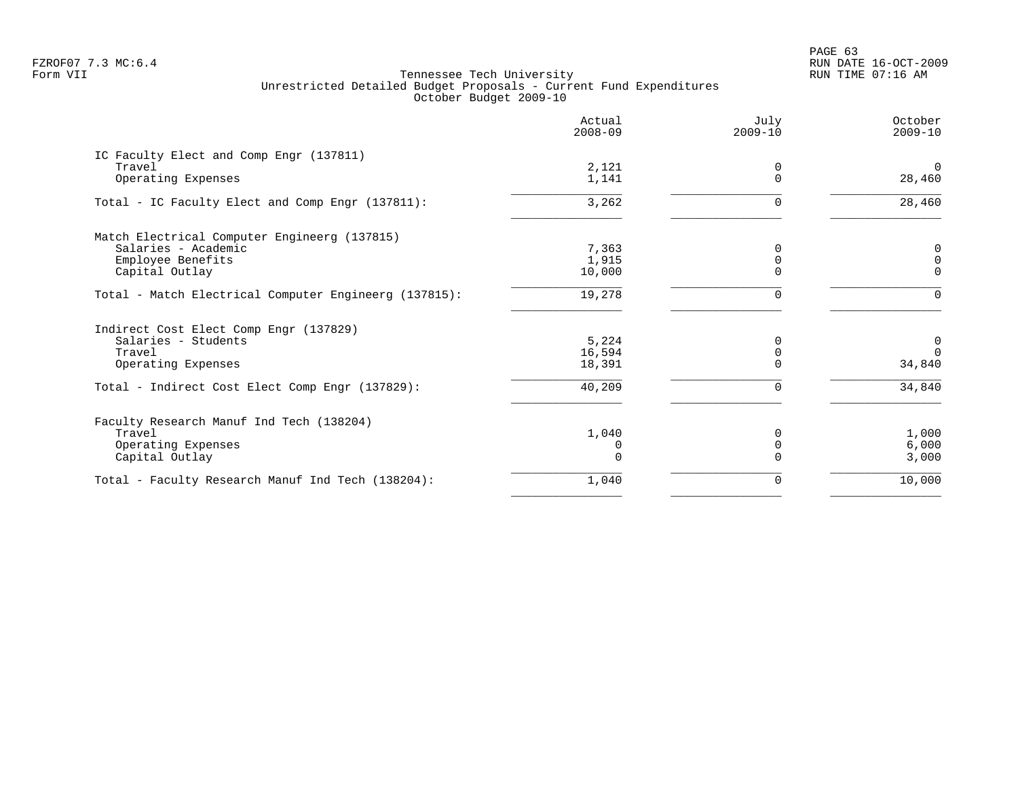PAGE 63 FZROF07 7.3 MC:6.4 RUN DATE 16-OCT-2009

|                                                       | Actual<br>$2008 - 09$ | July<br>$2009 - 10$  | October<br>$2009 - 10$ |
|-------------------------------------------------------|-----------------------|----------------------|------------------------|
| IC Faculty Elect and Comp Engr (137811)<br>Travel     |                       |                      | $\Omega$               |
| Operating Expenses                                    | 2,121<br>1,141        | $\Omega$<br>$\Omega$ | 28,460                 |
| Total - IC Faculty Elect and Comp Engr (137811):      | 3,262                 | 0                    | 28,460                 |
| Match Electrical Computer Engineerg (137815)          |                       |                      |                        |
| Salaries - Academic                                   | 7,363                 | $\Omega$             | 0                      |
| Employee Benefits                                     | 1,915                 | $\Omega$<br>$\Omega$ | $\Omega$<br>$\Omega$   |
| Capital Outlay                                        | 10,000                |                      |                        |
| Total - Match Electrical Computer Engineerg (137815): | 19,278                | $\Omega$             | $\Omega$               |
| Indirect Cost Elect Comp Engr (137829)                |                       |                      |                        |
| Salaries - Students                                   | 5,224                 | $\Omega$             | 0                      |
| Travel                                                | 16,594                | 0                    | $\Omega$               |
| Operating Expenses                                    | 18,391                | $\Omega$             | 34,840                 |
| Total - Indirect Cost Elect Comp Engr (137829):       | 40,209                |                      | 34,840                 |
| Faculty Research Manuf Ind Tech (138204)              |                       |                      |                        |
| Travel                                                | 1,040                 | <sup>0</sup>         | 1,000                  |
| Operating Expenses                                    | 0                     |                      | 6,000                  |
| Capital Outlay                                        | $\Omega$              |                      | 3,000                  |
| Total - Faculty Research Manuf Ind Tech (138204):     | 1,040                 | 0                    | 10,000                 |
|                                                       |                       |                      |                        |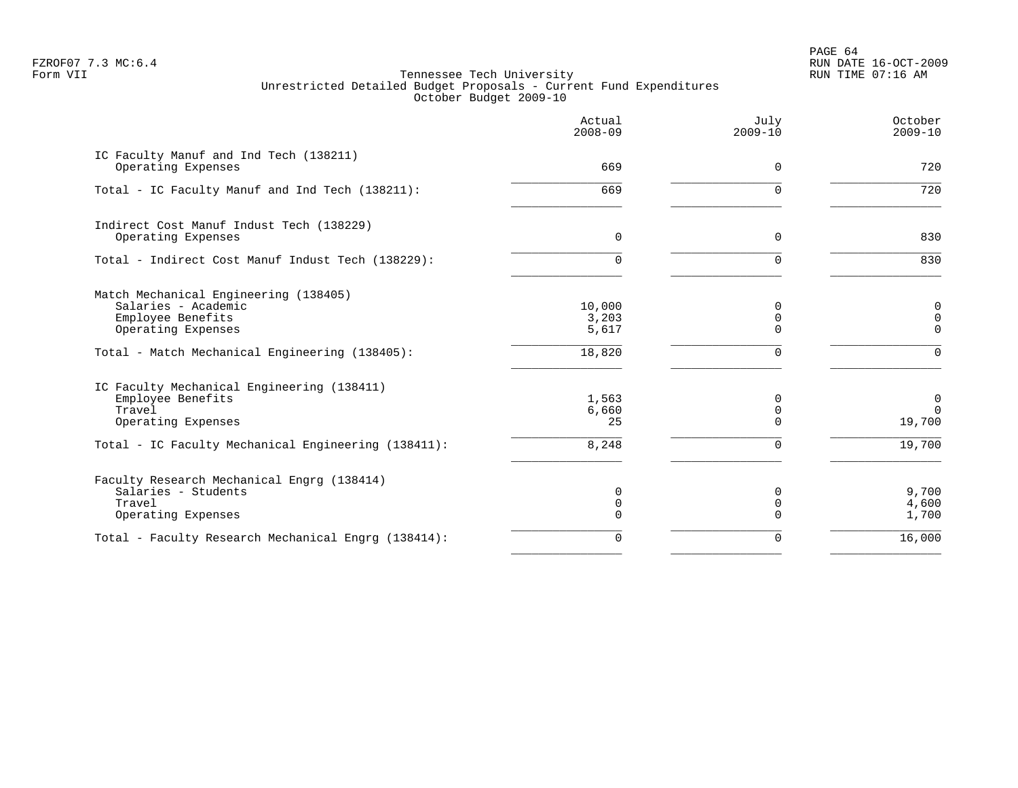PAGE 64 FZROF07 7.3 MC:6.4 RUN DATE 16-OCT-2009

|                                                                                                         | Actual<br>$2008 - 09$        | July<br>$2009 - 10$       | October<br>$2009 - 10$               |
|---------------------------------------------------------------------------------------------------------|------------------------------|---------------------------|--------------------------------------|
| IC Faculty Manuf and Ind Tech (138211)<br>Operating Expenses                                            | 669                          | $\Omega$                  | 720                                  |
| Total - IC Faculty Manuf and Ind Tech (138211):                                                         | 669                          | U                         | 720                                  |
| Indirect Cost Manuf Indust Tech (138229)<br>Operating Expenses                                          | 0                            | 0                         | 830                                  |
| Total - Indirect Cost Manuf Indust Tech (138229):                                                       | $\Omega$                     | $\Omega$                  | 830                                  |
| Match Mechanical Engineering (138405)<br>Salaries - Academic<br>Employee Benefits<br>Operating Expenses | 10,000<br>3,203<br>5,617     | $\Omega$<br>$\Omega$      | 0<br>$\mathsf{O}\xspace$<br>$\Omega$ |
| Total - Match Mechanical Engineering (138405):                                                          | 18,820                       | U                         | $\Omega$                             |
| IC Faculty Mechanical Engineering (138411)<br>Employee Benefits<br>Travel<br>Operating Expenses         | 1,563<br>6,660<br>25         | $\Omega$<br>0<br>$\Omega$ | $\overline{0}$<br>$\Omega$<br>19,700 |
| Total - IC Faculty Mechanical Engineering (138411):                                                     | 8,248                        | $\Omega$                  | 19,700                               |
| Faculty Research Mechanical Engrg (138414)<br>Salaries - Students<br>Travel<br>Operating Expenses       | 0<br>$\mathbf 0$<br>$\Omega$ | O<br>0                    | 9,700<br>4,600<br>1,700              |
| Total - Faculty Research Mechanical Engrg (138414):                                                     | $\Omega$                     | $\Omega$                  | 16,000                               |
|                                                                                                         |                              |                           |                                      |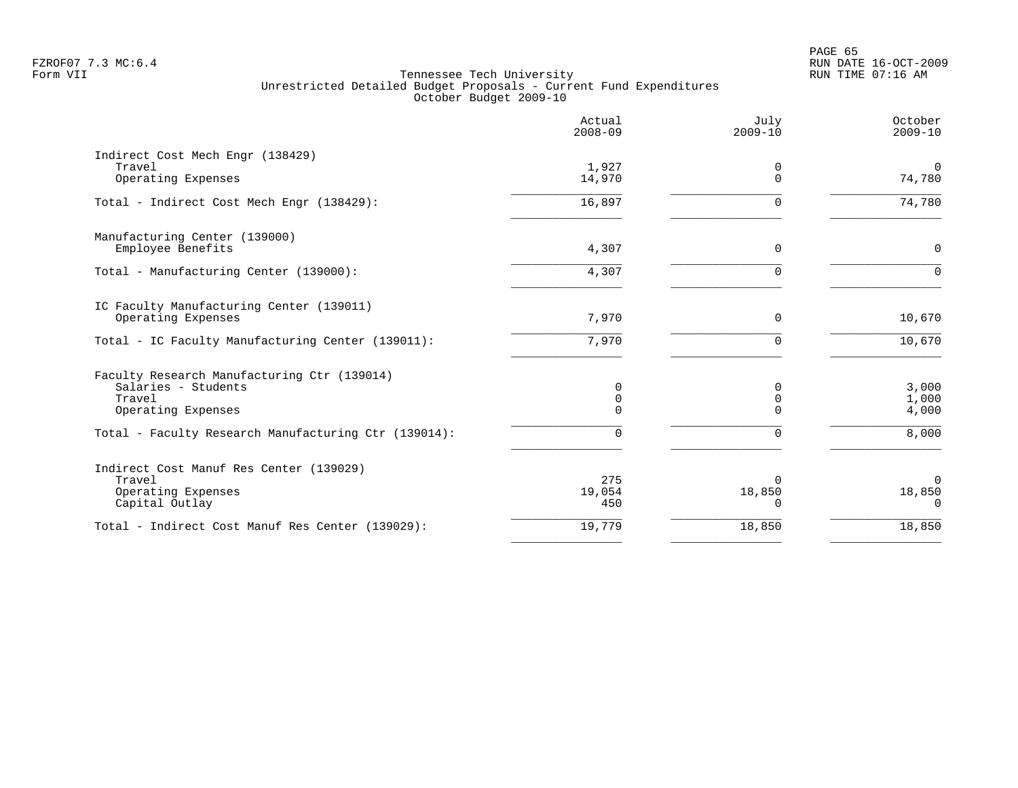|                                                                                                    | Actual<br>$2008 - 09$ | July<br>$2009 - 10$            | October<br>$2009 - 10$         |
|----------------------------------------------------------------------------------------------------|-----------------------|--------------------------------|--------------------------------|
| Indirect Cost Mech Engr (138429)<br>Travel<br>Operating Expenses                                   | 1,927<br>14,970       | $\Omega$<br>$\Omega$           | $\Omega$<br>74,780             |
| Total - Indirect Cost Mech Engr (138429):                                                          | 16,897                | $\Omega$                       | 74,780                         |
| Manufacturing Center (139000)<br>Employee Benefits                                                 | 4,307                 | $\mathbf 0$                    | $\mathbf 0$                    |
| Total - Manufacturing Center (139000):                                                             | 4,307                 | $\Omega$                       | $\Omega$                       |
| IC Faculty Manufacturing Center (139011)<br>Operating Expenses                                     | 7,970                 | 0                              | 10,670                         |
| Total - IC Faculty Manufacturing Center (139011):                                                  | 7,970                 | $\mathbf 0$                    | 10,670                         |
| Faculty Research Manufacturing Ctr (139014)<br>Salaries - Students<br>Travel<br>Operating Expenses | 0<br>0<br>0           | n<br>0                         | 3,000<br>1,000<br>4,000        |
| Total - Faculty Research Manufacturing Ctr (139014):                                               | $\Omega$              | $\Omega$                       | 8,000                          |
| Indirect Cost Manuf Res Center (139029)<br>Travel<br>Operating Expenses<br>Capital Outlay          | 275<br>19,054<br>450  | $\Omega$<br>18,850<br>$\Omega$ | $\Omega$<br>18,850<br>$\Omega$ |
| Total - Indirect Cost Manuf Res Center (139029):                                                   | 19,779                | 18,850                         | 18,850                         |
|                                                                                                    |                       |                                |                                |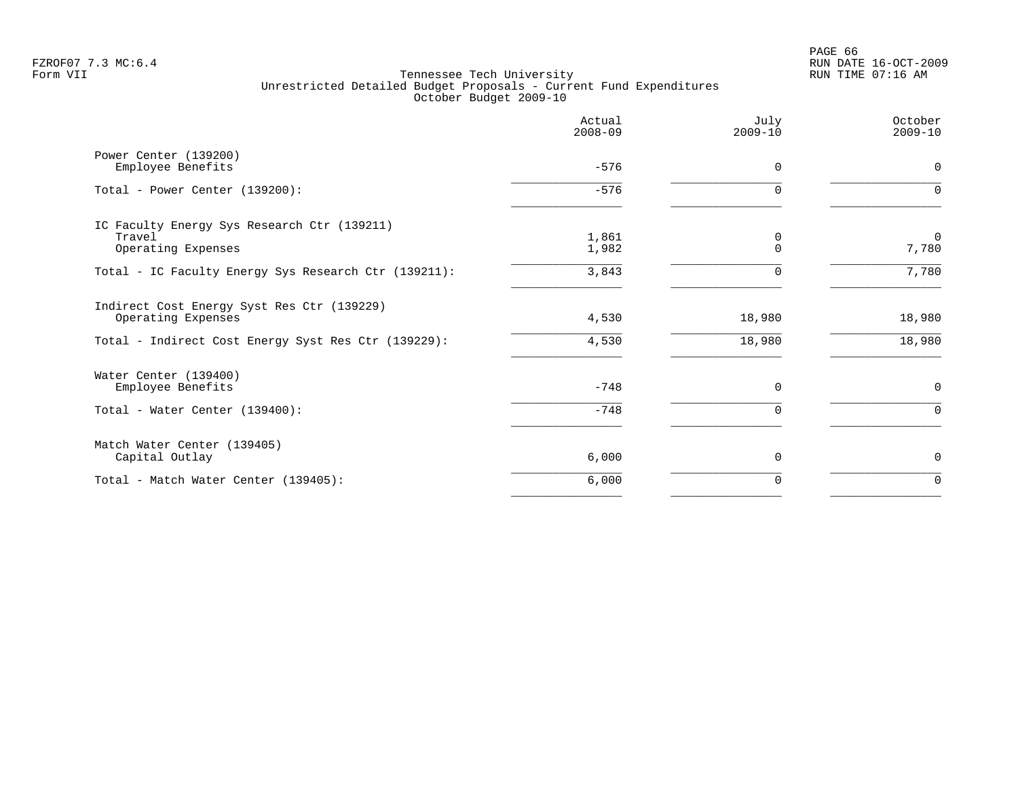PAGE 66 FZROF07 7.3 MC:6.4 RUN DATE 16-OCT-2009

|                                                      | Actual<br>$2008 - 09$ | July<br>$2009 - 10$ | October<br>$2009 - 10$ |
|------------------------------------------------------|-----------------------|---------------------|------------------------|
| Power Center (139200)                                | $-576$                | $\Omega$            | $\mathbf 0$            |
| Employee Benefits                                    |                       |                     |                        |
| Total - Power Center (139200):                       | $-576$                | $\Omega$            | $\Omega$               |
| IC Faculty Energy Sys Research Ctr (139211)          |                       |                     |                        |
| Travel                                               | 1,861                 | 0                   | $\mathbf 0$            |
| Operating Expenses                                   | 1,982                 | $\Omega$            | 7,780                  |
| Total - IC Faculty Energy Sys Research Ctr (139211): | 3,843                 |                     | 7,780                  |
| Indirect Cost Energy Syst Res Ctr (139229)           |                       |                     |                        |
| Operating Expenses                                   | 4,530                 | 18,980              | 18,980                 |
| Total - Indirect Cost Energy Syst Res Ctr (139229):  | 4,530                 | 18,980              | 18,980                 |
| Water Center (139400)                                |                       |                     |                        |
| Employee Benefits                                    | $-748$                | 0                   | $\mathbf 0$            |
| Total - Water Center (139400):                       | $-748$                | $\Omega$            | $\Omega$               |
| Match Water Center (139405)                          |                       |                     |                        |
| Capital Outlay                                       | 6,000                 | $\mathbf 0$         | $\mathbf 0$            |
| Total - Match Water Center (139405):                 | 6,000                 | 0                   | $\mathbf 0$            |
|                                                      |                       |                     |                        |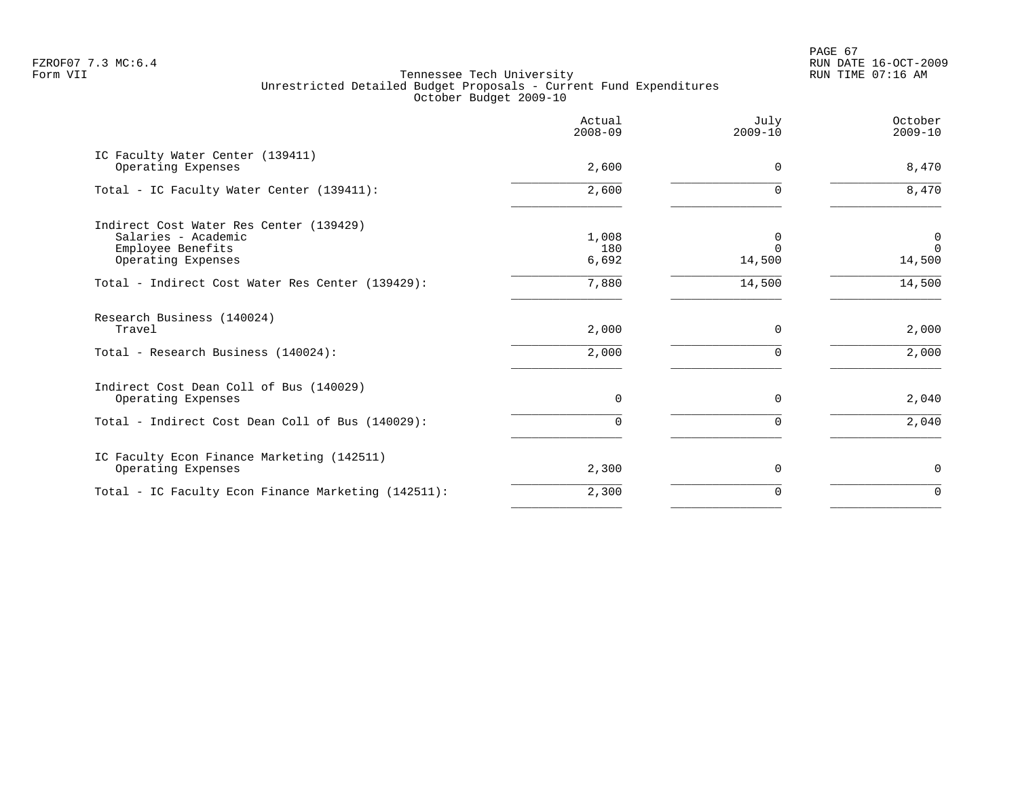PAGE 67 FZROF07 7.3 MC:6.4 RUN DATE 16-OCT-2009

|                                                                                                                   | Actual<br>$2008 - 09$ | July<br>$2009 - 10$     | October<br>$2009 - 10$               |
|-------------------------------------------------------------------------------------------------------------------|-----------------------|-------------------------|--------------------------------------|
| IC Faculty Water Center (139411)<br>Operating Expenses                                                            | 2,600                 | 0                       | 8,470                                |
| Total - IC Faculty Water Center (139411):                                                                         | 2,600                 | $\Omega$                | 8,470                                |
| Indirect Cost Water Res Center (139429)<br>Salaries - Academic<br>Employee Benefits<br>Operating Expenses         | 1,008<br>180<br>6,692 | 0<br>$\Omega$<br>14,500 | $\overline{0}$<br>$\Omega$<br>14,500 |
| Total - Indirect Cost Water Res Center (139429):                                                                  | 7,880                 | 14,500                  | 14,500                               |
| Research Business (140024)<br>Travel<br>Total - Research Business (140024):                                       | 2,000<br>2,000        | $\Omega$                | 2,000<br>2,000                       |
| Indirect Cost Dean Coll of Bus (140029)<br>Operating Expenses<br>Total - Indirect Cost Dean Coll of Bus (140029): | $\Omega$<br>$\Omega$  | $\Omega$<br>$\Omega$    | 2,040<br>2,040                       |
|                                                                                                                   |                       |                         |                                      |
| IC Faculty Econ Finance Marketing (142511)<br>Operating Expenses                                                  | 2,300                 | $\Omega$                | $\mathbf 0$                          |
| Total - IC Faculty Econ Finance Marketing (142511):                                                               | 2,300                 | O                       | $\Omega$                             |
|                                                                                                                   |                       |                         |                                      |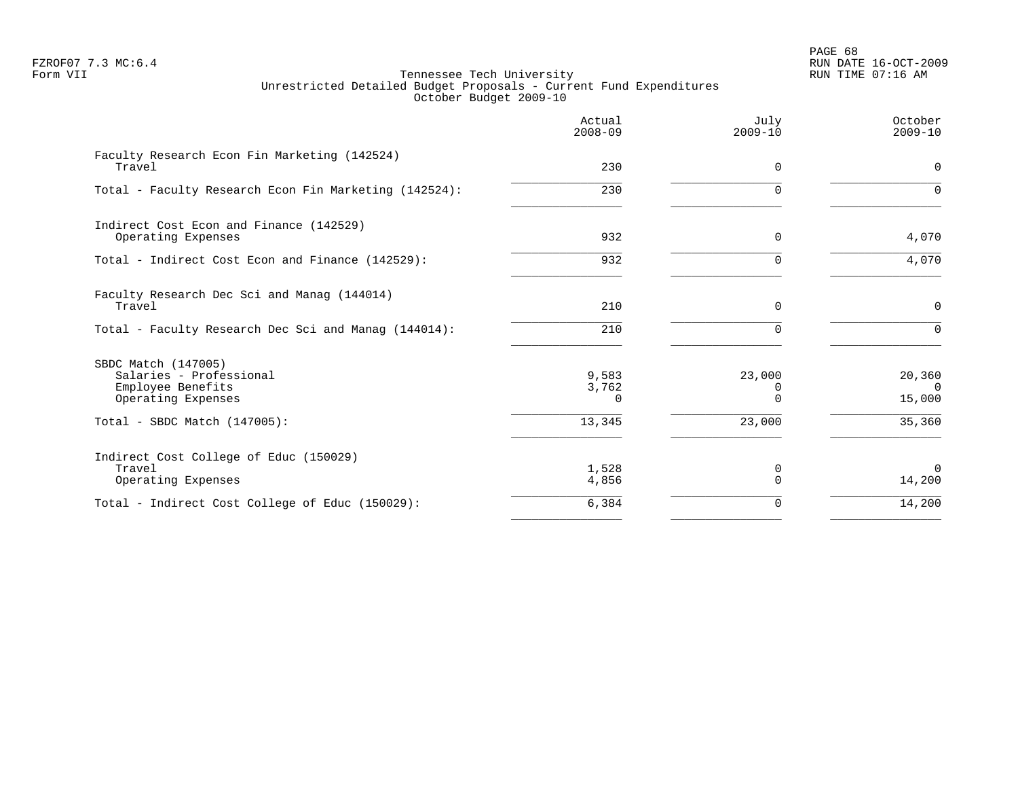PAGE 68 FZROF07 7.3 MC:6.4 RUN DATE 16-OCT-2009

|                                                                                           | Actual<br>$2008 - 09$      | July<br>$2009 - 10$     | October<br>$2009 - 10$       |
|-------------------------------------------------------------------------------------------|----------------------------|-------------------------|------------------------------|
| Faculty Research Econ Fin Marketing (142524)<br>Travel                                    | 230                        | 0                       | $\mathbf 0$                  |
| Total - Faculty Research Econ Fin Marketing (142524):                                     | 230                        | $\Omega$                | $\Omega$                     |
| Indirect Cost Econ and Finance (142529)<br>Operating Expenses                             | 932                        | $\Omega$                | 4,070                        |
| Total - Indirect Cost Econ and Finance (142529):                                          | 932                        |                         | 4,070                        |
| Faculty Research Dec Sci and Manag (144014)<br>Travel                                     | 210                        | $\Omega$                | $\mathbf 0$                  |
| Total - Faculty Research Dec Sci and Manag (144014):                                      | 210                        | $\Omega$                | $\Omega$                     |
| SBDC Match (147005)<br>Salaries - Professional<br>Employee Benefits<br>Operating Expenses | 9,583<br>3,762<br>$\Omega$ | 23,000<br>0<br>$\Omega$ | 20,360<br>$\Omega$<br>15,000 |
| Total - SBDC Match $(147005)$ :                                                           | 13,345                     | 23,000                  | 35,360                       |
| Indirect Cost College of Educ (150029)<br>Travel<br>Operating Expenses                    | 1,528<br>4,856             | 0<br>$\Omega$           | $\Omega$<br>14,200           |
| Total - Indirect Cost College of Educ (150029):                                           | 6,384                      | $\Omega$                | 14,200                       |
|                                                                                           |                            |                         |                              |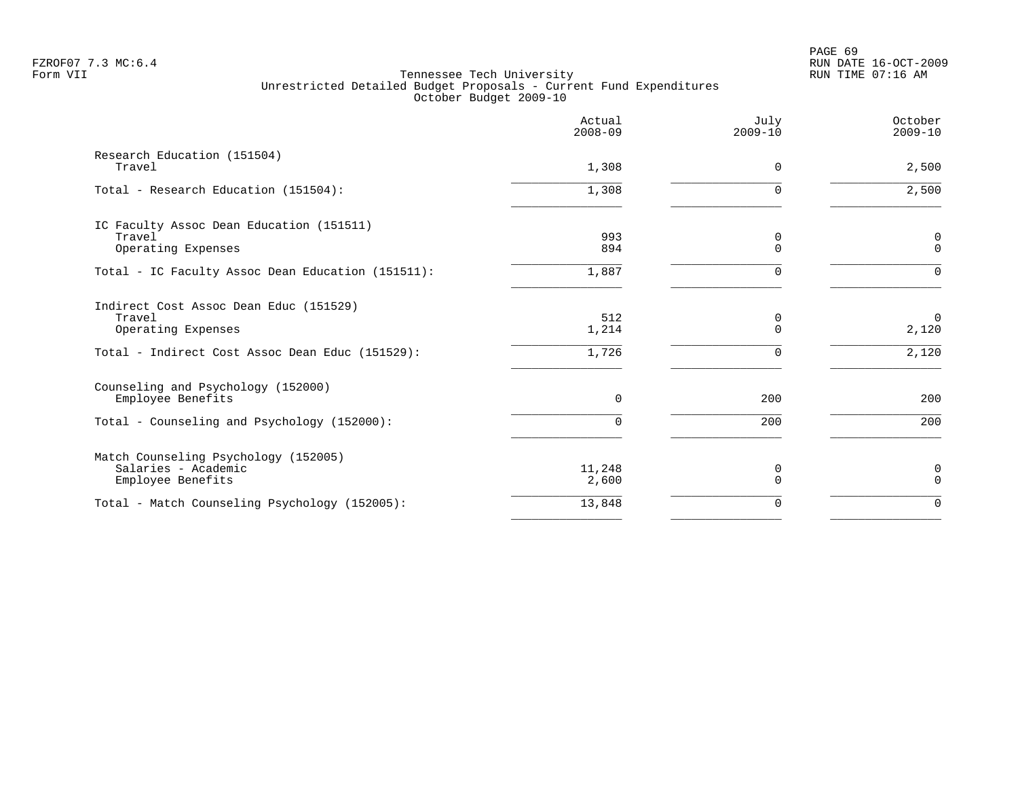PAGE 69 FZROF07 7.3 MC:6.4 RUN DATE 16-OCT-2009

|                                                                                  | Actual<br>$2008 - 09$ | July<br>$2009 - 10$ | October<br>$2009 - 10$     |
|----------------------------------------------------------------------------------|-----------------------|---------------------|----------------------------|
| Research Education (151504)<br>Travel                                            | 1,308                 | $\Omega$            | 2,500                      |
| Total - Research Education (151504):                                             | 1,308                 | $\Omega$            | 2,500                      |
| IC Faculty Assoc Dean Education (151511)<br>Travel<br>Operating Expenses         | 993<br>894            | 0<br>$\Omega$       | $\mathsf 0$<br>$\mathbf 0$ |
| Total - IC Faculty Assoc Dean Education (151511):                                | 1,887                 |                     | $\Omega$                   |
| Indirect Cost Assoc Dean Educ (151529)<br>Travel<br>Operating Expenses           | 512<br>1,214          | 0<br>$\Omega$       | $\overline{0}$<br>2,120    |
| Total - Indirect Cost Assoc Dean Educ (151529):                                  | 1,726                 | $\Omega$            | 2,120                      |
| Counseling and Psychology (152000)<br>Employee Benefits                          | $\Omega$              | 200                 | 200                        |
| Total - Counseling and Psychology (152000):                                      | $\Omega$              | 200                 | 200                        |
| Match Counseling Psychology (152005)<br>Salaries - Academic<br>Employee Benefits | 11,248<br>2,600       | 0<br>$\Omega$       | 0<br>$\Omega$              |
| Total - Match Counseling Psychology (152005):                                    | 13,848                | $\Omega$            | $\mathbf 0$                |
|                                                                                  |                       |                     |                            |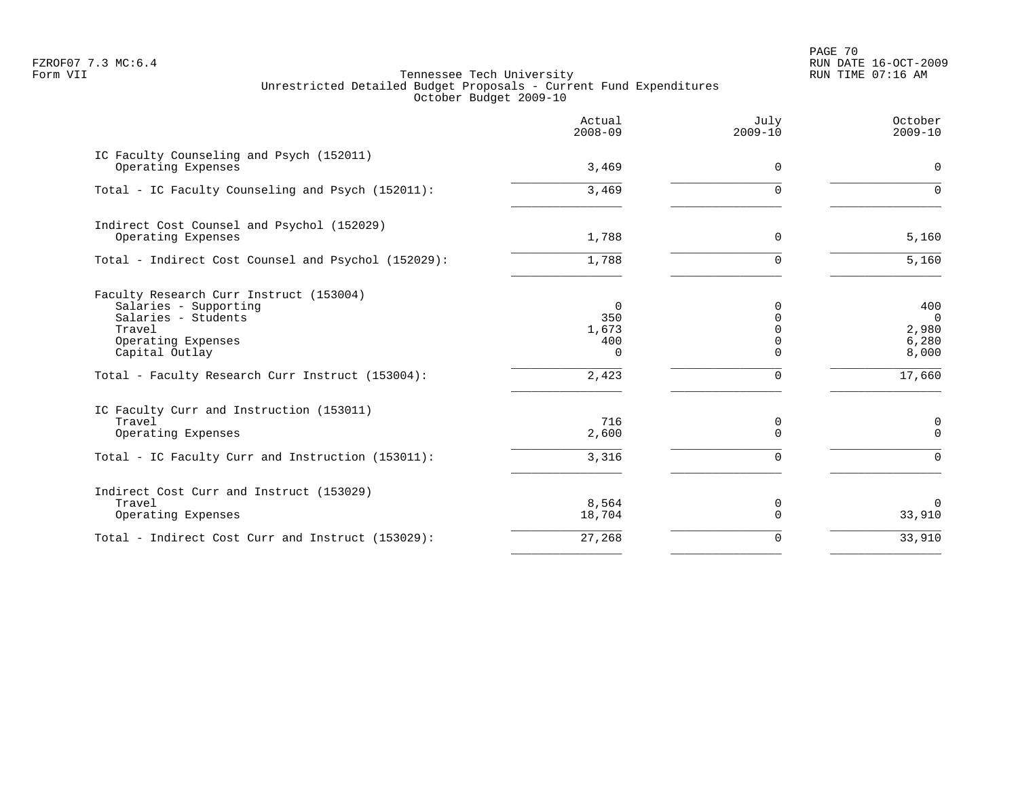PAGE 70 FZROF07 7.3 MC:6.4 RUN DATE 16-OCT-2009

|                                                                                                                                           | Actual<br>$2008 - 09$                             | July<br>$2009 - 10$ | October<br>$2009 - 10$                           |
|-------------------------------------------------------------------------------------------------------------------------------------------|---------------------------------------------------|---------------------|--------------------------------------------------|
| IC Faculty Counseling and Psych (152011)<br>Operating Expenses                                                                            | 3,469                                             | $\Omega$            | $\Omega$                                         |
| Total - IC Faculty Counseling and Psych (152011):                                                                                         | 3,469                                             | U                   | $\Omega$                                         |
| Indirect Cost Counsel and Psychol (152029)<br>Operating Expenses                                                                          | 1,788                                             | 0                   | 5,160                                            |
| Total - Indirect Cost Counsel and Psychol (152029):                                                                                       | 1,788                                             | $\Omega$            | 5,160                                            |
| Faculty Research Curr Instruct (153004)<br>Salaries - Supporting<br>Salaries - Students<br>Travel<br>Operating Expenses<br>Capital Outlay | $\overline{0}$<br>350<br>1,673<br>400<br>$\Omega$ | $\Omega$            | 400<br>$\overline{0}$<br>2,980<br>6,280<br>8,000 |
| Total - Faculty Research Curr Instruct (153004):                                                                                          | 2,423                                             | $\Omega$            | 17,660                                           |
| IC Faculty Curr and Instruction (153011)<br>Travel<br>Operating Expenses                                                                  | 716<br>2,600                                      | 0<br>$\Omega$       | 0<br>$\Omega$                                    |
| Total - IC Faculty Curr and Instruction (153011):                                                                                         | 3,316                                             | $\Omega$            | $\Omega$                                         |
| Indirect Cost Curr and Instruct (153029)<br>Travel<br>Operating Expenses                                                                  | 8,564<br>18,704                                   | 0<br>$\Omega$       | $\Omega$<br>33,910                               |
| Total - Indirect Cost Curr and Instruct (153029):                                                                                         | 27,268                                            | $\Omega$            | 33,910                                           |
|                                                                                                                                           |                                                   |                     |                                                  |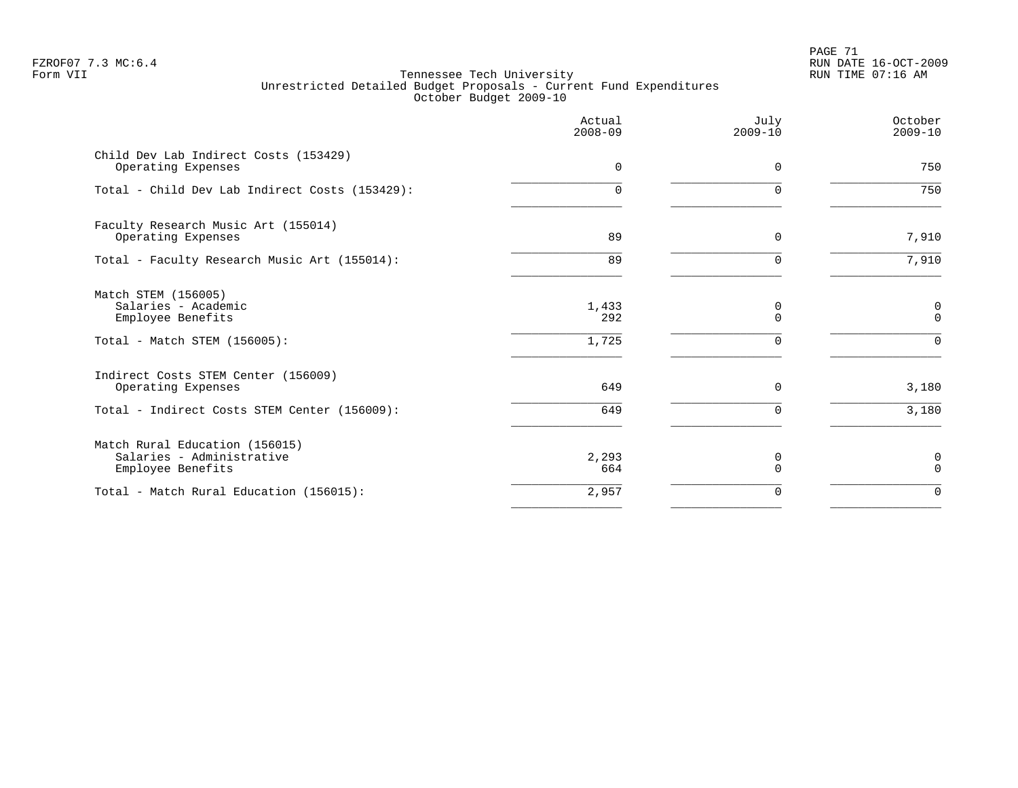PAGE 71 FZROF07 7.3 MC:6.4 RUN DATE 16-OCT-2009

|                                                                                                 | Actual<br>$2008 - 09$ | July<br>$2009 - 10$ | October<br>$2009 - 10$       |
|-------------------------------------------------------------------------------------------------|-----------------------|---------------------|------------------------------|
| Child Dev Lab Indirect Costs (153429)<br>Operating Expenses                                     | $\mathbf 0$           | 0                   | 750                          |
| Total - Child Dev Lab Indirect Costs (153429):                                                  | $\Omega$              | $\Omega$            | 750                          |
| Faculty Research Music Art (155014)<br>Operating Expenses                                       | 89                    | 0                   | 7,910                        |
| Total - Faculty Research Music Art (155014):                                                    | 89                    | 0                   | 7,910                        |
| Match STEM (156005)<br>Salaries - Academic<br>Employee Benefits<br>Total - Match STEM (156005): | 1,433<br>292<br>1,725 | 0<br>$\Omega$<br>∩  | 0<br>$\mathbf 0$<br>$\Omega$ |
| Indirect Costs STEM Center (156009)<br>Operating Expenses                                       | 649                   | 0                   | 3,180                        |
| Total - Indirect Costs STEM Center (156009):                                                    | 649                   | $\Omega$            | 3,180                        |
| Match Rural Education (156015)<br>Salaries - Administrative<br>Employee Benefits                | 2,293<br>664          | 0<br>$\Omega$       | 0<br>$\Omega$                |
| Total - Match Rural Education (156015):                                                         | 2,957                 | 0                   | $\mathbf 0$                  |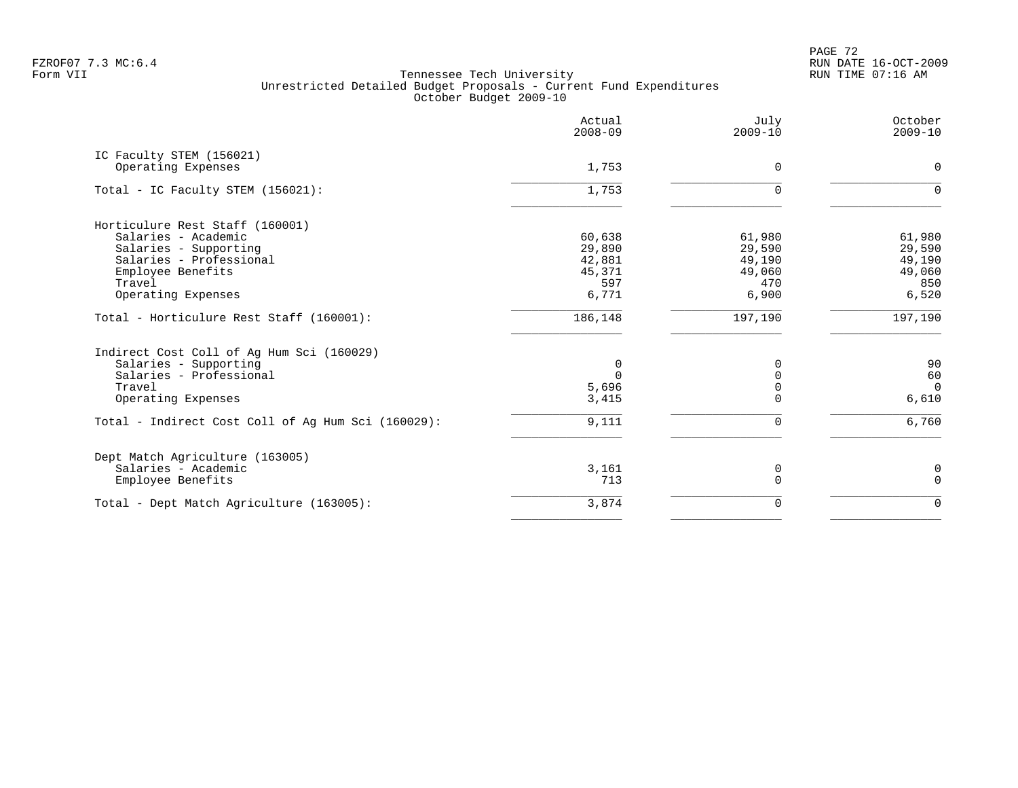PAGE 72 FZROF07 7.3 MC:6.4 RUN DATE 16-OCT-2009

|                                                    | Actual<br>$2008 - 09$ | July<br>$2009 - 10$ | October<br>$2009 - 10$ |
|----------------------------------------------------|-----------------------|---------------------|------------------------|
| IC Faculty STEM (156021)                           |                       |                     |                        |
| Operating Expenses                                 | 1,753                 | 0                   | 0                      |
| Total - IC Faculty STEM (156021):                  | 1,753                 | $\Omega$            | $\Omega$               |
| Horticulure Rest Staff (160001)                    |                       |                     |                        |
| Salaries - Academic                                | 60,638                | 61,980              | 61,980                 |
| Salaries - Supporting                              | 29,890                | 29,590              | 29,590                 |
| Salaries - Professional                            | 42,881                | 49,190              | 49,190                 |
| Employee Benefits                                  | 45,371                | 49,060              | 49,060                 |
| Travel                                             | 597                   | 470                 | 850                    |
| Operating Expenses                                 | 6,771                 | 6,900               | 6,520                  |
| Total - Horticulure Rest Staff (160001):           | 186,148               | 197,190             | 197,190                |
| Indirect Cost Coll of Aq Hum Sci (160029)          |                       |                     |                        |
| Salaries - Supporting                              | 0                     | <sup>0</sup>        | 90                     |
| Salaries - Professional                            | $\Omega$              | $\Omega$            | 60                     |
| Travel                                             | 5,696                 |                     | $\Omega$               |
| Operating Expenses                                 | 3,415                 | $\Omega$            | 6,610                  |
| Total - Indirect Cost Coll of Ag Hum Sci (160029): | 9,111                 | $\Omega$            | 6,760                  |
| Dept Match Agriculture (163005)                    |                       |                     |                        |
| Salaries - Academic                                | 3,161                 | 0                   | 0                      |
| Employee Benefits                                  | 713                   | $\Omega$            | $\mathbf 0$            |
| Total - Dept Match Agriculture (163005):           | 3,874                 | $\Omega$            | $\Omega$               |
|                                                    |                       |                     |                        |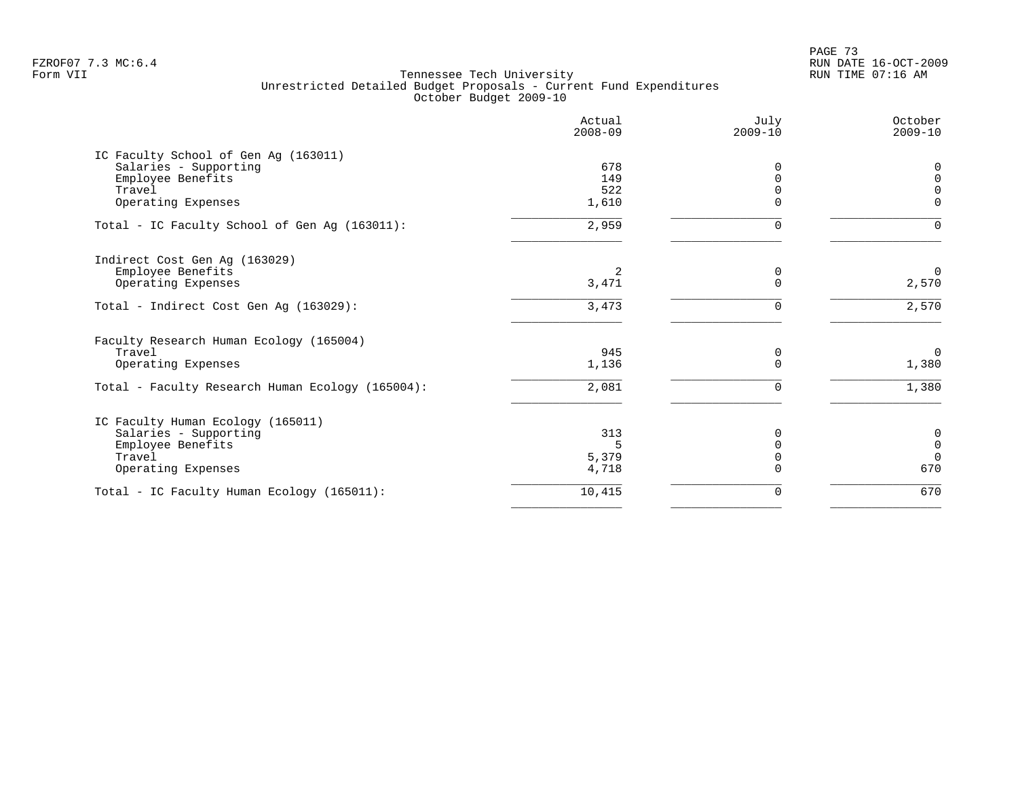PAGE 73 FZROF07 7.3 MC:6.4 RUN DATE 16-OCT-2009

|                                                  | Actual<br>$2008 - 09$ | July<br>$2009 - 10$ | October<br>$2009 - 10$ |
|--------------------------------------------------|-----------------------|---------------------|------------------------|
| IC Faculty School of Gen Aq (163011)             |                       |                     |                        |
| Salaries - Supporting                            | 678                   | $\Omega$            | 0                      |
| Employee Benefits                                | 149                   | $\Omega$            | $\Omega$               |
| Travel                                           | 522                   | $\Omega$            | $\Omega$               |
| Operating Expenses                               | 1,610                 | $\Omega$            | $\Omega$               |
| Total - IC Faculty School of Gen Ag (163011):    | 2,959                 | <sup>n</sup>        | $\Omega$               |
| Indirect Cost Gen Ag (163029)                    |                       |                     |                        |
| Employee Benefits                                | 2                     | 0                   | $\mathbf 0$            |
| Operating Expenses                               | 3,471                 | $\Omega$            | 2,570                  |
| Total - Indirect Cost Gen Ag (163029):           | 3,473                 | $\Omega$            | 2,570                  |
| Faculty Research Human Ecology (165004)          |                       |                     |                        |
| Travel                                           | 945                   | 0                   | $\overline{0}$         |
| Operating Expenses                               | 1,136                 | $\Omega$            | 1,380                  |
| Total - Faculty Research Human Ecology (165004): | 2,081                 | $\Omega$            | 1,380                  |
| IC Faculty Human Ecology (165011)                |                       |                     |                        |
| Salaries - Supporting                            | 313                   | $\Omega$            | 0                      |
| Employee Benefits                                | 5.                    | $\Omega$            | $\mathsf 0$            |
| Travel                                           | 5,379                 | 0                   | $\Omega$               |
| Operating Expenses                               | 4,718                 | $\Omega$            | 670                    |
| Total - IC Faculty Human Ecology (165011):       | 10,415                | 0                   | 670                    |
|                                                  |                       |                     |                        |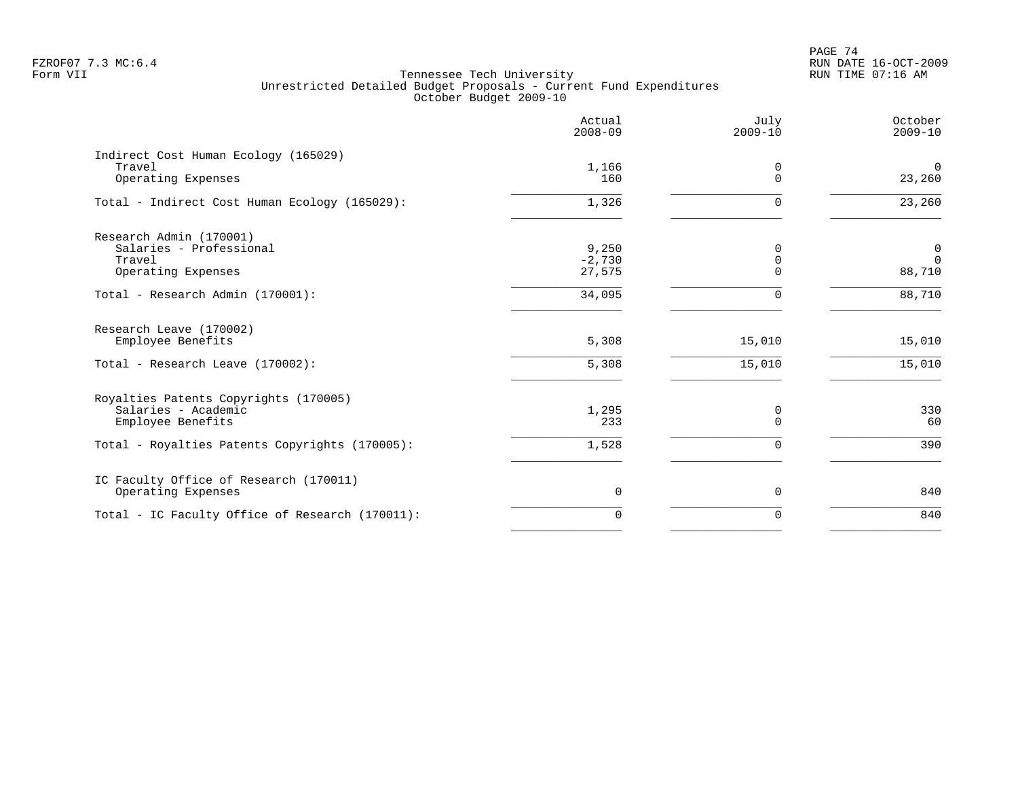# PAGE 74 FZROF07 7.3 MC:6.4 RUN DATE 16-OCT-2009

|                                                 | Actual<br>$2008 - 09$ | July<br>$2009 - 10$ | October<br>$2009 - 10$ |
|-------------------------------------------------|-----------------------|---------------------|------------------------|
| Indirect Cost Human Ecology (165029)            |                       |                     |                        |
| Travel<br>Operating Expenses                    | 1,166<br>160          | 0<br>$\Omega$       | $\mathbf 0$<br>23,260  |
| Total - Indirect Cost Human Ecology (165029):   | 1,326                 | 0                   | 23,260                 |
| Research Admin (170001)                         |                       |                     |                        |
| Salaries - Professional                         | 9,250                 | $\Omega$            | 0                      |
| Travel                                          | $-2,730$              | $\mathbf 0$         | $\Omega$               |
| Operating Expenses                              | 27,575                | $\Omega$            | 88,710                 |
| Total - Research Admin (170001):                | 34,095                | $\Omega$            | 88,710                 |
| Research Leave (170002)                         |                       |                     |                        |
| Employee Benefits                               | 5,308                 | 15,010              | 15,010                 |
| Total - Research Leave (170002):                | 5,308                 | 15,010              | 15,010                 |
| Royalties Patents Copyrights (170005)           |                       |                     |                        |
| Salaries - Academic                             | 1,295                 | 0                   | 330                    |
| Employee Benefits                               | 233                   | $\Omega$            | 60                     |
| Total - Royalties Patents Copyrights (170005):  | 1,528                 | $\Omega$            | 390                    |
| IC Faculty Office of Research (170011)          |                       |                     |                        |
| Operating Expenses                              | $\mathbf 0$           | 0                   | 840                    |
| Total - IC Faculty Office of Research (170011): | $\Omega$              | $\Omega$            | 840                    |
|                                                 |                       |                     |                        |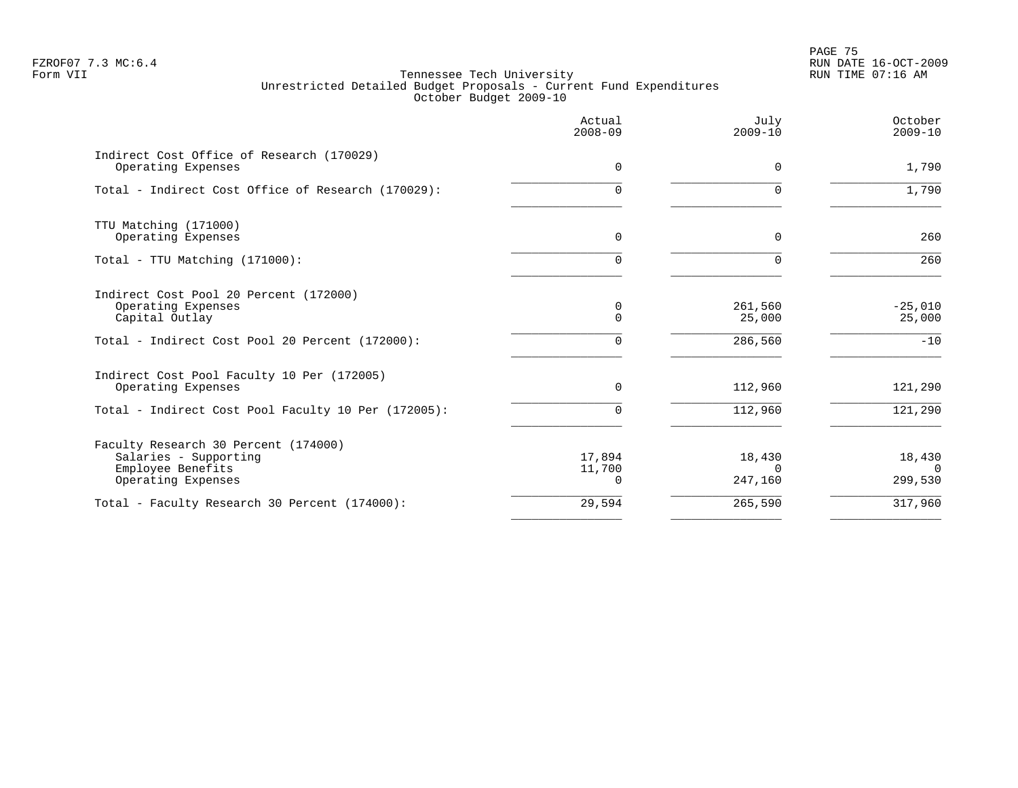en and the set of the set of the set of the set of the set of the set of the set of the set of the set of the set of the set of the set of the set of the set of the set of the set of the set of the set of the set of the se FZROF07 7.3 MC:6.4 RUN DATE 16-OCT-2009

|                                                                                                          | Actual<br>$2008 - 09$        | July<br>$2009 - 10$           | October<br>$2009 - 10$ |
|----------------------------------------------------------------------------------------------------------|------------------------------|-------------------------------|------------------------|
| Indirect Cost Office of Research (170029)<br>Operating Expenses                                          | $\Omega$                     | $\Omega$                      | 1,790                  |
| Total - Indirect Cost Office of Research (170029):                                                       | $\Omega$                     | $\Omega$                      | 1,790                  |
| TTU Matching (171000)<br>Operating Expenses                                                              | $\mathbf 0$                  | $\Omega$                      | 260                    |
| Total - TTU Matching (171000):                                                                           | 0                            |                               | 260                    |
| Indirect Cost Pool 20 Percent (172000)<br>Operating Expenses<br>Capital Outlay                           | 0<br>$\Omega$                | 261,560<br>25,000             | $-25,010$<br>25,000    |
| Total - Indirect Cost Pool 20 Percent (172000):                                                          | $\Omega$                     | 286,560                       | $-10$                  |
| Indirect Cost Pool Faculty 10 Per (172005)<br>Operating Expenses                                         | $\Omega$                     | 112,960                       | 121,290                |
| Total - Indirect Cost Pool Faculty 10 Per (172005):                                                      | $\cap$                       | 112,960                       | 121,290                |
| Faculty Research 30 Percent (174000)<br>Salaries - Supporting<br>Employee Benefits<br>Operating Expenses | 17,894<br>11,700<br>$\Omega$ | 18,430<br>$\Omega$<br>247,160 | 18,430<br>299,530      |
| Total - Faculty Research 30 Percent (174000):                                                            | 29,594                       | 265,590                       | 317,960                |
|                                                                                                          |                              |                               |                        |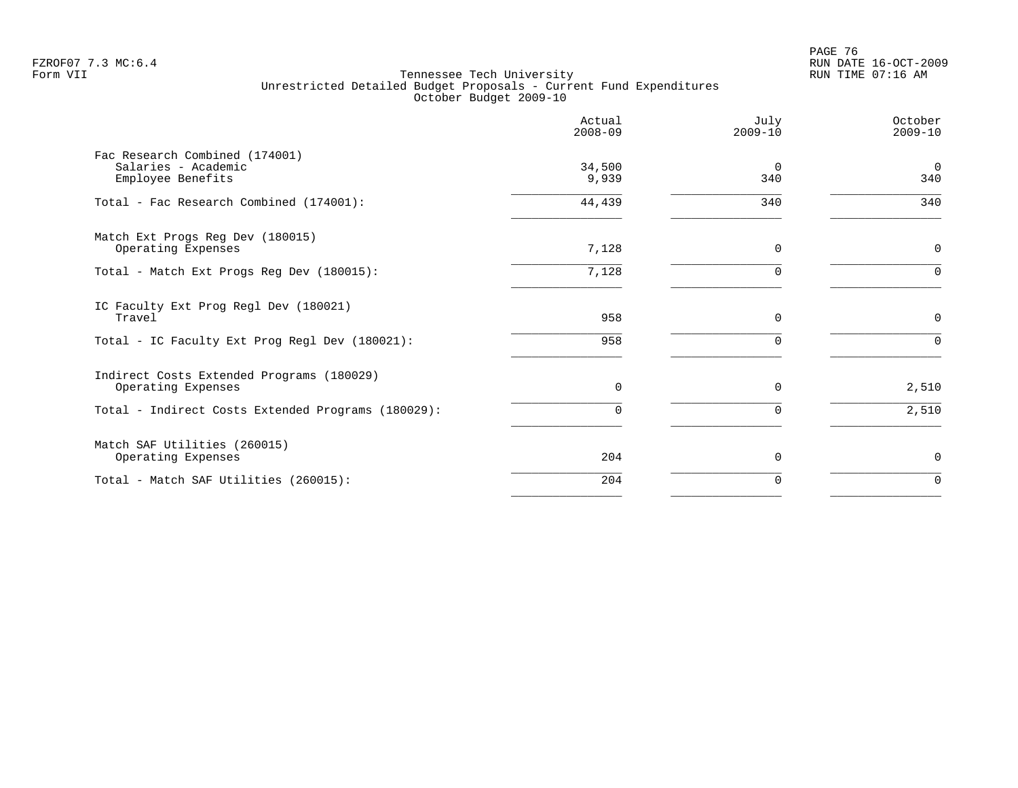en and the set of the set of the set of the set of the set of the set of the set of the set of the set of the set of the set of the set of the set of the set of the set of the set of the set of the set of the set of the se FZROF07 7.3 MC:6.4 RUN DATE 16-OCT-2009

|                                                                            | Actual<br>$2008 - 09$ | July<br>$2009 - 10$ | October<br>$2009 - 10$ |
|----------------------------------------------------------------------------|-----------------------|---------------------|------------------------|
| Fac Research Combined (174001)<br>Salaries - Academic<br>Employee Benefits | 34,500<br>9,939       | $\Omega$<br>340     | $\overline{0}$<br>340  |
| Total - Fac Research Combined (174001):                                    | 44,439                | 340                 | 340                    |
| Match Ext Progs Reg Dev (180015)<br>Operating Expenses                     | 7,128                 | $\Omega$            | $\mathbf 0$            |
| Total - Match Ext Progs Reg Dev (180015):                                  | 7,128                 |                     | $\Omega$               |
| IC Faculty Ext Prog Regl Dev (180021)<br>Travel                            | 958                   | $\Omega$            | 0                      |
| Total - IC Faculty Ext Prog Regl Dev (180021):                             | 958                   | $\Omega$            | $\Omega$               |
| Indirect Costs Extended Programs (180029)<br>Operating Expenses            | 0                     | $\mathbf 0$         | 2,510                  |
| Total - Indirect Costs Extended Programs (180029):                         | $\Omega$              | $\Omega$            | 2,510                  |
| Match SAF Utilities (260015)<br>Operating Expenses                         | 204                   | $\Omega$            | 0                      |
| Total - Match SAF Utilities (260015):                                      | 204                   | $\Omega$            | $\mathbf 0$            |
|                                                                            |                       |                     |                        |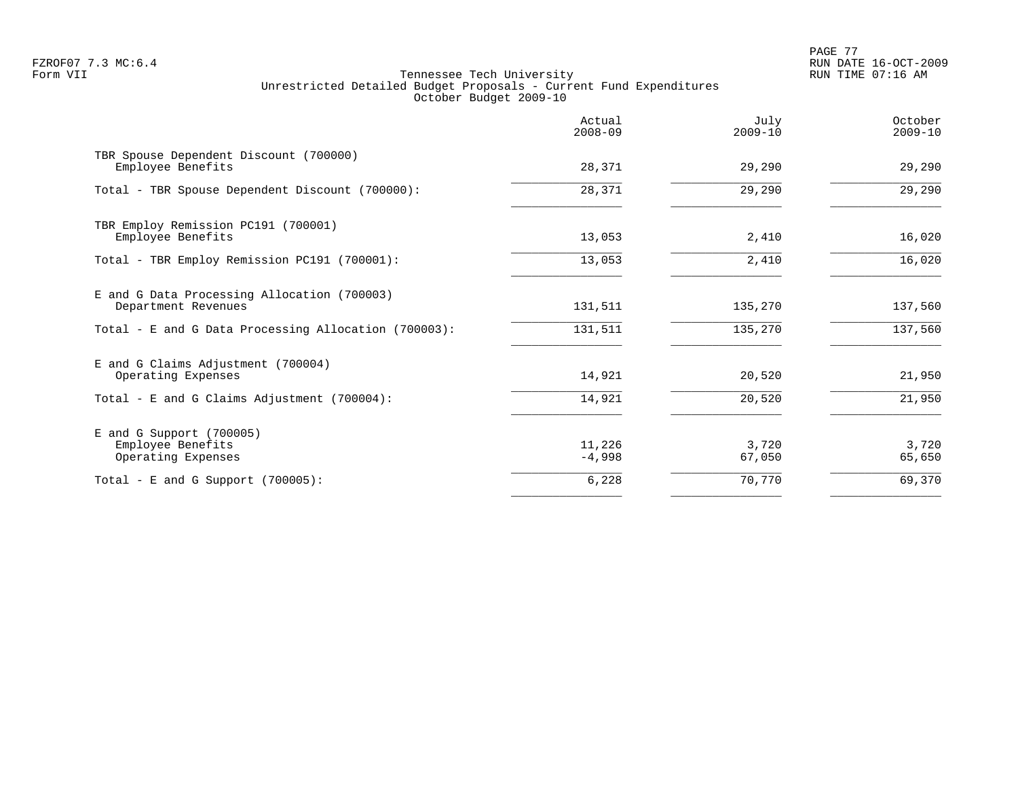PAGE 77 FZROF07 7.3 MC:6.4 RUN DATE 16-OCT-2009

|                                                                       | Actual<br>$2008 - 09$ | July<br>$2009 - 10$ | October<br>$2009 - 10$ |
|-----------------------------------------------------------------------|-----------------------|---------------------|------------------------|
| TBR Spouse Dependent Discount (700000)<br>Employee Benefits           | 28,371                | 29,290              | 29,290                 |
| Total - TBR Spouse Dependent Discount (700000):                       | 28,371                | 29,290              | 29,290                 |
| TBR Employ Remission PC191 (700001)<br>Employee Benefits              | 13,053                | 2,410               | 16,020                 |
| Total - TBR Employ Remission PC191 (700001):                          | 13,053                | 2,410               | 16,020                 |
| E and G Data Processing Allocation (700003)<br>Department Revenues    | 131,511               | 135,270             | 137,560                |
| Total - E and G Data Processing Allocation (700003):                  | 131,511               | 135,270             | 137,560                |
| E and G Claims Adjustment (700004)<br>Operating Expenses              | 14,921                | 20,520              | 21,950                 |
| Total - E and G Claims Adjustment (700004):                           | 14,921                | 20,520              | 21,950                 |
| $E$ and G Support (700005)<br>Employee Benefits<br>Operating Expenses | 11,226<br>$-4,998$    | 3,720<br>67,050     | 3,720<br>65,650        |
| Total - E and G Support $(700005)$ :                                  | 6,228                 | 70,770              | 69,370                 |
|                                                                       |                       |                     |                        |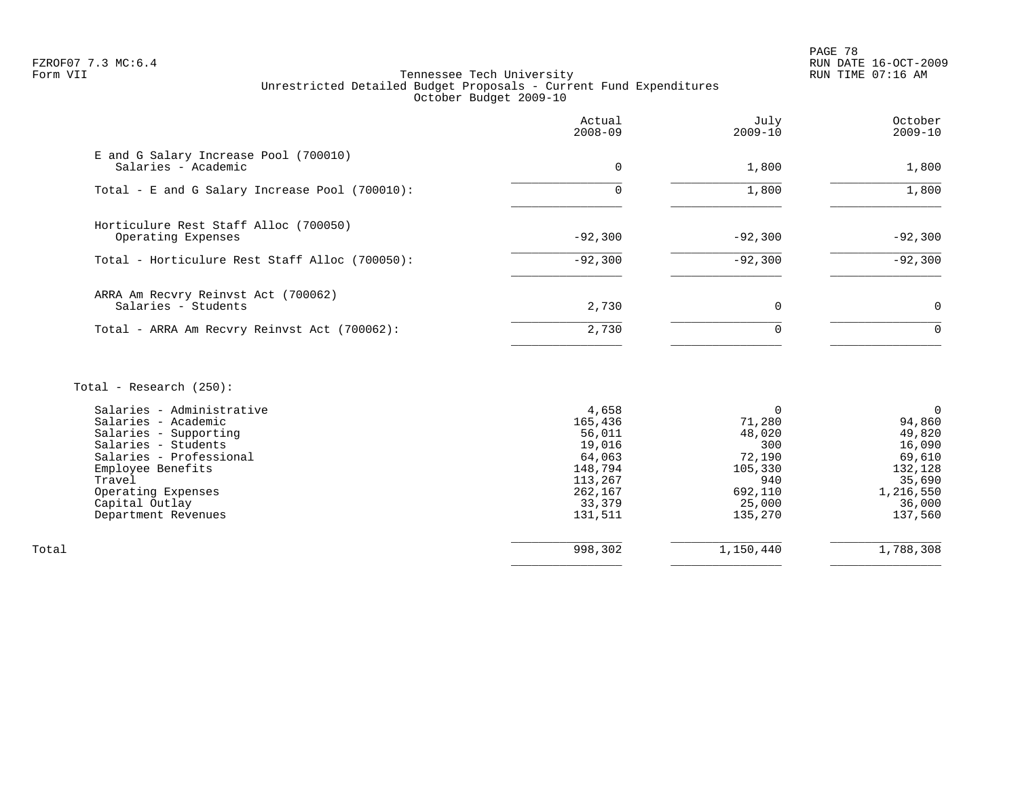PAGE 78 FZROF07 7.3 MC:6.4 RUN DATE 16-OCT-2009

# Form VII Tennessee Tech University RUN TIME 07:16 AM Unrestricted Detailed Budget Proposals - Current Fund Expenditures October Budget 2009-10

|                                                              | Actual<br>$2008 - 09$ | July<br>$2009 - 10$ | October<br>$2009 - 10$ |
|--------------------------------------------------------------|-----------------------|---------------------|------------------------|
| E and G Salary Increase Pool (700010)<br>Salaries - Academic | 0                     | 1,800               | 1,800                  |
| Total - E and G Salary Increase Pool (700010):               |                       | 1,800               | 1,800                  |
| Horticulure Rest Staff Alloc (700050)<br>Operating Expenses  | $-92,300$             | $-92,300$           | $-92,300$              |
| Total - Horticulure Rest Staff Alloc (700050):               | $-92,300$             | $-92,300$           | $-92,300$              |
| ARRA Am Recvry Reinvst Act (700062)<br>Salaries - Students   | 2,730                 | 0                   | $\Omega$               |
| Total - ARRA Am Recvry Reinvst Act (700062):                 | 2,730                 |                     | $\Omega$               |
|                                                              |                       |                     |                        |

# Total - Research (250):

| 4,658   |         | 0         |
|---------|---------|-----------|
| 165,436 | 71,280  | 94,860    |
| 56,011  | 48,020  | 49,820    |
| 19,016  | 300     | 16,090    |
| 64,063  | 72,190  | 69,610    |
| 148,794 | 105,330 | 132,128   |
| 113,267 | 940     | 35,690    |
| 262,167 | 692,110 | 1,216,550 |
| 33,379  | 25,000  | 36,000    |
| 131,511 | 135,270 | 137,560   |
|         |         |           |
|         |         | 1,788,308 |
|         | 998,302 | 1,150,440 |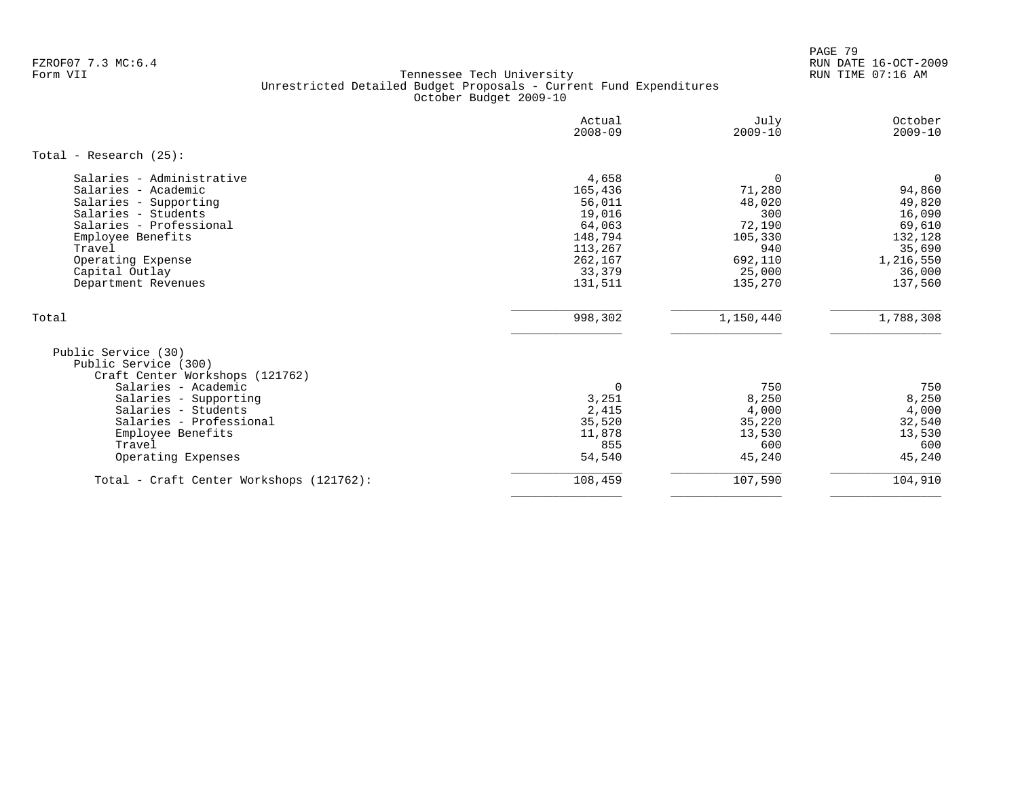PAGE 79 FZROF07 7.3 MC:6.4 RUN DATE 16-OCT-2009

|                                                                                                                                                                                                                                       | Actual<br>$2008 - 09$                                                                                | July<br>$2009 - 10$                                                                                | October<br>$2009 - 10$                                                                                     |
|---------------------------------------------------------------------------------------------------------------------------------------------------------------------------------------------------------------------------------------|------------------------------------------------------------------------------------------------------|----------------------------------------------------------------------------------------------------|------------------------------------------------------------------------------------------------------------|
| Total - Research $(25)$ :                                                                                                                                                                                                             |                                                                                                      |                                                                                                    |                                                                                                            |
| Salaries - Administrative<br>Salaries - Academic<br>Salaries - Supporting<br>Salaries - Students<br>Salaries - Professional<br>Employee Benefits<br>Travel<br>Operating Expense<br>Capital Outlay<br>Department Revenues              | 4,658<br>165,436<br>56,011<br>19,016<br>64,063<br>148,794<br>113,267<br>262,167<br>33,379<br>131,511 | $\mathbf 0$<br>71,280<br>48,020<br>300<br>72,190<br>105,330<br>940<br>692,110<br>25,000<br>135,270 | $\mathbf 0$<br>94,860<br>49,820<br>16,090<br>69,610<br>132,128<br>35,690<br>1,216,550<br>36,000<br>137,560 |
| Total                                                                                                                                                                                                                                 | 998,302                                                                                              | 1,150,440                                                                                          | 1,788,308                                                                                                  |
| Public Service (30)<br>Public Service (300)<br>Craft Center Workshops (121762)<br>Salaries - Academic<br>Salaries - Supporting<br>Salaries - Students<br>Salaries - Professional<br>Employee Benefits<br>Travel<br>Operating Expenses | $\mathbf 0$<br>3,251<br>2,415<br>35,520<br>11,878<br>855<br>54,540                                   | 750<br>8,250<br>4,000<br>35,220<br>13,530<br>600<br>45,240                                         | 750<br>8,250<br>4,000<br>32,540<br>13,530<br>600<br>45,240                                                 |
| Total - Craft Center Workshops (121762):                                                                                                                                                                                              | 108,459                                                                                              | 107,590                                                                                            | 104,910                                                                                                    |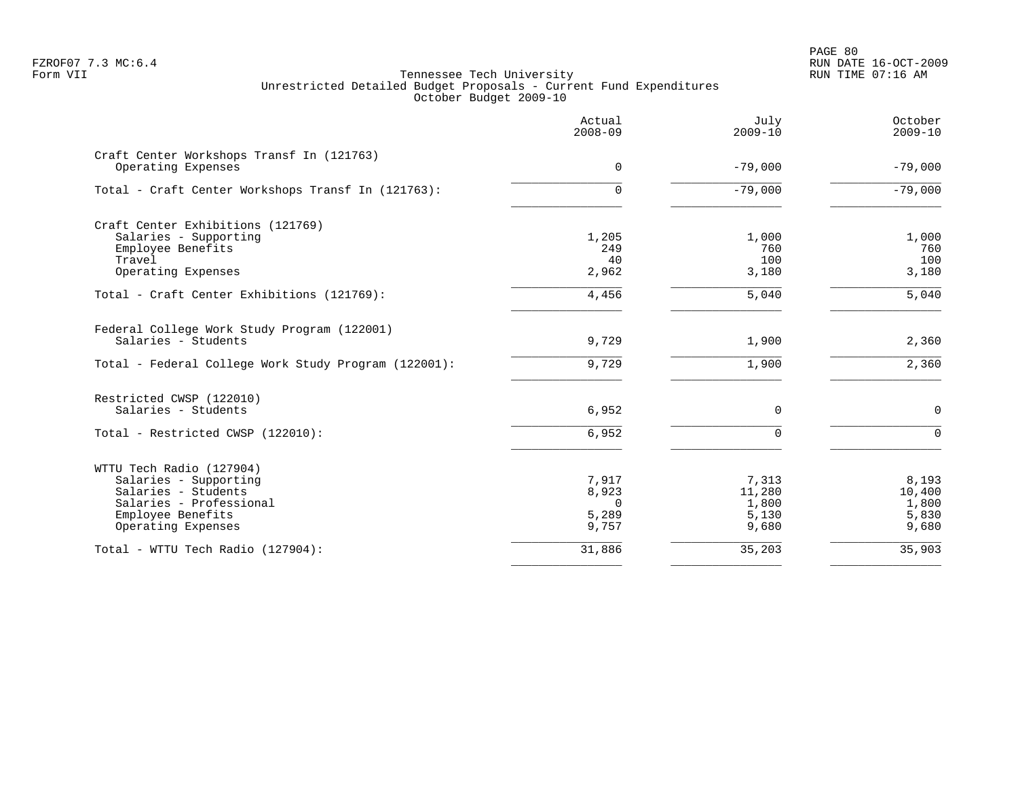PAGE 80 FZROF07 7.3 MC:6.4 RUN DATE 16-OCT-2009

|                                                                 | Actual<br>$2008 - 09$ | July<br>$2009 - 10$ | October<br>$2009 - 10$ |
|-----------------------------------------------------------------|-----------------------|---------------------|------------------------|
| Craft Center Workshops Transf In (121763)<br>Operating Expenses | $\Omega$              | $-79,000$           | $-79,000$              |
| Total - Craft Center Workshops Transf In (121763):              | 0                     | $-79,000$           | $-79,000$              |
| Craft Center Exhibitions (121769)                               |                       |                     |                        |
| Salaries - Supporting                                           | 1,205                 | 1,000               | 1,000                  |
| Employee Benefits                                               | 249                   | 760                 | 760                    |
| Travel                                                          | 40                    | 100                 | 100                    |
| Operating Expenses                                              | 2,962                 | 3,180               | 3,180                  |
| Total - Craft Center Exhibitions (121769):                      | 4,456                 | 5,040               | 5,040                  |
| Federal College Work Study Program (122001)                     |                       |                     |                        |
| Salaries - Students                                             | 9,729                 | 1,900               | 2,360                  |
| Total - Federal College Work Study Program (122001):            | 9,729                 | 1,900               | 2,360                  |
| Restricted CWSP (122010)                                        |                       |                     |                        |
| Salaries - Students                                             | 6,952                 | 0                   | $\mathbf 0$            |
| Total - Restricted CWSP (122010):                               | 6,952                 | $\Omega$            | $\Omega$               |
| WTTU Tech Radio (127904)                                        |                       |                     |                        |
| Salaries - Supporting                                           | 7,917                 | 7,313               | 8,193                  |
| Salaries - Students                                             | 8,923                 | 11,280              | 10,400                 |
| Salaries - Professional                                         | $\Omega$              | 1,800               | 1,800                  |
| Employee Benefits                                               | 5,289                 | 5,130               | 5,830                  |
| Operating Expenses                                              | 9,757                 | 9,680               | 9,680                  |
| Total - WTTU Tech Radio (127904):                               | 31,886                | 35,203              | 35,903                 |
|                                                                 |                       |                     |                        |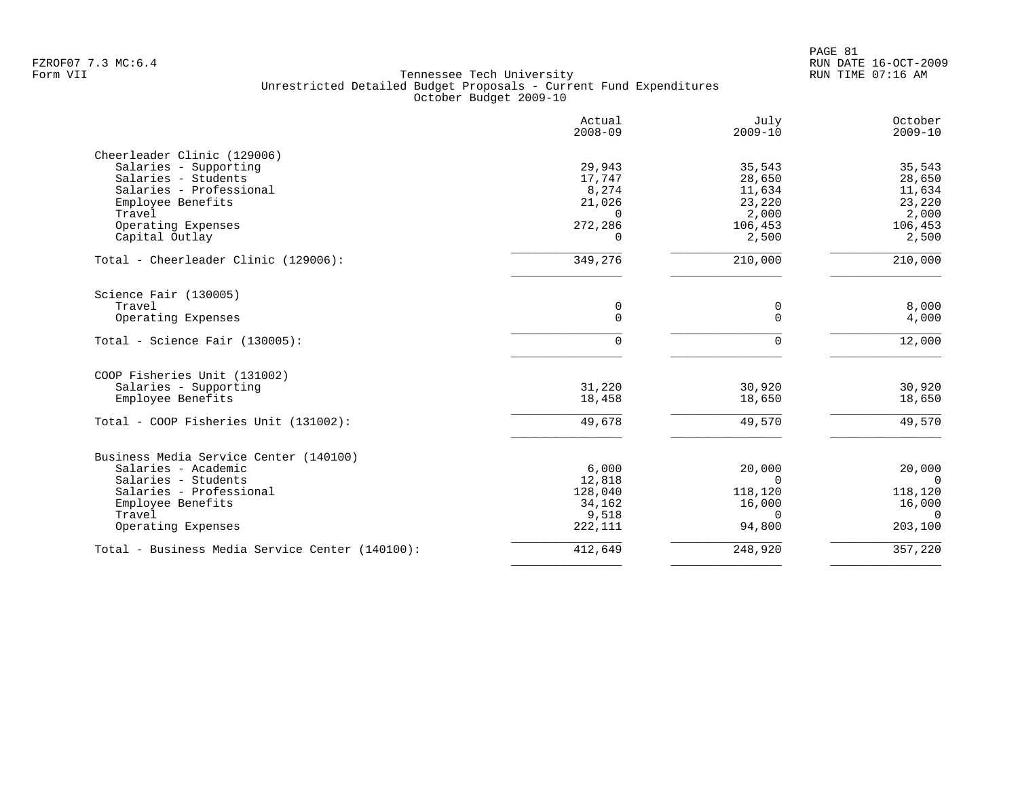| Actual<br>$2008 - 09$ | July<br>$2009 - 10$                                                          | October<br>$2009 - 10$                                                          |
|-----------------------|------------------------------------------------------------------------------|---------------------------------------------------------------------------------|
|                       |                                                                              |                                                                                 |
| 29,943                | 35,543                                                                       | 35,543                                                                          |
| 17,747                | 28,650                                                                       | 28,650                                                                          |
| 8,274                 | 11,634                                                                       | 11,634                                                                          |
| 21,026                |                                                                              | 23,220                                                                          |
| $\Omega$              | 2,000                                                                        | 2,000                                                                           |
|                       | 106,453                                                                      | 106,453                                                                         |
| $\Omega$              | 2,500                                                                        | 2,500                                                                           |
| 349,276               | 210,000                                                                      | 210,000                                                                         |
|                       |                                                                              |                                                                                 |
| 0                     | 0                                                                            | 8,000                                                                           |
| 0                     | $\mathbf 0$                                                                  | 4,000                                                                           |
| 0                     | $\Omega$                                                                     | 12,000                                                                          |
|                       |                                                                              |                                                                                 |
|                       |                                                                              | 30,920                                                                          |
|                       |                                                                              | 18,650                                                                          |
|                       |                                                                              |                                                                                 |
| 49,678                | 49,570                                                                       | 49,570                                                                          |
|                       |                                                                              |                                                                                 |
|                       |                                                                              | 20,000                                                                          |
|                       | $\Omega$                                                                     | $\Omega$                                                                        |
|                       |                                                                              | 118,120                                                                         |
|                       |                                                                              | 16,000                                                                          |
|                       | $\Omega$                                                                     | $\Omega$                                                                        |
| 222,111               | 94,800                                                                       | 203,100                                                                         |
|                       |                                                                              | 357,220                                                                         |
|                       | 272,286<br>31,220<br>18,458<br>6,000<br>12,818<br>128,040<br>34,162<br>9,518 | 23,220<br>30,920<br>18,650<br>20,000<br>118,120<br>16,000<br>412,649<br>248,920 |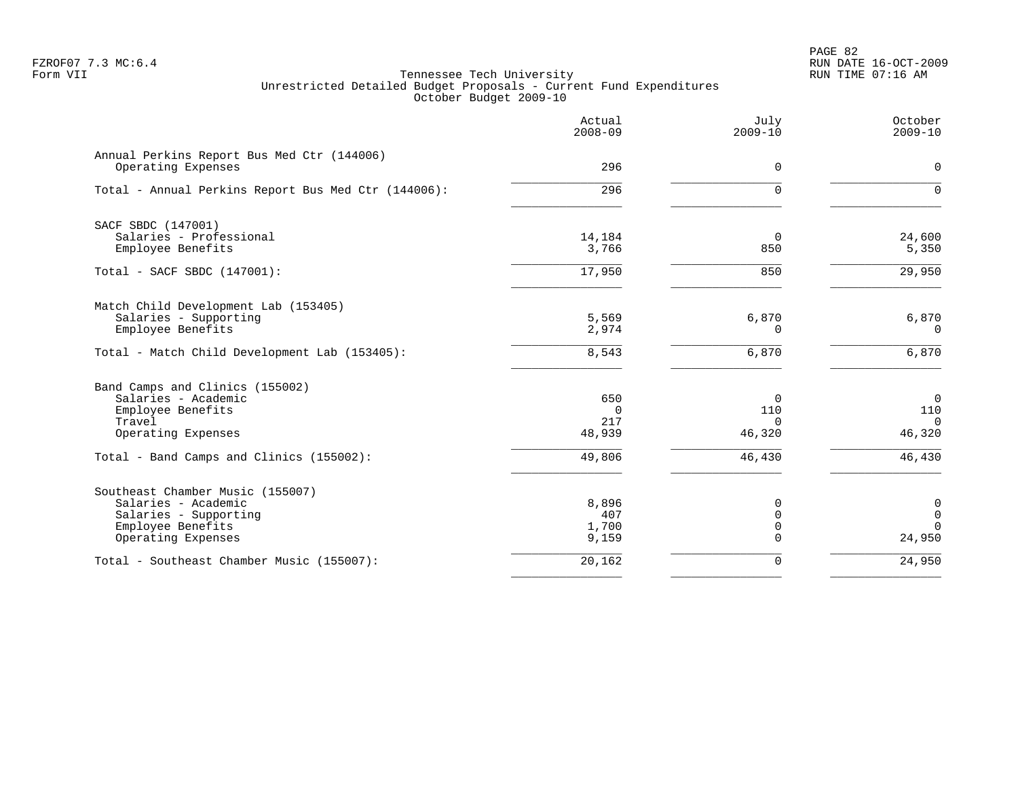PAGE 82 FZROF07 7.3 MC:6.4 RUN DATE 16-OCT-2009

|                                                                  | Actual<br>$2008 - 09$ | July<br>$2009 - 10$        | October<br>$2009 - 10$      |
|------------------------------------------------------------------|-----------------------|----------------------------|-----------------------------|
| Annual Perkins Report Bus Med Ctr (144006)<br>Operating Expenses | 296                   | $\mathbf 0$                | $\Omega$                    |
| Total - Annual Perkins Report Bus Med Ctr (144006):              | 296                   | $\Omega$                   | $\Omega$                    |
| SACF SBDC (147001)                                               |                       |                            |                             |
| Salaries - Professional<br>Employee Benefits                     | 14,184<br>3,766       | 0<br>850                   | 24,600<br>5,350             |
| Total - SACF SBDC (147001):                                      | 17,950                | 850                        | 29,950                      |
| Match Child Development Lab (153405)                             |                       |                            |                             |
| Salaries - Supporting<br>Employee Benefits                       | 5,569<br>2,974        | 6,870<br>$\Omega$          | 6,870<br>$\Omega$           |
| Total - Match Child Development Lab (153405):                    | 8,543                 | 6,870                      | 6,870                       |
| Band Camps and Clinics (155002)                                  |                       |                            |                             |
| Salaries - Academic                                              | 650                   | 0                          | $\mathbf 0$                 |
| Employee Benefits<br>Travel                                      | $\Omega$<br>217       | 110<br>$\Omega$            | 110<br>$\Omega$             |
| Operating Expenses                                               | 48,939                | 46,320                     | 46,320                      |
| Total - Band Camps and Clinics (155002):                         | 49,806                | 46,430                     | 46,430                      |
| Southeast Chamber Music (155007)                                 |                       |                            |                             |
| Salaries - Academic                                              | 8,896                 | 0                          | $\mathbf 0$                 |
| Salaries - Supporting<br>Employee Benefits                       | 407<br>1,700          | $\mathbf 0$<br>$\mathbf 0$ | $\mathbf{0}$<br>$\mathbf 0$ |
| Operating Expenses                                               | 9,159                 | $\Omega$                   | 24,950                      |
| Total - Southeast Chamber Music (155007):                        | 20,162                | $\mathbf 0$                | 24,950                      |
|                                                                  |                       |                            |                             |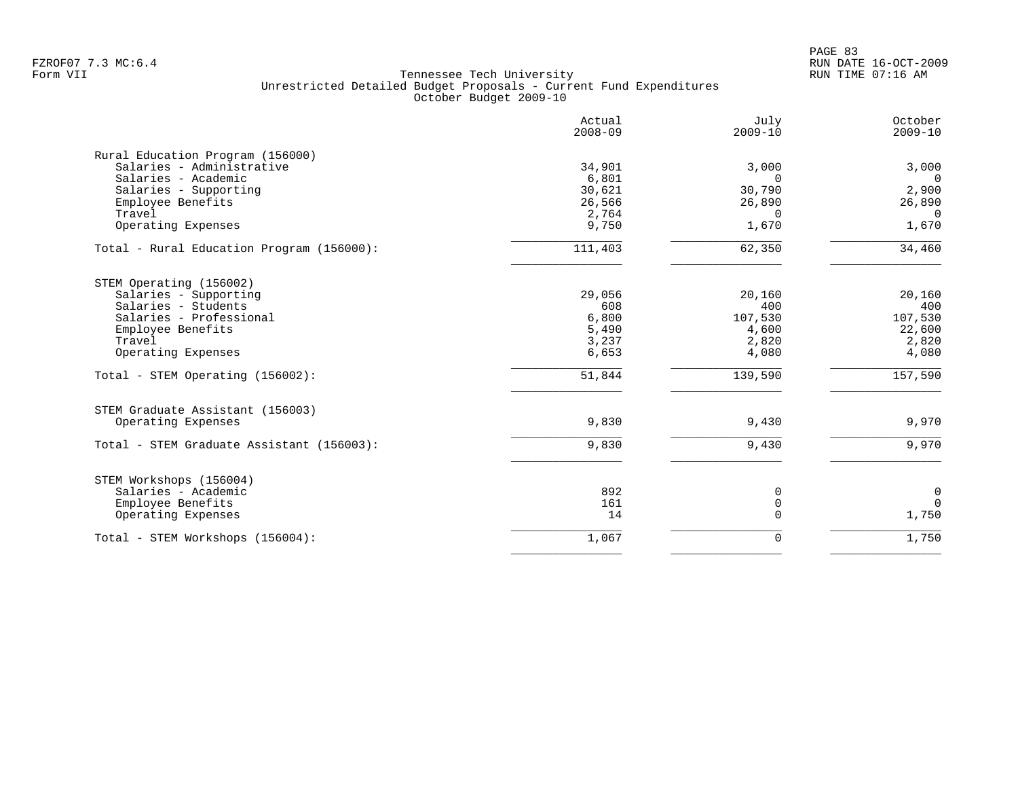|                                           | Actual<br>$2008 - 09$ | July<br>$2009 - 10$ | October<br>$2009 - 10$ |
|-------------------------------------------|-----------------------|---------------------|------------------------|
| Rural Education Program (156000)          |                       |                     |                        |
| Salaries - Administrative                 | 34,901                | 3,000               | 3,000                  |
| Salaries - Academic                       | 6,801                 | $\Omega$            | $\Omega$               |
| Salaries - Supporting                     | 30,621                | 30,790              | 2,900                  |
| Employee Benefits                         | 26,566                | 26,890              | 26,890                 |
| Travel                                    | 2,764                 | $\Omega$            | $\Omega$               |
| Operating Expenses                        | 9,750                 | 1,670               | 1,670                  |
| Total - Rural Education Program (156000): | 111,403               | 62,350              | 34,460                 |
| STEM Operating (156002)                   |                       |                     |                        |
| Salaries - Supporting                     | 29,056                | 20,160              | 20,160                 |
| Salaries - Students                       | 608                   | 400                 | 400                    |
| Salaries - Professional                   | 6,800                 | 107,530             | 107,530                |
| Employee Benefits                         | 5,490                 | 4,600               | 22,600                 |
| Travel                                    | 3,237                 | 2,820               | 2,820                  |
| Operating Expenses                        | 6,653                 | 4,080               | 4,080                  |
| Total - STEM Operating (156002):          | 51,844                | 139,590             | 157,590                |
| STEM Graduate Assistant (156003)          |                       |                     |                        |
| Operating Expenses                        | 9,830                 | 9,430               | 9,970                  |
| Total - STEM Graduate Assistant (156003): | 9,830                 | 9,430               | 9,970                  |
| STEM Workshops (156004)                   |                       |                     |                        |
| Salaries - Academic                       | 892                   | 0                   | $\mathbf 0$            |
| Employee Benefits                         | 161                   | $\mathbf 0$         | $\Omega$               |
| Operating Expenses                        | 14                    | $\Omega$            | 1,750                  |
| Total - STEM Workshops (156004):          | 1,067                 | $\mathbf 0$         | 1,750                  |
|                                           |                       |                     |                        |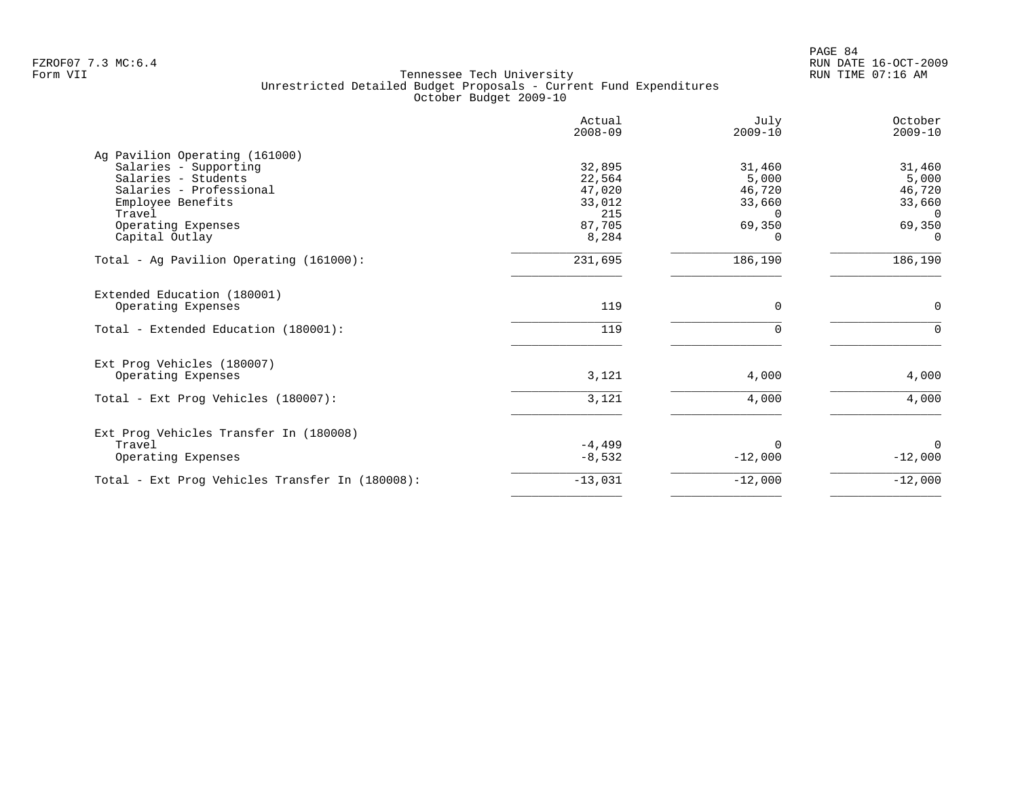| Actual<br>$2008 - 09$ | July<br>$2009 - 10$                    | October<br>$2009 - 10$ |
|-----------------------|----------------------------------------|------------------------|
|                       |                                        |                        |
| 32,895                | 31,460                                 | 31,460                 |
|                       | 5,000                                  | 5,000                  |
|                       |                                        | 46,720                 |
| 33,012                | 33,660                                 | 33,660                 |
| 215                   | $\Omega$                               | $\Omega$               |
|                       | 69,350                                 | 69,350                 |
| 8,284                 | $\Omega$                               | $\Omega$               |
| 231,695               | 186,190                                | 186,190                |
|                       |                                        |                        |
| 119                   | 0                                      | 0                      |
| 119                   | $\Omega$                               | $\Omega$               |
|                       |                                        |                        |
| 3,121                 | 4,000                                  | 4,000                  |
| 3,121                 | 4,000                                  | 4,000                  |
|                       |                                        |                        |
|                       |                                        | $\Omega$               |
| $-8,532$              | $-12,000$                              | $-12,000$              |
| $-13,031$             | $-12,000$                              | $-12,000$              |
|                       | 22,564<br>47,020<br>87,705<br>$-4,499$ | 46,720<br>$\Omega$     |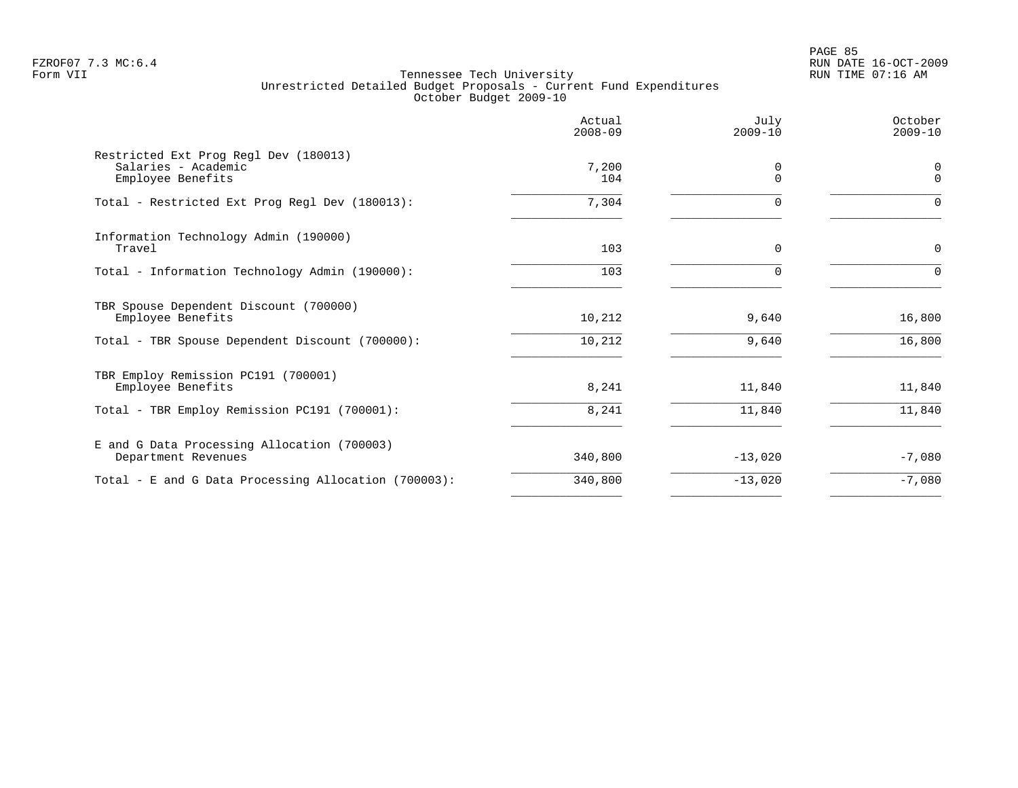PAGE 85 FZROF07 7.3 MC:6.4 RUN DATE 16-OCT-2009

| October<br>$2009 - 10$ |
|------------------------|
| 0<br>$\Omega$          |
| $\Omega$               |
| 0                      |
| $\Omega$               |
| 16,800                 |
| 16,800                 |
| 11,840                 |
| 11,840                 |
| $-7,080$               |
| $-7,080$               |
|                        |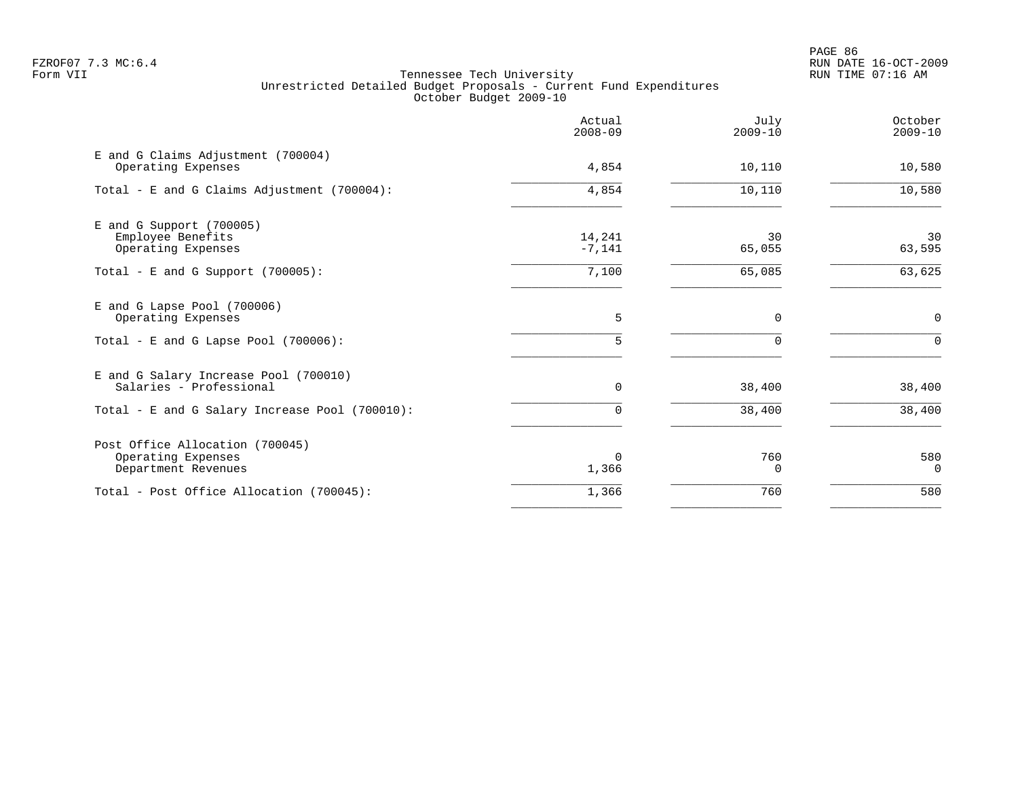PAGE 86 FZROF07 7.3 MC:6.4 RUN DATE 16-OCT-2009

|                                                                              | Actual<br>$2008 - 09$ | July<br>$2009 - 10$ | October<br>$2009 - 10$ |
|------------------------------------------------------------------------------|-----------------------|---------------------|------------------------|
| E and G Claims Adjustment (700004)<br>Operating Expenses                     | 4,854                 | 10,110              | 10,580                 |
| Total - E and G Claims Adjustment (700004):                                  | 4,854                 | 10,110              | 10,580                 |
| $E$ and G Support (700005)<br>Employee Benefits<br>Operating Expenses        | 14,241<br>$-7,141$    | 30<br>65,055        | 30<br>63,595           |
| Total - E and G Support $(700005)$ :                                         | 7,100                 | 65,085              | 63,625                 |
| E and G Lapse Pool (700006)<br>Operating Expenses                            | 5                     | $\mathbf 0$         | 0                      |
| Total - E and G Lapse Pool (700006):                                         | 5                     | <sup>n</sup>        | $\Omega$               |
| E and G Salary Increase Pool (700010)<br>Salaries - Professional             | 0                     | 38,400              | 38,400                 |
| Total - E and G Salary Increase Pool (700010):                               | $\Omega$              | 38,400              | 38,400                 |
| Post Office Allocation (700045)<br>Operating Expenses<br>Department Revenues | $\Omega$<br>1,366     | 760<br>0            | 580<br>$\mathbf 0$     |
| Total - Post Office Allocation (700045):                                     | 1,366                 | 760                 | 580                    |
|                                                                              |                       |                     |                        |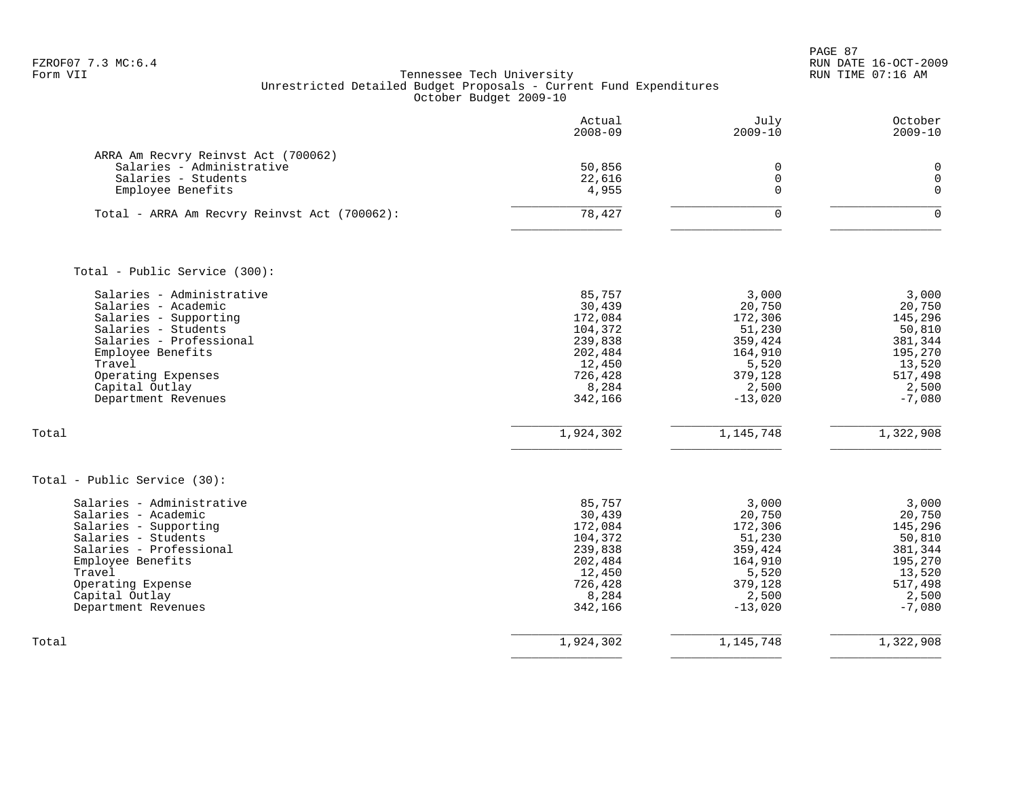PAGE 87 FZROF07 7.3 MC:6.4 RUN DATE 16-OCT-2009

|                                                                                                                                                                                                                           | Actual<br>$2008 - 09$                                                                                 | July<br>$2009 - 10$                                                                                  | October<br>$2009 - 10$                                                                               |
|---------------------------------------------------------------------------------------------------------------------------------------------------------------------------------------------------------------------------|-------------------------------------------------------------------------------------------------------|------------------------------------------------------------------------------------------------------|------------------------------------------------------------------------------------------------------|
| ARRA Am Recvry Reinvst Act (700062)<br>Salaries - Administrative<br>Salaries - Students<br>Employee Benefits                                                                                                              | 50,856<br>22,616<br>4,955                                                                             | $\mathbf 0$<br>$\mathbf 0$<br>$\Omega$                                                               | $\mathbf 0$<br>$\mathbf 0$<br>$\mathbf 0$                                                            |
| Total - ARRA Am Recvry Reinvst Act (700062):                                                                                                                                                                              | 78,427                                                                                                | $\Omega$                                                                                             | $\mathbf 0$                                                                                          |
| Total - Public Service (300):                                                                                                                                                                                             |                                                                                                       |                                                                                                      |                                                                                                      |
| Salaries - Administrative<br>Salaries - Academic<br>Salaries - Supporting<br>Salaries - Students<br>Salaries - Professional<br>Employee Benefits<br>Travel<br>Operating Expenses<br>Capital Outlay<br>Department Revenues | 85,757<br>30,439<br>172,084<br>104,372<br>239,838<br>202,484<br>12,450<br>726,428<br>8,284<br>342,166 | 3,000<br>20,750<br>172,306<br>51,230<br>359,424<br>164,910<br>5,520<br>379,128<br>2,500<br>$-13,020$ | 3,000<br>20,750<br>145,296<br>50,810<br>381,344<br>195,270<br>13,520<br>517,498<br>2,500<br>$-7,080$ |
| Total                                                                                                                                                                                                                     | 1,924,302                                                                                             | 1,145,748                                                                                            | 1,322,908                                                                                            |
| Total - Public Service (30):                                                                                                                                                                                              |                                                                                                       |                                                                                                      |                                                                                                      |
| Salaries - Administrative<br>Salaries - Academic<br>Salaries - Supporting<br>Salaries - Students<br>Salaries - Professional<br>Employee Benefits<br>Travel<br>Operating Expense<br>Capital Outlay<br>Department Revenues  | 85,757<br>30,439<br>172,084<br>104,372<br>239,838<br>202,484<br>12,450<br>726,428<br>8,284<br>342,166 | 3,000<br>20,750<br>172,306<br>51,230<br>359,424<br>164,910<br>5,520<br>379,128<br>2,500<br>$-13,020$ | 3,000<br>20,750<br>145,296<br>50,810<br>381,344<br>195,270<br>13,520<br>517,498<br>2,500<br>$-7,080$ |
| Total                                                                                                                                                                                                                     | 1,924,302                                                                                             | 1, 145, 748                                                                                          | 1,322,908                                                                                            |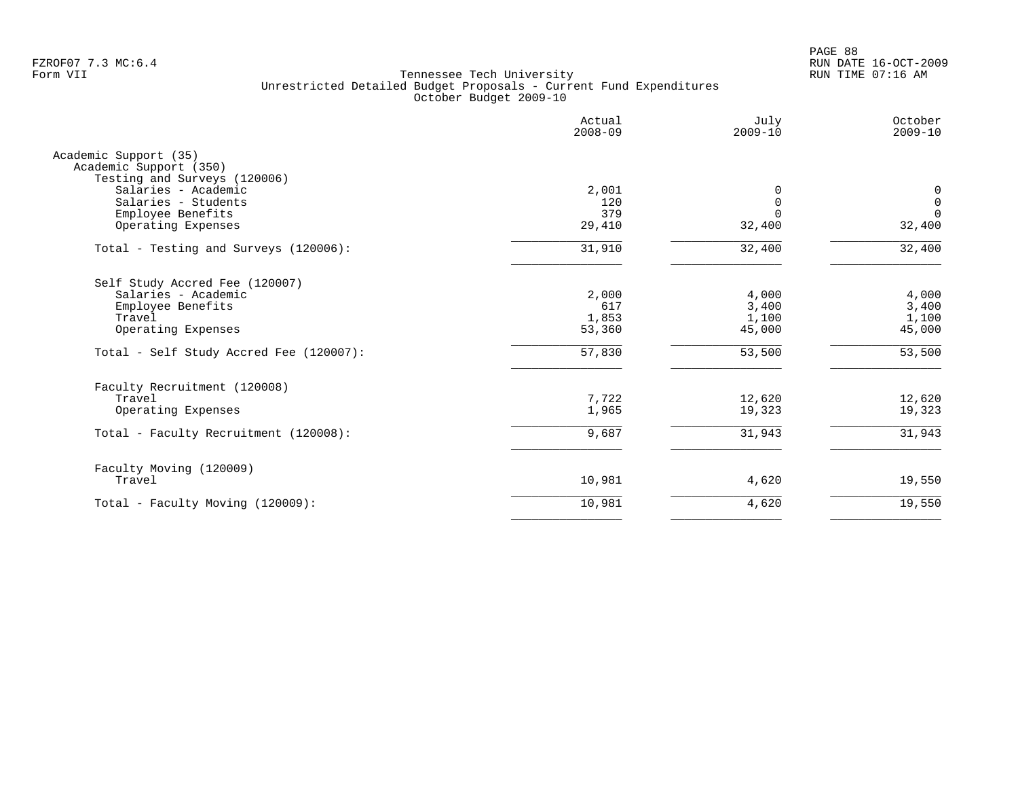PAGE 88 FZROF07 7.3 MC:6.4 RUN DATE 16-OCT-2009

|                                                 | Actual<br>$2008 - 09$ | July<br>$2009 - 10$ | October<br>$2009 - 10$ |
|-------------------------------------------------|-----------------------|---------------------|------------------------|
| Academic Support (35)<br>Academic Support (350) |                       |                     |                        |
| Testing and Surveys (120006)                    |                       |                     |                        |
| Salaries - Academic                             | 2,001                 | $\Omega$            | 0                      |
| Salaries - Students                             | 120                   | $\Omega$            | $\mathbf 0$            |
| Employee Benefits                               | 379                   | $\Omega$            | $\mathbf 0$            |
| Operating Expenses                              | 29,410                | 32,400              | 32,400                 |
| Total - Testing and Surveys (120006):           | 31,910                | 32,400              | 32,400                 |
| Self Study Accred Fee (120007)                  |                       |                     |                        |
| Salaries - Academic                             | 2,000                 | 4,000               | 4,000                  |
| Employee Benefits                               | 617                   | 3,400               | 3,400                  |
| Travel                                          | 1,853                 | 1,100               | 1,100                  |
| Operating Expenses                              | 53,360                | 45,000              | 45,000                 |
| Total - Self Study Accred Fee (120007):         | 57,830                | 53,500              | 53,500                 |
| Faculty Recruitment (120008)                    |                       |                     |                        |
| Travel                                          | 7,722                 | 12,620              | 12,620                 |
| Operating Expenses                              | 1,965                 | 19,323              | 19,323                 |
| Total - Faculty Recruitment (120008):           | 9,687                 | 31,943              | 31,943                 |
|                                                 |                       |                     |                        |
| Faculty Moving (120009)<br>Travel               | 10,981                | 4,620               | 19,550                 |
| Total - Faculty Moving (120009):                | 10,981                | 4,620               | 19,550                 |
|                                                 |                       |                     |                        |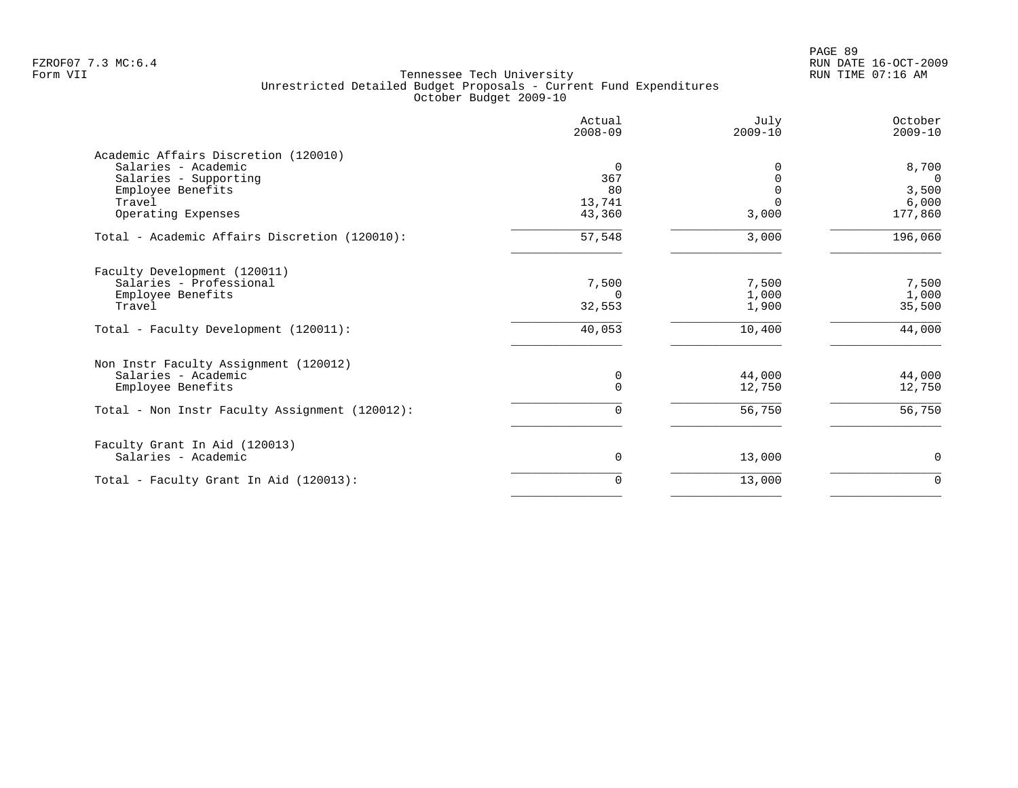PAGE 89 FZROF07 7.3 MC:6.4 RUN DATE 16-OCT-2009

|                                                | Actual<br>$2008 - 09$ | July<br>$2009 - 10$ | October<br>$2009 - 10$ |
|------------------------------------------------|-----------------------|---------------------|------------------------|
| Academic Affairs Discretion (120010)           |                       |                     |                        |
| Salaries - Academic                            | 0                     | 0                   | 8,700                  |
| Salaries - Supporting                          | 367                   | $\Omega$            | $\Omega$               |
| Employee Benefits                              | 80                    |                     | 3,500                  |
| Travel                                         | 13,741                |                     | 6,000                  |
| Operating Expenses                             | 43,360                | 3,000               | 177,860                |
| Total - Academic Affairs Discretion (120010):  | 57,548                | 3,000               | 196,060                |
| Faculty Development (120011)                   |                       |                     |                        |
| Salaries - Professional                        | 7,500                 | 7,500               | 7,500                  |
| Employee Benefits                              | $\Omega$              | 1,000               | 1,000                  |
| Travel                                         | 32,553                | 1,900               | 35,500                 |
| Total - Faculty Development (120011):          | 40,053                | 10,400              | 44,000                 |
| Non Instr Faculty Assignment (120012)          |                       |                     |                        |
| Salaries - Academic                            | 0                     | 44,000              | 44,000                 |
| Employee Benefits                              | 0                     | 12,750              | 12,750                 |
| Total - Non Instr Faculty Assignment (120012): | 0                     | 56,750              | 56,750                 |
| Faculty Grant In Aid (120013)                  |                       |                     |                        |
| Salaries - Academic                            | 0                     | 13,000              | 0                      |
| Total - Faculty Grant In Aid (120013):         | 0                     | 13,000              | $\mathbf 0$            |
|                                                |                       |                     |                        |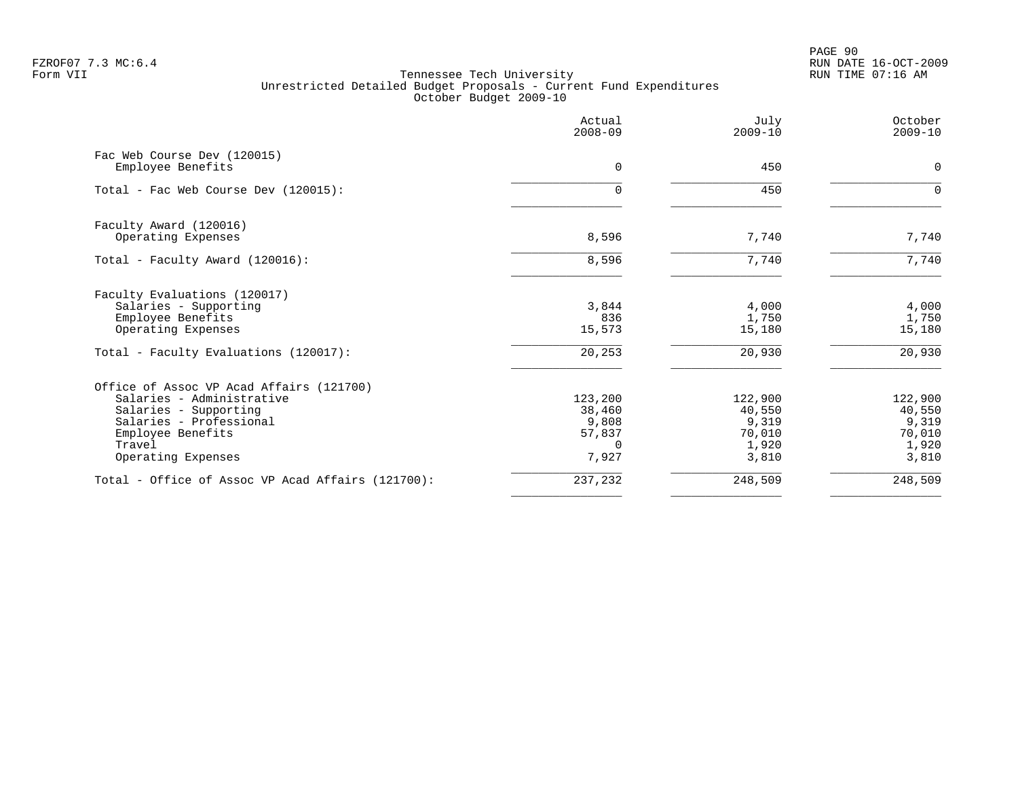PAGE 90 FZROF07 7.3 MC:6.4 RUN DATE 16-OCT-2009

|                                                   | Actual<br>$2008 - 09$ | July<br>$2009 - 10$ | October<br>$2009 - 10$ |
|---------------------------------------------------|-----------------------|---------------------|------------------------|
| Fac Web Course Dev (120015)<br>Employee Benefits  | 0                     | 450                 | 0                      |
|                                                   |                       |                     |                        |
| Total - Fac Web Course Dev (120015):              | $\Omega$              | 450                 | ∩                      |
| Faculty Award (120016)                            |                       |                     |                        |
| Operating Expenses                                | 8,596                 | 7,740               | 7,740                  |
| Total - Faculty Award (120016):                   | 8,596                 | 7,740               | 7,740                  |
| Faculty Evaluations (120017)                      |                       |                     |                        |
| Salaries - Supporting                             | 3,844                 | 4,000               | 4,000                  |
| Employee Benefits                                 | 836                   | 1,750               | 1,750                  |
| Operating Expenses                                | 15,573                | 15,180              | 15,180                 |
| Total - Faculty Evaluations (120017):             | 20,253                | 20,930              | 20,930                 |
| Office of Assoc VP Acad Affairs (121700)          |                       |                     |                        |
| Salaries - Administrative                         | 123,200               | 122,900             | 122,900                |
| Salaries - Supporting                             | 38,460                | 40,550              | 40,550                 |
| Salaries - Professional                           | 9,808                 | 9,319               | 9,319                  |
| Employee Benefits                                 | 57,837                | 70,010              | 70,010                 |
| Travel                                            | $\Omega$              | 1,920               | 1,920                  |
| Operating Expenses                                | 7,927                 | 3,810               | 3,810                  |
| Total - Office of Assoc VP Acad Affairs (121700): | 237,232               | 248,509             | 248,509                |
|                                                   |                       |                     |                        |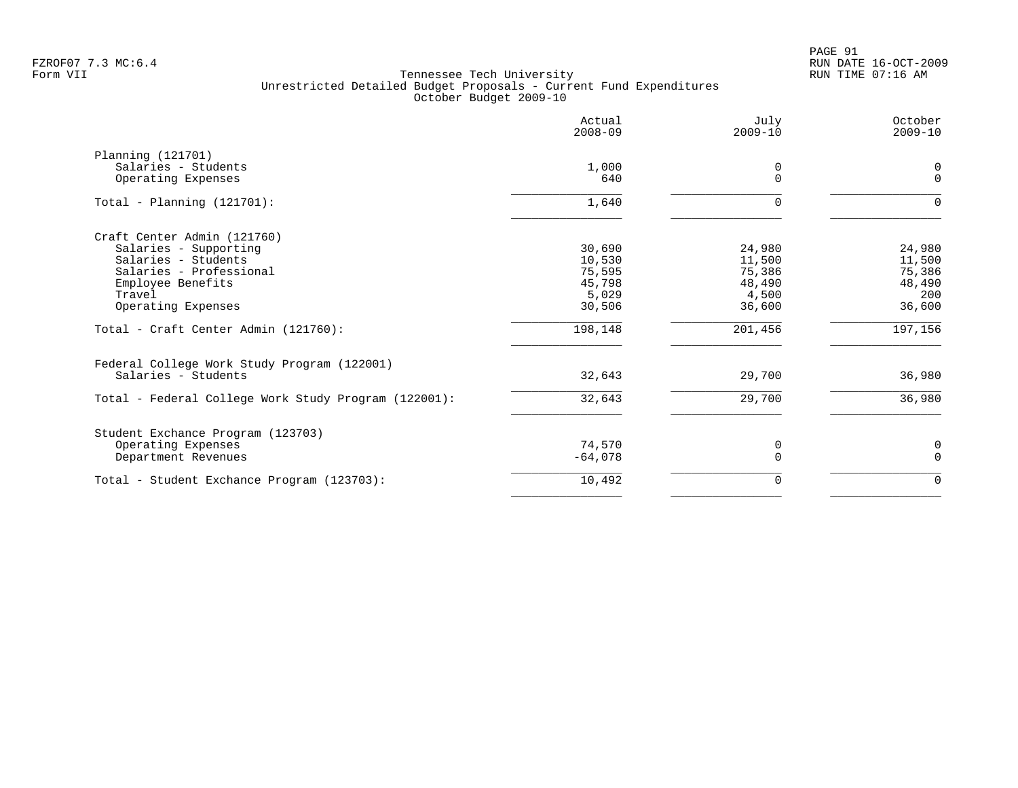PAGE 91 FZROF07 7.3 MC:6.4 RUN DATE 16-OCT-2009

|                                                      | Actual<br>$2008 - 09$ | July<br>$2009 - 10$ | October<br>$2009 - 10$ |
|------------------------------------------------------|-----------------------|---------------------|------------------------|
| Planning (121701)                                    |                       |                     |                        |
| Salaries - Students                                  | 1,000<br>640          | $\cap$              | 0<br>$\Omega$          |
| Operating Expenses                                   |                       |                     |                        |
| Total - Planning $(121701):$                         | 1,640                 | $\Omega$            | $\Omega$               |
| Craft Center Admin (121760)                          |                       |                     |                        |
| Salaries - Supporting                                | 30,690                | 24,980              | 24,980                 |
| Salaries - Students                                  | 10,530                | 11,500              | 11,500                 |
| Salaries - Professional                              | 75,595                | 75,386              | 75,386                 |
| Employee Benefits<br>Travel                          | 45,798<br>5,029       | 48,490<br>4,500     | 48,490<br>200          |
| Operating Expenses                                   | 30,506                | 36,600              | 36,600                 |
| Total - Craft Center Admin (121760):                 | 198,148               | 201,456             | 197,156                |
| Federal College Work Study Program (122001)          |                       |                     |                        |
| Salaries - Students                                  | 32,643                | 29,700              | 36,980                 |
| Total - Federal College Work Study Program (122001): | 32,643                | 29,700              | 36,980                 |
| Student Exchance Program (123703)                    |                       |                     |                        |
| Operating Expenses                                   | 74,570                | 0                   | 0                      |
| Department Revenues                                  | $-64,078$             | $\Omega$            | $\Omega$               |
| Total - Student Exchance Program (123703):           | 10,492                | 0                   | $\mathbf 0$            |
|                                                      |                       |                     |                        |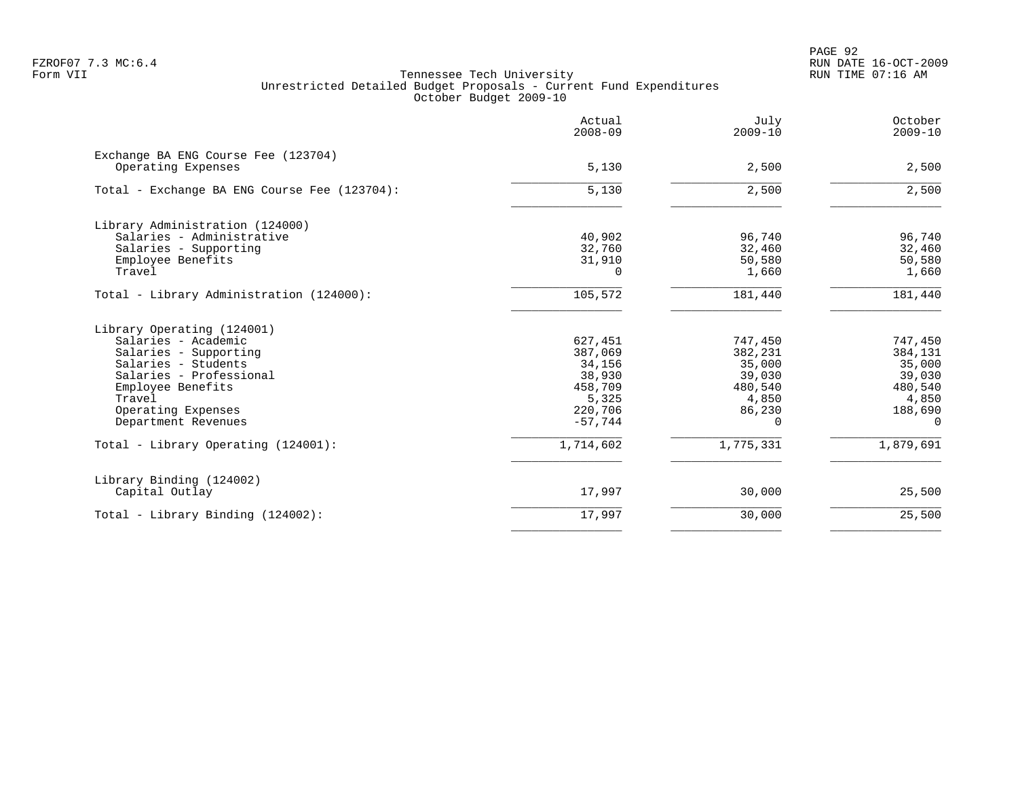PAGE 92 FZROF07 7.3 MC:6.4 RUN DATE 16-OCT-2009

|                                                              | Actual<br>$2008 - 09$ | July<br>$2009 - 10$ | October<br>$2009 - 10$ |
|--------------------------------------------------------------|-----------------------|---------------------|------------------------|
| Exchange BA ENG Course Fee (123704)<br>Operating Expenses    | 5,130                 | 2,500               | 2,500                  |
| Total - Exchange BA ENG Course Fee (123704):                 | 5,130                 | 2,500               | 2,500                  |
| Library Administration (124000)<br>Salaries - Administrative | 40,902                | 96,740              | 96,740                 |
| Salaries - Supporting                                        | 32,760                | 32,460              | 32,460                 |
| Employee Benefits                                            | 31,910                | 50,580              | 50,580                 |
| Travel                                                       | $\Omega$              | 1,660               | 1,660                  |
| Total - Library Administration (124000):                     | 105,572               | 181,440             | 181,440                |
| Library Operating (124001)                                   |                       |                     |                        |
| Salaries - Academic                                          | 627,451               | 747,450             | 747,450                |
| Salaries - Supporting                                        | 387,069               | 382,231             | 384,131                |
| Salaries - Students                                          | 34,156                | 35,000              | 35,000                 |
| Salaries - Professional                                      | 38,930                | 39,030              | 39,030                 |
| Employee Benefits<br>Travel                                  | 458,709               | 480,540             | 480,540                |
| Operating Expenses                                           | 5,325<br>220,706      | 4,850<br>86,230     | 4,850<br>188,690       |
| Department Revenues                                          | $-57,744$             | $\Omega$            | $\Omega$               |
| Total - Library Operating (124001):                          | 1,714,602             | 1,775,331           | 1,879,691              |
| Library Binding (124002)                                     |                       |                     |                        |
| Capital Outlay                                               | 17,997                | 30,000              | 25,500                 |
| Total - Library Binding (124002):                            | 17,997                | 30,000              | 25,500                 |
|                                                              |                       |                     |                        |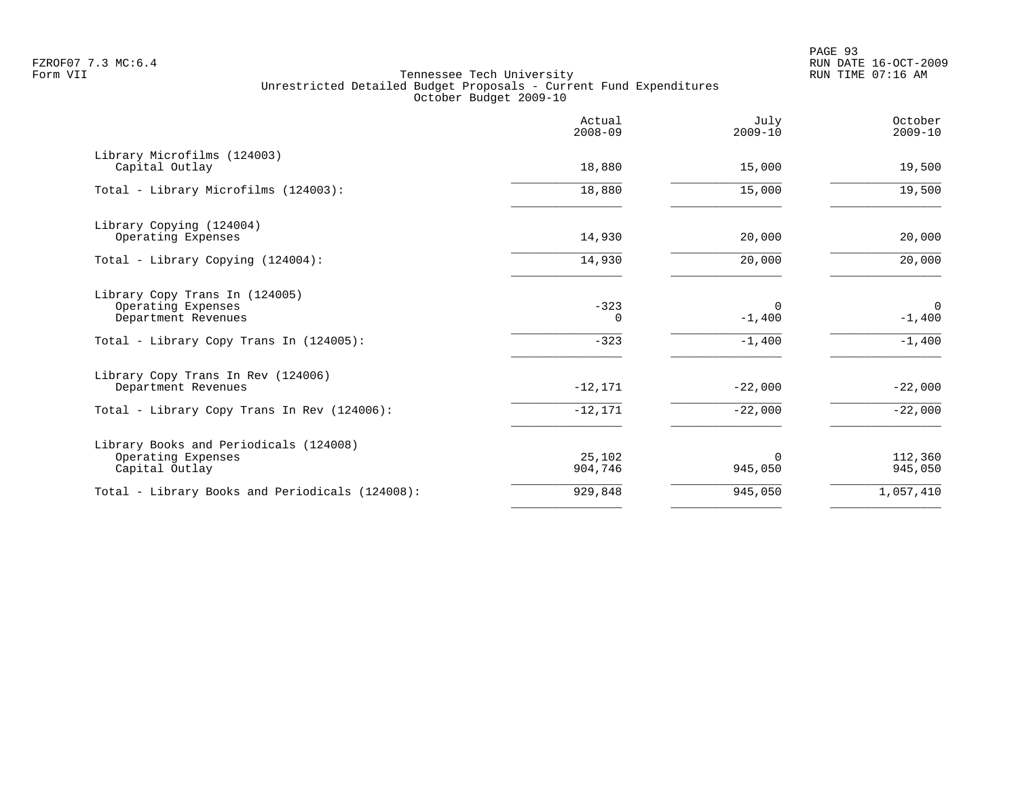PAGE 93 FZROF07 7.3 MC:6.4 RUN DATE 16-OCT-2009

|                                                                                                                        | Actual<br>$2008 - 09$ | July<br>$2009 - 10$              | October<br>$2009 - 10$    |
|------------------------------------------------------------------------------------------------------------------------|-----------------------|----------------------------------|---------------------------|
| Library Microfilms (124003)<br>Capital Outlay                                                                          | 18,880                | 15,000                           | 19,500                    |
| Total - Library Microfilms (124003):                                                                                   | 18,880                | 15,000                           | 19,500                    |
| Library Copying (124004)<br>Operating Expenses                                                                         | 14,930                | 20,000                           | 20,000                    |
| Total - Library Copying (124004):                                                                                      | 14,930                | 20,000                           | 20,000                    |
| Library Copy Trans In (124005)<br>Operating Expenses<br>Department Revenues<br>Total - Library Copy Trans In (124005): | $-323$<br>0<br>$-323$ | $\Omega$<br>$-1,400$<br>$-1,400$ | 0<br>$-1,400$<br>$-1,400$ |
| Library Copy Trans In Rev (124006)<br>Department Revenues                                                              | $-12,171$             | $-22,000$                        | $-22,000$                 |
| Total - Library Copy Trans In Rev (124006):                                                                            | $-12,171$             | $-22,000$                        | $-22,000$                 |
| Library Books and Periodicals (124008)<br>Operating Expenses<br>Capital Outlay                                         | 25,102<br>904,746     | $\Omega$<br>945,050              | 112,360<br>945,050        |
| Total - Library Books and Periodicals (124008):                                                                        | 929,848               | 945,050                          | 1,057,410                 |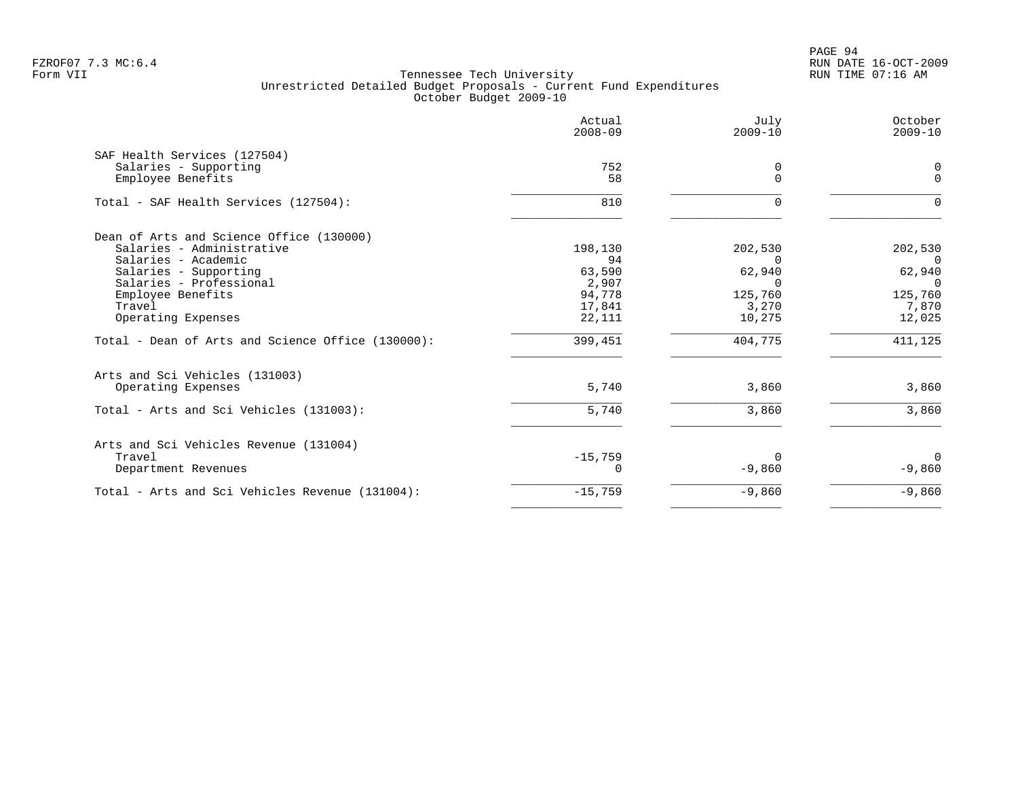PAGE 94 FZROF07 7.3 MC:6.4 RUN DATE 16-OCT-2009

|                                                   | Actual<br>$2008 - 09$ | July<br>$2009 - 10$    | October<br>$2009 - 10$ |
|---------------------------------------------------|-----------------------|------------------------|------------------------|
| SAF Health Services (127504)                      |                       |                        |                        |
| Salaries - Supporting<br>Employee Benefits        | 752<br>58             | 0<br>$\Omega$          | 0<br>$\Omega$          |
| Total - SAF Health Services (127504):             | 810                   |                        | $\Omega$               |
| Dean of Arts and Science Office (130000)          |                       |                        |                        |
| Salaries - Administrative                         | 198,130               | 202,530                | 202,530                |
| Salaries - Academic<br>Salaries - Supporting      | 94<br>63,590          | <sup>n</sup><br>62,940 | $\Omega$<br>62,940     |
| Salaries - Professional                           | 2,907                 | <sup>n</sup>           | $\Omega$               |
| Employee Benefits                                 | 94,778                | 125,760                | 125,760                |
| Travel                                            | 17,841                | 3,270                  | 7,870                  |
| Operating Expenses                                | 22,111                | 10,275                 | 12,025                 |
| Total - Dean of Arts and Science Office (130000): | 399,451               | 404,775                | 411,125                |
| Arts and Sci Vehicles (131003)                    |                       |                        |                        |
| Operating Expenses                                | 5,740                 | 3,860                  | 3,860                  |
| Total - Arts and Sci Vehicles (131003):           | 5,740                 | 3,860                  | 3,860                  |
| Arts and Sci Vehicles Revenue (131004)            |                       |                        |                        |
| Travel                                            | $-15,759$             |                        | $\Omega$               |
| Department Revenues                               | 0                     | $-9,860$               | $-9,860$               |
| Total - Arts and Sci Vehicles Revenue (131004):   | $-15,759$             | $-9,860$               | $-9,860$               |
|                                                   |                       |                        |                        |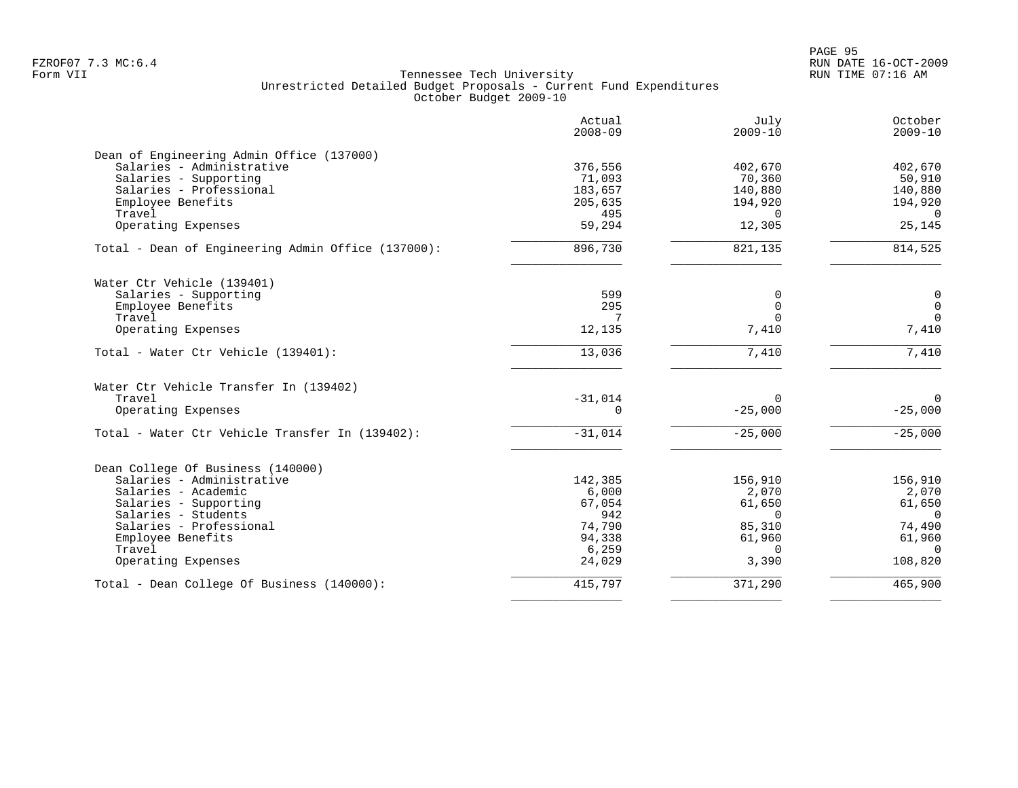PAGE 95 FZROF07 7.3 MC:6.4 RUN DATE 16-OCT-2009

|                                                    | Actual<br>$2008 - 09$ | July<br>$2009 - 10$ | October<br>$2009 - 10$ |
|----------------------------------------------------|-----------------------|---------------------|------------------------|
| Dean of Engineering Admin Office (137000)          |                       |                     |                        |
| Salaries - Administrative                          | 376,556               | 402,670             | 402,670                |
| Salaries - Supporting                              | 71,093                | 70,360              | 50,910                 |
| Salaries - Professional                            | 183,657               | 140,880             | 140,880                |
| Employee Benefits                                  | 205,635               | 194,920             | 194,920                |
| Travel                                             | 495                   | $\Omega$            | $\overline{0}$         |
| Operating Expenses                                 | 59,294                | 12,305              | 25,145                 |
| Total - Dean of Engineering Admin Office (137000): | 896,730               | 821,135             | 814,525                |
| Water Ctr Vehicle (139401)                         |                       |                     |                        |
| Salaries - Supporting                              | 599                   | $\Omega$            | $\mathbf 0$            |
| Employee Benefits                                  | 295                   | $\Omega$            | $\mathsf{O}$           |
| Travel                                             | 7                     |                     | $\overline{0}$         |
| Operating Expenses                                 | 12,135                | 7,410               | 7,410                  |
| Total - Water Ctr Vehicle (139401):                | 13,036                | 7,410               | 7,410                  |
| Water Ctr Vehicle Transfer In (139402)             |                       |                     |                        |
| Travel                                             | $-31,014$             | $\Omega$            | $\mathbf 0$            |
| Operating Expenses                                 | 0                     | $-25,000$           | $-25,000$              |
| Total - Water Ctr Vehicle Transfer In (139402):    | $-31,014$             | $-25,000$           | $-25,000$              |
| Dean College Of Business (140000)                  |                       |                     |                        |
| Salaries - Administrative                          | 142,385               | 156,910             | 156,910                |
| Salaries - Academic                                | 6,000                 | 2,070               | 2,070                  |
| Salaries - Supporting                              | 67,054                | 61,650              | 61,650                 |
| Salaries - Students                                | 942                   | $\Omega$            | $\overline{0}$         |
| Salaries - Professional                            | 74,790                | 85,310              | 74,490                 |
| Employee Benefits                                  | 94,338                | 61,960              | 61,960                 |
| Travel                                             | 6,259                 | $\Omega$            | $\Omega$               |
| Operating Expenses                                 | 24,029                | 3,390               | 108,820                |
| Total - Dean College Of Business (140000):         | 415,797               | 371,290             | 465,900                |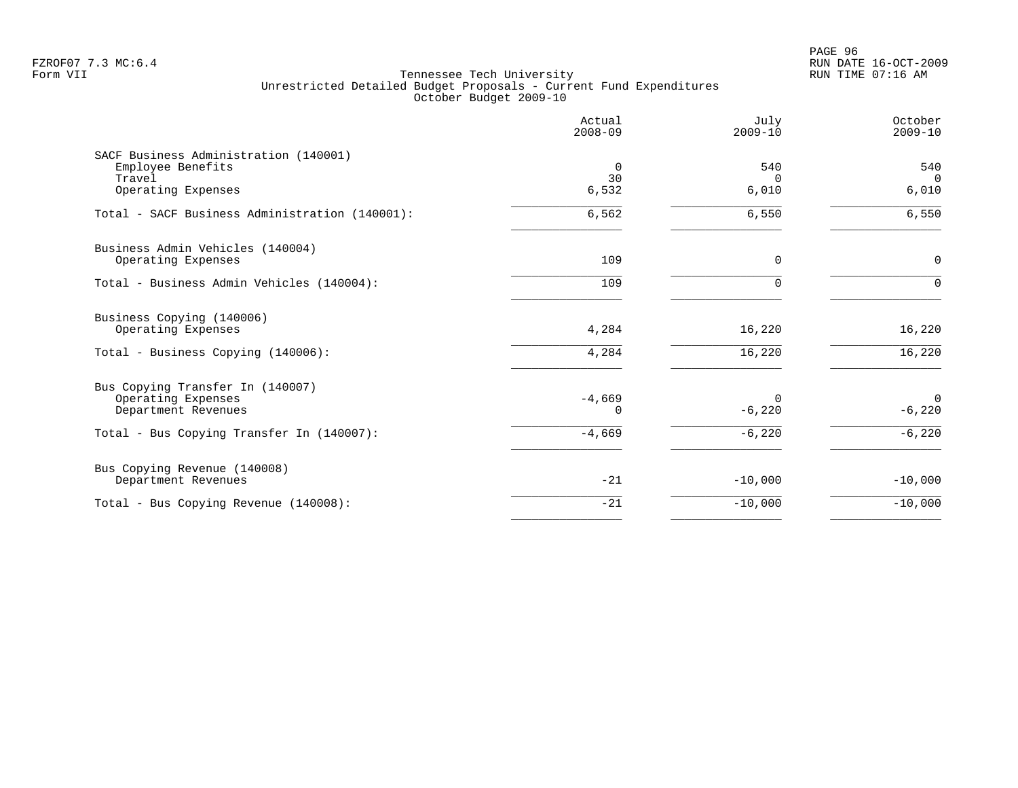PAGE 96 FZROF07 7.3 MC:6.4 RUN DATE 16-OCT-2009

|                                                            | Actual<br>$2008 - 09$ | July<br>$2009 - 10$ | October<br>$2009 - 10$ |
|------------------------------------------------------------|-----------------------|---------------------|------------------------|
| SACF Business Administration (140001)<br>Employee Benefits | 0                     | 540                 | 540                    |
| Travel                                                     | 30                    | $\Omega$            | $\Omega$               |
| Operating Expenses                                         | 6,532                 | 6,010               | 6,010                  |
| Total - SACF Business Administration (140001):             | 6,562                 | 6,550               | 6,550                  |
| Business Admin Vehicles (140004)                           |                       |                     |                        |
| Operating Expenses                                         | 109                   | $\mathbf 0$         | $\mathbf 0$            |
| Total - Business Admin Vehicles (140004):                  | 109                   | $\Omega$            | $\Omega$               |
| Business Copying (140006)                                  |                       |                     |                        |
| Operating Expenses                                         | 4,284                 | 16,220              | 16,220                 |
| Total - Business Copying (140006):                         | 4,284                 | 16,220              | 16,220                 |
| Bus Copying Transfer In (140007)                           |                       |                     |                        |
| Operating Expenses                                         | $-4,669$              | $\Omega$            | $\overline{0}$         |
| Department Revenues                                        | $\Omega$              | $-6,220$            | $-6,220$               |
| Total - Bus Copying Transfer In (140007):                  | $-4,669$              | $-6,220$            | $-6,220$               |
| Bus Copying Revenue (140008)                               |                       |                     |                        |
| Department Revenues                                        | $-21$                 | $-10,000$           | $-10,000$              |
| Total - Bus Copying Revenue (140008):                      | $-21$                 | $-10,000$           | $-10,000$              |
|                                                            |                       |                     |                        |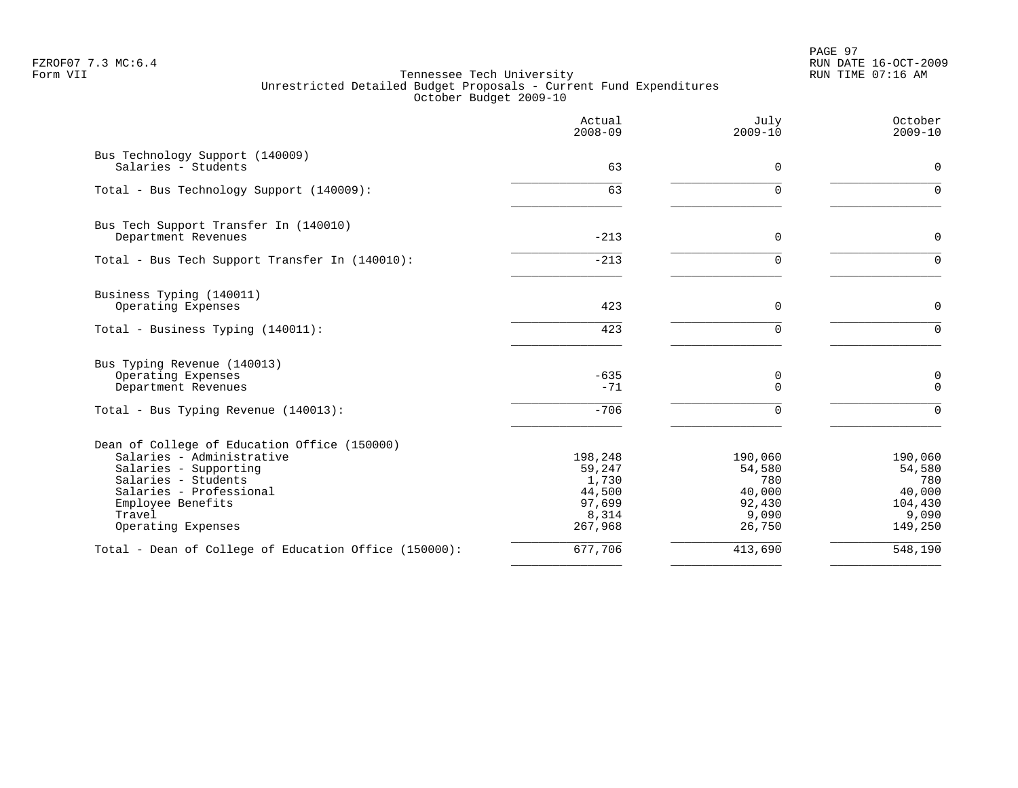PAGE 97 FZROF07 7.3 MC:6.4 RUN DATE 16-OCT-2009

|                                                              | Actual<br>$2008 - 09$ | July<br>$2009 - 10$ | October<br>$2009 - 10$          |
|--------------------------------------------------------------|-----------------------|---------------------|---------------------------------|
| Bus Technology Support (140009)<br>Salaries - Students       | 63                    | $\Omega$            | $\mathbf 0$                     |
| Total - Bus Technology Support (140009):                     | 63                    | $\Omega$            | $\Omega$                        |
|                                                              |                       |                     |                                 |
| Bus Tech Support Transfer In (140010)<br>Department Revenues | $-213$                | 0                   | $\mathbf 0$                     |
| Total - Bus Tech Support Transfer In (140010):               | $-213$                | $\Omega$            | $\Omega$                        |
| Business Typing (140011)                                     |                       |                     |                                 |
| Operating Expenses                                           | 423                   | 0                   | $\mathbf 0$                     |
| Total - Business Typing (140011):                            | 423                   | $\Omega$            | $\Omega$                        |
| Bus Typing Revenue (140013)                                  |                       |                     |                                 |
| Operating Expenses<br>Department Revenues                    | $-635$<br>$-71$       | 0<br>$\Omega$       | $\mathsf{O}\xspace$<br>$\Omega$ |
| Total - Bus Typing Revenue (140013):                         | $-706$                | U                   | $\Omega$                        |
| Dean of College of Education Office (150000)                 |                       |                     |                                 |
| Salaries - Administrative                                    | 198,248               | 190,060             | 190,060                         |
| Salaries - Supporting<br>Salaries - Students                 | 59,247<br>1,730       | 54,580<br>780       | 54,580<br>780                   |
| Salaries - Professional                                      | 44,500                | 40,000              | 40,000                          |
| Employee Benefits                                            | 97,699                | 92,430              | 104,430                         |
| Travel                                                       | 8,314                 | 9,090               | 9,090                           |
| Operating Expenses                                           | 267,968               | 26,750              | 149,250                         |
| Total - Dean of College of Education Office (150000):        | 677,706               | 413,690             | 548,190                         |
|                                                              |                       |                     |                                 |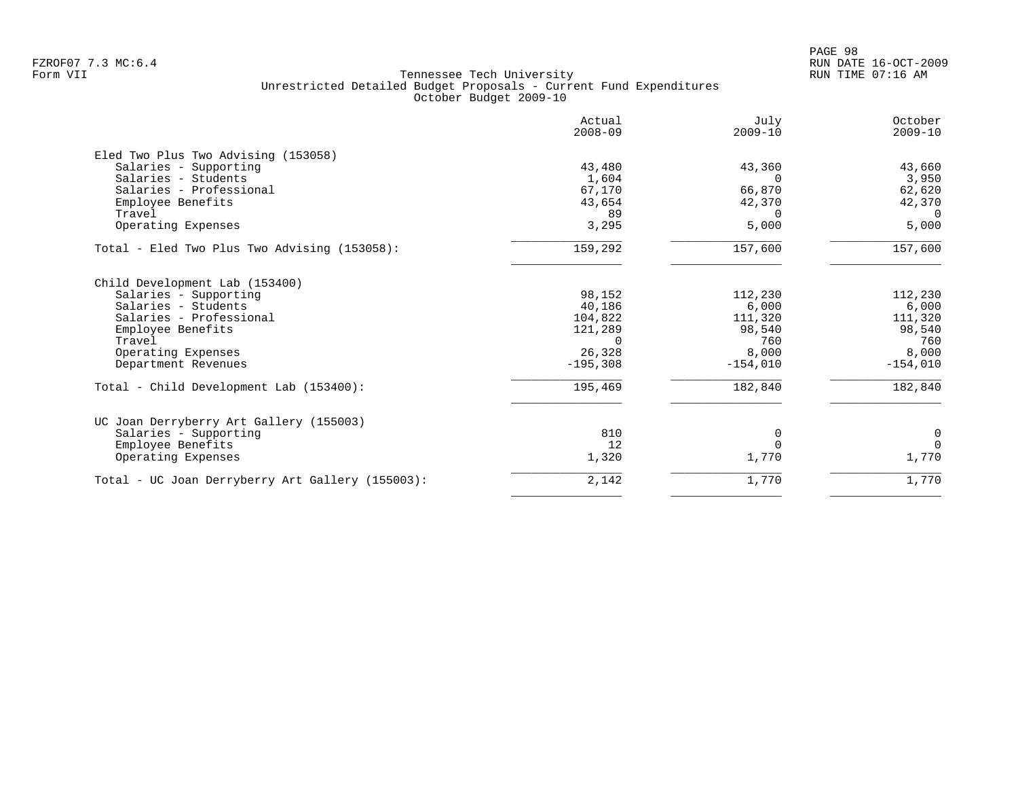| Actual<br>$2008 - 09$ | July<br>$2009 - 10$                              | October<br>$2009 - 10$          |
|-----------------------|--------------------------------------------------|---------------------------------|
|                       |                                                  |                                 |
|                       |                                                  | 43,660                          |
|                       | $\Omega$                                         | 3,950                           |
|                       |                                                  | 62,620                          |
|                       |                                                  | 42,370                          |
| 89                    | $\Omega$                                         | $\overline{0}$                  |
| 3,295                 | 5,000                                            | 5,000                           |
| 159,292               | 157,600                                          | 157,600                         |
|                       |                                                  |                                 |
| 98,152                | 112,230                                          | 112,230                         |
| 40,186                | 6,000                                            | 6,000                           |
| 104,822               | 111,320                                          | 111,320                         |
| 121,289               | 98,540                                           | 98,540                          |
| $\Omega$              | 760                                              | 760                             |
| 26,328                | 8,000                                            | 8,000                           |
| $-195,308$            | $-154,010$                                       | $-154,010$                      |
| 195,469               | 182,840                                          | 182,840                         |
|                       |                                                  |                                 |
|                       |                                                  | $\mathbf 0$                     |
|                       | $\Omega$                                         | $\Omega$                        |
| 1,320                 | 1,770                                            | 1,770                           |
| 2,142                 | 1,770                                            | 1,770                           |
|                       | 43,480<br>1,604<br>67,170<br>43,654<br>810<br>12 | 43,360<br>66,870<br>42,370<br>0 |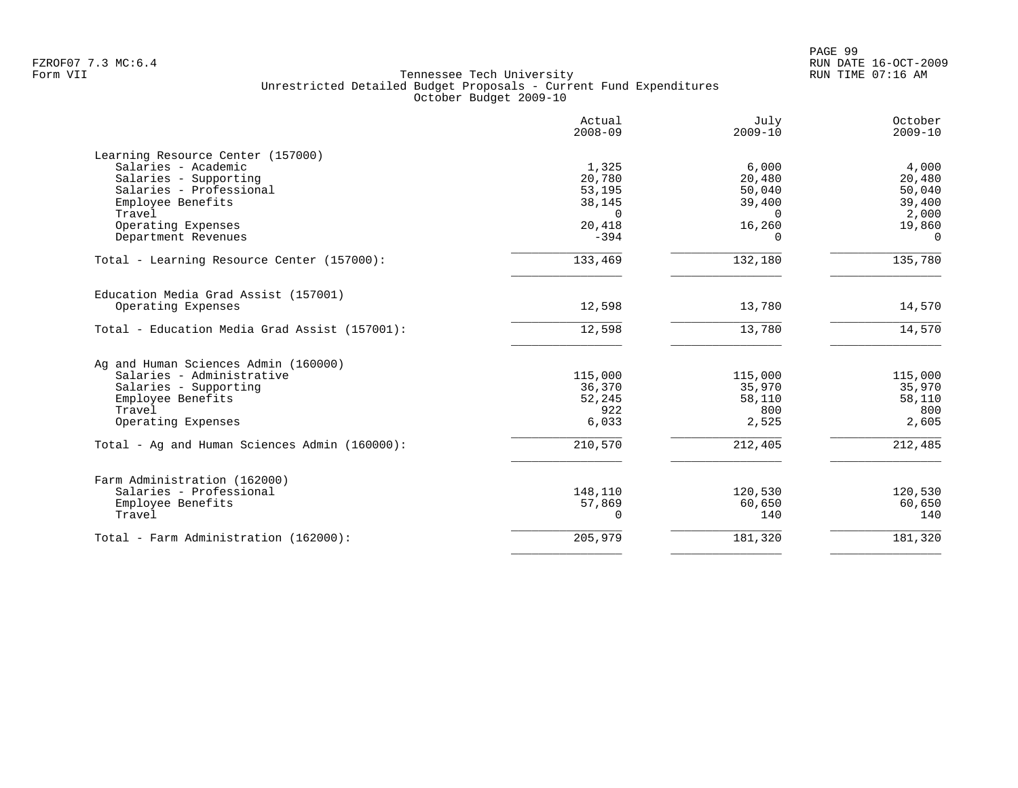|                                               | Actual<br>$2008 - 09$ | July<br>$2009 - 10$ | October<br>$2009 - 10$ |
|-----------------------------------------------|-----------------------|---------------------|------------------------|
| Learning Resource Center (157000)             |                       |                     |                        |
| Salaries - Academic                           | 1,325                 | 6,000               | 4,000                  |
| Salaries - Supporting                         | 20,780                | 20,480              | 20,480                 |
| Salaries - Professional                       | 53,195                | 50,040              | 50,040                 |
| Employee Benefits                             | 38,145                | 39,400              | 39,400                 |
| Travel                                        | $\Omega$              | $\Omega$            | 2,000                  |
| Operating Expenses                            | 20,418                | 16,260              | 19,860                 |
| Department Revenues                           | $-394$                | $\Omega$            | $\Omega$               |
| Total - Learning Resource Center (157000):    | 133,469               | 132,180             | 135,780                |
| Education Media Grad Assist (157001)          |                       |                     |                        |
| Operating Expenses                            | 12,598                | 13,780              | 14,570                 |
| Total - Education Media Grad Assist (157001): | 12,598                | 13,780              | 14,570                 |
| Ag and Human Sciences Admin (160000)          |                       |                     |                        |
| Salaries - Administrative                     | 115,000               | 115,000             | 115,000                |
| Salaries - Supporting                         | 36,370                | 35,970              | 35,970                 |
| Employee Benefits                             | 52,245                | 58,110              | 58,110                 |
| Travel                                        | 922                   | 800                 | 800                    |
| Operating Expenses                            | 6,033                 | 2,525               | 2,605                  |
| Total - Ag and Human Sciences Admin (160000): | 210,570               | 212,405             | 212,485                |
| Farm Administration (162000)                  |                       |                     |                        |
| Salaries - Professional                       | 148,110               | 120,530             | 120,530                |
| Employee Benefits                             | 57,869                | 60,650              | 60,650                 |
| Travel                                        | $\Omega$              | 140                 | 140                    |
| Total - Farm Administration (162000):         | 205,979               | 181,320             | 181,320                |
|                                               |                       |                     |                        |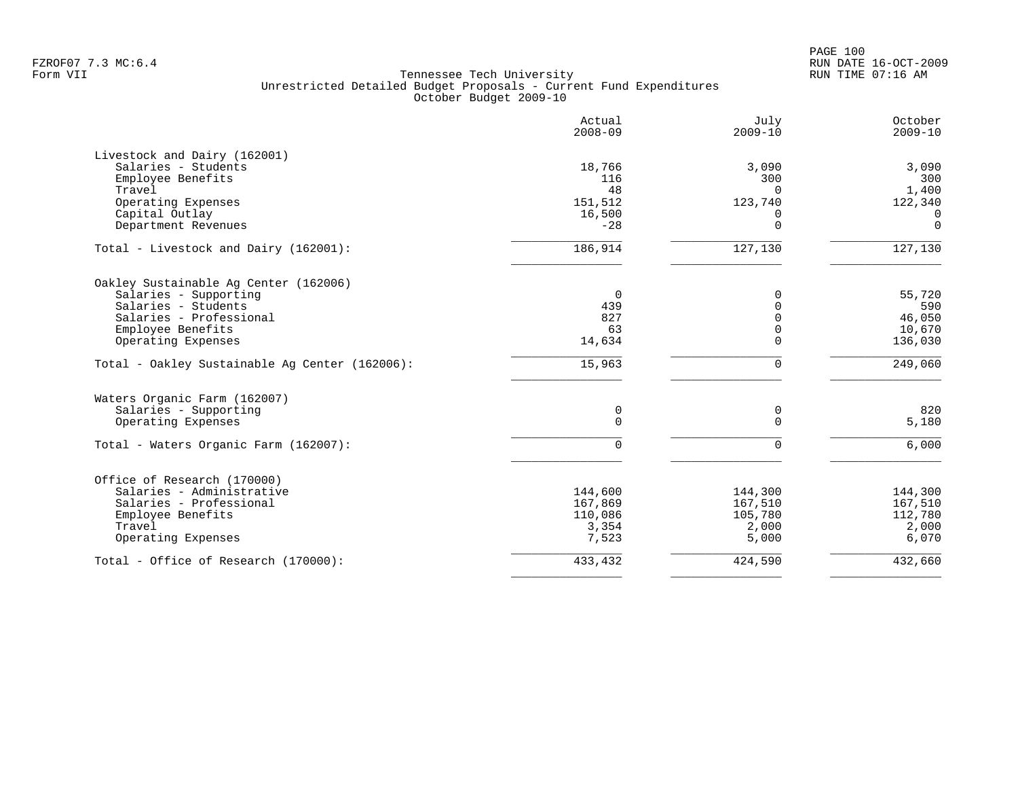|                                                | Actual<br>$2008 - 09$ | July<br>$2009 - 10$   | October<br>$2009 - 10$ |
|------------------------------------------------|-----------------------|-----------------------|------------------------|
| Livestock and Dairy (162001)                   |                       |                       |                        |
| Salaries - Students                            | 18,766                | 3,090                 | 3,090                  |
| Employee Benefits                              | 116                   | 300                   | 300                    |
| Travel                                         | 48                    | $\Omega$              | 1,400                  |
| Operating Expenses                             | 151,512               | 123,740               | 122,340                |
| Capital Outlay                                 | 16,500                | $\Omega$              | $\overline{0}$         |
| Department Revenues                            | $-28$                 | $\mathbf 0$           | $\Omega$               |
| Total - Livestock and Dairy (162001):          | 186,914               | $\overline{127, 130}$ | 127,130                |
| Oakley Sustainable Aq Center (162006)          |                       |                       |                        |
| Salaries - Supporting                          | $\overline{0}$        | $\Omega$              | 55,720                 |
| Salaries - Students                            | 439                   | $\mathbf 0$           | 590                    |
| Salaries - Professional                        | 827                   | $\Omega$              | 46,050                 |
| Employee Benefits                              | 63                    | $\mathbf 0$           | 10,670                 |
| Operating Expenses                             | 14,634                | $\Omega$              | 136,030                |
| Total - Oakley Sustainable Aq Center (162006): | 15,963                | $\Omega$              | 249,060                |
| Waters Organic Farm (162007)                   |                       |                       |                        |
| Salaries - Supporting                          | 0                     | 0                     | 820                    |
| Operating Expenses                             | 0                     | $\mathbf 0$           | 5,180                  |
| Total - Waters Organic Farm (162007):          | $\Omega$              | $\Omega$              | 6,000                  |
| Office of Research (170000)                    |                       |                       |                        |
| Salaries - Administrative                      | 144,600               | 144,300               | 144,300                |
| Salaries - Professional                        | 167,869               | 167,510               | 167,510                |
| Employee Benefits                              | 110,086               | 105,780               | 112,780                |
| Travel                                         | 3,354                 | 2,000                 | 2,000                  |
| Operating Expenses                             | 7,523                 | 5,000                 | 6,070                  |
| Total - Office of Research (170000):           | 433,432               | 424,590               | 432,660                |
|                                                |                       |                       |                        |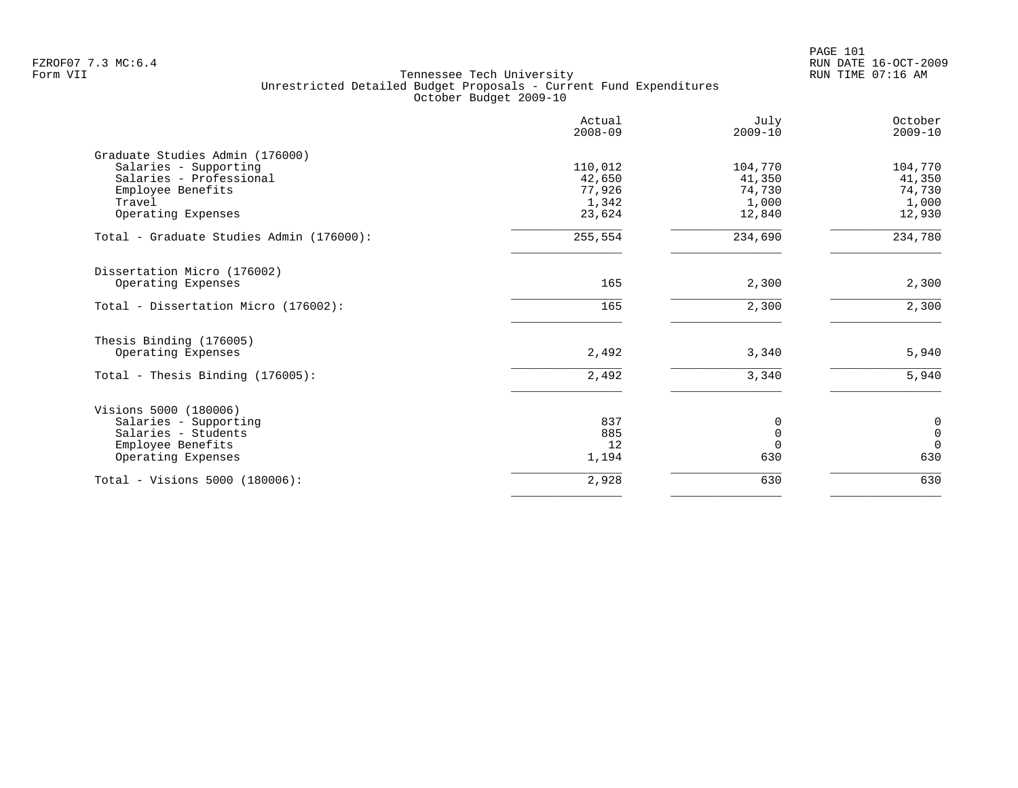|                                          | Actual<br>$2008 - 09$ | July<br>$2009 - 10$ | October<br>$2009 - 10$ |
|------------------------------------------|-----------------------|---------------------|------------------------|
| Graduate Studies Admin (176000)          |                       |                     |                        |
| Salaries - Supporting                    | 110,012               | 104,770             | 104,770                |
| Salaries - Professional                  | 42,650                | 41,350              | 41,350                 |
| Employee Benefits                        | 77,926                | 74,730              | 74,730                 |
| Travel                                   | 1,342                 | 1,000               | 1,000                  |
| Operating Expenses                       | 23,624                | 12,840              | 12,930                 |
| Total - Graduate Studies Admin (176000): | 255,554               | 234,690             | 234,780                |
| Dissertation Micro (176002)              |                       |                     |                        |
| Operating Expenses                       | 165                   | 2,300               | 2,300                  |
| Total - Dissertation Micro (176002):     | 165                   | 2,300               | 2,300                  |
| Thesis Binding (176005)                  |                       |                     |                        |
| Operating Expenses                       | 2,492                 | 3,340               | 5,940                  |
| Total - Thesis Binding $(176005)$ :      | 2,492                 | 3,340               | 5,940                  |
| Visions 5000 (180006)                    |                       |                     |                        |
| Salaries - Supporting                    | 837                   | 0                   | 0                      |
| Salaries - Students                      | 885                   | $\Omega$            | $\mathsf 0$            |
| Employee Benefits                        | 12                    | $\Omega$            | $\Omega$               |
| Operating Expenses                       | 1,194                 | 630                 | 630                    |
| Total - Visions 5000 (180006):           | 2,928                 | 630                 | 630                    |
|                                          |                       |                     |                        |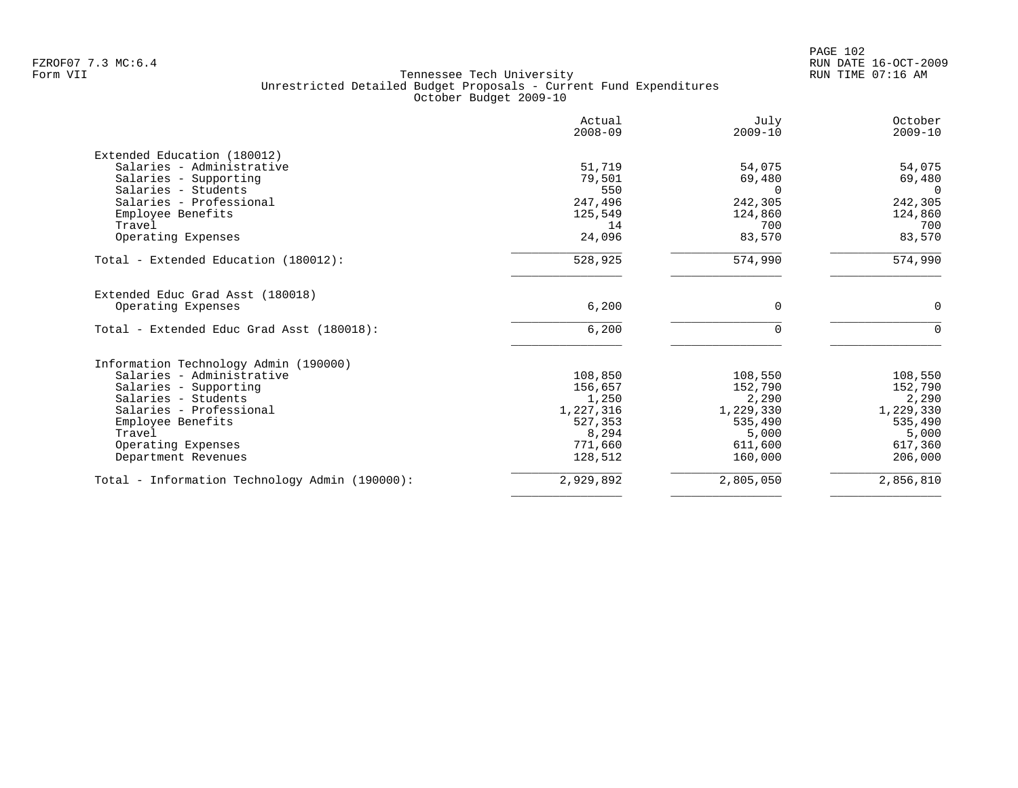|                                                | Actual<br>$2008 - 09$ | July<br>$2009 - 10$ | October<br>$2009 - 10$ |
|------------------------------------------------|-----------------------|---------------------|------------------------|
| Extended Education (180012)                    |                       |                     |                        |
| Salaries - Administrative                      | 51,719                | 54,075              | 54,075                 |
| Salaries - Supporting                          | 79,501                | 69,480              | 69,480                 |
| Salaries - Students                            | 550                   | $\Omega$            | $\Omega$               |
| Salaries - Professional                        | 247,496               | 242,305             | 242,305                |
| Employee Benefits                              | 125,549               | 124,860             | 124,860                |
| Travel                                         | 14                    | 700                 | 700                    |
| Operating Expenses                             | 24,096                | 83,570              | 83,570                 |
| Total - Extended Education (180012):           | 528,925               | 574,990             | 574,990                |
| Extended Educ Grad Asst (180018)               |                       |                     |                        |
| Operating Expenses                             | 6,200                 | 0                   | 0                      |
| Total - Extended Educ Grad Asst (180018):      | 6,200                 | $\Omega$            | $\Omega$               |
| Information Technology Admin (190000)          |                       |                     |                        |
| Salaries - Administrative                      | 108,850               | 108,550             | 108,550                |
| Salaries - Supporting                          | 156,657               | 152,790             | 152,790                |
| Salaries - Students                            | 1,250                 | 2,290               | 2,290                  |
| Salaries - Professional                        | 1,227,316             | 1,229,330           | 1,229,330              |
| Employee Benefits                              | 527,353               | 535,490             | 535,490                |
| Travel                                         | 8,294                 | 5,000               | 5,000                  |
| Operating Expenses                             | 771,660               | 611,600             | 617,360                |
| Department Revenues                            | 128,512               | 160,000             | 206,000                |
| Total - Information Technology Admin (190000): | 2,929,892             | 2,805,050           | 2,856,810              |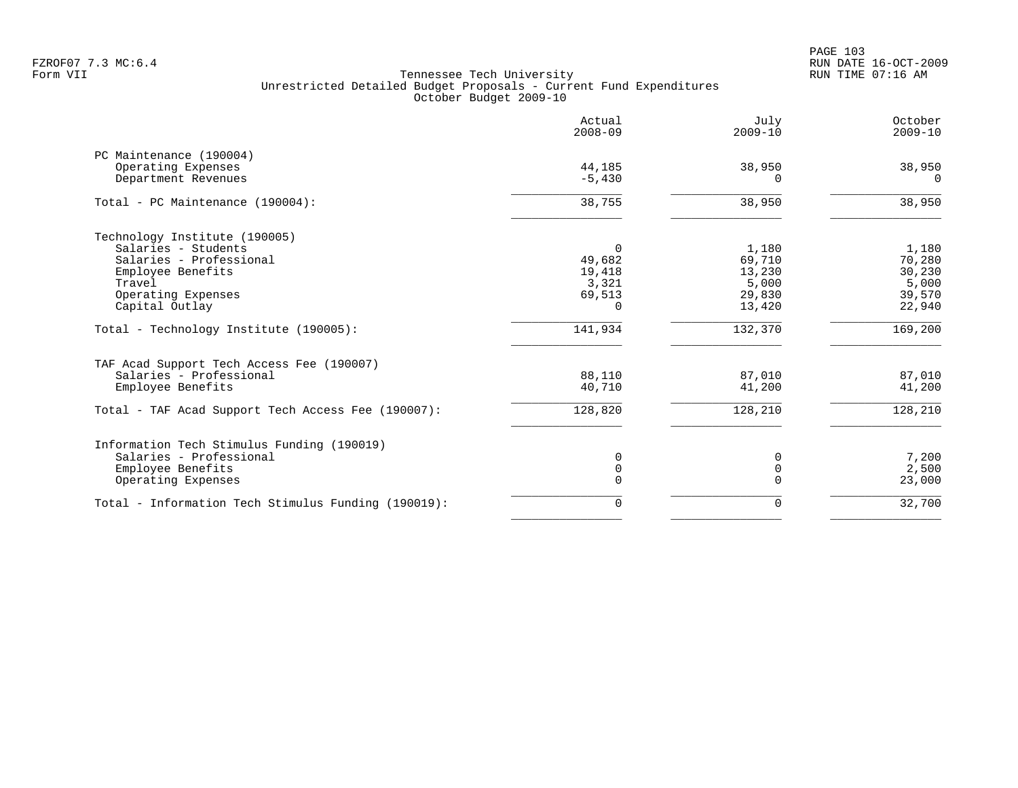PAGE 103 FZROF07 7.3 MC:6.4 RUN DATE 16-OCT-2009

| 38,950<br>$\Omega$<br>38,950<br>1,180<br>70,280 |
|-------------------------------------------------|
|                                                 |
|                                                 |
|                                                 |
|                                                 |
|                                                 |
|                                                 |
| 30,230                                          |
| 5,000                                           |
| 39,570<br>22,940                                |
| 169,200                                         |
|                                                 |
| 87,010                                          |
| 41,200                                          |
| 128,210                                         |
|                                                 |
| 7,200                                           |
| 2,500                                           |
| 23,000                                          |
| 32,700                                          |
|                                                 |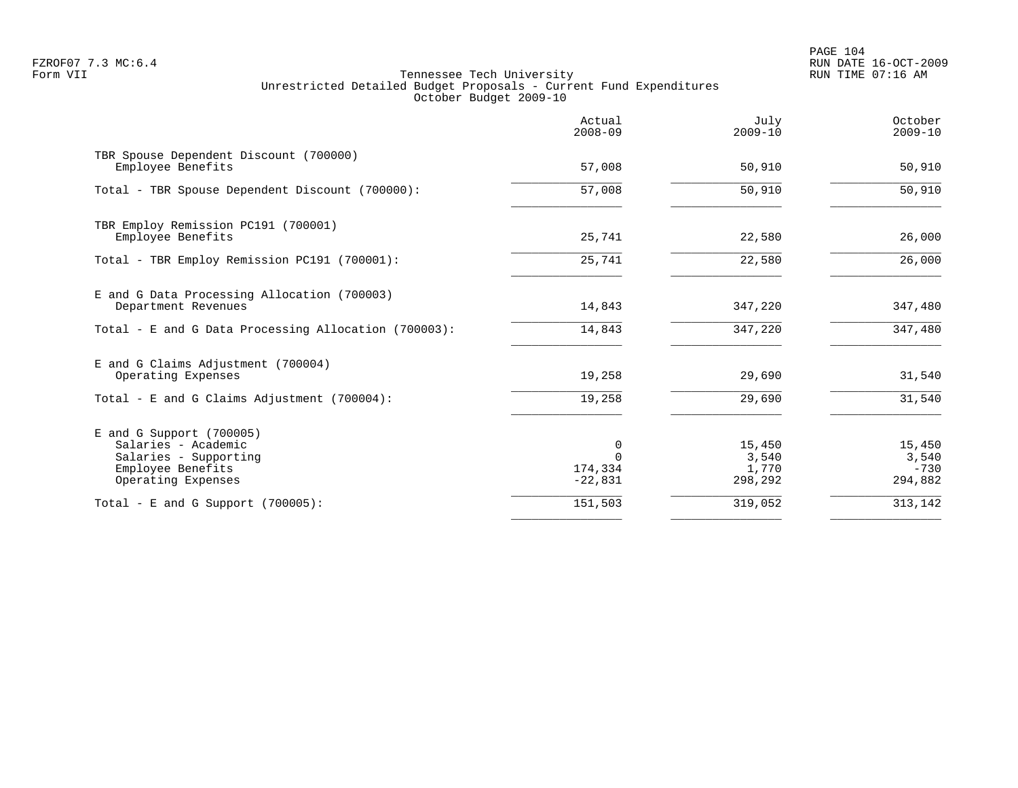PAGE 104 FZROF07 7.3 MC:6.4 RUN DATE 16-OCT-2009

|                                                                                                                     | Actual<br>$2008 - 09$               | July<br>$2009 - 10$                 | October<br>$2009 - 10$               |
|---------------------------------------------------------------------------------------------------------------------|-------------------------------------|-------------------------------------|--------------------------------------|
| TBR Spouse Dependent Discount (700000)<br>Employee Benefits                                                         | 57,008                              | 50,910                              | 50,910                               |
| Total - TBR Spouse Dependent Discount (700000):                                                                     | 57,008                              | 50,910                              | 50,910                               |
| TBR Employ Remission PC191 (700001)<br>Employee Benefits                                                            | 25,741                              | 22,580                              | 26,000                               |
| Total - TBR Employ Remission PC191 (700001):                                                                        | 25,741                              | 22,580                              | 26,000                               |
| E and G Data Processing Allocation (700003)<br>Department Revenues                                                  | 14,843                              | 347,220                             | 347,480                              |
| Total - E and G Data Processing Allocation (700003):                                                                | 14,843                              | 347,220                             | 347,480                              |
| E and G Claims Adjustment (700004)<br>Operating Expenses                                                            | 19,258                              | 29,690                              | 31,540                               |
| Total - E and G Claims Adjustment (700004):                                                                         | 19,258                              | 29,690                              | 31,540                               |
| E and G Support (700005)<br>Salaries - Academic<br>Salaries - Supporting<br>Employee Benefits<br>Operating Expenses | 0<br>$\cap$<br>174,334<br>$-22,831$ | 15,450<br>3,540<br>1,770<br>298,292 | 15,450<br>3,540<br>$-730$<br>294,882 |
| Total - E and G Support $(700005)$ :                                                                                | 151,503                             | 319,052                             | 313,142                              |
|                                                                                                                     |                                     |                                     |                                      |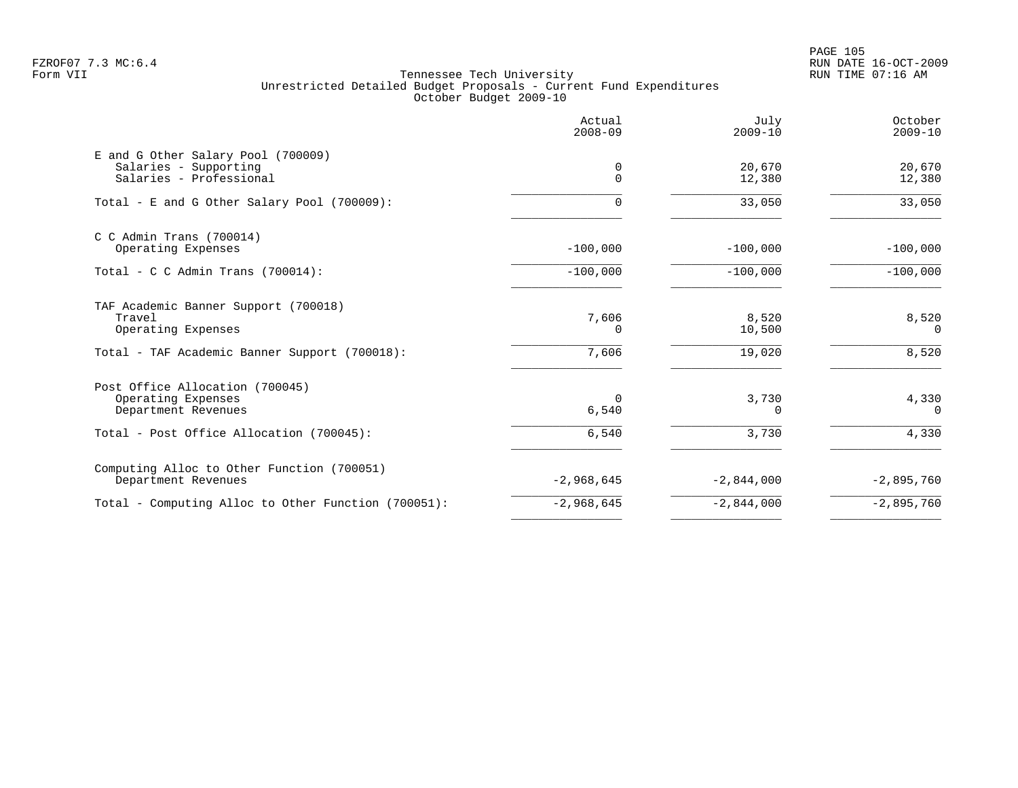PAGE 105 FZROF07 7.3 MC:6.4 RUN DATE 16-OCT-2009

|                                                                                        | Actual<br>$2008 - 09$ | July<br>$2009 - 10$ | October<br>$2009 - 10$ |
|----------------------------------------------------------------------------------------|-----------------------|---------------------|------------------------|
| E and G Other Salary Pool (700009)<br>Salaries - Supporting<br>Salaries - Professional | 0<br>0                | 20,670<br>12,380    | 20,670<br>12,380       |
| Total - E and G Other Salary Pool (700009):                                            | 0                     | 33,050              | 33,050                 |
| $C$ C Admin Trans (700014)<br>Operating Expenses                                       | $-100,000$            | $-100,000$          | $-100,000$             |
| Total - C C Admin Trans $(700014)$ :                                                   | $-100,000$            | $-100,000$          | $-100,000$             |
| TAF Academic Banner Support (700018)<br>Travel<br>Operating Expenses                   | 7,606<br>0            | 8,520<br>10,500     | 8,520<br>$\Omega$      |
| Total - TAF Academic Banner Support (700018):                                          | 7,606                 | 19,020              | 8,520                  |
| Post Office Allocation (700045)<br>Operating Expenses<br>Department Revenues           | $\Omega$<br>6,540     | 3,730<br>$\Omega$   | 4,330<br>$\Omega$      |
| Total - Post Office Allocation (700045):                                               | $6,540$               | 3,730               | 4,330                  |
| Computing Alloc to Other Function (700051)<br>Department Revenues                      | $-2,968,645$          | $-2,844,000$        | $-2,895,760$           |
| Total - Computing Alloc to Other Function (700051):                                    | $-2,968,645$          | $-2,844,000$        | $-2,895,760$           |
|                                                                                        |                       |                     |                        |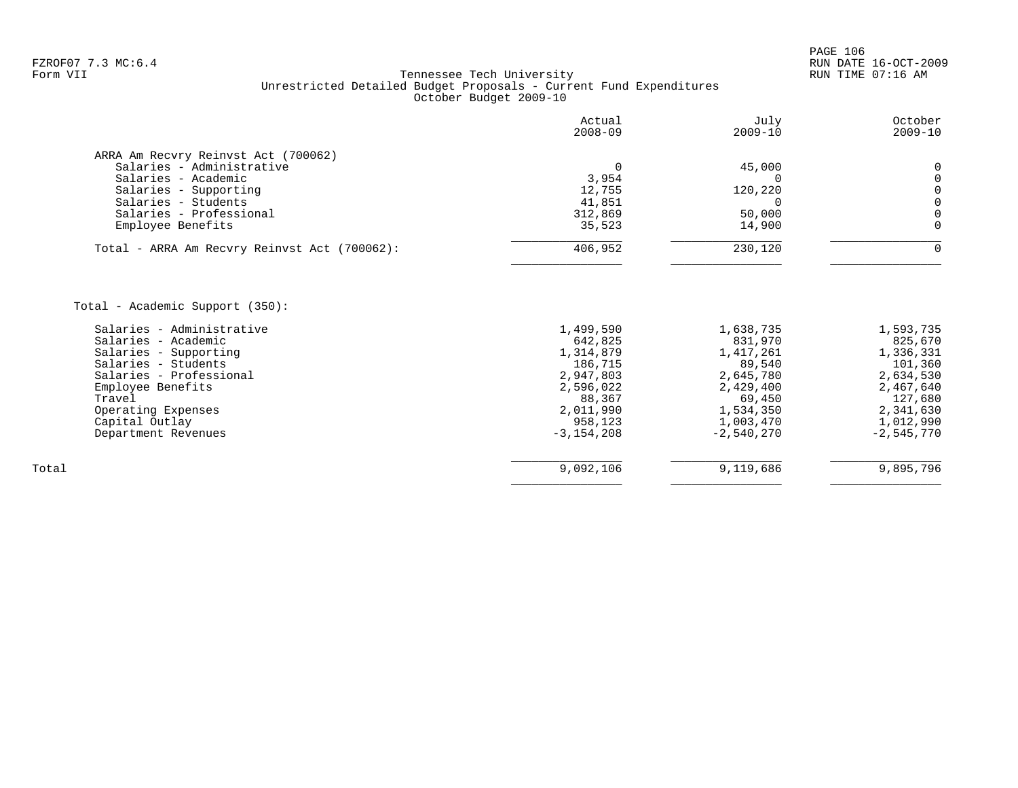|                                                  | Actual<br>$2008 - 09$ | July<br>$2009 - 10$  | October<br>$2009 - 10$ |
|--------------------------------------------------|-----------------------|----------------------|------------------------|
| ARRA Am Recvry Reinvst Act (700062)              |                       |                      |                        |
| Salaries - Administrative                        | $\Omega$              | 45,000               | 0                      |
| Salaries - Academic                              | 3,954                 | 0                    | $\mathbf 0$            |
| Salaries - Supporting                            | 12,755                | 120,220              | $\mathbf 0$            |
| Salaries - Students                              | 41,851                | $\Omega$             | $\Omega$               |
| Salaries - Professional                          | 312,869               | 50,000               | $\mathbf 0$            |
| Employee Benefits                                | 35,523                | 14,900               | $\Omega$               |
| Total - ARRA Am Recvry Reinvst Act (700062):     | 406,952               | 230,120              | 0                      |
|                                                  |                       |                      |                        |
| Total - Academic Support (350):                  |                       |                      |                        |
| Salaries - Administrative<br>Salaries - Academic | 1,499,590             | 1,638,735            | 1,593,735              |
| Salaries - Supporting                            | 642,825<br>1,314,879  | 831,970<br>1,417,261 | 825,670<br>1,336,331   |
| Salaries - Students                              | 186,715               | 89,540               | 101,360                |
| Salaries - Professional                          | 2,947,803             | 2,645,780            | 2,634,530              |
| Employee Benefits                                | 2,596,022             | 2,429,400            | 2,467,640              |
| Travel                                           | 88,367                | 69,450               | 127,680                |
| Operating Expenses                               | 2,011,990             | 1,534,350            | 2,341,630              |
| Capital Outlay                                   | 958,123               | 1,003,470            | 1,012,990              |
| Department Revenues                              | $-3, 154, 208$        | $-2,540,270$         | $-2,545,770$           |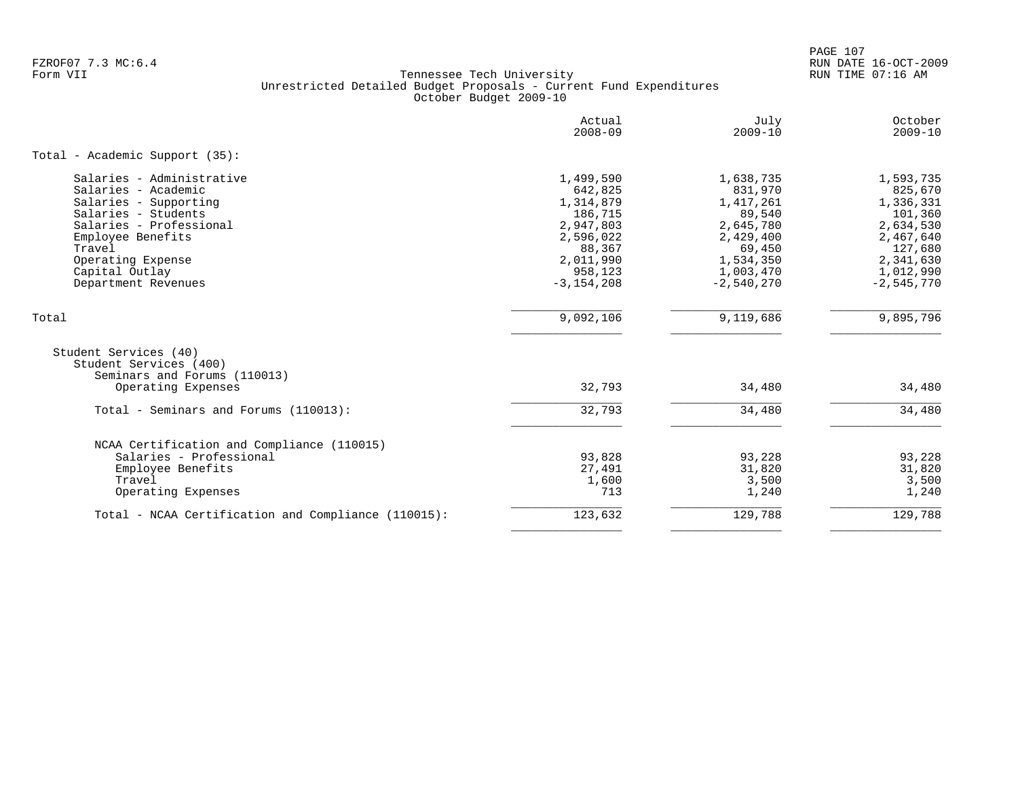PAGE 107 FZROF07 7.3 MC:6.4 RUN DATE 16-OCT-2009

|                                                                                                                                                                                                                          | Actual<br>$2008 - 09$                                                                                                      | July<br>$2009 - 10$                                                                                                         | October<br>$2009 - 10$                                                                                                      |
|--------------------------------------------------------------------------------------------------------------------------------------------------------------------------------------------------------------------------|----------------------------------------------------------------------------------------------------------------------------|-----------------------------------------------------------------------------------------------------------------------------|-----------------------------------------------------------------------------------------------------------------------------|
| Total - Academic Support (35):                                                                                                                                                                                           |                                                                                                                            |                                                                                                                             |                                                                                                                             |
| Salaries - Administrative<br>Salaries - Academic<br>Salaries - Supporting<br>Salaries - Students<br>Salaries - Professional<br>Employee Benefits<br>Travel<br>Operating Expense<br>Capital Outlay<br>Department Revenues | 1,499,590<br>642,825<br>1,314,879<br>186,715<br>2,947,803<br>2,596,022<br>88,367<br>2,011,990<br>958,123<br>$-3, 154, 208$ | 1,638,735<br>831,970<br>1, 417, 261<br>89,540<br>2,645,780<br>2,429,400<br>69,450<br>1,534,350<br>1,003,470<br>$-2,540,270$ | 1,593,735<br>825,670<br>1,336,331<br>101,360<br>2,634,530<br>2,467,640<br>127,680<br>2,341,630<br>1,012,990<br>$-2,545,770$ |
| Total                                                                                                                                                                                                                    | 9,092,106                                                                                                                  | 9,119,686                                                                                                                   | 9,895,796                                                                                                                   |
| Student Services (40)<br>Student Services (400)<br>Seminars and Forums (110013)<br>Operating Expenses                                                                                                                    | 32,793                                                                                                                     | 34,480                                                                                                                      | 34,480                                                                                                                      |
| Total - Seminars and Forums (110013):                                                                                                                                                                                    | 32,793                                                                                                                     | 34,480                                                                                                                      | 34,480                                                                                                                      |
| NCAA Certification and Compliance (110015)<br>Salaries - Professional<br>Employee Benefits<br>Travel<br>Operating Expenses                                                                                               | 93,828<br>27,491<br>1,600<br>713                                                                                           | 93,228<br>31,820<br>3,500<br>1,240                                                                                          | 93,228<br>31,820<br>3,500<br>1,240                                                                                          |
| Total - NCAA Certification and Compliance (110015):                                                                                                                                                                      | 123,632                                                                                                                    | 129,788                                                                                                                     | 129,788                                                                                                                     |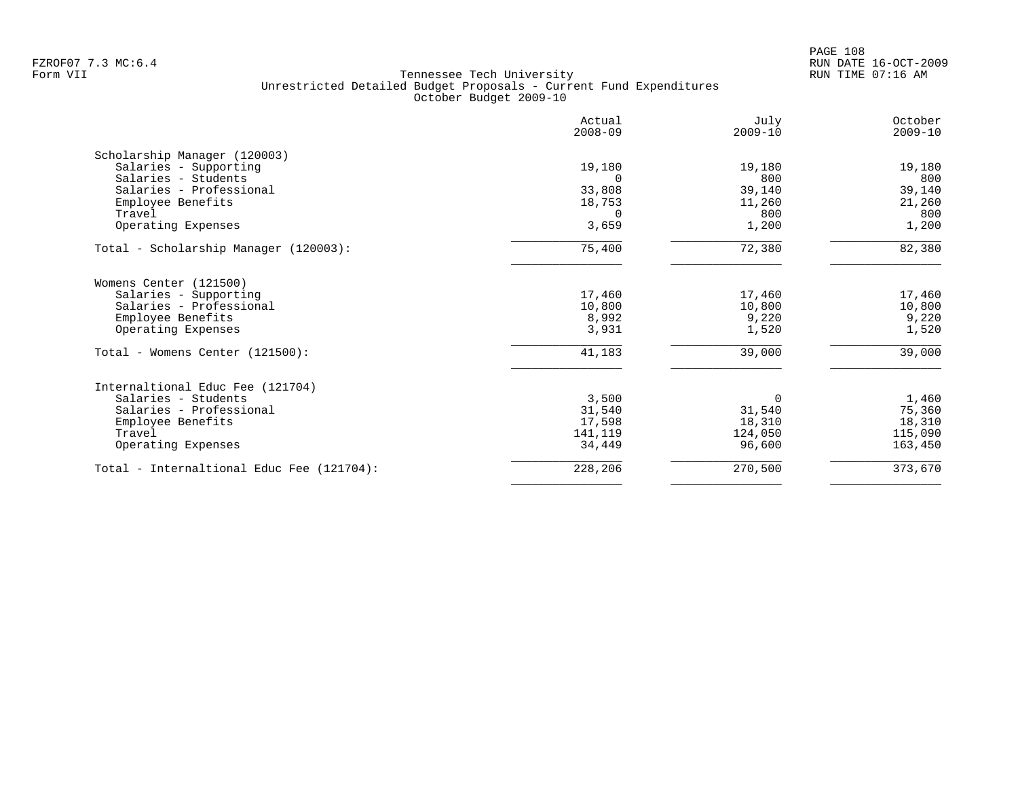|                                           | Actual<br>$2008 - 09$ | July<br>$2009 - 10$ | October<br>$2009 - 10$ |
|-------------------------------------------|-----------------------|---------------------|------------------------|
| Scholarship Manager (120003)              |                       |                     |                        |
| Salaries - Supporting                     | 19,180                | 19,180              | 19,180                 |
| Salaries - Students                       |                       | 800                 | 800                    |
| Salaries - Professional                   | 33,808                | 39,140              | 39,140                 |
| Employee Benefits                         | 18,753                | 11,260              | 21,260                 |
| Travel                                    | $\Omega$              | 800                 | 800                    |
| Operating Expenses                        | 3,659                 | 1,200               | 1,200                  |
| Total - Scholarship Manager (120003):     | 75,400                | 72,380              | 82,380                 |
| Womens Center (121500)                    |                       |                     |                        |
| Salaries - Supporting                     | 17,460                | 17,460              | 17,460                 |
| Salaries - Professional                   | 10,800                | 10,800              | 10,800                 |
| Employee Benefits                         | 8,992                 | 9,220               | 9,220                  |
| Operating Expenses                        | 3,931                 | 1,520               | 1,520                  |
| Total - Womens Center (121500):           | 41,183                | 39,000              | 39,000                 |
| Internaltional Educ Fee (121704)          |                       |                     |                        |
| Salaries - Students                       | 3,500                 | $\Omega$            | 1,460                  |
| Salaries - Professional                   | 31,540                | 31,540              | 75,360                 |
| Employee Benefits                         | 17,598                | 18,310              | 18,310                 |
| Travel                                    | 141,119               | 124,050             | 115,090                |
| Operating Expenses                        | 34,449                | 96,600              | 163,450                |
| Total - Internaltional Educ Fee (121704): | 228,206               | 270,500             | 373,670                |
|                                           |                       |                     |                        |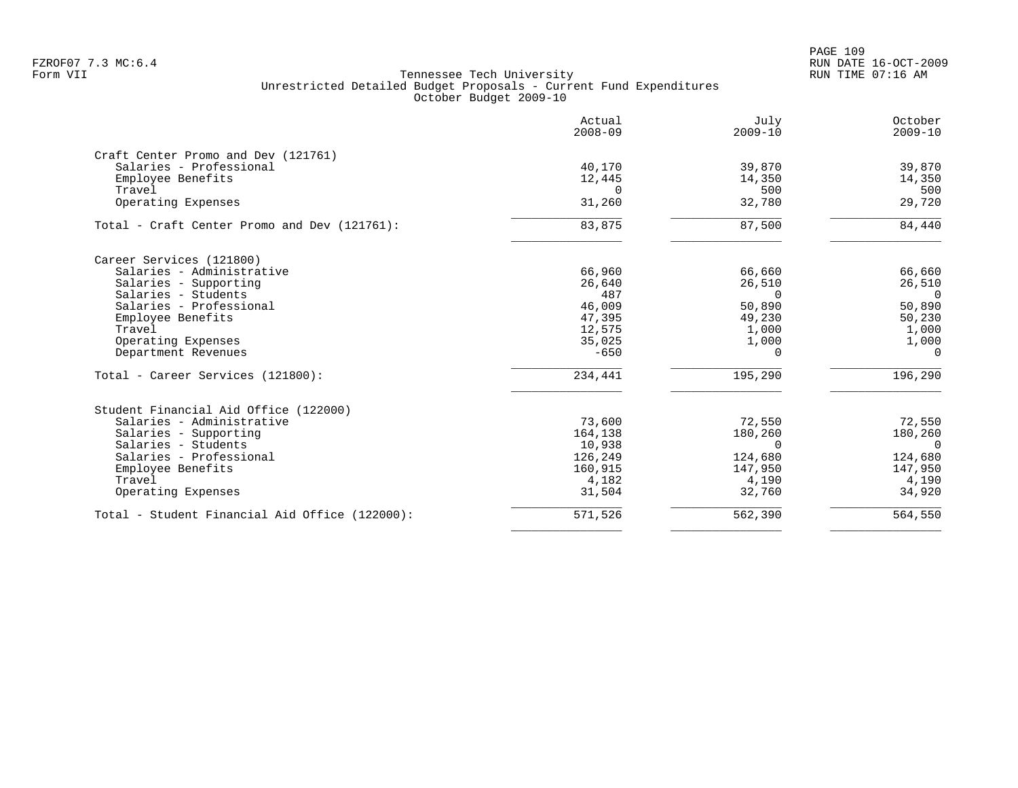|                                                | Actual<br>$2008 - 09$ | July<br>$2009 - 10$ | October<br>$2009 - 10$ |
|------------------------------------------------|-----------------------|---------------------|------------------------|
| Craft Center Promo and Dev (121761)            |                       |                     |                        |
| Salaries - Professional                        | 40,170                | 39,870              | 39,870                 |
| Employee Benefits                              | 12,445                | 14,350              | 14,350                 |
| Travel                                         | $\Omega$              | 500                 | 500                    |
| Operating Expenses                             | 31,260                | 32,780              | 29,720                 |
| Total - Craft Center Promo and Dev (121761):   | 83,875                | 87,500              | 84,440                 |
| Career Services (121800)                       |                       |                     |                        |
| Salaries - Administrative                      | 66,960                | 66,660              | 66,660                 |
| Salaries - Supporting                          | 26,640                | 26,510              | 26,510                 |
| Salaries - Students                            | 487                   | $\Omega$            | $\Omega$               |
| Salaries - Professional                        | 46,009                | 50,890              | 50,890                 |
| Employee Benefits                              | 47,395                | 49,230              | 50,230                 |
| Travel                                         | 12,575                | 1,000               | 1,000                  |
| Operating Expenses                             | 35,025                | 1,000               | 1,000                  |
| Department Revenues                            | $-650$                | $\Omega$            | $\Omega$               |
| Total - Career Services (121800):              | 234,441               | 195,290             | 196,290                |
| Student Financial Aid Office (122000)          |                       |                     |                        |
| Salaries - Administrative                      | 73,600                | 72,550              | 72,550                 |
| Salaries - Supporting                          | 164,138               | 180,260             | 180,260                |
| Salaries - Students                            | 10,938                | $\Omega$            | $\Omega$               |
| Salaries - Professional                        | 126,249               | 124,680             | 124,680                |
| Employee Benefits                              | 160,915               | 147,950             | 147,950                |
| Travel                                         | 4,182                 | 4,190               | 4,190                  |
| Operating Expenses                             | 31,504                | 32,760              | 34,920                 |
| Total - Student Financial Aid Office (122000): | 571,526               | 562,390             | 564,550                |
|                                                |                       |                     |                        |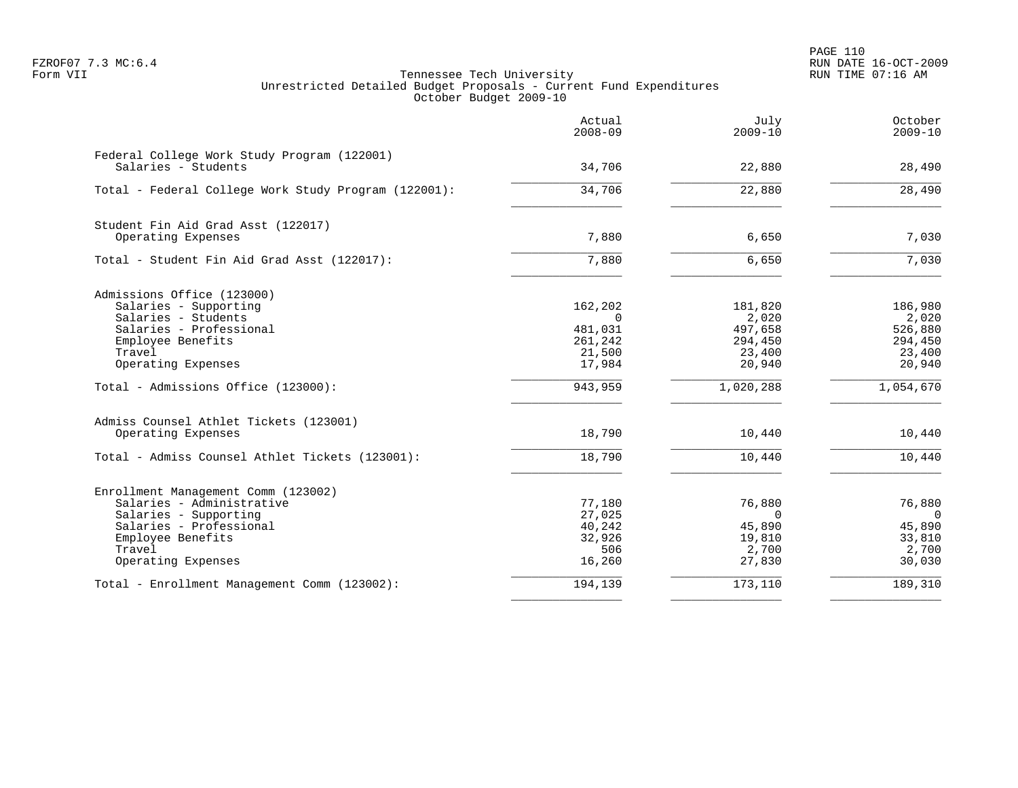PAGE 110 FZROF07 7.3 MC:6.4 RUN DATE 16-OCT-2009

|                                                                    | Actual<br>$2008 - 09$ | July<br>$2009 - 10$ | October<br>$2009 - 10$ |
|--------------------------------------------------------------------|-----------------------|---------------------|------------------------|
| Federal College Work Study Program (122001)<br>Salaries - Students | 34,706                | 22,880              | 28,490                 |
| Total - Federal College Work Study Program (122001):               | 34,706                | 22,880              | 28,490                 |
| Student Fin Aid Grad Asst (122017)                                 |                       |                     |                        |
| Operating Expenses                                                 | 7,880                 | 6,650               | 7,030                  |
| Total - Student Fin Aid Grad Asst (122017):                        | 7,880                 | 6,650               | $\overline{7}$ , 030   |
| Admissions Office (123000)                                         |                       |                     |                        |
| Salaries - Supporting                                              | 162,202               | 181,820             | 186,980                |
| Salaries - Students                                                | $\Omega$              | 2,020               | 2,020                  |
| Salaries - Professional                                            | 481,031               | 497,658             | 526,880                |
| Employee Benefits<br>Travel                                        | 261,242<br>21,500     | 294,450<br>23,400   | 294,450<br>23,400      |
| Operating Expenses                                                 | 17,984                | 20,940              | 20,940                 |
| Total - Admissions Office (123000):                                | 943,959               | 1,020,288           | 1,054,670              |
| Admiss Counsel Athlet Tickets (123001)                             |                       |                     |                        |
| Operating Expenses                                                 | 18,790                | 10,440              | 10,440                 |
| Total - Admiss Counsel Athlet Tickets (123001):                    | 18,790                | 10,440              | 10,440                 |
| Enrollment Management Comm (123002)                                |                       |                     |                        |
| Salaries - Administrative                                          | 77,180                | 76,880              | 76,880                 |
| Salaries - Supporting                                              | 27,025                | $\Omega$            | $\overline{0}$         |
| Salaries - Professional                                            | 40,242                | 45,890              | 45,890                 |
| Employee Benefits<br>Travel                                        | 32,926<br>506         | 19,810<br>2,700     | 33,810<br>2,700        |
| Operating Expenses                                                 | 16,260                | 27,830              | 30,030                 |
| Total - Enrollment Management Comm (123002):                       | 194,139               | 173,110             | 189,310                |
|                                                                    |                       |                     |                        |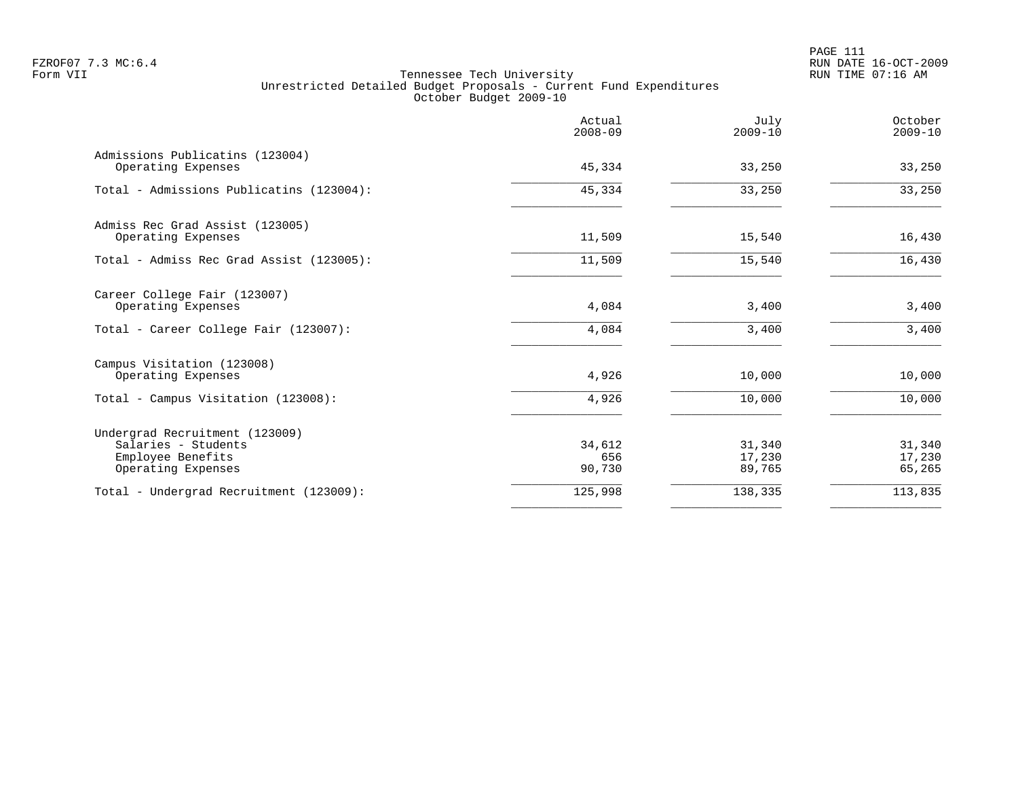|                                                       | Actual<br>$2008 - 09$ | July<br>$2009 - 10$ | October<br>$2009 - 10$ |
|-------------------------------------------------------|-----------------------|---------------------|------------------------|
| Admissions Publicatins (123004)<br>Operating Expenses | 45,334                | 33,250              | 33,250                 |
| Total - Admissions Publicatins (123004):              | 45,334                | 33,250              | 33,250                 |
| Admiss Rec Grad Assist (123005)                       |                       |                     |                        |
| Operating Expenses                                    | 11,509                | 15,540              | 16,430                 |
| Total - Admiss Rec Grad Assist (123005):              | 11,509                | 15,540              | 16,430                 |
| Career College Fair (123007)<br>Operating Expenses    | 4,084                 | 3,400               | 3,400                  |
| Total - Career College Fair (123007):                 | 4,084                 | 3,400               | 3,400                  |
| Campus Visitation (123008)                            |                       |                     |                        |
| Operating Expenses                                    | 4,926                 | 10,000              | 10,000                 |
| Total - Campus Visitation (123008):                   | 4,926                 | 10,000              | 10,000                 |
| Undergrad Recruitment (123009)                        |                       |                     |                        |
| Salaries - Students<br>Employee Benefits              | 34,612<br>656         | 31,340<br>17,230    | 31,340<br>17,230       |
| Operating Expenses                                    | 90,730                | 89,765              | 65,265                 |
| Total - Undergrad Recruitment (123009):               | 125,998               | 138,335             | 113,835                |
|                                                       |                       |                     |                        |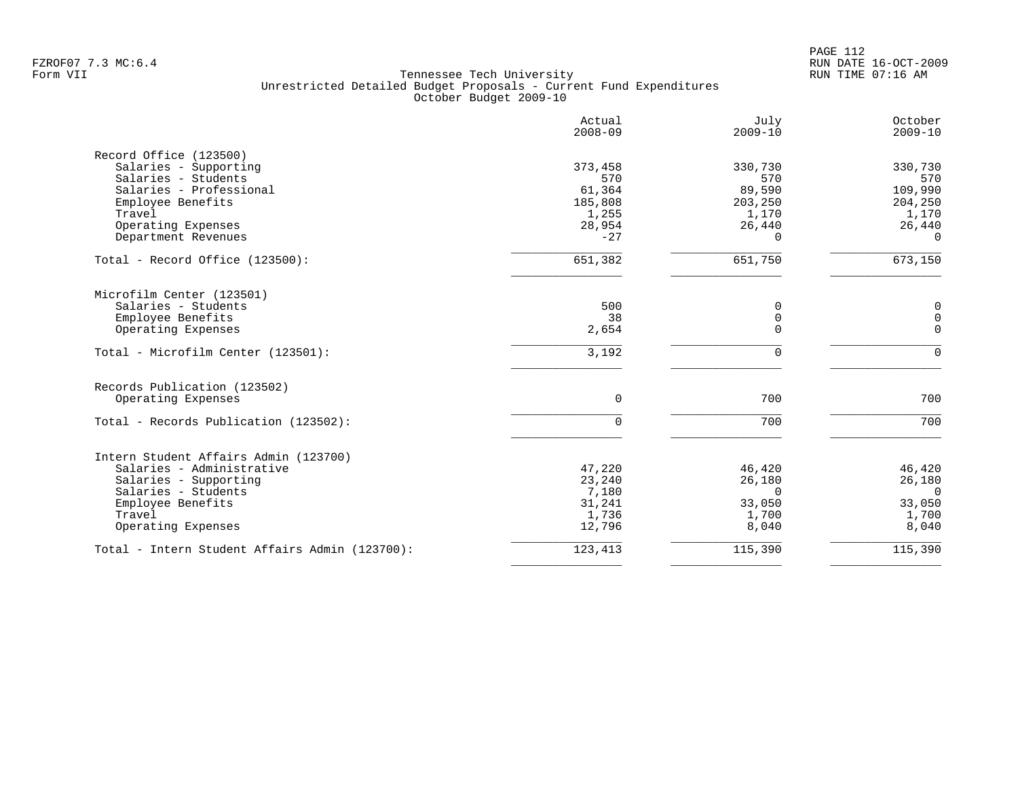|                                                | Actual<br>$2008 - 09$ | July<br>$2009 - 10$ | October<br>$2009 - 10$ |
|------------------------------------------------|-----------------------|---------------------|------------------------|
| Record Office (123500)                         |                       |                     |                        |
| Salaries - Supporting                          | 373,458               | 330,730             | 330,730                |
| Salaries - Students                            | 570                   | 570                 | 570                    |
| Salaries - Professional                        | 61,364                | 89,590              | 109,990                |
| Employee Benefits                              | 185,808               | 203,250             | 204,250                |
| Travel                                         | 1,255                 | 1,170               | 1,170                  |
| Operating Expenses                             | 28,954                | 26,440              | 26,440                 |
| Department Revenues                            | $-27$                 | $\Omega$            | $\Omega$               |
| Total - Record Office (123500):                | 651,382               | 651,750             | 673,150                |
| Microfilm Center (123501)                      |                       |                     |                        |
| Salaries - Students                            | 500                   | 0                   | $\mathbf 0$            |
| Employee Benefits                              | 38                    | 0                   | $\mathsf 0$            |
| Operating Expenses                             | 2,654                 | $\Omega$            | $\mathbf 0$            |
| Total - Microfilm Center (123501):             | 3,192                 | $\Omega$            | $\Omega$               |
| Records Publication (123502)                   |                       |                     |                        |
| Operating Expenses                             | $\mathbf 0$           | 700                 | 700                    |
| Total - Records Publication (123502):          | 0                     | 700                 | 700                    |
| Intern Student Affairs Admin (123700)          |                       |                     |                        |
| Salaries - Administrative                      | 47,220                | 46,420              | 46,420                 |
| Salaries - Supporting                          | 23,240                | 26,180              | 26,180                 |
| Salaries - Students                            | 7,180                 | $\Omega$            | $\Omega$               |
| Employee Benefits                              | 31,241                | 33,050              | 33,050                 |
| Travel                                         | 1,736                 | 1,700               | 1,700                  |
| Operating Expenses                             | 12,796                | 8,040               | 8,040                  |
| Total - Intern Student Affairs Admin (123700): | 123,413               | 115,390             | 115,390                |
|                                                |                       |                     |                        |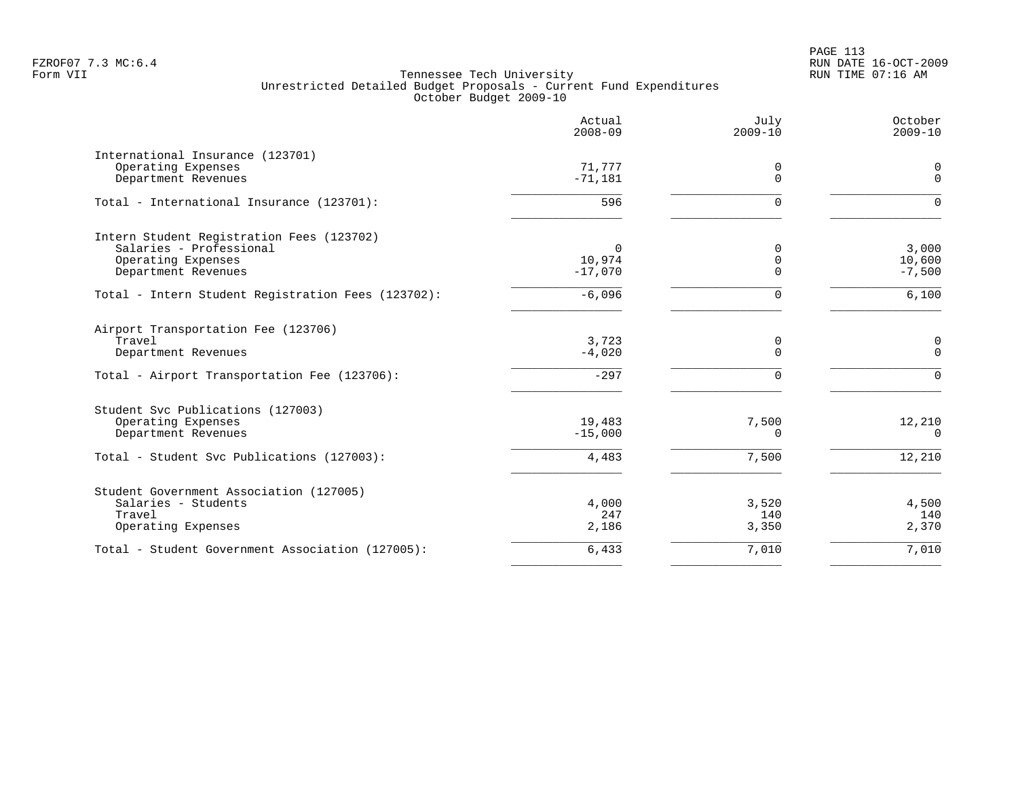PAGE 113 FZROF07 7.3 MC:6.4 RUN DATE 16-OCT-2009

|                                                                                                                              | Actual<br>$2008 - 09$        | July<br>$2009 - 10$          | October<br>$2009 - 10$       |
|------------------------------------------------------------------------------------------------------------------------------|------------------------------|------------------------------|------------------------------|
| International Insurance (123701)<br>Operating Expenses<br>Department Revenues                                                | 71,777<br>$-71,181$          | 0<br>$\Omega$                | 0<br>$\Omega$                |
| Total - International Insurance (123701):                                                                                    | 596                          | $\Omega$                     | $\Omega$                     |
| Intern Student Registration Fees (123702)<br>Salaries - Professional<br>Operating Expenses<br>Department Revenues            | 0<br>10,974<br>$-17,070$     | 0<br>$\mathbf 0$<br>$\Omega$ | 3,000<br>10,600<br>$-7,500$  |
| Total - Intern Student Registration Fees (123702):                                                                           | $-6,096$                     | $\Omega$                     | 6,100                        |
| Airport Transportation Fee (123706)<br>Travel<br>Department Revenues<br>Total - Airport Transportation Fee (123706):         | 3,723<br>$-4,020$<br>$-297$  | 0<br>$\Omega$<br>$\Omega$    | 0<br>$\Omega$<br>$\Omega$    |
| Student Svc Publications (127003)<br>Operating Expenses<br>Department Revenues<br>Total - Student Svc Publications (127003): | 19,483<br>$-15,000$<br>4,483 | 7,500<br>$\Omega$<br>7,500   | 12,210<br>$\Omega$<br>12,210 |
| Student Government Association (127005)<br>Salaries - Students<br>Travel<br>Operating Expenses                               | 4,000<br>247<br>2,186        | 3,520<br>140<br>3,350        | 4,500<br>140<br>2,370        |
| Total - Student Government Association (127005):                                                                             | 6,433                        | 7,010                        | 7,010                        |
|                                                                                                                              |                              |                              |                              |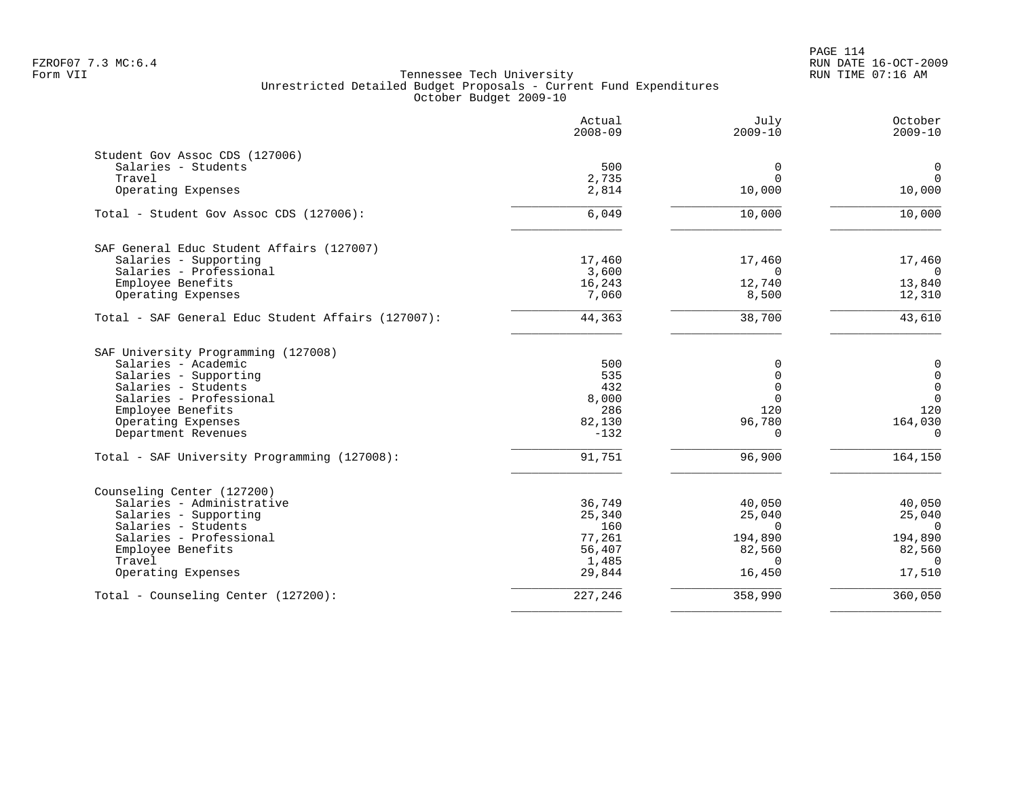|                                                    | Actual<br>$2008 - 09$ | July<br>$2009 - 10$ | October<br>$2009 - 10$ |
|----------------------------------------------------|-----------------------|---------------------|------------------------|
| Student Gov Assoc CDS (127006)                     |                       |                     |                        |
| Salaries - Students                                | 500                   | 0                   | $\mathbf 0$            |
| Travel                                             | 2,735                 | $\Omega$            | $\Omega$               |
| Operating Expenses                                 | 2,814                 | 10,000              | 10,000                 |
| Total - Student Gov Assoc CDS (127006):            | 6,049                 | 10,000              | 10,000                 |
| SAF General Educ Student Affairs (127007)          |                       |                     |                        |
| Salaries - Supporting                              | 17,460                | 17,460              | 17,460                 |
| Salaries - Professional                            | 3,600                 | $\Omega$            | $\Omega$               |
| Employee Benefits                                  | 16,243                | 12,740              | 13,840                 |
| Operating Expenses                                 | 7,060                 | 8,500               | 12,310                 |
| Total - SAF General Educ Student Affairs (127007): | 44,363                | 38,700              | 43,610                 |
| SAF University Programming (127008)                |                       |                     |                        |
| Salaries - Academic                                | 500                   | 0                   | $\mathbf 0$            |
| Salaries - Supporting                              | 535                   | $\Omega$            | $\mathbf 0$            |
| Salaries - Students                                | 432                   | $\Omega$            | $\mathbf 0$            |
| Salaries - Professional                            | 8,000                 | $\Omega$            | $\overline{0}$         |
| Employee Benefits                                  | 286                   | 120                 | 120                    |
| Operating Expenses<br>Department Revenues          | 82,130<br>$-132$      | 96,780<br>$\Omega$  | 164,030<br>$\Omega$    |
|                                                    |                       |                     |                        |
| Total - SAF University Programming (127008):       | 91,751                | 96,900              | 164,150                |
| Counseling Center (127200)                         |                       |                     |                        |
| Salaries - Administrative                          | 36,749                | 40,050              | 40,050                 |
| Salaries - Supporting                              | 25,340                | 25,040              | 25,040                 |
| Salaries - Students                                | 160                   | $\Omega$            | $\overline{0}$         |
| Salaries - Professional                            | 77,261                | 194,890             | 194,890                |
| Employee Benefits                                  | 56,407                | 82,560              | 82,560                 |
| Travel                                             | 1,485                 | $\Omega$            | $\Omega$               |
| Operating Expenses                                 | 29,844                | 16,450              | 17,510                 |
| Total - Counseling Center (127200):                | 227,246               | 358,990             | 360,050                |
|                                                    |                       |                     |                        |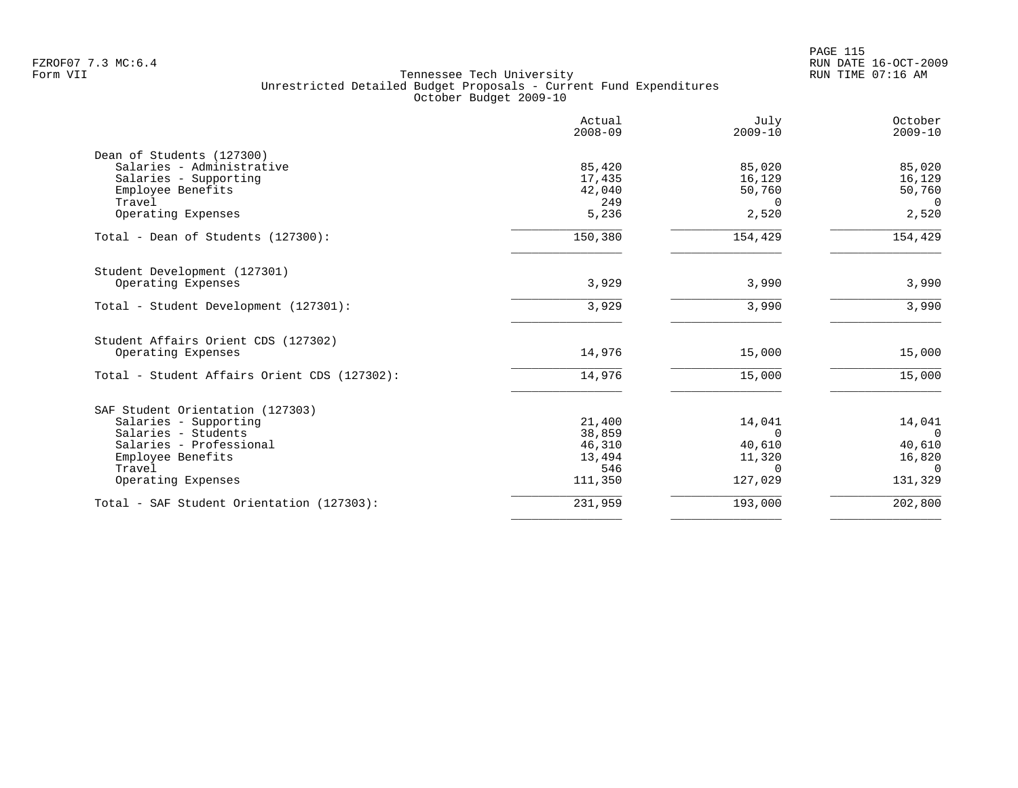|                                              | Actual<br>$2008 - 09$ | July<br>$2009 - 10$ | October<br>$2009 - 10$ |
|----------------------------------------------|-----------------------|---------------------|------------------------|
| Dean of Students (127300)                    |                       |                     |                        |
| Salaries - Administrative                    | 85,420                | 85,020              | 85,020                 |
| Salaries - Supporting                        | 17,435                | 16,129              | 16,129                 |
| Employee Benefits                            | 42,040                | 50,760              | 50,760                 |
| Travel                                       | 249                   | $\Omega$            | $\Omega$               |
| Operating Expenses                           | 5,236                 | 2,520               | 2,520                  |
| Total - Dean of Students (127300):           | 150,380               | 154,429             | 154,429                |
| Student Development (127301)                 |                       |                     |                        |
| Operating Expenses                           | 3,929                 | 3,990               | 3,990                  |
| Total - Student Development (127301):        | 3,929                 | 3,990               | 3,990                  |
| Student Affairs Orient CDS (127302)          |                       |                     |                        |
| Operating Expenses                           | 14,976                | 15,000              | 15,000                 |
| Total - Student Affairs Orient CDS (127302): | 14,976                | 15,000              | 15,000                 |
| SAF Student Orientation (127303)             |                       |                     |                        |
| Salaries - Supporting                        | 21,400                | 14,041              | 14,041                 |
| Salaries - Students                          | 38,859                | $\Omega$            | $\Omega$               |
| Salaries - Professional                      | 46,310                | 40,610              | 40,610                 |
| Employee Benefits                            | 13,494                | 11,320              | 16,820                 |
| Travel                                       | 546                   | $\Omega$            | $\cap$                 |
| Operating Expenses                           | 111,350               | 127,029             | 131,329                |
| Total - SAF Student Orientation (127303):    | 231,959               | 193,000             | 202,800                |
|                                              |                       |                     |                        |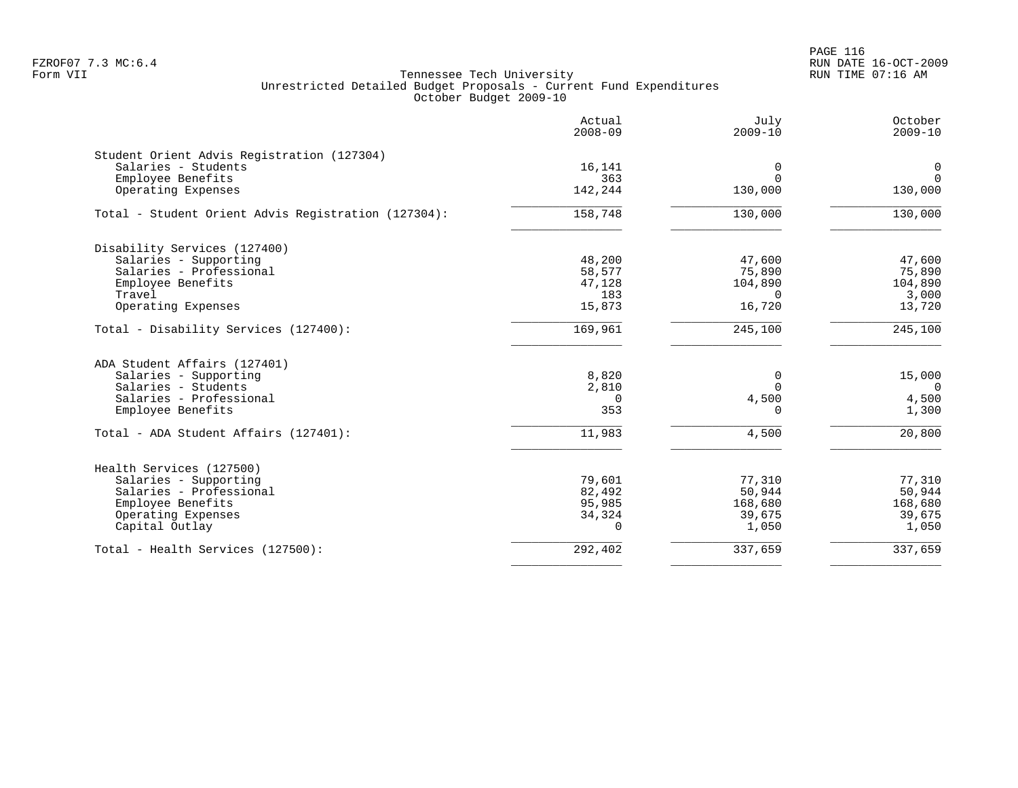PAGE 116 FZROF07 7.3 MC:6.4 RUN DATE 16-OCT-2009

|                                                     | Actual<br>$2008 - 09$ | July<br>$2009 - 10$ | October<br>$2009 - 10$ |
|-----------------------------------------------------|-----------------------|---------------------|------------------------|
| Student Orient Advis Registration (127304)          |                       |                     |                        |
| Salaries - Students                                 | 16,141                | 0                   | $\mathbf 0$            |
| Employee Benefits                                   | 363                   | $\Omega$            | $\Omega$               |
| Operating Expenses                                  | 142,244               | 130,000             | 130,000                |
| Total - Student Orient Advis Registration (127304): | 158,748               | 130,000             | 130,000                |
| Disability Services (127400)                        |                       |                     |                        |
| Salaries - Supporting                               | 48,200                | 47,600              | 47,600                 |
| Salaries - Professional                             | 58,577                | 75,890              | 75,890                 |
| Employee Benefits                                   | 47,128                | 104,890             | 104,890                |
| Travel                                              | 183                   | $\Omega$            | 3,000                  |
| Operating Expenses                                  | 15,873                | 16,720              | 13,720                 |
| Total - Disability Services (127400):               | 169,961               | 245,100             | 245,100                |
| ADA Student Affairs (127401)                        |                       |                     |                        |
| Salaries - Supporting                               | 8,820                 | 0                   | 15,000                 |
| Salaries - Students                                 | 2,810                 | $\Omega$            | $\overline{0}$         |
| Salaries - Professional                             | $\Omega$              | 4,500               | 4,500                  |
| Employee Benefits                                   | 353                   | $\Omega$            | 1,300                  |
| Total - ADA Student Affairs (127401):               | 11,983                | 4,500               | 20,800                 |
| Health Services (127500)                            |                       |                     |                        |
| Salaries - Supporting                               | 79,601                | 77,310              | 77,310                 |
| Salaries - Professional                             | 82,492                | 50,944              | 50,944                 |
| Employee Benefits                                   | 95,985                | 168,680             | 168,680                |
| Operating Expenses                                  | 34,324                | 39,675              | 39,675                 |
| Capital Outlay                                      | $\Omega$              | 1,050               | 1,050                  |
| Total - Health Services (127500):                   | 292,402               | 337,659             | 337,659                |
|                                                     |                       |                     |                        |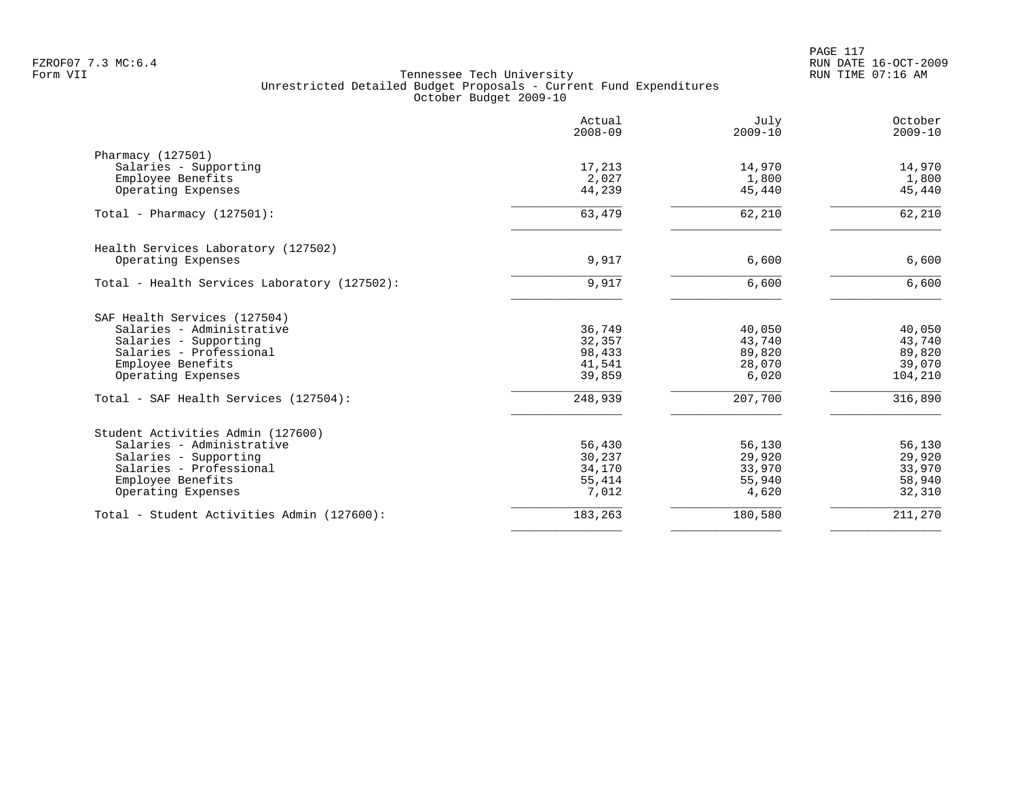|                                              | Actual<br>$2008 - 09$ | July<br>$2009 - 10$ | October<br>$2009 - 10$ |
|----------------------------------------------|-----------------------|---------------------|------------------------|
| Pharmacy (127501)                            |                       |                     |                        |
| Salaries - Supporting                        | 17,213                | 14,970              | 14,970                 |
| Employee Benefits                            | 2,027                 | 1,800               | 1,800                  |
| Operating Expenses                           | 44,239                | 45,440              | 45,440                 |
| Total - Pharmacy $(127501)$ :                | 63,479                | 62,210              | 62,210                 |
| Health Services Laboratory (127502)          |                       |                     |                        |
| Operating Expenses                           | 9,917                 | 6,600               | 6,600                  |
| Total - Health Services Laboratory (127502): | 9,917                 | 6,600               | 6,600                  |
| SAF Health Services (127504)                 |                       |                     |                        |
| Salaries - Administrative                    | 36,749                | 40,050              | 40,050                 |
| Salaries - Supporting                        | 32,357                | 43,740              | 43,740                 |
| Salaries - Professional                      | 98,433                | 89,820              | 89,820                 |
| Employee Benefits                            | 41,541                | 28,070              | 39,070                 |
| Operating Expenses                           | 39,859                | 6,020               | 104,210                |
| Total - SAF Health Services (127504):        | 248,939               | 207,700             | 316,890                |
| Student Activities Admin (127600)            |                       |                     |                        |
| Salaries - Administrative                    | 56,430                | 56,130              | 56,130                 |
| Salaries - Supporting                        | 30,237                | 29,920              | 29,920                 |
| Salaries - Professional                      | 34,170                | 33,970              | 33,970                 |
| Employee Benefits                            | 55,414                | 55,940              | 58,940                 |
| Operating Expenses                           | 7,012                 | 4,620               | 32,310                 |
| Total - Student Activities Admin (127600):   | 183,263               | 180,580             | 211,270                |
|                                              |                       |                     |                        |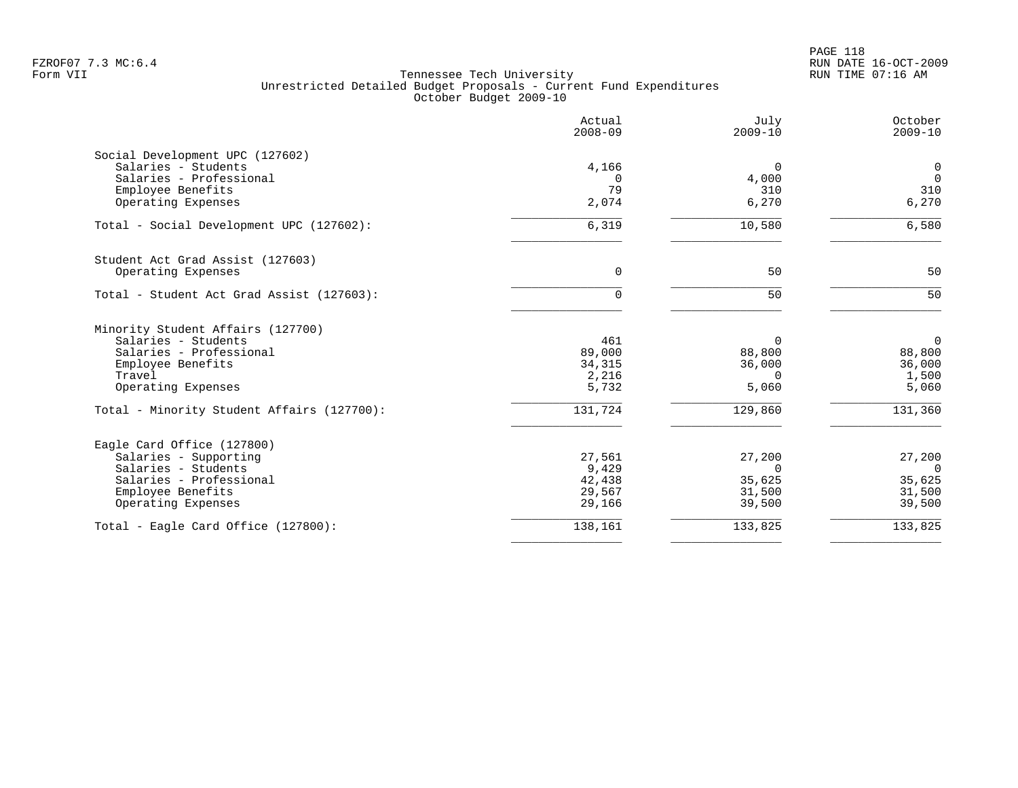|                                                        | Actual<br>$2008 - 09$ | July<br>$2009 - 10$ | October<br>$2009 - 10$ |
|--------------------------------------------------------|-----------------------|---------------------|------------------------|
| Social Development UPC (127602)<br>Salaries - Students | 4,166                 | $\Omega$            | $\mathbf 0$            |
| Salaries - Professional                                | $\Omega$              | 4,000               | $\overline{0}$         |
| Employee Benefits                                      | 79                    | 310                 | 310                    |
| Operating Expenses                                     | 2,074                 | 6,270               | 6,270                  |
| Total - Social Development UPC (127602):               | 6,319                 | 10,580              | 6,580                  |
| Student Act Grad Assist (127603)                       |                       |                     |                        |
| Operating Expenses                                     | $\mathbf 0$           | 50                  | 50                     |
| Total - Student Act Grad Assist (127603):              | 0                     | 50                  | 50                     |
| Minority Student Affairs (127700)                      |                       |                     |                        |
| Salaries - Students                                    | 461                   | $\Omega$            | $\overline{0}$         |
| Salaries - Professional<br>Employee Benefits           | 89,000<br>34,315      | 88,800<br>36,000    | 88,800<br>36,000       |
| Travel                                                 | 2,216                 | $\Omega$            | 1,500                  |
| Operating Expenses                                     | 5,732                 | 5,060               | 5,060                  |
| Total - Minority Student Affairs (127700):             | 131,724               | 129,860             | 131,360                |
| Eagle Card Office (127800)                             |                       |                     |                        |
| Salaries - Supporting                                  | 27,561                | 27,200              | 27,200                 |
| Salaries - Students                                    | 9,429                 | $\Omega$            | $\overline{0}$         |
| Salaries - Professional<br>Employee Benefits           | 42,438<br>29,567      | 35,625<br>31,500    | 35,625<br>31,500       |
| Operating Expenses                                     | 29,166                | 39,500              | 39,500                 |
| Total - Eagle Card Office (127800):                    | 138,161               | 133,825             | 133,825                |
|                                                        |                       |                     |                        |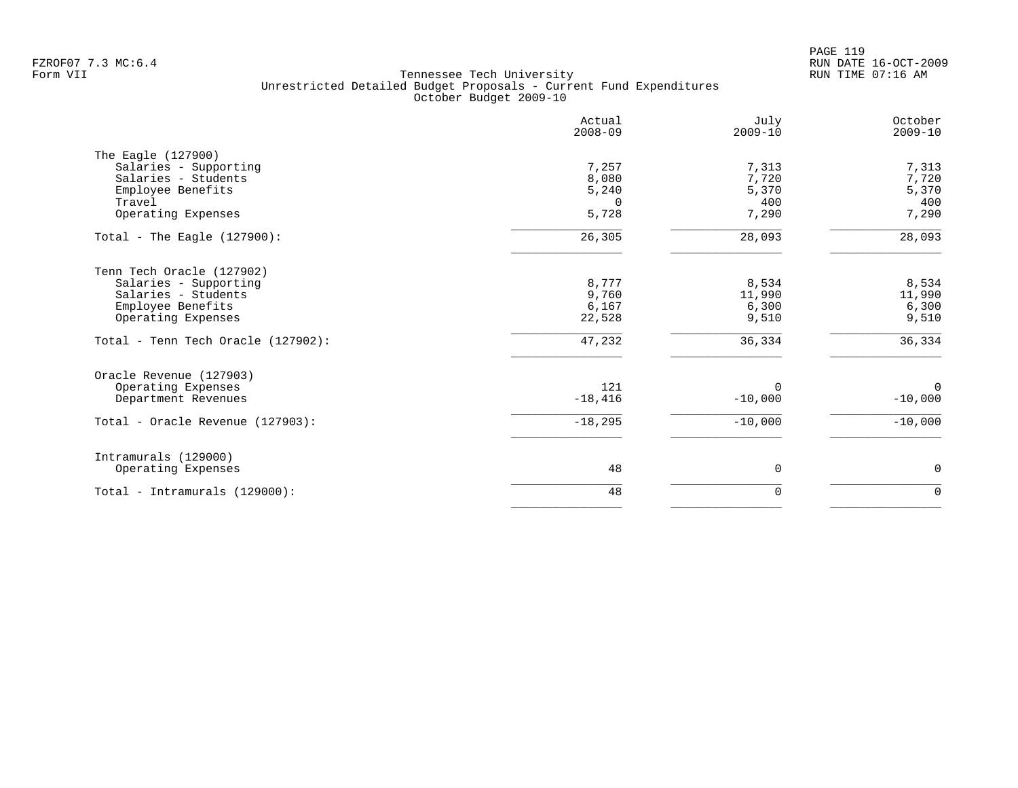PAGE 119 FZROF07 7.3 MC:6.4 RUN DATE 16-OCT-2009

|                                                                                                                                                            | Actual<br>$2008 - 09$                        | July<br>$2009 - 10$                         | October<br>$2009 - 10$                      |
|------------------------------------------------------------------------------------------------------------------------------------------------------------|----------------------------------------------|---------------------------------------------|---------------------------------------------|
| The Eagle (127900)<br>Salaries - Supporting<br>Salaries - Students<br>Employee Benefits<br>Travel<br>Operating Expenses                                    | 7,257<br>8,080<br>5,240<br>$\Omega$<br>5,728 | 7,313<br>7,720<br>5,370<br>400<br>7,290     | 7,313<br>7,720<br>5,370<br>400<br>7,290     |
| Total - The Eagle $(127900)$ :                                                                                                                             | 26,305                                       | 28,093                                      | 28,093                                      |
| Tenn Tech Oracle (127902)<br>Salaries - Supporting<br>Salaries - Students<br>Employee Benefits<br>Operating Expenses<br>Total - Tenn Tech Oracle (127902): | 8,777<br>9,760<br>6,167<br>22,528<br>47,232  | 8,534<br>11,990<br>6,300<br>9,510<br>36,334 | 8,534<br>11,990<br>6,300<br>9,510<br>36,334 |
| Oracle Revenue (127903)<br>Operating Expenses<br>Department Revenues<br>Total - Oracle Revenue (127903):                                                   | 121<br>$-18,416$<br>$-18,295$                | $\Omega$<br>$-10,000$<br>$-10,000$          | $\mathbf{0}$<br>$-10,000$<br>$-10,000$      |
|                                                                                                                                                            |                                              |                                             |                                             |
| Intramurals (129000)<br>Operating Expenses                                                                                                                 | 48                                           | $\mathbf 0$                                 | $\mathbf 0$                                 |
| Total - Intramurals (129000):                                                                                                                              | 48                                           | 0                                           | $\mathbf 0$                                 |
|                                                                                                                                                            |                                              |                                             |                                             |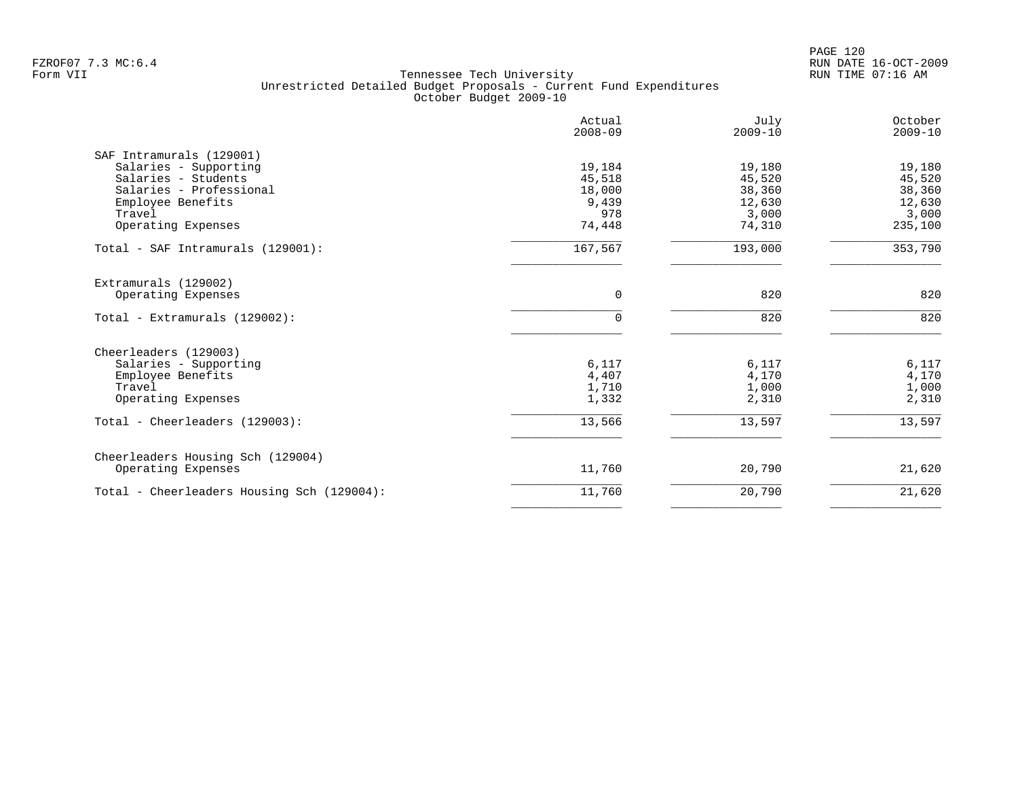PAGE 120 FZROF07 7.3 MC:6.4 RUN DATE 16-OCT-2009

|                                            | Actual<br>$2008 - 09$ | July<br>$2009 - 10$ | October<br>$2009 - 10$ |
|--------------------------------------------|-----------------------|---------------------|------------------------|
| SAF Intramurals (129001)                   |                       |                     |                        |
| Salaries - Supporting                      | 19,184                | 19,180              | 19,180                 |
| Salaries - Students                        | 45,518                | 45,520              | 45,520                 |
| Salaries - Professional                    | 18,000                | 38,360              | 38,360                 |
| Employee Benefits                          | 9,439                 | 12,630              | 12,630                 |
| Travel                                     | 978                   | 3,000               | 3,000                  |
| Operating Expenses                         | 74,448                | 74,310              | 235,100                |
| Total - SAF Intramurals (129001):          | 167,567               | 193,000             | 353,790                |
| Extramurals (129002)                       |                       |                     |                        |
| Operating Expenses                         | 0                     | 820                 | 820                    |
| Total - Extramurals (129002):              | $\Omega$              | 820                 | 820                    |
| Cheerleaders (129003)                      |                       |                     |                        |
| Salaries - Supporting                      | 6,117                 | 6,117               | 6,117                  |
| Employee Benefits                          | 4,407                 | 4,170               | 4,170                  |
| Travel                                     | 1,710                 | 1,000               | 1,000                  |
| Operating Expenses                         | 1,332                 | 2,310               | 2,310                  |
| Total - Cheerleaders (129003):             | 13,566                | 13,597              | 13,597                 |
| Cheerleaders Housing Sch (129004)          |                       |                     |                        |
| Operating Expenses                         | 11,760                | 20,790              | 21,620                 |
| Total - Cheerleaders Housing Sch (129004): | 11,760                | 20,790              | 21,620                 |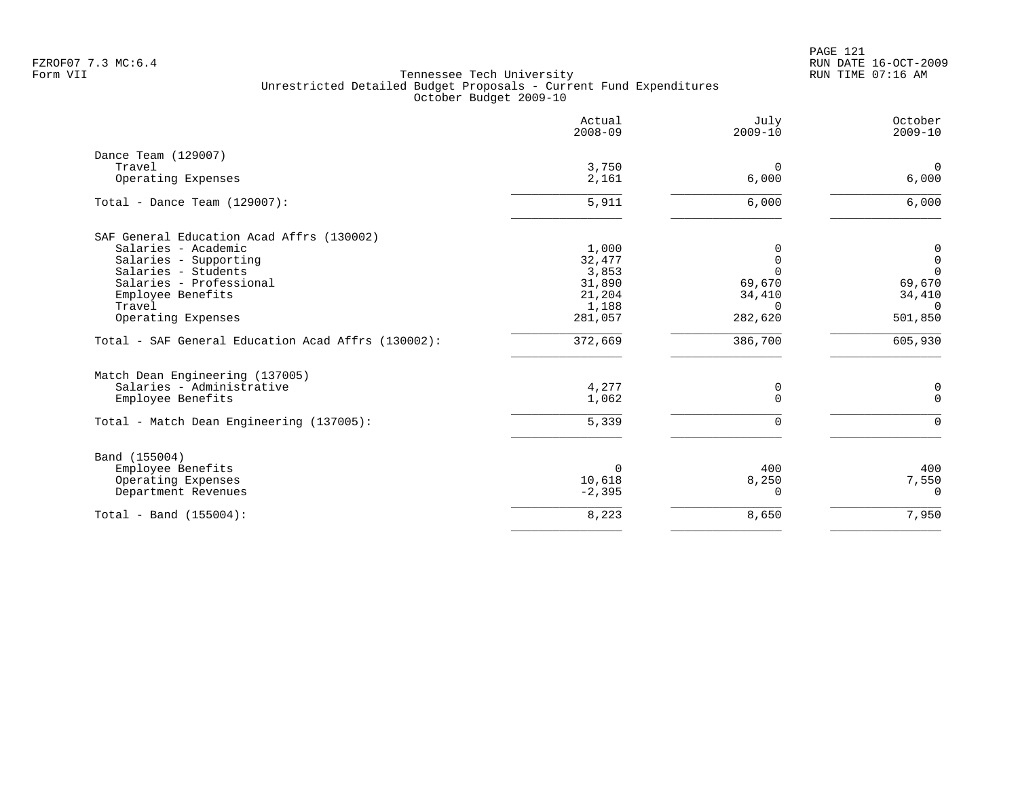PAGE 121 FZROF07 7.3 MC:6.4 RUN DATE 16-OCT-2009

|                                                    | Actual<br>$2008 - 09$ | July<br>$2009 - 10$ | October<br>$2009 - 10$ |
|----------------------------------------------------|-----------------------|---------------------|------------------------|
| Dance Team (129007)                                |                       |                     |                        |
| Travel                                             | 3,750                 | $\mathbf 0$         | $\mathbf 0$            |
| Operating Expenses                                 | 2,161                 | 6,000               | 6,000                  |
| Total - Dance Team $(129007)$ :                    | 5,911                 | 6,000               | 6,000                  |
| SAF General Education Acad Affrs (130002)          |                       |                     |                        |
| Salaries - Academic                                | 1,000                 | $\Omega$            | $\mathbf 0$            |
| Salaries - Supporting                              | 32,477                | $\Omega$            | $\mathbf 0$            |
| Salaries - Students                                | 3,853                 | $\Omega$            | $\overline{0}$         |
| Salaries - Professional                            | 31,890                | 69,670              | 69,670                 |
| Employee Benefits                                  | 21,204                | 34,410              | 34,410                 |
| Travel                                             | 1,188                 | $\Omega$            | $\Omega$               |
| Operating Expenses                                 | 281,057               | 282,620             | 501,850                |
| Total - SAF General Education Acad Affrs (130002): | 372,669               | 386,700             | 605,930                |
| Match Dean Engineering (137005)                    |                       |                     |                        |
| Salaries - Administrative                          | 4,277                 | 0                   | 0                      |
| Employee Benefits                                  | 1,062                 | $\Omega$            | $\Omega$               |
| Total - Match Dean Engineering (137005):           | 5,339                 | $\Omega$            | $\cap$                 |
| Band (155004)                                      |                       |                     |                        |
| Employee Benefits                                  | 0                     | 400                 | 400                    |
| Operating Expenses                                 | 10,618                | 8,250               | 7,550                  |
| Department Revenues                                | $-2,395$              | 0                   | $\Omega$               |
| Total - Band (155004):                             | 8,223                 | 8,650               | 7,950                  |
|                                                    |                       |                     |                        |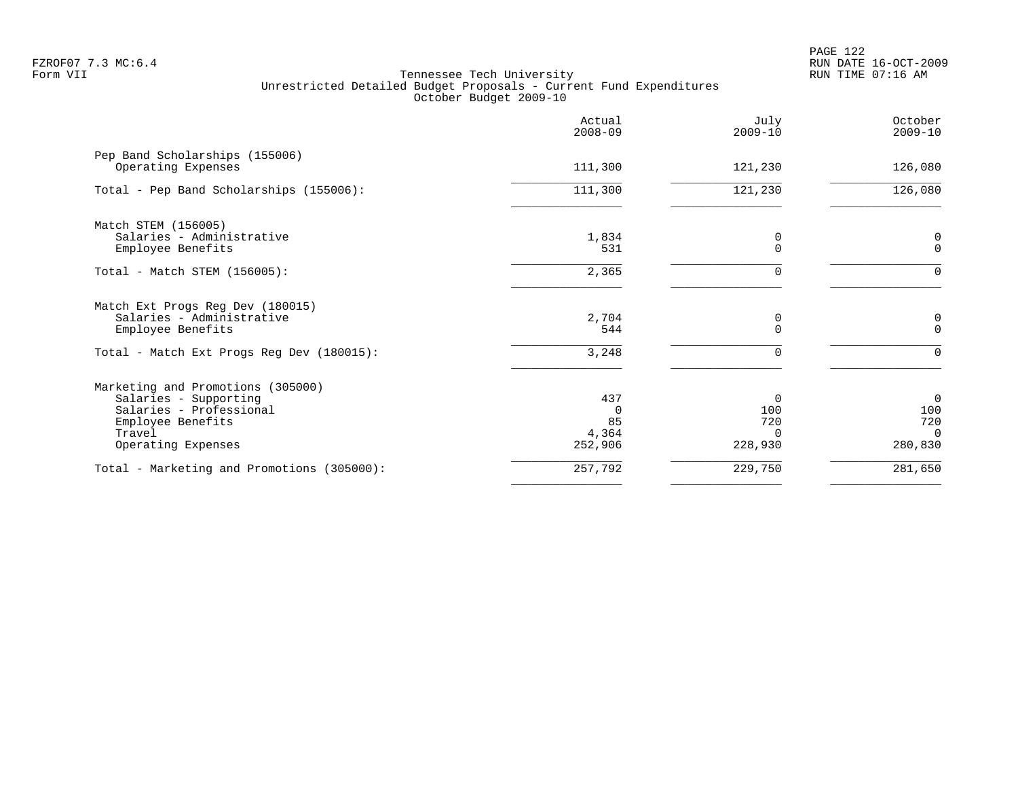|                                                                                    | Actual<br>$2008 - 09$ | July<br>$2009 - 10$ | October<br>$2009 - 10$ |
|------------------------------------------------------------------------------------|-----------------------|---------------------|------------------------|
| Pep Band Scholarships (155006)<br>Operating Expenses                               | 111,300               | 121,230             | 126,080                |
| Total - Pep Band Scholarships (155006):                                            | 111,300               | 121,230             | 126,080                |
| Match STEM (156005)<br>Salaries - Administrative                                   | 1,834                 | 0                   | 0                      |
| Employee Benefits                                                                  | 531                   | $\Omega$            | $\Omega$               |
| Total - Match STEM (156005):                                                       | 2,365                 | 0                   | $\Omega$               |
| Match Ext Progs Reg Dev (180015)<br>Salaries - Administrative<br>Employee Benefits | 2,704<br>544          | 0                   | 0<br>$\mathbf 0$       |
| Total - Match Ext Progs Reg Dev (180015):                                          | 3,248                 | $\Omega$            | $\Omega$               |
| Marketing and Promotions (305000)                                                  |                       |                     |                        |
| Salaries - Supporting                                                              | 437                   | $\Omega$            | $\Omega$               |
| Salaries - Professional<br>Employee Benefits                                       | $\Omega$<br>85        | 100<br>720          | 100<br>720             |
| Travel                                                                             | 4,364                 | $\Omega$            | $\overline{0}$         |
| Operating Expenses                                                                 | 252,906               | 228,930             | 280,830                |
| Total - Marketing and Promotions (305000):                                         | 257,792               | 229,750             | 281,650                |
|                                                                                    |                       |                     |                        |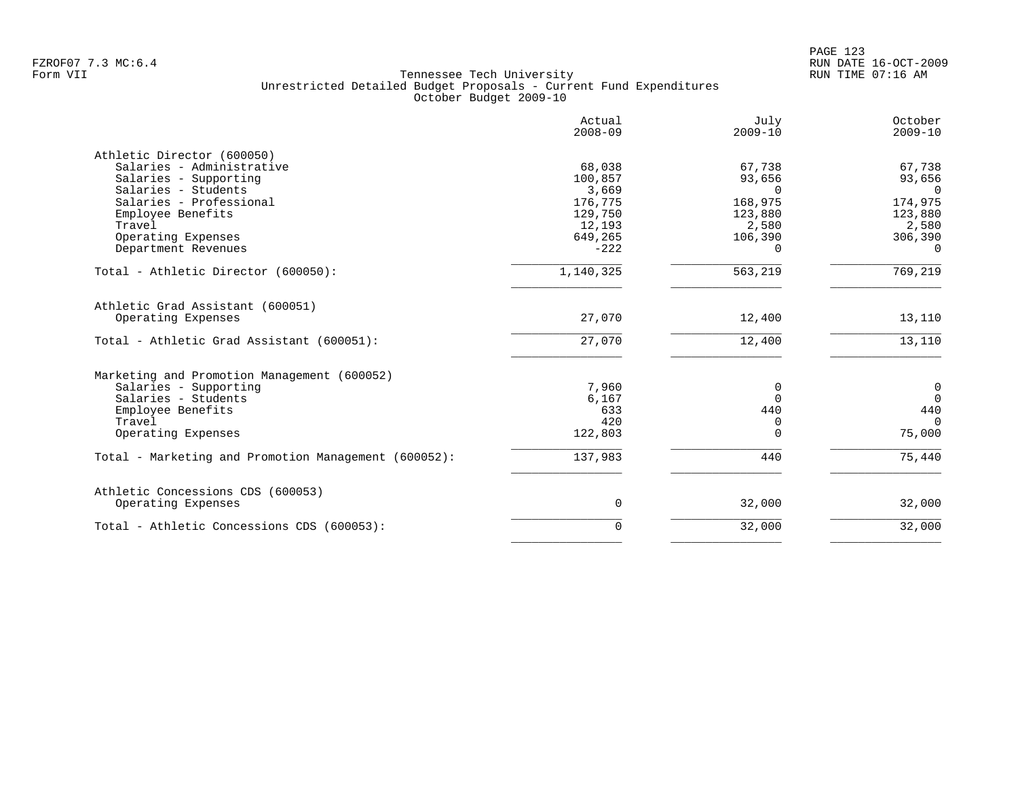|                                                      | Actual<br>$2008 - 09$ | July<br>$2009 - 10$ | October<br>$2009 - 10$ |
|------------------------------------------------------|-----------------------|---------------------|------------------------|
| Athletic Director (600050)                           |                       |                     |                        |
| Salaries - Administrative                            | 68,038                | 67,738              | 67,738                 |
| Salaries - Supporting                                | 100,857               | 93,656              | 93,656                 |
| Salaries - Students                                  | 3,669                 | $\Omega$            | $\Omega$               |
| Salaries - Professional                              | 176,775               | 168,975             | 174,975                |
| Employee Benefits                                    | 129,750               | 123,880             | 123,880                |
| Travel                                               | 12,193                | 2,580               | 2,580                  |
| Operating Expenses                                   | 649,265               | 106,390             | 306,390                |
| Department Revenues                                  | $-222$                | 0                   | $\Omega$               |
| Total - Athletic Director (600050):                  | 1,140,325             | 563,219             | 769,219                |
| Athletic Grad Assistant (600051)                     |                       |                     |                        |
| Operating Expenses                                   | 27,070                | 12,400              | 13,110                 |
| Total - Athletic Grad Assistant (600051):            | 27,070                | 12,400              | 13,110                 |
| Marketing and Promotion Management (600052)          |                       |                     |                        |
| Salaries - Supporting                                | 7,960                 | 0                   | $\mathbf 0$            |
| Salaries - Students                                  | 6,167                 | $\Omega$            | $\Omega$               |
| Employee Benefits                                    | 633                   | 440                 | 440                    |
| Travel                                               | 420                   | Ω                   | $\Omega$               |
| Operating Expenses                                   | 122,803               | N                   | 75,000                 |
| Total - Marketing and Promotion Management (600052): | 137,983               | 440                 | 75,440                 |
|                                                      |                       |                     |                        |
| Athletic Concessions CDS (600053)                    |                       |                     |                        |
| Operating Expenses                                   | 0                     | 32,000              | 32,000                 |
| Total - Athletic Concessions CDS (600053):           | 0                     | 32,000              | 32,000                 |
|                                                      |                       |                     |                        |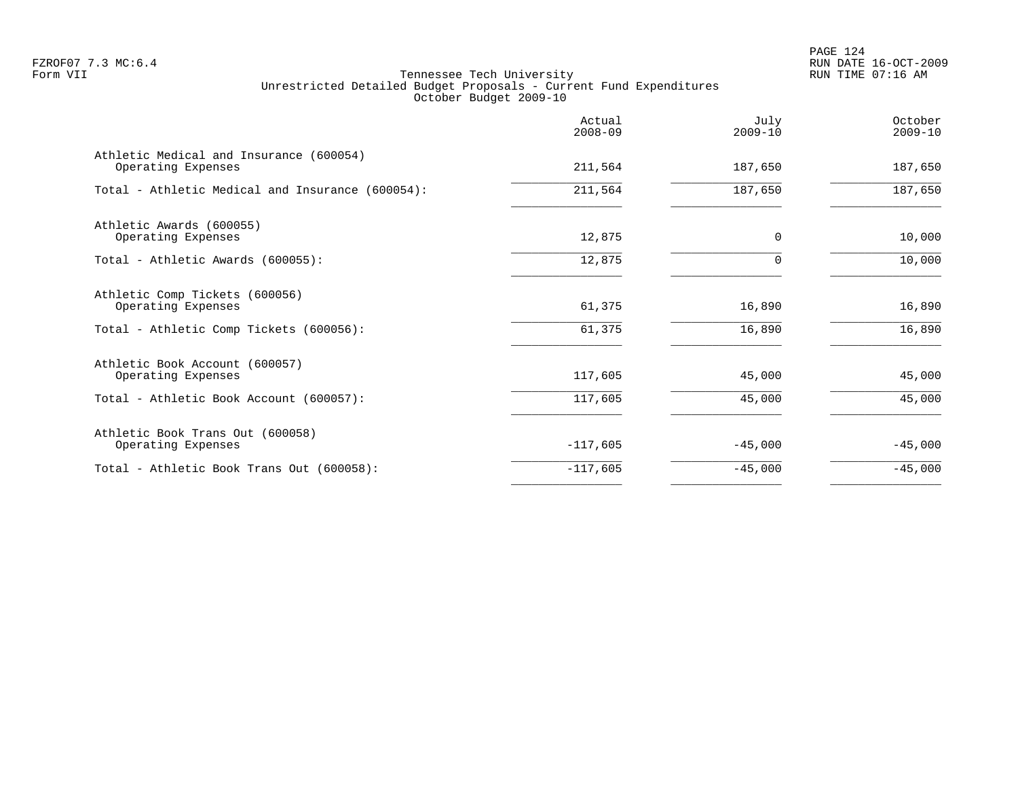PAGE 124 FZROF07 7.3 MC:6.4 RUN DATE 16-OCT-2009

|                                                               | Actual<br>$2008 - 09$ | July<br>$2009 - 10$ | October<br>$2009 - 10$ |
|---------------------------------------------------------------|-----------------------|---------------------|------------------------|
| Athletic Medical and Insurance (600054)<br>Operating Expenses | 211,564               | 187,650             | 187,650                |
| Total - Athletic Medical and Insurance (600054):              | 211,564               | 187,650             | 187,650                |
| Athletic Awards (600055)<br>Operating Expenses                | 12,875                | 0                   | 10,000                 |
| Total - Athletic Awards (600055):                             | 12,875                | $\Omega$            | 10,000                 |
| Athletic Comp Tickets (600056)<br>Operating Expenses          | 61,375                | 16,890              | 16,890                 |
| Total - Athletic Comp Tickets (600056):                       | 61,375                | 16,890              | 16,890                 |
| Athletic Book Account (600057)<br>Operating Expenses          | 117,605               | 45,000              | 45,000                 |
| Total - Athletic Book Account (600057):                       | 117,605               | 45,000              | 45,000                 |
| Athletic Book Trans Out (600058)<br>Operating Expenses        | $-117,605$            | $-45,000$           | $-45,000$              |
| Total - Athletic Book Trans Out (600058):                     | $-117,605$            | $-45,000$           | $-45,000$              |
|                                                               |                       |                     |                        |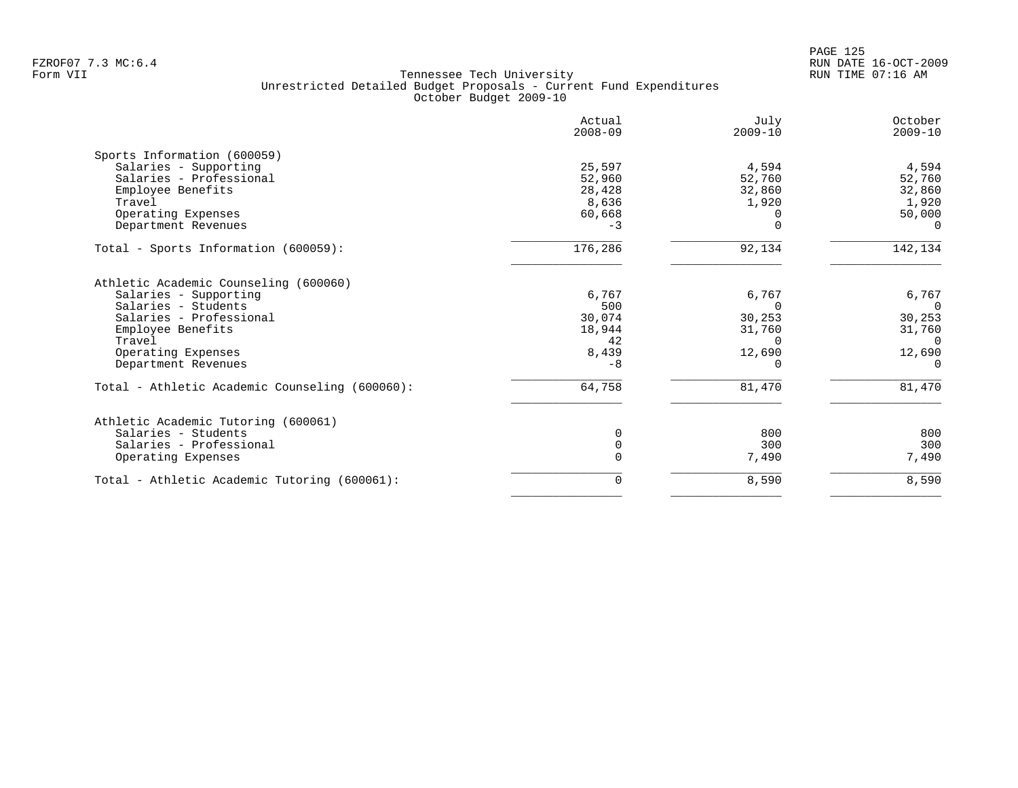|                                                | Actual<br>$2008 - 09$ | July<br>$2009 - 10$ | October<br>$2009 - 10$ |
|------------------------------------------------|-----------------------|---------------------|------------------------|
| Sports Information (600059)                    |                       |                     |                        |
| Salaries - Supporting                          | 25,597                | 4,594               | 4,594                  |
| Salaries - Professional                        | 52,960                | 52,760              | 52,760                 |
| Employee Benefits                              | 28,428                | 32,860              | 32,860                 |
| Travel                                         | 8,636                 | 1,920               | 1,920                  |
| Operating Expenses                             | 60,668                |                     | 50,000                 |
| Department Revenues                            | $-3$                  | $\Omega$            | $\Omega$               |
| Total - Sports Information (600059):           | 176,286               | 92,134              | 142,134                |
| Athletic Academic Counseling (600060)          |                       |                     |                        |
| Salaries - Supporting                          | 6,767                 | 6,767               | 6,767                  |
| Salaries - Students                            | 500                   | $\Omega$            | $\overline{0}$         |
| Salaries - Professional                        | 30,074                | 30,253              | 30,253                 |
| Employee Benefits                              | 18,944                | 31,760              | 31,760                 |
| Travel                                         | 42                    | $\Omega$            | $\Omega$               |
| Operating Expenses                             | 8,439                 | 12,690              | 12,690                 |
| Department Revenues                            | $-8$                  |                     | $\Omega$               |
| Total - Athletic Academic Counseling (600060): | 64,758                | 81,470              | 81,470                 |
| Athletic Academic Tutoring (600061)            |                       |                     |                        |
| Salaries - Students                            | 0                     | 800                 | 800                    |
| Salaries - Professional                        | $\Omega$              | 300                 | 300                    |
| Operating Expenses                             | O                     | 7,490               | 7,490                  |
| Total - Athletic Academic Tutoring (600061):   | 0                     | 8,590               | 8,590                  |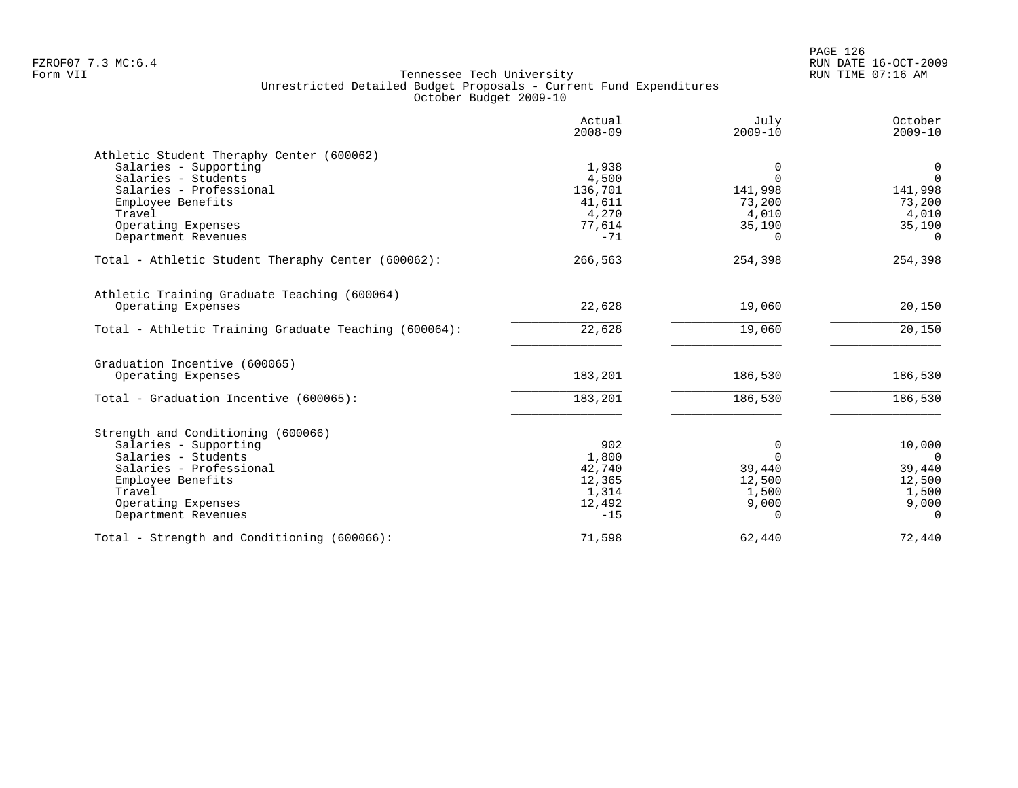|                                                       | Actual<br>$2008 - 09$ | July<br>$2009 - 10$ | October<br>$2009 - 10$ |
|-------------------------------------------------------|-----------------------|---------------------|------------------------|
| Athletic Student Theraphy Center (600062)             |                       |                     |                        |
| Salaries - Supporting                                 | 1,938                 | $\Omega$            | 0                      |
| Salaries - Students                                   | 4,500                 | $\Omega$            | $\Omega$               |
| Salaries - Professional                               | 136,701               | 141,998             | 141,998                |
| Employee Benefits                                     | 41,611                | 73,200              | 73,200                 |
| Travel                                                | 4,270                 | 4,010               | 4,010                  |
| Operating Expenses                                    | 77,614                | 35,190              | 35,190                 |
| Department Revenues                                   | $-71$                 | $\Omega$            | $\Omega$               |
| Total - Athletic Student Theraphy Center (600062):    | 266,563               | 254,398             | 254,398                |
| Athletic Training Graduate Teaching (600064)          |                       |                     |                        |
| Operating Expenses                                    | 22,628                | 19,060              | 20,150                 |
| Total - Athletic Training Graduate Teaching (600064): | 22,628                | 19,060              | 20,150                 |
| Graduation Incentive (600065)                         |                       |                     |                        |
| Operating Expenses                                    | 183,201               | 186,530             | 186,530                |
| Total - Graduation Incentive (600065):                | 183,201               | 186,530             | 186,530                |
| Strength and Conditioning (600066)                    |                       |                     |                        |
| Salaries - Supporting                                 | 902                   | 0                   | 10,000                 |
| Salaries - Students                                   | 1,800                 | $\Omega$            | $\Omega$               |
| Salaries - Professional                               | 42,740                | 39,440              | 39,440                 |
| Employee Benefits                                     | 12,365                | 12,500              | 12,500                 |
| Travel                                                | 1,314                 | 1,500               | 1,500                  |
| Operating Expenses                                    | 12,492                | 9,000               | 9,000                  |
| Department Revenues                                   | $-15$                 | $\Omega$            | $\Omega$               |
| Total - Strength and Conditioning (600066):           | 71,598                | 62,440              | 72,440                 |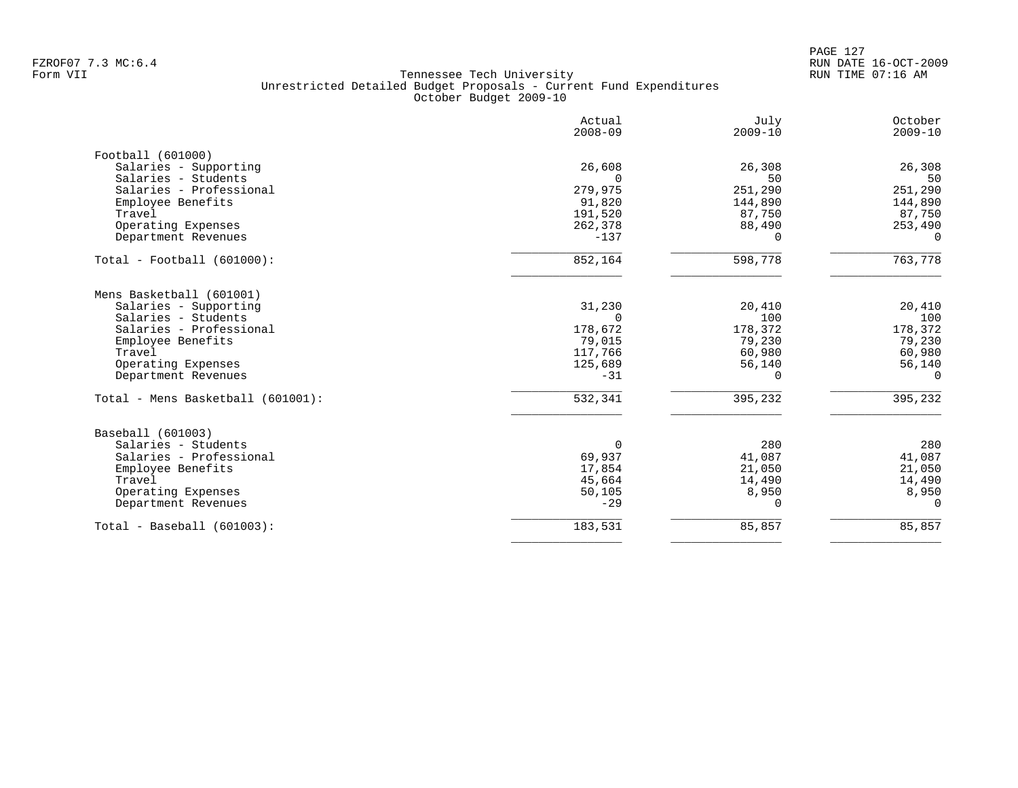PAGE 127 FZROF07 7.3 MC:6.4 RUN DATE 16-OCT-2009

|                                   | Actual<br>$2008 - 09$ | July<br>$2009 - 10$ | October<br>$2009 - 10$ |
|-----------------------------------|-----------------------|---------------------|------------------------|
| Football (601000)                 |                       |                     |                        |
| Salaries - Supporting             | 26,608                | 26,308              | 26,308                 |
| Salaries - Students               |                       | 50                  | 50                     |
| Salaries - Professional           | 279,975               | 251,290             | 251,290                |
| Employee Benefits                 | 91,820                | 144,890             | 144,890                |
| Travel                            | 191,520               | 87,750              | 87,750                 |
| Operating Expenses                | 262,378               | 88,490              | 253,490                |
| Department Revenues               | $-137$                | ∩                   | 0                      |
| $Total - Football (601000):$      | 852,164               | 598,778             | 763,778                |
| Mens Basketball (601001)          |                       |                     |                        |
| Salaries - Supporting             | 31,230                | 20,410              | 20,410                 |
| Salaries - Students               | $\Omega$              | 100                 | 100                    |
| Salaries - Professional           | 178,672               | 178,372             | 178,372                |
| Employee Benefits                 | 79,015                | 79,230              | 79,230                 |
| Travel                            | 117,766               | 60,980              | 60,980                 |
| Operating Expenses                | 125,689               | 56,140              | 56,140                 |
| Department Revenues               | $-31$                 | 0                   | $\Omega$               |
| Total - Mens Basketball (601001): | 532,341               | 395,232             | 395,232                |
| Baseball (601003)                 |                       |                     |                        |
| Salaries - Students               | $\Omega$              | 280                 | 280                    |
| Salaries - Professional           | 69,937                | 41,087              | 41,087                 |
| Employee Benefits                 | 17,854                | 21,050              | 21,050                 |
| Travel                            | 45,664                | 14,490              | 14,490                 |
| Operating Expenses                | 50,105                | 8,950               | 8,950                  |
| Department Revenues               | $-29$                 | 0                   | 0                      |
| $Total - Baseball (601003):$      | 183,531               | 85,857              | 85,857                 |
|                                   |                       |                     |                        |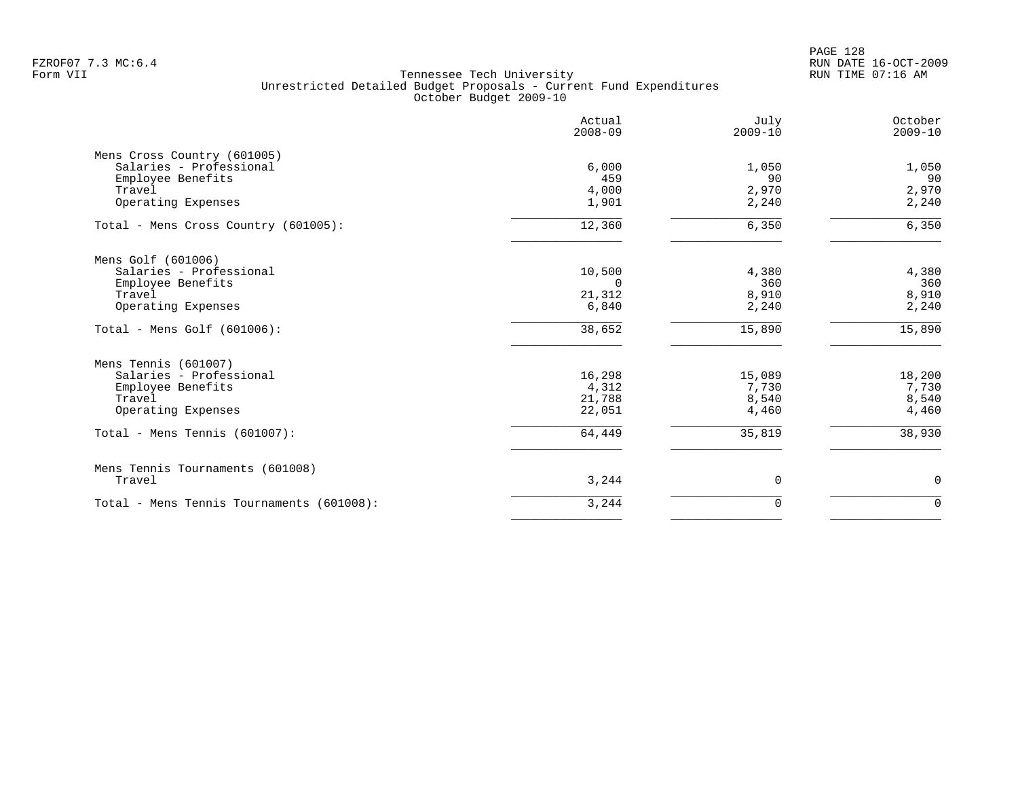|                                                        | Actual<br>$2008 - 09$ | July<br>$2009 - 10$ | October<br>$2009 - 10$ |
|--------------------------------------------------------|-----------------------|---------------------|------------------------|
| Mens Cross Country (601005)<br>Salaries - Professional |                       |                     |                        |
| Employee Benefits                                      | 6,000<br>459          | 1,050<br>90         | 1,050<br>90            |
| Travel                                                 | 4,000                 | 2,970               | 2,970                  |
| Operating Expenses                                     | 1,901                 | 2,240               | 2,240                  |
| Total - Mens Cross Country (601005):                   | 12,360                | 6,350               | 6,350                  |
| Mens Golf (601006)                                     |                       |                     |                        |
| Salaries - Professional                                | 10,500                | 4,380               | 4,380                  |
| Employee Benefits                                      | $\Omega$              | 360                 | 360                    |
| Travel                                                 | 21,312                | 8,910               | 8,910                  |
| Operating Expenses                                     | 6,840                 | 2,240               | 2,240                  |
| Total - Mens Golf (601006):                            | 38,652                | 15,890              | 15,890                 |
| Mens Tennis (601007)                                   |                       |                     |                        |
| Salaries - Professional                                | 16,298                | 15,089              | 18,200                 |
| Employee Benefits                                      | 4,312                 | 7,730               | 7,730                  |
| Travel                                                 | 21,788                | 8,540               | 8,540                  |
| Operating Expenses                                     | 22,051                | 4,460               | 4,460                  |
| Total - Mens Tennis $(601007)$ :                       | 64,449                | 35,819              | 38,930                 |
| Mens Tennis Tournaments (601008)                       |                       |                     |                        |
| Travel                                                 | 3,244                 | 0                   | $\mathbf 0$            |
| Total - Mens Tennis Tournaments (601008):              | 3,244                 | 0                   | $\overline{0}$         |
|                                                        |                       |                     |                        |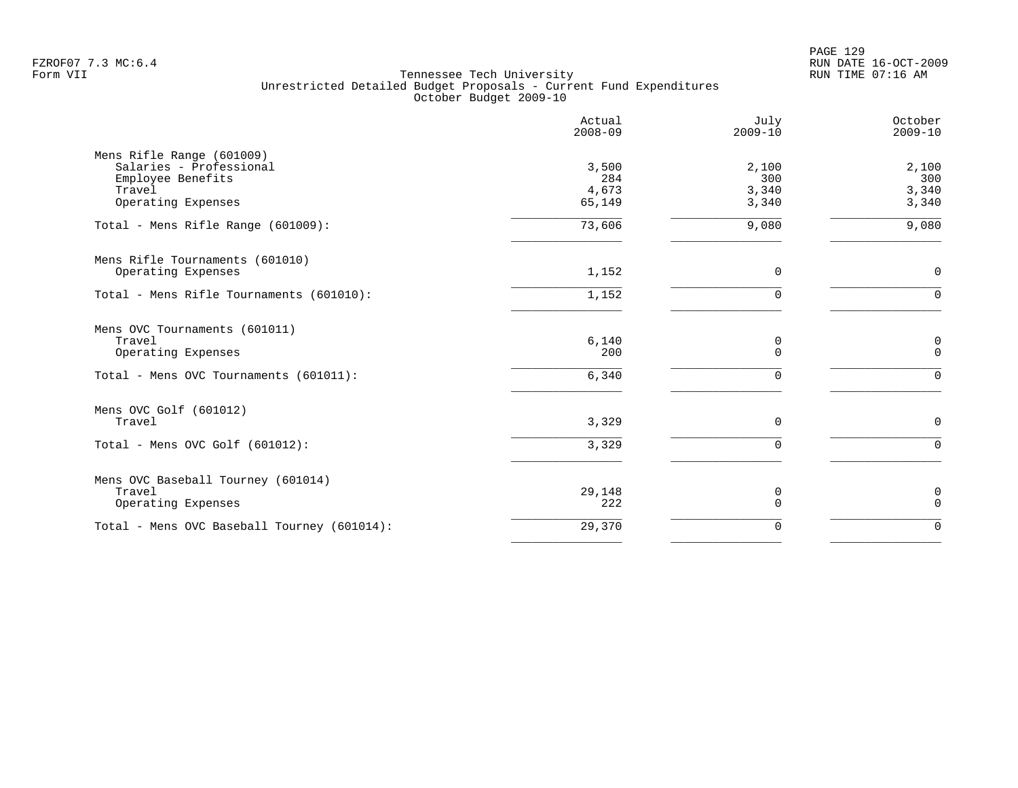|                                                                                                           | Actual<br>$2008 - 09$           | July<br>$2009 - 10$            | October<br>$2009 - 10$         |
|-----------------------------------------------------------------------------------------------------------|---------------------------------|--------------------------------|--------------------------------|
| Mens Rifle Range (601009)<br>Salaries - Professional<br>Employee Benefits<br>Travel<br>Operating Expenses | 3,500<br>284<br>4,673<br>65,149 | 2,100<br>300<br>3,340<br>3,340 | 2,100<br>300<br>3,340<br>3,340 |
| Total - Mens Rifle Range (601009):                                                                        | 73,606                          | 9,080                          | 9,080                          |
| Mens Rifle Tournaments (601010)<br>Operating Expenses                                                     | 1,152                           | 0                              | $\mathbf 0$                    |
| Total - Mens Rifle Tournaments (601010):                                                                  | 1,152                           | $\Omega$                       | $\Omega$                       |
| Mens OVC Tournaments (601011)<br>Travel<br>Operating Expenses<br>Total - Mens OVC Tournaments (601011):   | $6,140$<br>200<br>6,340         | 0<br>$\Omega$<br>$\mathbf 0$   | 0<br>$\mathbf 0$<br>$\Omega$   |
| Mens OVC Golf (601012)<br>Travel<br>Total - Mens OVC Golf (601012):                                       | 3,329<br>3,329                  | $\mathbf 0$<br>$\Omega$        | $\mathbf 0$<br>$\Omega$        |
|                                                                                                           |                                 |                                |                                |
| Mens OVC Baseball Tourney (601014)<br>Travel<br>Operating Expenses                                        | 29,148<br>222                   | 0<br>$\mathbf 0$               | $\mathbf 0$<br>$\mathbf 0$     |
| Total - Mens OVC Baseball Tourney (601014):                                                               | 29,370                          | $\mathbf 0$                    | $\Omega$                       |
|                                                                                                           |                                 |                                |                                |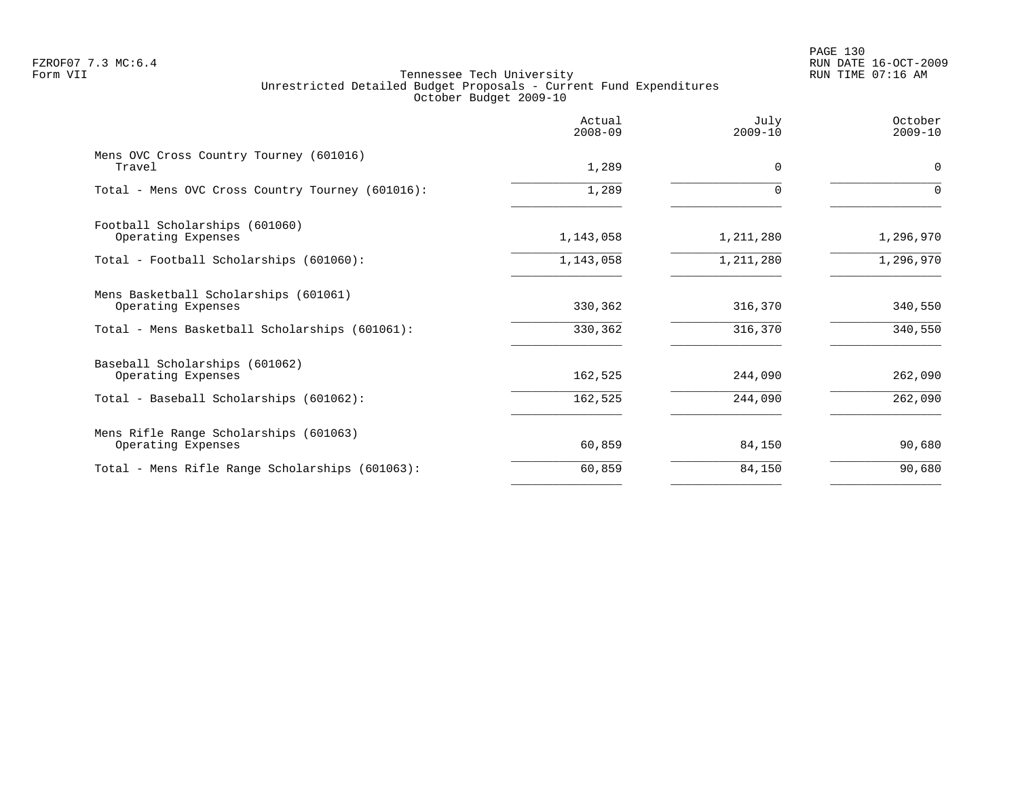# PAGE 130 FZROF07 7.3 MC:6.4 RUN DATE 16-OCT-2009

|                                                              | Actual<br>$2008 - 09$ | July<br>$2009 - 10$ | October<br>$2009 - 10$ |
|--------------------------------------------------------------|-----------------------|---------------------|------------------------|
| Mens OVC Cross Country Tourney (601016)<br>Travel            | 1,289                 | $\Omega$            | $\mathbf 0$            |
| Total - Mens OVC Cross Country Tourney (601016):             | 1,289                 | $\Omega$            | $\Omega$               |
| Football Scholarships (601060)<br>Operating Expenses         | 1,143,058             | 1,211,280           | 1,296,970              |
| Total - Football Scholarships (601060):                      | 1,143,058             | 1,211,280           | 1,296,970              |
| Mens Basketball Scholarships (601061)<br>Operating Expenses  | 330,362               | 316,370             | 340,550                |
| Total - Mens Basketball Scholarships (601061):               | 330,362               | 316,370             | 340,550                |
| Baseball Scholarships (601062)<br>Operating Expenses         | 162,525               | 244,090             | 262,090                |
| Total - Baseball Scholarships (601062):                      | 162,525               | 244,090             | 262,090                |
| Mens Rifle Range Scholarships (601063)<br>Operating Expenses | 60,859                | 84,150              | 90,680                 |
| Total - Mens Rifle Range Scholarships (601063):              | 60,859                | 84,150              | 90,680                 |
|                                                              |                       |                     |                        |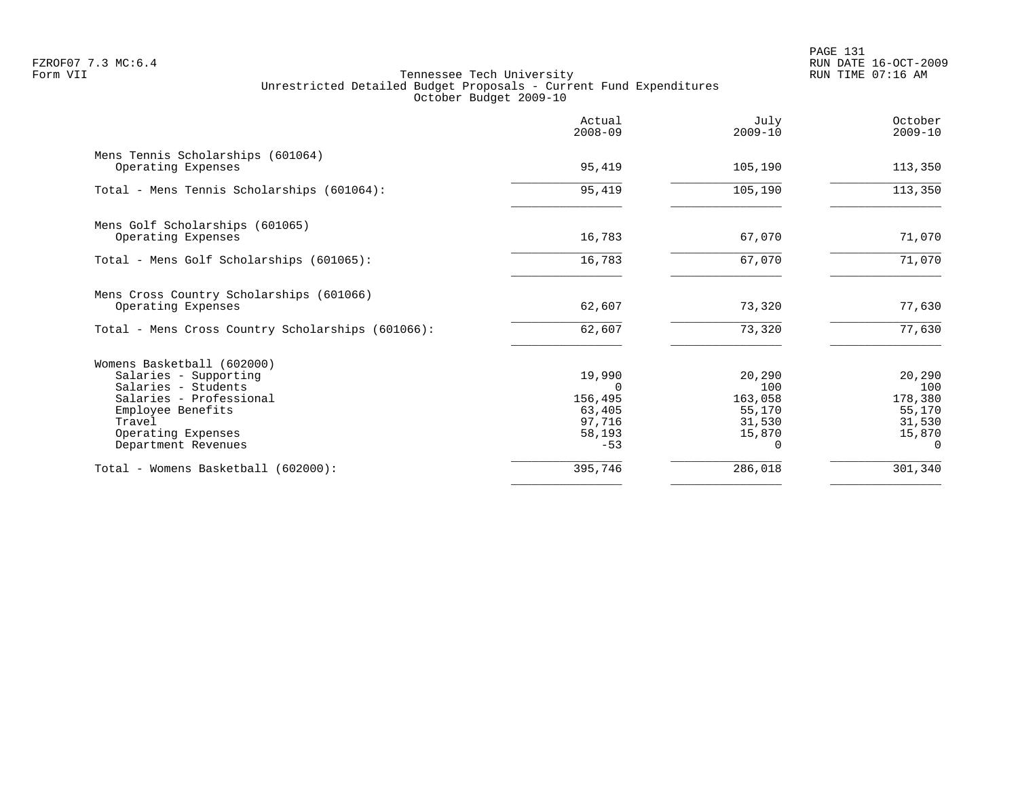|                                                                | Actual<br>$2008 - 09$ | July<br>$2009 - 10$ | October<br>$2009 - 10$ |
|----------------------------------------------------------------|-----------------------|---------------------|------------------------|
| Mens Tennis Scholarships (601064)<br>Operating Expenses        | 95,419                | 105,190             | 113,350                |
| Total - Mens Tennis Scholarships (601064):                     | 95,419                | 105,190             | 113,350                |
| Mens Golf Scholarships (601065)                                |                       |                     |                        |
| Operating Expenses                                             | 16,783                | 67,070              | 71,070                 |
| Total - Mens Golf Scholarships (601065):                       | 16,783                | 67,070              | 71,070                 |
| Mens Cross Country Scholarships (601066)<br>Operating Expenses | 62,607                | 73,320              | 77,630                 |
| Total - Mens Cross Country Scholarships (601066):              | 62,607                | 73,320              | 77,630                 |
| Womens Basketball (602000)                                     |                       |                     |                        |
| Salaries - Supporting                                          | 19,990                | 20,290              | 20,290                 |
| Salaries - Students                                            |                       | 100                 | 100                    |
| Salaries - Professional                                        | 156,495               | 163,058             | 178,380                |
| Employee Benefits<br>Travel                                    | 63,405<br>97,716      | 55,170<br>31,530    | 55,170<br>31,530       |
| Operating Expenses                                             | 58,193                | 15,870              | 15,870                 |
| Department Revenues                                            | $-53$                 | <sup>n</sup>        | $\Omega$               |
| Total - Womens Basketball (602000):                            | 395,746               | 286,018             | 301,340                |
|                                                                |                       |                     |                        |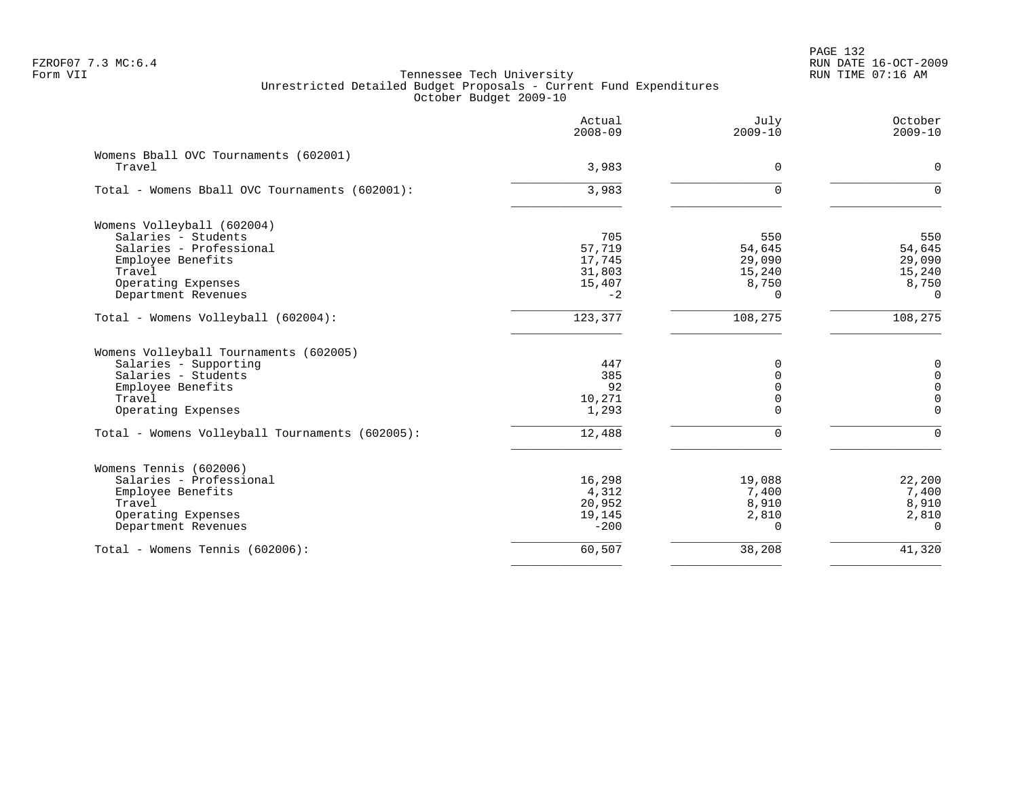PAGE 132 FZROF07 7.3 MC:6.4 RUN DATE 16-OCT-2009

|                                                 | Actual<br>$2008 - 09$ | July<br>$2009 - 10$ | October<br>$2009 - 10$ |
|-------------------------------------------------|-----------------------|---------------------|------------------------|
| Womens Bball OVC Tournaments (602001)           |                       |                     |                        |
| Travel                                          | 3,983                 | $\Omega$            | $\Omega$               |
| Total - Womens Bball OVC Tournaments (602001):  | 3,983                 | $\Omega$            | $\Omega$               |
| Womens Volleyball (602004)                      |                       |                     |                        |
| Salaries - Students                             | 705                   | 550                 | 550                    |
| Salaries - Professional                         | 57,719                | 54,645              | 54,645                 |
| Employee Benefits                               | 17,745                | 29,090              | 29,090                 |
| Travel                                          | 31,803                | 15,240              | 15,240                 |
| Operating Expenses                              | 15,407                | 8,750               | 8,750                  |
| Department Revenues                             | $-2$                  | $\Omega$            | $\Omega$               |
| Total - Womens Volleyball (602004):             | 123,377               | 108,275             | 108, 275               |
| Womens Volleyball Tournaments (602005)          |                       |                     |                        |
| Salaries - Supporting                           | 447                   | 0                   | $\mathbf 0$            |
| Salaries - Students                             | 385                   | $\Omega$            | 0                      |
| Employee Benefits                               | 92                    | $\Omega$            | $\Omega$               |
| Travel                                          | 10,271                | 0                   | 0                      |
| Operating Expenses                              | 1,293                 | $\Omega$            | $\Omega$               |
| Total - Womens Volleyball Tournaments (602005): | 12,488                | $\Omega$            | $\Omega$               |
| Womens Tennis (602006)                          |                       |                     |                        |
| Salaries - Professional                         | 16,298                | 19,088              | 22,200                 |
| Employee Benefits                               | 4,312                 | 7,400               | 7,400                  |
| Travel                                          | 20,952                | 8,910               | 8,910                  |
| Operating Expenses                              | 19,145                | 2,810               | 2,810                  |
| Department Revenues                             | $-200$                | $\Omega$            | $\Omega$               |
| Total - Womens Tennis (602006):                 | 60,507                | 38,208              | 41,320                 |
|                                                 |                       |                     |                        |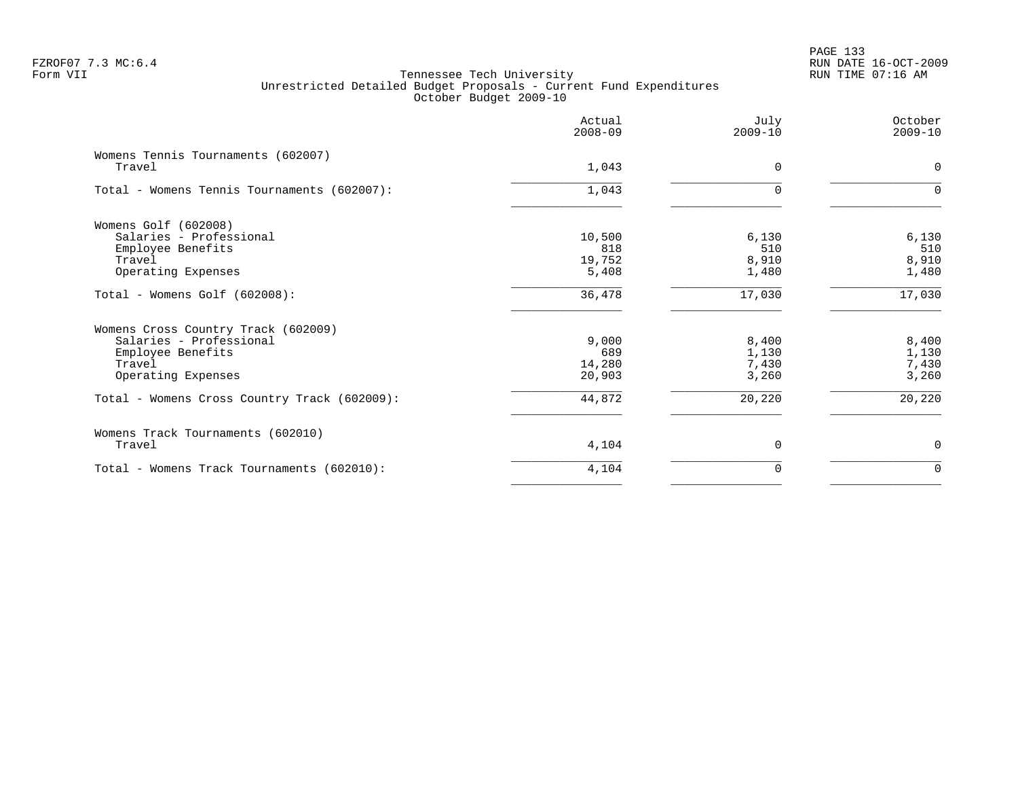# PAGE 133 FZROF07 7.3 MC:6.4 RUN DATE 16-OCT-2009

|                                              | Actual<br>$2008 - 09$ | July<br>$2009 - 10$ | October<br>$2009 - 10$ |
|----------------------------------------------|-----------------------|---------------------|------------------------|
| Womens Tennis Tournaments (602007)<br>Travel | 1,043                 | $\Omega$            | $\Omega$               |
| Total - Womens Tennis Tournaments (602007):  | 1,043                 | $\Omega$            | $\Omega$               |
| Womens Golf (602008)                         |                       |                     |                        |
| Salaries - Professional                      | 10,500                | 6,130               | 6,130                  |
| Employee Benefits                            | 818                   | 510                 | 510                    |
| Travel                                       | 19,752                | 8,910               | 8,910                  |
| Operating Expenses                           | 5,408                 | 1,480               | 1,480                  |
| Total - Womens Golf (602008):                | 36,478                | 17,030              | 17,030                 |
| Womens Cross Country Track (602009)          |                       |                     |                        |
| Salaries - Professional                      | 9,000                 | 8,400               | 8,400                  |
| Employee Benefits                            | 689                   | 1,130               | 1,130                  |
| Travel                                       | 14,280                | 7,430               | 7,430                  |
| Operating Expenses                           | 20,903                | 3,260               | 3,260                  |
| Total - Womens Cross Country Track (602009): | 44,872                | 20,220              | 20,220                 |
| Womens Track Tournaments (602010)            |                       |                     |                        |
| Travel                                       | 4,104                 | $\Omega$            | 0                      |
| Total - Womens Track Tournaments (602010):   | 4,104                 | $\Omega$            | $\Omega$               |
|                                              |                       |                     |                        |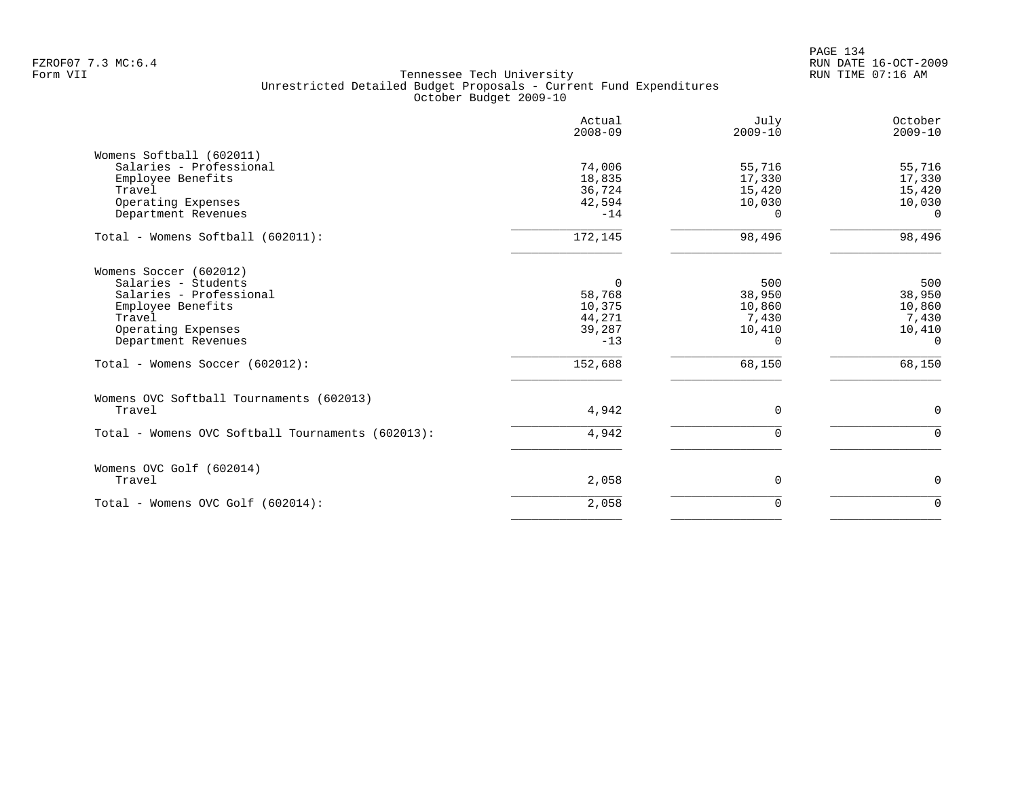PAGE 134 FZROF07 7.3 MC:6.4 RUN DATE 16-OCT-2009

|                                                                                                                                                      | Actual<br>$2008 - 09$                                     | July<br>$2009 - 10$                                    | October<br>$2009 - 10$                                 |
|------------------------------------------------------------------------------------------------------------------------------------------------------|-----------------------------------------------------------|--------------------------------------------------------|--------------------------------------------------------|
| Womens Softball (602011)<br>Salaries - Professional<br>Employee Benefits<br>Travel<br>Operating Expenses<br>Department Revenues                      | 74,006<br>18,835<br>36,724<br>42,594<br>$-14$             | 55,716<br>17,330<br>15,420<br>10,030<br>O.             | 55,716<br>17,330<br>15,420<br>10,030<br>$\Omega$       |
| Total - Womens Softball (602011):                                                                                                                    | 172,145                                                   | 98,496                                                 | 98,496                                                 |
| Womens Soccer (602012)<br>Salaries - Students<br>Salaries - Professional<br>Employee Benefits<br>Travel<br>Operating Expenses<br>Department Revenues | $\Omega$<br>58,768<br>10,375<br>44,271<br>39,287<br>$-13$ | 500<br>38,950<br>10,860<br>7,430<br>10,410<br>$\Omega$ | 500<br>38,950<br>10,860<br>7,430<br>10,410<br>$\Omega$ |
| Total - Womens Soccer (602012):                                                                                                                      | 152,688                                                   | 68,150                                                 | 68,150                                                 |
| Womens OVC Softball Tournaments (602013)<br>Travel                                                                                                   | 4,942                                                     | $\Omega$                                               | $\mathbf 0$                                            |
| Total - Womens OVC Softball Tournaments (602013):                                                                                                    | 4,942                                                     | $\Omega$                                               | $\Omega$                                               |
| Womens OVC Golf (602014)<br>Travel                                                                                                                   | 2,058                                                     | 0                                                      | 0                                                      |
| Total - Womens OVC Golf (602014):                                                                                                                    | 2,058                                                     | $\Omega$                                               | $\Omega$                                               |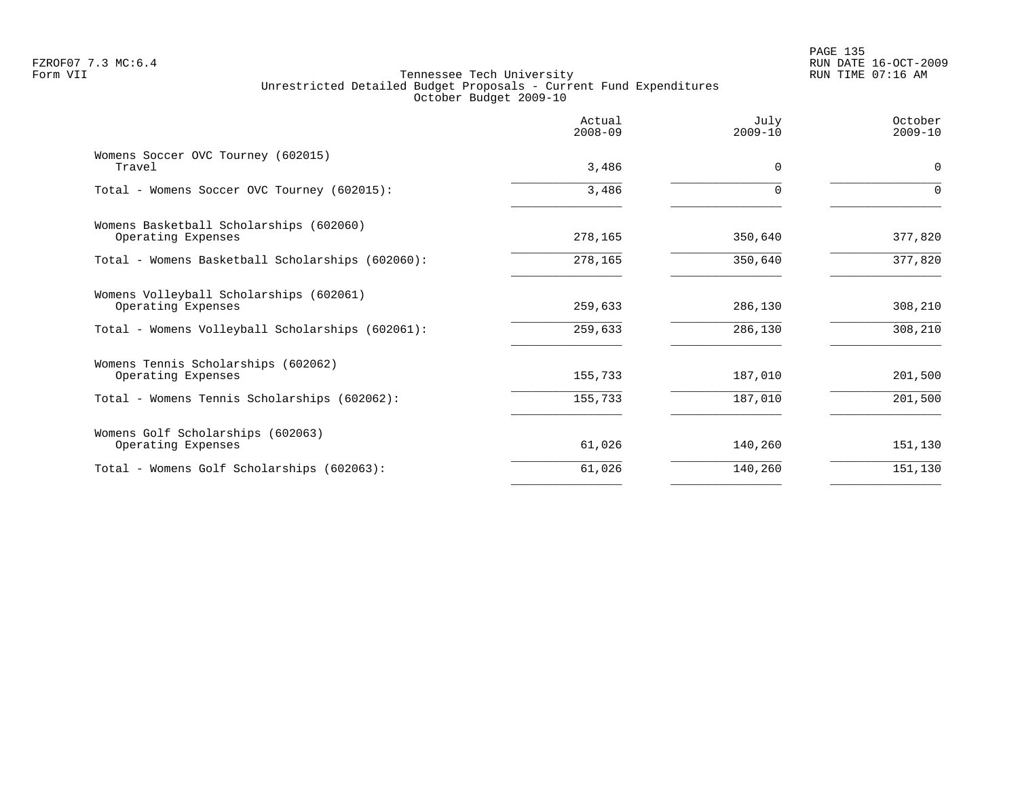# PAGE 135 FZROF07 7.3 MC:6.4 RUN DATE 16-OCT-2009

|                                                               | Actual<br>$2008 - 09$ | July<br>$2009 - 10$ | October<br>$2009 - 10$ |
|---------------------------------------------------------------|-----------------------|---------------------|------------------------|
| Womens Soccer OVC Tourney (602015)<br>Travel                  | 3,486                 | $\Omega$            | 0                      |
| Total - Womens Soccer OVC Tourney (602015):                   | 3,486                 | $\Omega$            | $\Omega$               |
| Womens Basketball Scholarships (602060)<br>Operating Expenses | 278,165               | 350,640             | 377,820                |
| Total - Womens Basketball Scholarships (602060):              | 278,165               | 350,640             | 377,820                |
| Womens Volleyball Scholarships (602061)<br>Operating Expenses | 259,633               | 286,130             | 308,210                |
| Total - Womens Volleyball Scholarships (602061):              | 259,633               | 286,130             | 308,210                |
| Womens Tennis Scholarships (602062)<br>Operating Expenses     | 155,733               | 187,010             | 201,500                |
| Total - Womens Tennis Scholarships (602062):                  | 155,733               | 187,010             | 201,500                |
| Womens Golf Scholarships (602063)<br>Operating Expenses       | 61,026                | 140,260             | 151,130                |
| Total - Womens Golf Scholarships (602063):                    | 61,026                | 140,260             | 151,130                |
|                                                               |                       |                     |                        |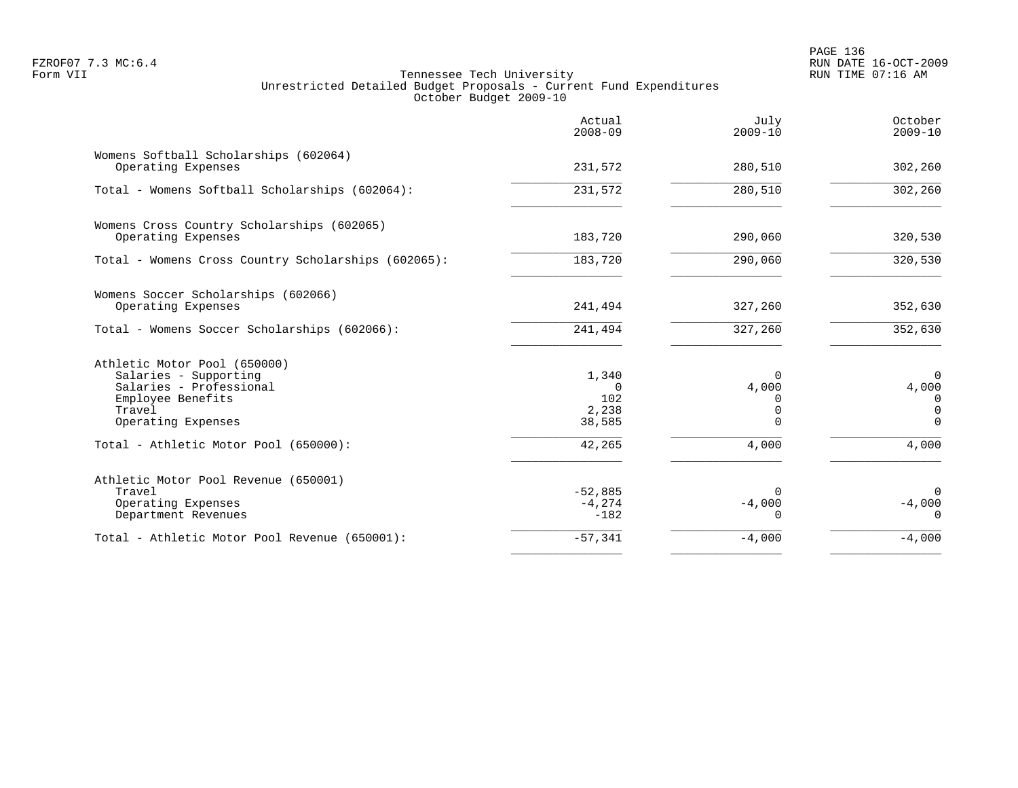|                                                                                                                                       | Actual<br>$2008 - 09$                       | July<br>$2009 - 10$                       | October<br>$2009 - 10$                                  |
|---------------------------------------------------------------------------------------------------------------------------------------|---------------------------------------------|-------------------------------------------|---------------------------------------------------------|
| Womens Softball Scholarships (602064)<br>Operating Expenses                                                                           | 231,572                                     | 280,510                                   | 302,260                                                 |
| Total - Womens Softball Scholarships (602064):                                                                                        | 231,572                                     | 280,510                                   | 302,260                                                 |
| Womens Cross Country Scholarships (602065)<br>Operating Expenses                                                                      | 183,720                                     | 290,060                                   | 320,530                                                 |
| Total - Womens Cross Country Scholarships (602065):                                                                                   | 183,720                                     | 290,060                                   | 320,530                                                 |
| Womens Soccer Scholarships (602066)<br>Operating Expenses                                                                             | 241,494                                     | 327,260                                   | 352,630                                                 |
| Total - Womens Soccer Scholarships (602066):                                                                                          | 241,494                                     | 327,260                                   | 352,630                                                 |
| Athletic Motor Pool (650000)<br>Salaries - Supporting<br>Salaries - Professional<br>Employee Benefits<br>Travel<br>Operating Expenses | 1,340<br>$\Omega$<br>102<br>2,238<br>38,585 | $\Omega$<br>4,000<br>$\Omega$<br>$\Omega$ | $\overline{0}$<br>4,000<br>0<br>$\mathbf 0$<br>$\Omega$ |
| Total - Athletic Motor Pool (650000):                                                                                                 | 42,265                                      | 4,000                                     | 4,000                                                   |
| Athletic Motor Pool Revenue (650001)<br>Travel<br>Operating Expenses<br>Department Revenues                                           | $-52,885$<br>$-4,274$<br>$-182$             | $\Omega$<br>$-4,000$<br>$\Omega$          | $\mathbf 0$<br>$-4,000$<br>$\Omega$                     |
| Total - Athletic Motor Pool Revenue (650001):                                                                                         | $-57,341$                                   | $-4,000$                                  | $-4,000$                                                |
|                                                                                                                                       |                                             |                                           |                                                         |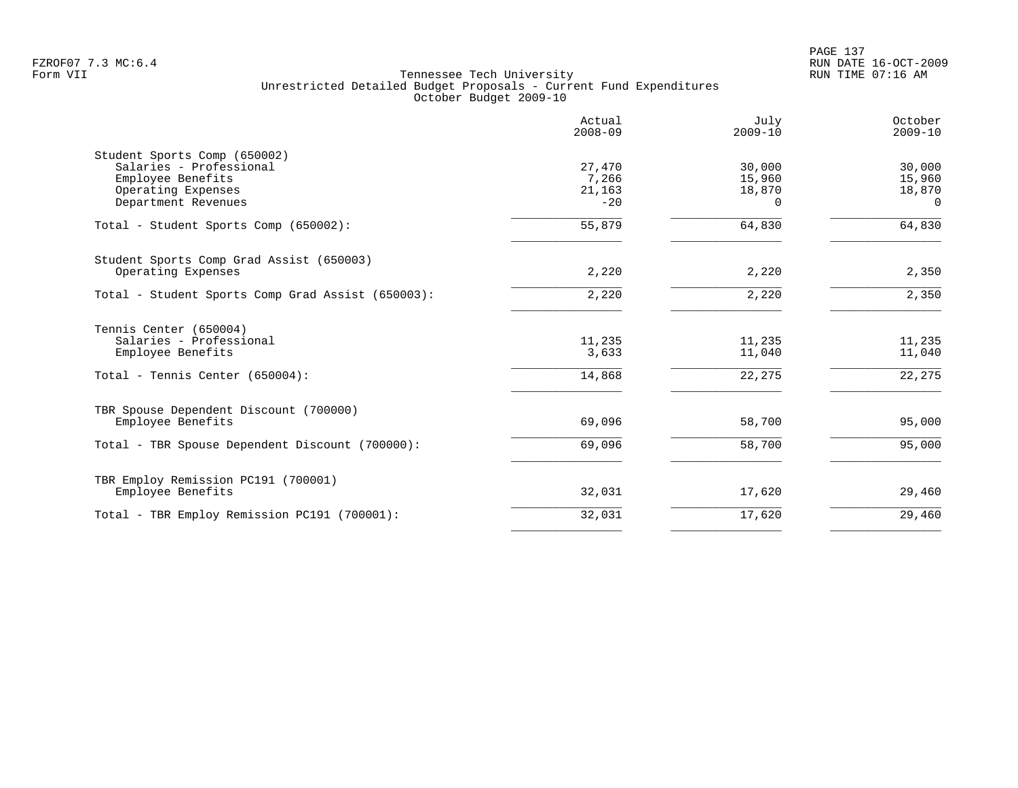PAGE 137 FZROF07 7.3 MC:6.4 RUN DATE 16-OCT-2009

|                                                   | Actual<br>$2008 - 09$ | July<br>$2009 - 10$ | October<br>$2009 - 10$ |
|---------------------------------------------------|-----------------------|---------------------|------------------------|
| Student Sports Comp (650002)                      |                       |                     |                        |
| Salaries - Professional                           | 27,470                | 30,000              | 30,000                 |
| Employee Benefits                                 | 7,266                 | 15,960              | 15,960                 |
| Operating Expenses                                | 21,163                | 18,870              | 18,870                 |
| Department Revenues                               | $-20$                 | $\Omega$            | $\Omega$               |
| Total - Student Sports Comp (650002):             | 55,879                | 64,830              | 64,830                 |
| Student Sports Comp Grad Assist (650003)          |                       |                     |                        |
| Operating Expenses                                | 2,220                 | 2,220               | 2,350                  |
| Total - Student Sports Comp Grad Assist (650003): | 2,220                 | 2,220               | 2,350                  |
| Tennis Center (650004)                            |                       |                     |                        |
| Salaries - Professional                           | 11,235                | 11,235              | 11,235                 |
| Employee Benefits                                 | 3,633                 | 11,040              | 11,040                 |
| Total - Tennis Center (650004):                   | 14,868                | 22,275              | 22,275                 |
| TBR Spouse Dependent Discount (700000)            |                       |                     |                        |
| Employee Benefits                                 | 69,096                | 58,700              | 95,000                 |
| Total - TBR Spouse Dependent Discount (700000):   | 69,096                | 58,700              | 95,000                 |
| TBR Employ Remission PC191 (700001)               |                       |                     |                        |
| Employee Benefits                                 | 32,031                | 17,620              | 29,460                 |
| Total - TBR Employ Remission PC191 (700001):      | 32,031                | 17,620              | 29,460                 |
|                                                   |                       |                     |                        |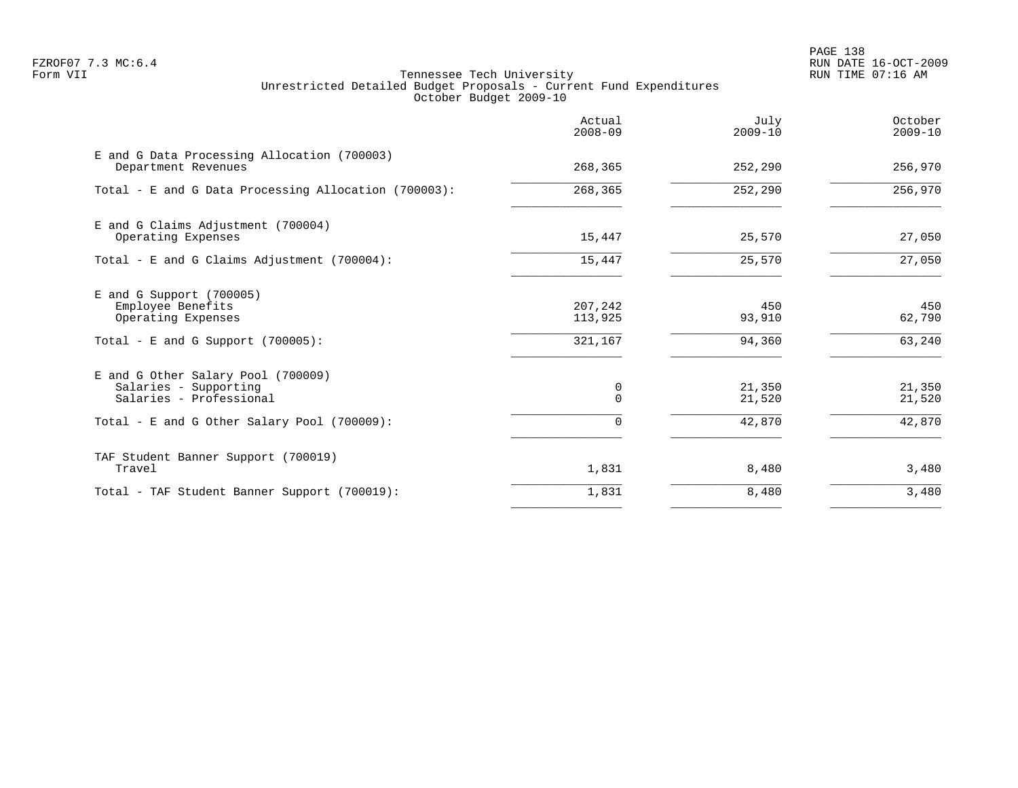PAGE 138 FZROF07 7.3 MC:6.4 RUN DATE 16-OCT-2009

|                                                                                                                                       | Actual<br>$2008 - 09$         | July<br>$2009 - 10$        | October<br>$2009 - 10$     |
|---------------------------------------------------------------------------------------------------------------------------------------|-------------------------------|----------------------------|----------------------------|
| E and G Data Processing Allocation (700003)<br>Department Revenues                                                                    | 268,365                       | 252,290                    | 256,970                    |
| Total - E and G Data Processing Allocation (700003):                                                                                  | 268,365                       | 252,290                    | 256,970                    |
| E and G Claims Adjustment (700004)<br>Operating Expenses                                                                              | 15,447                        | 25,570                     | 27,050                     |
| Total - E and G Claims Adjustment $(700004)$ :                                                                                        | 15,447                        | 25,570                     | 27,050                     |
| $E$ and G Support (700005)<br>Employee Benefits<br>Operating Expenses<br>Total - E and G Support $(700005)$ :                         | 207,242<br>113,925<br>321,167 | 450<br>93,910<br>94,360    | 450<br>62,790<br>63,240    |
| E and G Other Salary Pool (700009)<br>Salaries - Supporting<br>Salaries - Professional<br>Total - E and G Other Salary Pool (700009): | 0<br>$\Omega$<br>$\Omega$     | 21,350<br>21,520<br>42,870 | 21,350<br>21,520<br>42,870 |
| TAF Student Banner Support (700019)<br>Travel                                                                                         | 1,831                         | 8,480                      | 3,480                      |
| Total - TAF Student Banner Support (700019):                                                                                          | 1,831                         | 8,480                      | 3,480                      |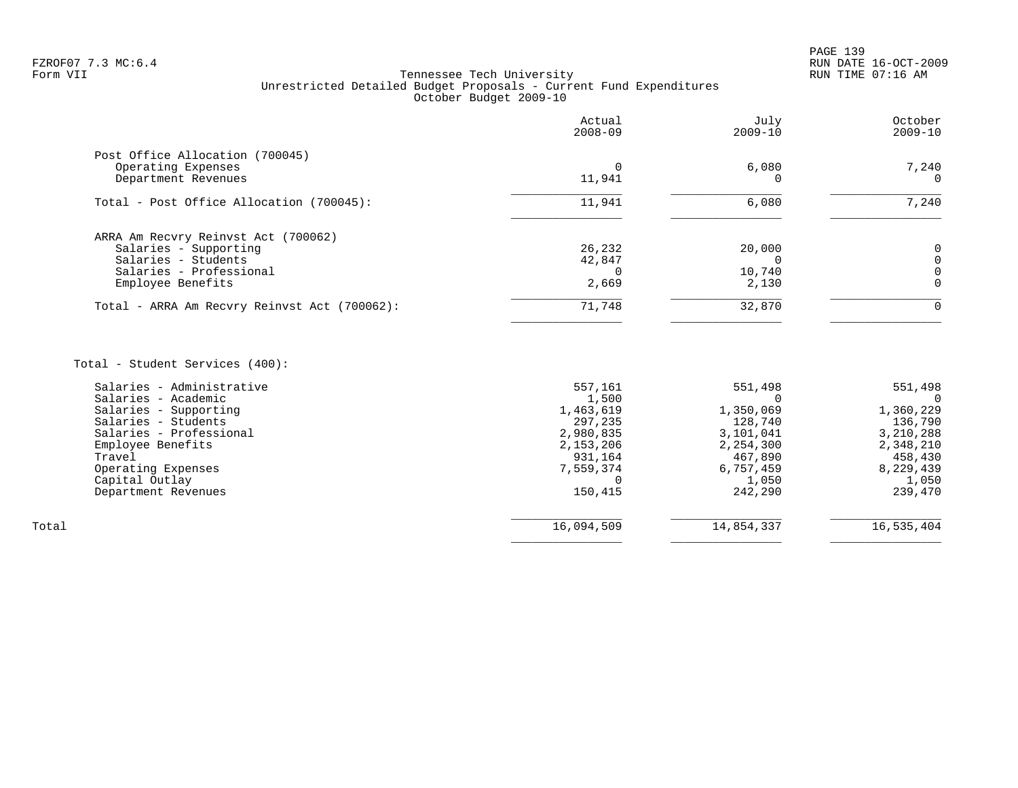# FZROF07 7.3 MC:6.4 RUN DATE 16-OCT-2009<br>Form VII RUN TIME 07:16 AM Tennessee Tech University Unrestricted Detailed Budget Proposals - Current Fund Expenditures October Budget 2009-10

|                                                                              | Actual<br>$2008 - 09$ | July<br>$2009 - 10$ | October<br>$2009 - 10$ |
|------------------------------------------------------------------------------|-----------------------|---------------------|------------------------|
| Post Office Allocation (700045)<br>Operating Expenses<br>Department Revenues | 11,941                | 6,080               | 7,240<br>$\Omega$      |
| Total - Post Office Allocation (700045):                                     | 11,941                | 6,080               | 7,240                  |
| ARRA Am Recvry Reinvst Act (700062)                                          |                       |                     |                        |
| Salaries - Supporting<br>Salaries - Students                                 | 26,232<br>42,847      | 20,000              |                        |
| Salaries - Professional                                                      |                       | 10,740              |                        |
| Employee Benefits                                                            | 2,669                 | 2,130               |                        |
| Total - ARRA Am Recvry Reinvst Act (700062):                                 | 71,748                | 32,870              |                        |
|                                                                              |                       |                     |                        |

Total - Student Services (400):

| Salaries - Administrative | 557,161    | 551,498    | 551,498    |
|---------------------------|------------|------------|------------|
| Salaries - Academic       | 1,500      |            |            |
| Salaries - Supporting     | 1,463,619  | 1,350,069  | 1,360,229  |
| Salaries - Students       | 297,235    | 128,740    | 136,790    |
| Salaries - Professional   | 2,980,835  | 3,101,041  | 3,210,288  |
| Employee Benefits         | 2,153,206  | 2,254,300  | 2,348,210  |
| Travel                    | 931,164    | 467,890    | 458,430    |
| Operating Expenses        | 7,559,374  | 6,757,459  | 8,229,439  |
| Capital Outlay            |            | 1,050      | 1,050      |
| Department Revenues       | 150,415    | 242,290    | 239,470    |
|                           |            |            |            |
| Total                     | 16,094,509 | 14,854,337 | 16,535,404 |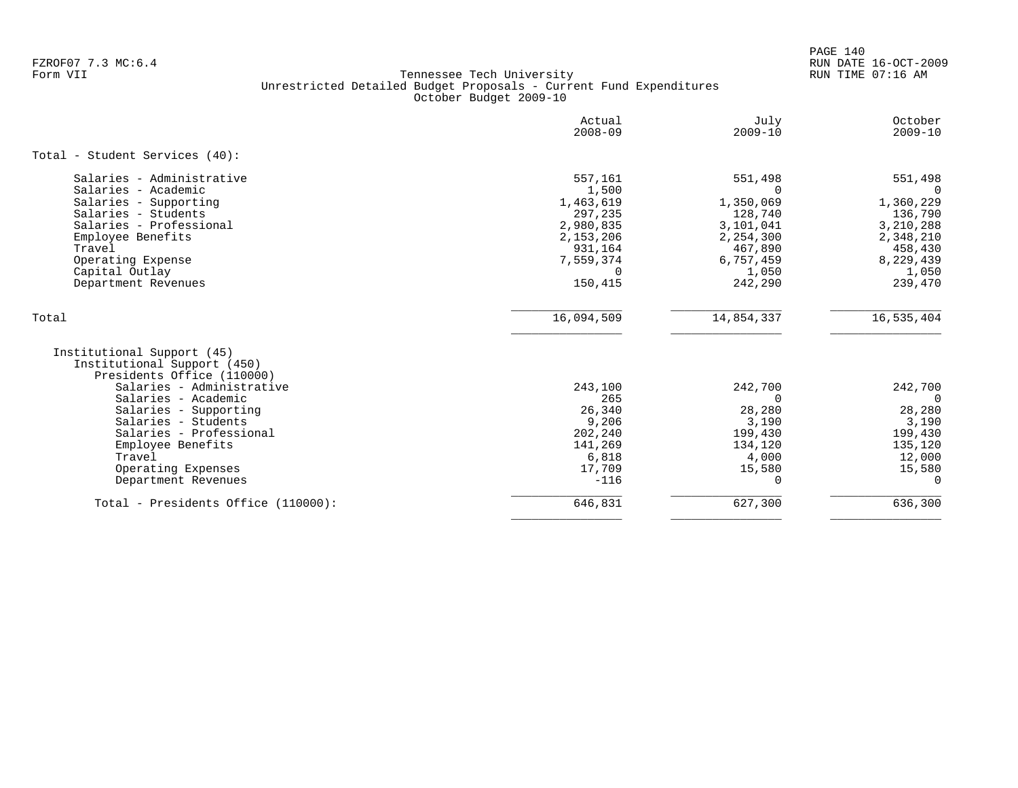PAGE 140 FZROF07 7.3 MC:6.4 RUN DATE 16-OCT-2009

|                                                                                         | Actual<br>$2008 - 09$ | July<br>$2009 - 10$ | October<br>$2009 - 10$ |
|-----------------------------------------------------------------------------------------|-----------------------|---------------------|------------------------|
| Total - Student Services (40):                                                          |                       |                     |                        |
| Salaries - Administrative<br>Salaries - Academic                                        | 557,161<br>1,500      | 551,498<br>$\Omega$ | 551,498<br>$\Omega$    |
| Salaries - Supporting                                                                   | 1,463,619             | 1,350,069           | 1,360,229              |
| Salaries - Students                                                                     | 297,235               | 128,740             | 136,790                |
| Salaries - Professional                                                                 | 2,980,835             | 3,101,041           | 3,210,288              |
| Employee Benefits                                                                       | 2,153,206             | 2,254,300           | 2,348,210              |
| Travel                                                                                  | 931,164               | 467,890             | 458,430                |
| Operating Expense                                                                       | 7,559,374             | 6,757,459           | 8,229,439              |
| Capital Outlay                                                                          |                       | 1,050               | 1,050                  |
| Department Revenues                                                                     | 150,415               | 242,290             | 239,470                |
| Total                                                                                   | 16,094,509            | 14,854,337          | 16,535,404             |
| Institutional Support (45)<br>Institutional Support (450)<br>Presidents Office (110000) |                       |                     |                        |
| Salaries - Administrative                                                               | 243,100               | 242,700             | 242,700                |
| Salaries - Academic                                                                     | 265                   | $\Omega$            | $\Omega$               |
| Salaries - Supporting                                                                   | 26,340                | 28,280              | 28,280                 |
| Salaries - Students                                                                     | 9,206                 | 3,190               | 3,190                  |
| Salaries - Professional                                                                 | 202,240               | 199,430             | 199,430                |
| Employee Benefits                                                                       | 141,269               | 134,120             | 135,120                |
| Travel                                                                                  | 6,818                 | 4,000               | 12,000                 |
| Operating Expenses                                                                      | 17,709                | 15,580              | 15,580                 |
| Department Revenues                                                                     | $-116$                | 0                   | $\Omega$               |
| Total - Presidents Office (110000):                                                     | 646,831               | 627,300             | 636,300                |
|                                                                                         |                       |                     |                        |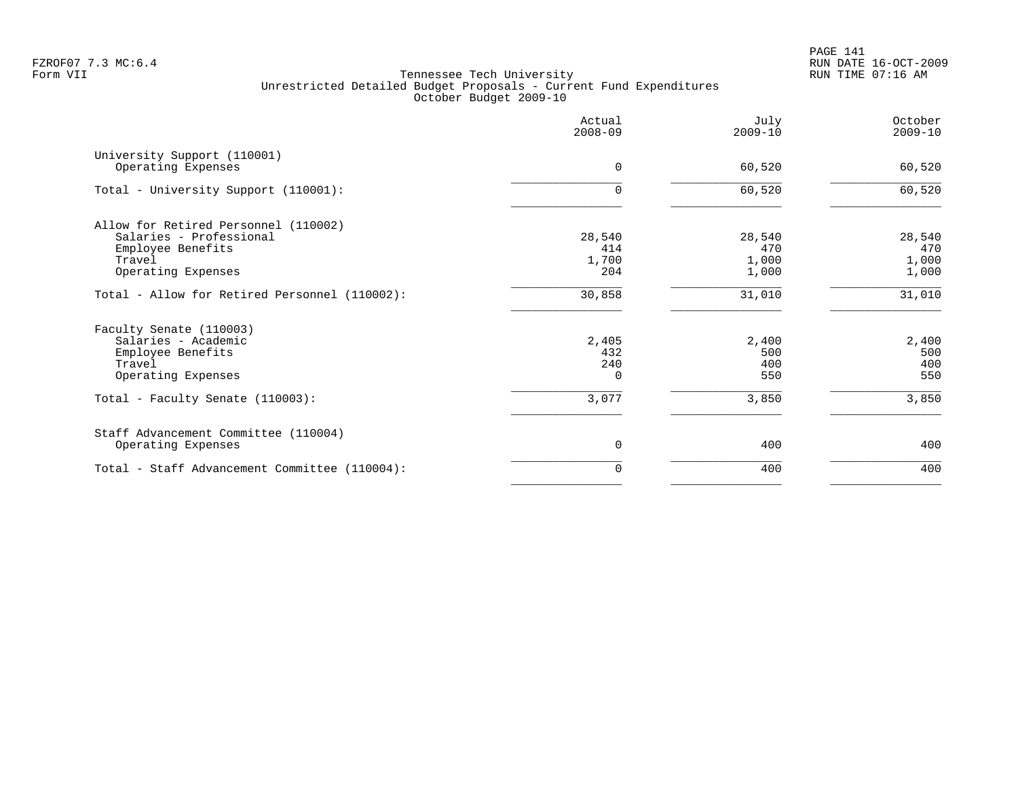|                                                                                                                      | Actual<br>$2008 - 09$           | July<br>$2009 - 10$             | October<br>$2009 - 10$          |
|----------------------------------------------------------------------------------------------------------------------|---------------------------------|---------------------------------|---------------------------------|
| University Support (110001)<br>Operating Expenses                                                                    | $\Omega$                        | 60,520                          | 60,520                          |
| Total - University Support (110001):                                                                                 | $\Omega$                        | 60,520                          | 60,520                          |
| Allow for Retired Personnel (110002)<br>Salaries - Professional<br>Employee Benefits<br>Travel<br>Operating Expenses | 28,540<br>414<br>1,700<br>204   | 28,540<br>470<br>1,000<br>1,000 | 28,540<br>470<br>1,000<br>1,000 |
| Total - Allow for Retired Personnel (110002):                                                                        | 30,858                          | 31,010                          | 31,010                          |
| Faculty Senate (110003)<br>Salaries - Academic<br>Employee Benefits<br>Travel<br>Operating Expenses                  | 2,405<br>432<br>240<br>$\Omega$ | 2,400<br>500<br>400<br>550      | 2,400<br>500<br>400<br>550      |
| Total - Faculty Senate (110003):                                                                                     | 3,077                           | 3,850                           | 3,850                           |
| Staff Advancement Committee (110004)<br>Operating Expenses                                                           | 0                               | 400                             | 400                             |
| Total - Staff Advancement Committee (110004):                                                                        | $\Omega$                        | 400                             | 400                             |
|                                                                                                                      |                                 |                                 |                                 |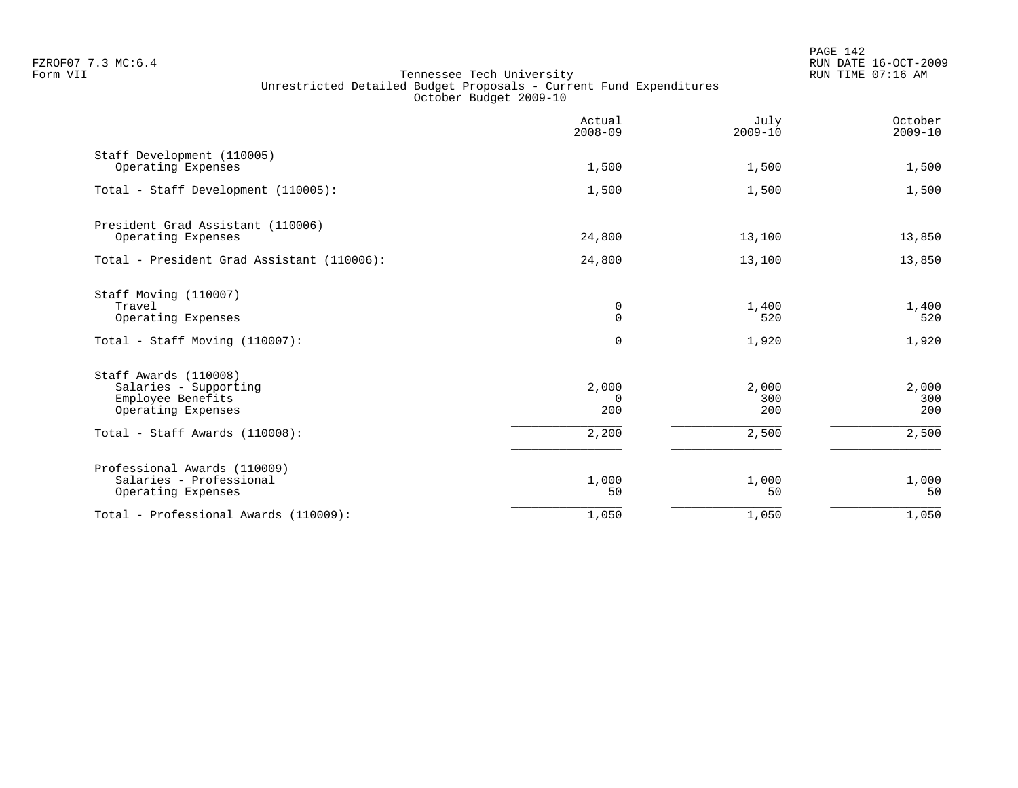|                                                                                                                             | Actual<br>$2008 - 09$             | July<br>$2009 - 10$          | October<br>$2009 - 10$       |
|-----------------------------------------------------------------------------------------------------------------------------|-----------------------------------|------------------------------|------------------------------|
| Staff Development (110005)<br>Operating Expenses                                                                            | 1,500                             | 1,500                        | 1,500                        |
| Total - Staff Development (110005):                                                                                         | 1,500                             | 1,500                        | 1,500                        |
| President Grad Assistant (110006)<br>Operating Expenses                                                                     | 24,800                            | 13,100                       | 13,850                       |
| Total - President Grad Assistant (110006):                                                                                  | 24,800                            | 13,100                       | 13,850                       |
| Staff Moving (110007)<br>Travel<br>Operating Expenses<br>Total - Staff Moving (110007):                                     | 0<br>$\mathbf 0$<br>$\Omega$      | 1,400<br>520<br>1,920        | 1,400<br>520<br>1,920        |
| Staff Awards (110008)<br>Salaries - Supporting<br>Employee Benefits<br>Operating Expenses<br>Total - Staff Awards (110008): | 2,000<br>$\Omega$<br>200<br>2,200 | 2,000<br>300<br>200<br>2,500 | 2,000<br>300<br>200<br>2,500 |
| Professional Awards (110009)<br>Salaries - Professional<br>Operating Expenses                                               | 1,000<br>50                       | 1,000<br>50                  | 1,000<br>50                  |
| Total - Professional Awards (110009):                                                                                       | 1,050                             | 1,050                        | 1,050                        |
|                                                                                                                             |                                   |                              |                              |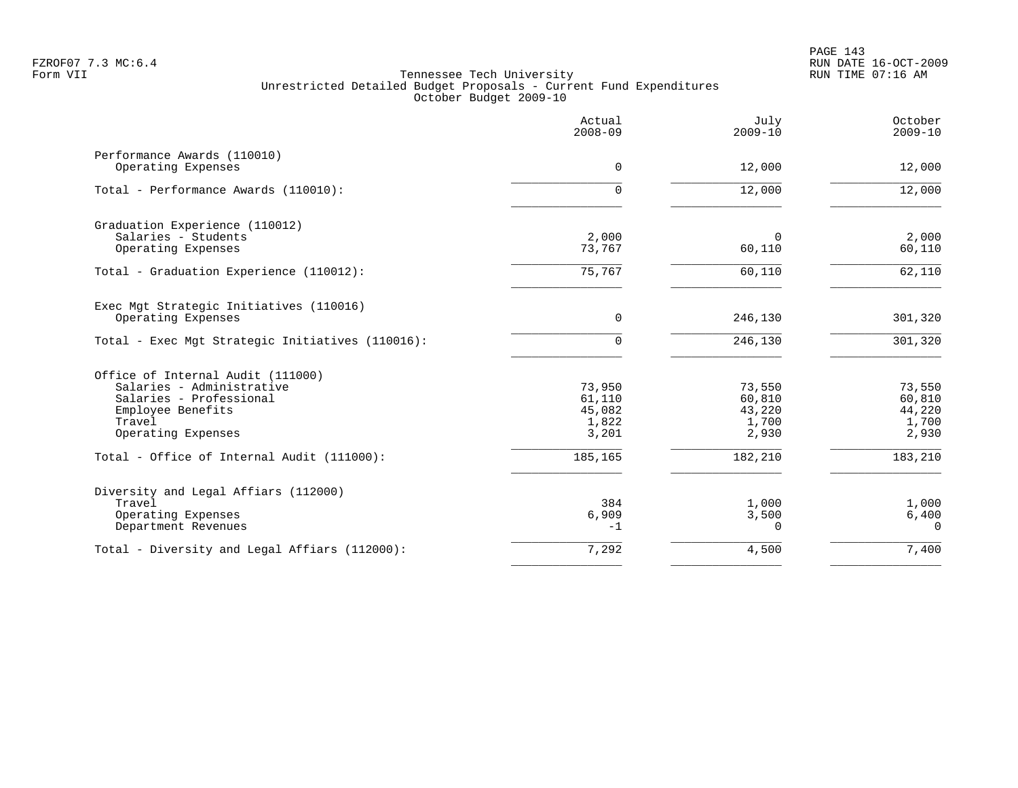|                                                                                                                                                | Actual<br>$2008 - 09$                        | July<br>$2009 - 10$                          | October<br>$2009 - 10$                       |
|------------------------------------------------------------------------------------------------------------------------------------------------|----------------------------------------------|----------------------------------------------|----------------------------------------------|
| Performance Awards (110010)<br>Operating Expenses                                                                                              | 0                                            | 12,000                                       | 12,000                                       |
| Total - Performance Awards (110010):                                                                                                           | $\Omega$                                     | 12,000                                       | 12,000                                       |
| Graduation Experience (110012)<br>Salaries - Students<br>Operating Expenses                                                                    | 2,000<br>73,767                              | $\Omega$<br>60,110                           | 2,000<br>60,110                              |
| Total - Graduation Experience (110012):                                                                                                        | 75,767                                       | 60,110                                       | 62,110                                       |
| Exec Mgt Strategic Initiatives (110016)<br>Operating Expenses                                                                                  | 0                                            | 246,130                                      | 301,320                                      |
| Total - Exec Mgt Strategic Initiatives (110016):                                                                                               | $\Omega$                                     | 246,130                                      | 301,320                                      |
| Office of Internal Audit (111000)<br>Salaries - Administrative<br>Salaries - Professional<br>Employee Benefits<br>Travel<br>Operating Expenses | 73,950<br>61,110<br>45,082<br>1,822<br>3,201 | 73,550<br>60,810<br>43,220<br>1,700<br>2,930 | 73,550<br>60,810<br>44,220<br>1,700<br>2,930 |
| Total - Office of Internal Audit (111000):                                                                                                     | 185,165                                      | 182,210                                      | 183,210                                      |
| Diversity and Legal Affiars (112000)<br>Travel<br>Operating Expenses<br>Department Revenues                                                    | 384<br>6,909<br>$-1$                         | 1,000<br>3,500<br>$\Omega$                   | 1,000<br>6,400<br>$\Omega$                   |
| Total - Diversity and Legal Affiars (112000):                                                                                                  | 7,292                                        | 4,500                                        | 7,400                                        |
|                                                                                                                                                |                                              |                                              |                                              |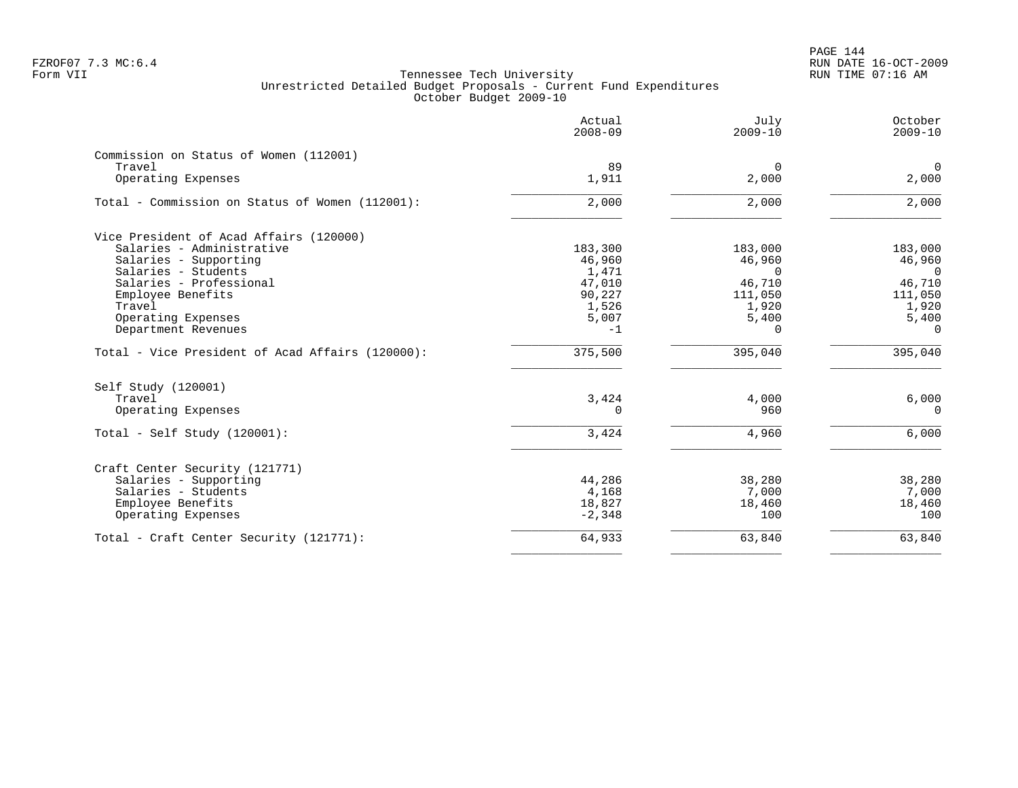|                                                  | Actual<br>$2008 - 09$ | July<br>$2009 - 10$ | October<br>$2009 - 10$ |
|--------------------------------------------------|-----------------------|---------------------|------------------------|
| Commission on Status of Women (112001)           |                       |                     |                        |
| Travel                                           | 89                    | $\Omega$            | $\overline{0}$         |
| Operating Expenses                               | 1,911                 | 2,000               | 2,000                  |
| Total - Commission on Status of Women (112001):  | 2,000                 | 2,000               | 2,000                  |
| Vice President of Acad Affairs (120000)          |                       |                     |                        |
| Salaries - Administrative                        | 183,300               | 183,000             | 183,000                |
| Salaries - Supporting                            | 46,960                | 46,960              | 46,960                 |
| Salaries - Students                              | 1,471                 | $\Omega$            | $\Omega$               |
| Salaries - Professional                          | 47,010                | 46,710              | 46,710                 |
| Employee Benefits                                | 90,227                | 111,050             | 111,050                |
| Travel                                           | 1,526                 | 1,920               | 1,920                  |
| Operating Expenses                               | 5,007                 | 5,400               | 5,400                  |
| Department Revenues                              | $-1$                  | $\Omega$            | $\Omega$               |
| Total - Vice President of Acad Affairs (120000): | 375,500               | 395,040             | 395,040                |
| Self Study (120001)                              |                       |                     |                        |
| Travel                                           | 3,424                 | 4,000               | 6,000                  |
| Operating Expenses                               | $\Omega$              | 960                 | $\Omega$               |
| Total - Self Study $(120001)$ :                  | 3,424                 | 4,960               | 6,000                  |
|                                                  |                       |                     |                        |
| Craft Center Security (121771)                   |                       |                     |                        |
| Salaries - Supporting                            | 44,286                | 38,280              | 38,280                 |
| Salaries - Students                              | 4,168                 | 7,000               | 7,000                  |
| Employee Benefits<br>Operating Expenses          | 18,827<br>$-2,348$    | 18,460<br>100       | 18,460<br>100          |
| Total - Craft Center Security (121771):          | 64,933                | 63,840              | 63,840                 |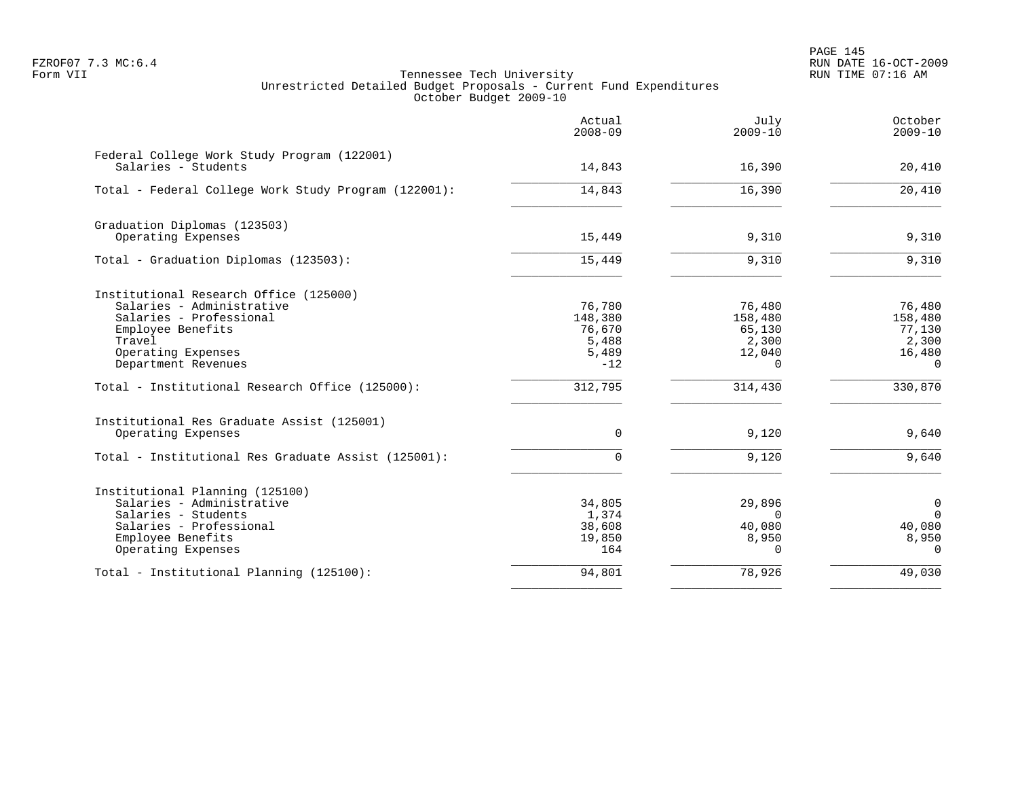PAGE 145 FZROF07 7.3 MC:6.4 RUN DATE 16-OCT-2009

|                                                                    | Actual<br>$2008 - 09$ | July<br>$2009 - 10$ | October<br>$2009 - 10$ |
|--------------------------------------------------------------------|-----------------------|---------------------|------------------------|
| Federal College Work Study Program (122001)<br>Salaries - Students | 14,843                | 16,390              | 20,410                 |
| Total - Federal College Work Study Program (122001):               | 14,843                | 16,390              | 20,410                 |
| Graduation Diplomas (123503)                                       |                       |                     |                        |
| Operating Expenses                                                 | 15,449                | 9,310               | 9,310                  |
| Total - Graduation Diplomas (123503):                              | 15,449                | 9,310               | 9,310                  |
| Institutional Research Office (125000)                             |                       |                     |                        |
| Salaries - Administrative                                          | 76,780                | 76,480              | 76,480                 |
| Salaries - Professional<br>Employee Benefits                       | 148,380<br>76,670     | 158,480<br>65,130   | 158,480<br>77,130      |
| Travel                                                             | 5,488                 | 2,300               | 2,300                  |
| Operating Expenses                                                 | 5,489                 | 12,040              | 16,480                 |
| Department Revenues                                                | $-12$                 | $\Omega$            | $\mathbf 0$            |
| Total - Institutional Research Office (125000):                    | 312,795               | 314,430             | 330,870                |
| Institutional Res Graduate Assist (125001)                         |                       |                     |                        |
| Operating Expenses                                                 | $\mathbf 0$           | 9,120               | 9,640                  |
| Total - Institutional Res Graduate Assist (125001):                | 0                     | 9,120               | 9,640                  |
| Institutional Planning (125100)                                    |                       |                     |                        |
| Salaries - Administrative                                          | 34,805                | 29,896              | 0                      |
| Salaries - Students                                                | 1,374                 | $\Omega$            | $\Omega$               |
| Salaries - Professional<br>Employee Benefits                       | 38,608<br>19,850      | 40,080<br>8,950     | 40,080<br>8,950        |
| Operating Expenses                                                 | 164                   | $\Omega$            | $\Omega$               |
| Total - Institutional Planning (125100):                           | 94,801                | 78,926              | 49,030                 |
|                                                                    |                       |                     |                        |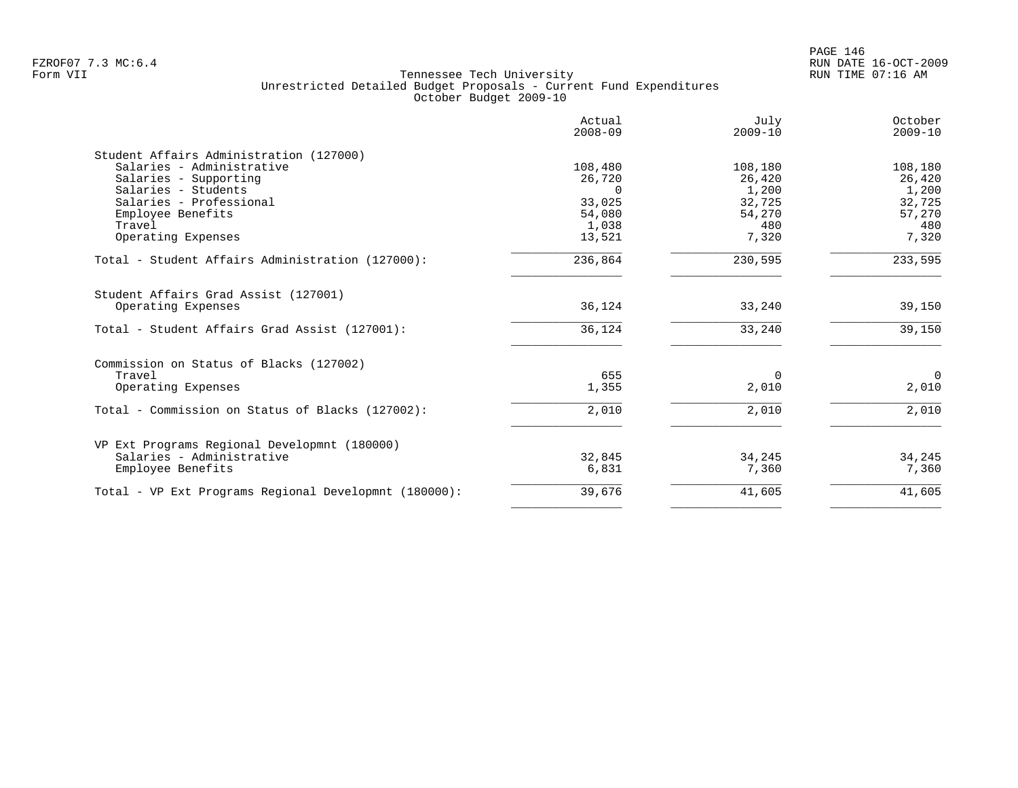|                                                       | Actual<br>$2008 - 09$ | July<br>$2009 - 10$ | October<br>$2009 - 10$ |
|-------------------------------------------------------|-----------------------|---------------------|------------------------|
| Student Affairs Administration (127000)               |                       |                     |                        |
| Salaries - Administrative                             | 108,480               | 108,180             | 108,180                |
| Salaries - Supporting                                 | 26,720                | 26,420              | 26,420                 |
| Salaries - Students                                   | $\cap$                | 1,200               | 1,200                  |
| Salaries - Professional                               | 33,025                | 32,725              | 32,725                 |
| Employee Benefits                                     | 54,080                | 54,270              | 57,270                 |
| Travel                                                | 1,038                 | 480                 | 480                    |
| Operating Expenses                                    | 13,521                | 7,320               | 7,320                  |
| Total - Student Affairs Administration (127000):      | 236,864               | 230,595             | 233,595                |
| Student Affairs Grad Assist (127001)                  |                       |                     |                        |
| Operating Expenses                                    | 36,124                | 33,240              | 39,150                 |
| Total - Student Affairs Grad Assist (127001):         | 36,124                | 33,240              | 39,150                 |
| Commission on Status of Blacks (127002)               |                       |                     |                        |
| Travel                                                | 655                   | $\Omega$            | $\Omega$               |
| Operating Expenses                                    | 1,355                 | 2,010               | 2,010                  |
| Total - Commission on Status of Blacks (127002):      | 2,010                 | 2,010               | 2,010                  |
|                                                       |                       |                     |                        |
| VP Ext Programs Regional Developmnt (180000)          |                       |                     |                        |
| Salaries - Administrative                             | 32,845                | 34,245              | 34,245                 |
| Employee Benefits                                     | 6,831                 | 7,360               | 7,360                  |
| Total - VP Ext Programs Regional Developmnt (180000): | 39,676                | 41,605              | 41,605                 |
|                                                       |                       |                     |                        |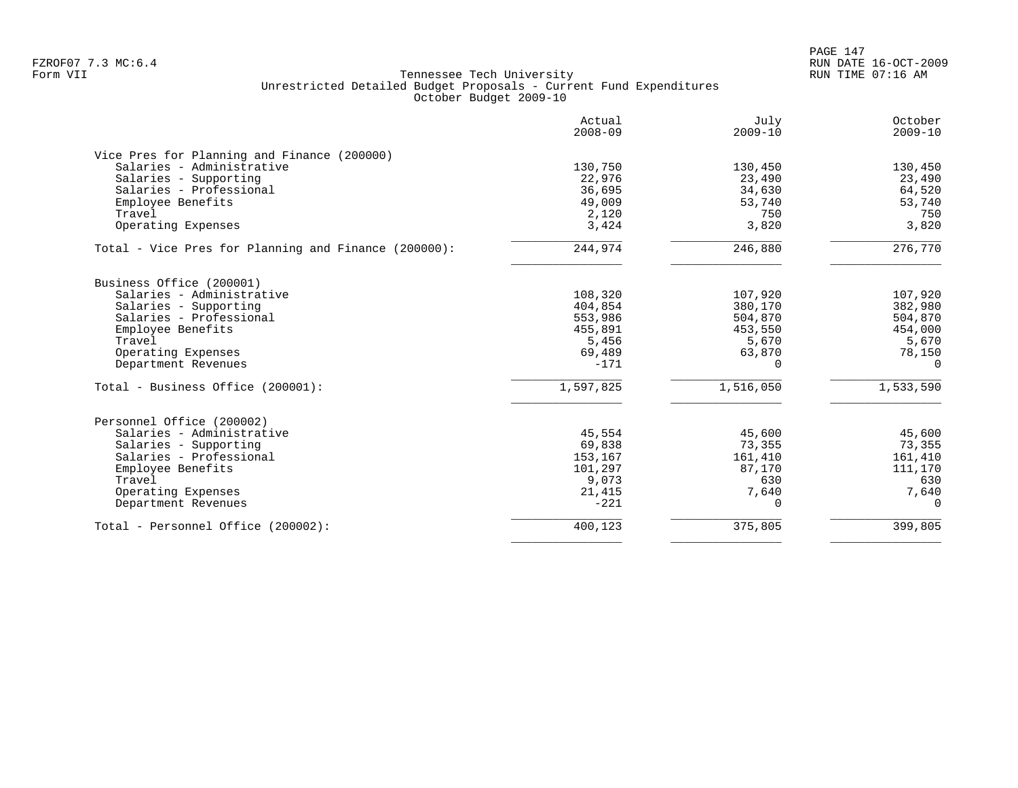PAGE 147 FZROF07 7.3 MC:6.4 RUN DATE 16-OCT-2009

|                                                      | Actual<br>$2008 - 09$ | July<br>$2009 - 10$ | October<br>$2009 - 10$ |
|------------------------------------------------------|-----------------------|---------------------|------------------------|
| Vice Pres for Planning and Finance (200000)          |                       |                     |                        |
| Salaries - Administrative                            | 130,750               | 130,450             | 130,450                |
| Salaries - Supporting                                | 22,976                | 23,490              | 23,490                 |
| Salaries - Professional                              | 36,695                | 34,630              | 64,520                 |
| Employee Benefits                                    | 49,009                | 53,740              | 53,740                 |
| Travel                                               | 2,120                 | 750                 | 750                    |
| Operating Expenses                                   | 3,424                 | 3,820               | 3,820                  |
| Total - Vice Pres for Planning and Finance (200000): | 244,974               | 246,880             | 276,770                |
| Business Office (200001)                             |                       |                     |                        |
| Salaries - Administrative                            | 108,320               | 107,920             | 107,920                |
| Salaries - Supporting                                | 404,854               | 380,170             | 382,980                |
| Salaries - Professional                              | 553,986               | 504,870             | 504,870                |
| Employee Benefits                                    | 455,891               | 453,550             | 454,000                |
| Travel                                               | 5,456                 | 5,670               | 5,670                  |
| Operating Expenses                                   | 69,489                | 63,870              | 78,150                 |
| Department Revenues                                  | $-171$                | $\Omega$            | $\Omega$               |
| Total - Business Office (200001):                    | 1,597,825             | 1,516,050           | 1,533,590              |
| Personnel Office (200002)                            |                       |                     |                        |
| Salaries - Administrative                            | 45,554                | 45,600              | 45,600                 |
| Salaries - Supporting                                | 69,838                | 73,355              | 73,355                 |
| Salaries - Professional                              | 153,167               | 161,410             | 161,410                |
| Employee Benefits                                    | 101,297               | 87,170              | 111,170                |
| Travel                                               | 9,073                 | 630                 | 630                    |
| Operating Expenses                                   | 21,415                | 7,640               | 7,640                  |
| Department Revenues                                  | $-221$                | $\Omega$            | $\Omega$               |
| Total - Personnel Office (200002):                   | 400,123               | 375,805             | 399,805                |
|                                                      |                       |                     |                        |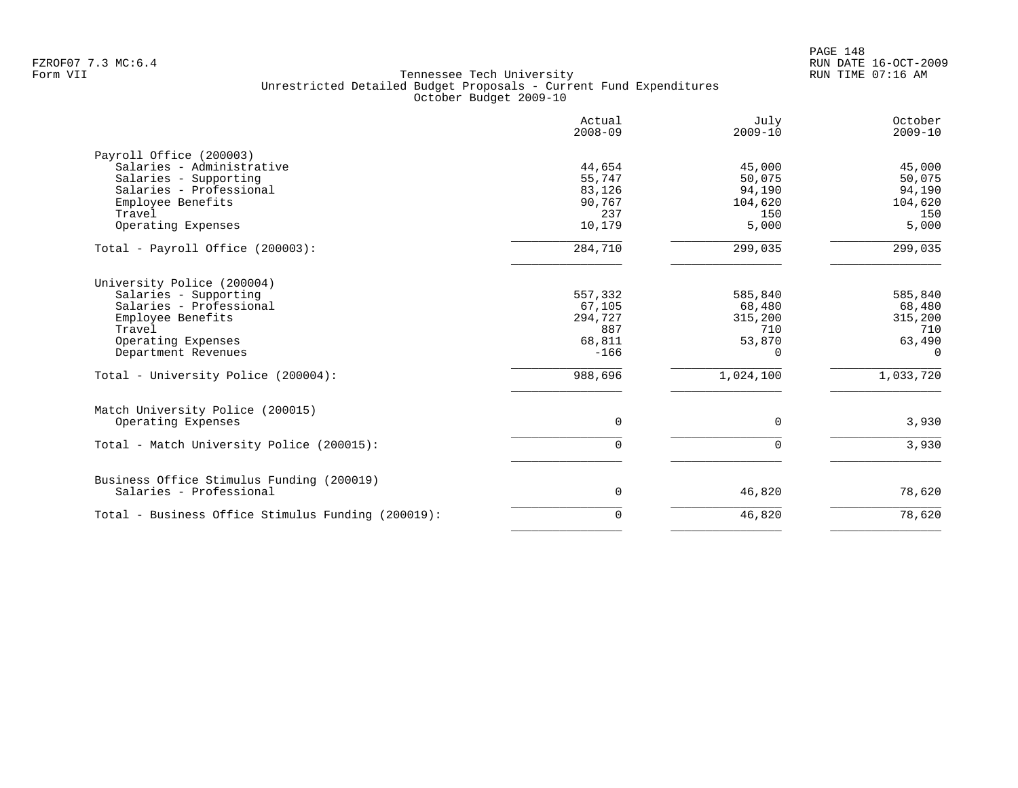PAGE 148 FZROF07 7.3 MC:6.4 RUN DATE 16-OCT-2009

|                                                    | Actual<br>$2008 - 09$ | July<br>$2009 - 10$ | October<br>$2009 - 10$ |
|----------------------------------------------------|-----------------------|---------------------|------------------------|
| Payroll Office (200003)                            |                       |                     |                        |
| Salaries - Administrative                          | 44,654                | 45,000              | 45,000                 |
| Salaries - Supporting<br>Salaries - Professional   | 55,747                | 50,075<br>94,190    | 50,075                 |
| Employee Benefits                                  | 83,126<br>90,767      | 104,620             | 94,190<br>104,620      |
| Travel                                             | 237                   | 150                 | 150                    |
| Operating Expenses                                 | 10,179                | 5,000               | 5,000                  |
|                                                    |                       |                     |                        |
| Total - Payroll Office (200003):                   | 284,710               | 299,035             | 299,035                |
| University Police (200004)                         |                       |                     |                        |
| Salaries - Supporting                              | 557,332               | 585,840             | 585,840                |
| Salaries - Professional                            | 67,105                | 68,480              | 68,480                 |
| Employee Benefits                                  | 294,727               | 315,200             | 315,200                |
| Travel                                             | 887                   | 710                 | 710                    |
| Operating Expenses                                 | 68,811                | 53,870              | 63,490                 |
| Department Revenues                                | $-166$                | $\Omega$            | $\Omega$               |
| Total - University Police (200004):                | 988,696               | 1,024,100           | 1,033,720              |
| Match University Police (200015)                   |                       |                     |                        |
| Operating Expenses                                 | $\Omega$              | $\Omega$            | 3,930                  |
| Total - Match University Police (200015):          | 0                     | $\Omega$            | 3,930                  |
| Business Office Stimulus Funding (200019)          |                       |                     |                        |
| Salaries - Professional                            | 0                     | 46,820              | 78,620                 |
| Total - Business Office Stimulus Funding (200019): | 0                     | 46,820              | 78,620                 |
|                                                    |                       |                     |                        |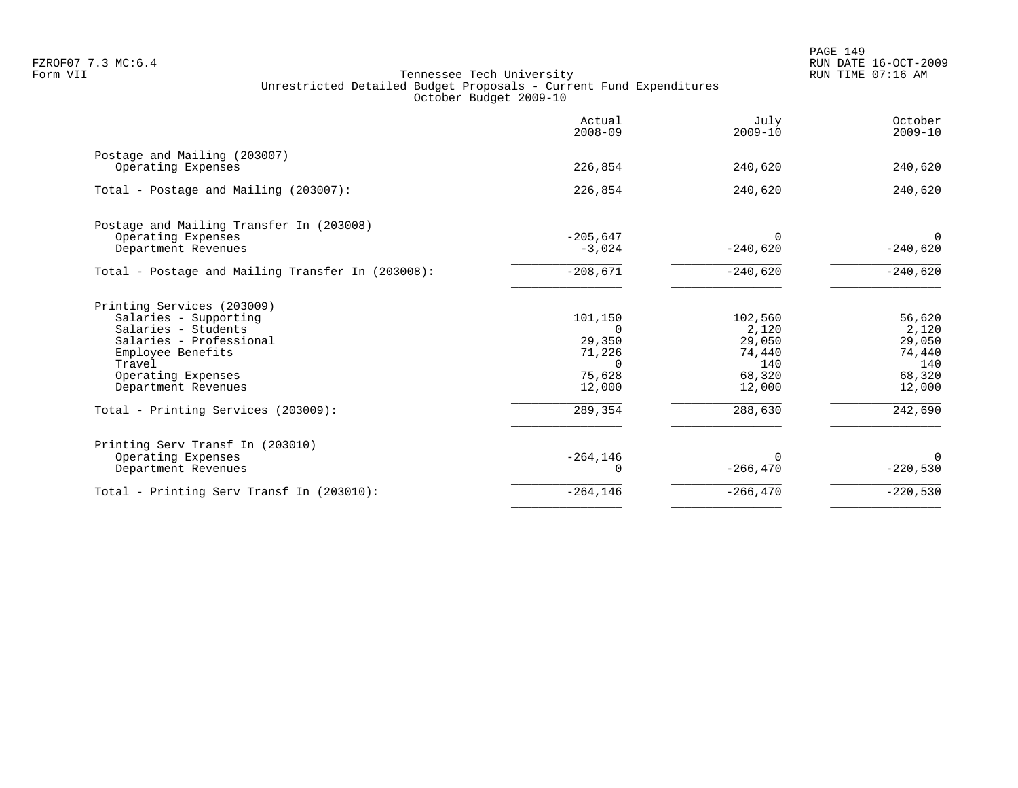|                                                    | Actual<br>$2008 - 09$ | July<br>$2009 - 10$ | October<br>$2009 - 10$ |
|----------------------------------------------------|-----------------------|---------------------|------------------------|
| Postage and Mailing (203007)<br>Operating Expenses | 226,854               | 240,620             | 240,620                |
|                                                    |                       |                     |                        |
| Total - Postage and Mailing (203007):              | 226,854               | 240,620             | 240,620                |
| Postage and Mailing Transfer In (203008)           |                       |                     |                        |
| Operating Expenses                                 | $-205,647$            | 0                   | $\Omega$               |
| Department Revenues                                | $-3,024$              | $-240,620$          | $-240,620$             |
| Total - Postage and Mailing Transfer In (203008):  | $-208,671$            | $-240,620$          | $-240,620$             |
| Printing Services (203009)                         |                       |                     |                        |
| Salaries - Supporting                              | 101,150               | 102,560             | 56,620                 |
| Salaries - Students                                | $\cap$                | 2,120               | 2,120                  |
| Salaries - Professional                            | 29,350                | 29,050              | 29,050                 |
| Employee Benefits                                  | 71,226                | 74,440              | 74,440                 |
| Travel                                             | $\Omega$              | 140                 | 140                    |
| Operating Expenses                                 | 75,628                | 68,320              | 68,320                 |
| Department Revenues                                | 12,000                | 12,000              | 12,000                 |
| Total - Printing Services (203009):                | 289,354               | 288,630             | 242,690                |
| Printing Serv Transf In (203010)                   |                       |                     |                        |
| Operating Expenses                                 | $-264, 146$           |                     | $\Omega$               |
| Department Revenues                                |                       | $-266, 470$         | $-220,530$             |
| Total - Printing Serv Transf In (203010):          | $-264, 146$           | $-266, 470$         | $-220,530$             |
|                                                    |                       |                     |                        |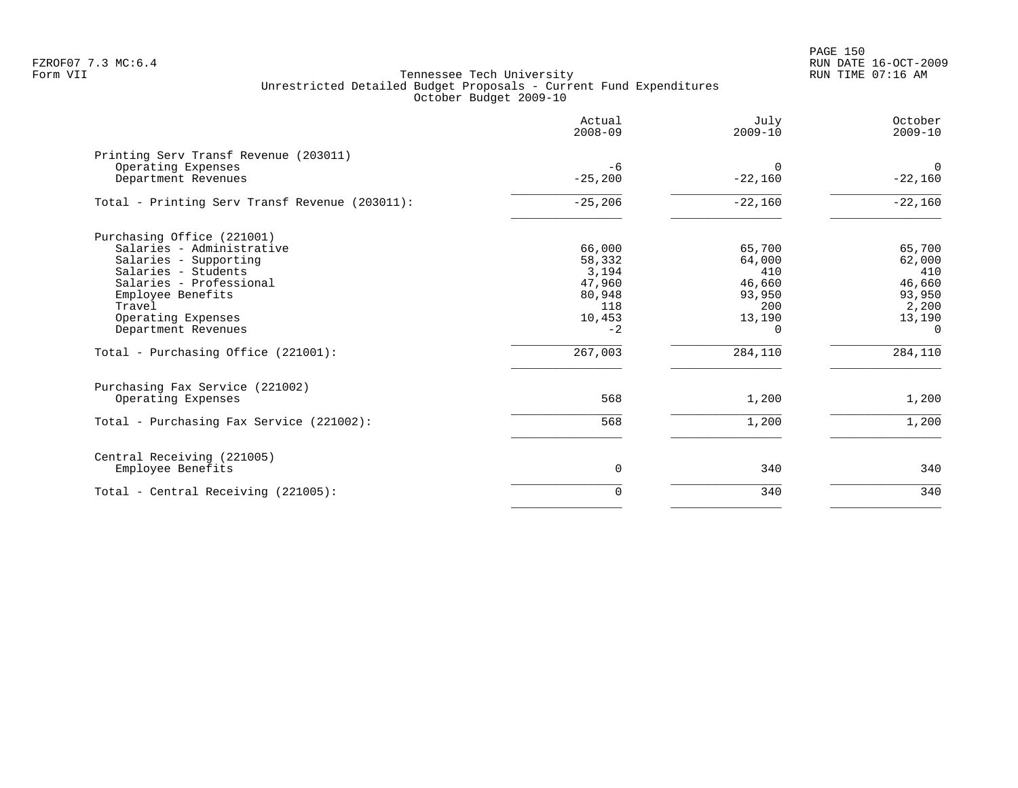PAGE 150 FZROF07 7.3 MC:6.4 RUN DATE 16-OCT-2009

|                                                                                                                                                                                                                                                       | Actual<br>$2008 - 09$                                                             | July<br>$2009 - 10$                                                                 | October<br>$2009 - 10$                                                                |
|-------------------------------------------------------------------------------------------------------------------------------------------------------------------------------------------------------------------------------------------------------|-----------------------------------------------------------------------------------|-------------------------------------------------------------------------------------|---------------------------------------------------------------------------------------|
| Printing Serv Transf Revenue (203011)<br>Operating Expenses<br>Department Revenues                                                                                                                                                                    | $-6$<br>$-25,200$                                                                 | $\Omega$<br>$-22,160$                                                               | $\Omega$<br>$-22,160$                                                                 |
| Total - Printing Serv Transf Revenue (203011):                                                                                                                                                                                                        | $-25, 206$                                                                        | $-22,160$                                                                           | $-22,160$                                                                             |
| Purchasing Office (221001)<br>Salaries - Administrative<br>Salaries - Supporting<br>Salaries - Students<br>Salaries - Professional<br>Employee Benefits<br>Travel<br>Operating Expenses<br>Department Revenues<br>Total - Purchasing Office (221001): | 66,000<br>58,332<br>3,194<br>47,960<br>80,948<br>118<br>10,453<br>$-2$<br>267,003 | 65,700<br>64,000<br>410<br>46,660<br>93,950<br>200<br>13,190<br>$\Omega$<br>284,110 | 65,700<br>62,000<br>410<br>46,660<br>93,950<br>2,200<br>13,190<br>$\Omega$<br>284,110 |
| Purchasing Fax Service (221002)<br>Operating Expenses<br>Total - Purchasing Fax Service (221002):                                                                                                                                                     | 568<br>568                                                                        | 1,200<br>1,200                                                                      | 1,200<br>1,200                                                                        |
| Central Receiving (221005)<br>Employee Benefits                                                                                                                                                                                                       | 0                                                                                 | 340                                                                                 | 340                                                                                   |
| Total - Central Receiving (221005):                                                                                                                                                                                                                   | 0                                                                                 | 340                                                                                 | 340                                                                                   |
|                                                                                                                                                                                                                                                       |                                                                                   |                                                                                     |                                                                                       |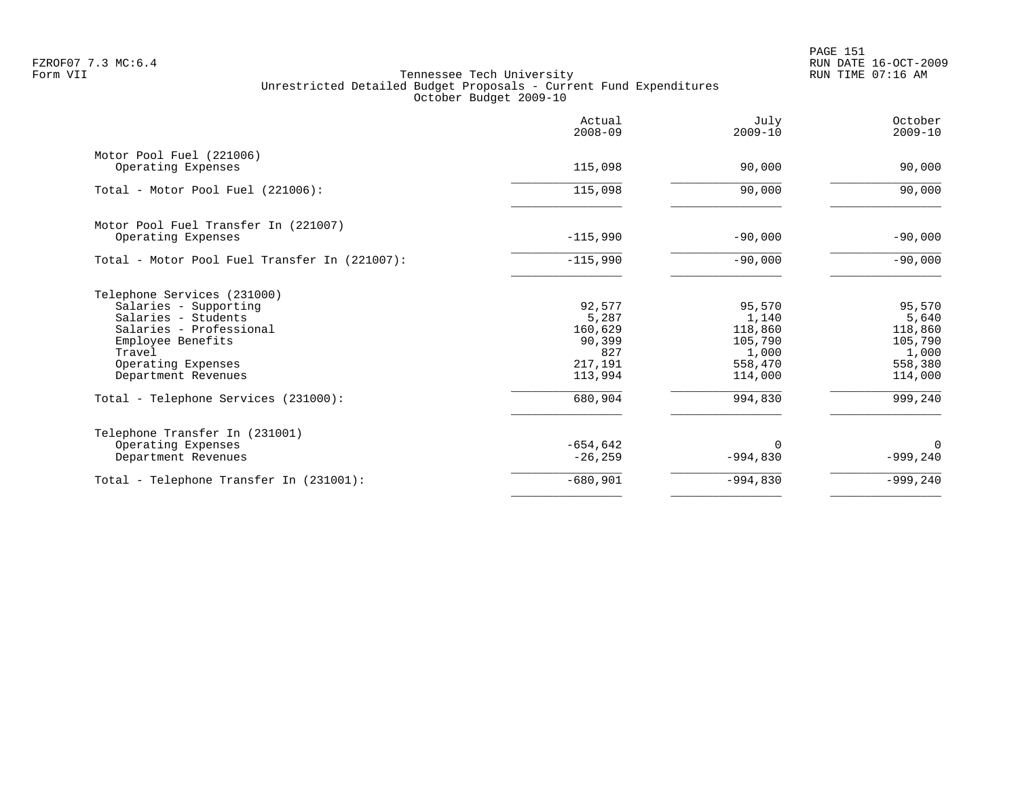PAGE 151 FZROF07 7.3 MC:6.4 RUN DATE 16-OCT-2009

|                                               | Actual<br>$2008 - 09$ | July<br>$2009 - 10$ | October<br>$2009 - 10$ |
|-----------------------------------------------|-----------------------|---------------------|------------------------|
| Motor Pool Fuel (221006)                      |                       |                     |                        |
| Operating Expenses                            | 115,098               | 90,000              | 90,000                 |
| Total - Motor Pool Fuel (221006):             | 115,098               | 90,000              | 90,000                 |
| Motor Pool Fuel Transfer In (221007)          |                       |                     |                        |
| Operating Expenses                            | $-115,990$            | $-90,000$           | $-90,000$              |
| Total - Motor Pool Fuel Transfer In (221007): | $-115,990$            | $-90,000$           | $-90,000$              |
| Telephone Services (231000)                   |                       |                     |                        |
| Salaries - Supporting                         | 92,577                | 95,570              | 95,570                 |
| Salaries - Students                           | 5,287                 | 1,140               | 5,640                  |
| Salaries - Professional                       | 160,629<br>90,399     | 118,860<br>105,790  | 118,860<br>105,790     |
| Employee Benefits<br>Travel                   | 827                   | 1,000               | 1,000                  |
| Operating Expenses                            | 217,191               | 558,470             | 558,380                |
| Department Revenues                           | 113,994               | 114,000             | 114,000                |
| Total - Telephone Services (231000):          | 680,904               | 994,830             | 999,240                |
| Telephone Transfer In (231001)                |                       |                     |                        |
| Operating Expenses                            | $-654,642$            | 0                   | 0                      |
| Department Revenues                           | $-26, 259$            | $-994,830$          | $-999,240$             |
| Total - Telephone Transfer In (231001):       | $-680,901$            | $-994,830$          | $-999,240$             |
|                                               |                       |                     |                        |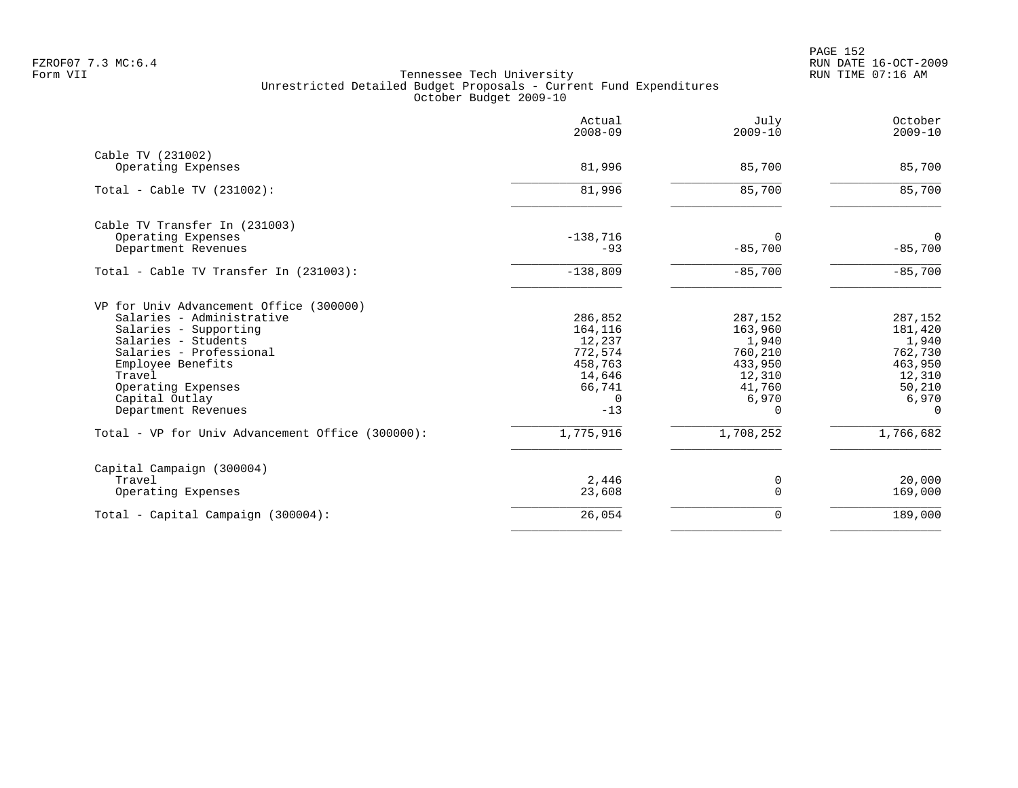|                                                                                                                                                                                                                                               | Actual<br>$2008 - 09$                                                                       | July<br>$2009 - 10$                                                                        | October<br>$2009 - 10$                                                                     |
|-----------------------------------------------------------------------------------------------------------------------------------------------------------------------------------------------------------------------------------------------|---------------------------------------------------------------------------------------------|--------------------------------------------------------------------------------------------|--------------------------------------------------------------------------------------------|
| Cable TV (231002)<br>Operating Expenses                                                                                                                                                                                                       | 81,996                                                                                      | 85,700                                                                                     | 85,700                                                                                     |
| Total - Cable TV $(231002)$ :                                                                                                                                                                                                                 | 81,996                                                                                      | 85,700                                                                                     | 85,700                                                                                     |
| Cable TV Transfer In (231003)<br>Operating Expenses<br>Department Revenues                                                                                                                                                                    | $-138,716$<br>$-93$                                                                         | $\Omega$<br>$-85,700$                                                                      | 0<br>$-85,700$                                                                             |
| Total - Cable TV Transfer In (231003):                                                                                                                                                                                                        | $-138,809$                                                                                  | $-85,700$                                                                                  | $-85,700$                                                                                  |
| VP for Univ Advancement Office (300000)<br>Salaries - Administrative<br>Salaries - Supporting<br>Salaries - Students<br>Salaries - Professional<br>Employee Benefits<br>Travel<br>Operating Expenses<br>Capital Outlay<br>Department Revenues | 286,852<br>164,116<br>12,237<br>772,574<br>458,763<br>14,646<br>66,741<br>$\Omega$<br>$-13$ | 287,152<br>163,960<br>1,940<br>760,210<br>433,950<br>12,310<br>41,760<br>6,970<br>$\Omega$ | 287,152<br>181,420<br>1,940<br>762,730<br>463,950<br>12,310<br>50,210<br>6,970<br>$\Omega$ |
| Total - VP for Univ Advancement Office (300000):                                                                                                                                                                                              | 1,775,916                                                                                   | 1,708,252                                                                                  | 1,766,682                                                                                  |
| Capital Campaign (300004)<br>Travel<br>Operating Expenses                                                                                                                                                                                     | 2,446<br>23,608                                                                             | 0<br>$\Omega$                                                                              | 20,000<br>169,000                                                                          |
| Total - Capital Campaign (300004):                                                                                                                                                                                                            | 26,054                                                                                      | 0                                                                                          | 189,000                                                                                    |
|                                                                                                                                                                                                                                               |                                                                                             |                                                                                            |                                                                                            |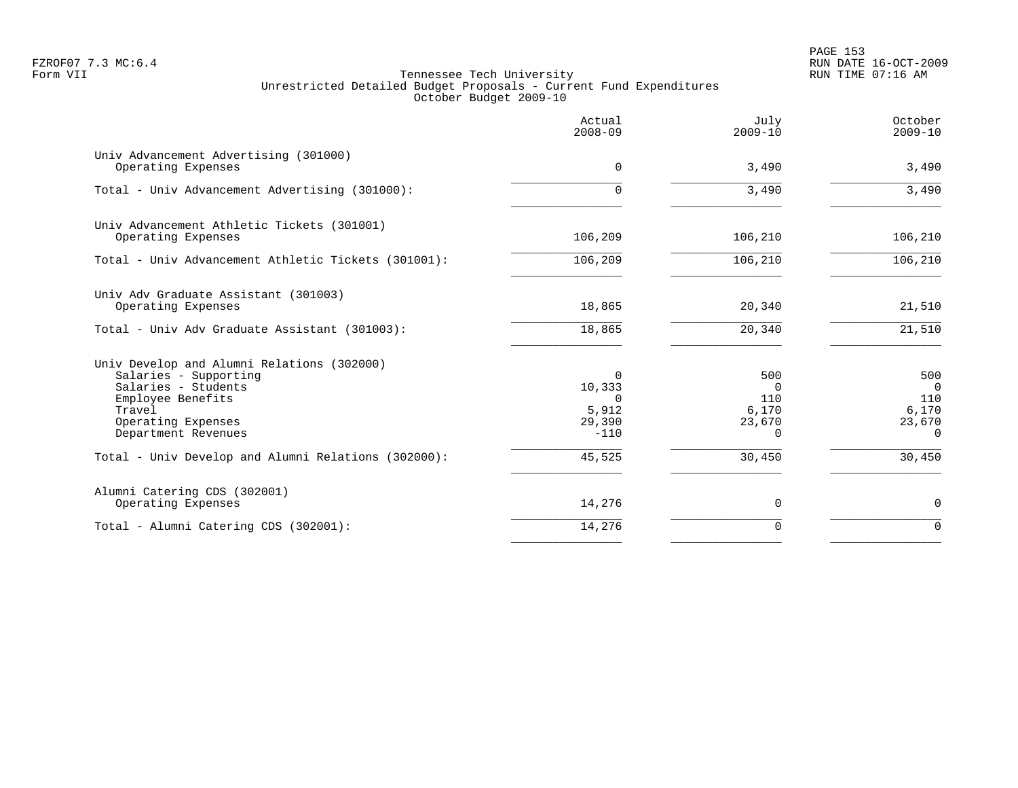|                                                                                                                                                                        | Actual<br>$2008 - 09$                                | July<br>$2009 - 10$                                   | October<br>$2009 - 10$                                      |
|------------------------------------------------------------------------------------------------------------------------------------------------------------------------|------------------------------------------------------|-------------------------------------------------------|-------------------------------------------------------------|
| Univ Advancement Advertising (301000)<br>Operating Expenses                                                                                                            | $\Omega$                                             | 3,490                                                 | 3,490                                                       |
| Total - Univ Advancement Advertising (301000):                                                                                                                         | $\Omega$                                             | 3,490                                                 | 3,490                                                       |
| Univ Advancement Athletic Tickets (301001)<br>Operating Expenses                                                                                                       | 106,209                                              | 106,210                                               | 106,210                                                     |
| Total - Univ Advancement Athletic Tickets (301001):                                                                                                                    | 106,209                                              | 106,210                                               | 106,210                                                     |
| Univ Adv Graduate Assistant (301003)<br>Operating Expenses                                                                                                             | 18,865                                               | 20,340                                                | 21,510                                                      |
| Total - Univ Adv Graduate Assistant (301003):                                                                                                                          | 18,865                                               | 20,340                                                | 21,510                                                      |
| Univ Develop and Alumni Relations (302000)<br>Salaries - Supporting<br>Salaries - Students<br>Employee Benefits<br>Travel<br>Operating Expenses<br>Department Revenues | 0<br>10,333<br>$\Omega$<br>5,912<br>29,390<br>$-110$ | 500<br>$\Omega$<br>110<br>6,170<br>23,670<br>$\Omega$ | 500<br>$\overline{0}$<br>110<br>6,170<br>23,670<br>$\Omega$ |
| Total - Univ Develop and Alumni Relations (302000):                                                                                                                    | 45,525                                               | 30,450                                                | 30,450                                                      |
| Alumni Catering CDS (302001)<br>Operating Expenses                                                                                                                     | 14,276                                               | 0                                                     | $\mathbf 0$                                                 |
| Total - Alumni Catering CDS (302001):                                                                                                                                  | 14,276                                               | 0                                                     | $\Omega$                                                    |
|                                                                                                                                                                        |                                                      |                                                       |                                                             |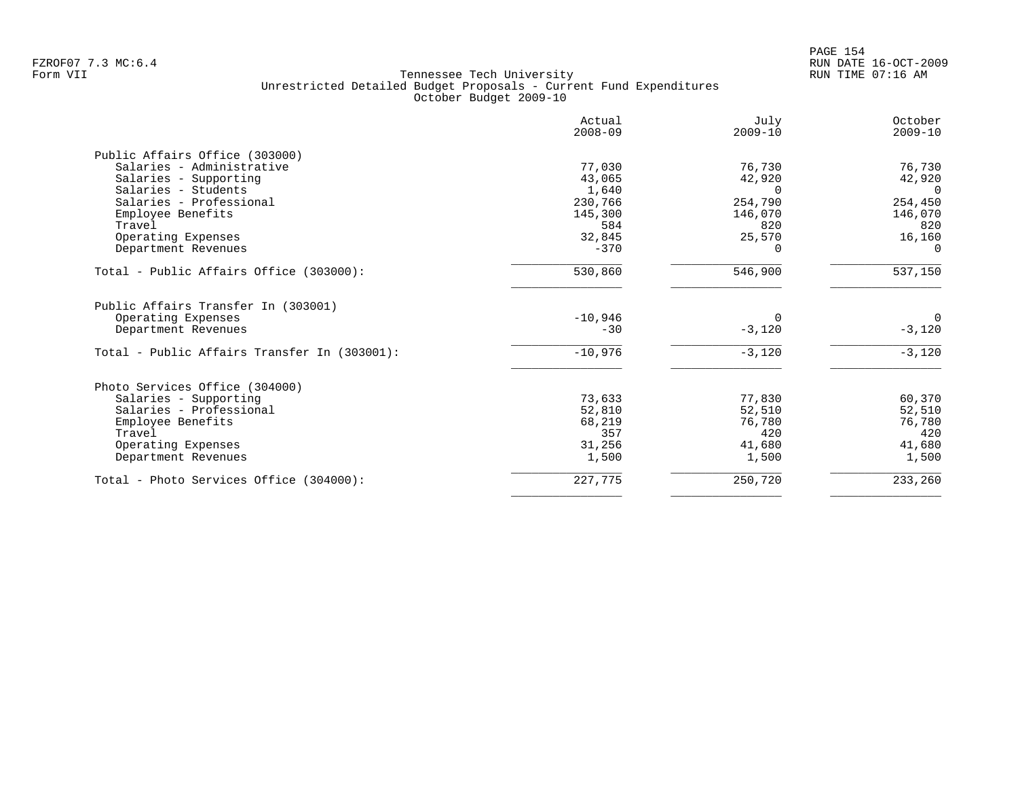|                                              | Actual<br>$2008 - 09$ | July<br>$2009 - 10$ | October<br>$2009 - 10$ |
|----------------------------------------------|-----------------------|---------------------|------------------------|
| Public Affairs Office (303000)               |                       |                     |                        |
| Salaries - Administrative                    | 77,030                | 76,730              | 76,730                 |
| Salaries - Supporting                        | 43,065                | 42,920              | 42,920                 |
| Salaries - Students                          | 1,640                 | <sup>n</sup>        | $\Omega$               |
| Salaries - Professional                      | 230,766               | 254,790             | 254,450                |
| Employee Benefits                            | 145,300               | 146,070             | 146,070                |
| Travel                                       | 584                   | 820                 | 820                    |
| Operating Expenses                           | 32,845                | 25,570              | 16,160                 |
| Department Revenues                          | $-370$                | 0                   | $\Omega$               |
| Total - Public Affairs Office (303000):      | 530,860               | 546,900             | 537,150                |
| Public Affairs Transfer In (303001)          |                       |                     |                        |
| Operating Expenses                           | $-10,946$             |                     | $\mathbf 0$            |
| Department Revenues                          | $-30$                 | $-3,120$            | $-3,120$               |
| Total - Public Affairs Transfer In (303001): | $-10,976$             | $-3,120$            | $-3,120$               |
| Photo Services Office (304000)               |                       |                     |                        |
| Salaries - Supporting                        | 73,633                | 77,830              | 60,370                 |
| Salaries - Professional                      | 52,810                | 52,510              | 52,510                 |
| Employee Benefits                            | 68,219                | 76,780              | 76,780                 |
| Travel                                       | 357                   | 420                 | 420                    |
| Operating Expenses                           | 31,256                | 41,680              | 41,680                 |
| Department Revenues                          | 1,500                 | 1,500               | 1,500                  |
| Total - Photo Services Office (304000):      | 227,775               | 250,720             | 233,260                |
|                                              |                       |                     |                        |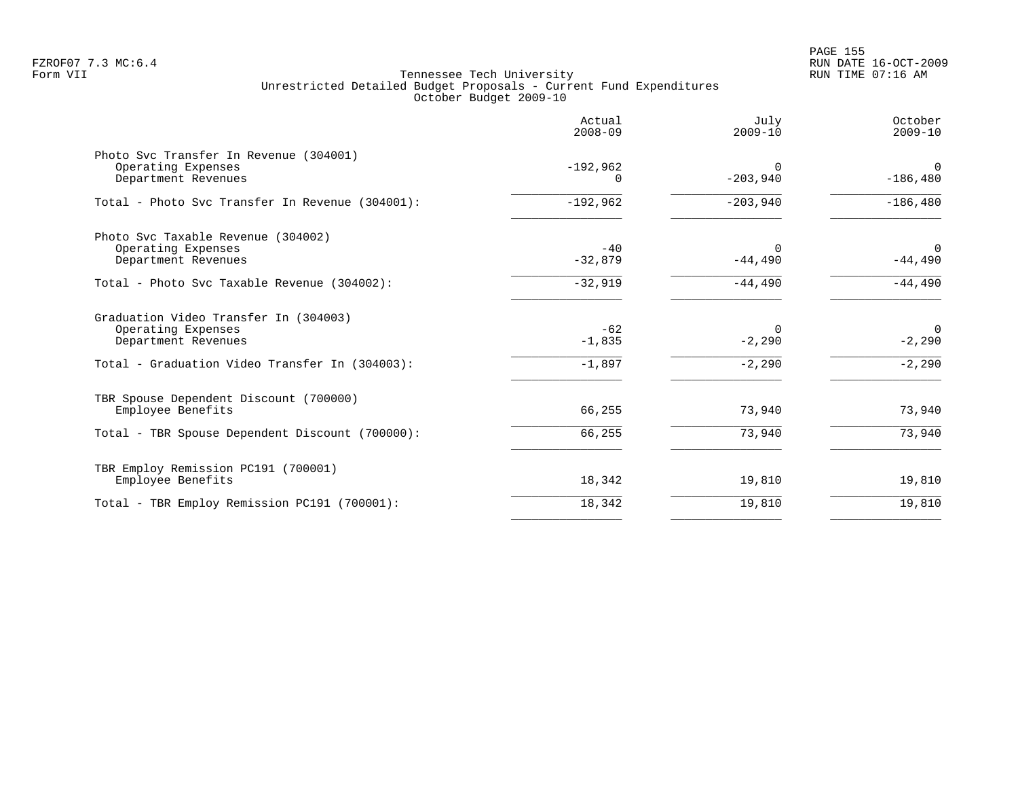|                                                                                                                                      | Actual<br>$2008 - 09$         | July<br>$2009 - 10$              | October<br>$2009 - 10$              |
|--------------------------------------------------------------------------------------------------------------------------------------|-------------------------------|----------------------------------|-------------------------------------|
| Photo Svc Transfer In Revenue (304001)<br>Operating Expenses<br>Department Revenues                                                  | $-192,962$<br>0               | $\Omega$<br>$-203,940$           | $\Omega$<br>$-186,480$              |
| Total - Photo Svc Transfer In Revenue (304001):                                                                                      | $-192,962$                    | $-203,940$                       | $-186, 480$                         |
| Photo Svc Taxable Revenue (304002)<br>Operating Expenses<br>Department Revenues                                                      | $-40$<br>$-32,879$            | $\Omega$<br>$-44,490$            | $\Omega$<br>$-44,490$               |
| Total - Photo Svc Taxable Revenue (304002):                                                                                          | $-32,919$                     | $-44,490$                        | $-44,490$                           |
| Graduation Video Transfer In (304003)<br>Operating Expenses<br>Department Revenues<br>Total - Graduation Video Transfer In (304003): | $-62$<br>$-1,835$<br>$-1,897$ | $\Omega$<br>$-2,290$<br>$-2,290$ | $\mathbf 0$<br>$-2,290$<br>$-2,290$ |
| TBR Spouse Dependent Discount (700000)<br>Employee Benefits<br>Total - TBR Spouse Dependent Discount (700000):                       | 66,255<br>66,255              | 73,940<br>73,940                 | 73,940<br>73,940                    |
| TBR Employ Remission PC191 (700001)<br>Employee Benefits                                                                             | 18,342                        | 19,810                           | 19,810                              |
| Total - TBR Employ Remission PC191 (700001):                                                                                         | 18,342                        | 19,810                           | 19,810                              |
|                                                                                                                                      |                               |                                  |                                     |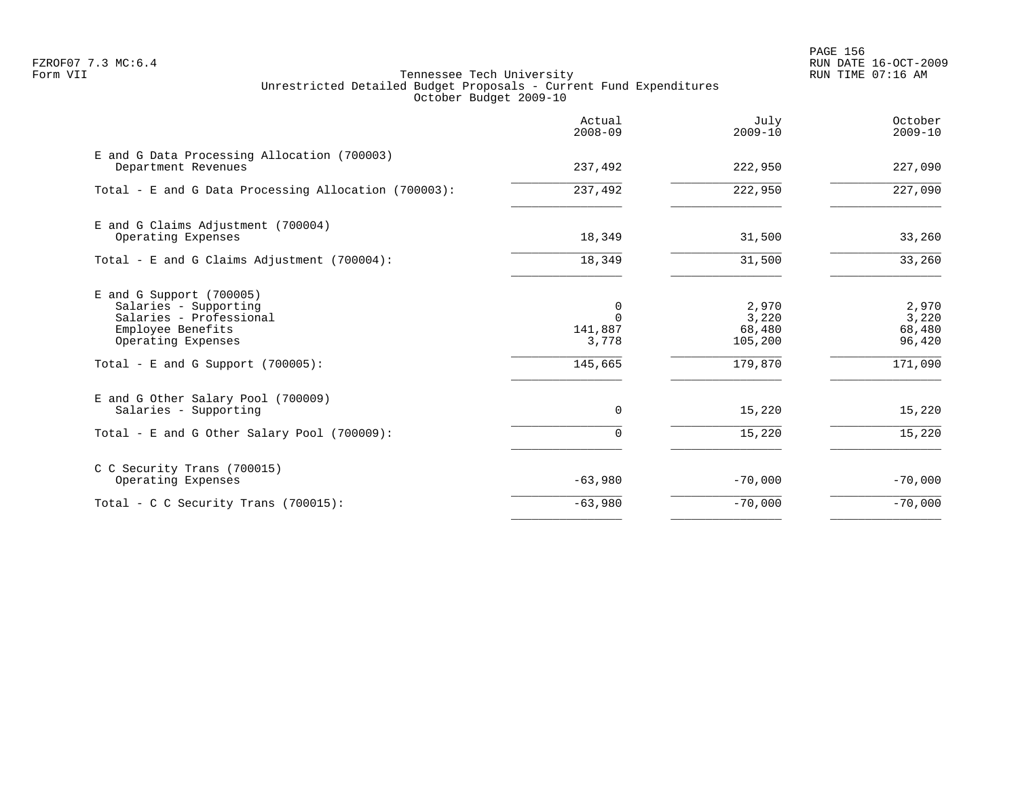en and the set of the set of the set of the set of the set of the set of the set of the set of the set of the set of the set of the set of the set of the set of the set of the set of the set of the set of the set of the se FZROF07 7.3 MC:6.4 RUN DATE 16-OCT-2009

|                                                                                                                                                                   | Actual<br>$2008 - 09$                        | July<br>$2009 - 10$                            | October<br>$2009 - 10$                        |
|-------------------------------------------------------------------------------------------------------------------------------------------------------------------|----------------------------------------------|------------------------------------------------|-----------------------------------------------|
| E and G Data Processing Allocation (700003)<br>Department Revenues                                                                                                | 237,492                                      | 222,950                                        | 227,090                                       |
| Total - E and G Data Processing Allocation (700003):                                                                                                              | 237,492                                      | 222,950                                        | 227,090                                       |
| E and G Claims Adjustment (700004)<br>Operating Expenses                                                                                                          | 18,349                                       | 31,500                                         | 33,260                                        |
| Total - E and G Claims Adjustment $(700004)$ :                                                                                                                    | 18,349                                       | 31,500                                         | 33,260                                        |
| $E$ and G Support (700005)<br>Salaries - Supporting<br>Salaries - Professional<br>Employee Benefits<br>Operating Expenses<br>Total - E and G Support $(700005)$ : | 0<br>$\Omega$<br>141,887<br>3,778<br>145,665 | 2,970<br>3,220<br>68,480<br>105,200<br>179,870 | 2,970<br>3,220<br>68,480<br>96,420<br>171,090 |
| E and G Other Salary Pool (700009)<br>Salaries - Supporting<br>Total - E and G Other Salary Pool (700009):                                                        | $\mathbf 0$<br>$\Omega$                      | 15,220<br>15,220                               | 15,220<br>15,220                              |
| C C Security Trans (700015)<br>Operating Expenses                                                                                                                 | $-63,980$                                    | $-70,000$                                      | $-70,000$                                     |
| Total - C C Security Trans (700015):                                                                                                                              | $-63,980$                                    | $-70,000$                                      | $-70,000$                                     |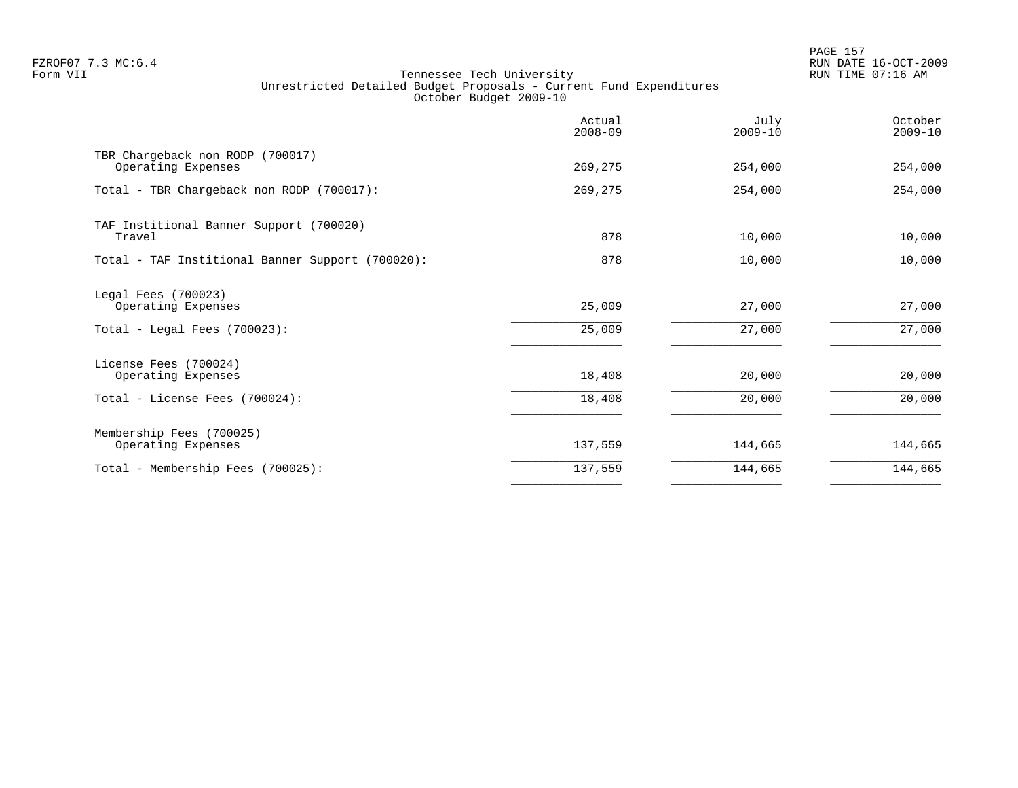PAGE 157 FZROF07 7.3 MC:6.4 RUN DATE 16-OCT-2009

|                                                                           | Actual<br>$2008 - 09$ | July<br>$2009 - 10$ | October<br>$2009 - 10$ |
|---------------------------------------------------------------------------|-----------------------|---------------------|------------------------|
| TBR Chargeback non RODP (700017)<br>Operating Expenses                    | 269,275               | 254,000             | 254,000                |
| Total - TBR Chargeback non RODP (700017):                                 | 269,275               | 254,000             | 254,000                |
| TAF Institional Banner Support (700020)<br>Travel                         | 878                   | 10,000              | 10,000                 |
| Total - TAF Institional Banner Support (700020):                          | 878                   | 10,000              | 10,000                 |
| Legal Fees (700023)<br>Operating Expenses<br>Total - Legal Fees (700023): | 25,009<br>25,009      | 27,000<br>27,000    | 27,000<br>27,000       |
| License Fees (700024)<br>Operating Expenses                               | 18,408                | 20,000              | 20,000                 |
| Total - License Fees (700024):                                            | 18,408                | 20,000              | 20,000                 |
| Membership Fees (700025)<br>Operating Expenses                            | 137,559               | 144,665             | 144,665                |
| Total - Membership Fees (700025):                                         | 137,559               | 144,665             | 144,665                |
|                                                                           |                       |                     |                        |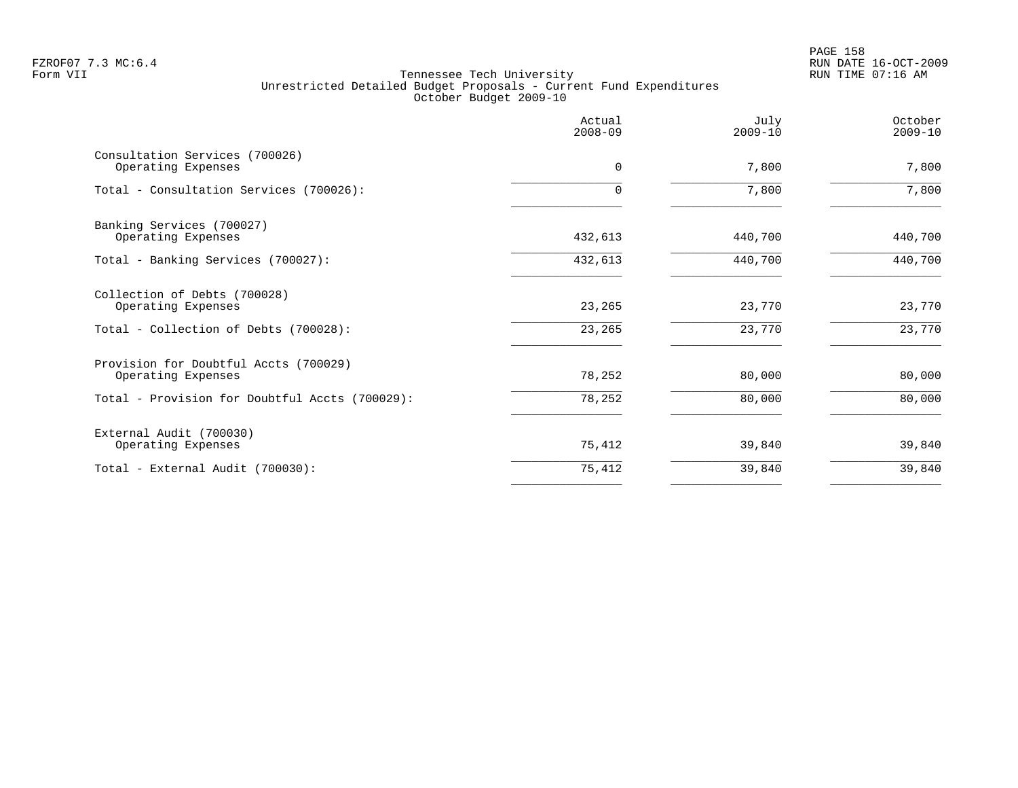PAGE 158 FZROF07 7.3 MC:6.4 RUN DATE 16-OCT-2009

|                                                             | Actual<br>$2008 - 09$ | July<br>$2009 - 10$ | October<br>$2009 - 10$ |
|-------------------------------------------------------------|-----------------------|---------------------|------------------------|
| Consultation Services (700026)<br>Operating Expenses        | 0                     | 7,800               | 7,800                  |
| Total - Consultation Services (700026):                     | 0                     | 7,800               | 7,800                  |
| Banking Services (700027)<br>Operating Expenses             | 432,613               | 440,700             | 440,700                |
| Total - Banking Services (700027):                          | 432,613               | 440,700             | 440,700                |
| Collection of Debts (700028)<br>Operating Expenses          | 23,265                | 23,770              | 23,770                 |
| Total - Collection of Debts (700028):                       | 23,265                | 23,770              | 23,770                 |
| Provision for Doubtful Accts (700029)<br>Operating Expenses | 78,252                | 80,000              | 80,000                 |
| Total - Provision for Doubtful Accts (700029):              | 78,252                | 80,000              | 80,000                 |
| External Audit (700030)<br>Operating Expenses               | 75,412                | 39,840              | 39,840                 |
| Total - External Audit (700030):                            | 75,412                | 39,840              | 39,840                 |
|                                                             |                       |                     |                        |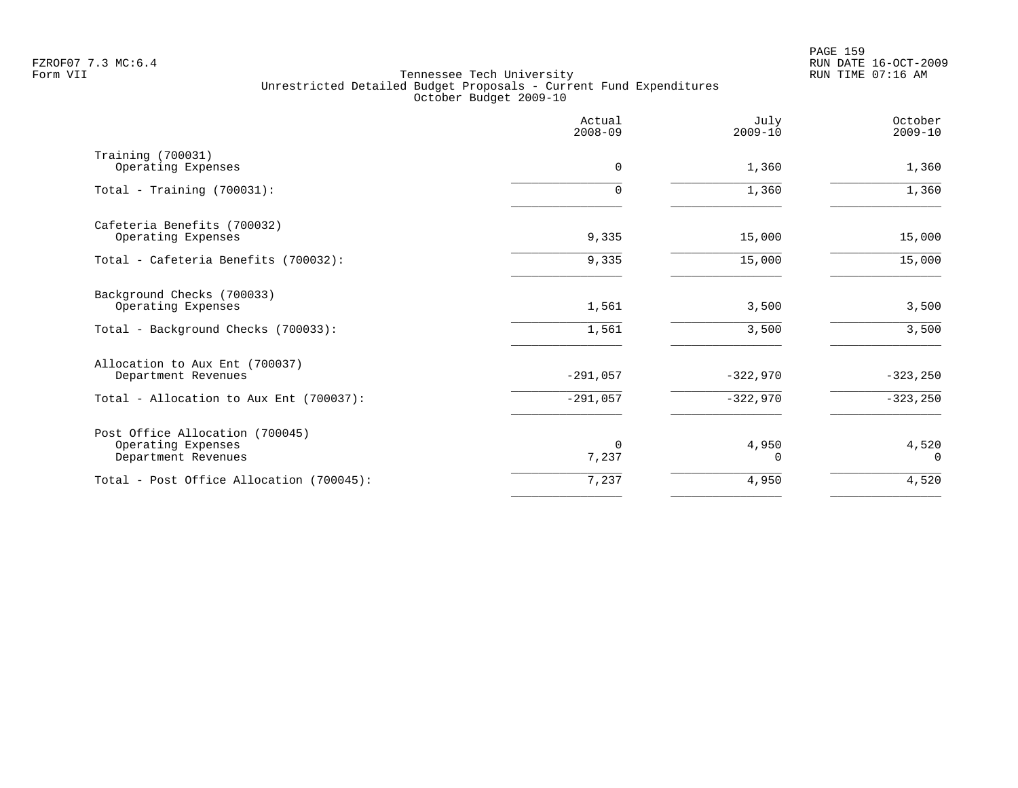PAGE 159 FZROF07 7.3 MC:6.4 RUN DATE 16-OCT-2009

|                                                                              | Actual<br>$2008 - 09$ | July<br>$2009 - 10$ | October<br>$2009 - 10$ |
|------------------------------------------------------------------------------|-----------------------|---------------------|------------------------|
| Training (700031)<br>Operating Expenses                                      | 0                     | 1,360               | 1,360                  |
| Total - Training $(700031)$ :                                                | 0                     | 1,360               | 1,360                  |
| Cafeteria Benefits (700032)<br>Operating Expenses                            | 9,335                 | 15,000              | 15,000                 |
| Total - Cafeteria Benefits (700032):                                         | 9,335                 | 15,000              | 15,000                 |
| Background Checks (700033)<br>Operating Expenses                             | 1,561                 | 3,500               | 3,500                  |
| Total - Background Checks (700033):                                          | 1,561                 | 3,500               | 3,500                  |
| Allocation to Aux Ent (700037)<br>Department Revenues                        | $-291,057$            | $-322,970$          | $-323,250$             |
| Total - Allocation to Aux Ent (700037):                                      | $-291,057$            | $-322,970$          | $-323,250$             |
| Post Office Allocation (700045)<br>Operating Expenses<br>Department Revenues | $\Omega$<br>7,237     | 4,950<br>0          | 4,520<br>$\Omega$      |
| Total - Post Office Allocation (700045):                                     | 7,237                 | 4,950               | 4,520                  |
|                                                                              |                       |                     |                        |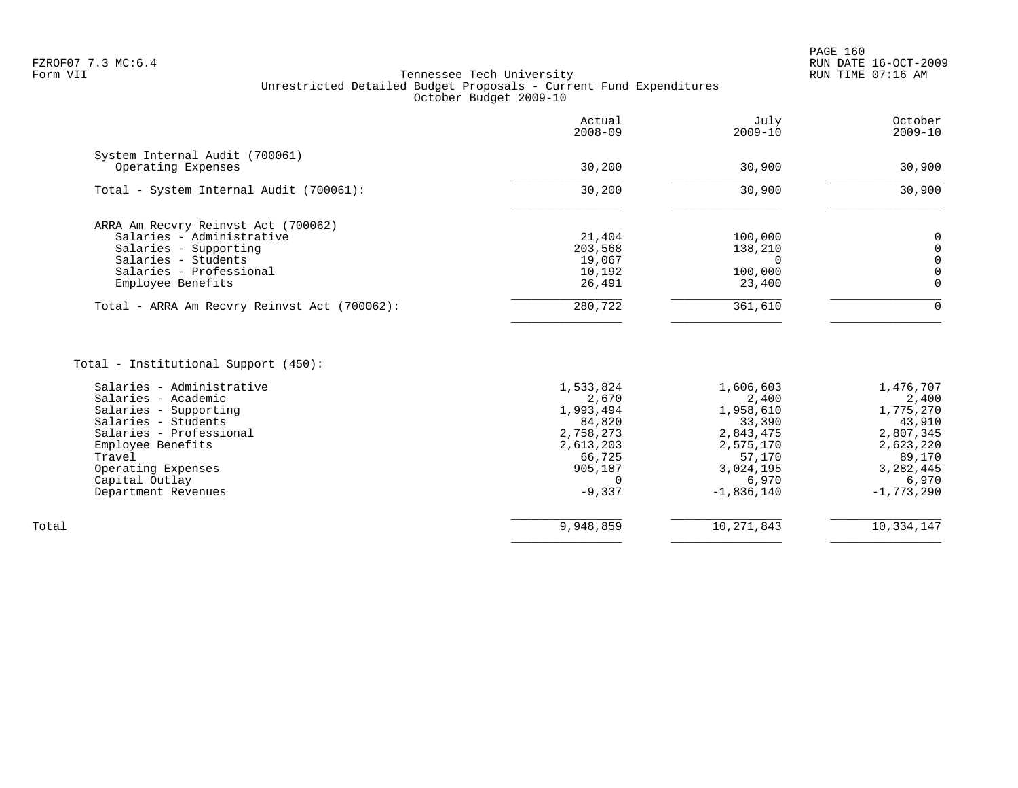|                                                                                                                                                                                                                           | Actual<br>$2008 - 09$                                                                                            | July<br>$2009 - 10$                                                                                                 | October<br>$2009 - 10$                                                                                                |
|---------------------------------------------------------------------------------------------------------------------------------------------------------------------------------------------------------------------------|------------------------------------------------------------------------------------------------------------------|---------------------------------------------------------------------------------------------------------------------|-----------------------------------------------------------------------------------------------------------------------|
| System Internal Audit (700061)<br>Operating Expenses                                                                                                                                                                      | 30,200                                                                                                           | 30,900                                                                                                              | 30,900                                                                                                                |
| Total - System Internal Audit (700061):                                                                                                                                                                                   | 30,200                                                                                                           | 30,900                                                                                                              | 30,900                                                                                                                |
| ARRA Am Recvry Reinvst Act (700062)<br>Salaries - Administrative<br>Salaries - Supporting<br>Salaries - Students<br>Salaries - Professional<br>Employee Benefits                                                          | 21,404<br>203,568<br>19,067<br>10,192<br>26,491                                                                  | 100,000<br>138,210<br>$\Omega$<br>100,000<br>23,400                                                                 | 0<br>$\mathbf 0$<br>0<br>0<br>$\Omega$                                                                                |
| Total - ARRA Am Recvry Reinvst Act (700062):                                                                                                                                                                              | 280,722                                                                                                          | 361,610                                                                                                             | $\Omega$                                                                                                              |
| Total - Institutional Support (450):                                                                                                                                                                                      |                                                                                                                  |                                                                                                                     |                                                                                                                       |
| Salaries - Administrative<br>Salaries - Academic<br>Salaries - Supporting<br>Salaries - Students<br>Salaries - Professional<br>Employee Benefits<br>Travel<br>Operating Expenses<br>Capital Outlay<br>Department Revenues | 1,533,824<br>2,670<br>1,993,494<br>84,820<br>2,758,273<br>2,613,203<br>66,725<br>905,187<br>$\Omega$<br>$-9,337$ | 1,606,603<br>2,400<br>1,958,610<br>33,390<br>2,843,475<br>2,575,170<br>57,170<br>3,024,195<br>6,970<br>$-1,836,140$ | 1,476,707<br>2,400<br>1,775,270<br>43,910<br>2,807,345<br>2,623,220<br>89,170<br>3, 282, 445<br>6,970<br>$-1,773,290$ |
| Total                                                                                                                                                                                                                     | 9,948,859                                                                                                        | 10, 271, 843                                                                                                        | 10,334,147                                                                                                            |

 $\overline{\phantom{a}}$  , and the contract of the contract of the contract of the contract of the contract of the contract of the contract of the contract of the contract of the contract of the contract of the contract of the contrac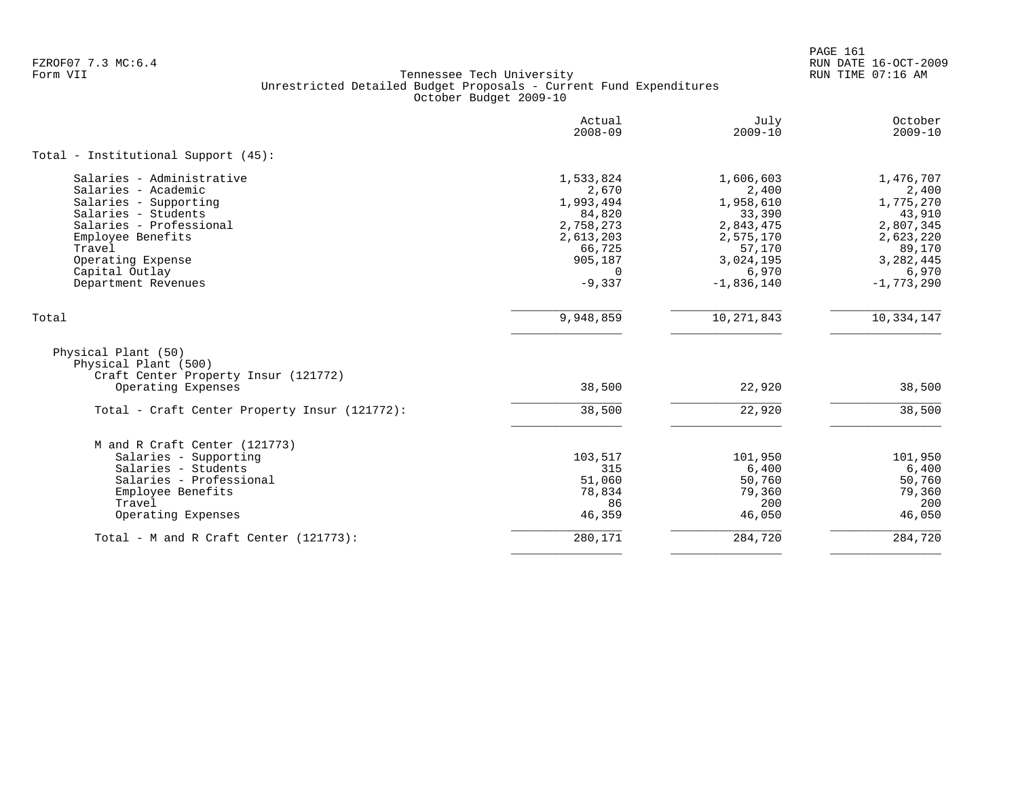PAGE 161 FZROF07 7.3 MC:6.4 RUN DATE 16-OCT-2009

|                                                                                     | Actual<br>$2008 - 09$ | July<br>$2009 - 10$ | October<br>$2009 - 10$ |
|-------------------------------------------------------------------------------------|-----------------------|---------------------|------------------------|
| Total - Institutional Support (45):                                                 |                       |                     |                        |
| Salaries - Administrative                                                           | 1,533,824             | 1,606,603           | 1,476,707              |
| Salaries - Academic                                                                 | 2,670                 | 2,400               | 2,400                  |
| Salaries - Supporting                                                               | 1,993,494             | 1,958,610           | 1,775,270              |
| Salaries - Students                                                                 | 84,820                | 33,390              | 43,910                 |
| Salaries - Professional                                                             | 2,758,273             | 2,843,475           | 2,807,345              |
| Employee Benefits                                                                   | 2,613,203             | 2,575,170           | 2,623,220              |
| Travel                                                                              | 66,725                | 57,170              | 89,170                 |
| Operating Expense                                                                   | 905,187               | 3,024,195           | 3,282,445              |
| Capital Outlay                                                                      | $\Omega$              | 6,970               | 6,970                  |
| Department Revenues                                                                 | $-9,337$              | $-1,836,140$        | $-1,773,290$           |
| Total                                                                               | 9,948,859             | 10, 271, 843        | 10,334,147             |
| Physical Plant (50)<br>Physical Plant (500)<br>Craft Center Property Insur (121772) |                       |                     |                        |
| Operating Expenses                                                                  | 38,500                | 22,920              | 38,500                 |
| Total - Craft Center Property Insur (121772):                                       | 38,500                | 22,920              | 38,500                 |
| M and R Craft Center (121773)                                                       |                       |                     |                        |
| Salaries - Supporting                                                               | 103,517               | 101,950             | 101,950                |
| Salaries - Students                                                                 | 315                   | 6,400               | 6,400                  |
| Salaries - Professional                                                             | 51,060                | 50,760              | 50,760                 |
| Employee Benefits                                                                   | 78,834                | 79,360              | 79,360                 |
| Travel                                                                              | 86                    | 200                 | 200                    |
| Operating Expenses                                                                  | 46,359                | 46,050              | 46,050                 |
| Total - M and R Craft Center (121773):                                              | 280,171               | 284,720             | 284,720                |
|                                                                                     |                       |                     |                        |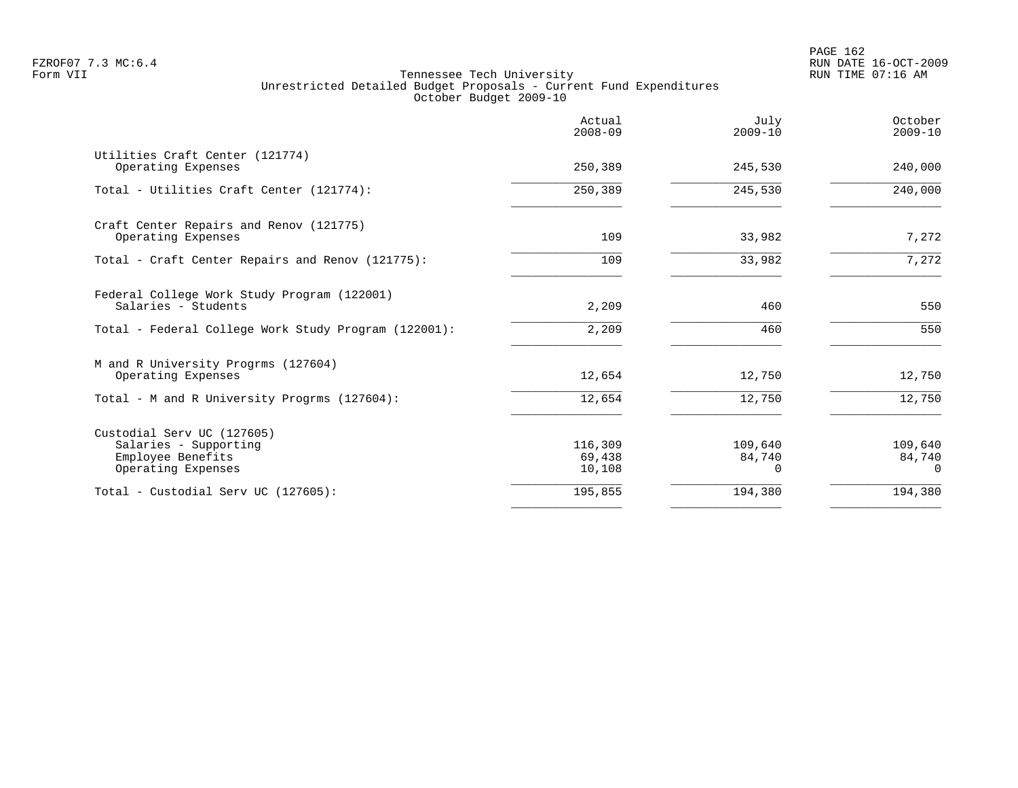|                                                                                                | Actual<br>$2008 - 09$       | July<br>$2009 - 10$           | October<br>$2009 - 10$        |
|------------------------------------------------------------------------------------------------|-----------------------------|-------------------------------|-------------------------------|
| Utilities Craft Center (121774)<br>Operating Expenses                                          | 250,389                     | 245,530                       | 240,000                       |
| Total - Utilities Craft Center (121774):                                                       | 250,389                     | 245,530                       | 240,000                       |
| Craft Center Repairs and Renov (121775)<br>Operating Expenses                                  | 109                         | 33,982                        | 7,272                         |
| Total - Craft Center Repairs and Renov (121775):                                               | 109                         | 33,982                        | 7,272                         |
| Federal College Work Study Program (122001)<br>Salaries - Students                             | 2,209                       | 460                           | 550                           |
| Total - Federal College Work Study Program (122001):                                           | 2,209                       | 460                           | 550                           |
| M and R University Progrms (127604)<br>Operating Expenses                                      | 12,654                      | 12,750                        | 12,750                        |
| Total - M and R University Progrms (127604):                                                   | 12,654                      | 12,750                        | 12,750                        |
| Custodial Serv UC (127605)<br>Salaries - Supporting<br>Employee Benefits<br>Operating Expenses | 116,309<br>69,438<br>10,108 | 109,640<br>84,740<br>$\Omega$ | 109,640<br>84,740<br>$\Omega$ |
| Total - Custodial Serv UC (127605):                                                            | 195,855                     | 194,380                       | 194,380                       |
|                                                                                                |                             |                               |                               |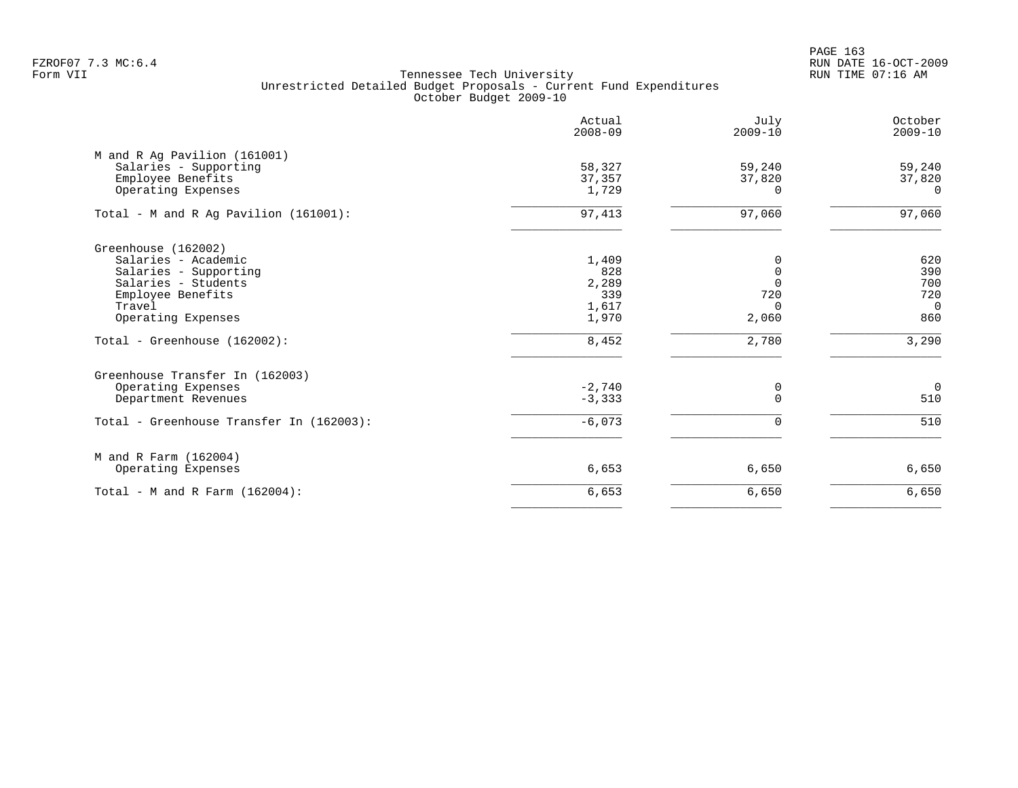PAGE 163 FZROF07 7.3 MC:6.4 RUN DATE 16-OCT-2009

|                                          | Actual<br>$2008 - 09$ | July<br>$2009 - 10$ | October<br>$2009 - 10$ |
|------------------------------------------|-----------------------|---------------------|------------------------|
| M and R Ag Pavilion (161001)             |                       |                     |                        |
| Salaries - Supporting                    | 58,327                | 59,240              | 59,240                 |
| Employee Benefits                        | 37,357                | 37,820              | 37,820                 |
| Operating Expenses                       | 1,729                 | $\Omega$            | $\Omega$               |
| Total - M and R Ag Pavilion (161001):    | 97,413                | 97,060              | 97,060                 |
| Greenhouse (162002)                      |                       |                     |                        |
| Salaries - Academic                      | 1,409                 | 0                   | 620                    |
| Salaries - Supporting                    | 828                   | $\Omega$            | 390                    |
| Salaries - Students                      | 2,289                 | $\Omega$            | 700                    |
| Employee Benefits                        | 339                   | 720                 | 720                    |
| Travel                                   | 1,617                 | $\Omega$            | $\overline{0}$         |
| Operating Expenses                       | 1,970                 | 2,060               | 860                    |
| Total - Greenhouse (162002):             | 8,452                 | 2,780               | 3,290                  |
| Greenhouse Transfer In (162003)          |                       |                     |                        |
| Operating Expenses                       | $-2,740$              | 0                   | $\overline{0}$         |
| Department Revenues                      | $-3,333$              | $\Omega$            | 510                    |
| Total - Greenhouse Transfer In (162003): | $-6,073$              | $\Omega$            | 510                    |
| M and R Farm (162004)                    |                       |                     |                        |
| Operating Expenses                       | 6,653                 | 6,650               | 6,650                  |
| Total - M and R Farm $(162004)$ :        | 6,653                 | 6,650               | 6,650                  |
|                                          |                       |                     |                        |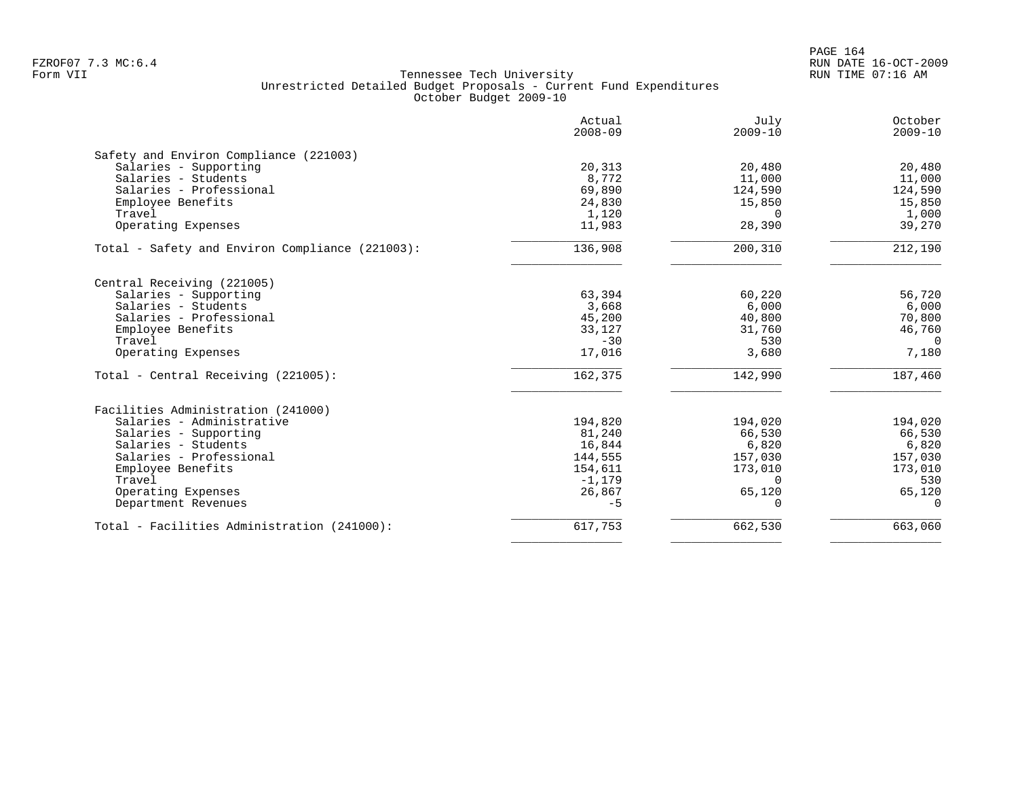PAGE 164 FZROF07 7.3 MC:6.4 RUN DATE 16-OCT-2009

|                                                 | Actual<br>$2008 - 09$ | July<br>$2009 - 10$ | October<br>$2009 - 10$ |
|-------------------------------------------------|-----------------------|---------------------|------------------------|
| Safety and Environ Compliance (221003)          |                       |                     |                        |
| Salaries - Supporting                           | 20,313                | 20,480              | 20,480                 |
| Salaries - Students                             | 8,772                 | 11,000              | 11,000                 |
| Salaries - Professional                         | 69,890                | 124,590             | 124,590                |
| Employee Benefits                               | 24,830                | 15,850              | 15,850                 |
| Travel                                          | 1,120                 | $\Omega$            | 1,000                  |
| Operating Expenses                              | 11,983                | 28,390              | 39,270                 |
| Total - Safety and Environ Compliance (221003): | 136,908               | 200,310             | 212,190                |
| Central Receiving (221005)                      |                       |                     |                        |
| Salaries - Supporting                           | 63,394                | 60,220              | 56,720                 |
| Salaries - Students                             | 3,668                 | 6,000               | 6,000                  |
| Salaries - Professional                         | 45,200                | 40,800              | 70,800                 |
| Employee Benefits                               | 33,127                | 31,760              | 46,760                 |
| Travel                                          | $-30$                 | 530                 | $\Omega$               |
| Operating Expenses                              | 17,016                | 3,680               | 7,180                  |
| Total - Central Receiving (221005):             | 162,375               | 142,990             | 187,460                |
| Facilities Administration (241000)              |                       |                     |                        |
| Salaries - Administrative                       | 194,820               | 194,020             | 194,020                |
| Salaries - Supporting                           | 81,240                | 66,530              | 66,530                 |
| Salaries - Students                             | 16,844                | 6,820               | 6,820                  |
| Salaries - Professional                         | 144,555               | 157,030             | 157,030                |
| Employee Benefits                               | 154,611               | 173,010             | 173,010                |
| Travel                                          | $-1,179$              | $\Omega$            | 530                    |
| Operating Expenses                              | 26,867                | 65,120              | 65,120                 |
| Department Revenues                             | $-5$                  | $\Omega$            | $\Omega$               |
| Total - Facilities Administration (241000):     | 617,753               | 662,530             | 663,060                |
|                                                 |                       |                     |                        |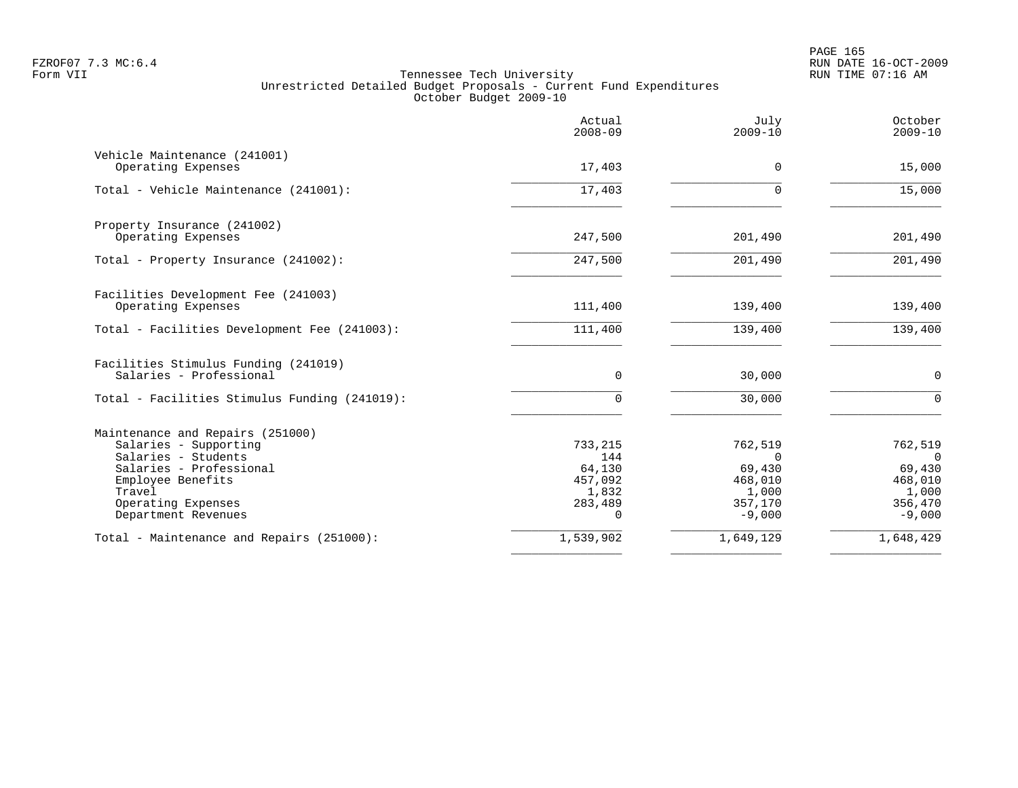|                                                    | Actual<br>$2008 - 09$ | July<br>$2009 - 10$ | October<br>$2009 - 10$ |
|----------------------------------------------------|-----------------------|---------------------|------------------------|
| Vehicle Maintenance (241001)<br>Operating Expenses | 17,403                | $\Omega$            | 15,000                 |
| Total - Vehicle Maintenance (241001):              | 17,403                | U                   | 15,000                 |
| Property Insurance (241002)                        |                       |                     |                        |
| Operating Expenses                                 | 247,500               | 201,490             | 201,490                |
| Total - Property Insurance (241002):               | 247,500               | 201,490             | 201,490                |
| Facilities Development Fee (241003)                |                       |                     |                        |
| Operating Expenses                                 | 111,400               | 139,400             | 139,400                |
| Total - Facilities Development Fee (241003):       | 111,400               | 139,400             | 139,400                |
| Facilities Stimulus Funding (241019)               |                       |                     |                        |
| Salaries - Professional                            | $\mathbf 0$           | 30,000              | $\mathbf 0$            |
| Total - Facilities Stimulus Funding (241019):      | $\Omega$              | 30,000              | $\Omega$               |
| Maintenance and Repairs (251000)                   |                       |                     |                        |
| Salaries - Supporting                              | 733,215               | 762,519             | 762,519                |
| Salaries - Students<br>Salaries - Professional     | 144<br>64,130         | $\Omega$<br>69,430  | $\Omega$<br>69,430     |
| Employee Benefits                                  | 457,092               | 468,010             | 468,010                |
| Travel                                             | 1,832                 | 1,000               | 1,000                  |
| Operating Expenses                                 | 283,489               | 357,170             | 356,470                |
| Department Revenues                                | $\Omega$              | $-9,000$            | $-9,000$               |
| Total - Maintenance and Repairs (251000):          | 1,539,902             | 1,649,129           | 1,648,429              |
|                                                    |                       |                     |                        |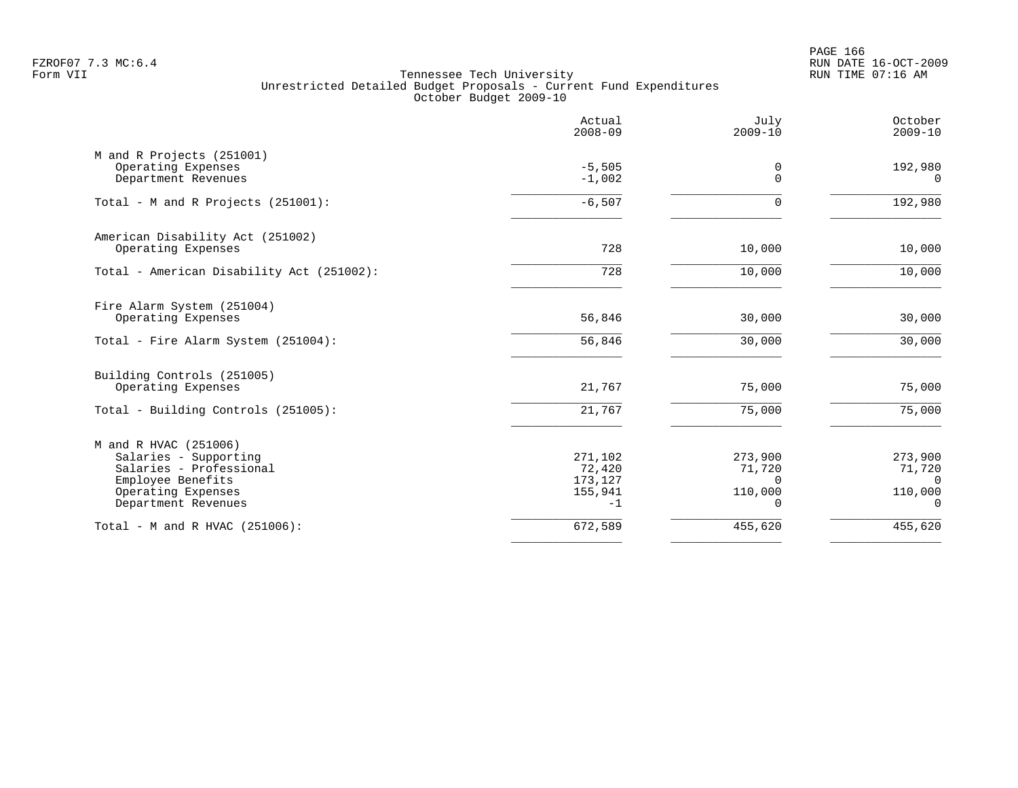PAGE 166 FZROF07 7.3 MC:6.4 RUN DATE 16-OCT-2009

|                                                                                                                                             | Actual<br>$2008 - 09$                           | July<br>$2009 - 10$                                  | October<br>$2009 - 10$                                  |
|---------------------------------------------------------------------------------------------------------------------------------------------|-------------------------------------------------|------------------------------------------------------|---------------------------------------------------------|
| M and R Projects (251001)<br>Operating Expenses<br>Department Revenues                                                                      | $-5,505$<br>$-1,002$                            | 0<br>$\Omega$                                        | 192,980<br>$\Omega$                                     |
| Total - M and R Projects (251001):                                                                                                          | $-6,507$                                        | 0                                                    | 192,980                                                 |
| American Disability Act (251002)<br>Operating Expenses                                                                                      | 728                                             | 10,000                                               | 10,000                                                  |
| Total - American Disability Act (251002):                                                                                                   | 728                                             | 10,000                                               | 10,000                                                  |
| Fire Alarm System (251004)<br>Operating Expenses                                                                                            | 56,846                                          | 30,000                                               | 30,000                                                  |
| Total - Fire Alarm System (251004):                                                                                                         | 56,846                                          | 30,000                                               | 30,000                                                  |
| Building Controls (251005)<br>Operating Expenses                                                                                            | 21,767                                          | 75,000                                               | 75,000                                                  |
| Total - Building Controls (251005):                                                                                                         | 21,767                                          | 75,000                                               | 75,000                                                  |
| M and R HVAC (251006)<br>Salaries - Supporting<br>Salaries - Professional<br>Employee Benefits<br>Operating Expenses<br>Department Revenues | 271,102<br>72,420<br>173,127<br>155,941<br>$-1$ | 273,900<br>71,720<br>$\Omega$<br>110,000<br>$\Omega$ | 273,900<br>71,720<br>$\Omega$<br>110,000<br>$\mathbf 0$ |
| Total - M and R HVAC (251006):                                                                                                              | 672,589                                         | 455,620                                              | 455,620                                                 |
|                                                                                                                                             |                                                 |                                                      |                                                         |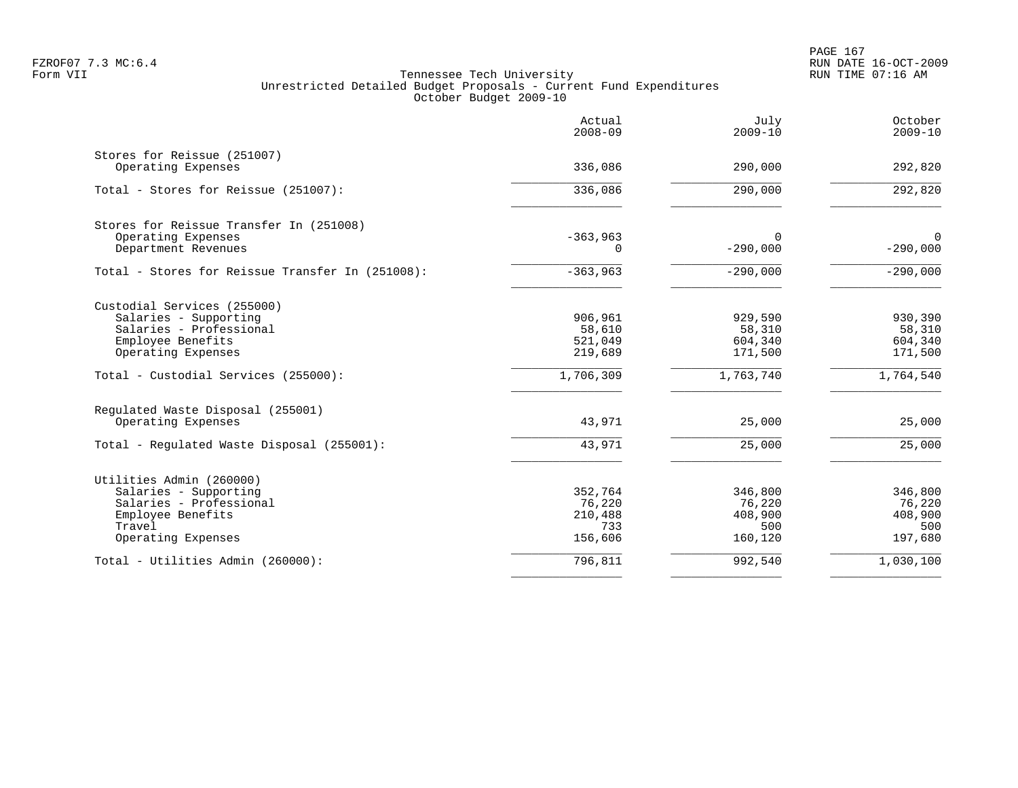PAGE 167 FZROF07 7.3 MC:6.4 RUN DATE 16-OCT-2009

| Actual<br>$2008 - 09$ | July<br>$2009 - 10$                     | October<br>$2009 - 10$                                |
|-----------------------|-----------------------------------------|-------------------------------------------------------|
|                       |                                         |                                                       |
|                       |                                         | 292,820                                               |
| 336,086               | 290,000                                 | 292,820                                               |
|                       |                                         |                                                       |
| $-363,963$            | $\Omega$                                | $\mathbf 0$                                           |
| 0                     |                                         | $-290,000$                                            |
| $-363,963$            | $-290,000$                              | $-290,000$                                            |
|                       |                                         |                                                       |
| 906,961               | 929,590                                 | 930,390                                               |
| 58,610                | 58,310                                  | 58,310                                                |
| 521,049               | 604,340                                 | 604,340                                               |
|                       |                                         | 171,500                                               |
| 1,706,309             | 1,763,740                               | 1,764,540                                             |
|                       |                                         |                                                       |
| 43,971                | 25,000                                  | 25,000                                                |
| 43,971                | 25,000                                  | 25,000                                                |
|                       |                                         |                                                       |
|                       |                                         | 346,800                                               |
|                       |                                         | 76,220                                                |
| 210,488               | 408,900                                 | 408,900                                               |
| 733                   | 500                                     | 500                                                   |
| 156,606               | 160,120                                 | 197,680                                               |
| 796,811               | 992,540                                 | 1,030,100                                             |
|                       | 336,086<br>219,689<br>352,764<br>76,220 | 290,000<br>$-290,000$<br>171,500<br>346,800<br>76,220 |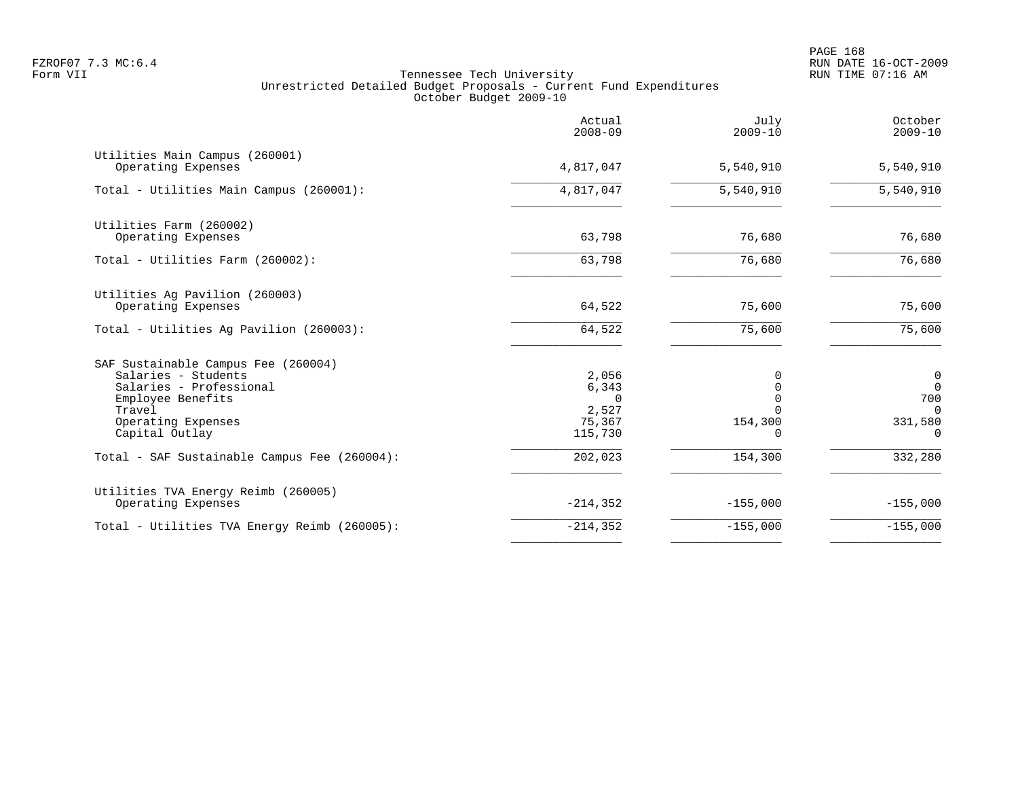|                                                                                                                                                              | Actual<br>$2008 - 09$                                    | July<br>$2009 - 10$                              | October<br>$2009 - 10$                                               |
|--------------------------------------------------------------------------------------------------------------------------------------------------------------|----------------------------------------------------------|--------------------------------------------------|----------------------------------------------------------------------|
| Utilities Main Campus (260001)<br>Operating Expenses                                                                                                         | 4,817,047                                                | 5,540,910                                        | 5,540,910                                                            |
| Total - Utilities Main Campus (260001):                                                                                                                      | 4,817,047                                                | 5,540,910                                        | 5,540,910                                                            |
| Utilities Farm (260002)<br>Operating Expenses                                                                                                                | 63,798                                                   | 76,680                                           | 76,680                                                               |
| Total - Utilities Farm (260002):                                                                                                                             | 63,798                                                   | 76,680                                           | 76,680                                                               |
| Utilities Ag Pavilion (260003)<br>Operating Expenses                                                                                                         | 64,522                                                   | 75,600                                           | 75,600                                                               |
| Total - Utilities Ag Pavilion (260003):                                                                                                                      | 64,522                                                   | 75,600                                           | 75,600                                                               |
| SAF Sustainable Campus Fee (260004)<br>Salaries - Students<br>Salaries - Professional<br>Employee Benefits<br>Travel<br>Operating Expenses<br>Capital Outlay | 2,056<br>6,343<br>$\Omega$<br>2,527<br>75,367<br>115,730 | 0<br>$\Omega$<br>$\Omega$<br>154,300<br>$\Omega$ | $\overline{0}$<br>$\Omega$<br>700<br>$\Omega$<br>331,580<br>$\Omega$ |
| Total - SAF Sustainable Campus Fee (260004):                                                                                                                 | 202,023                                                  | 154,300                                          | 332,280                                                              |
| Utilities TVA Energy Reimb (260005)<br>Operating Expenses                                                                                                    | $-214, 352$                                              | $-155,000$                                       | $-155,000$                                                           |
| Total - Utilities TVA Energy Reimb (260005):                                                                                                                 | $-214, 352$                                              | $-155,000$                                       | $-155,000$                                                           |
|                                                                                                                                                              |                                                          |                                                  |                                                                      |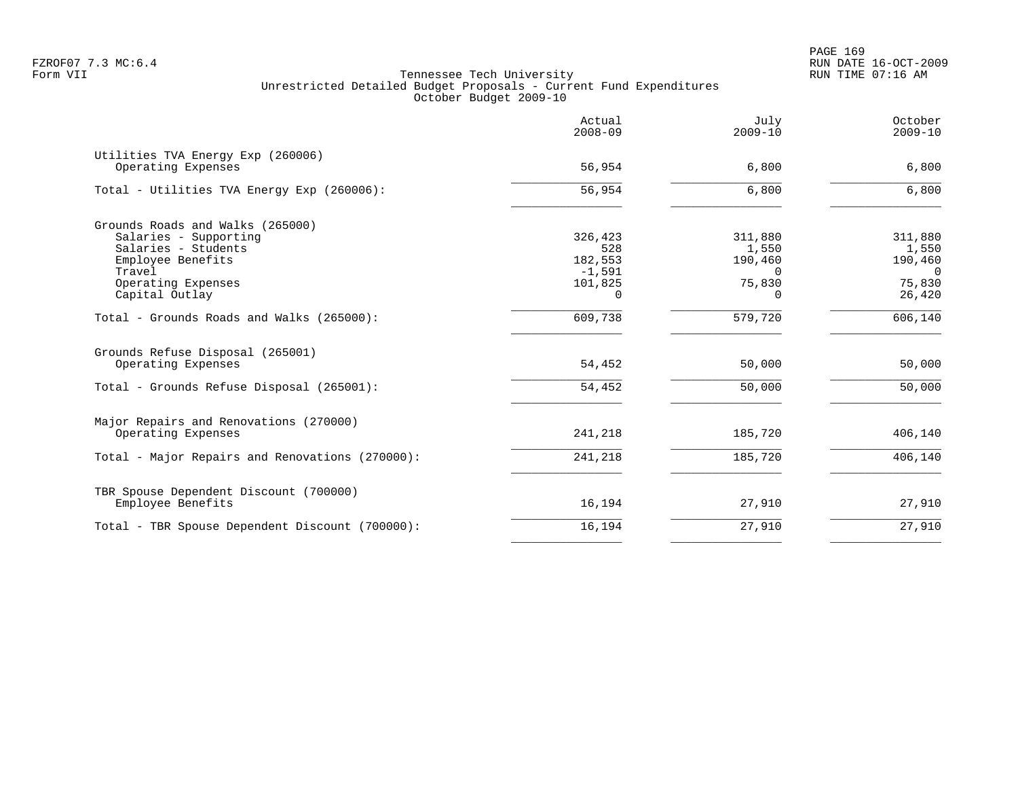|                                                         | Actual<br>$2008 - 09$ | July<br>$2009 - 10$ | October<br>$2009 - 10$ |
|---------------------------------------------------------|-----------------------|---------------------|------------------------|
| Utilities TVA Energy Exp (260006)<br>Operating Expenses | 56,954                | 6,800               | 6,800                  |
| Total - Utilities TVA Energy Exp (260006):              | 56,954                | 6,800               | 6,800                  |
| Grounds Roads and Walks (265000)                        |                       |                     |                        |
| Salaries - Supporting                                   | 326,423               | 311,880             | 311,880                |
| Salaries - Students                                     | 528                   | 1,550               | 1,550                  |
| Employee Benefits                                       | 182,553               | 190,460             | 190,460                |
| Travel                                                  | $-1,591$              | $\Omega$            | $\Omega$               |
| Operating Expenses                                      | 101,825<br>$\Omega$   | 75,830              | 75,830                 |
| Capital Outlay                                          |                       | $\Omega$            | 26,420                 |
| Total - Grounds Roads and Walks (265000):               | 609,738               | 579,720             | 606,140                |
| Grounds Refuse Disposal (265001)<br>Operating Expenses  | 54,452                | 50,000              | 50,000                 |
|                                                         |                       |                     |                        |
| Total - Grounds Refuse Disposal (265001):               | 54,452                | 50,000              | 50,000                 |
| Major Repairs and Renovations (270000)                  |                       |                     |                        |
| Operating Expenses                                      | 241,218               | 185,720             | 406,140                |
| Total - Major Repairs and Renovations (270000):         | 241,218               | 185,720             | 406,140                |
| TBR Spouse Dependent Discount (700000)                  |                       |                     |                        |
| Employee Benefits                                       | 16,194                | 27,910              | 27,910                 |
| Total - TBR Spouse Dependent Discount (700000):         | 16,194                | 27,910              | 27,910                 |
|                                                         |                       |                     |                        |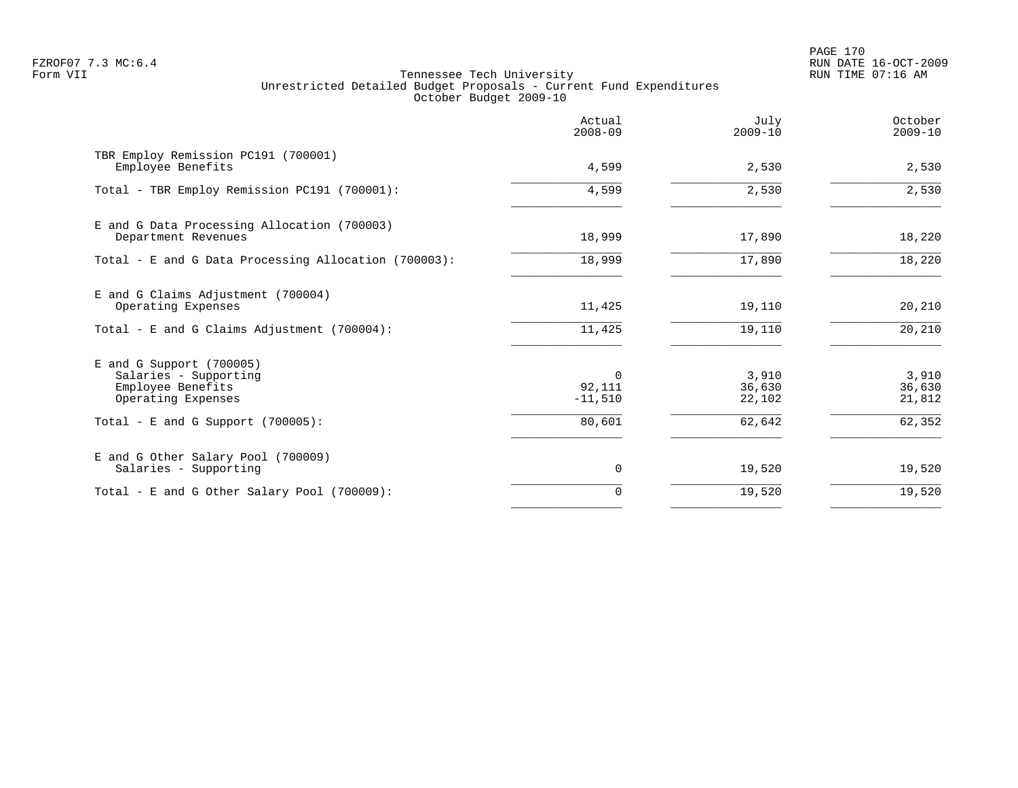PAGE 170 FZROF07 7.3 MC:6.4 RUN DATE 16-OCT-2009

|                                                                                                | Actual<br>$2008 - 09$           | July<br>$2009 - 10$       | October<br>$2009 - 10$    |
|------------------------------------------------------------------------------------------------|---------------------------------|---------------------------|---------------------------|
| TBR Employ Remission PC191 (700001)<br>Employee Benefits                                       | 4,599                           | 2,530                     | 2,530                     |
| Total - TBR Employ Remission PC191 (700001):                                                   | 4,599                           | 2,530                     | 2,530                     |
| E and G Data Processing Allocation (700003)<br>Department Revenues                             | 18,999                          | 17,890                    | 18,220                    |
| Total - E and G Data Processing Allocation (700003):                                           | 18,999                          | 17,890                    | 18,220                    |
| E and G Claims Adjustment (700004)<br>Operating Expenses                                       | 11,425                          | 19,110                    | 20,210                    |
| Total - E and G Claims Adjustment (700004):                                                    | 11,425                          | 19,110                    | 20,210                    |
| $E$ and G Support (700005)<br>Salaries - Supporting<br>Employee Benefits<br>Operating Expenses | $\Omega$<br>92,111<br>$-11,510$ | 3,910<br>36,630<br>22,102 | 3,910<br>36,630<br>21,812 |
| Total - E and G Support $(700005)$ :                                                           | 80,601                          | 62,642                    | 62,352                    |
| E and G Other Salary Pool (700009)<br>Salaries - Supporting                                    | 0                               | 19,520                    | 19,520                    |
| Total - E and G Other Salary Pool (700009):                                                    | 0                               | 19,520                    | 19,520                    |
|                                                                                                |                                 |                           |                           |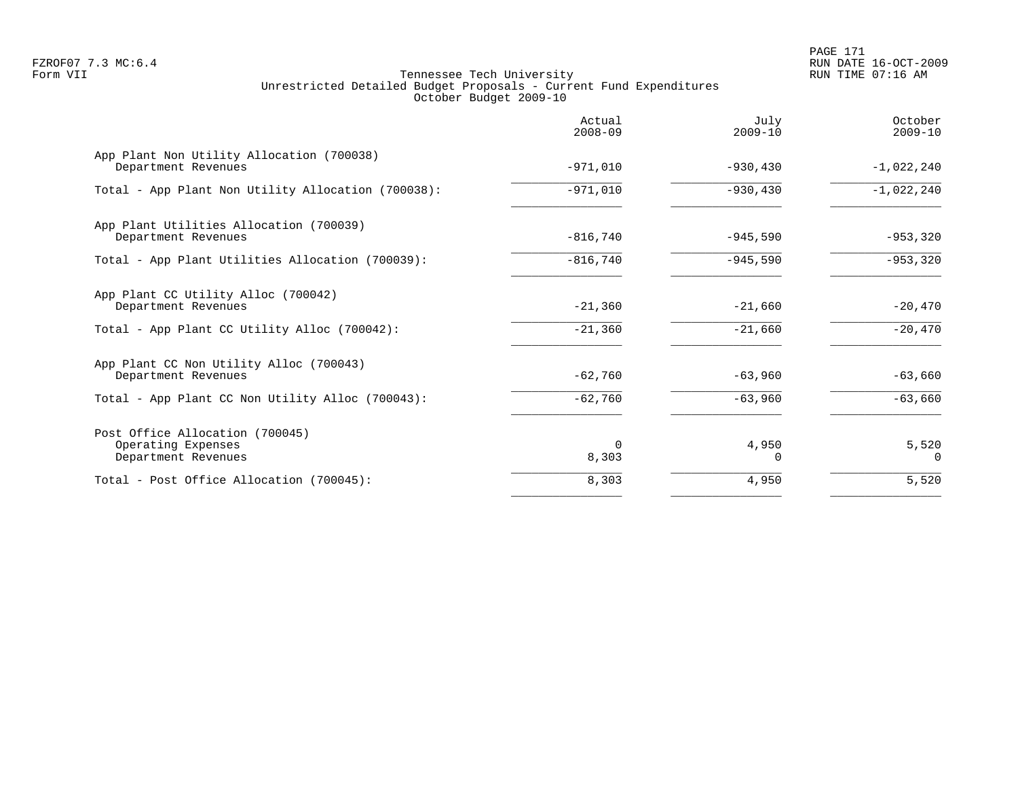PAGE 171 FZROF07 7.3 MC:6.4 RUN DATE 16-OCT-2009

|                                                                              | Actual<br>$2008 - 09$ | July<br>$2009 - 10$ | October<br>$2009 - 10$ |
|------------------------------------------------------------------------------|-----------------------|---------------------|------------------------|
| App Plant Non Utility Allocation (700038)<br>Department Revenues             | $-971,010$            | $-930, 430$         | $-1,022,240$           |
| Total - App Plant Non Utility Allocation (700038):                           | $-971,010$            | $-930, 430$         | $-1,022,240$           |
| App Plant Utilities Allocation (700039)<br>Department Revenues               | $-816,740$            | $-945,590$          | $-953,320$             |
| Total - App Plant Utilities Allocation (700039):                             | $-816,740$            | $-945,590$          | $-953,320$             |
| App Plant CC Utility Alloc (700042)<br>Department Revenues                   | $-21,360$             | $-21,660$           | $-20,470$              |
| Total - App Plant CC Utility Alloc (700042):                                 | $-21,360$             | $-21,660$           | $-20,470$              |
| App Plant CC Non Utility Alloc (700043)<br>Department Revenues               | $-62,760$             | $-63,960$           | $-63,660$              |
| Total - App Plant CC Non Utility Alloc (700043):                             | $-62,760$             | $-63,960$           | $-63,660$              |
| Post Office Allocation (700045)<br>Operating Expenses<br>Department Revenues | $\Omega$<br>8,303     | 4,950<br>O          | 5,520<br>$\Omega$      |
| Total - Post Office Allocation (700045):                                     | 8,303                 | 4,950               | 5,520                  |
|                                                                              |                       |                     |                        |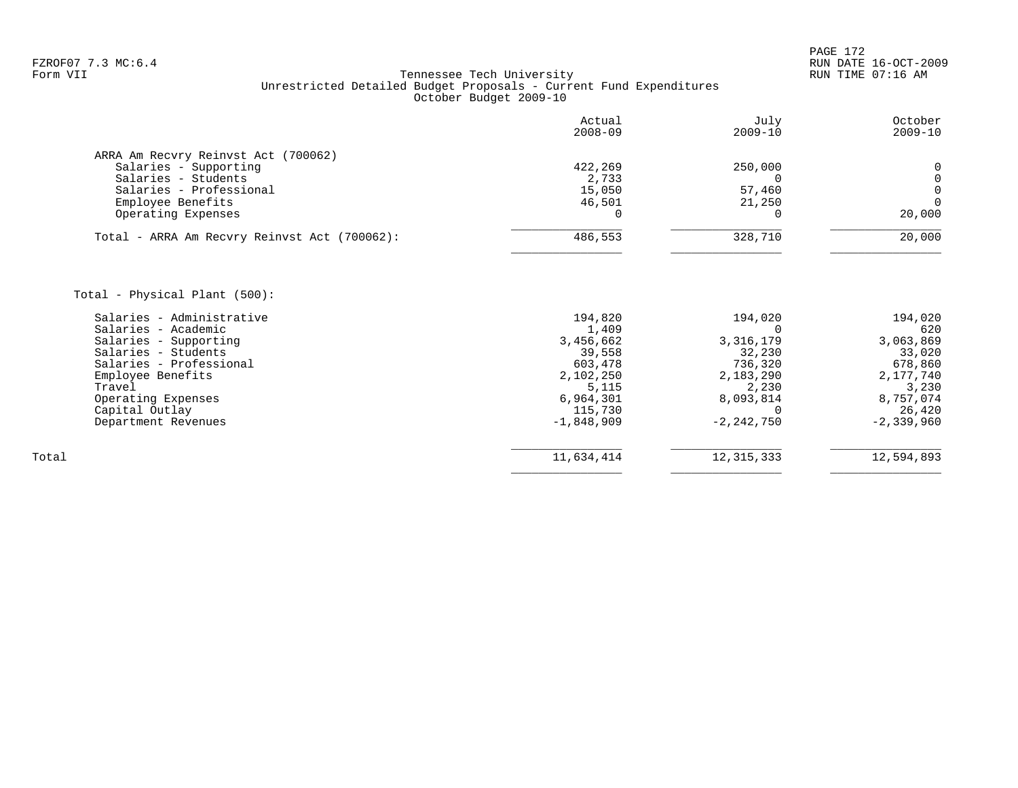# FZROF07 7.3 MC:6.4 RUN DATE 16-OCT-2009<br>Form VII RUN TIME 07:16 AM Tennessee Tech University Unrestricted Detailed Budget Proposals - Current Fund Expenditures October Budget 2009-10

|                                                  | Actual<br>$2008 - 09$ | July<br>$2009 - 10$ | October<br>$2009 - 10$ |
|--------------------------------------------------|-----------------------|---------------------|------------------------|
| ARRA Am Recvry Reinvst Act (700062)              |                       |                     |                        |
| Salaries - Supporting                            | 422,269               | 250,000             | 0                      |
| Salaries - Students                              | 2,733                 | $\Omega$            | $\mathbf 0$            |
| Salaries - Professional                          | 15,050                | 57,460              | $\mathbf 0$            |
| Employee Benefits                                | 46,501                | 21,250              | $\Omega$               |
| Operating Expenses                               | $\Omega$              | 0                   | 20,000                 |
| Total - ARRA Am Recvry Reinvst Act (700062):     | 486,553               | 328,710             | 20,000                 |
| Total - Physical Plant (500):                    |                       |                     |                        |
|                                                  |                       |                     |                        |
| Salaries - Administrative<br>Salaries - Academic | 194,820<br>1,409      | 194,020<br>∩        | 194,020<br>620         |
| Salaries - Supporting                            | 3,456,662             | 3, 316, 179         | 3,063,869              |
| Salaries - Students                              | 39,558                | 32,230              | 33,020                 |
| Salaries - Professional                          | 603,478               | 736,320             | 678,860                |
| Employee Benefits                                | 2,102,250             | 2,183,290           | 2,177,740              |
| Travel                                           | 5,115                 | 2,230               | 3,230                  |
| Operating Expenses                               | 6,964,301             | 8,093,814           | 8,757,074              |
| Capital Outlay                                   | 115,730               | $\Omega$            | 26,420                 |
| Department Revenues                              | $-1,848,909$          | $-2, 242, 750$      | $-2, 339, 960$         |
|                                                  |                       |                     |                        |
| Total                                            | 11,634,414            | 12, 315, 333        | 12,594,893             |

 $\overline{\phantom{a}}$  , and the contract of the contract of the contract of the contract of the contract of the contract of the contract of the contract of the contract of the contract of the contract of the contract of the contrac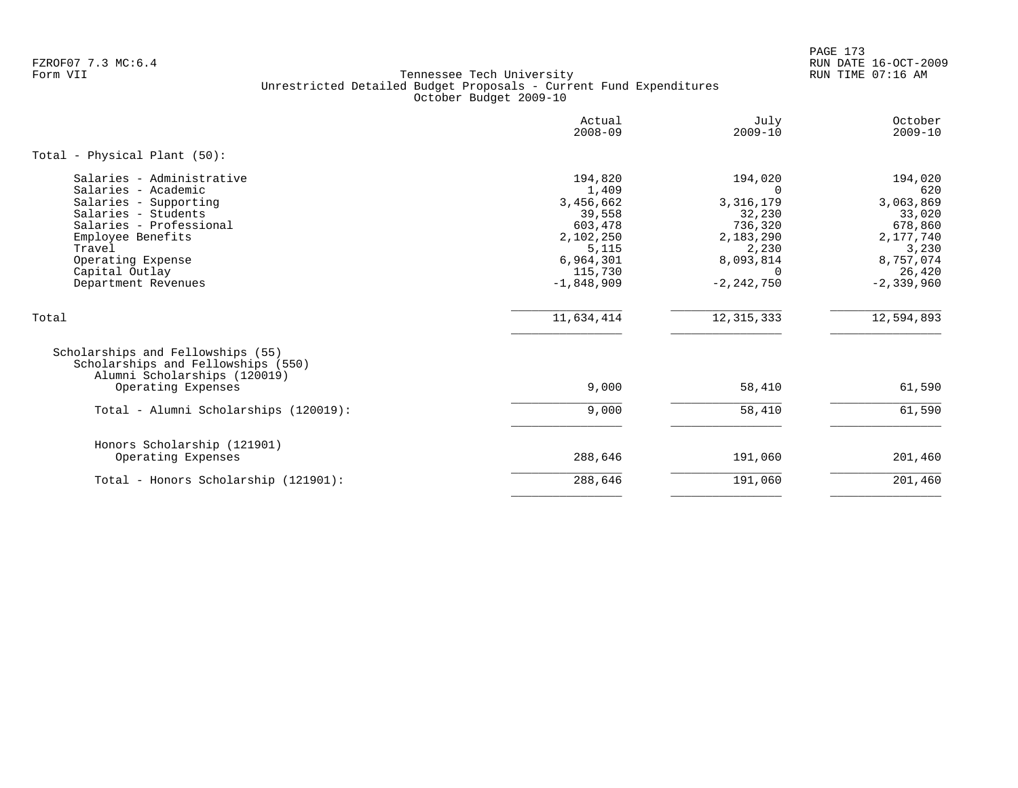PAGE 173 FZROF07 7.3 MC:6.4 RUN DATE 16-OCT-2009

|                                                                                                                                                                                                                          | Actual<br>$2008 - 09$                                                                                            | July<br>$2009 - 10$                                                                                                      | October<br>$2009 - 10$                                                                                          |
|--------------------------------------------------------------------------------------------------------------------------------------------------------------------------------------------------------------------------|------------------------------------------------------------------------------------------------------------------|--------------------------------------------------------------------------------------------------------------------------|-----------------------------------------------------------------------------------------------------------------|
| Total - Physical Plant (50):                                                                                                                                                                                             |                                                                                                                  |                                                                                                                          |                                                                                                                 |
| Salaries - Administrative<br>Salaries - Academic<br>Salaries - Supporting<br>Salaries - Students<br>Salaries - Professional<br>Employee Benefits<br>Travel<br>Operating Expense<br>Capital Outlay<br>Department Revenues | 194,820<br>1,409<br>3,456,662<br>39,558<br>603,478<br>2,102,250<br>5,115<br>6,964,301<br>115,730<br>$-1,848,909$ | 194,020<br>$\Omega$<br>3, 316, 179<br>32,230<br>736,320<br>2,183,290<br>2,230<br>8,093,814<br>$\Omega$<br>$-2, 242, 750$ | 194,020<br>620<br>3,063,869<br>33,020<br>678,860<br>2,177,740<br>3,230<br>8,757,074<br>26,420<br>$-2, 339, 960$ |
| Total                                                                                                                                                                                                                    | 11,634,414                                                                                                       | 12, 315, 333                                                                                                             | 12,594,893                                                                                                      |
| Scholarships and Fellowships (55)<br>Scholarships and Fellowships (550)<br>Alumni Scholarships (120019)<br>Operating Expenses                                                                                            | 9,000                                                                                                            | 58,410                                                                                                                   | 61,590                                                                                                          |
| Total - Alumni Scholarships (120019):                                                                                                                                                                                    | 9,000                                                                                                            | 58,410                                                                                                                   | 61,590                                                                                                          |
| Honors Scholarship (121901)<br>Operating Expenses                                                                                                                                                                        | 288,646                                                                                                          | 191,060                                                                                                                  | 201,460                                                                                                         |
| Total - Honors Scholarship (121901):                                                                                                                                                                                     | 288,646                                                                                                          | 191,060                                                                                                                  | 201,460                                                                                                         |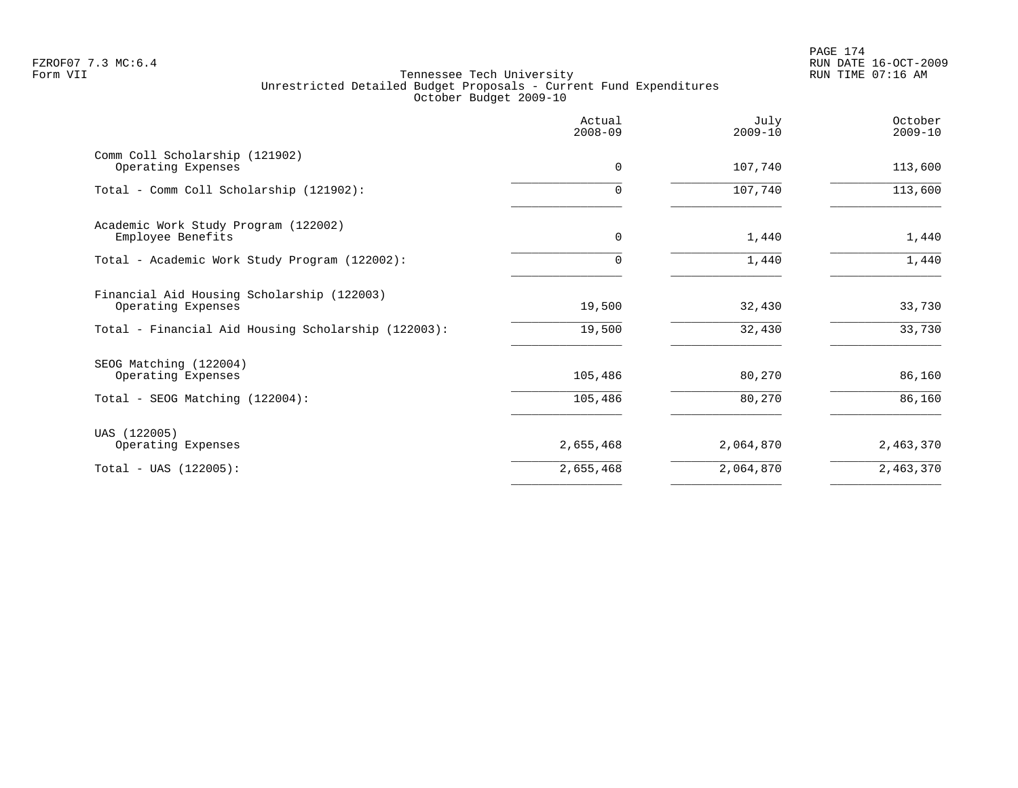|                                                                                                                         | Actual<br>$2008 - 09$ | July<br>$2009 - 10$ | October<br>$2009 - 10$ |
|-------------------------------------------------------------------------------------------------------------------------|-----------------------|---------------------|------------------------|
| Comm Coll Scholarship (121902)<br>Operating Expenses                                                                    | $\Omega$              | 107,740             | 113,600                |
| Total - Comm Coll Scholarship (121902):                                                                                 | $\Omega$              | 107,740             | 113,600                |
| Academic Work Study Program (122002)<br>Employee Benefits                                                               | $\mathbf 0$           | 1,440               | 1,440                  |
| Total - Academic Work Study Program (122002):                                                                           | $\Omega$              | 1,440               | 1,440                  |
| Financial Aid Housing Scholarship (122003)<br>Operating Expenses<br>Total - Financial Aid Housing Scholarship (122003): | 19,500<br>19,500      | 32,430<br>32,430    | 33,730<br>33,730       |
| SEOG Matching (122004)                                                                                                  |                       |                     |                        |
| Operating Expenses<br>Total - SEOG Matching (122004):                                                                   | 105,486<br>105,486    | 80,270<br>80,270    | 86,160<br>86,160       |
| UAS (122005)<br>Operating Expenses                                                                                      | 2,655,468             | 2,064,870           | 2,463,370              |
| $Total - UAS (122005):$                                                                                                 | 2,655,468             | 2,064,870           | 2,463,370              |
|                                                                                                                         |                       |                     |                        |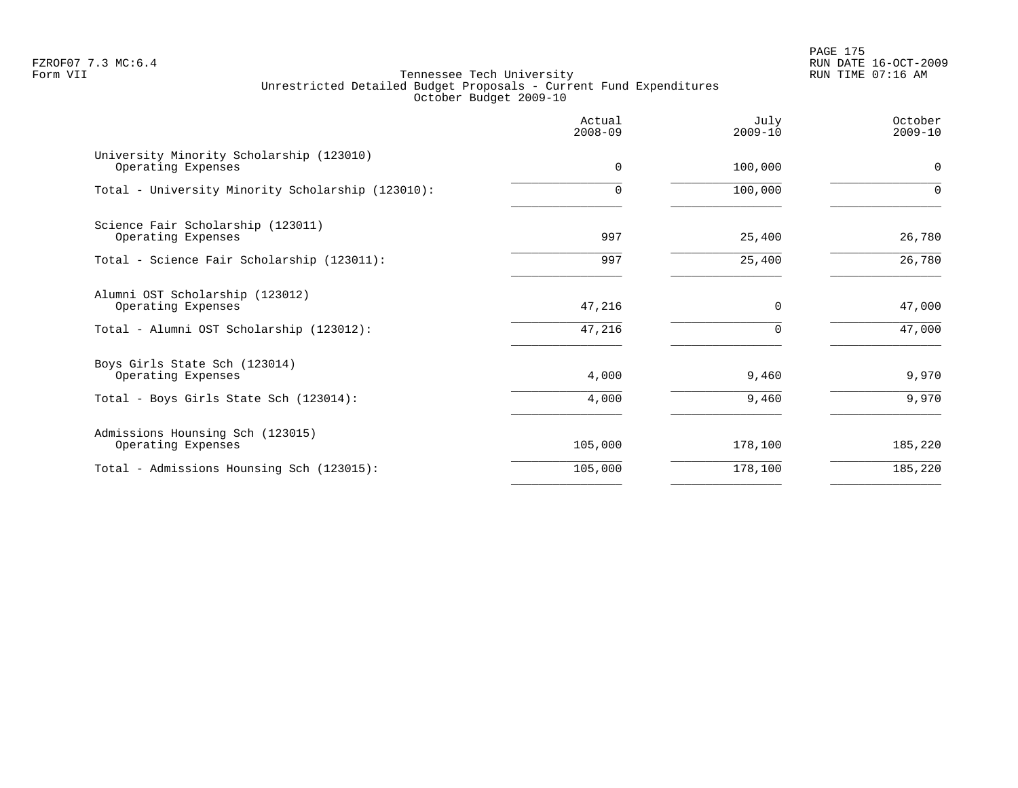PAGE 175 FZROF07 7.3 MC:6.4 RUN DATE 16-OCT-2009

|                                                                | Actual<br>$2008 - 09$ | July<br>$2009 - 10$ | October<br>$2009 - 10$ |
|----------------------------------------------------------------|-----------------------|---------------------|------------------------|
| University Minority Scholarship (123010)<br>Operating Expenses | $\Omega$              | 100,000             | $\mathbf 0$            |
| Total - University Minority Scholarship (123010):              | $\Omega$              | 100,000             | $\Omega$               |
| Science Fair Scholarship (123011)<br>Operating Expenses        | 997                   | 25,400              | 26,780                 |
| Total - Science Fair Scholarship (123011):                     | 997                   | 25,400              | 26,780                 |
| Alumni OST Scholarship (123012)<br>Operating Expenses          | 47,216                | $\Omega$            | 47,000                 |
| Total - Alumni OST Scholarship (123012):                       | 47,216                | $\Omega$            | 47,000                 |
| Boys Girls State Sch (123014)<br>Operating Expenses            | 4,000                 | 9,460               | 9,970                  |
| Total - Boys Girls State Sch (123014):                         | 4,000                 | 9,460               | 9,970                  |
| Admissions Hounsing Sch (123015)<br>Operating Expenses         | 105,000               | 178,100             | 185,220                |
| Total - Admissions Hounsing Sch (123015):                      | 105,000               | 178,100             | 185,220                |
|                                                                |                       |                     |                        |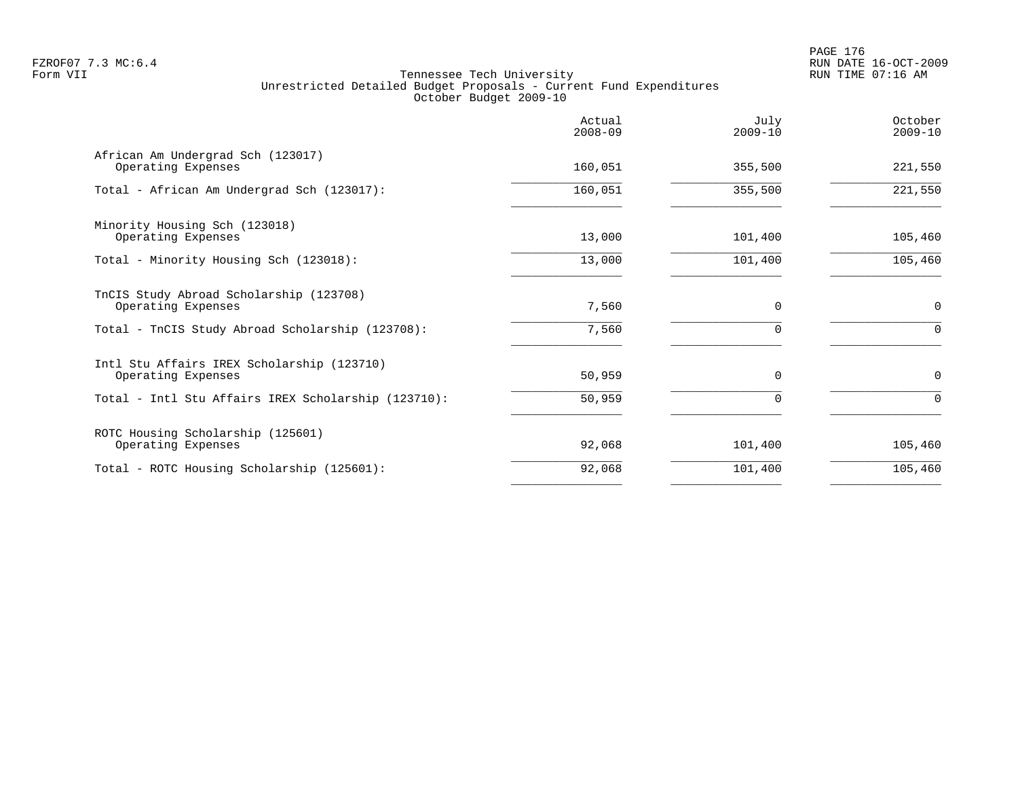|                                                                  | Actual<br>$2008 - 09$ | July<br>$2009 - 10$ | October<br>$2009 - 10$ |
|------------------------------------------------------------------|-----------------------|---------------------|------------------------|
| African Am Undergrad Sch (123017)<br>Operating Expenses          | 160,051               | 355,500             | 221,550                |
| Total - African Am Undergrad Sch (123017):                       | 160,051               | 355,500             | 221,550                |
| Minority Housing Sch (123018)<br>Operating Expenses              | 13,000                | 101,400             | 105,460                |
| Total - Minority Housing Sch (123018):                           | 13,000                | 101,400             | 105,460                |
| TnCIS Study Abroad Scholarship (123708)<br>Operating Expenses    | 7,560                 | $\Omega$            | $\mathbf 0$            |
| Total - TnCIS Study Abroad Scholarship (123708):                 | 7,560                 | $\Omega$            | $\mathbf 0$            |
| Intl Stu Affairs IREX Scholarship (123710)<br>Operating Expenses | 50,959                | $\Omega$            | $\mathbf 0$            |
| Total - Intl Stu Affairs IREX Scholarship (123710):              | 50,959                | $\Omega$            | 0                      |
| ROTC Housing Scholarship (125601)<br>Operating Expenses          | 92,068                | 101,400             | 105,460                |
| Total - ROTC Housing Scholarship (125601):                       | 92,068                | 101,400             | 105,460                |
|                                                                  |                       |                     |                        |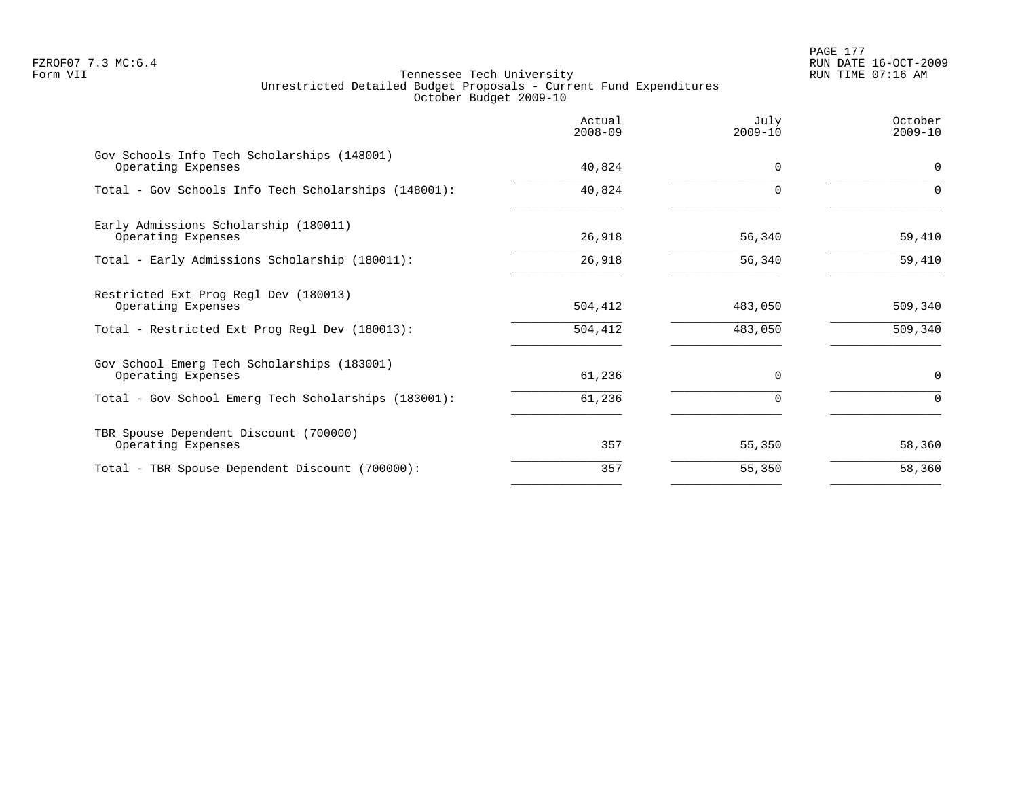# PAGE 177 FZROF07 7.3 MC:6.4 RUN DATE 16-OCT-2009

|                                                                   | Actual<br>$2008 - 09$ | July<br>$2009 - 10$ | October<br>$2009 - 10$ |
|-------------------------------------------------------------------|-----------------------|---------------------|------------------------|
| Gov Schools Info Tech Scholarships (148001)<br>Operating Expenses | 40,824                | $\Omega$            | 0                      |
| Total - Gov Schools Info Tech Scholarships (148001):              | 40,824                | $\Omega$            | $\Omega$               |
| Early Admissions Scholarship (180011)<br>Operating Expenses       | 26,918                | 56,340              | 59,410                 |
| Total - Early Admissions Scholarship (180011):                    | 26,918                | 56,340              | 59,410                 |
| Restricted Ext Prog Regl Dev (180013)<br>Operating Expenses       | 504,412               | 483,050             | 509,340                |
| Total - Restricted Ext Prog Regl Dev (180013):                    | 504,412               | 483,050             | 509,340                |
| Gov School Emerg Tech Scholarships (183001)<br>Operating Expenses | 61,236                | $\Omega$            | 0                      |
| Total - Gov School Emerg Tech Scholarships (183001):              | 61,236                | 0                   | $\Omega$               |
| TBR Spouse Dependent Discount (700000)<br>Operating Expenses      | 357                   | 55,350              | 58,360                 |
| Total - TBR Spouse Dependent Discount (700000):                   | 357                   | 55,350              | 58,360                 |
|                                                                   |                       |                     |                        |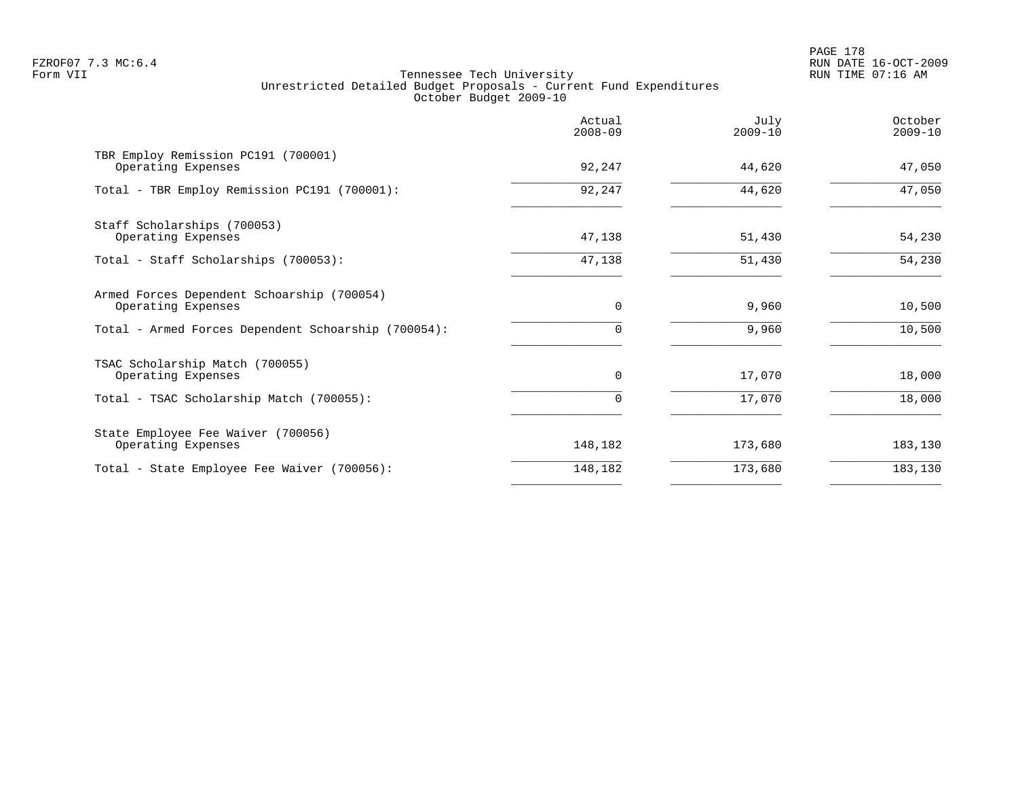PAGE 178 FZROF07 7.3 MC:6.4 RUN DATE 16-OCT-2009

|                                                                  | Actual<br>$2008 - 09$ | July<br>$2009 - 10$ | October<br>$2009 - 10$ |
|------------------------------------------------------------------|-----------------------|---------------------|------------------------|
| TBR Employ Remission PC191 (700001)<br>Operating Expenses        | 92,247                | 44,620              | 47,050                 |
| Total - TBR Employ Remission PC191 (700001):                     | 92,247                | 44,620              | 47,050                 |
| Staff Scholarships (700053)<br>Operating Expenses                | 47,138                | 51,430              | 54,230                 |
| Total - Staff Scholarships (700053):                             | 47,138                | 51,430              | 54,230                 |
| Armed Forces Dependent Schoarship (700054)<br>Operating Expenses | $\mathbf 0$           | 9,960               | 10,500                 |
| Total - Armed Forces Dependent Schoarship (700054):              | 0                     | 9,960               | 10,500                 |
| TSAC Scholarship Match (700055)<br>Operating Expenses            | $\Omega$              | 17,070              | 18,000                 |
| Total - TSAC Scholarship Match (700055):                         | 0                     | 17,070              | 18,000                 |
| State Employee Fee Waiver (700056)<br>Operating Expenses         | 148,182               | 173,680             | 183,130                |
| Total - State Employee Fee Waiver (700056):                      | 148,182               | 173,680             | 183,130                |
|                                                                  |                       |                     |                        |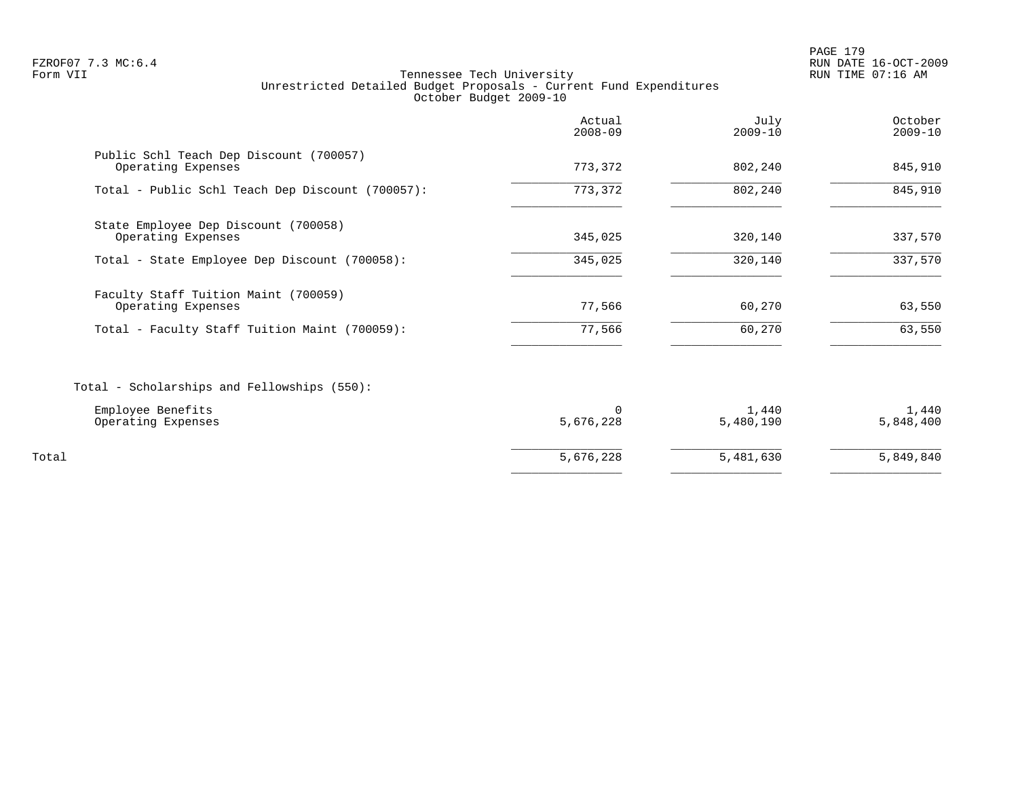PAGE 179 FZROF07 7.3 MC:6.4 RUN DATE 16-OCT-2009

|                                                                                        | Actual<br>$2008 - 09$ | July<br>$2009 - 10$ | October<br>$2009 - 10$ |
|----------------------------------------------------------------------------------------|-----------------------|---------------------|------------------------|
| Public Schl Teach Dep Discount (700057)<br>Operating Expenses                          | 773,372               | 802,240             | 845,910                |
| Total - Public Schl Teach Dep Discount (700057):                                       | 773,372               | 802,240             | 845,910                |
| State Employee Dep Discount (700058)<br>Operating Expenses                             | 345,025               | 320,140             | 337,570                |
| Total - State Employee Dep Discount (700058):                                          | 345,025               | 320,140             | 337,570                |
| Faculty Staff Tuition Maint (700059)<br>Operating Expenses                             | 77,566                | 60,270              | 63,550                 |
| Total - Faculty Staff Tuition Maint (700059):                                          | 77,566                | 60,270              | 63,550                 |
| Total - Scholarships and Fellowships (550):<br>Employee Benefits<br>Operating Expenses | $\Omega$<br>5,676,228 | 1,440<br>5,480,190  | 1,440<br>5,848,400     |
| Total                                                                                  | 5,676,228             | 5,481,630           | 5,849,840              |
|                                                                                        |                       |                     |                        |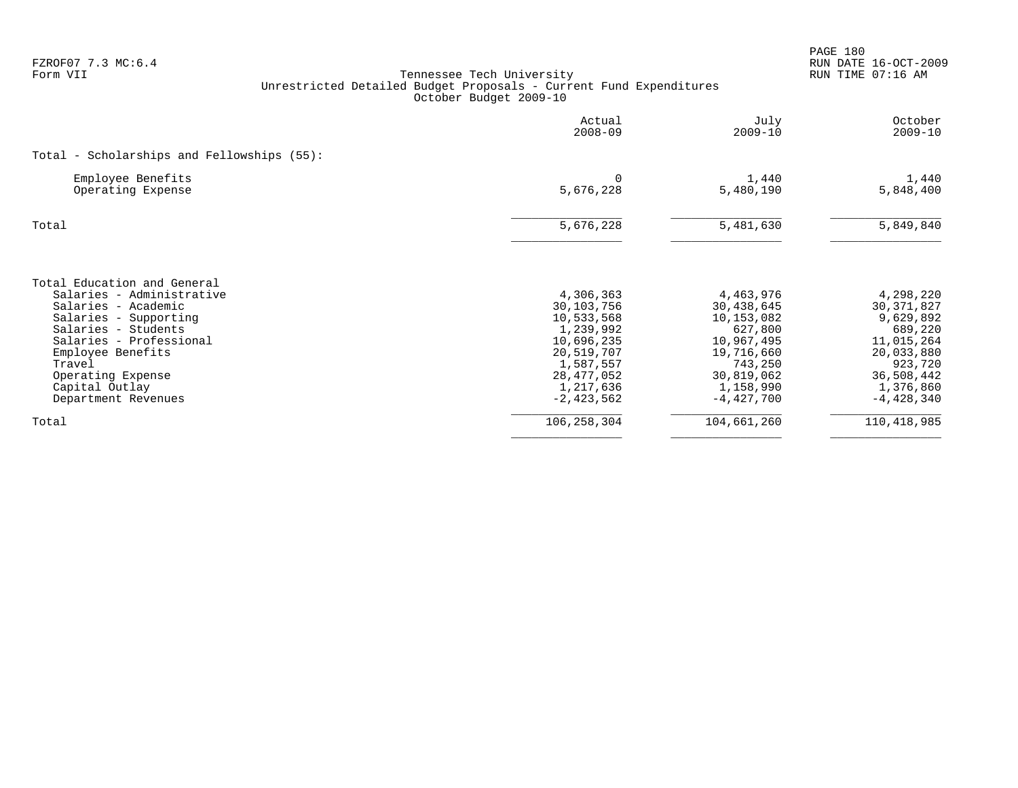| FZROF07 7.3 MC:6.4<br>Form VII                                                                                                                                                                                                                          | Tennessee Tech University<br>Unrestricted Detailed Budget Proposals - Current Fund Expenditures<br>October Budget 2009-10                |                                                                                                                                    | PAGE 180<br>RUN DATE 16-OCT-2009<br>RUN TIME 07:16 AM                                                                               |
|---------------------------------------------------------------------------------------------------------------------------------------------------------------------------------------------------------------------------------------------------------|------------------------------------------------------------------------------------------------------------------------------------------|------------------------------------------------------------------------------------------------------------------------------------|-------------------------------------------------------------------------------------------------------------------------------------|
|                                                                                                                                                                                                                                                         | Actual<br>$2008 - 09$                                                                                                                    | July<br>$2009 - 10$                                                                                                                | October<br>$2009 - 10$                                                                                                              |
| Total - Scholarships and Fellowships (55):                                                                                                                                                                                                              |                                                                                                                                          |                                                                                                                                    |                                                                                                                                     |
| Employee Benefits<br>Operating Expense                                                                                                                                                                                                                  | 0<br>5,676,228                                                                                                                           | 1,440<br>5,480,190                                                                                                                 | 1,440<br>5,848,400                                                                                                                  |
| Total                                                                                                                                                                                                                                                   | 5,676,228                                                                                                                                | 5,481,630                                                                                                                          | 5,849,840                                                                                                                           |
| Total Education and General<br>Salaries - Administrative<br>Salaries - Academic<br>Salaries - Supporting<br>Salaries - Students<br>Salaries - Professional<br>Employee Benefits<br>Travel<br>Operating Expense<br>Capital Outlay<br>Department Revenues | 4,306,363<br>30,103,756<br>10,533,568<br>1,239,992<br>10,696,235<br>20,519,707<br>1,587,557<br>28, 477, 052<br>1,217,636<br>$-2,423,562$ | 4,463,976<br>30,438,645<br>10,153,082<br>627,800<br>10,967,495<br>19,716,660<br>743,250<br>30,819,062<br>1,158,990<br>$-4,427,700$ | 4,298,220<br>30, 371, 827<br>9,629,892<br>689,220<br>11,015,264<br>20,033,880<br>923,720<br>36,508,442<br>1,376,860<br>$-4,428,340$ |
| Total                                                                                                                                                                                                                                                   | 106, 258, 304                                                                                                                            | 104,661,260                                                                                                                        | 110,418,985                                                                                                                         |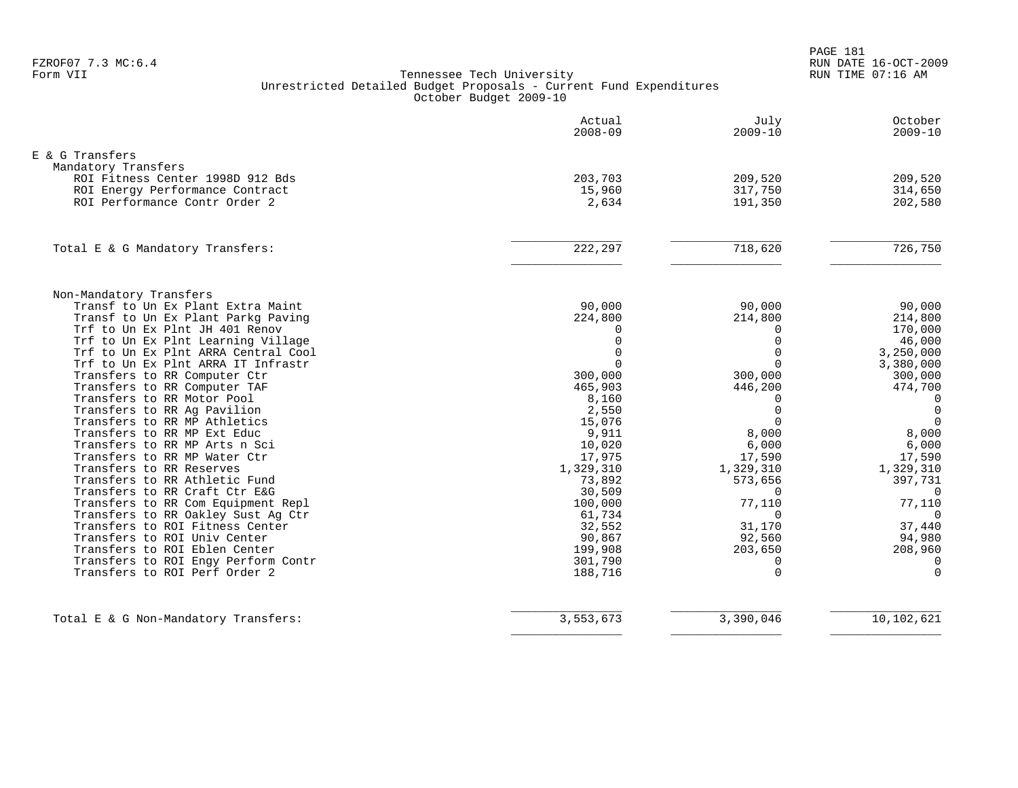PAGE 181 FZROF07 7.3 MC:6.4 RUN DATE 16-OCT-2009

|                                                                           | Actual<br>$2008 - 09$ | July<br>$2009 - 10$  | October<br>$2009 - 10$   |
|---------------------------------------------------------------------------|-----------------------|----------------------|--------------------------|
| E & G Transfers                                                           |                       |                      |                          |
| Mandatory Transfers                                                       |                       |                      |                          |
| ROI Fitness Center 1998D 912 Bds                                          | 203,703               | 209,520              | 209,520                  |
| ROI Energy Performance Contract                                           | 15,960                | 317,750              | 314,650                  |
| ROI Performance Contr Order 2                                             | 2,634                 | 191,350              | 202,580                  |
| Total E & G Mandatory Transfers:                                          | 222, 297              | 718,620              | 726,750                  |
|                                                                           |                       |                      |                          |
| Non-Mandatory Transfers                                                   |                       |                      |                          |
| Transf to Un Ex Plant Extra Maint                                         | 90,000                | 90,000               | 90,000                   |
| Transf to Un Ex Plant Parkg Paving                                        | 224,800               | 214,800              | 214,800                  |
| Trf to Un Ex Plnt JH 401 Renov                                            | $\Omega$              | $\Omega$             | 170,000                  |
| Trf to Un Ex Plnt Learning Village                                        | $\Omega$<br>$\Omega$  | $\Omega$<br>$\Omega$ | 46,000                   |
| Trf to Un Ex Plnt ARRA Central Cool<br>Trf to Un Ex Plnt ARRA IT Infrastr | $\Omega$              | $\Omega$             | 3,250,000<br>3,380,000   |
| Transfers to RR Computer Ctr                                              | 300,000               | 300,000              | 300,000                  |
| Transfers to RR Computer TAF                                              | 465,903               | 446,200              | 474,700                  |
| Transfers to RR Motor Pool                                                | 8,160                 | $\Omega$             | 0                        |
| Transfers to RR Ag Pavilion                                               | 2,550                 | $\mathbf 0$          | $\overline{0}$           |
| Transfers to RR MP Athletics                                              | 15,076                | $\Omega$             | $\Omega$                 |
| Transfers to RR MP Ext Educ                                               | 9,911                 | 8,000                | 8,000                    |
| Transfers to RR MP Arts n Sci                                             | 10,020                | 6,000                | 6,000                    |
| Transfers to RR MP Water Ctr                                              | 17,975                | 17,590               | 17,590                   |
| Transfers to RR Reserves                                                  | 1,329,310             | 1,329,310            | 1,329,310                |
| Transfers to RR Athletic Fund                                             | 73,892                | 573,656              | 397,731                  |
| Transfers to RR Craft Ctr E&G                                             | 30,509                | $\Omega$             | $\Omega$                 |
| Transfers to RR Com Equipment Repl<br>Transfers to RR Oakley Sust Ag Ctr  | 100,000<br>61,734     | 77,110<br>$\Omega$   | 77,110<br>$\overline{0}$ |
| Transfers to ROI Fitness Center                                           | 32,552                | 31,170               | 37,440                   |
| Transfers to ROI Univ Center                                              | 90,867                | 92,560               | 94,980                   |
| Transfers to ROI Eblen Center                                             | 199,908               | 203,650              | 208,960                  |
| Transfers to ROI Engy Perform Contr                                       | 301,790               | $\Omega$             | $\Omega$                 |
| Transfers to ROI Perf Order 2                                             | 188,716               | $\Omega$             | $\Omega$                 |
| Total E & G Non-Mandatory Transfers:                                      | 3,553,673             | 3,390,046            | 10,102,621               |
|                                                                           |                       |                      |                          |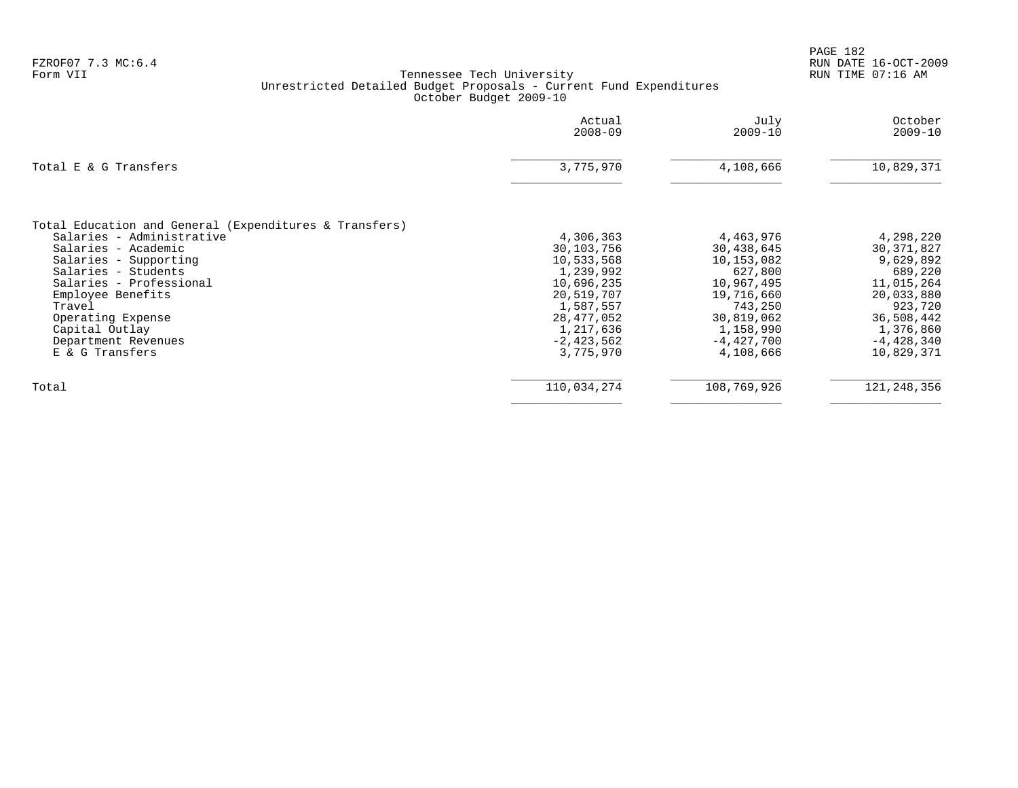|                                                                                                                                                                                                                                                                                                       | Actual<br>$2008 - 09$                                                                                                                             | July<br>$2009 - 10$                                                                                                                             | October<br>$2009 - 10$                                                                                                                            |
|-------------------------------------------------------------------------------------------------------------------------------------------------------------------------------------------------------------------------------------------------------------------------------------------------------|---------------------------------------------------------------------------------------------------------------------------------------------------|-------------------------------------------------------------------------------------------------------------------------------------------------|---------------------------------------------------------------------------------------------------------------------------------------------------|
| Total E & G Transfers                                                                                                                                                                                                                                                                                 | 3,775,970                                                                                                                                         | 4,108,666                                                                                                                                       | 10,829,371                                                                                                                                        |
| Total Education and General (Expenditures & Transfers)<br>Salaries - Administrative<br>Salaries - Academic<br>Salaries - Supporting<br>Salaries - Students<br>Salaries - Professional<br>Employee Benefits<br>Travel<br>Operating Expense<br>Capital Outlay<br>Department Revenues<br>E & G Transfers | 4,306,363<br>30,103,756<br>10,533,568<br>1,239,992<br>10,696,235<br>20,519,707<br>1,587,557<br>28,477,052<br>1,217,636<br>-2,423,562<br>3,775,970 | 4,463,976<br>30,438,645<br>10,153,082<br>627,800<br>10,967,495<br>19,716,660<br>743,250<br>30,819,062<br>1,158,990<br>$-4,427,700$<br>4,108,666 | 4,298,220<br>30, 371, 827<br>9,629,892<br>689,220<br>11,015,264<br>20,033,880<br>923,720<br>36,508,442<br>1,376,860<br>$-4,428,340$<br>10,829,371 |
| Total                                                                                                                                                                                                                                                                                                 | 110,034,274                                                                                                                                       | 108,769,926                                                                                                                                     | 121, 248, 356                                                                                                                                     |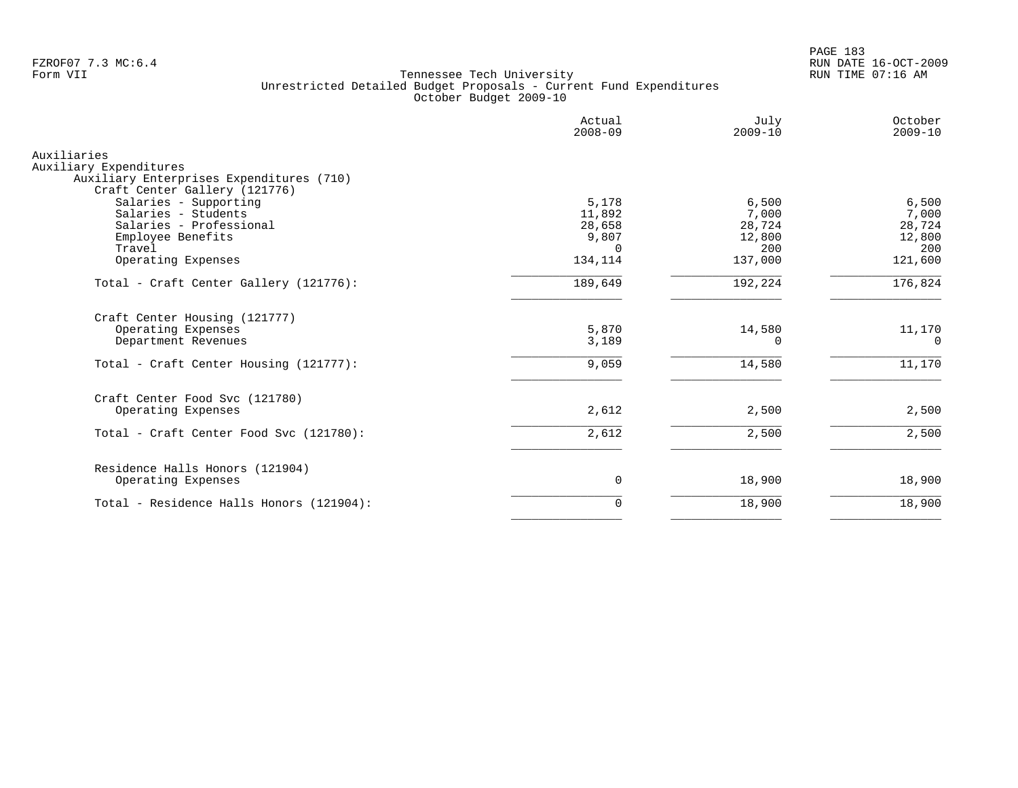PAGE 183 FZROF07 7.3 MC:6.4 RUN DATE 16-OCT-2009

|                                                                                                                                                                                                           | Actual<br>$2008 - 09$                                   | July<br>$2009 - 10$                                  | October<br>$2009 - 10$                               |
|-----------------------------------------------------------------------------------------------------------------------------------------------------------------------------------------------------------|---------------------------------------------------------|------------------------------------------------------|------------------------------------------------------|
| Auxiliaries<br>Auxiliary Expenditures                                                                                                                                                                     |                                                         |                                                      |                                                      |
| Auxiliary Enterprises Expenditures (710)<br>Craft Center Gallery (121776)<br>Salaries - Supporting<br>Salaries - Students<br>Salaries - Professional<br>Employee Benefits<br>Travel<br>Operating Expenses | 5,178<br>11,892<br>28,658<br>9,807<br>$\cap$<br>134,114 | 6,500<br>7,000<br>28,724<br>12,800<br>200<br>137,000 | 6,500<br>7,000<br>28,724<br>12,800<br>200<br>121,600 |
| Total - Craft Center Gallery (121776):                                                                                                                                                                    | 189,649                                                 | 192,224                                              | 176,824                                              |
| Craft Center Housing (121777)<br>Operating Expenses<br>Department Revenues                                                                                                                                | 5,870<br>3,189                                          | 14,580<br>0                                          | 11,170<br>$\Omega$                                   |
| Total - Craft Center Housing (121777):                                                                                                                                                                    | 9,059                                                   | 14,580                                               | 11,170                                               |
| Craft Center Food Svc (121780)<br>Operating Expenses                                                                                                                                                      | 2,612                                                   | 2,500                                                | 2,500                                                |
| Total - Craft Center Food Svc (121780):                                                                                                                                                                   | 2,612                                                   | 2,500                                                | 2,500                                                |
| Residence Halls Honors (121904)<br>Operating Expenses                                                                                                                                                     | 0                                                       | 18,900                                               | 18,900                                               |
| Total - Residence Halls Honors (121904):                                                                                                                                                                  | $\mathbf 0$                                             | 18,900                                               | 18,900                                               |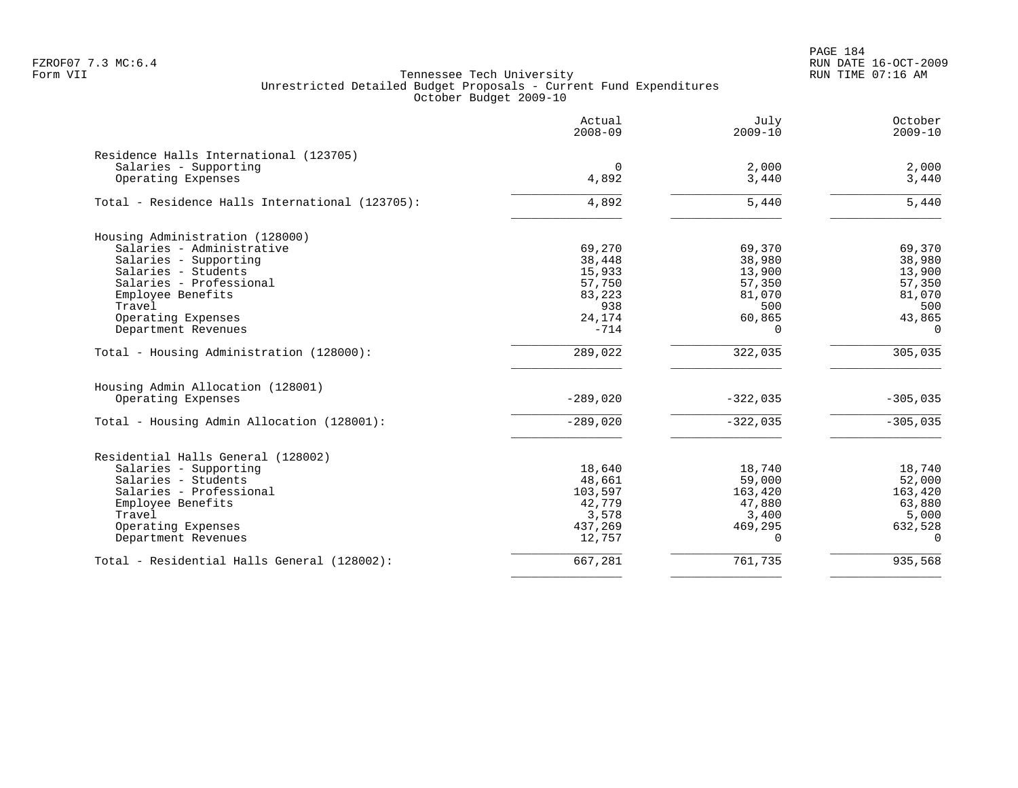PAGE 184 FZROF07 7.3 MC:6.4 RUN DATE 16-OCT-2009

|                                                 | Actual<br>$2008 - 09$ | July<br>$2009 - 10$ | October<br>$2009 - 10$ |
|-------------------------------------------------|-----------------------|---------------------|------------------------|
| Residence Halls International (123705)          |                       |                     |                        |
| Salaries - Supporting                           | 0                     | 2,000               | 2,000                  |
| Operating Expenses                              | 4,892                 | 3,440               | 3,440                  |
| Total - Residence Halls International (123705): | 4,892                 | 5,440               | 5,440                  |
| Housing Administration (128000)                 |                       |                     |                        |
| Salaries - Administrative                       | 69,270                | 69,370              | 69,370                 |
| Salaries - Supporting                           | 38,448                | 38,980              | 38,980                 |
| Salaries - Students                             | 15,933                | 13,900              | 13,900                 |
| Salaries - Professional                         | 57,750                | 57,350              | 57,350                 |
| Employee Benefits                               | 83,223                | 81,070              | 81,070                 |
| Travel                                          | 938                   | 500                 | 500                    |
| Operating Expenses                              | 24,174                | 60,865              | 43,865                 |
| Department Revenues                             | $-714$                | $\Omega$            | $\Omega$               |
| Total - Housing Administration (128000):        | 289,022               | 322,035             | 305,035                |
| Housing Admin Allocation (128001)               |                       |                     |                        |
| Operating Expenses                              | $-289,020$            | $-322,035$          | $-305,035$             |
| Total - Housing Admin Allocation (128001):      | $-289,020$            | $-322,035$          | $-305,035$             |
| Residential Halls General (128002)              |                       |                     |                        |
| Salaries - Supporting                           | 18,640                | 18,740              | 18,740                 |
| Salaries - Students                             | 48,661                | 59,000              | 52,000                 |
| Salaries - Professional                         | 103,597               | 163,420             | 163,420                |
| Employee Benefits                               | 42,779                | 47,880              | 63,880                 |
| Travel                                          | 3,578                 | 3,400               | 5,000                  |
| Operating Expenses                              | 437,269               | 469,295             | 632,528                |
| Department Revenues                             | 12,757                | $\Omega$            | $\Omega$               |
| Total - Residential Halls General (128002):     | 667,281               | 761,735             | 935,568                |
|                                                 |                       |                     |                        |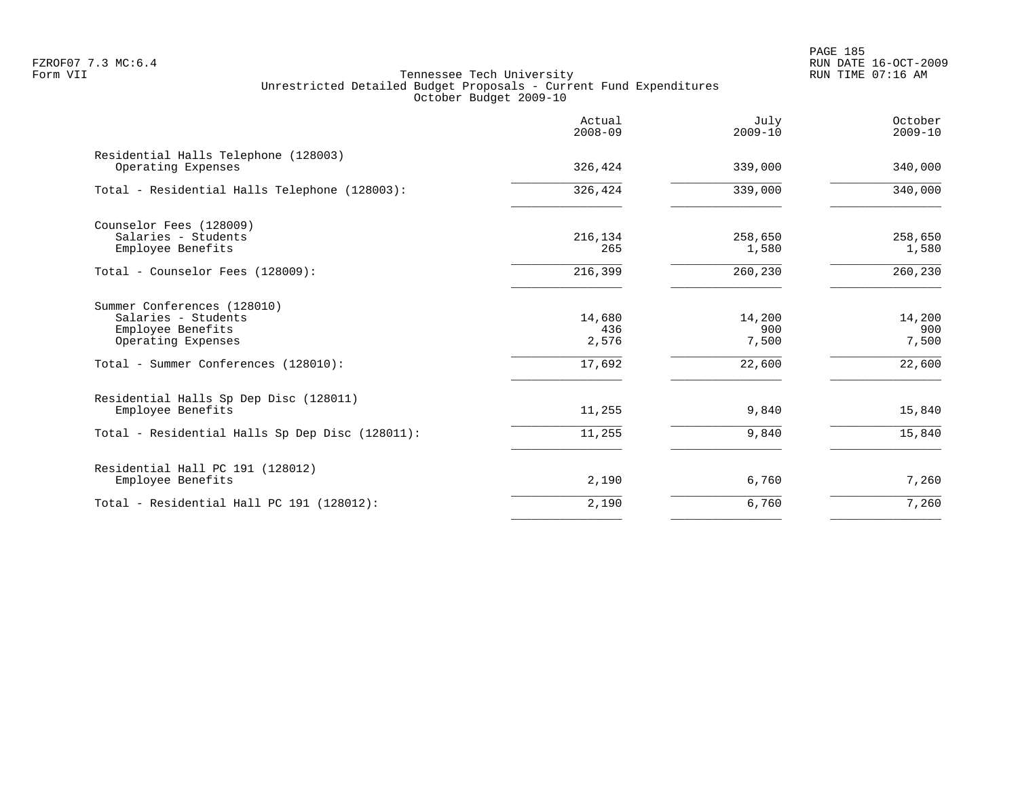PAGE 185 FZROF07 7.3 MC:6.4 RUN DATE 16-OCT-2009

|                                                                                                                                       | Actual<br>$2008 - 09$            | July<br>$2009 - 10$              | October<br>$2009 - 10$           |
|---------------------------------------------------------------------------------------------------------------------------------------|----------------------------------|----------------------------------|----------------------------------|
| Residential Halls Telephone (128003)<br>Operating Expenses                                                                            | 326,424                          | 339,000                          | 340,000                          |
| Total - Residential Halls Telephone (128003):                                                                                         | 326,424                          | 339,000                          | 340,000                          |
| Counselor Fees (128009)<br>Salaries - Students<br>Employee Benefits                                                                   | 216,134<br>265                   | 258,650<br>1,580                 | 258,650<br>1,580                 |
| Total - Counselor Fees (128009):                                                                                                      | 216,399                          | 260,230                          | 260,230                          |
| Summer Conferences (128010)<br>Salaries - Students<br>Employee Benefits<br>Operating Expenses<br>Total - Summer Conferences (128010): | 14,680<br>436<br>2,576<br>17,692 | 14,200<br>900<br>7,500<br>22,600 | 14,200<br>900<br>7,500<br>22,600 |
| Residential Halls Sp Dep Disc (128011)<br>Employee Benefits<br>Total - Residential Halls Sp Dep Disc (128011):                        | 11,255<br>11,255                 | 9,840<br>9,840                   | 15,840<br>15,840                 |
| Residential Hall PC 191 (128012)<br>Employee Benefits                                                                                 | 2,190                            | 6,760                            | 7,260                            |
| Total - Residential Hall PC 191 (128012):                                                                                             | 2,190                            | 6,760                            | 7,260                            |
|                                                                                                                                       |                                  |                                  |                                  |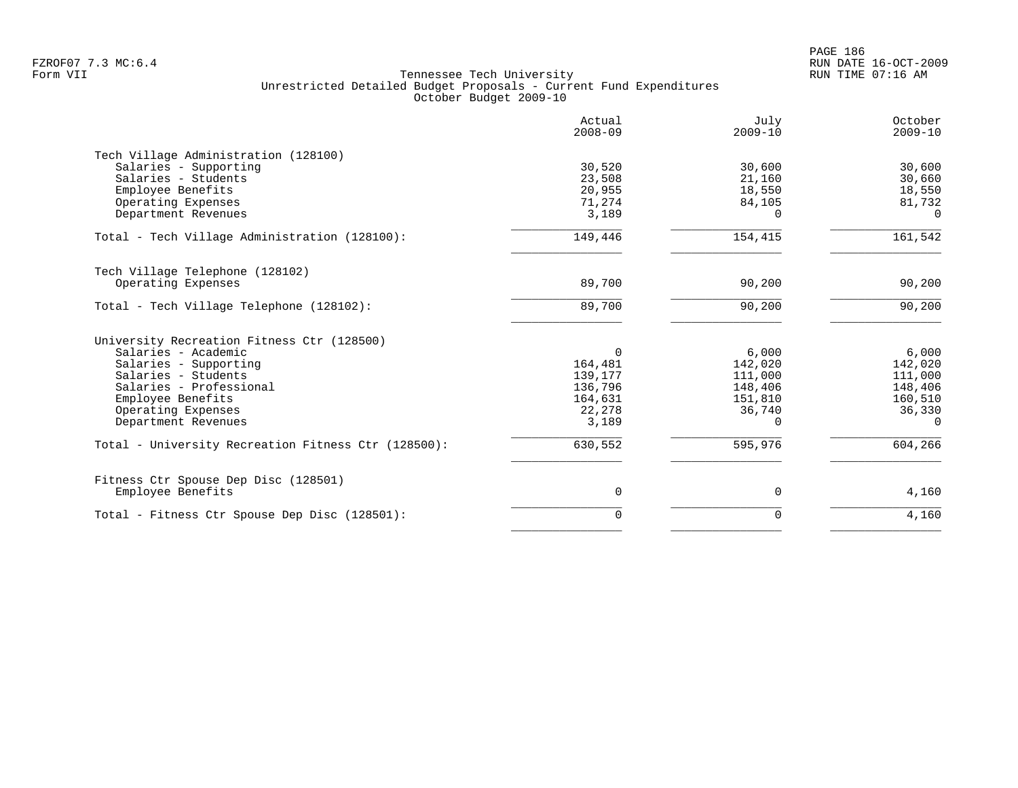|                                                               | Actual<br>$2008 - 09$ | July<br>$2009 - 10$ | October<br>$2009 - 10$ |
|---------------------------------------------------------------|-----------------------|---------------------|------------------------|
| Tech Village Administration (128100)<br>Salaries - Supporting | 30,520                | 30,600              | 30,600                 |
| Salaries - Students                                           | 23,508                | 21,160              | 30,660                 |
| Employee Benefits                                             | 20,955                | 18,550              | 18,550                 |
| Operating Expenses                                            | 71,274                | 84,105              | 81,732                 |
| Department Revenues                                           | 3,189                 | 0                   | $\Omega$               |
| Total - Tech Village Administration (128100):                 | 149,446               | 154,415             | 161,542                |
| Tech Village Telephone (128102)                               |                       |                     |                        |
| Operating Expenses                                            | 89,700                | 90,200              | 90,200                 |
| Total - Tech Village Telephone (128102):                      | 89,700                | 90,200              | 90,200                 |
| University Recreation Fitness Ctr (128500)                    |                       |                     |                        |
| Salaries - Academic                                           | $\Omega$              | 6,000               | 6,000                  |
| Salaries - Supporting                                         | 164,481               | 142,020             | 142,020                |
| Salaries - Students                                           | 139,177               | 111,000             | 111,000                |
| Salaries - Professional                                       | 136,796               | 148,406             | 148,406                |
| Employee Benefits                                             | 164,631               | 151,810             | 160,510                |
| Operating Expenses                                            | 22,278                | 36,740              | 36,330                 |
| Department Revenues                                           | 3,189                 | $\Omega$            | $\Omega$               |
| Total - University Recreation Fitness Ctr (128500):           | 630,552               | 595,976             | 604,266                |
| Fitness Ctr Spouse Dep Disc (128501)                          |                       |                     |                        |
| Employee Benefits                                             | 0                     | 0                   | 4,160                  |
| Total - Fitness Ctr Spouse Dep Disc (128501):                 | $\Omega$              | $\Omega$            | 4,160                  |
|                                                               |                       |                     |                        |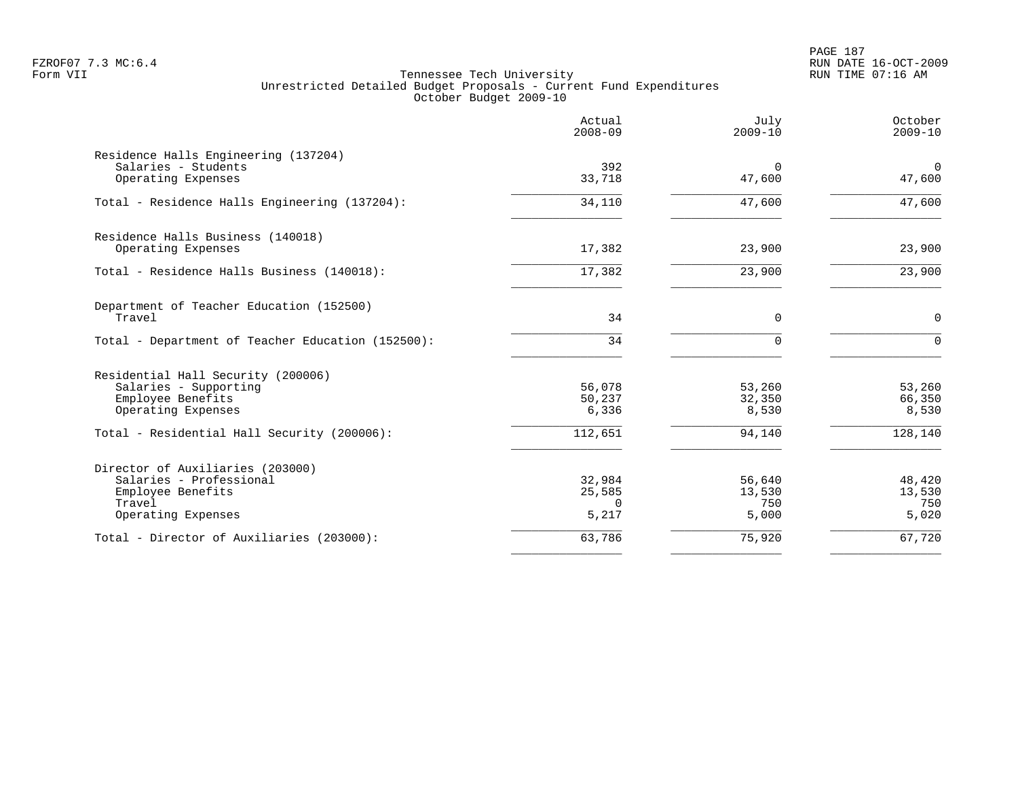PAGE 187 FZROF07 7.3 MC:6.4 RUN DATE 16-OCT-2009

|                                                                                                                  | Actual<br>$2008 - 09$                 | July<br>$2009 - 10$              | October<br>$2009 - 10$           |
|------------------------------------------------------------------------------------------------------------------|---------------------------------------|----------------------------------|----------------------------------|
| Residence Halls Engineering (137204)<br>Salaries - Students<br>Operating Expenses                                | 392<br>33,718                         | $\Omega$<br>47,600               | $\mathbf 0$<br>47,600            |
| Total - Residence Halls Engineering (137204):                                                                    | 34,110                                | 47,600                           | 47,600                           |
| Residence Halls Business (140018)<br>Operating Expenses                                                          | 17,382                                | 23,900                           | 23,900                           |
| Total - Residence Halls Business (140018):                                                                       | 17,382                                | 23,900                           | 23,900                           |
| Department of Teacher Education (152500)<br>Travel                                                               | 34                                    | $\mathbf 0$                      | $\mathbf 0$                      |
| Total - Department of Teacher Education (152500):                                                                | 34                                    | $\Omega$                         | $\Omega$                         |
| Residential Hall Security (200006)<br>Salaries - Supporting<br>Employee Benefits<br>Operating Expenses           | 56,078<br>50,237<br>6,336             | 53,260<br>32,350<br>8,530        | 53,260<br>66,350<br>8,530        |
| Total - Residential Hall Security (200006):                                                                      | 112,651                               | 94,140                           | 128,140                          |
| Director of Auxiliaries (203000)<br>Salaries - Professional<br>Employee Benefits<br>Travel<br>Operating Expenses | 32,984<br>25,585<br>$\Omega$<br>5,217 | 56,640<br>13,530<br>750<br>5,000 | 48,420<br>13,530<br>750<br>5,020 |
| Total - Director of Auxiliaries (203000):                                                                        | 63,786                                | 75,920                           | 67,720                           |
|                                                                                                                  |                                       |                                  |                                  |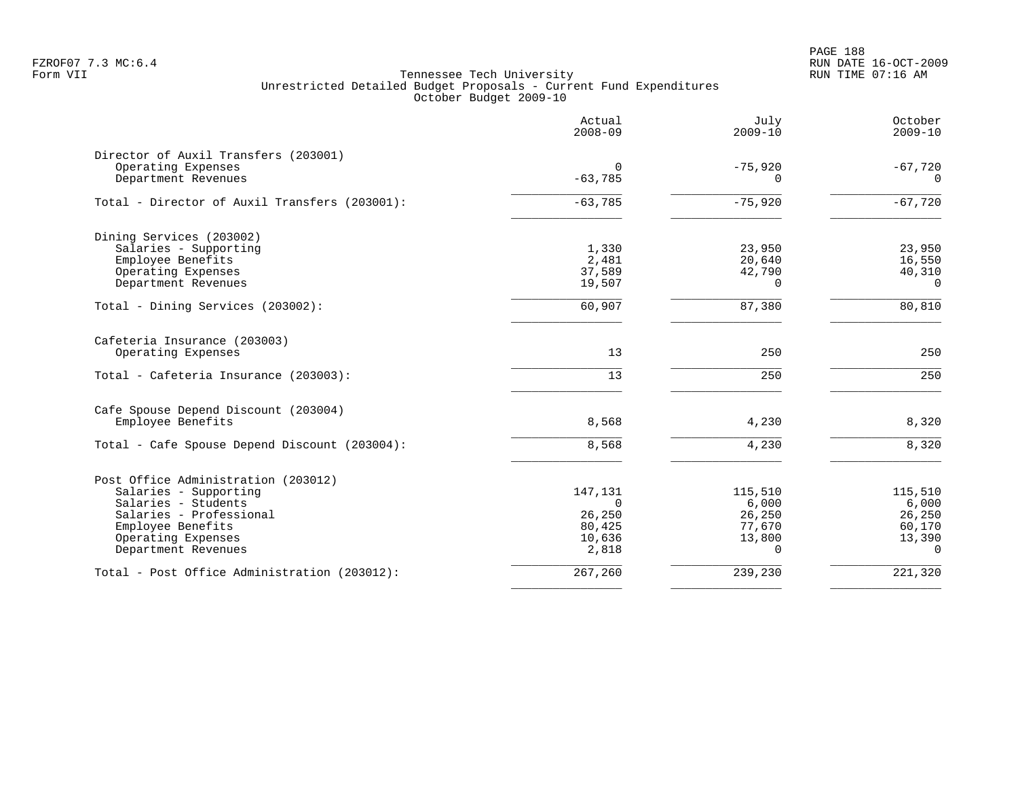PAGE 188 FZROF07 7.3 MC:6.4 RUN DATE 16-OCT-2009

| Actual<br>$2008 - 09$ | July<br>$2009 - 10$                                                                | October<br>$2009 - 10$                                                                        |
|-----------------------|------------------------------------------------------------------------------------|-----------------------------------------------------------------------------------------------|
|                       |                                                                                    |                                                                                               |
|                       |                                                                                    | $-67,720$                                                                                     |
|                       |                                                                                    | 0                                                                                             |
| $-63,785$             | $-75,920$                                                                          | $-67,720$                                                                                     |
|                       |                                                                                    |                                                                                               |
|                       |                                                                                    | 23,950                                                                                        |
|                       |                                                                                    | 16,550                                                                                        |
|                       |                                                                                    | 40,310<br>$\Omega$                                                                            |
|                       |                                                                                    |                                                                                               |
| 60,907                | 87,380                                                                             | 80,810                                                                                        |
|                       |                                                                                    |                                                                                               |
| 13                    | 250                                                                                | 250                                                                                           |
| 13                    | 250                                                                                | 250                                                                                           |
|                       |                                                                                    |                                                                                               |
| 8,568                 | 4,230                                                                              | 8,320                                                                                         |
| 8,568                 | 4,230                                                                              | 8,320                                                                                         |
|                       |                                                                                    |                                                                                               |
| 147,131               | 115,510                                                                            | 115,510                                                                                       |
| $\Omega$              | 6,000                                                                              | 6,000                                                                                         |
|                       |                                                                                    | 26,250                                                                                        |
|                       |                                                                                    | 60,170                                                                                        |
| 2,818                 | $\Omega$                                                                           | 13,390<br>$\Omega$                                                                            |
|                       |                                                                                    |                                                                                               |
|                       | 0<br>$-63,785$<br>1,330<br>2,481<br>37,589<br>19,507<br>26,250<br>80,425<br>10,636 | $-75,920$<br>$\Omega$<br>23,950<br>20,640<br>42,790<br>$\Omega$<br>26,250<br>77,670<br>13,800 |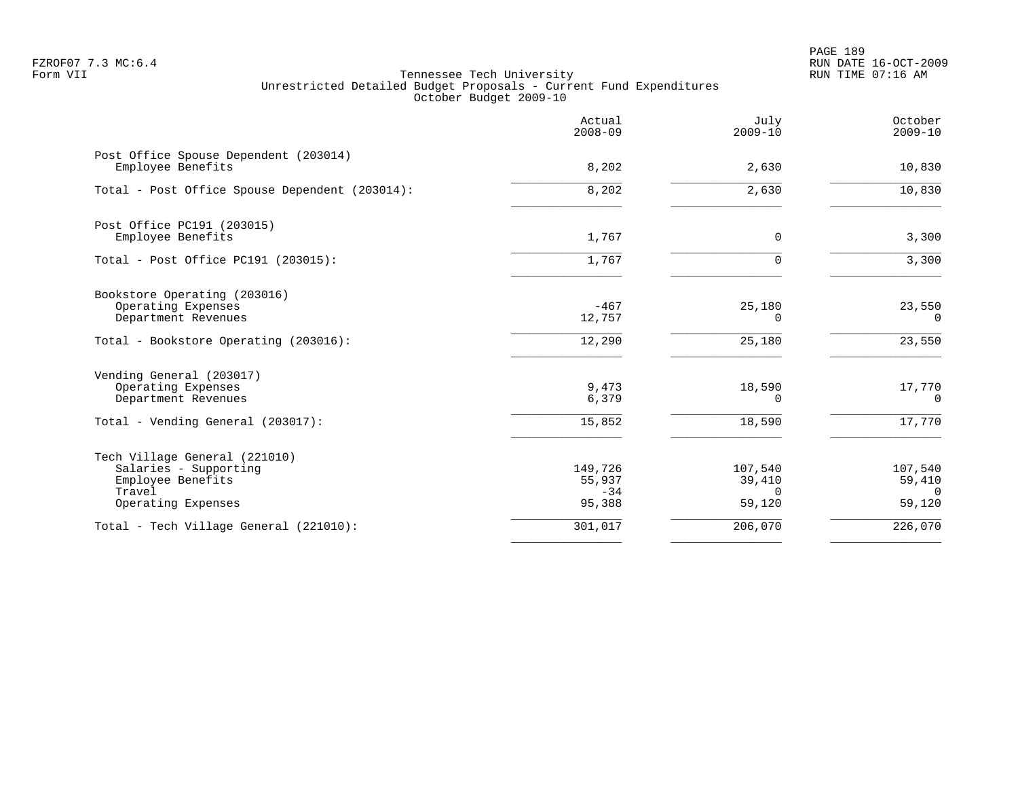PAGE 189 FZROF07 7.3 MC:6.4 RUN DATE 16-OCT-2009

|                                                                                                             | Actual<br>$2008 - 09$                | July<br>$2009 - 10$                     | October<br>$2009 - 10$                  |
|-------------------------------------------------------------------------------------------------------------|--------------------------------------|-----------------------------------------|-----------------------------------------|
| Post Office Spouse Dependent (203014)<br>Employee Benefits                                                  | 8,202                                | 2,630                                   | 10,830                                  |
| Total - Post Office Spouse Dependent (203014):                                                              | 8,202                                | 2,630                                   | 10,830                                  |
| Post Office PC191 (203015)<br>Employee Benefits                                                             | 1,767                                | 0                                       | 3,300                                   |
| Total - Post Office PC191 (203015):                                                                         | 1,767                                |                                         | 3,300                                   |
| Bookstore Operating (203016)<br>Operating Expenses<br>Department Revenues                                   | $-467$<br>12,757                     | 25,180<br>0                             | 23,550<br>$\Omega$                      |
| Total - Bookstore Operating (203016):                                                                       | 12,290                               | 25,180                                  | 23,550                                  |
| Vending General (203017)<br>Operating Expenses<br>Department Revenues                                       | 9,473<br>6,379                       | 18,590<br>0                             | 17,770<br>0                             |
| Total - Vending General (203017):                                                                           | 15,852                               | 18,590                                  | 17,770                                  |
| Tech Village General (221010)<br>Salaries - Supporting<br>Employee Benefits<br>Travel<br>Operating Expenses | 149,726<br>55,937<br>$-34$<br>95,388 | 107,540<br>39,410<br>$\Omega$<br>59,120 | 107,540<br>59,410<br>$\Omega$<br>59,120 |
| Total - Tech Village General (221010):                                                                      | 301,017                              | 206,070                                 | 226,070                                 |
|                                                                                                             |                                      |                                         |                                         |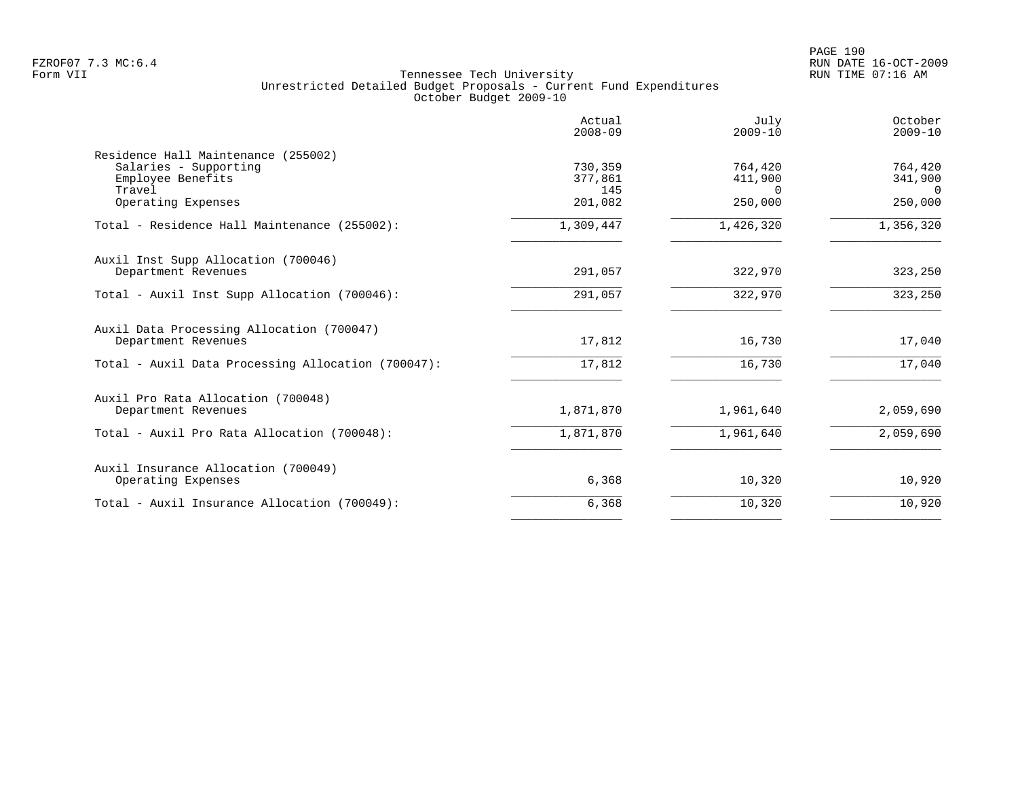|                                                                                             | Actual<br>$2008 - 09$     | July<br>$2009 - 10$            | October<br>$2009 - 10$         |
|---------------------------------------------------------------------------------------------|---------------------------|--------------------------------|--------------------------------|
| Residence Hall Maintenance (255002)<br>Salaries - Supporting<br>Employee Benefits<br>Travel | 730,359<br>377,861<br>145 | 764,420<br>411,900<br>$\Omega$ | 764,420<br>341,900<br>$\Omega$ |
| Operating Expenses                                                                          | 201,082                   | 250,000                        | 250,000                        |
| Total - Residence Hall Maintenance (255002):                                                | 1,309,447                 | 1,426,320                      | 1,356,320                      |
| Auxil Inst Supp Allocation (700046)<br>Department Revenues                                  | 291,057                   | 322,970                        | 323,250                        |
| Total - Auxil Inst Supp Allocation (700046):                                                | 291,057                   | 322,970                        | 323,250                        |
| Auxil Data Processing Allocation (700047)<br>Department Revenues                            | 17,812                    | 16,730                         | 17,040                         |
| Total - Auxil Data Processing Allocation (700047):                                          | 17,812                    | 16,730                         | 17,040                         |
| Auxil Pro Rata Allocation (700048)<br>Department Revenues                                   | 1,871,870                 | 1,961,640                      | 2,059,690                      |
| Total - Auxil Pro Rata Allocation (700048):                                                 | 1,871,870                 | 1,961,640                      | 2,059,690                      |
| Auxil Insurance Allocation (700049)<br>Operating Expenses                                   | 6,368                     | 10,320                         | 10,920                         |
| Total - Auxil Insurance Allocation (700049):                                                | 6,368                     | 10,320                         | 10,920                         |
|                                                                                             |                           |                                |                                |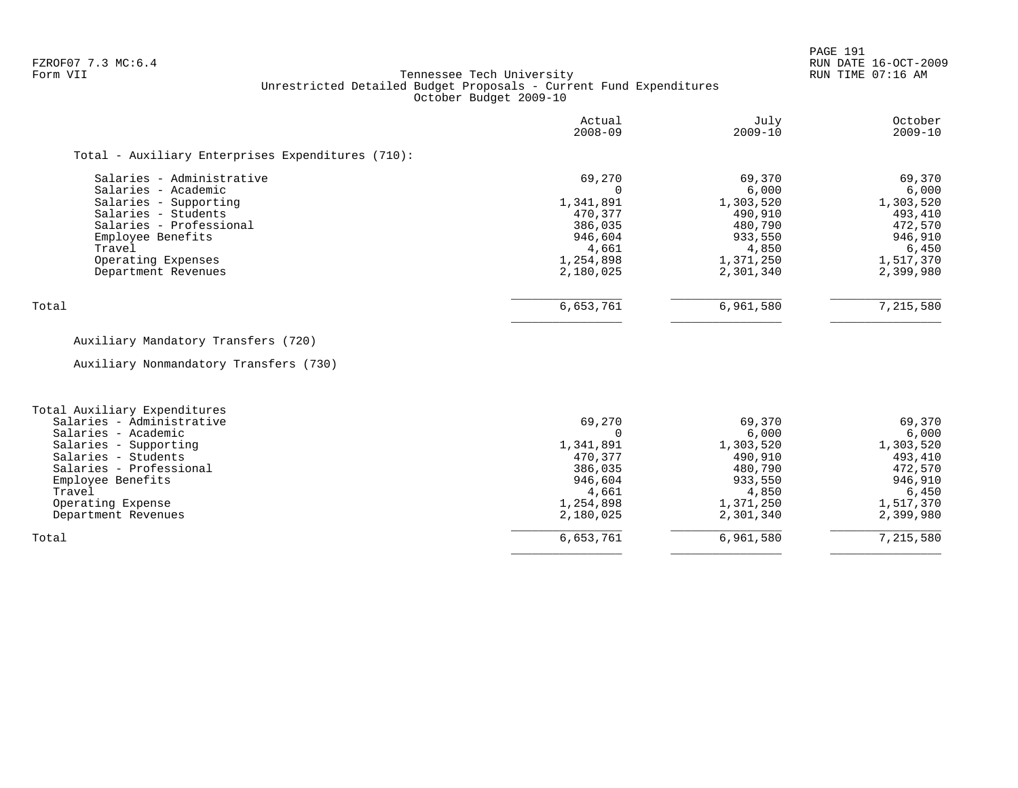PAGE 191

### FZROF07 7.3 MC:6.4 RUN DATE 16-OCT-2009<br>Form VII RUN TIME 07:16 AM Tennessee Tech University Unrestricted Detailed Budget Proposals - Current Fund Expenditures October Budget 2009-10

|                                                   | Actual<br>$2008 - 09$ | July<br>$2009 - 10$ | October<br>$2009 - 10$ |
|---------------------------------------------------|-----------------------|---------------------|------------------------|
| Total - Auxiliary Enterprises Expenditures (710): |                       |                     |                        |
| Salaries - Administrative                         | 69,270                | 69,370              | 69,370                 |
| Salaries - Academic                               |                       | 6,000               | 6,000                  |
| Salaries - Supporting                             | 1,341,891             | 1,303,520           | 1,303,520              |
| Salaries - Students                               | 470.377               | 490,910             | 493,410                |
| Salaries - Professional                           | 386,035               | 480,790             | 472,570                |
| Employee Benefits                                 | 946,604               | 933,550             | 946,910                |
| Travel                                            | 4,661                 | 4,850               | 6,450                  |
| Operating Expenses                                | 1,254,898             | 1,371,250           | 1,517,370              |
| Department Revenues                               | 2,180,025             | 2,301,340           | 2,399,980              |
| Total                                             | 6,653,761             | 6,961,580           | 7,215,580              |

# Auxiliary Mandatory Transfers (720)

Auxiliary Nonmandatory Transfers (730)

| Total Auxiliary Expenditures |           |           |           |
|------------------------------|-----------|-----------|-----------|
| Salaries - Administrative    | 69,270    | 69,370    | 69,370    |
| Salaries - Academic          |           | 6,000     | 6,000     |
| Salaries - Supporting        | 1,341,891 | 1,303,520 | 1,303,520 |
| Salaries - Students          | 470,377   | 490,910   | 493,410   |
| Salaries - Professional      | 386,035   | 480,790   | 472,570   |
| Employee Benefits            | 946,604   | 933,550   | 946,910   |
| Travel                       | 4,661     | 4,850     | 6,450     |
| Operating Expense            | 1,254,898 | 1,371,250 | 1,517,370 |
| Department Revenues          | 2,180,025 | 2,301,340 | 2,399,980 |
| Total                        | 6,653,761 | 6,961,580 | 7,215,580 |
|                              |           |           |           |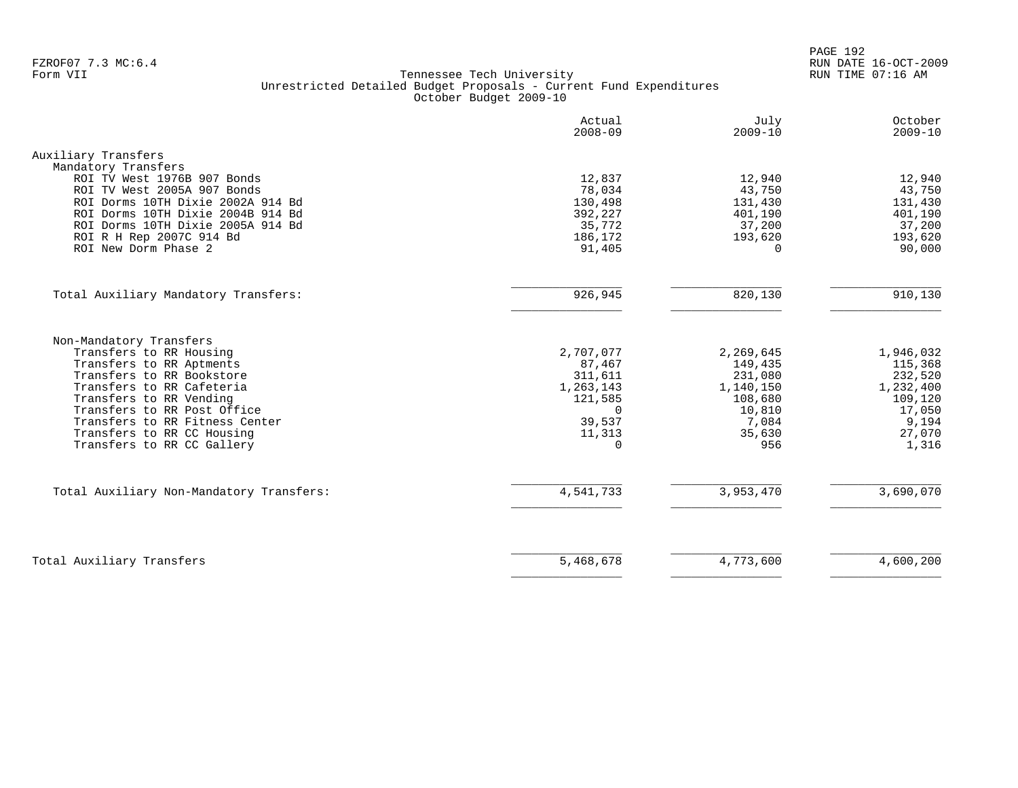PAGE 192 FZROF07 7.3 MC:6.4 RUN DATE 16-OCT-2009

|                                                                                                                                                                                                                                                                                                  | Actual<br>$2008 - 09$                                                                              | July<br>$2009 - 10$                                                                         | October<br>$2009 - 10$                                                                        |
|--------------------------------------------------------------------------------------------------------------------------------------------------------------------------------------------------------------------------------------------------------------------------------------------------|----------------------------------------------------------------------------------------------------|---------------------------------------------------------------------------------------------|-----------------------------------------------------------------------------------------------|
| Auxiliary Transfers                                                                                                                                                                                                                                                                              |                                                                                                    |                                                                                             |                                                                                               |
| Mandatory Transfers<br>ROI TV West 1976B 907 Bonds<br>ROI TV West 2005A 907 Bonds<br>ROI Dorms 10TH Dixie 2002A 914 Bd<br>ROI Dorms 10TH Dixie 2004B 914 Bd<br>ROI Dorms 10TH Dixie 2005A 914 Bd<br>ROI R H Rep 2007C 914 Bd<br>ROI New Dorm Phase 2                                             | 12,837<br>78,034<br>130,498<br>392,227<br>35,772<br>186,172<br>91,405                              | 12,940<br>43,750<br>131,430<br>401,190<br>37,200<br>193,620<br>$\Omega$                     | 12,940<br>43,750<br>131,430<br>401,190<br>37,200<br>193,620<br>90,000                         |
| Total Auxiliary Mandatory Transfers:                                                                                                                                                                                                                                                             | 926,945                                                                                            | 820,130                                                                                     | 910,130                                                                                       |
| Non-Mandatory Transfers<br>Transfers to RR Housing<br>Transfers to RR Aptments<br>Transfers to RR Bookstore<br>Transfers to RR Cafeteria<br>Transfers to RR Vending<br>Transfers to RR Post Office<br>Transfers to RR Fitness Center<br>Transfers to RR CC Housing<br>Transfers to RR CC Gallery | 2,707,077<br>87,467<br>311,611<br>1,263,143<br>121,585<br>$\Omega$<br>39,537<br>11,313<br>$\Omega$ | 2,269,645<br>149,435<br>231,080<br>1,140,150<br>108,680<br>10,810<br>7,084<br>35,630<br>956 | 1,946,032<br>115,368<br>232,520<br>1,232,400<br>109,120<br>17,050<br>9,194<br>27,070<br>1,316 |
| Total Auxiliary Non-Mandatory Transfers:                                                                                                                                                                                                                                                         | 4,541,733                                                                                          | 3,953,470                                                                                   | 3,690,070                                                                                     |
| Total Auxiliary Transfers                                                                                                                                                                                                                                                                        | 5,468,678                                                                                          | 4,773,600                                                                                   | 4,600,200                                                                                     |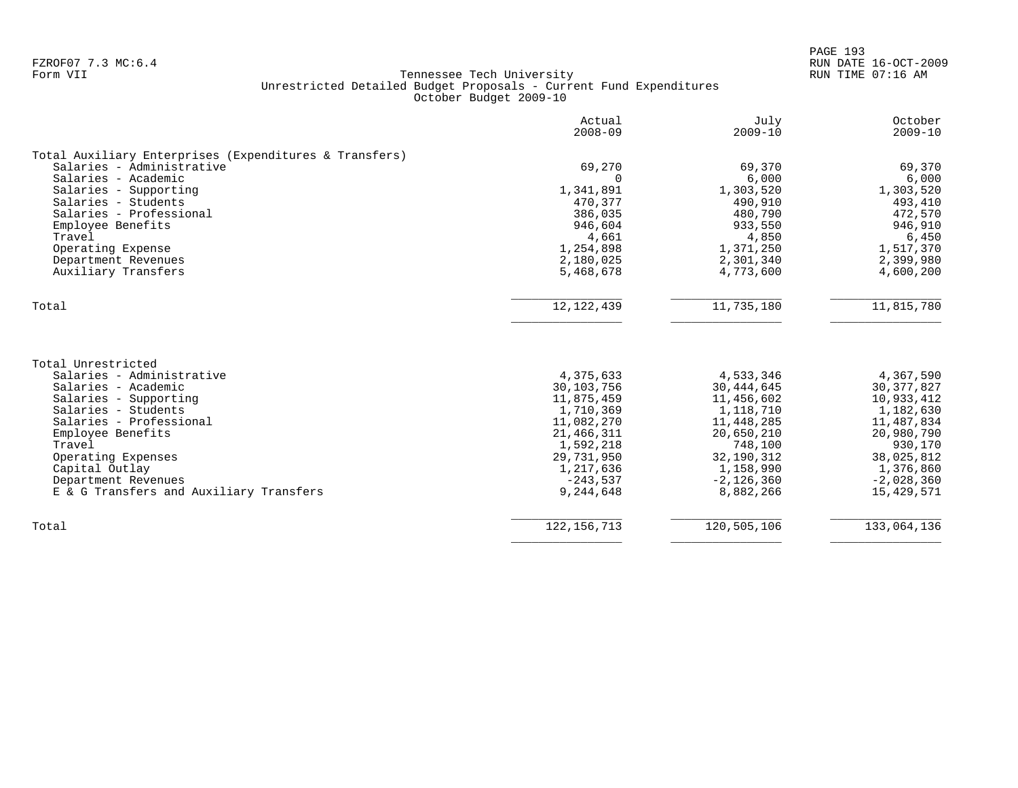|                                                                                                                        | Actual<br>$2008 - 09$                              | July<br>$2009 - 10$                                  | October<br>$2009 - 10$                               |
|------------------------------------------------------------------------------------------------------------------------|----------------------------------------------------|------------------------------------------------------|------------------------------------------------------|
| Total Auxiliary Enterprises (Expenditures & Transfers)                                                                 |                                                    |                                                      |                                                      |
| Salaries - Administrative                                                                                              | 69,270                                             | 69,370                                               | 69,370                                               |
| Salaries - Academic                                                                                                    | ∩                                                  | 6,000                                                | 6,000                                                |
| Salaries - Supporting                                                                                                  | 1,341,891                                          | 1,303,520                                            | 1,303,520                                            |
| Salaries - Students                                                                                                    | 470,377                                            | 490,910                                              | 493,410                                              |
| Salaries - Professional                                                                                                | 386,035                                            | 480,790                                              | 472,570                                              |
| Employee Benefits                                                                                                      | 946,604                                            | 933,550                                              | 946,910                                              |
| Travel                                                                                                                 | 4,661                                              | 4,850                                                | 6,450                                                |
| Operating Expense                                                                                                      | 1,254,898                                          | 1,371,250                                            | 1,517,370                                            |
| Department Revenues                                                                                                    | 2,180,025                                          | 2,301,340                                            | 2,399,980                                            |
| Auxiliary Transfers                                                                                                    | 5,468,678                                          | 4,773,600                                            | 4,600,200                                            |
| Total                                                                                                                  | 12, 122, 439                                       | 11,735,180                                           | 11,815,780                                           |
| Total Unrestricted<br>Salaries - Administrative<br>Salaries - Academic<br>Salaries - Supporting<br>Salaries - Students | 4,375,633<br>30,103,756<br>11,875,459<br>1,710,369 | 4,533,346<br>30, 444, 645<br>11,456,602<br>1,118,710 | 4,367,590<br>30, 377, 827<br>10,933,412<br>1,182,630 |
| Salaries - Professional                                                                                                | 11,082,270                                         | 11,448,285                                           | 11,487,834                                           |
| Employee Benefits                                                                                                      | 21, 466, 311                                       | 20,650,210                                           | 20,980,790                                           |
| Travel                                                                                                                 | 1,592,218                                          | 748,100                                              | 930,170                                              |
| Operating Expenses                                                                                                     | 29,731,950                                         | 32,190,312                                           | 38,025,812                                           |
| Capital Outlay                                                                                                         | 1,217,636                                          | 1,158,990                                            | 1,376,860                                            |
| Department Revenues                                                                                                    | $-243,537$                                         | $-2,126,360$                                         | $-2,028,360$                                         |
| E & G Transfers and Auxiliary Transfers                                                                                | 9,244,648                                          | 8,882,266                                            | 15,429,571                                           |
| Total                                                                                                                  | 122, 156, 713                                      | 120,505,106                                          | 133,064,136                                          |
|                                                                                                                        |                                                    |                                                      |                                                      |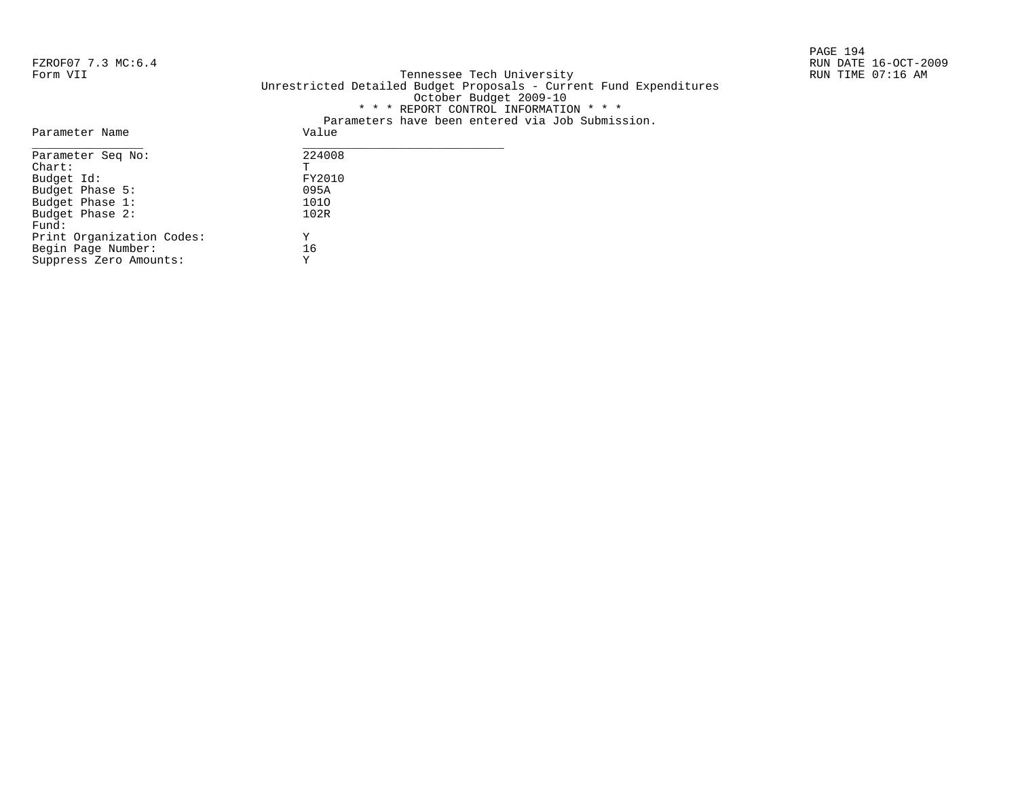PAGE 194

## FZROF07 7.3 MC:6.4 RUN DATE 16-OCT-2009<br>Form VII RUN TIME 07:16 AM Form VII Tennessee Tech University RUN TIME 07:16 AM Unrestricted Detailed Budget Proposals - Current Fund Expenditures October Budget 2009-10 \* \* \* REPORT CONTROL INFORMATION \* \* \* Parameters have been entered via Job Submission.<br>Value

| Parameter Name            | Value  |
|---------------------------|--------|
| Parameter Seq No:         | 224008 |
| $char:$                   | Ͳ      |
| Budget Id:                | FY2010 |
| Budget Phase 5:           | 095A   |
| Budget Phase 1:           | 1010   |
| Budget Phase 2:           | 102R   |
| Fund:                     |        |
| Print Organization Codes: | Υ      |
| Begin Page Number:        | 16     |
| Suppress Zero Amounts:    | Y      |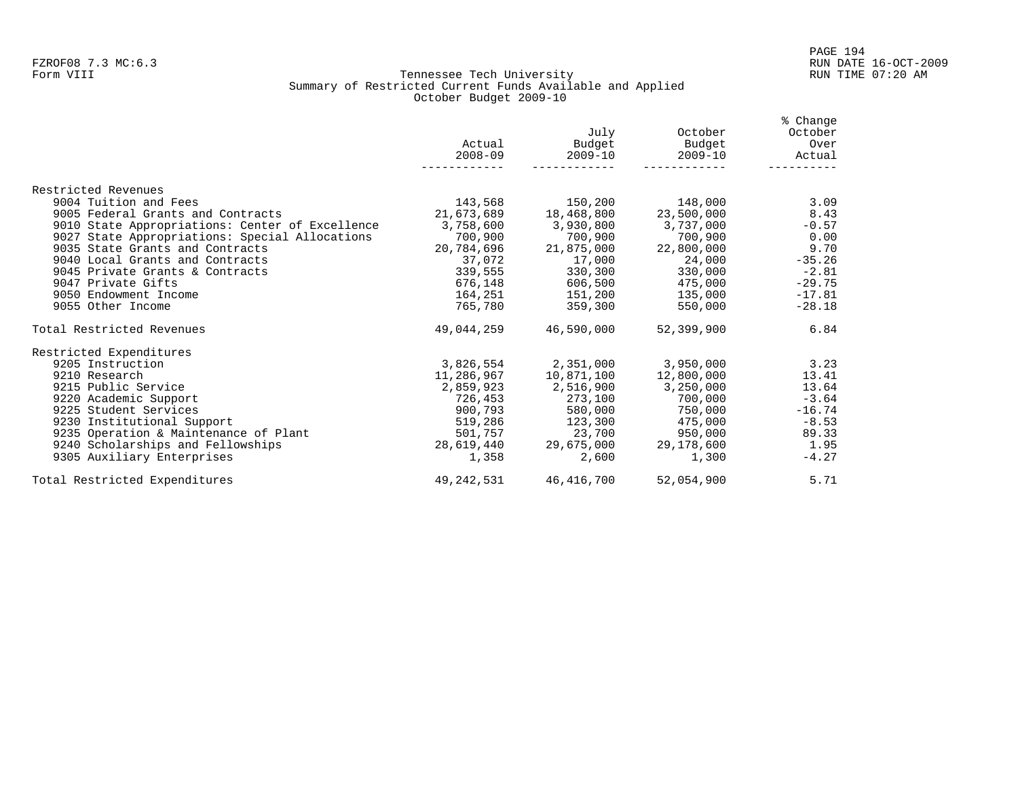### Form VIII Tennessee Tech University RUN TIME 07:20 AM Summary of Restricted Current Funds Available and Applied October Budget 2009-10

|                                                 | Actual<br>$2008 - 09$ | July<br>Budget<br>$2009 - 10$ | October<br>Budget<br>$2009 - 10$    | % Change<br>October<br>Over<br>Actual |
|-------------------------------------------------|-----------------------|-------------------------------|-------------------------------------|---------------------------------------|
| Restricted Revenues                             |                       |                               |                                     |                                       |
| 9004 Tuition and Fees                           | 143,568               | 150,200                       | 148,000                             | 3.09                                  |
| 9005 Federal Grants and Contracts               | 21,673,689 18,468,800 |                               | 23,500,000                          | 8.43                                  |
| 9010 State Appropriations: Center of Excellence | 3,758,600 3,930,800   |                               | 3,737,000                           | $-0.57$                               |
| 9027 State Appropriations: Special Allocations  | 700,900               | 700,900                       | 700,900                             | 0.00                                  |
| 9035 State Grants and Contracts                 | 20,784,696            | 21,875,000                    | 22,800,000                          | 9.70                                  |
| 9040 Local Grants and Contracts                 | 37,072                | 17,000                        | 24,000                              | $-35.26$                              |
| 9045 Private Grants & Contracts                 |                       | 339,555 330,300               | 330,000                             | $-2.81$                               |
| 9047 Private Gifts                              |                       | 676,148 606,500               | 475,000                             | $-29.75$                              |
| 9050 Endowment Income                           |                       |                               | 164,251 151,200 135,000             | $-17.81$                              |
| 9055 Other Income                               |                       | 765.780 359.300               | 550,000                             | $-28.18$                              |
| Total Restricted Revenues                       |                       | 49.044.259 46.590.000         | 52,399,900                          | 6.84                                  |
| Restricted Expenditures                         |                       |                               |                                     |                                       |
| 9205 Instruction                                |                       |                               | $3,826,554$ $2,351,000$ $3,950,000$ | 3.23                                  |
| 9210 Research                                   | 11,286,967            | 10,871,100                    | 12,800,000                          | 13.41                                 |
| 9215 Public Service                             | 2,859,923             | 2,516,900                     | 3,250,000                           | 13.64                                 |
| 9220 Academic Support                           |                       | 726,453 273,100               | $700,000$ $-3.64$                   |                                       |
| 9225 Student Services                           |                       | 900,793 580,000               | 750,000                             | $-16.74$                              |
| 9230 Institutional Support                      | 519,286               | 123,300                       | 475,000                             | $-8.53$                               |
| 9235 Operation & Maintenance of Plant           |                       | 501,757 23,700                | 950,000                             | 89.33                                 |
| 9240 Scholarships and Fellowships               |                       | 28,619,440 29,675,000         | 29,178,600                          | 1.95                                  |
| 9305 Auxiliary Enterprises                      | 1,358                 | 2,600                         | 1,300                               | $-4.27$                               |
| Total Restricted Expenditures                   |                       | 49, 242, 531 46, 416, 700     | 52,054,900                          | 5.71                                  |